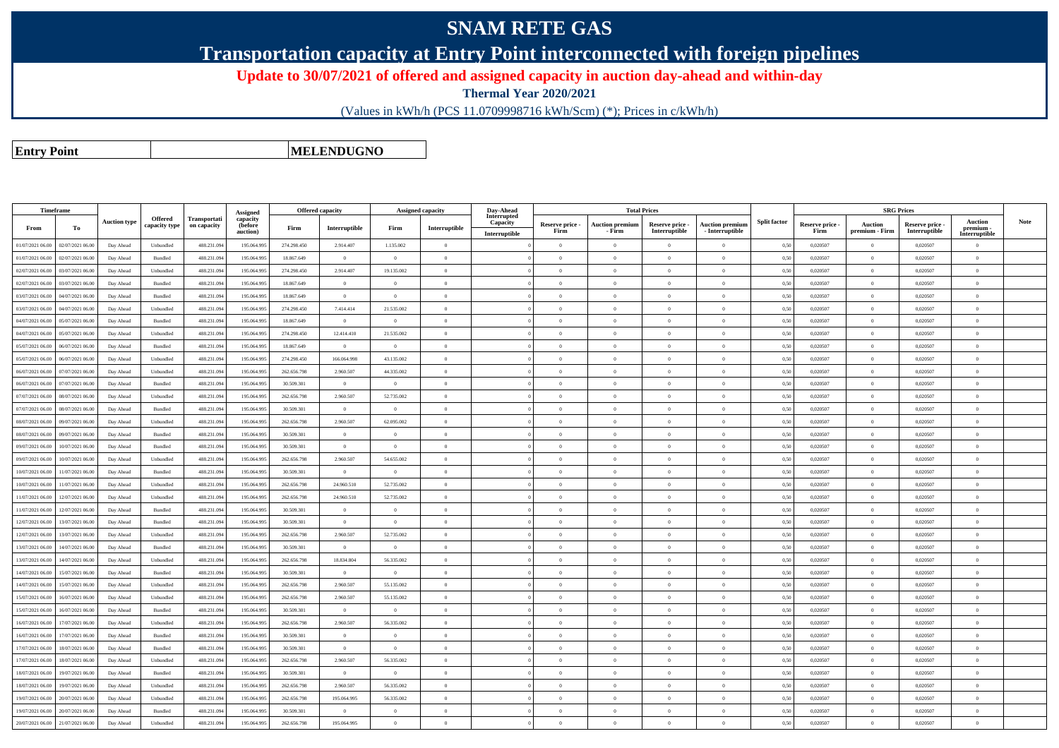## **SNAM RETE GAS**

**Transportation capacity at Entry Point interconnected with foreign pipelines**

**Update to 30/07/2021 of offered and assigned capacity in auction day-ahead and within-day**

**Thermal Year 2020/2021**

(Values in kWh/h (PCS 11.0709998716 kWh/Scm) (\*); Prices in c/kWh/h)

**Entry Point**

**MELENDUGNO**

|                  | Timeframe        |                     |                          |                             | Assigned                               | Offered capacity |                |                | Assigned capacity | Day-Ahead                                |                         | <b>Total Prices</b>              |                                  |                                             |                     |                         | <b>SRG Prices</b>                |                                  |                                              |             |
|------------------|------------------|---------------------|--------------------------|-----------------------------|----------------------------------------|------------------|----------------|----------------|-------------------|------------------------------------------|-------------------------|----------------------------------|----------------------------------|---------------------------------------------|---------------------|-------------------------|----------------------------------|----------------------------------|----------------------------------------------|-------------|
| From             | To               | <b>Auction type</b> | Offered<br>capacity type | Transportati<br>on capacity | capacity<br><b>(before</b><br>auction) | Firm             | Interruptible  | Firm           | Interruptible     | Interrupted<br>Capacity<br>Interruptible | Reserve price -<br>Firm | <b>Auction premium</b><br>- Firm | Reserve price -<br>Interruptible | <b>Auction premium</b><br>$-$ Interruptible | <b>Split factor</b> | Reserve price -<br>Firm | <b>Auction</b><br>premium - Firm | Reserve price -<br>Interruptible | <b>Auction</b><br>premium -<br>Interruptible | <b>Note</b> |
| 01/07/2021 06:00 | 02/07/2021 06.00 | Day Ahead           | Unbundled                | 488.231.09                  | 195.064.995                            | 274.298.450      | 2.914.407      | 1.135.002      | $\Omega$          |                                          | $\Omega$                | $\theta$                         | $\Omega$                         | $\theta$                                    | 0,50                | 0,020507                | $\sqrt{2}$                       | 0,020507                         | $\theta$                                     |             |
| 01/07/2021 06:00 | 02/07/2021 06.00 | Day Ahead           | Bundled                  | 488.231.094                 | 195.064.995                            | 18.867.649       | $\overline{0}$ | $\overline{0}$ | $\overline{0}$    |                                          | $\overline{0}$          | $\theta$                         | $\overline{0}$                   | $\overline{0}$                              | 0,50                | 0,020507                | $\overline{0}$                   | 0,020507                         | $\Omega$                                     |             |
| 02/07/2021 06:00 | 06.07/2021 06.0  | Day Ahead           | Unbundled                | 488.231.09                  | 195.064.995                            | 274.298.450      | 2.914.407      | 19.135.002     | $\Omega$          |                                          | $\Omega$                | $\sqrt{2}$                       | $\overline{0}$                   | $\theta$                                    | 0,50                | 0,020507                | $\theta$                         | 0,020507                         | $\Omega$                                     |             |
| 02/07/2021 06:00 | 03/07/2021 06.00 | Day Ahead           | Bundled                  | 488.231.09                  | 195.064.995                            | 18,867,649       | $\overline{0}$ | $\Omega$       | $\Omega$          |                                          | $\Omega$                | $\theta$                         | $\overline{0}$                   | $\Omega$                                    | 0,50                | 0.020507                | $\theta$                         | 0.020507                         | $\Omega$                                     |             |
| 03/07/2021 06:00 | 04/07/2021 06.0  | Day Ahead           | Bundled                  | 488.231.09                  | 195.064.995                            | 18.867.649       | $\overline{0}$ | $\overline{0}$ | $\Omega$          |                                          | $\Omega$                | $\theta$                         | $\overline{0}$                   | $\theta$                                    | 0,50                | 0,020507                | $\theta$                         | 0,020507                         | $\theta$                                     |             |
| 03/07/2021 06:00 | 04/07/2021 06.0  | Day Ahead           | Unbundled                | 488.231.09                  | 195.064.995                            | 274.298.450      | 7.414.414      | 21.535.002     | $\overline{0}$    |                                          | $\overline{0}$          | $\overline{0}$                   | $\overline{0}$                   | $\overline{0}$                              | 0,50                | 0,020507                | $\overline{0}$                   | 0,020507                         | $\overline{0}$                               |             |
| 04/07/2021 06.0  | 05/07/2021 06.0  | Day Ahead           | Bundled                  | 488.231.09                  | 195.064.99                             | 18.867.649       | $\overline{0}$ | $\overline{0}$ | $\overline{0}$    |                                          | $\Omega$                |                                  | $\overline{0}$                   | $\overline{0}$                              | 0,50                | 0,020507                | $\overline{0}$                   | 0,020507                         | $\theta$                                     |             |
| 04/07/2021 06:00 | 05/07/2021 06.0  | Day Ahead           | Unbundled                | 488.231.09                  | 195.064.995                            | 274.298.450      | 12.414.410     | 21.535.002     | $\overline{0}$    |                                          | $\overline{0}$          | $\theta$                         | $\overline{0}$                   | $\theta$                                    | 0,50                | 0,020507                | $\overline{0}$                   | 0,020507                         | $\overline{0}$                               |             |
| 05/07/2021 06:00 | 06/07/2021 06.00 | Day Ahead           | Bundled                  | 488.231.09                  | 195.064.995                            | 18.867.649       | $\theta$       | $\Omega$       | $\Omega$          |                                          | $\Omega$                |                                  | $\Omega$                         | $\theta$                                    | 0,50                | 0,020507                | $\Omega$                         | 0,020507                         | $\theta$                                     |             |
| 05/07/2021 06:00 | 06/07/2021 06.0  | Day Ahead           | Unbundled                | 488.231.09                  | 195.064.995                            | 274.298.450      | 166.064.998    | 43.135.002     | $\overline{0}$    |                                          | $\overline{0}$          | $\overline{0}$                   | $\overline{0}$                   | $\overline{0}$                              | 0,50                | 0,020507                | $\overline{0}$                   | 0,020507                         | $\mathbf{0}$                                 |             |
| 06/07/2021 06:00 | 7/07/2021 06.0   | Day Ahead           | Unbundled                | 488.231.09                  | 195.064.995                            | 262.656.798      | 2.960.507      | 44.335.002     | $\Omega$          |                                          | $\Omega$                |                                  | $\overline{0}$                   | $\theta$                                    | 0,50                | 0,020507                | $\theta$                         | 0,020507                         | $\theta$                                     |             |
| 06/07/2021 06:00 | 07/07/2021 06.00 | Day Ahead           | Bundled                  | 488.231.09                  | 195.064.995                            | 30.509.301       | $\overline{0}$ | $\Omega$       | $\Omega$          |                                          | $\Omega$                |                                  | $\overline{0}$                   | $\theta$                                    | 0,50                | 0,020507                | $\overline{0}$                   | 0,020507                         | $\theta$                                     |             |
| 07/07/2021 06:00 | 08/07/2021 06:00 | Day Ahead           | Unbundled                | 488.231.09                  | 195,064,995                            | 262.656.798      | 2.960.507      | 52,735,002     | $\Omega$          |                                          | $\theta$                | $\sqrt{2}$                       | $\Omega$                         | $\theta$                                    | 0.50                | 0.020507                | $\Omega$                         | 0.020507                         | $\Omega$                                     |             |
| 07/07/2021 06:00 | 08/07/2021 06:00 | Day Ahead           | Bundled                  | 488.231.09                  | 195.064.995                            | 30.509.301       | $\overline{0}$ | $\overline{0}$ | $\overline{0}$    |                                          | $\overline{0}$          | $\theta$                         | $\overline{0}$                   | $\overline{0}$                              | 0,50                | 0,020507                | $\overline{0}$                   | 0,020507                         | $\overline{0}$                               |             |
| 08/07/2021 06:00 | 09/07/2021 06:00 | Day Ahead           | Unbundled                | 488.231.09                  | 195,064,995                            | 262.656.798      | 2.960.507      | 62.095.002     | $\Omega$          |                                          | $\Omega$                | $\theta$                         | $\theta$                         | $\theta$                                    | 0.50                | 0.020507                | $\overline{0}$                   | 0.020507                         | $\theta$                                     |             |
| 08/07/2021 06:00 | 09/07/2021 06.00 | Day Ahead           | $\mathbf B$ undled       | 488.231.09                  | 195.064.995                            | 30.509.301       | $\overline{0}$ | $\Omega$       | $\overline{0}$    |                                          | $\Omega$                | $\theta$                         | $\theta$                         | $\overline{0}$                              | 0,50                | 0,020507                | $\overline{0}$                   | 0,020507                         | $\theta$                                     |             |
| 09/07/2021 06:00 | 10/07/2021 06:00 | Day Ahead           | <b>Bundled</b>           | 488.231.09                  | 195,064,995                            | 30.509.301       | $\Omega$       | $\theta$       | $\Omega$          |                                          | $\Omega$                |                                  | $\Omega$                         | $\Omega$                                    | 0.50                | 0.020507                | $\theta$                         | 0.020507                         | $\Omega$                                     |             |
| 09/07/2021 06:00 | 10/07/2021 06:00 | Day Ahead           | Unbundled                | 488.231.094                 | 195.064.995                            | 262.656.798      | 2.960.507      | 54.655.002     | $\overline{0}$    |                                          | $\overline{0}$          | $\theta$                         | $\overline{0}$                   | $\overline{0}$                              | 0,50                | 0,020507                | $\overline{0}$                   | 0,020507                         | $\overline{0}$                               |             |
| 10/07/2021 06:00 | 11/07/2021 06:00 | Day Ahead           | <b>Bundled</b>           | 488.231.09                  | 195 064 995                            | 30.509.301       | $\overline{0}$ | $\Omega$       | $\Omega$          |                                          | $\Omega$                | $\theta$                         | $\overline{0}$                   | $\theta$                                    | 0.50                | 0.020507                | $\overline{0}$                   | 0.020507                         | $\Omega$                                     |             |
| 10/07/2021 06:00 | 11/07/2021 06.00 | Day Ahead           | Unbundled                | 488.231.09                  | 195.064.995                            | 262.656.798      | 24.960.510     | 52.735.002     | $\Omega$          |                                          | $\Omega$                | $\theta$                         | $\Omega$                         | $\theta$                                    | 0,50                | 0,020507                | $\overline{0}$                   | 0,020507                         | $\theta$                                     |             |
| 11/07/2021 06:00 | 12/07/2021 06:00 | Day Ahead           | Unbundled                | 488.231.09                  | 195.064.995                            | 262 656 798      | 24,960,510     | 52,735,002     | $\Omega$          |                                          | $\Omega$                | $\theta$                         | $\Omega$                         | $\Omega$                                    | 0.50                | 0.020507                | $\theta$                         | 0.020507                         | $\Omega$                                     |             |
| 11/07/2021 06:00 | 12/07/2021 06.0  | Day Ahead           | Bundled                  | 488.231.09                  | 195.064.995                            | 30.509.301       | $\overline{0}$ | $\overline{0}$ | $\overline{0}$    |                                          | $\Omega$                |                                  | $\overline{0}$                   | $\theta$                                    | 0,50                | 0,020507                | $\Omega$                         | 0,020507                         | $\theta$                                     |             |
| 12/07/2021 06:00 | 13/07/2021 06.00 | Day Ahead           | Bundled                  | 488.231.09                  | 195.064.995                            | 30.509.301       | $\overline{0}$ | $\Omega$       | $\Omega$          |                                          | $\overline{0}$          | $\theta$                         | $\overline{0}$                   | $\overline{0}$                              | 0.50                | 0.020507                | $\overline{0}$                   | 0.020507                         | $\Omega$                                     |             |
| 12/07/2021 06:00 | 13/07/2021 06.0  | Day Ahead           | Unbundled                | 488.231.09                  | 195,064.99                             | 262.656.798      | 2.960.507      | 52.735.002     | $\overline{0}$    |                                          | $\Omega$                | $\theta$                         | $\overline{0}$                   | $\theta$                                    | 0,50                | 0.020507                | $\overline{0}$                   | 0.020507                         | $\theta$                                     |             |
| 13/07/2021 06:00 | 14/07/2021 06:00 | Day Ahead           | Bundled                  | 488.231.09                  | 195.064.995                            | 30.509.301       | $\overline{0}$ | $\theta$       | $\Omega$          |                                          | $\Omega$                | $\theta$                         | $\overline{0}$                   | $\Omega$                                    | 0,50                | 0,020507                | $\overline{0}$                   | 0,020507                         | $\Omega$                                     |             |
| 13/07/2021 06:00 | 14/07/2021 06.0  | Day Ahead           | Unbundled                | 488.231.09                  | 195,064.99                             | 262.656.798      | 18.834.804     | 56.335.002     | $\Omega$          |                                          | $\overline{0}$          | $\theta$                         | $\overline{0}$                   | $\overline{0}$                              | 0,50                | 0,020507                | $\Omega$                         | 0.020507                         | $\Omega$                                     |             |
| 14/07/2021 06:00 | 15/07/2021 06.00 | Day Ahead           | Bundled                  | 488.231.09                  | 195.064.995                            | 30.509.301       | $\overline{0}$ | $\overline{0}$ | $\overline{0}$    |                                          | $\overline{0}$          | $\theta$                         | $\overline{0}$                   | $\overline{0}$                              | 0,50                | 0,020507                | $\overline{0}$                   | 0,020507                         | $\Omega$                                     |             |
| 14/07/2021 06:00 | 5/07/2021 06.0   | Day Ahead           | Unbundled                | 488.231.09                  | 195.064.995                            | 262.656.798      | 2.960.507      | 55.135.002     | $\overline{0}$    |                                          | $\theta$                |                                  | $\overline{0}$                   | $\theta$                                    | 0,50                | 0,020507                | $\overline{0}$                   | 0,020507                         | $\theta$                                     |             |
| 15/07/2021 06:00 | 16/07/2021 06:00 | Day Ahead           | Unbundled                | 488.231.09                  | 195.064.995                            | 262.656.798      | 2.960.507      | 55.135.002     | $\Omega$          |                                          | $\Omega$                | $\theta$                         | $\overline{0}$                   | $\Omega$                                    | 0,50                | 0,020507                | $\overline{0}$                   | 0,020507                         | $\Omega$                                     |             |
| 15/07/2021 06:00 | 16/07/2021 06.0  | Day Ahead           | Bundled                  | 488.231.09                  | 195.064.995                            | 30.509.301       | $\overline{0}$ | $\overline{0}$ | $\overline{0}$    |                                          | $\overline{0}$          |                                  | $\overline{0}$                   | $\theta$                                    | 0,50                | 0,020507                | $\overline{0}$                   | 0,020507                         | $\mathbf{0}$                                 |             |
| 16/07/2021 06:00 | 17/07/2021 06.00 | Day Ahead           | Unbundled                | 488.231.09                  | 195.064.995                            | 262.656.798      | 2.960.507      | 56.335.002     | $\Omega$          |                                          | $\Omega$                | $\theta$                         | $\overline{0}$                   | $\overline{0}$                              | 0,50                | 0,020507                | $\overline{0}$                   | 0,020507                         | $\theta$                                     |             |
| 16/07/2021 06:00 | 7/07/2021 06.0   | Day Ahead           | Bundled                  | 488.231.09                  | 195.064.995                            | 30.509.301       | $\overline{0}$ | $\overline{0}$ | $\overline{0}$    |                                          | $\overline{0}$          |                                  | $\overline{0}$                   | $\overline{0}$                              | 0,50                | 0,020507                | $\overline{0}$                   | 0,020507                         | $\theta$                                     |             |
| 17/07/2021 06:00 | 18/07/2021 06:00 | Day Ahead           | Bundled                  | 488.231.09                  | 195.064.995                            | 30.509.301       | $\overline{0}$ | $\theta$       | $\Omega$          |                                          | $\Omega$                | $\theta$                         | $\Omega$                         | $\Omega$                                    | 0,50                | 0,020507                | $\theta$                         | 0,020507                         | $\theta$                                     |             |
| 17/07/2021 06:00 | 18/07/2021 06:00 | Day Ahead           | Unbundled                | 488.231.09                  | 195.064.995                            | 262.656.798      | 2.960.507      | 56.335.002     | $\Omega$          |                                          | $\Omega$                |                                  | $\theta$                         | $\theta$                                    | 0,50                | 0,020507                | $\Omega$                         | 0,020507                         | $\theta$                                     |             |
| 18/07/2021 06:00 | 19/07/2021 06.00 | Day Ahead           | Bundled                  | 488.231.09                  | 195.064.995                            | 30.509.301       | $\overline{0}$ | $\Omega$       | $\Omega$          |                                          | $\Omega$                | $\theta$                         | $\overline{0}$                   | $\overline{0}$                              | 0,50                | 0,020507                | $\overline{0}$                   | 0,020507                         | $\theta$                                     |             |
| 18/07/2021 06:00 | 19/07/2021 06.00 | Day Ahead           | Unbundled                | 488.231.09                  | 195.064.995                            | 262.656.798      | 2.960.507      | 56.335.002     | $\overline{0}$    |                                          | $\overline{0}$          | $\theta$                         | $\overline{0}$                   | $\theta$                                    | 0,50                | 0,020507                | $\overline{0}$                   | 0,020507                         | $\theta$                                     |             |
| 19/07/2021 06:00 | 20/07/2021 06:00 | Day Ahead           | Unbundled                | 488.231.09                  | 195,064,995                            | 262.656.798      | 195,064,995    | 56,335,002     | $\Omega$          |                                          | $\Omega$                |                                  | $\Omega$                         | $\theta$                                    | 0.50                | 0.020507                | $\overline{0}$                   | 0.020507                         | $\theta$                                     |             |
| 19/07/2021 06:00 | 20/07/2021 06.0  | Day Ahead           | Bundled                  | 488.231.09                  | 195.064.995                            | 30.509.301       | $\overline{0}$ | $\theta$       | $\Omega$          |                                          | $\Omega$                |                                  | $\theta$                         | $\theta$                                    | 0,50                | 0,020507                | $\Omega$                         | 0,020507                         | $\theta$                                     |             |
| 20/07/2021 06:00 | 21/07/2021 06.00 | Day Ahead           | Unbundled                | 488.231.094                 | 195,064,995                            | 262.656.798      | 195,064,995    | $\overline{0}$ | $\Omega$          |                                          | $\Omega$                |                                  | $\Omega$                         | $\theta$                                    | 0,50                | 0.020507                | $\overline{0}$                   | 0.020507                         | $\theta$                                     |             |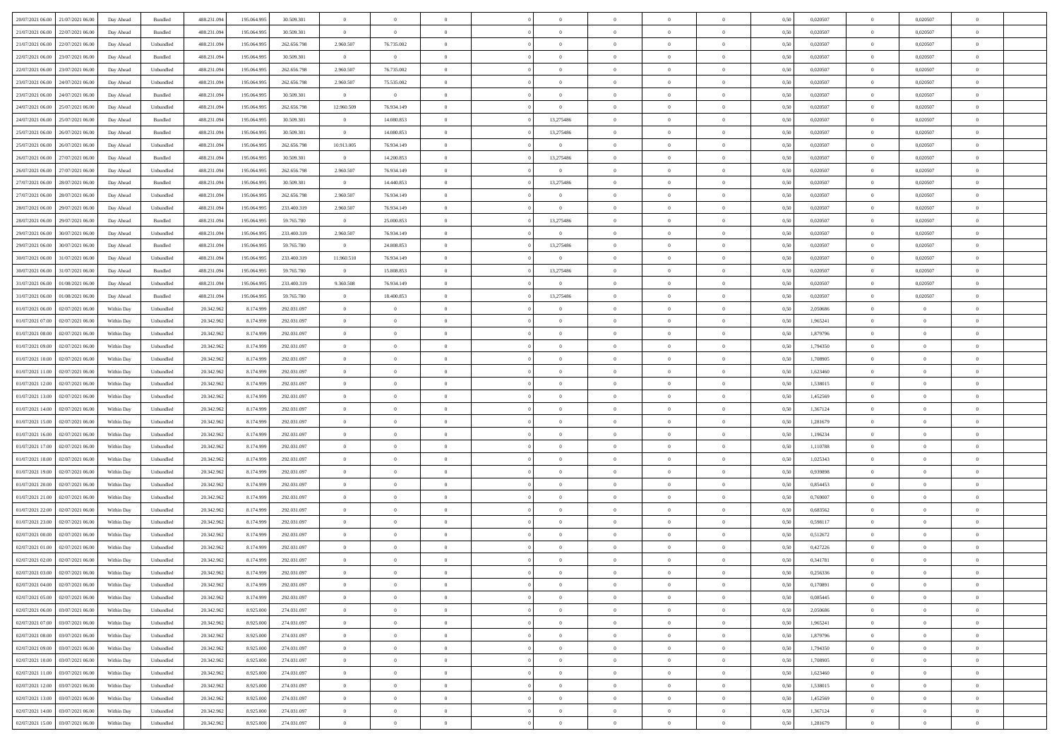| 20/07/2021 06:00 21/07/2021 06:00            | Day Ahead  | Bundled   | 488.231.094 | 195.064.995 | 30.509.301  | $\overline{0}$ | $\theta$       |                | $\overline{0}$ | $\bf{0}$       | $\overline{0}$ | $\theta$       | 0,50 | 0,020507 | $\overline{0}$ | 0.020507       | $\bf{0}$       |  |
|----------------------------------------------|------------|-----------|-------------|-------------|-------------|----------------|----------------|----------------|----------------|----------------|----------------|----------------|------|----------|----------------|----------------|----------------|--|
|                                              |            |           |             |             |             |                |                |                |                |                |                |                |      |          |                |                |                |  |
| 21/07/2021 06:00<br>22/07/2021 06:00         | Day Ahead  | Bundled   | 488.231.09  | 195.064.99  | 30.509.301  | $\bf{0}$       | $\overline{0}$ | $\overline{0}$ | $\overline{0}$ | $\,$ 0         | $\overline{0}$ | $\bf{0}$       | 0,50 | 0,020507 | $\bf{0}$       | 0,020507       | $\,$ 0         |  |
| 21/07/2021 06:00<br>22/07/2021 06:00         | Day Ahead  | Unbundled | 488.231.094 | 195,064,995 | 262.656.798 | 2.960.507      | 76.735.002     | $\overline{0}$ | $\overline{0}$ | $\bf{0}$       | $\overline{0}$ | $\overline{0}$ | 0.50 | 0.020507 | $\overline{0}$ | 0.020507       | $\bf{0}$       |  |
| 22/07/2021 06:00<br>23/07/2021 06:00         | Day Ahead  | Bundled   | 488.231.094 | 195.064.995 | 30.509.301  | $\overline{0}$ | $\overline{0}$ | $\overline{0}$ | $\overline{0}$ | $\theta$       | $\overline{0}$ | $\theta$       | 0,50 | 0,020507 | $\,$ 0 $\,$    | 0,020507       | $\overline{0}$ |  |
| 22/07/2021 06:00<br>23/07/2021 06:00         | Day Ahead  | Unbundled | 488.231.09  | 195.064.99  | 262.656.798 | 2.960.507      | 76.735.002     | $\overline{0}$ |                | $\bf{0}$       | $\overline{0}$ | $\bf{0}$       | 0,50 | 0,020507 | $\bf{0}$       | 0,020507       | $\overline{0}$ |  |
| 23/07/2021 06:00<br>24/07/2021 06:00         | Day Ahead  | Unbundled | 488.231.09  | 195,064.99  | 262.656.798 | 2.960.507      | 75.535.002     | $\overline{0}$ | $\overline{0}$ | $\bf{0}$       | $\overline{0}$ | $\overline{0}$ | 0.50 | 0.020507 | $\bf{0}$       | 0.020507       | $\bf{0}$       |  |
| 23/07/2021 06:00<br>24/07/2021 06:00         | Day Ahead  | Bundled   | 488.231.09  | 195.064.995 | 30.509.301  | $\overline{0}$ | $\overline{0}$ | $\overline{0}$ | $\overline{0}$ | $\bf{0}$       | $\overline{0}$ | $\overline{0}$ | 0,50 | 0,020507 | $\,$ 0 $\,$    | 0,020507       | $\overline{0}$ |  |
| 24/07/2021 06:00<br>25/07/2021 06.00         | Day Ahead  | Unbundled | 488.231.09  | 195.064.99  | 262.656.798 | 12.960.509     | 76.934.149     | $\overline{0}$ | $\overline{0}$ | $\,$ 0         | $\overline{0}$ | $\bf{0}$       | 0,50 | 0,020507 | $\bf{0}$       | 0,020507       | $\bf{0}$       |  |
|                                              |            |           |             |             |             |                |                |                |                |                |                |                |      |          |                |                |                |  |
| 24/07/2021 06:00<br>25/07/2021 06:00         | Day Ahead  | Bundled   | 488.231.09  | 195,064.99  | 30.509.301  | $\overline{0}$ | 14.080.853     | $\overline{0}$ | 13,275486      | $\bf{0}$       | $\overline{0}$ | $\overline{0}$ | 0.50 | 0.020507 | $\overline{0}$ | 0.020507       | $\bf{0}$       |  |
| 25/07/2021 06:00<br>26/07/2021 06:00         | Day Ahead  | Bundled   | 488.231.094 | 195.064.995 | 30.509.301  | $\overline{0}$ | 14.080.853     | $\overline{0}$ | 13,275486      | $\bf{0}$       | $\overline{0}$ | $\overline{0}$ | 0,50 | 0,020507 | $\overline{0}$ | 0,020507       | $\overline{0}$ |  |
| 25/07/2021 06:00<br>26/07/2021 06.00         | Day Ahead  | Unbundled | 488.231.09  | 195.064.99  | 262.656.798 | 10.913.005     | 76.934.149     | $\overline{0}$ | $\overline{0}$ | $\,$ 0         | $\overline{0}$ | $\bf{0}$       | 0,50 | 0,020507 | $\bf{0}$       | 0,020507       | $\,$ 0         |  |
| 26/07/2021 06:00<br>27/07/2021 06:00         | Day Ahead  | Bundled   | 488.231.094 | 195,064,995 | 30.509.301  | $\overline{0}$ | 14.200.853     | $\overline{0}$ | 13,275486      | $\bf{0}$       | $\overline{0}$ | $\overline{0}$ | 0.50 | 0.020507 | $\,$ 0 $\,$    | 0.020507       | $\bf{0}$       |  |
| 26/07/2021 06:00<br>27/07/2021 06:00         | Day Ahead  | Unbundled | 488.231.09  | 195.064.995 | 262.656.798 | 2.960.507      | 76.934.149     | $\overline{0}$ | $\overline{0}$ | $\bf{0}$       | $\overline{0}$ | $\theta$       | 0,50 | 0,020507 | $\,$ 0 $\,$    | 0,020507       | $\overline{0}$ |  |
| 27/07/2021 06:00<br>28/07/2021 06:00         | Day Ahead  | Bundled   | 488.231.09  | 195.064.99  | 30.509.301  | $\bf{0}$       | 14.440.853     | $\overline{0}$ | 13,275486      | $\overline{0}$ | $\overline{0}$ | $\bf{0}$       | 0,50 | 0,020507 | $\bf{0}$       | 0,020507       | $\bf{0}$       |  |
| 27/07/2021 06:00<br>28/07/2021 06:00         | Day Ahead  | Unbundled | 488.231.09  | 195,064.99  | 262.656.798 | 2.960.507      | 76.934.149     | $\overline{0}$ | $\overline{0}$ | $\,$ 0         | $\overline{0}$ | $\overline{0}$ | 0.50 | 0.020507 | $\bf{0}$       | 0.020507       | $\bf{0}$       |  |
|                                              |            |           |             |             |             |                |                | $\overline{0}$ | $\overline{0}$ | $\bf{0}$       | $\overline{0}$ | $\overline{0}$ |      |          | $\,$ 0 $\,$    |                | $\overline{0}$ |  |
| 28/07/2021 06:00<br>29/07/2021 06:00         | Day Ahead  | Unbundled | 488.231.094 | 195.064.995 | 233.400.319 | 2.960.507      | 76.934.149     |                |                |                |                |                | 0,50 | 0,020507 |                | 0,020507       |                |  |
| 28/07/2021 06:00<br>29/07/2021 06.00         | Day Ahead  | Bundled   | 488.231.09  | 195.064.99  | 59.765.780  | $\bf{0}$       | 25.000.853     | $\overline{0}$ | 13,275486      | $\,$ 0         | $\overline{0}$ | $\bf{0}$       | 0,50 | 0,020507 | $\bf{0}$       | 0,020507       | $\overline{0}$ |  |
| 29/07/2021 06:00<br>30/07/2021 06:00         | Day Ahead  | Unbundled | 488.231.09  | 195,064.99  | 233,400.319 | 2.960.507      | 76.934.149     | $\overline{0}$ | $\overline{0}$ | $\bf{0}$       | $\overline{0}$ | $\overline{0}$ | 0.50 | 0.020507 | $\overline{0}$ | 0.020507       | $\bf{0}$       |  |
| 29/07/2021 06:00<br>30/07/2021 06:00         | Day Ahead  | Bundled   | 488.231.094 | 195.064.995 | 59.765.780  | $\overline{0}$ | 24,808,853     | $\overline{0}$ | 13,275486      | $\bf{0}$       | $\overline{0}$ | $\overline{0}$ | 0,50 | 0,020507 | $\,$ 0 $\,$    | 0,020507       | $\overline{0}$ |  |
| 30/07/2021 06:00<br>31/07/2021 06.00         | Day Ahead  | Unbundled | 488.231.09  | 195.064.99  | 233.400.319 | 11.960.510     | 76.934.149     | $\overline{0}$ | $\overline{0}$ | $\bf{0}$       | $\overline{0}$ | $\bf{0}$       | 0,50 | 0,020507 | $\bf{0}$       | 0,020507       | $\bf{0}$       |  |
| 30/07/2021 06:00<br>31/07/2021 06:00         | Day Ahead  | Bundled   | 488.231.094 | 195,064,995 | 59,765,780  | $\overline{0}$ | 15,808,853     | $\overline{0}$ | 13,275486      | $\bf{0}$       | $\overline{0}$ | $\overline{0}$ | 0.50 | 0.020507 | $\overline{0}$ | 0.020507       | $\bf{0}$       |  |
| 31/07/2021 06:00<br>01/08/2021 06:00         | Day Ahead  | Unbundled | 488.231.09  | 195.064.995 | 233.400.319 | 9.360.508      | 76.934.149     | $\overline{0}$ | $\overline{0}$ | $\bf{0}$       | $\overline{0}$ | $\overline{0}$ | 0.50 | 0,020507 | $\,$ 0 $\,$    | 0,020507       | $\overline{0}$ |  |
|                                              |            |           |             |             |             |                |                |                |                |                |                |                |      |          |                |                |                |  |
| 31/07/2021 06:00<br>01/08/2021 06:00         | Day Ahead  | Bundled   | 488.231.09  | 195.064.99  | 59.765.780  | $\overline{0}$ | 18.400.853     | $\overline{0}$ | 13,275486      | $\overline{0}$ | $\overline{0}$ | $\bf{0}$       | 0,50 | 0,020507 | $\bf{0}$       | 0,020507       | $\bf{0}$       |  |
| 01/07/2021 06:00<br>02/07/2021 06:00         | Within Day | Unbundled | 20.342.96   | 8.174.999   | 292.031.097 | $\overline{0}$ | $\overline{0}$ | $\overline{0}$ | $\overline{0}$ | $\bf{0}$       | $\overline{0}$ | $\overline{0}$ | 0.50 | 2.050686 | $\bf{0}$       | $\overline{0}$ | $\bf{0}$       |  |
| 01/07/2021 07:00<br>02/07/2021 06:00         | Within Day | Unbundled | 20.342.962  | 8.174.999   | 292.031.097 | $\overline{0}$ | $\overline{0}$ | $\overline{0}$ | $\overline{0}$ | $\bf{0}$       | $\overline{0}$ | $\overline{0}$ | 0,50 | 1,965241 | $\,$ 0 $\,$    | $\overline{0}$ | $\overline{0}$ |  |
| 01/07/2021 08:00<br>02/07/2021 06.00         | Within Day | Unbundled | 20.342.96   | 8.174.999   | 292.031.097 | $\overline{0}$ | $\theta$       | $\overline{0}$ |                | $\,$ 0         | $\overline{0}$ | $\bf{0}$       | 0,50 | 1,879796 | $\bf{0}$       | $\overline{0}$ | $\,$ 0         |  |
| 01/07/2021 09:00<br>02/07/2021 06:00         | Within Day | Unbundled | 20.342.962  | 8.174.999   | 292.031.097 | $\overline{0}$ | $\overline{0}$ | $\overline{0}$ | $\overline{0}$ | $\bf{0}$       | $\overline{0}$ | $\overline{0}$ | 0.50 | 1.794350 | $\bf{0}$       | $\overline{0}$ | $\bf{0}$       |  |
| 01/07/2021 10:00<br>02/07/2021 06:00         | Within Day | Unbundled | 20.342.962  | 8.174.999   | 292.031.097 | $\overline{0}$ | $\overline{0}$ | $\overline{0}$ | $\overline{0}$ | $\bf{0}$       | $\overline{0}$ | $\overline{0}$ | 0,50 | 1,708905 | $\,$ 0 $\,$    | $\overline{0}$ | $\overline{0}$ |  |
| 01/07/2021 11:00<br>02/07/2021 06.00         | Within Day | Unbundled | 20.342.96   | 8.174.999   | 292.031.097 | $\bf{0}$       | $\overline{0}$ | $\overline{0}$ | $\overline{0}$ | $\bf{0}$       | $\overline{0}$ | $\bf{0}$       | 0,50 | 1,623460 | $\bf{0}$       | $\overline{0}$ | $\bf{0}$       |  |
| 02/07/2021 06:00                             |            | Unbundled | 20.342.962  | 8.174.999   | 292.031.097 |                | $\overline{0}$ | $\overline{0}$ |                |                |                |                | 0.50 | 1.538015 |                | $\overline{0}$ |                |  |
| 01/07/2021 12:00                             | Within Day |           |             |             |             | $\overline{0}$ |                |                | $\overline{0}$ | $\,$ 0 $\,$    | $\overline{0}$ | $\overline{0}$ |      |          | $\,$ 0 $\,$    |                | $\bf{0}$       |  |
| 01/07/2021 13:00<br>02/07/2021 06:00         | Within Day | Unbundled | 20.342.962  | 8.174.999   | 292.031.097 | $\overline{0}$ | $\overline{0}$ | $\theta$       | $\Omega$       | $\overline{0}$ | $\overline{0}$ | $\overline{0}$ | 0.50 | 1,452569 | $\mathbf{0}$   | $\overline{0}$ | $\overline{0}$ |  |
| 01/07/2021 14:00<br>02/07/2021 06.00         | Within Day | Unbundled | 20.342.96   | 8.174.999   | 292.031.097 | $\overline{0}$ | $\theta$       | $\overline{0}$ |                | $\,$ 0         | $\overline{0}$ | $\bf{0}$       | 0,50 | 1,367124 | $\bf{0}$       | $\overline{0}$ | $\,$ 0         |  |
| 01/07/2021 15:00<br>02/07/2021 06:00         | Within Day | Unbundled | 20.342.962  | 8.174.999   | 292.031.097 | $\overline{0}$ | $\overline{0}$ | $\overline{0}$ | $\overline{0}$ | $\bf{0}$       | $\overline{0}$ | $\overline{0}$ | 0.50 | 1.281679 | $\bf{0}$       | $\overline{0}$ | $\bf{0}$       |  |
| 01/07/2021 16:00<br>02/07/2021 06:00         | Within Day | Unbundled | 20.342.962  | 8.174.999   | 292.031.097 | $\overline{0}$ | $\overline{0}$ | $\Omega$       | $\Omega$       | $\mathbf{0}$   | $\overline{0}$ | $\overline{0}$ | 0.50 | 1,196234 | $\mathbf{0}$   | $\overline{0}$ | $\overline{0}$ |  |
| 01/07/2021 17:00<br>02/07/2021 06.00         | Within Day | Unbundled | 20.342.96   | 8.174.999   | 292.031.097 | $\bf{0}$       | $\theta$       | $\overline{0}$ |                | $\,$ 0         | $\overline{0}$ | $\bf{0}$       | 0,50 | 1,110788 | $\bf{0}$       | $\overline{0}$ | $\bf{0}$       |  |
| 01/07/2021 18:00<br>02/07/2021 06:00         | Within Day | Unbundled | 20.342.96   | 8.174.999   | 292.031.097 | $\overline{0}$ | $\overline{0}$ | $\overline{0}$ | $\overline{0}$ | $\bf{0}$       | $\overline{0}$ | $\overline{0}$ | 0.50 | 1.025343 | $\bf{0}$       | $\overline{0}$ | $\bf{0}$       |  |
| 01/07/2021 19:00<br>02/07/2021 06:00         | Within Day | Unbundled | 20.342.962  | 8.174.999   | 292.031.097 | $\overline{0}$ | $\overline{0}$ | $\overline{0}$ | $\Omega$       | $\overline{0}$ | $\overline{0}$ | $\overline{0}$ | 0.50 | 0.939898 | $\mathbf{0}$   | $\overline{0}$ | $\overline{0}$ |  |
|                                              |            |           |             |             |             | $\bf{0}$       | $\overline{0}$ | $\overline{0}$ | $\overline{0}$ | $\bf{0}$       |                |                |      |          | $\bf{0}$       | $\overline{0}$ | $\bf{0}$       |  |
| 01/07/2021 20:00<br>02/07/2021 06.00         | Within Day | Unbundled | 20.342.96   | 8.174.999   | 292.031.097 |                |                |                |                |                | $\overline{0}$ | $\bf{0}$       | 0,50 | 0,854453 |                |                |                |  |
| 01/07/2021 21:00<br>02/07/2021 06:00         | Within Day | Unbundled | 20.342.962  | 8.174.999   | 292.031.097 | $\overline{0}$ | $\overline{0}$ | $\overline{0}$ | $\overline{0}$ | $\bf{0}$       | $\overline{0}$ | $\overline{0}$ | 0.50 | 0.769007 | $\overline{0}$ | $\overline{0}$ | $\bf{0}$       |  |
| 01/07/2021 22:00<br>02/07/2021 06:00         | Within Day | Unbundled | 20.342.962  | 8.174.999   | 292.031.097 | $\overline{0}$ | $\overline{0}$ | $\Omega$       | $\Omega$       | $\mathbf{0}$   | $\overline{0}$ | $\overline{0}$ | 0.50 | 0,683562 | $\mathbf{0}$   | $\overline{0}$ | $\overline{0}$ |  |
| 01/07/2021 23:00<br>02/07/2021 06.00         | Within Day | Unbundled | 20.342.962  | 8.174.999   | 292.031.097 | $\overline{0}$ | $\overline{0}$ | $\overline{0}$ | $\overline{0}$ | $\,$ 0         | $\overline{0}$ | $\bf{0}$       | 0,50 | 0,598117 | $\bf{0}$       | $\overline{0}$ | $\bf{0}$       |  |
| 02/07/2021 00:00<br>02/07/2021 06:00         | Within Day | Unbundled | 20.342.96   | 8.174.999   | 292.031.097 | $\overline{0}$ | $\overline{0}$ | $\overline{0}$ | $\overline{0}$ | $\bf{0}$       | $\overline{0}$ | $\overline{0}$ | 0.50 | 0,512672 | $\bf{0}$       | $\overline{0}$ | $\bf{0}$       |  |
| 02/07/2021 01:00<br>02/07/2021 06:00         | Within Day | Unbundled | 20.342.962  | 8.174.999   | 292.031.097 | $\overline{0}$ | $\Omega$       | $\Omega$       | $\Omega$       | $\bf{0}$       | $\overline{0}$ | $\Omega$       | 0.50 | 0,427226 | $\mathbf{0}$   | $\overline{0}$ | $\overline{0}$ |  |
| 02/07/2021 02:00<br>02/07/2021 06:00         | Within Day | Unbundled | 20.342.962  | 8.174.999   | 292.031.097 | $\overline{0}$ | $\overline{0}$ | $\overline{0}$ | $\overline{0}$ | $\,$ 0         | $\overline{0}$ | $\bf{0}$       | 0,50 | 0,341781 | $\bf{0}$       | $\overline{0}$ | $\,$ 0         |  |
| $02/07/2021\ 03.00 \qquad 02/07/2021\ 06.00$ | Within Day | Unbundled | 20.342.962  | 8.174.999   | 292.031.097 |                | $\theta$       |                |                |                |                |                | 0,50 | 0,256336 | $\Omega$       | $\Omega$       |                |  |
|                                              |            |           |             |             |             | $\bf{0}$       |                |                |                |                |                |                |      |          |                |                |                |  |
| 02/07/2021 04:00 02/07/2021 06:00            | Within Day | Unbundled | 20.342.962  | 8.174.999   | 292.031.097 | $\theta$       | $\overline{0}$ | $\theta$       | $\Omega$       | $\mathbf{0}$   | $\overline{0}$ | $\mathbf{0}$   | 0,50 | 0,170891 | $\mathbf{0}$   | $\overline{0}$ | $\bf{0}$       |  |
| 02/07/2021 05:00<br>02/07/2021 06:00         | Within Day | Unbundled | 20.342.96   | 8.174.999   | 292.031.097 | $\overline{0}$ | $\overline{0}$ | $\overline{0}$ | $\bf{0}$       | $\overline{0}$ | $\overline{0}$ | $\mathbf{0}$   | 0,50 | 0,085445 | $\overline{0}$ | $\bf{0}$       | $\bf{0}$       |  |
| 02/07/2021 06:00 03/07/2021 06:00            | Within Day | Unbundled | 20.342.962  | 8.925.000   | 274.031.097 | $\overline{0}$ | $\overline{0}$ | $\overline{0}$ | $\overline{0}$ | $\,$ 0 $\,$    | $\overline{0}$ | $\mathbf{0}$   | 0.50 | 2.050686 | $\overline{0}$ | $\,$ 0 $\,$    | $\bf{0}$       |  |
| 02/07/2021 07:00 03/07/2021 06:00            | Within Day | Unbundled | 20.342.962  | 8.925.000   | 274.031.097 | $\overline{0}$ | $\overline{0}$ | $\overline{0}$ | $\overline{0}$ | $\mathbf{0}$   | $\overline{0}$ | $\overline{0}$ | 0,50 | 1,965241 | $\theta$       | $\overline{0}$ | $\bf{0}$       |  |
| 02/07/2021 08:00<br>03/07/2021 06:00         | Within Day | Unbundled | 20.342.962  | 8.925.000   | 274.031.097 | $\overline{0}$ | $\overline{0}$ | $\overline{0}$ | $\overline{0}$ | $\bf{0}$       | $\overline{0}$ | $\bf{0}$       | 0,50 | 1,879796 | $\,$ 0 $\,$    | $\bf{0}$       | $\bf{0}$       |  |
| 02/07/2021 09:00 03/07/2021 06:00            | Within Day | Unbundled | 20.342.962  | 8.925.000   | 274.031.097 | $\overline{0}$ | $\overline{0}$ | $\overline{0}$ | $\overline{0}$ | $\bf{0}$       | $\overline{0}$ | $\overline{0}$ | 0.50 | 1.794350 | $\overline{0}$ | $\overline{0}$ | $\bf{0}$       |  |
| 02/07/2021 10:00<br>03/07/2021 06:00         | Within Dav | Unbundled | 20.342.962  | 8.925.000   | 274.031.097 | $\overline{0}$ | $\overline{0}$ | $\overline{0}$ | $\overline{0}$ | $\overline{0}$ | $\overline{0}$ | $\overline{0}$ | 0,50 | 1,708905 | $\theta$       | $\overline{0}$ | $\bf{0}$       |  |
|                                              |            |           |             |             |             |                |                |                |                |                |                |                |      |          |                |                |                |  |
| 03/07/2021 06:00<br>02/07/2021 11:00         | Within Day | Unbundled | 20.342.96   | 8.925.000   | 274.031.097 | $\bf{0}$       | $\,$ 0         | $\overline{0}$ | $\overline{0}$ | $\,$ 0 $\,$    | $\overline{0}$ | $\bf{0}$       | 0,50 | 1,623460 | $\overline{0}$ | $\,$ 0 $\,$    | $\bf{0}$       |  |
| 02/07/2021 12:00 03/07/2021 06:00            | Within Day | Unbundled | 20.342.962  | 8.925.000   | 274.031.097 | $\overline{0}$ | $\overline{0}$ | $\overline{0}$ | $\overline{0}$ | $\,$ 0 $\,$    | $\overline{0}$ | $\overline{0}$ | 0.50 | 1.538015 | $\overline{0}$ | $\bf{0}$       | $\bf{0}$       |  |
| 02/07/2021 13:00 03/07/2021 06:00            | Within Dav | Unbundled | 20.342.962  | 8.925.000   | 274.031.097 | $\overline{0}$ | $\overline{0}$ | $\overline{0}$ | $\overline{0}$ | $\overline{0}$ | $\overline{0}$ | $\overline{0}$ | 0,50 | 1,452569 | $\overline{0}$ | $\overline{0}$ | $\bf{0}$       |  |
| 02/07/2021 14:00<br>03/07/2021 06:00         | Within Day | Unbundled | 20.342.96   | 8.925.000   | 274.031.097 | $\bf{0}$       | $\overline{0}$ | $\overline{0}$ | $\overline{0}$ | $\bf{0}$       | $\overline{0}$ | $\bf{0}$       | 0,50 | 1,367124 | $\overline{0}$ | $\overline{0}$ | $\bf{0}$       |  |
| 02/07/2021 15:00 03/07/2021 06:00            | Within Day | Unbundled | 20.342.962  | 8.925.000   | 274.031.097 | $\overline{0}$ | $\bf{0}$       | $\overline{0}$ | $\overline{0}$ | $\,$ 0 $\,$    | $\overline{0}$ | $\overline{0}$ | 0,50 | 1,281679 | $\,$ 0 $\,$    | $\,$ 0 $\,$    | $\bf{0}$       |  |
|                                              |            |           |             |             |             |                |                |                |                |                |                |                |      |          |                |                |                |  |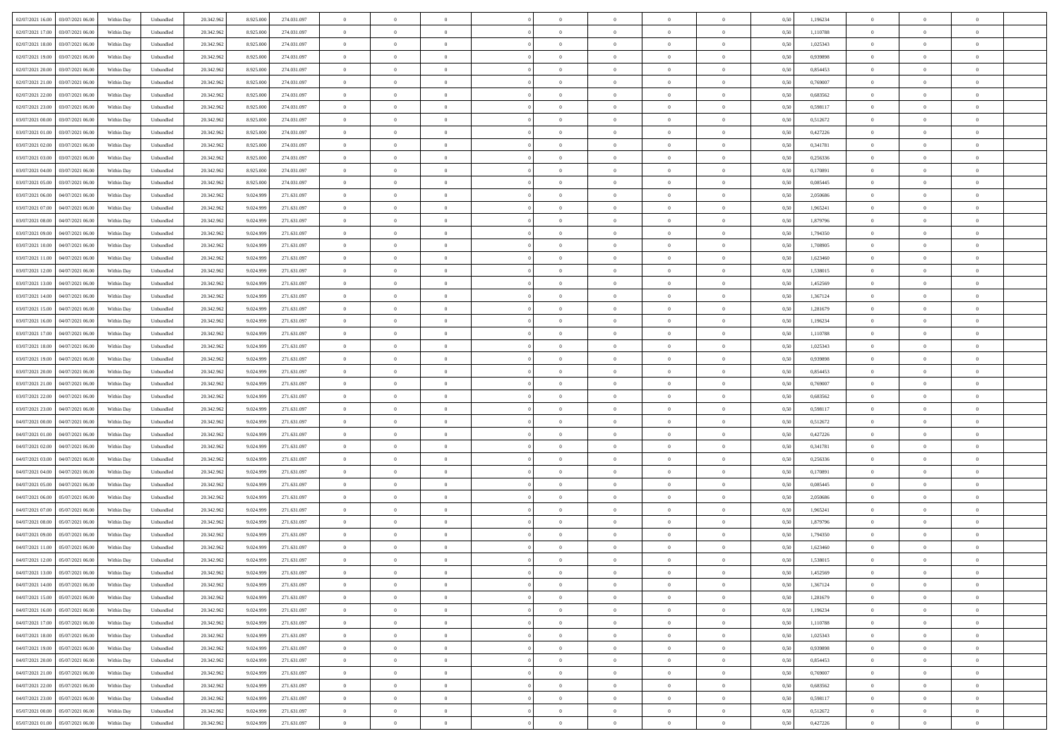|                                              |            |                             |            |           |             | $\overline{0}$ | $\overline{0}$ |                | $\overline{0}$ | $\theta$       |                | $\theta$       |      |          | $\theta$       | $\theta$       | $\overline{0}$ |  |
|----------------------------------------------|------------|-----------------------------|------------|-----------|-------------|----------------|----------------|----------------|----------------|----------------|----------------|----------------|------|----------|----------------|----------------|----------------|--|
| 02/07/2021 16:00 03/07/2021 06:00            | Within Day | Unbundled                   | 20.342.962 | 8.925.000 | 274.031.097 |                |                |                |                |                |                |                | 0,50 | 1,196234 |                |                |                |  |
| 02/07/2021 17:00<br>03/07/2021 06.00         | Within Day | Unbundled                   | 20.342.96  | 8.925.00  | 274.031.097 | $\bf{0}$       | $\overline{0}$ | $\bf{0}$       | $\overline{0}$ | $\bf{0}$       | $\overline{0}$ | $\bf{0}$       | 0,50 | 1,110788 | $\,$ 0 $\,$    | $\bf{0}$       | $\overline{0}$ |  |
| 02/07/2021 18:00<br>03/07/2021 06:00         | Within Day | Unbundled                   | 20.342.962 | 8.925.000 | 274.031.097 | $\overline{0}$ | $\bf{0}$       | $\overline{0}$ | $\bf{0}$       | $\bf{0}$       | $\overline{0}$ | $\bf{0}$       | 0.50 | 1,025343 | $\bf{0}$       | $\overline{0}$ | $\overline{0}$ |  |
| 02/07/2021 19:00<br>03/07/2021 06:00         | Within Day | Unbundled                   | 20.342.962 | 8.925.000 | 274.031.097 | $\overline{0}$ | $\overline{0}$ | $\overline{0}$ | $\theta$       | $\theta$       | $\overline{0}$ | $\bf{0}$       | 0,50 | 0,939898 | $\theta$       | $\theta$       | $\overline{0}$ |  |
| 02/07/2021 20:00<br>03/07/2021 06.00         | Within Day | Unbundled                   | 20.342.96  | 8.925.00  | 274.031.097 | $\bf{0}$       | $\overline{0}$ | $\bf{0}$       | $\overline{0}$ | $\theta$       | $\overline{0}$ | $\bf{0}$       | 0,50 | 0,854453 | $\,$ 0 $\,$    | $\bf{0}$       | $\overline{0}$ |  |
| 02/07/2021 21:00<br>03/07/2021 06:00         |            | Unbundled                   | 20.342.962 | 8.925.00  | 274.031.097 | $\overline{0}$ | $\overline{0}$ | $\overline{0}$ | $\bf{0}$       | $\overline{0}$ | $\theta$       | $\bf{0}$       | 0.50 | 0.769007 | $\bf{0}$       | $\theta$       | $\overline{0}$ |  |
|                                              | Within Day |                             |            |           |             |                |                |                |                |                |                |                |      |          |                |                |                |  |
| 02/07/2021 22:00<br>03/07/2021 06:00         | Within Day | Unbundled                   | 20.342.962 | 8.925.000 | 274.031.097 | $\overline{0}$ | $\overline{0}$ | $\overline{0}$ | $\overline{0}$ | $\overline{0}$ | $\overline{0}$ | $\bf{0}$       | 0,50 | 0,683562 | $\theta$       | $\theta$       | $\overline{0}$ |  |
| 02/07/2021 23:00<br>03/07/2021 06.00         | Within Day | Unbundled                   | 20.342.96  | 8.925.00  | 274.031.097 | $\bf{0}$       | $\overline{0}$ | $\bf{0}$       | $\overline{0}$ | $\overline{0}$ | $\overline{0}$ | $\bf{0}$       | 0,50 | 0,598117 | $\,$ 0 $\,$    | $\bf{0}$       | $\overline{0}$ |  |
| 03/07/2021 00:00<br>03/07/2021 06:00         | Within Day | Unbundled                   | 20.342.96  | 8.925.00  | 274.031.097 | $\overline{0}$ | $\bf{0}$       | $\overline{0}$ | $\bf{0}$       | $\overline{0}$ | $\overline{0}$ | $\bf{0}$       | 0.50 | 0,512672 | $\bf{0}$       | $\overline{0}$ | $\overline{0}$ |  |
| 03/07/2021 01:00<br>03/07/2021 06:00         | Within Day | Unbundled                   | 20.342.962 | 8.925.000 | 274.031.097 | $\bf{0}$       | $\bf{0}$       | $\overline{0}$ | $\overline{0}$ | $\overline{0}$ | $\overline{0}$ | $\bf{0}$       | 0,50 | 0,427226 | $\,$ 0 $\,$    | $\bf{0}$       | $\overline{0}$ |  |
| 03/07/2021 02:00<br>03/07/2021 06.00         | Within Day | Unbundled                   | 20.342.96  | 8.925.000 | 274.031.097 | $\bf{0}$       | $\overline{0}$ | $\bf{0}$       | $\bf{0}$       | $\bf{0}$       | $\overline{0}$ | $\bf{0}$       | 0,50 | 0,341781 | $\,$ 0 $\,$    | $\bf{0}$       | $\overline{0}$ |  |
| 03/07/2021 03:00<br>03/07/2021 06:00         | Within Day | Unbundled                   | 20.342.962 | 8.925.000 | 274.031.097 | $\overline{0}$ | $\bf{0}$       | $\overline{0}$ | $\bf{0}$       | $\bf{0}$       | $\overline{0}$ | $\bf{0}$       | 0.50 | 0,256336 | $\bf{0}$       | $\overline{0}$ | $\bf{0}$       |  |
| 03/07/2021 04:00<br>03/07/2021 06:00         | Within Day | Unbundled                   | 20.342.962 | 8.925.000 | 274.031.097 | $\overline{0}$ | $\overline{0}$ | $\overline{0}$ | $\overline{0}$ | $\theta$       | $\overline{0}$ | $\overline{0}$ | 0,50 | 0,170891 | $\,$ 0 $\,$    | $\theta$       | $\overline{0}$ |  |
|                                              |            |                             |            |           |             |                |                |                |                |                |                |                |      |          |                |                |                |  |
| 03/07/2021 05:00<br>03/07/2021 06.00         | Within Day | Unbundled                   | 20.342.96  | 8.925.00  | 274.031.097 | $\bf{0}$       | $\overline{0}$ | $\bf{0}$       | $\overline{0}$ | $\bf{0}$       | $\overline{0}$ | $\bf{0}$       | 0,50 | 0,085445 | $\bf{0}$       | $\bf{0}$       | $\overline{0}$ |  |
| 03/07/2021 06:00<br>04/07/2021 06:00         | Within Day | Unbundled                   | 20.342.962 | 9.024.999 | 271.631.097 | $\overline{0}$ | $\overline{0}$ | $\overline{0}$ | $\bf{0}$       | $\bf{0}$       | $\theta$       | $\bf{0}$       | 0.50 | 2.050686 | $\,$ 0 $\,$    | $\theta$       | $\overline{0}$ |  |
| 03/07/2021 07:00<br>04/07/2021 06:00         | Within Day | Unbundled                   | 20.342.962 | 9.024.999 | 271.631.097 | $\overline{0}$ | $\overline{0}$ | $\overline{0}$ | $\overline{0}$ | $\overline{0}$ | $\overline{0}$ | $\bf{0}$       | 0,50 | 1,965241 | $\theta$       | $\theta$       | $\overline{0}$ |  |
| 03/07/2021 08:00<br>04/07/2021 06.00         | Within Day | Unbundled                   | 20.342.96  | 9.024.999 | 271.631.097 | $\bf{0}$       | $\overline{0}$ | $\overline{0}$ | $\overline{0}$ | $\bf{0}$       | $\overline{0}$ | $\bf{0}$       | 0,50 | 1,879796 | $\,$ 0 $\,$    | $\bf{0}$       | $\overline{0}$ |  |
| 03/07/2021 09:00<br>04/07/2021 06:00         | Within Day | Unbundled                   | 20.342.96  | 9.024.999 | 271.631.097 | $\overline{0}$ | $\bf{0}$       | $\overline{0}$ | $\bf{0}$       | $\overline{0}$ | $\overline{0}$ | $\bf{0}$       | 0.50 | 1,794350 | $\bf{0}$       | $\overline{0}$ | $\overline{0}$ |  |
| 03/07/2021 10:00<br>04/07/2021 06:00         | Within Day | Unbundled                   | 20.342.962 | 9.024.999 | 271.631.097 | $\bf{0}$       | $\overline{0}$ | $\overline{0}$ | $\overline{0}$ | $\overline{0}$ | $\overline{0}$ | $\bf{0}$       | 0,50 | 1,708905 | $\,$ 0 $\,$    | $\bf{0}$       | $\overline{0}$ |  |
| 03/07/2021 11:00<br>04/07/2021 06.00         | Within Day | Unbundled                   | 20.342.96  | 9.024.99  | 271.631.097 | $\bf{0}$       | $\bf{0}$       | $\bf{0}$       | $\bf{0}$       | $\overline{0}$ | $\overline{0}$ | $\bf{0}$       | 0,50 | 1,623460 | $\,$ 0 $\,$    | $\bf{0}$       | $\overline{0}$ |  |
| 03/07/2021 12:00<br>04/07/2021 06:00         | Within Day | Unbundled                   | 20.342.962 | 9.024.999 | 271.631.097 | $\overline{0}$ | $\bf{0}$       | $\overline{0}$ | $\bf{0}$       | $\bf{0}$       | $\overline{0}$ | $\bf{0}$       | 0.50 | 1.538015 | $\bf{0}$       | $\overline{0}$ | $\overline{0}$ |  |
|                                              |            |                             |            |           |             |                |                |                |                |                |                |                |      |          |                |                |                |  |
| 03/07/2021 13:00<br>04/07/2021 06:00         | Within Day | Unbundled                   | 20.342.962 | 9.024.999 | 271.631.097 | $\overline{0}$ | $\overline{0}$ | $\overline{0}$ | $\theta$       | $\theta$       | $\overline{0}$ | $\bf{0}$       | 0,50 | 1,452569 | $\theta$       | $\theta$       | $\overline{0}$ |  |
| 03/07/2021 14:00<br>04/07/2021 06.00         | Within Day | Unbundled                   | 20.342.96  | 9.024.99  | 271.631.097 | $\bf{0}$       | $\overline{0}$ | $\bf{0}$       | $\bf{0}$       | $\overline{0}$ | $\overline{0}$ | $\bf{0}$       | 0,50 | 1,367124 | $\,$ 0 $\,$    | $\bf{0}$       | $\overline{0}$ |  |
| 03/07/2021 15:00<br>04/07/2021 06:00         | Within Day | Unbundled                   | 20.342.962 | 9.024.999 | 271.631.097 | $\overline{0}$ | $\overline{0}$ | $\overline{0}$ | $\bf{0}$       | $\overline{0}$ | $\theta$       | $\bf{0}$       | 0.50 | 1.281679 | $\,$ 0 $\,$    | $\theta$       | $\overline{0}$ |  |
| 03/07/2021 16:00<br>04/07/2021 06:00         | Within Day | Unbundled                   | 20.342.962 | 9.024.999 | 271.631.097 | $\overline{0}$ | $\overline{0}$ | $\overline{0}$ | $\overline{0}$ | $\overline{0}$ | $\overline{0}$ | $\bf{0}$       | 0,50 | 1,196234 | $\theta$       | $\theta$       | $\overline{0}$ |  |
| 03/07/2021 17:00<br>04/07/2021 06.00         | Within Day | Unbundled                   | 20.342.96  | 9.024.99  | 271.631.097 | $\bf{0}$       | $\overline{0}$ | $\bf{0}$       | $\overline{0}$ | $\bf{0}$       | $\overline{0}$ | $\bf{0}$       | 0,50 | 1,110788 | $\,$ 0 $\,$    | $\bf{0}$       | $\overline{0}$ |  |
| 03/07/2021 18:00<br>04/07/2021 06:00         | Within Day | Unbundled                   | 20.342.962 | 9.024.999 | 271.631.097 | $\overline{0}$ | $\bf{0}$       | $\overline{0}$ | $\bf{0}$       | $\overline{0}$ | $\overline{0}$ | $\bf{0}$       | 0.50 | 1.025343 | $\bf{0}$       | $\overline{0}$ | $\overline{0}$ |  |
| 03/07/2021 19:00<br>04/07/2021 06:00         | Within Day | Unbundled                   | 20.342.962 | 9.024.999 | 271.631.097 | $\overline{0}$ | $\overline{0}$ | $\overline{0}$ | $\overline{0}$ | $\overline{0}$ | $\overline{0}$ | $\bf{0}$       | 0,50 | 0,939898 | $\theta$       | $\theta$       | $\overline{0}$ |  |
| 03/07/2021 20:00<br>04/07/2021 06.00         | Within Day | Unbundled                   | 20.342.96  | 9.024.999 | 271.631.097 | $\bf{0}$       | $\bf{0}$       | $\bf{0}$       | $\bf{0}$       | $\overline{0}$ | $\overline{0}$ | $\bf{0}$       | 0,50 | 0,854453 | $\,$ 0 $\,$    | $\bf{0}$       | $\overline{0}$ |  |
|                                              |            |                             |            |           |             |                |                |                |                |                |                |                |      |          |                |                |                |  |
| 03/07/2021 21:00<br>04/07/2021 06:00         | Within Day | Unbundled                   | 20.342.962 | 9.024.999 | 271.631.097 | $\overline{0}$ | $\bf{0}$       | $\overline{0}$ | $\bf{0}$       | $\bf{0}$       | $\overline{0}$ | $\bf{0}$       | 0.50 | 0.769007 | $\bf{0}$       | $\overline{0}$ | $\overline{0}$ |  |
| 03/07/2021 22:00<br>04/07/2021 06:00         | Within Day | Unbundled                   | 20.342.962 | 9.024.999 | 271.631.097 | $\overline{0}$ | $\overline{0}$ | $\overline{0}$ | $\overline{0}$ | $\overline{0}$ | $\overline{0}$ | $\bf{0}$       | 0.5( | 0,683562 | $\theta$       | $\theta$       | $\overline{0}$ |  |
| 03/07/2021 23:00<br>04/07/2021 06.00         | Within Day | Unbundled                   | 20.342.96  | 9.024.99  | 271.631.097 | $\bf{0}$       | $\overline{0}$ | $\bf{0}$       | $\bf{0}$       | $\,$ 0 $\,$    | $\overline{0}$ | $\bf{0}$       | 0,50 | 0,598117 | $\,$ 0 $\,$    | $\bf{0}$       | $\overline{0}$ |  |
| 04/07/2021 00:00<br>04/07/2021 06:00         | Within Day | Unbundled                   | 20.342.962 | 9.024.999 | 271.631.097 | $\overline{0}$ | $\overline{0}$ | $\overline{0}$ | $\bf{0}$       | $\overline{0}$ | $\overline{0}$ | $\bf{0}$       | 0.50 | 0,512672 | $\,$ 0 $\,$    | $\theta$       | $\overline{0}$ |  |
| 04/07/2021 01:00<br>04/07/2021 06:00         | Within Dav | Unbundled                   | 20.342.962 | 9.024.999 | 271.631.097 | $\overline{0}$ | $\overline{0}$ | $\overline{0}$ | $\overline{0}$ | $\overline{0}$ | $\overline{0}$ | $\overline{0}$ | 0.5( | 0,427226 | $\theta$       | $\theta$       | $\overline{0}$ |  |
| 04/07/2021 02:00<br>04/07/2021 06.00         | Within Day | Unbundled                   | 20.342.96  | 9.024.999 | 271.631.097 | $\bf{0}$       | $\overline{0}$ | $\bf{0}$       | $\bf{0}$       | $\bf{0}$       | $\overline{0}$ | $\bf{0}$       | 0,50 | 0,341781 | $\,$ 0 $\,$    | $\bf{0}$       | $\overline{0}$ |  |
| 04/07/2021 03:00<br>04/07/2021 06:00         | Within Day | Unbundled                   | 20.342.96  | 9.024.999 | 271.631.097 | $\overline{0}$ | $\bf{0}$       | $\overline{0}$ | $\bf{0}$       | $\overline{0}$ | $\overline{0}$ | $\bf{0}$       | 0.50 | 0.256336 | $\bf{0}$       | $\overline{0}$ | $\overline{0}$ |  |
| 04/07/2021 04:00<br>04/07/2021 06:00         | Within Day | Unbundled                   | 20.342.962 | 9.024.999 | 271.631.097 | $\overline{0}$ | $\overline{0}$ | $\overline{0}$ | $\overline{0}$ | $\overline{0}$ | $\overline{0}$ | $\overline{0}$ | 0.50 | 0,170891 | $\theta$       | $\theta$       | $\overline{0}$ |  |
| 04/07/2021 06.00                             | Within Day | Unbundled                   | 20.342.96  | 9.024.99  |             | $\bf{0}$       | $\bf{0}$       | $\bf{0}$       | $\bf{0}$       | $\overline{0}$ | $\overline{0}$ | $\bf{0}$       | 0,50 | 0,085445 | $\,$ 0 $\,$    | $\bf{0}$       | $\overline{0}$ |  |
| 04/07/2021 05:00                             |            |                             |            |           | 271.631.097 |                |                |                |                |                |                |                |      |          |                |                |                |  |
| 04/07/2021 06:00<br>05/07/2021 06:00         | Within Day | Unbundled                   | 20.342.962 | 9.024.999 | 271.631.097 | $\overline{0}$ | $\bf{0}$       | $\overline{0}$ | $\bf{0}$       | $\bf{0}$       | $\overline{0}$ | $\bf{0}$       | 0.50 | 2.050686 | $\bf{0}$       | $\overline{0}$ | $\overline{0}$ |  |
| 04/07/2021 07:00<br>05/07/2021 06:00         | Within Day | Unbundled                   | 20.342.962 | 9.024.999 | 271.631.097 | $\overline{0}$ | $\overline{0}$ | $\overline{0}$ | $\overline{0}$ | $\overline{0}$ | $\overline{0}$ | $\bf{0}$       | 0.50 | 1,965241 | $\theta$       | $\theta$       | $\overline{0}$ |  |
| 04/07/2021 08:00<br>05/07/2021 06.00         | Within Day | Unbundled                   | 20.342.96  | 9.024.99  | 271.631.097 | $\bf{0}$       | $\overline{0}$ | $\bf{0}$       | $\bf{0}$       | $\overline{0}$ | $\overline{0}$ | $\bf{0}$       | 0,50 | 1,879796 | $\,$ 0 $\,$    | $\bf{0}$       | $\overline{0}$ |  |
| 04/07/2021 09:00<br>05/07/2021 06:00         | Within Day | Unbundled                   | 20.342.962 | 9.024.999 | 271.631.097 | $\overline{0}$ | $\overline{0}$ | $\overline{0}$ | $\bf{0}$       | $\overline{0}$ | $\Omega$       | $\bf{0}$       | 0.50 | 1,794350 | $\bf{0}$       | $\theta$       | $\overline{0}$ |  |
| 04/07/2021 11:00<br>05/07/2021 06:00         | Within Dav | Unbundled                   | 20.342.962 | 9.024.999 | 271.631.097 | $\overline{0}$ | $\overline{0}$ | $\Omega$       | $\overline{0}$ | $\theta$       | $\Omega$       | $\overline{0}$ | 0.5( | 1,623460 | $\theta$       | $\theta$       | $\overline{0}$ |  |
| 04/07/2021 12:00<br>05/07/2021 06:00         | Within Day | Unbundled                   | 20.342.96  | 9.024.999 | 271.631.097 | $\bf{0}$       | $\bf{0}$       | $\bf{0}$       | $\bf{0}$       | $\bf{0}$       | $\overline{0}$ | $\bf{0}$       | 0,50 | 1,538015 | $\,$ 0 $\,$    | $\bf{0}$       | $\overline{0}$ |  |
| $04/07/2021\ 13.00 \qquad 05/07/2021\ 06.00$ | Within Day | $\ensuremath{\mathsf{Unb}}$ | 20.342.962 | 9.024.999 | 271.631.097 | $\overline{0}$ | $\theta$       |                | $\overline{0}$ |                |                |                | 0,50 | 1,452569 | $\bf{0}$       | $\bf{0}$       |                |  |
| 04/07/2021 14:00 05/07/2021 06:00            | Within Day | Unbundled                   | 20.342.962 | 9.024.999 | 271.631.097 | $\overline{0}$ | $\theta$       | $\Omega$       | $\overline{0}$ | $\overline{0}$ | $\overline{0}$ | $\bf{0}$       | 0,50 | 1,367124 | $\theta$       | $\theta$       | $\overline{0}$ |  |
|                                              |            |                             |            |           |             |                |                |                |                |                |                |                |      |          |                |                |                |  |
| 04/07/2021 15:00<br>05/07/2021 06:00         | Within Day | Unbundled                   | 20.342.96  | 9.024.999 | 271.631.097 | $\overline{0}$ | $\bf{0}$       | $\overline{0}$ | $\overline{0}$ | $\bf{0}$       | $\overline{0}$ | $\bf{0}$       | 0,50 | 1,281679 | $\bf{0}$       | $\overline{0}$ | $\bf{0}$       |  |
| 04/07/2021 16:00 05/07/2021 06:00            | Within Day | Unbundled                   | 20.342.962 | 9.024.999 | 271.631.097 | $\overline{0}$ | $\bf{0}$       | $\overline{0}$ | $\overline{0}$ | $\overline{0}$ | $\overline{0}$ | $\,$ 0 $\,$    | 0.50 | 1.196234 | $\overline{0}$ | $\bf{0}$       | $\,$ 0 $\,$    |  |
| 04/07/2021 17:00  05/07/2021 06:00           | Within Day | Unbundled                   | 20.342.962 | 9.024.999 | 271.631.097 | $\overline{0}$ | $\overline{0}$ | $\overline{0}$ | $\overline{0}$ | $\overline{0}$ | $\overline{0}$ | $\bf{0}$       | 0,50 | 1,110788 | $\theta$       | $\theta$       | $\overline{0}$ |  |
| 04/07/2021 18:00<br>05/07/2021 06:00         | Within Day | Unbundled                   | 20.342.962 | 9.024.999 | 271.631.097 | $\overline{0}$ | $\bf{0}$       | $\overline{0}$ | $\bf{0}$       | $\overline{0}$ | $\bf{0}$       | $\bf{0}$       | 0,50 | 1,025343 | $\overline{0}$ | $\bf{0}$       | $\overline{0}$ |  |
| 04/07/2021 19:00 05/07/2021 06:00            | Within Day | Unbundled                   | 20.342.962 | 9.024.999 | 271.631.097 | $\overline{0}$ | $\bf{0}$       | $\overline{0}$ | $\overline{0}$ | $\overline{0}$ | $\overline{0}$ | $\bf{0}$       | 0.50 | 0.939898 | $\,$ 0 $\,$    | $\theta$       | $\overline{0}$ |  |
| 04/07/2021 20.00 05/07/2021 06:00            | Within Day | Unbundled                   | 20.342.962 | 9.024.999 | 271.631.097 | $\overline{0}$ | $\overline{0}$ | $\overline{0}$ | $\overline{0}$ | $\overline{0}$ | $\overline{0}$ | $\bf{0}$       | 0,50 | 0,854453 | $\overline{0}$ | $\theta$       | $\overline{0}$ |  |
| 05/07/2021 06:00<br>04/07/2021 21:00         | Within Day | Unbundled                   | 20.342.96  | 9.024.999 | 271.631.097 | $\overline{0}$ | $\overline{0}$ | $\overline{0}$ | $\overline{0}$ | $\overline{0}$ | $\overline{0}$ | $\bf{0}$       | 0,50 | 0,769007 | $\bf{0}$       | $\bf{0}$       | $\overline{0}$ |  |
|                                              |            |                             |            |           |             |                |                |                |                |                |                |                |      |          |                |                |                |  |
| 04/07/2021 22:00<br>05/07/2021 06:00         | Within Day | Unbundled                   | 20.342.962 | 9.024.999 | 271.631.097 | $\overline{0}$ | $\overline{0}$ | $\overline{0}$ | $\overline{0}$ | $\bf{0}$       | $\overline{0}$ | $\bf{0}$       | 0.50 | 0.683562 | $\overline{0}$ | $\,$ 0 $\,$    | $\,$ 0         |  |
| 04/07/2021 23:00 05/07/2021 06:00            | Within Dav | Unbundled                   | 20.342.962 | 9.024.999 | 271.631.097 | $\overline{0}$ | $\overline{0}$ | $\overline{0}$ | $\overline{0}$ | $\overline{0}$ | $\overline{0}$ | $\bf{0}$       | 0,50 | 0,598117 | $\overline{0}$ | $\theta$       | $\overline{0}$ |  |
| 05/07/2021 00:00<br>05/07/2021 06:00         | Within Day | Unbundled                   | 20.342.96  | 9.024.999 | 271.631.097 | $\overline{0}$ | $\bf{0}$       | $\overline{0}$ | $\bf{0}$       | $\overline{0}$ | $\bf{0}$       | $\bf{0}$       | 0,50 | 0,512672 | $\bf{0}$       | $\bf{0}$       | $\overline{0}$ |  |
| 05/07/2021 01:00 05/07/2021 06:00            | Within Day | Unbundled                   | 20.342.962 | 9.024.999 | 271.631.097 | $\overline{0}$ | $\bf{0}$       | $\overline{0}$ | $\overline{0}$ | $\,$ 0 $\,$    | $\overline{0}$ | $\bf{0}$       | 0,50 | 0,427226 | $\overline{0}$ | $\,$ 0 $\,$    | $\,$ 0 $\,$    |  |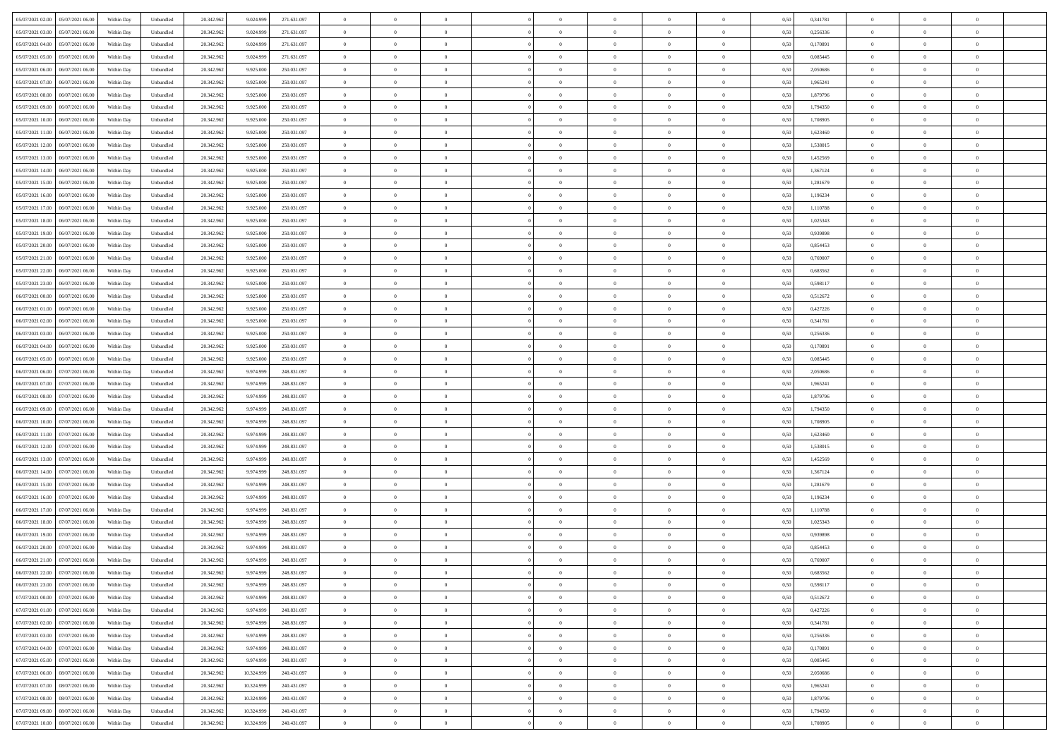| 05/07/2021 02:00<br>05/07/2021 06:00 | Within Day | Unbundled | 20.342.962 | 9.024.999  | 271.631.097 | $\overline{0}$ | $\overline{0}$ | $\overline{0}$ | $\theta$       | $\theta$       |                | $\overline{0}$ | 0,50 | 0,341781 | $\theta$       | $\theta$       | $\theta$       |  |
|--------------------------------------|------------|-----------|------------|------------|-------------|----------------|----------------|----------------|----------------|----------------|----------------|----------------|------|----------|----------------|----------------|----------------|--|
|                                      |            |           |            |            |             |                |                |                |                |                |                |                |      |          |                |                |                |  |
| 05/07/2021 03:00<br>05/07/2021 06.0  | Within Day | Unbundled | 20.342.96  | 9.024.999  | 271.631.097 | $\overline{0}$ | $\overline{0}$ | $\overline{0}$ | $\,0\,$        | $\bf{0}$       | $\overline{0}$ | $\bf{0}$       | 0,50 | 0,256336 | $\,$ 0 $\,$    | $\theta$       | $\overline{0}$ |  |
| 05/07/2021 04:00<br>05/07/2021 06:00 | Within Day | Unbundled | 20.342.962 | 9.024.999  | 271.631.097 | $\overline{0}$ | $\overline{0}$ | $\overline{0}$ | $\bf{0}$       | $\bf{0}$       | $\overline{0}$ | $\mathbf{0}$   | 0.50 | 0.170891 | $\bf{0}$       | $\overline{0}$ | $\overline{0}$ |  |
| 05/07/2021 05:00<br>05/07/2021 06:00 | Within Day | Unbundled | 20.342.962 | 9.024.999  | 271.631.097 | $\overline{0}$ | $\overline{0}$ | $\overline{0}$ | $\overline{0}$ | $\overline{0}$ | $\overline{0}$ | $\bf{0}$       | 0,50 | 0,085445 | $\theta$       | $\theta$       | $\overline{0}$ |  |
| 05/07/2021 06.00<br>06/07/2021 06.0  | Within Day | Unbundled | 20.342.962 | 9.925.000  | 250.031.097 | $\overline{0}$ | $\overline{0}$ | $\bf{0}$       | $\overline{0}$ | $\overline{0}$ | $\overline{0}$ | $\bf{0}$       | 0,50 | 2,050686 | $\,$ 0 $\,$    | $\theta$       | $\overline{0}$ |  |
| 05/07/2021 07:00<br>06/07/2021 06:00 | Within Day | Unbundled | 20.342.962 | 9.925.000  | 250.031.097 | $\overline{0}$ | $\overline{0}$ | $\overline{0}$ | $\overline{0}$ | $\overline{0}$ | $\overline{0}$ | $\mathbf{0}$   | 0.50 | 1.965241 | $\bf{0}$       | $\theta$       | $\overline{0}$ |  |
| 05/07/2021 08:00<br>06/07/2021 06:00 | Within Day | Unbundled | 20.342.962 | 9.925.000  | 250.031.097 | $\overline{0}$ | $\overline{0}$ | $\overline{0}$ | $\overline{0}$ | $\overline{0}$ | $\overline{0}$ | $\bf{0}$       | 0,50 | 1,879796 | $\theta$       | $\theta$       | $\overline{0}$ |  |
| 05/07/2021 09:00<br>06/07/2021 06.0  | Within Day | Unbundled | 20.342.962 | 9.925.000  | 250.031.097 | $\overline{0}$ | $\overline{0}$ | $\overline{0}$ | $\bf{0}$       | $\bf{0}$       | $\overline{0}$ | $\bf{0}$       | 0,50 | 1,794350 | $\,$ 0 $\,$    | $\bf{0}$       | $\overline{0}$ |  |
|                                      |            |           |            |            |             |                |                |                |                |                |                |                |      |          |                |                |                |  |
| 05/07/2021 10:00<br>06/07/2021 06:00 | Within Day | Unbundled | 20.342.962 | 9.925.000  | 250.031.097 | $\overline{0}$ | $\overline{0}$ | $\overline{0}$ | $\overline{0}$ | $\overline{0}$ | $\overline{0}$ | $\mathbf{0}$   | 0.50 | 1,708905 | $\theta$       | $\theta$       | $\overline{0}$ |  |
| 05/07/2021 11:00<br>06/07/2021 06:00 | Within Day | Unbundled | 20.342.962 | 9.925.000  | 250.031.097 | $\overline{0}$ | $\overline{0}$ | $\overline{0}$ | $\bf{0}$       | $\overline{0}$ | $\overline{0}$ | $\bf{0}$       | 0,50 | 1,623460 | $\,$ 0 $\,$    | $\theta$       | $\overline{0}$ |  |
| 05/07/2021 12:00<br>06/07/2021 06.0  | Within Day | Unbundled | 20.342.962 | 9.925.000  | 250.031.097 | $\overline{0}$ | $\overline{0}$ | $\overline{0}$ | $\bf{0}$       | $\bf{0}$       | $\overline{0}$ | $\bf{0}$       | 0,50 | 1,538015 | $\,$ 0 $\,$    | $\theta$       | $\overline{0}$ |  |
| 05/07/2021 13:00<br>06/07/2021 06:00 | Within Day | Unbundled | 20.342.962 | 9.925.000  | 250.031.097 | $\overline{0}$ | $\overline{0}$ | $\overline{0}$ | $\bf{0}$       | $\bf{0}$       | $\overline{0}$ | $\mathbf{0}$   | 0.50 | 1.452569 | $\bf{0}$       | $\overline{0}$ | $\bf{0}$       |  |
| 05/07/2021 14:00<br>06/07/2021 06:00 | Within Day | Unbundled | 20.342.962 | 9.925.000  | 250.031.097 | $\overline{0}$ | $\overline{0}$ | $\overline{0}$ | $\overline{0}$ | $\overline{0}$ | $\overline{0}$ | $\bf{0}$       | 0,50 | 1,367124 | $\theta$       | $\theta$       | $\overline{0}$ |  |
| 05/07/2021 15:00<br>06/07/2021 06.0  | Within Day | Unbundled | 20.342.962 | 9.925.000  | 250.031.097 | $\overline{0}$ | $\overline{0}$ | $\overline{0}$ | $\bf{0}$       | $\overline{0}$ | $\overline{0}$ | $\bf{0}$       | 0,50 | 1,281679 | $\,$ 0 $\,$    | $\bf{0}$       | $\overline{0}$ |  |
| 05/07/2021 16:00<br>06/07/2021 06:00 | Within Day | Unbundled | 20.342.962 | 9.925.000  | 250.031.097 | $\overline{0}$ | $\overline{0}$ | $\overline{0}$ | $\overline{0}$ | $\overline{0}$ | $\Omega$       | $\overline{0}$ | 0.50 | 1.196234 | $\theta$       | $\theta$       | $\overline{0}$ |  |
|                                      |            |           |            |            |             |                |                |                |                |                |                |                |      |          |                |                |                |  |
| 05/07/2021 17:00<br>06/07/2021 06:00 | Within Day | Unbundled | 20.342.962 | 9.925.000  | 250.031.097 | $\overline{0}$ | $\overline{0}$ | $\overline{0}$ | $\overline{0}$ | $\overline{0}$ | $\overline{0}$ | $\bf{0}$       | 0,50 | 1,110788 | $\theta$       | $\theta$       | $\overline{0}$ |  |
| 05/07/2021 18:00<br>06/07/2021 06.0  | Within Day | Unbundled | 20.342.962 | 9.925.000  | 250.031.097 | $\overline{0}$ | $\overline{0}$ | $\overline{0}$ | $\bf{0}$       | $\overline{0}$ | $\overline{0}$ | $\bf{0}$       | 0,50 | 1,025343 | $\,$ 0 $\,$    | $\theta$       | $\overline{0}$ |  |
| 05/07/2021 19:00<br>06/07/2021 06:00 | Within Day | Unbundled | 20.342.962 | 9.925.000  | 250 031 097 | $\overline{0}$ | $\overline{0}$ | $\overline{0}$ | $\overline{0}$ | $\overline{0}$ | $\overline{0}$ | $\mathbf{0}$   | 0.50 | 0.939898 | $\,$ 0 $\,$    | $\overline{0}$ | $\overline{0}$ |  |
| 05/07/2021 20.00<br>06/07/2021 06:00 | Within Day | Unbundled | 20.342.962 | 9.925.000  | 250.031.097 | $\overline{0}$ | $\overline{0}$ | $\overline{0}$ | $\overline{0}$ | $\overline{0}$ | $\overline{0}$ | $\bf{0}$       | 0,50 | 0,854453 | $\theta$       | $\theta$       | $\overline{0}$ |  |
| 05/07/2021 21.00<br>06/07/2021 06.0  | Within Day | Unbundled | 20.342.962 | 9.925.000  | 250.031.097 | $\overline{0}$ | $\overline{0}$ | $\overline{0}$ | $\bf{0}$       | $\bf{0}$       | $\overline{0}$ | $\bf{0}$       | 0,50 | 0,769007 | $\,$ 0 $\,$    | $\bf{0}$       | $\overline{0}$ |  |
| 05/07/2021 22.00<br>06/07/2021 06:00 | Within Day | Unbundled | 20.342.962 | 9.925.000  | 250.031.097 | $\overline{0}$ | $\overline{0}$ | $\overline{0}$ | $\bf{0}$       | $\bf{0}$       | $\overline{0}$ | $\mathbf{0}$   | 0.50 | 0.683562 | $\bf{0}$       | $\overline{0}$ | $\bf{0}$       |  |
| 05/07/2021 23:00<br>06/07/2021 06:00 | Within Day | Unbundled | 20.342.962 | 9.925.000  | 250.031.097 | $\overline{0}$ | $\overline{0}$ | $\overline{0}$ | $\overline{0}$ | $\overline{0}$ | $\overline{0}$ | $\,$ 0 $\,$    | 0,50 | 0,598117 | $\theta$       | $\theta$       | $\overline{0}$ |  |
|                                      |            |           |            |            |             |                |                |                |                |                |                |                |      |          |                |                |                |  |
| 06/07/2021 00:00<br>06/07/2021 06.0  | Within Day | Unbundled | 20.342.962 | 9.925.000  | 250.031.097 | $\overline{0}$ | $\overline{0}$ | $\overline{0}$ | $\bf{0}$       | $\overline{0}$ | $\overline{0}$ | $\bf{0}$       | 0,50 | 0,512672 | $\,$ 0 $\,$    | $\bf{0}$       | $\overline{0}$ |  |
| 06/07/2021 01:00<br>06/07/2021 06:00 | Within Day | Unbundled | 20.342.962 | 9.925.000  | 250.031.097 | $\overline{0}$ | $\overline{0}$ | $\overline{0}$ | $\overline{0}$ | $\overline{0}$ | $\Omega$       | $\mathbf{0}$   | 0.50 | 0.427226 | $\bf{0}$       | $\theta$       | $\overline{0}$ |  |
| 06/07/2021 02:00<br>06/07/2021 06:00 | Within Day | Unbundled | 20.342.962 | 9.925.000  | 250.031.097 | $\overline{0}$ | $\overline{0}$ | $\overline{0}$ | $\overline{0}$ | $\overline{0}$ | $\overline{0}$ | $\bf{0}$       | 0,50 | 0,341781 | $\theta$       | $\theta$       | $\overline{0}$ |  |
| 06/07/2021 03:00<br>06/07/2021 06.0  | Within Day | Unbundled | 20.342.962 | 9.925.000  | 250.031.097 | $\overline{0}$ | $\overline{0}$ | $\overline{0}$ | $\overline{0}$ | $\overline{0}$ | $\overline{0}$ | $\bf{0}$       | 0,50 | 0,256336 | $\,$ 0 $\,$    | $\theta$       | $\overline{0}$ |  |
| 06/07/2021 04:00<br>06/07/2021 06:00 | Within Day | Unbundled | 20.342.962 | 9.925.000  | 250.031.097 | $\overline{0}$ | $\overline{0}$ | $\overline{0}$ | $\overline{0}$ | $\overline{0}$ | $\overline{0}$ | $\mathbf{0}$   | 0.50 | 0.170891 | $\theta$       | $\theta$       | $\overline{0}$ |  |
| 06/07/2021 05:00<br>06/07/2021 06:00 | Within Day | Unbundled | 20.342.962 | 9.925.000  | 250.031.097 | $\overline{0}$ | $\overline{0}$ | $\overline{0}$ | $\overline{0}$ | $\overline{0}$ | $\overline{0}$ | $\bf{0}$       | 0,50 | 0,085445 | $\theta$       | $\theta$       | $\overline{0}$ |  |
|                                      |            |           |            |            |             |                | $\overline{0}$ |                | $\overline{0}$ | $\bf{0}$       |                | $\bf{0}$       |      |          | $\,$ 0 $\,$    | $\bf{0}$       | $\overline{0}$ |  |
| 06/07/2021 06:00<br>07/07/2021 06.00 | Within Day | Unbundled | 20.342.962 | 9.974.999  | 248.831.097 | $\overline{0}$ |                | $\overline{0}$ |                |                | $\overline{0}$ |                | 0,50 | 2,050686 |                |                |                |  |
| 06/07/2021 07:00<br>07/07/2021 06:00 | Within Day | Unbundled | 20.342.962 | 9.974.999  | 248.831.097 | $\overline{0}$ | $\overline{0}$ | $\overline{0}$ | $\bf{0}$       | $\bf{0}$       | $\overline{0}$ | $\mathbf{0}$   | 0.50 | 1.965241 | $\bf{0}$       | $\overline{0}$ | $\bf{0}$       |  |
| 06/07/2021 08:00<br>07/07/2021 06:00 | Within Day | Unbundled | 20.342.962 | 9.974.999  | 248.831.097 | $\overline{0}$ | $\overline{0}$ | $\overline{0}$ | $\overline{0}$ | $\overline{0}$ | $\overline{0}$ | $\overline{0}$ | 0.50 | 1,879796 | $\theta$       | $\theta$       | $\overline{0}$ |  |
| 06/07/2021 09:00<br>07/07/2021 06.00 | Within Day | Unbundled | 20.342.962 | 9.974.999  | 248.831.097 | $\overline{0}$ | $\overline{0}$ | $\overline{0}$ | $\bf{0}$       | $\overline{0}$ | $\overline{0}$ | $\bf{0}$       | 0,50 | 1,794350 | $\,$ 0 $\,$    | $\bf{0}$       | $\overline{0}$ |  |
| 06/07/2021 10:00<br>07/07/2021 06:00 | Within Day | Unbundled | 20.342.962 | 9.974.999  | 248.831.097 | $\overline{0}$ | $\overline{0}$ | $\overline{0}$ | $\overline{0}$ | $\overline{0}$ | $\overline{0}$ | $\mathbf{0}$   | 0.50 | 1,708905 | $\theta$       | $\theta$       | $\overline{0}$ |  |
| 06/07/2021 11:00<br>07/07/2021 06:00 | Within Day | Unbundled | 20.342.962 | 9.974.999  | 248.831.097 | $\overline{0}$ | $\overline{0}$ | $\overline{0}$ | $\overline{0}$ | $\overline{0}$ | $\overline{0}$ | $\overline{0}$ | 0.50 | 1,623460 | $\theta$       | $\theta$       | $\overline{0}$ |  |
| 06/07/2021 12:00<br>07/07/2021 06.00 | Within Day | Unbundled | 20.342.962 | 9.974.999  | 248.831.097 | $\overline{0}$ | $\overline{0}$ | $\overline{0}$ | $\bf{0}$       | $\overline{0}$ | $\overline{0}$ | $\bf{0}$       | 0,50 | 1,538015 | $\,$ 0 $\,$    | $\theta$       | $\overline{0}$ |  |
| 06/07/2021 13:00<br>07/07/2021 06:00 | Within Day | Unbundled | 20.342.962 | 9.974.999  | 248.831.097 | $\overline{0}$ | $\overline{0}$ | $\overline{0}$ | $\overline{0}$ | $\bf{0}$       | $\overline{0}$ | $\mathbf{0}$   | 0.50 | 1.452569 | $\,$ 0 $\,$    | $\theta$       | $\overline{0}$ |  |
| 06/07/2021 14:00<br>07/07/2021 06:00 | Within Day | Unbundled | 20.342.962 | 9.974.999  | 248.831.097 | $\overline{0}$ | $\overline{0}$ | $\overline{0}$ | $\overline{0}$ | $\overline{0}$ | $\overline{0}$ | $\overline{0}$ | 0.50 | 1,367124 | $\theta$       | $\theta$       | $\overline{0}$ |  |
|                                      |            |           |            |            |             |                |                |                |                |                |                |                |      |          |                |                |                |  |
| 06/07/2021 15:00<br>07/07/2021 06.0  | Within Day | Unbundled | 20.342.962 | 9.974.999  | 248.831.097 | $\overline{0}$ | $\overline{0}$ | $\overline{0}$ | $\,0\,$        | $\bf{0}$       | $\overline{0}$ | $\bf{0}$       | 0,50 | 1,281679 | $\,$ 0 $\,$    | $\bf{0}$       | $\overline{0}$ |  |
| 06/07/2021 16:00<br>07/07/2021 06:00 | Within Day | Unbundled | 20.342.962 | 9.974.999  | 248.831.097 | $\overline{0}$ | $\overline{0}$ | $\overline{0}$ | $\bf{0}$       | $\bf{0}$       | $\overline{0}$ | $\mathbf{0}$   | 0.50 | 1.196234 | $\bf{0}$       | $\overline{0}$ | $\bf{0}$       |  |
| 06/07/2021 17:00<br>07/07/2021 06:00 | Within Day | Unbundled | 20.342.962 | 9.974.999  | 248.831.097 | $\overline{0}$ | $\overline{0}$ | $\overline{0}$ | $\overline{0}$ | $\overline{0}$ | $\overline{0}$ | $\overline{0}$ | 0.50 | 1,110788 | $\theta$       | $\theta$       | $\overline{0}$ |  |
| 06/07/2021 18:00<br>07/07/2021 06.00 | Within Day | Unbundled | 20.342.962 | 9.974.999  | 248.831.097 | $\overline{0}$ | $\overline{0}$ | $\overline{0}$ | $\bf{0}$       | $\bf{0}$       | $\overline{0}$ | $\bf{0}$       | 0,50 | 1,025343 | $\,$ 0 $\,$    | $\bf{0}$       | $\overline{0}$ |  |
| 06/07/2021 19:00<br>07/07/2021 06:00 | Within Day | Unbundled | 20.342.962 | 9.974.999  | 248.831.097 | $\overline{0}$ | $\overline{0}$ | $\overline{0}$ | $\overline{0}$ | $\overline{0}$ | $\Omega$       | $\overline{0}$ | 0.50 | 0.939898 | $\,$ 0 $\,$    | $\theta$       | $\overline{0}$ |  |
| 06/07/2021 20:00<br>07/07/2021 06:00 | Within Day | Unbundled | 20.342.962 | 9.974.999  | 248.831.097 | $\overline{0}$ | $\overline{0}$ | $\overline{0}$ | $\overline{0}$ | $\overline{0}$ | $\theta$       | $\overline{0}$ | 0.5( | 0,854453 | $\theta$       | $\theta$       | $\overline{0}$ |  |
| 06/07/2021 21:00<br>07/07/2021 06.00 | Within Day | Unbundled | 20.342.962 | 9.974.999  | 248.831.097 | $\overline{0}$ | $\overline{0}$ | $\bf{0}$       | $\overline{0}$ | $\bf{0}$       | $\overline{0}$ | $\bf{0}$       | 0,50 | 0,769007 | $\,$ 0 $\,$    | $\bf{0}$       | $\overline{0}$ |  |
|                                      |            |           |            |            |             |                |                |                |                |                |                |                |      |          |                |                |                |  |
| 06/07/2021 22:00<br>07/07/2021 06:00 | Within Day | Unbundled | 20.342.962 | 9.974.999  | 248 831 097 | $\bf{0}$       | $\,$ 0 $\,$    |                | $\bf{0}$       |                |                |                | 0,50 | 0,683562 | $\theta$       | $\overline{0}$ |                |  |
| 06/07/2021 23:00 07/07/2021 06:00    | Within Dav | Unbundled | 20.342.962 | 9.974.999  | 248.831.097 | $\overline{0}$ | $\overline{0}$ | $\overline{0}$ | $\overline{0}$ | $\overline{0}$ | $\overline{0}$ | $\overline{0}$ | 0,50 | 0,598117 | $\theta$       | $\theta$       | $\overline{0}$ |  |
| 07/07/2021 00:00<br>07/07/2021 06.00 | Within Day | Unbundled | 20.342.962 | 9.974.999  | 248.831.097 | $\overline{0}$ | $\overline{0}$ | $\overline{0}$ | $\bf{0}$       | $\overline{0}$ | $\overline{0}$ | $\mathbf{0}$   | 0,50 | 0,512672 | $\overline{0}$ | $\overline{0}$ | $\bf{0}$       |  |
| 07/07/2021 01:00<br>07/07/2021 06:00 | Within Day | Unbundled | 20.342.962 | 9.974.999  | 248.831.097 | $\overline{0}$ | $\overline{0}$ | $\overline{0}$ | $\bf{0}$       | $\bf{0}$       | $\overline{0}$ | $\mathbf{0}$   | 0.50 | 0,427226 | $\,$ 0 $\,$    | $\bf{0}$       | $\,$ 0 $\,$    |  |
| 07/07/2021 02:00<br>07/07/2021 06:00 | Within Dav | Unbundled | 20.342.962 | 9.974.999  | 248.831.097 | $\overline{0}$ | $\overline{0}$ | $\overline{0}$ | $\overline{0}$ | $\overline{0}$ | $\overline{0}$ | $\mathbf{0}$   | 0,50 | 0,341781 | $\overline{0}$ | $\theta$       | $\overline{0}$ |  |
| 07/07/2021 03:00<br>07/07/2021 06.00 | Within Day | Unbundled | 20.342.962 | 9.974.999  | 248.831.097 | $\overline{0}$ | $\overline{0}$ | $\overline{0}$ | $\bf{0}$       | $\bf{0}$       | $\overline{0}$ | $\mathbf{0}$   | 0,50 | 0,256336 | $\overline{0}$ | $\bf{0}$       | $\overline{0}$ |  |
| 07/07/2021 04:00<br>07/07/2021 06:00 | Within Day | Unbundled | 20.342.962 | 9.974.999  | 248.831.097 | $\overline{0}$ | $\overline{0}$ | $\overline{0}$ | $\bf{0}$       | $\overline{0}$ | $\overline{0}$ | $\mathbf{0}$   | 0.50 | 0.170891 | $\,$ 0 $\,$    | $\theta$       | $\,$ 0         |  |
|                                      |            |           |            |            |             |                |                |                |                |                |                |                |      |          |                |                |                |  |
| 07/07/2021 05:00<br>07/07/2021 06:00 | Within Day | Unbundled | 20.342.962 | 9.974.999  | 248.831.097 | $\overline{0}$ | $\overline{0}$ | $\overline{0}$ | $\overline{0}$ | $\overline{0}$ | $\overline{0}$ | $\mathbf{0}$   | 0,50 | 0,085445 | $\overline{0}$ | $\theta$       | $\overline{0}$ |  |
| 08/07/2021 06:00<br>07/07/2021 06:00 | Within Day | Unbundled | 20.342.962 | 10.324.999 | 240.431.097 | $\overline{0}$ | $\overline{0}$ | $\overline{0}$ | $\bf{0}$       | $\bf{0}$       | $\overline{0}$ | $\,$ 0 $\,$    | 0,50 | 2,050686 | $\bf{0}$       | $\bf{0}$       | $\overline{0}$ |  |
| 07/07/2021 07:00<br>08/07/2021 06:00 | Within Day | Unbundled | 20.342.962 | 10.324.999 | 240.431.097 | $\overline{0}$ | $\overline{0}$ | $\overline{0}$ | $\bf{0}$       | $\bf{0}$       | $\overline{0}$ | $\,$ 0 $\,$    | 0.50 | 1.965241 | $\overline{0}$ | $\bf{0}$       | $\,$ 0         |  |
| 07/07/2021 08:00<br>08/07/2021 06:00 | Within Dav | Unbundled | 20.342.962 | 10.324.999 | 240.431.097 | $\overline{0}$ | $\overline{0}$ | $\overline{0}$ | $\overline{0}$ | $\overline{0}$ | $\overline{0}$ | $\mathbf{0}$   | 0,50 | 1,879796 | $\overline{0}$ | $\theta$       | $\overline{0}$ |  |
| 07/07/2021 09:00<br>08/07/2021 06.00 | Within Day | Unbundled | 20.342.962 | 10.324.999 | 240.431.097 | $\overline{0}$ | $\overline{0}$ | $\overline{0}$ | $\overline{0}$ | $\bf{0}$       | $\overline{0}$ | $\mathbf{0}$   | 0,50 | 1,794350 | $\bf{0}$       | $\bf{0}$       | $\overline{0}$ |  |
| 07/07/2021 10.00 08/07/2021 06:00    | Within Day | Unbundled | 20.342.962 | 10.324.999 | 240.431.097 | $\overline{0}$ | $\overline{0}$ | $\overline{0}$ | $\bf{0}$       | $\,$ 0         | $\overline{0}$ | $\,0\,$        | 0,50 | 1,708905 | $\overline{0}$ | $\,$ 0 $\,$    | $\,$ 0 $\,$    |  |
|                                      |            |           |            |            |             |                |                |                |                |                |                |                |      |          |                |                |                |  |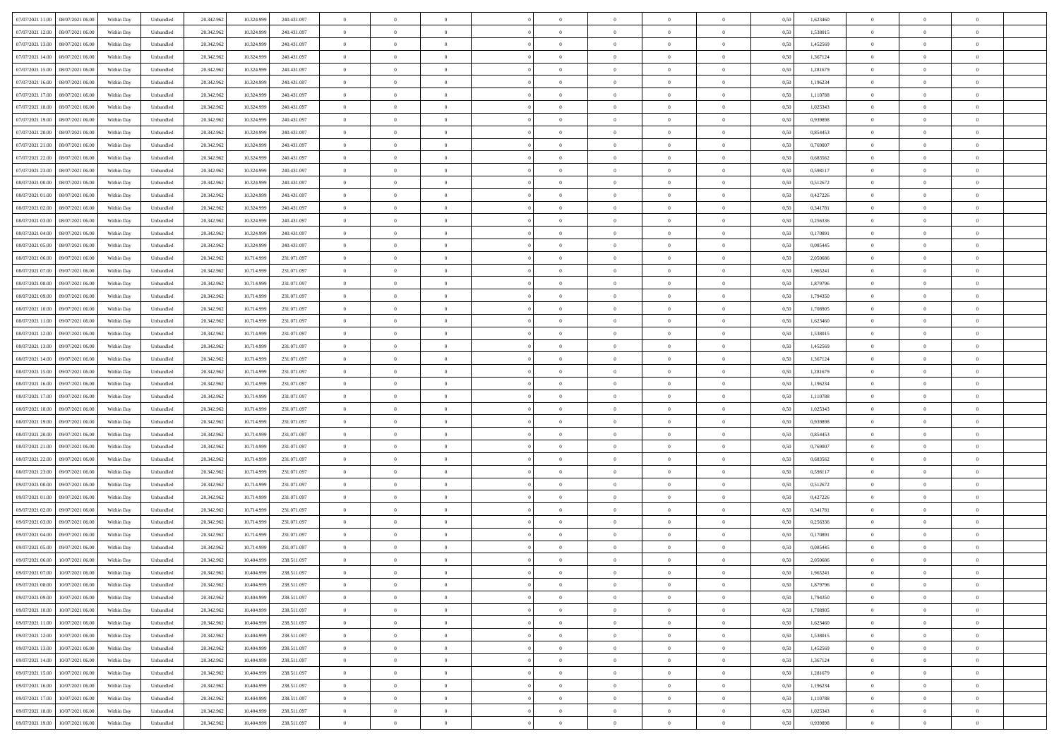| 07/07/2021 11:00<br>08/07/2021 06:00 | Within Day | Unbundled | 20.342.962 | 10.324.999 | 240.431.097 | $\overline{0}$ | $\overline{0}$ | $\overline{0}$ | $\theta$       | $\theta$       |                | $\overline{0}$ | 0,50 | 1,623460 | $\theta$       | $\theta$       | $\overline{0}$ |  |
|--------------------------------------|------------|-----------|------------|------------|-------------|----------------|----------------|----------------|----------------|----------------|----------------|----------------|------|----------|----------------|----------------|----------------|--|
|                                      |            |           |            |            |             |                |                |                |                |                |                |                |      |          |                |                |                |  |
| 07/07/2021 12:00<br>08/07/2021 06.00 | Within Day | Unbundled | 20.342.96  | 10.324.999 | 240.431.097 | $\overline{0}$ | $\overline{0}$ | $\overline{0}$ | $\,$ 0 $\,$    | $\bf{0}$       | $\overline{0}$ | $\bf{0}$       | 0,50 | 1,538015 | $\,$ 0 $\,$    | $\theta$       | $\overline{0}$ |  |
| 07/07/2021 13.00<br>08/07/2021 06:00 | Within Day | Unbundled | 20.342.962 | 10.324.999 | 240.431.097 | $\overline{0}$ | $\overline{0}$ | $\overline{0}$ | $\bf{0}$       | $\bf{0}$       | $\overline{0}$ | $\mathbf{0}$   | 0.50 | 1.452569 | $\bf{0}$       | $\overline{0}$ | $\overline{0}$ |  |
| 07/07/2021 14:00<br>08/07/2021 06:00 | Within Day | Unbundled | 20.342.962 | 10.324.999 | 240.431.097 | $\overline{0}$ | $\overline{0}$ | $\overline{0}$ | $\overline{0}$ | $\overline{0}$ | $\overline{0}$ | $\bf{0}$       | 0,50 | 1,367124 | $\theta$       | $\theta$       | $\overline{0}$ |  |
| 07/07/2021 15:00<br>08/07/2021 06.00 | Within Day | Unbundled | 20.342.96  | 10.324.999 | 240.431.097 | $\overline{0}$ | $\overline{0}$ | $\bf{0}$       | $\bf{0}$       | $\overline{0}$ | $\overline{0}$ | $\bf{0}$       | 0,50 | 1,281679 | $\,$ 0 $\,$    | $\theta$       | $\overline{0}$ |  |
| 07/07/2021 16.00<br>08/07/2021 06:00 | Within Day | Unbundled | 20.342.962 | 10.324.999 | 240.431.097 | $\overline{0}$ | $\overline{0}$ | $\overline{0}$ | $\bf{0}$       | $\overline{0}$ | $\overline{0}$ | $\mathbf{0}$   | 0.50 | 1.196234 | $\bf{0}$       | $\theta$       | $\overline{0}$ |  |
|                                      |            |           |            |            |             |                | $\overline{0}$ | $\overline{0}$ | $\overline{0}$ | $\overline{0}$ | $\overline{0}$ |                |      |          | $\theta$       | $\theta$       | $\overline{0}$ |  |
| 07/07/2021 17.00<br>08/07/2021 06:00 | Within Day | Unbundled | 20.342.962 | 10.324.999 | 240.431.097 | $\overline{0}$ |                |                |                |                |                | $\bf{0}$       | 0,50 | 1,110788 |                |                |                |  |
| 07/07/2021 18:00<br>08/07/2021 06.00 | Within Day | Unbundled | 20.342.96  | 10.324.999 | 240.431.097 | $\overline{0}$ | $\overline{0}$ | $\overline{0}$ | $\bf{0}$       | $\bf{0}$       | $\overline{0}$ | $\bf{0}$       | 0,50 | 1,025343 | $\,$ 0 $\,$    | $\bf{0}$       | $\overline{0}$ |  |
| 07/07/2021 19:00<br>08/07/2021 06:00 | Within Day | Unbundled | 20.342.962 | 10.324.999 | 240.431.097 | $\overline{0}$ | $\overline{0}$ | $\overline{0}$ | $\bf{0}$       | $\overline{0}$ | $\overline{0}$ | $\mathbf{0}$   | 0.50 | 0.939898 | $\theta$       | $\theta$       | $\overline{0}$ |  |
| 07/07/2021 20.00<br>08/07/2021 06:00 | Within Day | Unbundled | 20.342.962 | 10.324.999 | 240.431.097 | $\overline{0}$ | $\overline{0}$ | $\overline{0}$ | $\bf{0}$       | $\overline{0}$ | $\overline{0}$ | $\bf{0}$       | 0,50 | 0,854453 | $\,$ 0 $\,$    | $\theta$       | $\overline{0}$ |  |
| 07/07/2021 21.00<br>08/07/2021 06.00 | Within Day | Unbundled | 20.342.96  | 10.324.999 | 240.431.097 | $\overline{0}$ | $\overline{0}$ | $\overline{0}$ | $\bf{0}$       | $\overline{0}$ | $\overline{0}$ | $\bf{0}$       | 0,50 | 0,769007 | $\,$ 0 $\,$    | $\theta$       | $\overline{0}$ |  |
| 07/07/2021 22.00<br>08/07/2021 06:00 | Within Day | Unbundled | 20.342.962 | 10.324.999 | 240.431.097 | $\overline{0}$ | $\overline{0}$ | $\overline{0}$ | $\bf{0}$       | $\bf{0}$       | $\overline{0}$ | $\mathbf{0}$   | 0.50 | 0.683562 | $\bf{0}$       | $\overline{0}$ | $\bf{0}$       |  |
| 07/07/2021 23.00<br>08/07/2021 06:00 | Within Day | Unbundled | 20.342.962 | 10.324.999 | 240.431.097 | $\overline{0}$ | $\overline{0}$ | $\overline{0}$ | $\overline{0}$ | $\overline{0}$ | $\overline{0}$ | $\bf{0}$       | 0,50 | 0,598117 | $\theta$       | $\theta$       | $\overline{0}$ |  |
|                                      |            |           |            |            |             |                |                |                |                |                |                |                |      |          |                |                |                |  |
| 08/07/2021 00.00<br>08/07/2021 06.00 | Within Day | Unbundled | 20.342.962 | 10.324.999 | 240.431.097 | $\overline{0}$ | $\overline{0}$ | $\overline{0}$ | $\bf{0}$       | $\bf{0}$       | $\overline{0}$ | $\bf{0}$       | 0,50 | 0,512672 | $\,$ 0 $\,$    | $\bf{0}$       | $\overline{0}$ |  |
| 08/07/2021 01:00<br>08/07/2021 06:00 | Within Day | Unbundled | 20.342.962 | 10.324.999 | 240.431.097 | $\overline{0}$ | $\overline{0}$ | $\overline{0}$ | $\overline{0}$ | $\overline{0}$ | $\overline{0}$ | $\mathbf{0}$   | 0.50 | 0.427226 | $\theta$       | $\theta$       | $\overline{0}$ |  |
| 08/07/2021 02:00<br>08/07/2021 06:00 | Within Day | Unbundled | 20.342.962 | 10.324.999 | 240.431.097 | $\overline{0}$ | $\overline{0}$ | $\overline{0}$ | $\overline{0}$ | $\overline{0}$ | $\overline{0}$ | $\bf{0}$       | 0,50 | 0,341781 | $\theta$       | $\theta$       | $\overline{0}$ |  |
| 08/07/2021 03:00<br>08/07/2021 06.00 | Within Day | Unbundled | 20.342.96  | 10.324.999 | 240.431.097 | $\overline{0}$ | $\overline{0}$ | $\overline{0}$ | $\bf{0}$       | $\overline{0}$ | $\overline{0}$ | $\bf{0}$       | 0,50 | 0,256336 | $\,$ 0 $\,$    | $\theta$       | $\overline{0}$ |  |
| 08/07/2021 04:00<br>08/07/2021 06:00 | Within Day | Unbundled | 20.342.962 | 10.324.999 | 240.431.097 | $\overline{0}$ | $\overline{0}$ | $\overline{0}$ | $\overline{0}$ | $\bf{0}$       | $\overline{0}$ | $\mathbf{0}$   | 0.50 | 0.170891 | $\,$ 0 $\,$    | $\overline{0}$ | $\overline{0}$ |  |
| 08/07/2021 05:00<br>08/07/2021 06:00 | Within Day | Unbundled | 20.342.962 | 10.324.999 | 240.431.097 | $\overline{0}$ | $\overline{0}$ | $\overline{0}$ | $\overline{0}$ | $\overline{0}$ | $\overline{0}$ | $\bf{0}$       | 0,50 | 0,085445 | $\theta$       | $\theta$       | $\overline{0}$ |  |
| 08/07/2021 06:00<br>09/07/2021 06.0  | Within Day | Unbundled | 20.342.96  | 10.714.999 | 231.071.097 | $\overline{0}$ | $\overline{0}$ | $\overline{0}$ | $\bf{0}$       | $\bf{0}$       | $\overline{0}$ | $\bf{0}$       | 0,50 | 2,050686 | $\,$ 0 $\,$    | $\bf{0}$       | $\overline{0}$ |  |
|                                      |            |           |            |            |             |                |                |                |                |                |                |                |      |          |                |                |                |  |
| 08/07/2021 07:00<br>09/07/2021 06:00 | Within Day | Unbundled | 20.342.962 | 10.714.999 | 231.071.097 | $\overline{0}$ | $\overline{0}$ | $\overline{0}$ | $\bf{0}$       | $\bf{0}$       | $\overline{0}$ | $\mathbf{0}$   | 0.50 | 1,965241 | $\bf{0}$       | $\overline{0}$ | $\overline{0}$ |  |
| 08/07/2021 08:00<br>09/07/2021 06:00 | Within Day | Unbundled | 20.342.962 | 10.714.999 | 231.071.097 | $\overline{0}$ | $\overline{0}$ | $\overline{0}$ | $\overline{0}$ | $\overline{0}$ | $\overline{0}$ | $\,$ 0 $\,$    | 0,50 | 1,879796 | $\theta$       | $\theta$       | $\overline{0}$ |  |
| 08/07/2021 09:00<br>09/07/2021 06.0  | Within Day | Unbundled | 20.342.96  | 10.714.999 | 231.071.097 | $\overline{0}$ | $\overline{0}$ | $\overline{0}$ | $\bf{0}$       | $\overline{0}$ | $\overline{0}$ | $\bf{0}$       | 0,50 | 1,794350 | $\,$ 0 $\,$    | $\bf{0}$       | $\overline{0}$ |  |
| 08/07/2021 10:00<br>09/07/2021 06:00 | Within Day | Unbundled | 20.342.962 | 10.714.999 | 231.071.097 | $\overline{0}$ | $\overline{0}$ | $\overline{0}$ | $\overline{0}$ | $\overline{0}$ | $\overline{0}$ | $\mathbf{0}$   | 0.50 | 1,708905 | $\bf{0}$       | $\theta$       | $\overline{0}$ |  |
| 08/07/2021 11:00<br>09/07/2021 06:00 | Within Day | Unbundled | 20.342.962 | 10.714.999 | 231.071.097 | $\overline{0}$ | $\overline{0}$ | $\overline{0}$ | $\overline{0}$ | $\overline{0}$ | $\overline{0}$ | $\bf{0}$       | 0,50 | 1,623460 | $\theta$       | $\theta$       | $\overline{0}$ |  |
| 08/07/2021 12:00<br>09/07/2021 06.0  | Within Day | Unbundled | 20.342.96  | 10.714.999 | 231.071.097 | $\overline{0}$ | $\overline{0}$ | $\overline{0}$ | $\bf{0}$       | $\overline{0}$ | $\overline{0}$ | $\bf{0}$       | 0,50 | 1,538015 | $\,$ 0 $\,$    | $\theta$       | $\overline{0}$ |  |
|                                      |            |           |            |            |             |                |                |                |                |                |                |                |      |          |                |                |                |  |
| 08/07/2021 13:00<br>09/07/2021 06:00 | Within Day | Unbundled | 20.342.962 | 10.714.999 | 231.071.097 | $\overline{0}$ | $\overline{0}$ | $\overline{0}$ | $\bf{0}$       | $\overline{0}$ | $\overline{0}$ | $\mathbf{0}$   | 0.50 | 1.452569 | $\,$ 0 $\,$    | $\theta$       | $\overline{0}$ |  |
| 08/07/2021 14:00<br>09/07/2021 06:00 | Within Day | Unbundled | 20.342.962 | 10.714.999 | 231.071.097 | $\overline{0}$ | $\overline{0}$ | $\overline{0}$ | $\overline{0}$ | $\overline{0}$ | $\overline{0}$ | $\bf{0}$       | 0,50 | 1,367124 | $\theta$       | $\theta$       | $\overline{0}$ |  |
| 08/07/2021 15:00<br>09/07/2021 06.0  | Within Day | Unbundled | 20.342.96  | 10.714.999 | 231.071.097 | $\overline{0}$ | $\overline{0}$ | $\overline{0}$ | $\overline{0}$ | $\bf{0}$       | $\overline{0}$ | $\bf{0}$       | 0,50 | 1,281679 | $\,$ 0 $\,$    | $\bf{0}$       | $\overline{0}$ |  |
| 08/07/2021 16:00<br>09/07/2021 06:00 | Within Day | Unbundled | 20.342.962 | 10.714.999 | 231.071.097 | $\overline{0}$ | $\overline{0}$ | $\overline{0}$ | $\bf{0}$       | $\bf{0}$       | $\overline{0}$ | $\,$ 0 $\,$    | 0.50 | 1.196234 | $\bf{0}$       | $\overline{0}$ | $\bf{0}$       |  |
| 08/07/2021 17:00<br>09/07/2021 06:00 | Within Day | Unbundled | 20.342.962 | 10.714.999 | 231.071.097 | $\overline{0}$ | $\overline{0}$ | $\overline{0}$ | $\overline{0}$ | $\overline{0}$ | $\overline{0}$ | $\overline{0}$ | 0.50 | 1,110788 | $\theta$       | $\theta$       | $\overline{0}$ |  |
| 08/07/2021 18.00<br>09/07/2021 06.0  | Within Day | Unbundled | 20.342.962 | 10.714.999 | 231.071.097 | $\overline{0}$ | $\overline{0}$ | $\overline{0}$ | $\bf{0}$       | $\overline{0}$ | $\overline{0}$ | $\bf{0}$       | 0,50 | 1,025343 | $\,$ 0 $\,$    | $\bf{0}$       | $\overline{0}$ |  |
| 08/07/2021 19:00<br>09/07/2021 06:00 | Within Day | Unbundled | 20.342.962 | 10.714.999 | 231.071.097 | $\overline{0}$ | $\overline{0}$ | $\overline{0}$ | $\overline{0}$ | $\overline{0}$ | $\overline{0}$ | $\mathbf{0}$   | 0.50 | 0.939898 | $\theta$       | $\theta$       | $\overline{0}$ |  |
|                                      |            |           |            |            |             |                |                |                |                |                |                |                |      |          |                |                |                |  |
| 08/07/2021 20:00<br>09/07/2021 06:00 | Within Day | Unbundled | 20.342.962 | 10.714.999 | 231.071.097 | $\overline{0}$ | $\overline{0}$ | $\overline{0}$ | $\overline{0}$ | $\overline{0}$ | $\overline{0}$ | $\overline{0}$ | 0.50 | 0,854453 | $\theta$       | $\theta$       | $\overline{0}$ |  |
| 08/07/2021 21:00<br>09/07/2021 06.0  | Within Day | Unbundled | 20.342.96  | 10.714.999 | 231.071.097 | $\overline{0}$ | $\overline{0}$ | $\overline{0}$ | $\bf{0}$       | $\overline{0}$ | $\overline{0}$ | $\bf{0}$       | 0,50 | 0,769007 | $\,$ 0 $\,$    | $\theta$       | $\overline{0}$ |  |
| 08/07/2021 22:00<br>09/07/2021 06:00 | Within Day | Unbundled | 20.342.962 | 10.714.999 | 231.071.097 | $\overline{0}$ | $\overline{0}$ | $\overline{0}$ | $\overline{0}$ | $\bf{0}$       | $\overline{0}$ | $\mathbf{0}$   | 0.50 | 0.683562 | $\,$ 0 $\,$    | $\theta$       | $\overline{0}$ |  |
| 08/07/2021 23:00<br>09/07/2021 06:00 | Within Day | Unbundled | 20.342.962 | 10.714.999 | 231.071.097 | $\overline{0}$ | $\overline{0}$ | $\overline{0}$ | $\overline{0}$ | $\overline{0}$ | $\overline{0}$ | $\overline{0}$ | 0.50 | 0,598117 | $\theta$       | $\theta$       | $\overline{0}$ |  |
| 09/07/2021 00:00<br>09/07/2021 06.0  | Within Day | Unbundled | 20.342.96  | 10.714.999 | 231.071.097 | $\overline{0}$ | $\overline{0}$ | $\overline{0}$ | $\,$ 0 $\,$    | $\bf{0}$       | $\overline{0}$ | $\bf{0}$       | 0,50 | 0,512672 | $\,$ 0 $\,$    | $\bf{0}$       | $\overline{0}$ |  |
| 09/07/2021 01:00<br>09/07/2021 06:00 | Within Day | Unbundled | 20.342.962 | 10.714.999 | 231.071.097 | $\overline{0}$ | $\overline{0}$ | $\overline{0}$ | $\bf{0}$       | $\bf{0}$       | $\overline{0}$ | $\mathbf{0}$   | 0.50 | 0,427226 | $\bf{0}$       | $\overline{0}$ | $\overline{0}$ |  |
| 09/07/2021 02:00<br>09/07/2021 06:00 | Within Day | Unbundled | 20.342.962 | 10.714.999 | 231.071.097 | $\overline{0}$ | $\overline{0}$ | $\overline{0}$ | $\overline{0}$ | $\overline{0}$ | $\overline{0}$ | $\overline{0}$ | 0.50 | 0,341781 | $\theta$       | $\theta$       | $\overline{0}$ |  |
|                                      |            |           |            |            |             |                | $\overline{0}$ |                |                |                | $\overline{0}$ |                |      |          |                |                |                |  |
| 09/07/2021 03:00<br>09/07/2021 06.0  | Within Day | Unbundled | 20.342.962 | 10.714.999 | 231.071.097 | $\overline{0}$ |                | $\overline{0}$ | $\bf{0}$       | $\bf{0}$       |                | $\bf{0}$       | 0,50 | 0,256336 | $\,$ 0 $\,$    | $\bf{0}$       | $\overline{0}$ |  |
| 09/07/2021 04:00<br>09/07/2021 06:00 | Within Day | Unbundled | 20.342.962 | 10.714.999 | 231.071.097 | $\overline{0}$ | $\overline{0}$ | $\overline{0}$ | $\overline{0}$ | $\overline{0}$ | $\overline{0}$ | $\mathbf{0}$   | 0.50 | 0,170891 | $\bf{0}$       | $\theta$       | $\overline{0}$ |  |
| 09/07/2021 05:00<br>09/07/2021 06:00 | Within Day | Unbundled | 20.342.962 | 10.714.999 | 231.071.097 | $\overline{0}$ | $\overline{0}$ | $\overline{0}$ | $\overline{0}$ | $\overline{0}$ | $\Omega$       | $\overline{0}$ | 0.50 | 0,085445 | $\theta$       | $\theta$       | $\overline{0}$ |  |
| 09/07/2021 06:00<br>10/07/2021 06:00 | Within Day | Unbundled | 20.342.962 | 10.404.999 | 238.511.097 | $\overline{0}$ | $\overline{0}$ | $\bf{0}$       | $\overline{0}$ | $\bf{0}$       | $\overline{0}$ | $\bf{0}$       | 0,50 | 2,050686 | $\,$ 0 $\,$    | $\bf{0}$       | $\overline{0}$ |  |
| 09/07/2021 07:00 10/07/2021 06:00    | Within Day | Unbundled | 20.342.962 | 10.404.999 | 238 511 097 | $\bf{0}$       | $\,$ 0 $\,$    |                | $\bf{0}$       |                |                | $\Omega$       | 0,50 | 1,965241 | $\theta$       | $\overline{0}$ |                |  |
| 09/07/2021 08:00<br>10/07/2021 06:00 | Within Dav | Unbundled | 20.342.962 | 10.404.999 | 238.511.097 | $\overline{0}$ | $\overline{0}$ | $\overline{0}$ | $\overline{0}$ | $\overline{0}$ | $\overline{0}$ | $\overline{0}$ | 0,50 | 1,879796 | $\theta$       | $\theta$       | $\overline{0}$ |  |
| 09/07/2021 09:00<br>10/07/2021 06:00 | Within Day | Unbundled | 20.342.962 | 10.404.999 | 238.511.097 | $\overline{0}$ | $\overline{0}$ | $\overline{0}$ | $\bf{0}$       | $\overline{0}$ | $\overline{0}$ | $\mathbf{0}$   | 0,50 | 1,794350 | $\overline{0}$ | $\overline{0}$ | $\bf{0}$       |  |
|                                      |            |           |            |            |             |                |                |                |                |                |                |                |      |          |                |                |                |  |
| 09/07/2021 10:00<br>10/07/2021 06:00 | Within Day | Unbundled | 20.342.962 | 10.404.999 | 238.511.097 | $\overline{0}$ | $\overline{0}$ | $\overline{0}$ | $\overline{0}$ | $\bf{0}$       | $\overline{0}$ | $\mathbf{0}$   | 0.50 | 1,708905 | $\overline{0}$ | $\bf{0}$       | $\overline{0}$ |  |
| 09/07/2021 11:00<br>10/07/2021 06:00 | Within Dav | Unbundled | 20.342.962 | 10.404.999 | 238.511.097 | $\overline{0}$ | $\overline{0}$ | $\overline{0}$ | $\overline{0}$ | $\overline{0}$ | $\overline{0}$ | $\mathbf{0}$   | 0,50 | 1,623460 | $\overline{0}$ | $\theta$       | $\overline{0}$ |  |
| 09/07/2021 12:00<br>10/07/2021 06:00 | Within Day | Unbundled | 20.342.962 | 10.404.999 | 238.511.097 | $\overline{0}$ | $\overline{0}$ | $\overline{0}$ | $\bf{0}$       | $\bf{0}$       | $\overline{0}$ | $\mathbf{0}$   | 0,50 | 1,538015 | $\overline{0}$ | $\bf{0}$       | $\overline{0}$ |  |
| 09/07/2021 13:00<br>10/07/2021 06:00 | Within Day | Unbundled | 20.342.962 | 10.404.999 | 238.511.097 | $\overline{0}$ | $\overline{0}$ | $\overline{0}$ | $\bf{0}$       | $\overline{0}$ | $\overline{0}$ | $\mathbf{0}$   | 0.50 | 1.452569 | $\,$ 0 $\,$    | $\theta$       | $\,$ 0         |  |
| 09/07/2021 14:00<br>10/07/2021 06:00 | Within Day | Unbundled | 20.342.962 | 10.404.999 | 238.511.097 | $\overline{0}$ | $\overline{0}$ | $\overline{0}$ | $\overline{0}$ | $\overline{0}$ | $\overline{0}$ | $\mathbf{0}$   | 0,50 | 1,367124 | $\overline{0}$ | $\theta$       | $\overline{0}$ |  |
| 10/07/2021 06:00<br>09/07/2021 15:00 | Within Day | Unbundled | 20.342.962 | 10.404.999 | 238.511.097 | $\overline{0}$ | $\overline{0}$ | $\overline{0}$ | $\bf{0}$       | $\bf{0}$       | $\overline{0}$ | $\,$ 0 $\,$    | 0,50 | 1,281679 | $\bf{0}$       | $\bf{0}$       | $\overline{0}$ |  |
| 09/07/2021 16:00<br>10/07/2021 06:00 |            | Unbundled |            | 10.404.999 | 238.511.097 |                |                |                |                | $\overline{0}$ | $\overline{0}$ |                | 0.50 | 1.196234 |                |                | $\,$ 0         |  |
|                                      | Within Day |           | 20.342.962 |            |             | $\overline{0}$ | $\overline{0}$ | $\overline{0}$ | $\bf{0}$       |                |                | $\,$ 0 $\,$    |      |          | $\overline{0}$ | $\bf{0}$       |                |  |
| 09/07/2021 17:00<br>10/07/2021 06:00 | Within Dav | Unbundled | 20.342.962 | 10.404.999 | 238.511.097 | $\overline{0}$ | $\overline{0}$ | $\overline{0}$ | $\overline{0}$ | $\overline{0}$ | $\overline{0}$ | $\mathbf{0}$   | 0,50 | 1,110788 | $\overline{0}$ | $\theta$       | $\overline{0}$ |  |
| 09/07/2021 18.00<br>10/07/2021 06.00 | Within Day | Unbundled | 20.342.962 | 10.404.999 | 238.511.097 | $\overline{0}$ | $\overline{0}$ | $\overline{0}$ | $\overline{0}$ | $\bf{0}$       | $\overline{0}$ | $\mathbf{0}$   | 0,50 | 1,025343 | $\bf{0}$       | $\bf{0}$       | $\overline{0}$ |  |
| 09/07/2021 19:00 10/07/2021 06:00    | Within Day | Unbundled | 20.342.962 | 10.404.999 | 238.511.097 | $\,$ 0 $\,$    | $\overline{0}$ | $\overline{0}$ | $\bf{0}$       | $\,$ 0         | $\overline{0}$ | $\,0\,$        | 0,50 | 0,939898 | $\overline{0}$ | $\,$ 0 $\,$    | $\,$ 0 $\,$    |  |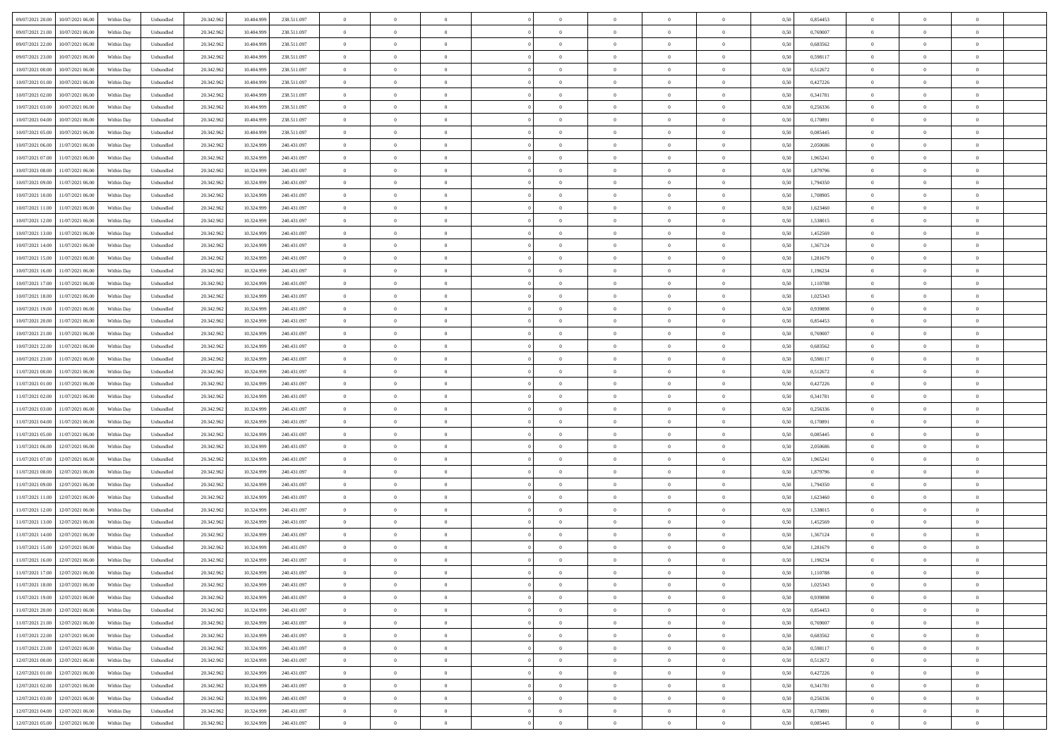| 09/07/2021 20:00 | 10/07/2021 06:00                  | Within Day | Unbundled | 20.342.962 | 10.404.999 | 238.511.097 | $\overline{0}$ | $\theta$       |                | $\overline{0}$ | $\bf{0}$       | $\overline{0}$ | $\theta$       | 0,50 | 0,854453 | $\theta$       | $\theta$       | $\overline{0}$           |  |
|------------------|-----------------------------------|------------|-----------|------------|------------|-------------|----------------|----------------|----------------|----------------|----------------|----------------|----------------|------|----------|----------------|----------------|--------------------------|--|
|                  |                                   |            |           |            |            |             | $\overline{0}$ | $\overline{0}$ |                |                |                |                |                |      |          |                |                | $\overline{0}$           |  |
| 09/07/2021 21:00 | 10/07/2021 06.00                  | Within Day | Unbundled | 20.342.96  | 10.404.99  | 238.511.097 |                |                | $\overline{0}$ | $\overline{0}$ | $\,$ 0         | $\bf{0}$       | $\bf{0}$       | 0,50 | 0,769007 | $\,$ 0 $\,$    | $\overline{0}$ |                          |  |
| 09/07/2021 22.00 | 10/07/2021 06:00                  | Within Day | Unbundled | 20.342.962 | 10.404.999 | 238.511.097 | $\overline{0}$ | $\overline{0}$ | $\overline{0}$ | $\overline{0}$ | $\bf{0}$       | $\overline{0}$ | $\mathbf{0}$   | 0.50 | 0.683562 | $\bf{0}$       | $\overline{0}$ | $\overline{0}$           |  |
| 09/07/2021 23:00 | 10/07/2021 06:00                  | Within Day | Unbundled | 20.342.962 | 10.404.999 | 238.511.097 | $\overline{0}$ | $\overline{0}$ | $\overline{0}$ | $\overline{0}$ | $\bf{0}$       | $\overline{0}$ | $\overline{0}$ | 0,50 | 0,598117 | $\theta$       | $\overline{0}$ | $\overline{0}$           |  |
| 10/07/2021 00:00 | 10/07/2021 06.00                  | Within Day | Unbundled | 20.342.962 | 10.404.999 | 238.511.097 | $\overline{0}$ | $\theta$       | $\overline{0}$ |                | $\overline{0}$ | $\overline{0}$ | $\bf{0}$       | 0,50 | 0,512672 | $\,$ 0 $\,$    | $\overline{0}$ | $\overline{0}$           |  |
| 10/07/2021 01:00 | 10/07/2021 06:00                  | Within Day | Unbundled | 20.342.962 | 10.404.999 | 238.511.097 | $\overline{0}$ | $\overline{0}$ | $\overline{0}$ | $\overline{0}$ | $\bf{0}$       | $\overline{0}$ | $\bf{0}$       | 0.50 | 0,427226 | $\,0\,$        | $\theta$       | $\overline{0}$           |  |
| 10/07/2021 02:00 | 10/07/2021 06:00                  | Within Day | Unbundled | 20.342.962 | 10.404.999 | 238.511.097 | $\overline{0}$ | $\theta$       | $\overline{0}$ | $\overline{0}$ | $\bf{0}$       | $\overline{0}$ | $\overline{0}$ | 0,50 | 0,341781 | $\,0\,$        | $\theta$       | $\overline{0}$           |  |
| 10/07/2021 03:00 | 10/07/2021 06.00                  | Within Day | Unbundled | 20.342.96  | 10.404.999 | 238.511.097 | $\overline{0}$ | $\theta$       | $\overline{0}$ | $\overline{0}$ | $\,$ 0         | $\bf{0}$       | $\bf{0}$       | 0,50 | 0,256336 | $\,$ 0 $\,$    | $\overline{0}$ | $\overline{0}$           |  |
| 10/07/2021 04:00 | 10/07/2021 06:00                  | Within Day | Unbundled | 20.342.962 | 10.404.999 | 238.511.097 | $\overline{0}$ | $\overline{0}$ | $\overline{0}$ | $\overline{0}$ | $\bf{0}$       | $\overline{0}$ | $\bf{0}$       | 0.50 | 0.170891 | $\,0\,$        | $\theta$       | $\overline{0}$           |  |
|                  |                                   |            |           |            |            |             |                |                |                |                |                |                |                |      |          |                |                |                          |  |
| 10/07/2021 05:00 | 10/07/2021 06:00                  | Within Day | Unbundled | 20.342.962 | 10.404.999 | 238.511.097 | $\overline{0}$ | $\overline{0}$ | $\overline{0}$ | $\overline{0}$ | $\,$ 0         | $\overline{0}$ | $\bf{0}$       | 0,50 | 0,085445 | $\,$ 0 $\,$    | $\overline{0}$ | $\overline{0}$           |  |
| 10/07/2021 06:00 | 1/07/2021 06.00                   | Within Day | Unbundled | 20.342.962 | 10.324.999 | 240.431.097 | $\overline{0}$ | $\theta$       | $\overline{0}$ | $\overline{0}$ | $\,$ 0         | $\overline{0}$ | $\bf{0}$       | 0,50 | 2,050686 | $\,$ 0 $\,$    | $\overline{0}$ | $\overline{0}$           |  |
| 10/07/2021 07:00 | 11/07/2021 06:00                  | Within Day | Unbundled | 20.342.962 | 10.324.999 | 240.431.097 | $\overline{0}$ | $\overline{0}$ | $\overline{0}$ | $\overline{0}$ | $\bf{0}$       | $\overline{0}$ | $\mathbf{0}$   | 0.50 | 1.965241 | $\bf{0}$       | $\overline{0}$ | $\bf{0}$                 |  |
| 10/07/2021 08:00 | 11/07/2021 06:00                  | Within Day | Unbundled | 20.342.962 | 10.324.999 | 240.431.097 | $\overline{0}$ | $\theta$       | $\overline{0}$ | $\overline{0}$ | $\bf{0}$       | $\overline{0}$ | $\mathbf{0}$   | 0,50 | 1,879796 | $\,$ 0 $\,$    | $\overline{0}$ | $\overline{0}$           |  |
| 10/07/2021 09:00 | 11/07/2021 06.00                  | Within Day | Unbundled | 20.342.96  | 10.324.999 | 240.431.097 | $\overline{0}$ | $\theta$       | $\overline{0}$ | $\overline{0}$ | $\overline{0}$ | $\overline{0}$ | $\bf{0}$       | 0,50 | 1,794350 | $\,$ 0 $\,$    | $\overline{0}$ | $\overline{0}$           |  |
| 10/07/2021 10:00 | 11/07/2021 06:00                  | Within Day | Unbundled | 20.342.962 | 10.324.999 | 240.431.097 | $\overline{0}$ | $\overline{0}$ | $\overline{0}$ | $\overline{0}$ | $\,$ 0         | $\overline{0}$ | $\bf{0}$       | 0.50 | 1.708905 | $\theta$       | $\theta$       | $\overline{0}$           |  |
| 10/07/2021 11:00 | 11/07/2021 06:00                  | Within Day | Unbundled | 20.342.962 | 10.324.999 | 240.431.097 | $\overline{0}$ | $\overline{0}$ | $\overline{0}$ | $\overline{0}$ | $\bf{0}$       | $\overline{0}$ | $\overline{0}$ | 0,50 | 1,623460 | $\theta$       | $\theta$       | $\overline{0}$           |  |
|                  |                                   |            |           |            |            |             |                |                |                |                |                |                |                |      |          |                |                |                          |  |
| 10/07/2021 12:00 | 1/07/2021 06.00                   | Within Day | Unbundled | 20.342.96  | 10.324.999 | 240.431.097 | $\overline{0}$ | $\theta$       | $\overline{0}$ |                | $\,$ 0         | $\overline{0}$ | $\bf{0}$       | 0,50 | 1,538015 | $\,$ 0 $\,$    | $\overline{0}$ | $\overline{0}$           |  |
| 10/07/2021 13:00 | 11/07/2021 06:00                  | Within Day | Unbundled | 20.342.962 | 10.324.999 | 240.431.097 | $\overline{0}$ | $\overline{0}$ | $\overline{0}$ | $\overline{0}$ | $\bf{0}$       | $\overline{0}$ | $\bf{0}$       | 0.50 | 1.452569 | $\,0\,$        | $\overline{0}$ | $\overline{0}$           |  |
| 10/07/2021 14:00 | 11/07/2021 06:00                  | Within Day | Unbundled | 20.342.962 | 10.324.999 | 240.431.097 | $\overline{0}$ | $\overline{0}$ | $\overline{0}$ | $\overline{0}$ | $\,$ 0         | $\overline{0}$ | $\overline{0}$ | 0,50 | 1,367124 | $\,$ 0 $\,$    | $\theta$       | $\overline{0}$           |  |
| 10/07/2021 15:00 | 1/07/2021 06.00                   | Within Day | Unbundled | 20.342.962 | 10.324.999 | 240.431.097 | $\bf{0}$       | $\theta$       | $\overline{0}$ | $\overline{0}$ | $\,$ 0         | $\bf{0}$       | $\bf{0}$       | 0,50 | 1,281679 | $\,$ 0 $\,$    | $\overline{0}$ | $\overline{0}$           |  |
| 10/07/2021 16:00 | 11/07/2021 06:00                  | Within Day | Unbundled | 20.342.962 | 10.324.999 | 240.431.097 | $\overline{0}$ | $\overline{0}$ | $\overline{0}$ | $\overline{0}$ | $\bf{0}$       | $\overline{0}$ | $\mathbf{0}$   | 0.50 | 1.196234 | $\bf{0}$       | $\overline{0}$ | $\overline{0}$           |  |
| 10/07/2021 17:00 | 11/07/2021 06:00                  | Within Day | Unbundled | 20.342.962 | 10.324.999 | 240.431.097 | $\overline{0}$ | $\overline{0}$ | $\overline{0}$ | $\overline{0}$ | $\bf{0}$       | $\overline{0}$ | $\overline{0}$ | 0,50 | 1,110788 | $\theta$       | $\overline{0}$ | $\overline{0}$           |  |
| 10/07/2021 18:00 | 11/07/2021 06.00                  | Within Day | Unbundled | 20.342.962 | 10.324.999 | 240.431.097 | $\overline{0}$ | $\theta$       | $\overline{0}$ | $\overline{0}$ | $\,$ 0         | $\overline{0}$ | $\bf{0}$       | 0,50 | 1,025343 | $\,$ 0 $\,$    | $\overline{0}$ | $\overline{0}$           |  |
|                  | 11/07/2021 06:00                  |            |           |            | 10.324.999 | 240.431.097 |                | $\overline{0}$ |                |                |                | $\overline{0}$ |                |      |          |                | $\theta$       | $\overline{0}$           |  |
| 10/07/2021 19:00 |                                   | Within Day | Unbundled | 20.342.962 |            |             | $\overline{0}$ |                | $\overline{0}$ | $\overline{0}$ | $\bf{0}$       |                | $\bf{0}$       | 0.50 | 0.939898 | $\,0\,$        |                |                          |  |
| 10/07/2021 20:00 | 11/07/2021 06:00                  | Within Day | Unbundled | 20.342.962 | 10.324.999 | 240.431.097 | $\overline{0}$ | $\theta$       | $\overline{0}$ | $\overline{0}$ | $\bf{0}$       | $\overline{0}$ | $\overline{0}$ | 0,50 | 0,854453 | $\theta$       | $\theta$       | $\overline{0}$           |  |
| 10/07/2021 21:00 | 1/07/2021 06.00                   | Within Day | Unbundled | 20.342.96  | 10.324.999 | 240.431.097 | $\overline{0}$ | $\theta$       | $\overline{0}$ |                | $\bf{0}$       | $\overline{0}$ | $\bf{0}$       | 0,50 | 0,769007 | $\,$ 0 $\,$    | $\overline{0}$ | $\overline{0}$           |  |
| 10/07/2021 22.00 | 11/07/2021 06:00                  | Within Day | Unbundled | 20.342.962 | 10.324.999 | 240.431.097 | $\overline{0}$ | $\overline{0}$ | $\overline{0}$ | $\overline{0}$ | $\bf{0}$       | $\overline{0}$ | $\bf{0}$       | 0.50 | 0.683562 | $\,0\,$        | $\overline{0}$ | $\overline{0}$           |  |
| 10/07/2021 23:00 | 11/07/2021 06:00                  | Within Day | Unbundled | 20.342.962 | 10.324.999 | 240.431.097 | $\overline{0}$ | $\overline{0}$ | $\overline{0}$ | $\overline{0}$ | $\,$ 0         | $\overline{0}$ | $\bf{0}$       | 0,50 | 0,598117 | $\theta$       | $\theta$       | $\overline{0}$           |  |
| 11/07/2021 00:00 | 1/07/2021 06.00                   | Within Day | Unbundled | 20.342.96  | 10.324.999 | 240.431.097 | $\bf{0}$       | $\theta$       | $\overline{0}$ | $\overline{0}$ | $\bf{0}$       | $\overline{0}$ | $\bf{0}$       | 0,50 | 0,512672 | $\,$ 0 $\,$    | $\overline{0}$ | $\overline{0}$           |  |
| 11/07/2021 01:00 | 11/07/2021 06:00                  | Within Day | Unbundled | 20.342.962 | 10.324.999 | 240.431.097 | $\overline{0}$ | $\overline{0}$ | $\overline{0}$ | $\overline{0}$ | $\bf{0}$       | $\overline{0}$ | $\mathbf{0}$   | 0.50 | 0,427226 | $\bf{0}$       | $\overline{0}$ | $\overline{\phantom{a}}$ |  |
| 11/07/2021 02:00 | 11/07/2021 06:00                  | Within Dav | Unbundled | 20.342.962 | 10.324.999 | 240.431.097 | $\overline{0}$ | $\overline{0}$ | $\overline{0}$ | $\overline{0}$ | $\mathbf{0}$   | $\overline{0}$ | $\overline{0}$ | 0.50 | 0,341781 | $\theta$       | $\overline{0}$ | $\overline{0}$           |  |
| 11/07/2021 03:00 | 11/07/2021 06.00                  | Within Day | Unbundled | 20.342.962 | 10.324.999 | 240.431.097 | $\overline{0}$ | $\theta$       | $\overline{0}$ | $\overline{0}$ | $\,$ 0         | $\overline{0}$ | $\bf{0}$       | 0,50 | 0,256336 | $\,$ 0 $\,$    | $\overline{0}$ | $\overline{0}$           |  |
|                  |                                   |            |           |            |            |             |                |                |                |                |                |                |                |      |          |                |                |                          |  |
| 11/07/2021 04:00 | 11/07/2021 06:00                  | Within Day | Unbundled | 20.342.962 | 10.324.999 | 240.431.097 | $\overline{0}$ | $\overline{0}$ | $\overline{0}$ | $\overline{0}$ | $\bf{0}$       | $\overline{0}$ | $\bf{0}$       | 0.50 | 0,170891 | $\,0\,$        | $\theta$       | $\overline{0}$           |  |
| 11/07/2021 05:00 | 11/07/2021 06:00                  | Within Dav | Unbundled | 20.342.962 | 10.324.999 | 240.431.097 | $\overline{0}$ | $\theta$       | $\Omega$       | $\Omega$       | $\mathbf{0}$   | $\overline{0}$ | $\overline{0}$ | 0.50 | 0,085445 | $\theta$       | $\overline{0}$ | $\overline{0}$           |  |
| 11/07/2021 06:00 | 12/07/2021 06.00                  | Within Day | Unbundled | 20.342.962 | 10.324.999 | 240.431.097 | $\overline{0}$ | $\theta$       | $\overline{0}$ |                | $\,$ 0         | $\overline{0}$ | $\bf{0}$       | 0,50 | 2,050686 | $\,$ 0 $\,$    | $\overline{0}$ | $\overline{0}$           |  |
| 11/07/2021 07:00 | 12/07/2021 06:00                  | Within Day | Unbundled | 20.342.962 | 10.324.999 | 240.431.097 | $\overline{0}$ | $\overline{0}$ | $\overline{0}$ | $\overline{0}$ | $\bf{0}$       | $\overline{0}$ | $\bf{0}$       | 0.50 | 1.965241 | $\,0\,$        | $\theta$       | $\overline{0}$           |  |
| 11/07/2021 08:00 | 12/07/2021 06:00                  | Within Dav | Unbundled | 20.342.962 | 10.324.999 | 240.431.097 | $\overline{0}$ | $\overline{0}$ | $\overline{0}$ | $\overline{0}$ | $\overline{0}$ | $\overline{0}$ | $\overline{0}$ | 0.50 | 1,879796 | $\theta$       | $\overline{0}$ | $\overline{0}$           |  |
| 11/07/2021 09:00 | 12/07/2021 06.00                  | Within Day | Unbundled | 20.342.96  | 10.324.999 | 240.431.097 | $\overline{0}$ | $\overline{0}$ | $\overline{0}$ | $\overline{0}$ | $\bf{0}$       | $\overline{0}$ | $\bf{0}$       | 0,50 | 1,794350 | $\,$ 0 $\,$    | $\overline{0}$ | $\overline{0}$           |  |
| 11/07/2021 11:00 | 12/07/2021 06:00                  | Within Day | Unbundled | 20.342.962 | 10.324.999 | 240.431.097 | $\overline{0}$ | $\overline{0}$ | $\overline{0}$ | $\overline{0}$ | $\bf{0}$       | $\overline{0}$ | $\mathbf{0}$   | 0.50 | 1.623460 | $\,$ 0 $\,$    | $\overline{0}$ | $\overline{0}$           |  |
| 11/07/2021 12:00 | 12/07/2021 06:00                  | Within Dav | Unbundled | 20.342.962 | 10.324.999 | 240.431.097 | $\overline{0}$ | $\overline{0}$ | $\Omega$       | $\Omega$       | $\mathbf{0}$   | $\overline{0}$ | $\overline{0}$ | 0.50 | 1,538015 | $\theta$       | $\overline{0}$ | $\overline{0}$           |  |
| 11/07/2021 13:00 | 12/07/2021 06:00                  | Within Day | Unbundled | 20.342.962 | 10.324.999 | 240.431.097 | $\overline{0}$ | $\theta$       | $\overline{0}$ | $\overline{0}$ | $\,$ 0         | $\overline{0}$ | $\bf{0}$       | 0,50 | 1,452569 | $\,$ 0 $\,$    | $\overline{0}$ | $\overline{0}$           |  |
|                  |                                   |            |           |            |            |             |                |                |                |                |                |                |                |      |          |                |                |                          |  |
| 11/07/2021 14:00 | 12/07/2021 06:00                  | Within Day | Unbundled | 20.342.962 | 10.324.999 | 240.431.097 | $\overline{0}$ | $\theta$       | $\overline{0}$ | $\overline{0}$ | $\bf{0}$       | $\Omega$       | $\overline{0}$ | 0.50 | 1.367124 | $\,0\,$        | $\theta$       | $\overline{0}$           |  |
| 11/07/2021 15:00 | 12/07/2021 06:00                  | Within Dav | Unbundled | 20.342.962 | 10.324.999 | 240.431.097 | $\overline{0}$ | $\Omega$       | $\Omega$       | $\Omega$       | $\bf{0}$       | $\overline{0}$ | $\overline{0}$ | 0.50 | 1,281679 | $\theta$       | $\overline{0}$ | $\overline{0}$           |  |
| 11/07/2021 16:00 | 12/07/2021 06:00                  | Within Day | Unbundled | 20.342.962 | 10.324.999 | 240.431.097 | $\overline{0}$ | $\overline{0}$ | $\overline{0}$ | $\overline{0}$ | $\,$ 0         | $\overline{0}$ | $\bf{0}$       | 0,50 | 1,196234 | $\,$ 0 $\,$    | $\overline{0}$ | $\overline{0}$           |  |
| 11/07/2021 17:00 | 12/07/2021 06:00                  | Within Day | Unbundled | 20.342.962 | 10.324.999 | 240 431 097 | $\bf{0}$       | $\theta$       |                |                |                |                |                | 0,50 | 1,110788 | $\bf{0}$       | $\theta$       |                          |  |
| 11/07/2021 18:00 | 12/07/2021 06:00                  | Within Day | Unbundled | 20.342.962 | 10.324.999 | 240.431.097 | $\Omega$       | $\overline{0}$ | $\overline{0}$ | $\Omega$       | $\mathbf{0}$   | $\overline{0}$ | $\mathbf{0}$   | 0.50 | 1,025343 | $\theta$       | $\theta$       | $\overline{0}$           |  |
| 11/07/2021 19:00 | 12/07/2021 06:00                  | Within Day | Unbundled | 20.342.962 | 10.324.999 | 240.431.097 | $\bf{0}$       | $\overline{0}$ | $\overline{0}$ | $\bf{0}$       | $\overline{0}$ | $\overline{0}$ | $\mathbf{0}$   | 0,50 | 0,939898 | $\bf{0}$       | $\overline{0}$ | $\bf{0}$                 |  |
| 11/07/2021 20:00 | 12/07/2021 06:00                  | Within Day | Unbundled | 20.342.962 | 10.324.999 | 240.431.097 | $\overline{0}$ | $\overline{0}$ | $\overline{0}$ | $\overline{0}$ | $\bf{0}$       | $\overline{0}$ | $\mathbf{0}$   | 0.50 | 0.854453 | $\overline{0}$ | $\bf{0}$       | $\bf{0}$                 |  |
| 11/07/2021 21:00 | 12/07/2021 06:00                  | Within Day | Unbundled | 20.342.962 | 10.324.999 | 240.431.097 | $\overline{0}$ | $\overline{0}$ | $\overline{0}$ | $\overline{0}$ | $\mathbf{0}$   | $\overline{0}$ | $\mathbf{0}$   | 0.50 | 0,769007 | $\overline{0}$ | $\theta$       | $\overline{0}$           |  |
|                  |                                   |            |           |            |            |             |                | $\overline{0}$ |                | $\overline{0}$ | $\bf{0}$       |                |                |      |          | $\,0\,$        | $\overline{0}$ | $\overline{0}$           |  |
| 11/07/2021 22.00 | 12/07/2021 06:00                  | Within Day | Unbundled | 20.342.962 | 10.324.999 | 240.431.097 | $\bf{0}$       |                | $\overline{0}$ |                |                | $\bf{0}$       | $\bf{0}$       | 0,50 | 0,683562 |                |                |                          |  |
| 11/07/2021 23:00 | 12/07/2021 06:00                  | Within Day | Unbundled | 20.342.962 | 10.324.999 | 240.431.097 | $\overline{0}$ | $\overline{0}$ | $\overline{0}$ | $\overline{0}$ | $\bf{0}$       | $\overline{0}$ | $\mathbf{0}$   | 0.50 | 0.598117 | $\,$ 0 $\,$    | $\theta$       | $\overline{0}$           |  |
| 12/07/2021 00:00 | 12/07/2021 06:00                  | Within Day | Unbundled | 20.342.962 | 10.324.999 | 240.431.097 | $\overline{0}$ | $\overline{0}$ | $\overline{0}$ | $\overline{0}$ | $\overline{0}$ | $\overline{0}$ | $\overline{0}$ | 0.50 | 0,512672 | $\overline{0}$ | $\theta$       | $\overline{0}$           |  |
| 12/07/2021 01:00 | 12/07/2021 06:00                  | Within Day | Unbundled | 20.342.962 | 10.324.999 | 240.431.097 | $\overline{0}$ | $\,$ 0         | $\overline{0}$ | $\bf{0}$       | $\,$ 0 $\,$    | $\bf{0}$       | $\bf{0}$       | 0,50 | 0,427226 | $\,$ 0 $\,$    | $\overline{0}$ | $\,$ 0                   |  |
| 12/07/2021 02:00 | 12/07/2021 06:00                  | Within Day | Unbundled | 20.342.962 | 10.324.999 | 240.431.097 | $\overline{0}$ | $\overline{0}$ | $\overline{0}$ | $\overline{0}$ | $\bf{0}$       | $\overline{0}$ | $\mathbf{0}$   | 0.50 | 0.341781 | $\mathbf{0}$   | $\,$ 0 $\,$    | $\overline{0}$           |  |
| 12/07/2021 03:00 | 12/07/2021 06:00                  | Within Day | Unbundled | 20.342.962 | 10.324.999 | 240.431.097 | $\overline{0}$ | $\overline{0}$ | $\overline{0}$ | $\overline{0}$ | $\overline{0}$ | $\overline{0}$ | $\overline{0}$ | 0,50 | 0,256336 | $\overline{0}$ | $\theta$       | $\overline{0}$           |  |
| 12/07/2021 04:00 | 12/07/2021 06:00                  | Within Day | Unbundled | 20.342.962 | 10.324.999 | 240.431.097 | $\overline{0}$ | $\overline{0}$ | $\overline{0}$ | $\overline{0}$ | $\bf{0}$       | $\bf{0}$       | $\bf{0}$       | 0,50 | 0,170891 | $\bf{0}$       | $\overline{0}$ | $\bf{0}$                 |  |
|                  | 12/07/2021 05:00 12/07/2021 06:00 | Within Day | Unbundled | 20.342.962 | 10.324.999 | 240.431.097 | $\overline{0}$ | $\overline{0}$ | $\overline{0}$ | $\overline{0}$ | $\bf{0}$       | $\overline{0}$ | $\,$ 0 $\,$    | 0,50 | 0,085445 | $\overline{0}$ | $\,$ 0 $\,$    | $\,$ 0 $\,$              |  |
|                  |                                   |            |           |            |            |             |                |                |                |                |                |                |                |      |          |                |                |                          |  |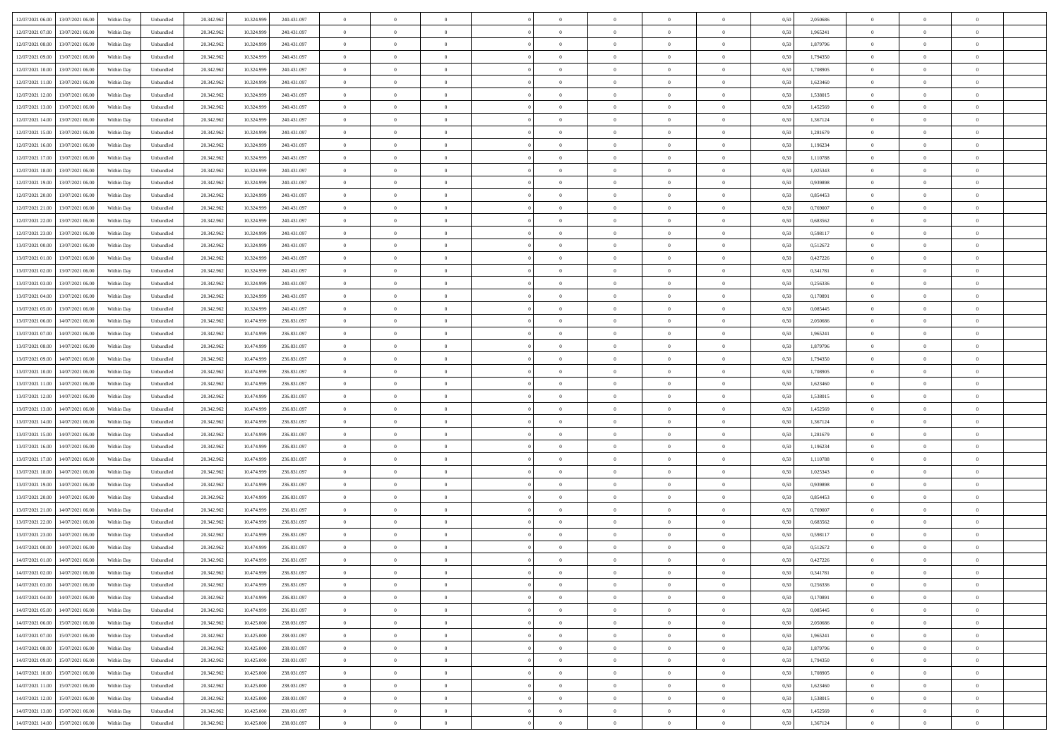| 12/07/2021 06:00<br>13/07/2021 06:00           | Within Day | Unbundled                   | 20.342.962 | 10.324.999 | 240.431.097 | $\overline{0}$ | $\overline{0}$ |                | $\overline{0}$ | $\theta$       |                | $\theta$       | 0,50 | 2,050686 | $\theta$       | $\theta$       | $\overline{0}$ |  |
|------------------------------------------------|------------|-----------------------------|------------|------------|-------------|----------------|----------------|----------------|----------------|----------------|----------------|----------------|------|----------|----------------|----------------|----------------|--|
| 12/07/2021 07:00<br>13/07/2021 06:00           | Within Day | Unbundled                   | 20.342.96  | 10.324.99  | 240.431.097 | $\bf{0}$       | $\bf{0}$       | $\bf{0}$       | $\overline{0}$ | $\overline{0}$ | $\overline{0}$ | $\bf{0}$       | 0,50 | 1,965241 | $\,$ 0 $\,$    | $\bf{0}$       | $\overline{0}$ |  |
| 12/07/2021 08:00<br>13/07/2021 06:00           | Within Day | Unbundled                   | 20.342.962 | 10.324.999 | 240.431.097 | $\overline{0}$ | $\bf{0}$       | $\overline{0}$ | $\bf{0}$       | $\bf{0}$       | $\overline{0}$ | $\bf{0}$       | 0.50 | 1.879796 | $\bf{0}$       | $\overline{0}$ | $\bf{0}$       |  |
| 12/07/2021 09:00<br>13/07/2021 06:00           |            |                             | 20.342.96  |            |             | $\overline{0}$ | $\overline{0}$ | $\overline{0}$ | $\theta$       | $\theta$       | $\overline{0}$ |                |      | 1,794350 | $\theta$       | $\theta$       | $\overline{0}$ |  |
|                                                | Within Day | Unbundled                   |            | 10.324.999 | 240.431.097 |                |                |                |                |                |                | $\bf{0}$       | 0,50 |          |                |                |                |  |
| 12/07/2021 10:00<br>13/07/2021 06:00           | Within Day | Unbundled                   | 20.342.96  | 10.324.99  | 240.431.097 | $\bf{0}$       | $\overline{0}$ | $\bf{0}$       | $\overline{0}$ | $\bf{0}$       | $\overline{0}$ | $\bf{0}$       | 0,50 | 1,708905 | $\,$ 0 $\,$    | $\bf{0}$       | $\overline{0}$ |  |
| 12/07/2021 11:00<br>13/07/2021 06:00           | Within Day | Unbundled                   | 20.342.962 | 10.324.999 | 240.431.097 | $\overline{0}$ | $\overline{0}$ | $\overline{0}$ | $\bf{0}$       | $\overline{0}$ | $\overline{0}$ | $\bf{0}$       | 0.50 | 1.623460 | $\,$ 0 $\,$    | $\theta$       | $\overline{0}$ |  |
| 12/07/2021 12:00<br>13/07/2021 06:00           | Within Day | Unbundled                   | 20.342.96  | 10.324.999 | 240.431.097 | $\overline{0}$ | $\overline{0}$ | $\overline{0}$ | $\overline{0}$ | $\overline{0}$ | $\overline{0}$ | $\bf{0}$       | 0,50 | 1,538015 | $\,$ 0 $\,$    | $\theta$       | $\overline{0}$ |  |
|                                                |            |                             |            |            |             |                |                |                |                |                |                |                |      |          |                |                |                |  |
| 12/07/2021 13:00<br>13/07/2021 06:00           | Within Day | Unbundled                   | 20.342.96  | 10.324.99  | 240.431.097 | $\bf{0}$       | $\bf{0}$       | $\bf{0}$       | $\overline{0}$ | $\overline{0}$ | $\overline{0}$ | $\bf{0}$       | 0,50 | 1,452569 | $\,$ 0 $\,$    | $\bf{0}$       | $\overline{0}$ |  |
| 12/07/2021 14:00<br>13/07/2021 06:00           | Within Day | Unbundled                   | 20.342.96  | 10.324.999 | 240.431.097 | $\overline{0}$ | $\bf{0}$       | $\overline{0}$ | $\bf{0}$       | $\overline{0}$ | $\overline{0}$ | $\bf{0}$       | 0.50 | 1.367124 | $\bf{0}$       | $\overline{0}$ | $\overline{0}$ |  |
| 12/07/2021 15:00<br>13/07/2021 06:00           | Within Day | Unbundled                   | 20.342.962 | 10.324.999 | 240.431.097 | $\bf{0}$       | $\bf{0}$       | $\overline{0}$ | $\overline{0}$ | $\overline{0}$ | $\overline{0}$ | $\bf{0}$       | 0,50 | 1,281679 | $\,$ 0 $\,$    | $\bf{0}$       | $\overline{0}$ |  |
| 12/07/2021 16:00<br>13/07/2021 06:00           | Within Day | Unbundled                   | 20.342.96  | 10.324.999 | 240.431.097 | $\bf{0}$       | $\overline{0}$ | $\bf{0}$       | $\bf{0}$       | $\bf{0}$       | $\overline{0}$ | $\bf{0}$       | 0,50 | 1,196234 | $\,$ 0 $\,$    | $\bf{0}$       | $\overline{0}$ |  |
|                                                |            |                             |            |            |             |                |                |                |                |                |                |                |      |          |                |                |                |  |
| 12/07/2021 17:00<br>13/07/2021 06:00           | Within Day | Unbundled                   | 20.342.962 | 10.324.999 | 240.431.097 | $\overline{0}$ | $\bf{0}$       | $\overline{0}$ | $\bf{0}$       | $\bf{0}$       | $\overline{0}$ | $\bf{0}$       | 0.50 | 1,110788 | $\bf{0}$       | $\overline{0}$ | $\bf{0}$       |  |
| 12/07/2021 18:00<br>13/07/2021 06:00           | Within Day | Unbundled                   | 20.342.96  | 10.324.999 | 240.431.097 | $\overline{0}$ | $\overline{0}$ | $\overline{0}$ | $\theta$       | $\theta$       | $\overline{0}$ | $\bf{0}$       | 0,50 | 1,025343 | $\,$ 0 $\,$    | $\theta$       | $\overline{0}$ |  |
| 12/07/2021 19:00<br>13/07/2021 06:00           | Within Day | Unbundled                   | 20.342.96  | 10.324.99  | 240.431.097 | $\bf{0}$       | $\overline{0}$ | $\bf{0}$       | $\bf{0}$       | $\bf{0}$       | $\overline{0}$ | $\bf{0}$       | 0,50 | 0,939898 | $\,$ 0 $\,$    | $\bf{0}$       | $\overline{0}$ |  |
|                                                |            |                             |            |            |             |                |                |                |                |                |                |                |      |          |                |                |                |  |
| 12/07/2021 20:00<br>13/07/2021 06:00           | Within Day | Unbundled                   | 20.342.962 | 10.324.999 | 240.431.097 | $\overline{0}$ | $\overline{0}$ | $\overline{0}$ | $\bf{0}$       | $\overline{0}$ | $\overline{0}$ | $\bf{0}$       | 0.50 | 0.854453 | $\,$ 0 $\,$    | $\theta$       | $\overline{0}$ |  |
| 12/07/2021 21:00<br>13/07/2021 06:00           | Within Day | Unbundled                   | 20.342.962 | 10.324.999 | 240.431.097 | $\overline{0}$ | $\overline{0}$ | $\overline{0}$ | $\overline{0}$ | $\overline{0}$ | $\overline{0}$ | $\bf{0}$       | 0,50 | 0,769007 | $\theta$       | $\theta$       | $\overline{0}$ |  |
| 12/07/2021 22:00<br>13/07/2021 06:00           | Within Day | Unbundled                   | 20.342.96  | 10.324.99  | 240.431.097 | $\bf{0}$       | $\overline{0}$ | $\bf{0}$       | $\overline{0}$ | $\bf{0}$       | $\overline{0}$ | $\bf{0}$       | 0,50 | 0,683562 | $\,$ 0 $\,$    | $\bf{0}$       | $\overline{0}$ |  |
| 12/07/2021 23:00<br>13/07/2021 06:00           | Within Day | Unbundled                   | 20,342.96  | 10.324.999 | 240.431.097 | $\overline{0}$ | $\bf{0}$       | $\overline{0}$ | $\bf{0}$       | $\overline{0}$ | $\overline{0}$ | $\bf{0}$       | 0.50 | 0.598117 | $\bf{0}$       | $\overline{0}$ | $\overline{0}$ |  |
|                                                |            |                             |            |            |             |                |                | $\overline{0}$ | $\overline{0}$ | $\overline{0}$ | $\overline{0}$ |                |      |          | $\,$ 0 $\,$    |                |                |  |
| 13/07/2021 00:00<br>13/07/2021 06:00           | Within Day | Unbundled                   | 20.342.962 | 10.324.999 | 240.431.097 | $\bf{0}$       | $\bf{0}$       |                |                |                |                | $\bf{0}$       | 0,50 | 0,512672 |                | $\bf{0}$       | $\overline{0}$ |  |
| 13/07/2021 01:00<br>13/07/2021 06:00           | Within Day | Unbundled                   | 20.342.96  | 10.324.99  | 240.431.097 | $\bf{0}$       | $\bf{0}$       | $\bf{0}$       | $\bf{0}$       | $\overline{0}$ | $\overline{0}$ | $\bf{0}$       | 0,50 | 0,427226 | $\,$ 0 $\,$    | $\bf{0}$       | $\overline{0}$ |  |
| 13/07/2021 02:00<br>13/07/2021 06:00           | Within Day | Unbundled                   | 20.342.962 | 10.324.999 | 240.431.097 | $\overline{0}$ | $\bf{0}$       | $\overline{0}$ | $\bf{0}$       | $\bf{0}$       | $\overline{0}$ | $\bf{0}$       | 0.50 | 0.341781 | $\bf{0}$       | $\overline{0}$ | $\bf{0}$       |  |
| 13/07/2021 03:00<br>13/07/2021 06:00           | Within Day | Unbundled                   | 20.342.96  | 10.324.999 | 240.431.097 | $\overline{0}$ | $\overline{0}$ | $\overline{0}$ | $\theta$       | $\theta$       | $\overline{0}$ | $\bf{0}$       | 0,50 | 0,256336 | $\theta$       | $\theta$       | $\overline{0}$ |  |
|                                                |            |                             |            |            |             |                | $\overline{0}$ |                |                | $\overline{0}$ | $\overline{0}$ |                |      |          | $\,$ 0 $\,$    | $\bf{0}$       | $\overline{0}$ |  |
| 13/07/2021 04:00<br>13/07/2021 06:00           | Within Day | Unbundled                   | 20.342.96  | 10.324.99  | 240.431.097 | $\bf{0}$       |                | $\bf{0}$       | $\bf{0}$       |                |                | $\bf{0}$       | 0,50 | 0,170891 |                |                |                |  |
| 13/07/2021 05:00<br>13/07/2021 06:00           | Within Day | Unbundled                   | 20.342.962 | 10.324.999 | 240.431.097 | $\overline{0}$ | $\overline{0}$ | $\overline{0}$ | $\bf{0}$       | $\overline{0}$ | $\theta$       | $\bf{0}$       | 0.50 | 0.085445 | $\,$ 0 $\,$    | $\theta$       | $\overline{0}$ |  |
| 13/07/2021 06:00<br>14/07/2021 06:00           | Within Day | Unbundled                   | 20.342.962 | 10.474.999 | 236.831.097 | $\overline{0}$ | $\overline{0}$ | $\overline{0}$ | $\overline{0}$ | $\overline{0}$ | $\overline{0}$ | $\bf{0}$       | 0,50 | 2,050686 | $\,$ 0 $\,$    | $\theta$       | $\overline{0}$ |  |
| 13/07/2021 07:00<br>14/07/2021 06.00           | Within Day | Unbundled                   | 20.342.96  | 10.474.99  | 236.831.097 | $\bf{0}$       | $\overline{0}$ | $\bf{0}$       | $\overline{0}$ | $\bf{0}$       | $\overline{0}$ | $\bf{0}$       | 0,50 | 1,965241 | $\,$ 0 $\,$    | $\bf{0}$       | $\overline{0}$ |  |
| 13/07/2021 08:00<br>14/07/2021 06:00           | Within Day | Unbundled                   | 20.342.96  | 10.474.999 | 236,831,097 | $\overline{0}$ | $\bf{0}$       | $\overline{0}$ | $\bf{0}$       | $\overline{0}$ | $\overline{0}$ | $\bf{0}$       | 0.50 | 1.879796 | $\bf{0}$       | $\overline{0}$ | $\overline{0}$ |  |
|                                                |            |                             |            |            |             |                |                |                |                |                |                |                |      |          |                |                |                |  |
| 13/07/2021 09:00<br>14/07/2021 06:00           | Within Day | Unbundled                   | 20.342.962 | 10.474.999 | 236.831.097 | $\overline{0}$ | $\overline{0}$ | $\overline{0}$ | $\theta$       | $\overline{0}$ | $\overline{0}$ | $\bf{0}$       | 0,50 | 1,794350 | $\theta$       | $\theta$       | $\overline{0}$ |  |
| 13/07/2021 10:00<br>14/07/2021 06.00           | Within Day | Unbundled                   | 20.342.96  | 10.474.999 | 236.831.097 | $\bf{0}$       | $\bf{0}$       | $\bf{0}$       | $\bf{0}$       | $\overline{0}$ | $\overline{0}$ | $\bf{0}$       | 0,50 | 1,708905 | $\,$ 0 $\,$    | $\bf{0}$       | $\overline{0}$ |  |
| 13/07/2021 11:00<br>14/07/2021 06:00           | Within Day | Unbundled                   | 20.342.962 | 10.474.999 | 236,831,097 | $\overline{0}$ | $\bf{0}$       | $\overline{0}$ | $\bf{0}$       | $\bf{0}$       | $\overline{0}$ | $\bf{0}$       | 0.50 | 1.623460 | $\bf{0}$       | $\overline{0}$ | $\bf{0}$       |  |
| 13/07/2021 12:00<br>14/07/2021 06:00           | Within Day | Unbundled                   | 20.342.96  | 10.474.999 | 236.831.097 | $\overline{0}$ | $\overline{0}$ | $\overline{0}$ | $\overline{0}$ | $\overline{0}$ | $\overline{0}$ | $\bf{0}$       | 0.5( | 1,538015 | $\theta$       | $\theta$       | $\overline{0}$ |  |
|                                                |            |                             |            |            |             |                |                |                |                |                |                |                |      |          |                |                |                |  |
| 13/07/2021 13:00<br>14/07/2021 06:00           | Within Day | Unbundled                   | 20.342.96  | 10.474.99  | 236.831.097 | $\bf{0}$       | $\overline{0}$ | $\bf{0}$       | $\bf{0}$       | $\overline{0}$ | $\overline{0}$ | $\bf{0}$       | 0,50 | 1,452569 | $\,$ 0 $\,$    | $\bf{0}$       | $\overline{0}$ |  |
| 13/07/2021 14:00<br>14/07/2021 06:00           | Within Day | Unbundled                   | 20.342.962 | 10.474.999 | 236,831,097 | $\overline{0}$ | $\bf{0}$       | $\overline{0}$ | $\bf{0}$       | $\overline{0}$ | $\overline{0}$ | $\bf{0}$       | 0.50 | 1.367124 | $\,$ 0 $\,$    | $\bf{0}$       | $\overline{0}$ |  |
| 13/07/2021 15:00<br>14/07/2021 06:00           | Within Dav | Unbundled                   | 20.342.96  | 10.474.999 | 236.831.097 | $\overline{0}$ | $\overline{0}$ | $\overline{0}$ | $\overline{0}$ | $\overline{0}$ | $\overline{0}$ | $\bf{0}$       | 0.5( | 1,281679 | $\theta$       | $\theta$       | $\overline{0}$ |  |
| 13/07/2021 16:00<br>14/07/2021 06.00           | Within Day | Unbundled                   | 20.342.96  | 10.474.999 | 236.831.097 | $\bf{0}$       | $\bf{0}$       | $\bf{0}$       | $\bf{0}$       | $\bf{0}$       | $\overline{0}$ | $\bf{0}$       | 0,50 | 1,196234 | $\,$ 0 $\,$    | $\bf{0}$       | $\overline{0}$ |  |
| 13/07/2021 17:00<br>14/07/2021 06:00           | Within Day | Unbundled                   | 20.342.96  | 10.474.999 | 236,831,097 | $\overline{0}$ | $\bf{0}$       | $\overline{0}$ | $\bf{0}$       | $\overline{0}$ | $\overline{0}$ | $\bf{0}$       | 0.50 | 1.110788 | $\bf{0}$       | $\overline{0}$ | $\overline{0}$ |  |
|                                                |            |                             |            |            |             |                |                |                |                |                |                |                |      |          |                |                |                |  |
| 13/07/2021 18:00<br>14/07/2021 06:00           | Within Dav | Unbundled                   | 20.342.96  | 10.474.999 | 236.831.097 | $\overline{0}$ | $\overline{0}$ | $\overline{0}$ | $\overline{0}$ | $\overline{0}$ | $\overline{0}$ | $\bf{0}$       | 0.50 | 1,025343 | $\theta$       | $\theta$       | $\overline{0}$ |  |
| 13/07/2021 19:00<br>14/07/2021 06.00           | Within Day | Unbundled                   | 20.342.96  | 10.474.99  | 236.831.097 | $\bf{0}$       | $\bf{0}$       | $\bf{0}$       | $\bf{0}$       | $\overline{0}$ | $\overline{0}$ | $\bf{0}$       | 0,50 | 0,939898 | $\,$ 0 $\,$    | $\bf{0}$       | $\overline{0}$ |  |
| 13/07/2021 20:00<br>14/07/2021 06:00           | Within Day | Unbundled                   | 20.342.962 | 10.474.999 | 236,831,097 | $\overline{0}$ | $\bf{0}$       | $\overline{0}$ | $\bf{0}$       | $\bf{0}$       | $\overline{0}$ | $\bf{0}$       | 0.50 | 0.854453 | $\bf{0}$       | $\overline{0}$ | $\overline{0}$ |  |
| 13/07/2021 21:00<br>14/07/2021 06:00           | Within Day | Unbundled                   | 20.342.96  | 10.474.999 | 236.831.097 | $\overline{0}$ | $\overline{0}$ | $\overline{0}$ | $\overline{0}$ | $\overline{0}$ | $\overline{0}$ | $\bf{0}$       | 0.50 | 0.769007 | $\theta$       | $\theta$       | $\overline{0}$ |  |
|                                                |            |                             |            |            |             |                |                |                |                |                |                |                |      |          |                |                |                |  |
| 13/07/2021 22:00<br>14/07/2021 06.00           | Within Day | Unbundled                   | 20.342.96  | 10.474.999 | 236.831.097 | $\bf{0}$       | $\bf{0}$       | $\bf{0}$       | $\bf{0}$       | $\overline{0}$ | $\overline{0}$ | $\bf{0}$       | 0,50 | 0,683562 | $\,$ 0 $\,$    | $\bf{0}$       | $\overline{0}$ |  |
| 13/07/2021 23:00<br>14/07/2021 06:00           | Within Day | Unbundled                   | 20.342.962 | 10.474.999 | 236.831.097 | $\overline{0}$ | $\overline{0}$ | $\overline{0}$ | $\bf{0}$       | $\overline{0}$ | $\Omega$       | $\bf{0}$       | 0.50 | 0.598117 | $\bf{0}$       | $\theta$       | $\overline{0}$ |  |
| 14/07/2021 00:00<br>14/07/2021 06:00           | Within Dav | Unbundled                   | 20.342.96  | 10.474.999 | 236,831,097 | $\overline{0}$ | $\overline{0}$ | $\Omega$       | $\theta$       | $\theta$       | $\overline{0}$ | $\overline{0}$ | 0.5( | 0,512672 | $\theta$       | $\theta$       | $\overline{0}$ |  |
| 14/07/2021 01:00<br>14/07/2021 06.00           | Within Day | Unbundled                   | 20.342.96  | 10.474.999 | 236.831.097 | $\bf{0}$       | $\bf{0}$       | $\bf{0}$       | $\bf{0}$       | $\bf{0}$       | $\overline{0}$ | $\bf{0}$       | 0,50 | 0,427226 | $\,$ 0 $\,$    | $\bf{0}$       | $\overline{0}$ |  |
|                                                |            |                             |            |            |             |                |                |                |                |                |                |                |      |          |                |                |                |  |
| $14/07/2021\; 02.00 \qquad 14/07/2021\; 06.00$ | Within Day | $\ensuremath{\mathsf{Unb}}$ | 20.342.962 | 10.474.999 | 236.831.097 | $\bf{0}$       | $\theta$       |                | $\overline{0}$ | $\Omega$       |                |                | 0,50 | 0,341781 | $\bf{0}$       | $\bf{0}$       |                |  |
| 14/07/2021 03:00 14/07/2021 06:00              | Within Day | Unbundled                   | 20.342.962 | 10.474.999 | 236.831.097 | $\overline{0}$ | $\theta$       | $\Omega$       | $\theta$       | $\overline{0}$ | $\overline{0}$ | $\bf{0}$       | 0,50 | 0,256336 | $\theta$       | $\theta$       | $\overline{0}$ |  |
| 14/07/2021 04:00<br>14/07/2021 06.00           | Within Day | Unbundled                   | 20.342.96  | 10.474.999 | 236.831.097 | $\overline{0}$ | $\bf{0}$       | $\overline{0}$ | $\overline{0}$ | $\bf{0}$       | $\overline{0}$ | $\bf{0}$       | 0,50 | 0,170891 | $\bf{0}$       | $\overline{0}$ | $\bf{0}$       |  |
| 14/07/2021 05:00 14/07/2021 06:00              | Within Day | Unbundled                   | 20.342.962 | 10.474.999 | 236.831.097 | $\overline{0}$ | $\bf{0}$       | $\overline{0}$ | $\overline{0}$ | $\overline{0}$ | $\overline{0}$ | $\,$ 0 $\,$    | 0.50 | 0.085445 | $\overline{0}$ | $\bf{0}$       | $\,$ 0 $\,$    |  |
| 14/07/2021 06:00 15/07/2021 06:00              | Within Day | Unbundled                   | 20.342.962 | 10.425.000 | 238.031.097 | $\overline{0}$ | $\overline{0}$ | $\overline{0}$ | $\overline{0}$ | $\overline{0}$ | $\overline{0}$ | $\bf{0}$       | 0,50 | 2,050686 | $\theta$       | $\theta$       | $\overline{0}$ |  |
|                                                |            |                             |            |            |             |                |                |                |                |                |                |                |      |          |                |                |                |  |
| 14/07/2021 07:00<br>15/07/2021 06:00           | Within Day | Unbundled                   | 20.342.962 | 10.425.000 | 238.031.097 | $\overline{0}$ | $\bf{0}$       | $\overline{0}$ | $\bf{0}$       | $\overline{0}$ | $\overline{0}$ | $\bf{0}$       | 0,50 | 1,965241 | $\bf{0}$       | $\bf{0}$       | $\overline{0}$ |  |
| 14/07/2021 08:00<br>15/07/2021 06:00           | Within Day | Unbundled                   | 20.342.962 | 10.425,000 | 238,031,097 | $\overline{0}$ | $\bf{0}$       | $\overline{0}$ | $\overline{0}$ | $\overline{0}$ | $\overline{0}$ | $\bf{0}$       | 0.50 | 1.879796 | $\,$ 0 $\,$    | $\theta$       | $\overline{0}$ |  |
| 14/07/2021 09:00<br>15/07/2021 06:00           | Within Dav | Unbundled                   | 20.342.962 | 10.425.000 | 238.031.097 | $\overline{0}$ | $\overline{0}$ | $\overline{0}$ | $\overline{0}$ | $\overline{0}$ | $\overline{0}$ | $\bf{0}$       | 0.50 | 1,794350 | $\overline{0}$ | $\theta$       | $\overline{0}$ |  |
| 15/07/2021 06:00                               |            |                             |            |            |             |                | $\overline{0}$ |                |                | $\overline{0}$ |                |                |      |          | $\bf{0}$       | $\bf{0}$       | $\overline{0}$ |  |
| 14/07/2021 10:00                               | Within Day | Unbundled                   | 20.342.96  | 10.425.000 | 238.031.097 | $\overline{0}$ |                | $\overline{0}$ | $\overline{0}$ |                | $\overline{0}$ | $\bf{0}$       | 0,50 | 1,708905 |                |                |                |  |
| 14/07/2021 11:00 15/07/2021 06:00              | Within Day | Unbundled                   | 20.342.96  | 10.425,000 | 238,031,097 | $\overline{0}$ | $\overline{0}$ | $\overline{0}$ | $\overline{0}$ | $\bf{0}$       | $\overline{0}$ | $\bf{0}$       | 0.50 | 1.623460 | $\overline{0}$ | $\,$ 0 $\,$    | $\,$ 0         |  |
| 14/07/2021 12:00 15/07/2021 06:00              | Within Dav | Unbundled                   | 20.342.962 | 10.425.000 | 238.031.097 | $\overline{0}$ | $\overline{0}$ | $\overline{0}$ | $\overline{0}$ | $\overline{0}$ | $\overline{0}$ | $\bf{0}$       | 0,50 | 1,538015 | $\overline{0}$ | $\theta$       | $\overline{0}$ |  |
| 14/07/2021 13:00<br>15/07/2021 06:00           | Within Day | Unbundled                   | 20.342.96  | 10.425.000 | 238.031.097 | $\overline{0}$ | $\bf{0}$       | $\overline{0}$ | $\bf{0}$       | $\overline{0}$ | $\overline{0}$ | $\bf{0}$       | 0,50 | 1,452569 | $\bf{0}$       | $\bf{0}$       | $\overline{0}$ |  |
|                                                |            |                             |            |            |             |                |                |                |                |                |                |                |      |          |                |                |                |  |
| 14/07/2021 14:00 15/07/2021 06:00              | Within Day | Unbundled                   | 20.342.962 | 10.425.000 | 238.031.097 | $\overline{0}$ | $\bf{0}$       | $\overline{0}$ | $\overline{0}$ | $\,$ 0 $\,$    | $\overline{0}$ | $\bf{0}$       | 0,50 | 1,367124 | $\overline{0}$ | $\,$ 0 $\,$    | $\,$ 0 $\,$    |  |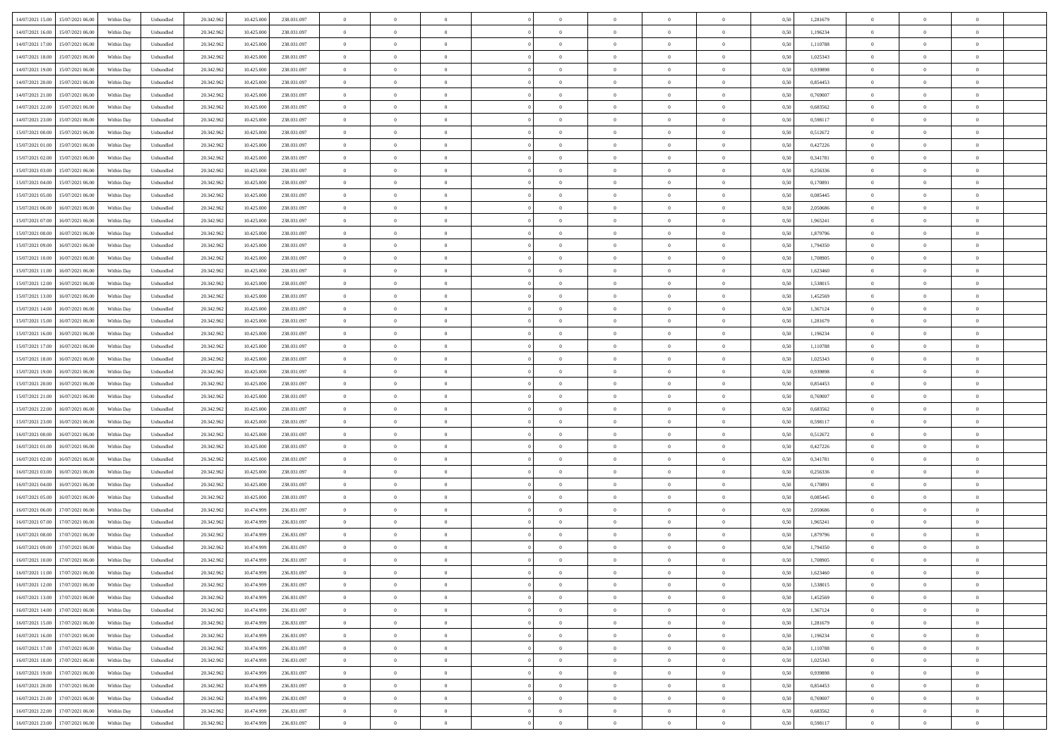| 14/07/2021 15:00 15/07/2021 06:00            | Within Day | Unbundled | 20.342.962 | 10.425.000 | 238.031.097 | $\overline{0}$ | $\overline{0}$ |                | $\overline{0}$ | $\theta$       |                | $\theta$       | 0,50 | 1,281679 | $\theta$       | $\theta$       | $\overline{0}$ |  |
|----------------------------------------------|------------|-----------|------------|------------|-------------|----------------|----------------|----------------|----------------|----------------|----------------|----------------|------|----------|----------------|----------------|----------------|--|
|                                              |            |           |            |            |             |                |                |                |                |                |                |                |      |          |                |                |                |  |
| 14/07/2021 16:00<br>15/07/2021 06:00         | Within Day | Unbundled | 20.342.96  | 10.425.00  | 238.031.097 | $\bf{0}$       | $\overline{0}$ | $\bf{0}$       | $\overline{0}$ | $\overline{0}$ | $\overline{0}$ | $\bf{0}$       | 0,50 | 1,196234 | $\,$ 0 $\,$    | $\bf{0}$       | $\overline{0}$ |  |
| 14/07/2021 17:00<br>15/07/2021 06:00         | Within Day | Unbundled | 20.342.962 | 10.425,000 | 238.031.097 | $\overline{0}$ | $\bf{0}$       | $\overline{0}$ | $\bf{0}$       | $\bf{0}$       | $\overline{0}$ | $\bf{0}$       | 0.50 | 1,110788 | $\bf{0}$       | $\overline{0}$ | $\overline{0}$ |  |
| 14/07/2021 18:00<br>15/07/2021 06:00         | Within Day | Unbundled | 20.342.96  | 10.425.000 | 238.031.097 | $\overline{0}$ | $\overline{0}$ | $\overline{0}$ | $\theta$       | $\theta$       | $\overline{0}$ | $\bf{0}$       | 0,50 | 1,025343 | $\theta$       | $\theta$       | $\overline{0}$ |  |
| 14/07/2021 19:00<br>15/07/2021 06:00         | Within Day | Unbundled | 20.342.96  | 10.425.00  | 238.031.097 | $\bf{0}$       | $\overline{0}$ | $\bf{0}$       | $\overline{0}$ | $\theta$       | $\overline{0}$ | $\bf{0}$       | 0,50 | 0,939898 | $\,$ 0 $\,$    | $\bf{0}$       | $\overline{0}$ |  |
| 14/07/2021 20:00<br>15/07/2021 06:00         | Within Day | Unbundled | 20.342.962 | 10.425.00  | 238.031.097 | $\overline{0}$ | $\overline{0}$ | $\overline{0}$ | $\bf{0}$       | $\overline{0}$ | $\theta$       | $\bf{0}$       | 0.50 | 0.854453 | $\,$ 0 $\,$    | $\theta$       | $\overline{0}$ |  |
|                                              |            |           |            |            |             | $\overline{0}$ | $\overline{0}$ | $\overline{0}$ | $\overline{0}$ | $\overline{0}$ | $\overline{0}$ |                |      |          | $\theta$       | $\theta$       | $\overline{0}$ |  |
| 14/07/2021 21:00<br>15/07/2021 06:00         | Within Day | Unbundled | 20.342.96  | 10.425.000 | 238.031.097 |                |                |                |                |                |                | $\bf{0}$       | 0,50 | 0,769007 |                |                |                |  |
| 14/07/2021 22:00<br>15/07/2021 06:00         | Within Day | Unbundled | 20.342.96  | 10.425.00  | 238.031.097 | $\bf{0}$       | $\overline{0}$ | $\bf{0}$       | $\overline{0}$ | $\overline{0}$ | $\overline{0}$ | $\bf{0}$       | 0,50 | 0,683562 | $\,$ 0 $\,$    | $\bf{0}$       | $\overline{0}$ |  |
| 14/07/2021 23:00<br>15/07/2021 06:00         | Within Day | Unbundled | 20.342.96  | 10.425.00  | 238.031.097 | $\overline{0}$ | $\bf{0}$       | $\overline{0}$ | $\bf{0}$       | $\overline{0}$ | $\overline{0}$ | $\bf{0}$       | 0.50 | 0.598117 | $\bf{0}$       | $\overline{0}$ | $\overline{0}$ |  |
| 15/07/2021 00:00<br>15/07/2021 06:00         | Within Day | Unbundled | 20.342.962 | 10.425.000 | 238.031.097 | $\overline{0}$ | $\bf{0}$       | $\overline{0}$ | $\overline{0}$ | $\overline{0}$ | $\overline{0}$ | $\bf{0}$       | 0,50 | 0,512672 | $\,$ 0 $\,$    | $\theta$       | $\overline{0}$ |  |
| 15/07/2021 01:00<br>15/07/2021 06:00         | Within Day | Unbundled | 20.342.96  | 10.425.000 | 238.031.097 | $\bf{0}$       | $\overline{0}$ | $\bf{0}$       | $\bf{0}$       | $\bf{0}$       | $\overline{0}$ | $\bf{0}$       | 0,50 | 0,427226 | $\,$ 0 $\,$    | $\bf{0}$       | $\overline{0}$ |  |
| 15/07/2021 02:00<br>15/07/2021 06:00         | Within Day | Unbundled | 20.342.962 | 10.425,000 | 238.031.097 | $\overline{0}$ | $\bf{0}$       | $\overline{0}$ | $\bf{0}$       | $\bf{0}$       | $\overline{0}$ | $\bf{0}$       | 0.50 | 0.341781 | $\bf{0}$       | $\overline{0}$ | $\bf{0}$       |  |
| 15/07/2021 03:00<br>15/07/2021 06:00         | Within Day | Unbundled | 20.342.96  | 10.425.000 | 238.031.097 | $\overline{0}$ | $\overline{0}$ | $\overline{0}$ | $\overline{0}$ | $\theta$       | $\overline{0}$ | $\overline{0}$ | 0,50 | 0,256336 | $\,$ 0 $\,$    | $\theta$       | $\overline{0}$ |  |
| 15/07/2021 04:00<br>15/07/2021 06:00         | Within Day | Unbundled | 20.342.96  | 10.425.00  | 238.031.097 | $\bf{0}$       | $\overline{0}$ | $\bf{0}$       | $\overline{0}$ | $\theta$       | $\overline{0}$ | $\bf{0}$       | 0,50 | 0,170891 | $\,$ 0 $\,$    | $\bf{0}$       | $\overline{0}$ |  |
|                                              |            |           |            |            |             |                |                |                |                |                |                |                |      |          |                |                |                |  |
| 15/07/2021 05:00<br>15/07/2021 06:00         | Within Day | Unbundled | 20.342.962 | 10.425.00  | 238.031.097 | $\overline{0}$ | $\overline{0}$ | $\overline{0}$ | $\bf{0}$       | $\theta$       | $\Omega$       | $\bf{0}$       | 0.50 | 0.085445 | $\theta$       | $\theta$       | $\overline{0}$ |  |
| 15/07/2021 06:00<br>16/07/2021 06:00         | Within Day | Unbundled | 20.342.962 | 10.425.000 | 238.031.097 | $\overline{0}$ | $\overline{0}$ | $\overline{0}$ | $\overline{0}$ | $\overline{0}$ | $\overline{0}$ | $\bf{0}$       | 0,50 | 2,050686 | $\theta$       | $\theta$       | $\overline{0}$ |  |
| 15/07/2021 07:00<br>16/07/2021 06:00         | Within Day | Unbundled | 20.342.96  | 10.425.00  | 238.031.097 | $\bf{0}$       | $\overline{0}$ | $\overline{0}$ | $\overline{0}$ | $\bf{0}$       | $\overline{0}$ | $\bf{0}$       | 0,50 | 1,965241 | $\,$ 0 $\,$    | $\bf{0}$       | $\overline{0}$ |  |
| 15/07/2021 08:00<br>16/07/2021 06:00         | Within Day | Unbundled | 20,342.96  | 10.425.00  | 238.031.097 | $\overline{0}$ | $\bf{0}$       | $\overline{0}$ | $\bf{0}$       | $\overline{0}$ | $\overline{0}$ | $\bf{0}$       | 0.50 | 1.879796 | $\bf{0}$       | $\overline{0}$ | $\overline{0}$ |  |
| 15/07/2021 09:00<br>16/07/2021 06:00         | Within Day | Unbundled | 20.342.962 | 10.425.000 | 238.031.097 | $\overline{0}$ | $\overline{0}$ | $\overline{0}$ | $\overline{0}$ | $\overline{0}$ | $\overline{0}$ | $\bf{0}$       | 0,50 | 1,794350 | $\,$ 0 $\,$    | $\theta$       | $\overline{0}$ |  |
| 15/07/2021 10:00<br>16/07/2021 06:00         | Within Day | Unbundled | 20.342.96  | 10.425.000 | 238.031.097 | $\bf{0}$       | $\bf{0}$       | $\bf{0}$       | $\bf{0}$       | $\overline{0}$ | $\overline{0}$ | $\bf{0}$       | 0,50 | 1,708905 | $\,$ 0 $\,$    | $\bf{0}$       | $\overline{0}$ |  |
| 15/07/2021 11:00<br>16/07/2021 06:00         | Within Day | Unbundled | 20.342.962 | 10.425,000 | 238.031.097 | $\overline{0}$ | $\bf{0}$       | $\overline{0}$ | $\bf{0}$       | $\bf{0}$       | $\overline{0}$ | $\bf{0}$       | 0.50 | 1,623460 | $\bf{0}$       | $\overline{0}$ | $\bf{0}$       |  |
| 15/07/2021 12:00<br>16/07/2021 06:00         | Within Day | Unbundled | 20.342.96  | 10.425.000 | 238.031.097 | $\overline{0}$ | $\overline{0}$ | $\overline{0}$ | $\theta$       | $\theta$       | $\overline{0}$ | $\bf{0}$       | 0,50 | 1,538015 | $\theta$       | $\theta$       | $\overline{0}$ |  |
|                                              |            |           |            |            |             |                |                |                |                |                |                |                |      |          |                |                |                |  |
| 15/07/2021 13:00<br>16/07/2021 06:00         | Within Day | Unbundled | 20.342.96  | 10.425.00  | 238.031.097 | $\bf{0}$       | $\overline{0}$ | $\bf{0}$       | $\bf{0}$       | $\,$ 0 $\,$    | $\overline{0}$ | $\bf{0}$       | 0,50 | 1,452569 | $\,$ 0 $\,$    | $\bf{0}$       | $\overline{0}$ |  |
| 15/07/2021 14:00<br>16/07/2021 06:00         | Within Day | Unbundled | 20.342.962 | 10.425.00  | 238.031.097 | $\overline{0}$ | $\overline{0}$ | $\overline{0}$ | $\overline{0}$ | $\overline{0}$ | $\Omega$       | $\bf{0}$       | 0.50 | 1.367124 | $\,$ 0 $\,$    | $\theta$       | $\overline{0}$ |  |
| 15/07/2021 15:00<br>16/07/2021 06:00         | Within Day | Unbundled | 20.342.962 | 10.425.000 | 238.031.097 | $\overline{0}$ | $\overline{0}$ | $\overline{0}$ | $\overline{0}$ | $\overline{0}$ | $\overline{0}$ | $\bf{0}$       | 0,50 | 1,281679 | $\theta$       | $\theta$       | $\overline{0}$ |  |
| 15/07/2021 16:00<br>16/07/2021 06:00         | Within Day | Unbundled | 20.342.96  | 10.425.00  | 238.031.097 | $\bf{0}$       | $\theta$       | $\bf{0}$       | $\overline{0}$ | $\bf{0}$       | $\overline{0}$ | $\bf{0}$       | 0,50 | 1,196234 | $\,$ 0 $\,$    | $\bf{0}$       | $\overline{0}$ |  |
| 15/07/2021 17:00<br>16/07/2021 06:00         | Within Day | Unbundled | 20.342.96  | 10.425.00  | 238.031.097 | $\overline{0}$ | $\bf{0}$       | $\overline{0}$ | $\bf{0}$       | $\overline{0}$ | $\overline{0}$ | $\bf{0}$       | 0.50 | 1.110788 | $\bf{0}$       | $\overline{0}$ | $\overline{0}$ |  |
| 15/07/2021 18:00<br>16/07/2021 06:00         | Within Day | Unbundled | 20.342.962 | 10.425.000 | 238.031.097 | $\overline{0}$ | $\overline{0}$ | $\overline{0}$ | $\overline{0}$ | $\overline{0}$ | $\overline{0}$ | $\bf{0}$       | 0,50 | 1,025343 | $\theta$       | $\theta$       | $\overline{0}$ |  |
| 15/07/2021 19:00<br>16/07/2021 06:00         | Within Day | Unbundled | 20.342.96  | 10.425.000 | 238.031.097 | $\bf{0}$       | $\bf{0}$       | $\bf{0}$       | $\bf{0}$       | $\overline{0}$ | $\overline{0}$ | $\bf{0}$       | 0,50 | 0,939898 | $\,$ 0 $\,$    | $\bf{0}$       | $\overline{0}$ |  |
| 15/07/2021 20:00<br>16/07/2021 06:00         | Within Day | Unbundled | 20.342.962 | 10.425,000 | 238.031.097 | $\overline{0}$ | $\bf{0}$       | $\overline{0}$ | $\bf{0}$       | $\bf{0}$       | $\overline{0}$ | $\bf{0}$       | 0.50 | 0.854453 | $\bf{0}$       | $\overline{0}$ | $\bf{0}$       |  |
|                                              |            |           |            |            |             |                |                |                |                |                |                |                |      |          |                |                |                |  |
| 15/07/2021 21:00<br>16/07/2021 06:00         | Within Day | Unbundled | 20.342.96  | 10.425,000 | 238.031.097 | $\overline{0}$ | $\overline{0}$ | $\overline{0}$ | $\overline{0}$ | $\overline{0}$ | $\overline{0}$ | $\bf{0}$       | 0.5( | 0.769007 | $\theta$       | $\theta$       | $\overline{0}$ |  |
| 15/07/2021 22.00<br>16/07/2021 06:00         | Within Day | Unbundled | 20.342.96  | 10.425.00  | 238.031.097 | $\bf{0}$       | $\overline{0}$ | $\bf{0}$       | $\overline{0}$ | $\overline{0}$ | $\overline{0}$ | $\bf{0}$       | 0,50 | 0,683562 | $\,$ 0 $\,$    | $\bf{0}$       | $\overline{0}$ |  |
| 15/07/2021 23:00<br>16/07/2021 06:00         | Within Day | Unbundled | 20.342.962 | 10.425.00  | 238.031.097 | $\overline{0}$ | $\overline{0}$ | $\overline{0}$ | $\bf{0}$       | $\overline{0}$ | $\Omega$       | $\bf{0}$       | 0.50 | 0.598117 | $\,$ 0 $\,$    | $\theta$       | $\overline{0}$ |  |
| 16/07/2021 00:00<br>16/07/2021 06:00         | Within Dav | Unbundled | 20.342.96  | 10.425.000 | 238.031.097 | $\overline{0}$ | $\overline{0}$ | $\overline{0}$ | $\overline{0}$ | $\overline{0}$ | $\overline{0}$ | $\overline{0}$ | 0.5( | 0,512672 | $\theta$       | $\theta$       | $\overline{0}$ |  |
| 16/07/2021 01:00<br>16/07/2021 06:00         | Within Day | Unbundled | 20.342.96  | 10.425.000 | 238.031.097 | $\bf{0}$       | $\overline{0}$ | $\bf{0}$       | $\overline{0}$ | $\bf{0}$       | $\overline{0}$ | $\bf{0}$       | 0,50 | 0,427226 | $\,$ 0 $\,$    | $\bf{0}$       | $\overline{0}$ |  |
| 16/07/2021 02:00<br>16/07/2021 06:00         | Within Day | Unbundled | 20,342.96  | 10.425.00  | 238.031.097 | $\overline{0}$ | $\bf{0}$       | $\overline{0}$ | $\bf{0}$       | $\overline{0}$ | $\overline{0}$ | $\bf{0}$       | 0.50 | 0.341781 | $\bf{0}$       | $\overline{0}$ | $\overline{0}$ |  |
| 16/07/2021 03:00<br>16/07/2021 06:00         | Within Dav | Unbundled | 20.342.96  | 10.425,000 | 238.031.097 | $\overline{0}$ | $\overline{0}$ | $\overline{0}$ | $\overline{0}$ | $\overline{0}$ | $\overline{0}$ | $\overline{0}$ | 0.50 | 0,256336 | $\theta$       | $\theta$       | $\overline{0}$ |  |
| 16/07/2021 04:00<br>16/07/2021 06:00         | Within Day | Unbundled | 20.342.96  | 10.425.000 | 238.031.097 | $\bf{0}$       | $\bf{0}$       | $\bf{0}$       | $\bf{0}$       | $\overline{0}$ | $\overline{0}$ | $\bf{0}$       | 0,50 | 0,170891 | $\,$ 0 $\,$    | $\bf{0}$       | $\overline{0}$ |  |
|                                              |            |           |            |            |             |                |                |                |                |                |                |                |      |          |                |                |                |  |
| 16/07/2021 05:00<br>16/07/2021 06:00         | Within Day | Unbundled | 20.342.962 | 10.425,000 | 238.031.097 | $\overline{0}$ | $\bf{0}$       | $\overline{0}$ | $\bf{0}$       | $\bf{0}$       | $\overline{0}$ | $\bf{0}$       | 0.50 | 0.085445 | $\bf{0}$       | $\overline{0}$ | $\overline{0}$ |  |
| 16/07/2021 06:00<br>17/07/2021 06:00         | Within Day | Unbundled | 20.342.96  | 10.474.999 | 236,831,097 | $\overline{0}$ | $\overline{0}$ | $\overline{0}$ | $\overline{0}$ | $\overline{0}$ | $\overline{0}$ | $\bf{0}$       | 0.5( | 2.050686 | $\theta$       | $\theta$       | $\overline{0}$ |  |
| 16/07/2021 07:00<br>17/07/2021 06:00         | Within Day | Unbundled | 20.342.96  | 10.474.999 | 236.831.097 | $\bf{0}$       | $\overline{0}$ | $\bf{0}$       | $\overline{0}$ | $\overline{0}$ | $\overline{0}$ | $\bf{0}$       | 0,50 | 1,965241 | $\,$ 0 $\,$    | $\bf{0}$       | $\overline{0}$ |  |
| 16/07/2021 08:00<br>17/07/2021 06:00         | Within Day | Unbundled | 20.342.962 | 10.474.999 | 236,831,097 | $\overline{0}$ | $\overline{0}$ | $\overline{0}$ | $\overline{0}$ | $\overline{0}$ | $\theta$       | $\bf{0}$       | 0.50 | 1.879796 | $\bf{0}$       | $\theta$       | $\overline{0}$ |  |
| 16/07/2021 09:00<br>17/07/2021 06:00         | Within Dav | Unbundled | 20.342.96  | 10.474.999 | 236,831,097 | $\overline{0}$ | $\overline{0}$ | $\Omega$       | $\overline{0}$ | $\theta$       | $\Omega$       | $\overline{0}$ | 0.5( | 1,794350 | $\theta$       | $\theta$       | $\overline{0}$ |  |
| 16/07/2021 10:00<br>17/07/2021 06:00         | Within Day | Unbundled | 20.342.96  | 10.474.999 | 236.831.097 | $\bf{0}$       | $\bf{0}$       | $\bf{0}$       | $\bf{0}$       | $\bf{0}$       | $\overline{0}$ | $\bf{0}$       | 0,50 | 1,708905 | $\,$ 0 $\,$    | $\bf{0}$       | $\overline{0}$ |  |
| $16/07/2021\ 11.00 \qquad 17/07/2021\ 06.00$ | Within Day | Unbundled | 20.342.962 | 10.474.999 | 236 831 097 | $\overline{0}$ | $\theta$       |                | $\overline{0}$ |                |                |                | 0,50 | 1,623460 | $\bf{0}$       | $\overline{0}$ |                |  |
| 16/07/2021 12:00 17/07/2021 06:00            | Within Day | Unbundled | 20.342.962 | 10.474.999 | 236.831.097 | $\overline{0}$ | $\theta$       | $\Omega$       | $\theta$       | $\theta$       | $\overline{0}$ | $\bf{0}$       | 0,50 | 1,538015 | $\theta$       | $\theta$       | $\overline{0}$ |  |
|                                              |            |           |            |            |             |                |                |                |                |                |                |                |      |          |                |                |                |  |
| 16/07/2021 13:00<br>17/07/2021 06:00         | Within Day | Unbundled | 20.342.96  | 10.474.999 | 236.831.097 | $\overline{0}$ | $\bf{0}$       | $\overline{0}$ | $\overline{0}$ | $\bf{0}$       | $\overline{0}$ | $\bf{0}$       | 0,50 | 1,452569 | $\bf{0}$       | $\overline{0}$ | $\bf{0}$       |  |
| 16/07/2021 14:00 17/07/2021 06:00            | Within Day | Unbundled | 20.342.962 | 10.474.999 | 236.831.097 | $\overline{0}$ | $\bf{0}$       | $\overline{0}$ | $\overline{0}$ | $\overline{0}$ | $\overline{0}$ | $\,$ 0 $\,$    | 0.50 | 1,367124 | $\overline{0}$ | $\bf{0}$       | $\,$ 0 $\,$    |  |
| 16/07/2021 15:00 17/07/2021 06:00            | Within Day | Unbundled | 20.342.962 | 10.474.999 | 236.831.097 | $\overline{0}$ | $\overline{0}$ | $\overline{0}$ | $\overline{0}$ | $\overline{0}$ | $\overline{0}$ | $\bf{0}$       | 0,50 | 1,281679 | $\theta$       | $\theta$       | $\overline{0}$ |  |
| 16/07/2021 16:00<br>17/07/2021 06:00         | Within Day | Unbundled | 20.342.962 | 10.474.999 | 236.831.097 | $\overline{0}$ | $\bf{0}$       | $\overline{0}$ | $\bf{0}$       | $\overline{0}$ | $\bf{0}$       | $\bf{0}$       | 0,50 | 1,196234 | $\bf{0}$       | $\bf{0}$       | $\overline{0}$ |  |
| 16/07/2021 17:00<br>17/07/2021 06:00         | Within Day | Unbundled | 20.342.962 | 10.474.999 | 236,831,097 | $\overline{0}$ | $\bf{0}$       | $\overline{0}$ | $\overline{0}$ | $\overline{0}$ | $\overline{0}$ | $\bf{0}$       | 0.50 | 1.110788 | $\,$ 0 $\,$    | $\theta$       | $\overline{0}$ |  |
| 16/07/2021 18:00<br>17/07/2021 06:00         | Within Dav | Unbundled | 20.342.962 | 10.474.999 | 236.831.097 | $\overline{0}$ | $\overline{0}$ | $\overline{0}$ | $\overline{0}$ | $\overline{0}$ | $\overline{0}$ | $\bf{0}$       | 0,50 | 1,025343 | $\overline{0}$ | $\theta$       | $\overline{0}$ |  |
| 17/07/2021 06:00<br>16/07/2021 19:00         | Within Day | Unbundled | 20.342.96  | 10.474.999 | 236.831.097 | $\overline{0}$ | $\overline{0}$ | $\overline{0}$ | $\overline{0}$ | $\overline{0}$ | $\overline{0}$ | $\bf{0}$       | 0,50 | 0,939898 | $\bf{0}$       | $\,$ 0 $\,$    | $\overline{0}$ |  |
| 16/07/2021 20:00<br>17/07/2021 06:00         | Within Day | Unbundled | 20.342.962 | 10.474.999 | 236,831,097 | $\overline{0}$ | $\overline{0}$ | $\overline{0}$ | $\overline{0}$ | $\bf{0}$       | $\overline{0}$ | $\bf{0}$       | 0.50 | 0.854453 | $\overline{0}$ | $\,$ 0 $\,$    | $\,$ 0         |  |
|                                              |            |           |            |            |             |                | $\overline{0}$ |                |                | $\overline{0}$ |                |                |      |          | $\overline{0}$ | $\theta$       | $\overline{0}$ |  |
| 16/07/2021 21:00 17/07/2021 06:00            | Within Dav | Unbundled | 20.342.962 | 10.474.999 | 236.831.097 | $\overline{0}$ |                | $\overline{0}$ | $\overline{0}$ |                | $\overline{0}$ | $\bf{0}$       | 0,50 | 0,769007 |                |                |                |  |
| 16/07/2021 22:00<br>17/07/2021 06:00         | Within Day | Unbundled | 20.342.96  | 10.474.999 | 236.831.097 | $\overline{0}$ | $\bf{0}$       | $\overline{0}$ | $\bf{0}$       | $\overline{0}$ | $\bf{0}$       | $\bf{0}$       | 0,50 | 0,683562 | $\bf{0}$       | $\bf{0}$       | $\bf{0}$       |  |
| 16/07/2021 23:00 17/07/2021 06:00            | Within Day | Unbundled | 20.342.962 | 10.474.999 | 236.831.097 | $\overline{0}$ | $\bf{0}$       | $\overline{0}$ | $\overline{0}$ | $\,$ 0 $\,$    | $\overline{0}$ | $\bf{0}$       | 0,50 | 0,598117 | $\overline{0}$ | $\,$ 0 $\,$    | $\,$ 0 $\,$    |  |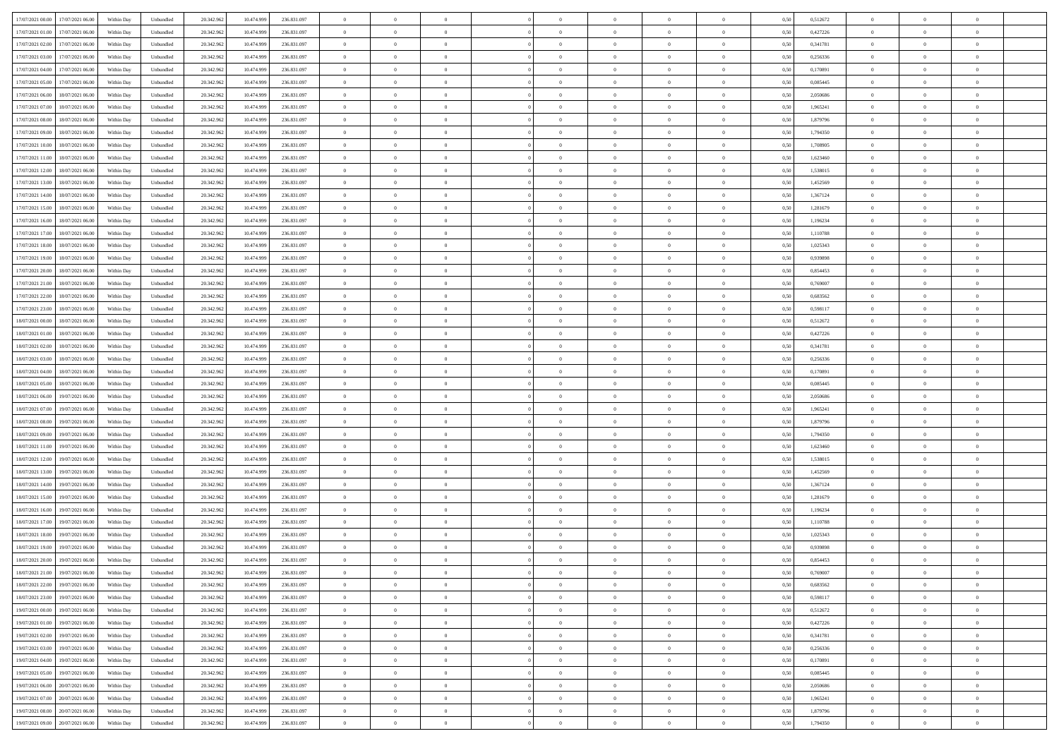| 17/07/2021 00:00 17/07/2021 06:00                       | Within Day | Unbundled                   | 20.342.962 | 10.474.999 | 236.831.097 | $\overline{0}$ | $\overline{0}$ |                | $\overline{0}$ | $\theta$       |                | $\theta$       | 0,50 | 0,512672 | $\theta$       | $\theta$       | $\overline{0}$ |  |
|---------------------------------------------------------|------------|-----------------------------|------------|------------|-------------|----------------|----------------|----------------|----------------|----------------|----------------|----------------|------|----------|----------------|----------------|----------------|--|
| 17/07/2021 01:00<br>17/07/2021 06:00                    | Within Day | Unbundled                   | 20.342.96  | 10.474.99  | 236.831.097 | $\bf{0}$       | $\overline{0}$ | $\bf{0}$       | $\overline{0}$ | $\bf{0}$       | $\overline{0}$ | $\bf{0}$       | 0,50 | 0,427226 | $\,$ 0 $\,$    | $\bf{0}$       | $\overline{0}$ |  |
| 17/07/2021 02:00<br>17/07/2021 06:00                    | Within Day | Unbundled                   | 20.342.962 | 10.474.999 | 236,831,097 | $\overline{0}$ | $\bf{0}$       | $\overline{0}$ | $\bf{0}$       | $\bf{0}$       | $\overline{0}$ | $\bf{0}$       | 0.50 | 0.341781 | $\bf{0}$       | $\overline{0}$ | $\overline{0}$ |  |
| 17/07/2021 03:00<br>17/07/2021 06:00                    |            |                             |            |            |             | $\overline{0}$ | $\overline{0}$ | $\overline{0}$ | $\theta$       | $\theta$       | $\overline{0}$ |                |      | 0,256336 | $\theta$       | $\theta$       | $\overline{0}$ |  |
|                                                         | Within Day | Unbundled                   | 20.342.96  | 10.474.999 | 236.831.097 |                |                |                |                |                |                | $\bf{0}$       | 0,50 |          |                |                |                |  |
| 17/07/2021 04:00<br>17/07/2021 06:00                    | Within Day | Unbundled                   | 20.342.96  | 10.474.99  | 236.831.097 | $\bf{0}$       | $\overline{0}$ | $\bf{0}$       | $\overline{0}$ | $\theta$       | $\overline{0}$ | $\bf{0}$       | 0,50 | 0,170891 | $\,$ 0 $\,$    | $\bf{0}$       | $\overline{0}$ |  |
| 17/07/2021 05:00<br>17/07/2021 06:00                    | Within Day | Unbundled                   | 20.342.962 | 10.474.999 | 236,831,097 | $\overline{0}$ | $\overline{0}$ | $\overline{0}$ | $\bf{0}$       | $\overline{0}$ | $\theta$       | $\bf{0}$       | 0.50 | 0.085445 | $\,$ 0 $\,$    | $\theta$       | $\overline{0}$ |  |
| 17/07/2021 06:00<br>18/07/2021 06:00                    | Within Day | Unbundled                   | 20.342.96  | 10.474.999 | 236.831.097 | $\overline{0}$ | $\overline{0}$ | $\overline{0}$ | $\overline{0}$ | $\overline{0}$ | $\overline{0}$ | $\bf{0}$       | 0,50 | 2,050686 | $\theta$       | $\theta$       | $\overline{0}$ |  |
|                                                         |            |                             |            |            |             |                |                |                |                |                |                |                |      |          |                |                |                |  |
| 17/07/2021 07:00<br>18/07/2021 06:00                    | Within Day | Unbundled                   | 20.342.96  | 10.474.99  | 236.831.097 | $\bf{0}$       | $\overline{0}$ | $\bf{0}$       | $\overline{0}$ | $\overline{0}$ | $\overline{0}$ | $\bf{0}$       | 0,50 | 1,965241 | $\,$ 0 $\,$    | $\bf{0}$       | $\overline{0}$ |  |
| 17/07/2021 08:00<br>18/07/2021 06:00                    | Within Day | Unbundled                   | 20.342.96  | 10.474.999 | 236,831,097 | $\overline{0}$ | $\bf{0}$       | $\overline{0}$ | $\bf{0}$       | $\overline{0}$ | $\overline{0}$ | $\bf{0}$       | 0.50 | 1.879796 | $\bf{0}$       | $\theta$       | $\overline{0}$ |  |
| 17/07/2021 09:00<br>18/07/2021 06:00                    | Within Day | Unbundled                   | 20.342.962 | 10.474.999 | 236.831.097 | $\bf{0}$       | $\bf{0}$       | $\overline{0}$ | $\overline{0}$ | $\overline{0}$ | $\overline{0}$ | $\bf{0}$       | 0,50 | 1,794350 | $\,$ 0 $\,$    | $\bf{0}$       | $\overline{0}$ |  |
| 17/07/2021 10:00<br>18/07/2021 06:00                    | Within Day | Unbundled                   | 20.342.96  | 10.474.999 | 236.831.097 | $\bf{0}$       | $\overline{0}$ | $\bf{0}$       | $\bf{0}$       | $\bf{0}$       | $\overline{0}$ | $\bf{0}$       | 0,50 | 1,708905 | $\,$ 0 $\,$    | $\bf{0}$       | $\overline{0}$ |  |
|                                                         |            |                             |            |            |             |                |                |                |                |                |                |                |      |          |                |                |                |  |
| 17/07/2021 11:00<br>18/07/2021 06:00                    | Within Day | Unbundled                   | 20.342.962 | 10.474.999 | 236,831,097 | $\overline{0}$ | $\bf{0}$       | $\overline{0}$ | $\bf{0}$       | $\bf{0}$       | $\overline{0}$ | $\bf{0}$       | 0.50 | 1.623460 | $\bf{0}$       | $\overline{0}$ | $\bf{0}$       |  |
| 17/07/2021 12:00<br>18/07/2021 06:00                    | Within Day | Unbundled                   | 20.342.96  | 10.474.999 | 236.831.097 | $\overline{0}$ | $\overline{0}$ | $\overline{0}$ | $\overline{0}$ | $\theta$       | $\overline{0}$ | $\overline{0}$ | 0,50 | 1,538015 | $\,$ 0 $\,$    | $\theta$       | $\overline{0}$ |  |
| 17/07/2021 13:00<br>18/07/2021 06:00                    | Within Day | Unbundled                   | 20.342.96  | 10.474.99  | 236.831.097 | $\bf{0}$       | $\overline{0}$ | $\bf{0}$       | $\overline{0}$ | $\theta$       | $\overline{0}$ | $\bf{0}$       | 0,50 | 1,452569 | $\,$ 0 $\,$    | $\bf{0}$       | $\overline{0}$ |  |
|                                                         |            |                             |            |            |             |                |                |                |                |                |                |                |      |          |                |                |                |  |
| 17/07/2021 14:00<br>18/07/2021 06:00                    | Within Day | Unbundled                   | 20.342.962 | 10.474.999 | 236,831,097 | $\overline{0}$ | $\overline{0}$ | $\overline{0}$ | $\bf{0}$       | $\bf{0}$       | $\Omega$       | $\bf{0}$       | 0.50 | 1.367124 | $\,$ 0 $\,$    | $\theta$       | $\overline{0}$ |  |
| 17/07/2021 15:00<br>18/07/2021 06:00                    | Within Day | Unbundled                   | 20.342.962 | 10.474.999 | 236.831.097 | $\overline{0}$ | $\overline{0}$ | $\overline{0}$ | $\overline{0}$ | $\overline{0}$ | $\overline{0}$ | $\bf{0}$       | 0,50 | 1,281679 | $\theta$       | $\theta$       | $\overline{0}$ |  |
| 17/07/2021 16:00<br>18/07/2021 06:00                    | Within Day | Unbundled                   | 20.342.96  | 10.474.99  | 236.831.097 | $\bf{0}$       | $\overline{0}$ | $\overline{0}$ | $\overline{0}$ | $\bf{0}$       | $\overline{0}$ | $\bf{0}$       | 0,50 | 1,196234 | $\,$ 0 $\,$    | $\bf{0}$       | $\overline{0}$ |  |
| 17/07/2021 17:00<br>18/07/2021 06:00                    | Within Day | Unbundled                   | 20,342.96  | 10.474.999 | 236,831,097 | $\overline{0}$ | $\bf{0}$       | $\overline{0}$ | $\bf{0}$       | $\overline{0}$ | $\overline{0}$ | $\bf{0}$       | 0.50 | 1.110788 | $\bf{0}$       | $\overline{0}$ | $\overline{0}$ |  |
|                                                         |            |                             |            |            |             |                | $\overline{0}$ | $\overline{0}$ | $\overline{0}$ | $\overline{0}$ | $\overline{0}$ |                |      |          | $\,$ 0 $\,$    |                |                |  |
| 17/07/2021 18:00<br>18/07/2021 06:00                    | Within Day | Unbundled                   | 20.342.962 | 10.474.999 | 236.831.097 | $\bf{0}$       |                |                |                |                |                | $\bf{0}$       | 0,50 | 1,025343 |                | $\bf{0}$       | $\overline{0}$ |  |
| 17/07/2021 19:00<br>18/07/2021 06:00                    | Within Day | Unbundled                   | 20.342.96  | 10.474.99  | 236.831.097 | $\bf{0}$       | $\bf{0}$       | $\bf{0}$       | $\bf{0}$       | $\overline{0}$ | $\overline{0}$ | $\bf{0}$       | 0,50 | 0,939898 | $\,$ 0 $\,$    | $\bf{0}$       | $\overline{0}$ |  |
| 17/07/2021 20:00<br>18/07/2021 06:00                    | Within Day | Unbundled                   | 20.342.962 | 10.474.999 | 236,831,097 | $\overline{0}$ | $\bf{0}$       | $\overline{0}$ | $\bf{0}$       | $\bf{0}$       | $\overline{0}$ | $\bf{0}$       | 0.50 | 0.854453 | $\bf{0}$       | $\overline{0}$ | $\overline{0}$ |  |
| 17/07/2021 21:00<br>18/07/2021 06:00                    | Within Day | Unbundled                   | 20.342.96  | 10.474.999 | 236.831.097 | $\overline{0}$ | $\overline{0}$ | $\overline{0}$ | $\theta$       | $\theta$       | $\overline{0}$ | $\bf{0}$       | 0,50 | 0,769007 | $\theta$       | $\theta$       | $\overline{0}$ |  |
| 17/07/2021 22.00<br>18/07/2021 06:00                    | Within Day | Unbundled                   | 20.342.96  | 10.474.99  | 236.831.097 | $\bf{0}$       | $\overline{0}$ | $\bf{0}$       | $\bf{0}$       | $\overline{0}$ | $\overline{0}$ | $\bf{0}$       | 0,50 | 0,683562 | $\,$ 0 $\,$    | $\bf{0}$       | $\overline{0}$ |  |
|                                                         |            |                             |            |            |             |                |                |                |                |                |                |                |      |          |                |                |                |  |
| 17/07/2021 23:00<br>18/07/2021 06:00                    | Within Day | Unbundled                   | 20.342.962 | 10.474.999 | 236,831,097 | $\overline{0}$ | $\overline{0}$ | $\overline{0}$ | $\overline{0}$ | $\overline{0}$ | $\Omega$       | $\bf{0}$       | 0.50 | 0.598117 | $\bf{0}$       | $\theta$       | $\overline{0}$ |  |
| 18/07/2021 00:00<br>18/07/2021 06:00                    | Within Day | Unbundled                   | 20.342.962 | 10.474.999 | 236.831.097 | $\overline{0}$ | $\overline{0}$ | $\overline{0}$ | $\overline{0}$ | $\overline{0}$ | $\overline{0}$ | $\bf{0}$       | 0,50 | 0,512672 | $\,$ 0 $\,$    | $\theta$       | $\overline{0}$ |  |
| 18/07/2021 01:00<br>18/07/2021 06:00                    | Within Day | Unbundled                   | 20.342.96  | 10.474.99  | 236.831.097 | $\bf{0}$       | $\theta$       | $\bf{0}$       | $\overline{0}$ | $\bf{0}$       | $\overline{0}$ | $\bf{0}$       | 0,50 | 0,427226 | $\,$ 0 $\,$    | $\bf{0}$       | $\overline{0}$ |  |
| 18/07/2021 02:00<br>18/07/2021 06:00                    | Within Day | Unbundled                   | 20.342.96  | 10.474.999 | 236,831,097 | $\overline{0}$ | $\bf{0}$       | $\overline{0}$ | $\bf{0}$       | $\overline{0}$ | $\overline{0}$ | $\bf{0}$       | 0.50 | 0.341781 | $\bf{0}$       | $\bf{0}$       | $\overline{0}$ |  |
|                                                         |            |                             |            |            |             |                |                |                |                |                |                |                |      |          |                |                |                |  |
| 18/07/2021 03:00<br>18/07/2021 06:00                    | Within Day | Unbundled                   | 20.342.962 | 10.474.999 | 236.831.097 | $\overline{0}$ | $\overline{0}$ | $\overline{0}$ | $\overline{0}$ | $\overline{0}$ | $\overline{0}$ | $\bf{0}$       | 0,50 | 0,256336 | $\theta$       | $\theta$       | $\overline{0}$ |  |
| 18/07/2021 04:00<br>18/07/2021 06:00                    | Within Day | Unbundled                   | 20.342.96  | 10.474.999 | 236.831.097 | $\bf{0}$       | $\bf{0}$       | $\bf{0}$       | $\bf{0}$       | $\overline{0}$ | $\overline{0}$ | $\bf{0}$       | 0,50 | 0,170891 | $\,$ 0 $\,$    | $\bf{0}$       | $\overline{0}$ |  |
| 18/07/2021 05:00<br>18/07/2021 06:00                    | Within Day | Unbundled                   | 20.342.962 | 10.474.999 | 236,831,097 | $\overline{0}$ | $\bf{0}$       | $\overline{0}$ | $\bf{0}$       | $\bf{0}$       | $\overline{0}$ | $\bf{0}$       | 0.50 | 0.085445 | $\bf{0}$       | $\overline{0}$ | $\overline{0}$ |  |
| 18/07/2021 06:00<br>19/07/2021 06:00                    | Within Day | Unbundled                   | 20.342.96  | 10.474.999 | 236.831.097 | $\overline{0}$ | $\overline{0}$ | $\overline{0}$ | $\overline{0}$ | $\overline{0}$ | $\overline{0}$ | $\bf{0}$       | 0.5( | 2.050686 | $\theta$       | $\theta$       | $\overline{0}$ |  |
|                                                         |            |                             |            |            |             |                |                |                |                |                |                |                |      |          |                |                |                |  |
| 18/07/2021 07:00<br>19/07/2021 06:00                    | Within Day | Unbundled                   | 20.342.96  | 10.474.99  | 236.831.097 | $\bf{0}$       | $\overline{0}$ | $\bf{0}$       | $\bf{0}$       | $\,$ 0 $\,$    | $\overline{0}$ | $\bf{0}$       | 0,50 | 1,965241 | $\,$ 0 $\,$    | $\bf{0}$       | $\overline{0}$ |  |
| 18/07/2021 08:00<br>19/07/2021 06:00                    | Within Day | Unbundled                   | 20.342.962 | 10.474.999 | 236,831,097 | $\overline{0}$ | $\overline{0}$ | $\overline{0}$ | $\bf{0}$       | $\bf{0}$       | $\Omega$       | $\bf{0}$       | 0.50 | 1.879796 | $\,$ 0 $\,$    | $\theta$       | $\overline{0}$ |  |
| 18/07/2021 09:00<br>19/07/2021 06:00                    | Within Dav | Unbundled                   | 20.342.96  | 10.474.999 | 236.831.097 | $\overline{0}$ | $\overline{0}$ | $\overline{0}$ | $\overline{0}$ | $\overline{0}$ | $\overline{0}$ | $\overline{0}$ | 0.5( | 1,794350 | $\theta$       | $\theta$       | $\overline{0}$ |  |
| 18/07/2021 11:00<br>19/07/2021 06:00                    | Within Day | Unbundled                   | 20.342.96  | 10.474.999 | 236.831.097 | $\bf{0}$       | $\overline{0}$ | $\bf{0}$       | $\bf{0}$       | $\bf{0}$       | $\overline{0}$ | $\bf{0}$       | 0,50 | 1,623460 | $\,$ 0 $\,$    | $\bf{0}$       | $\overline{0}$ |  |
| 18/07/2021 12:00<br>19/07/2021 06:00                    | Within Day | Unbundled                   | 20,342.96  | 10.474.999 | 236,831,097 | $\overline{0}$ | $\bf{0}$       | $\overline{0}$ | $\bf{0}$       | $\overline{0}$ | $\overline{0}$ | $\bf{0}$       | 0.50 | 1.538015 | $\bf{0}$       | $\overline{0}$ | $\overline{0}$ |  |
|                                                         |            |                             |            |            |             |                |                |                |                |                |                |                |      |          |                |                |                |  |
| 18/07/2021 13:00<br>19/07/2021 06:00                    | Within Dav | Unbundled                   | 20.342.96  | 10.474.999 | 236.831.097 | $\overline{0}$ | $\overline{0}$ | $\overline{0}$ | $\overline{0}$ | $\overline{0}$ | $\overline{0}$ | $\overline{0}$ | 0.50 | 1,452569 | $\theta$       | $\theta$       | $\overline{0}$ |  |
| 18/07/2021 14:00<br>19/07/2021 06:00                    | Within Day | Unbundled                   | 20.342.96  | 10.474.99  | 236.831.097 | $\bf{0}$       | $\bf{0}$       | $\bf{0}$       | $\bf{0}$       | $\overline{0}$ | $\overline{0}$ | $\bf{0}$       | 0,50 | 1,367124 | $\,$ 0 $\,$    | $\bf{0}$       | $\overline{0}$ |  |
| 18/07/2021 15:00<br>19/07/2021 06:00                    | Within Day | Unbundled                   | 20.342.962 | 10.474.999 | 236,831,097 | $\overline{0}$ | $\bf{0}$       | $\overline{0}$ | $\bf{0}$       | $\bf{0}$       | $\overline{0}$ | $\bf{0}$       | 0.50 | 1,281679 | $\bf{0}$       | $\overline{0}$ | $\overline{0}$ |  |
| 18/07/2021 16:00<br>19/07/2021 06:00                    | Within Day | Unbundled                   | 20.342.96  | 10.474.999 | 236.831.097 | $\overline{0}$ | $\overline{0}$ | $\overline{0}$ | $\overline{0}$ | $\overline{0}$ | $\overline{0}$ | $\bf{0}$       | 0.5( | 1,196234 | $\theta$       | $\theta$       | $\overline{0}$ |  |
|                                                         |            |                             |            |            |             |                |                |                |                |                |                |                |      |          |                |                |                |  |
| 18/07/2021 17:00<br>19/07/2021 06:00                    | Within Day | Unbundled                   | 20.342.96  | 10.474.99  | 236.831.097 | $\bf{0}$       | $\overline{0}$ | $\bf{0}$       | $\bf{0}$       | $\overline{0}$ | $\overline{0}$ | $\bf{0}$       | 0,50 | 1,110788 | $\,$ 0 $\,$    | $\bf{0}$       | $\overline{0}$ |  |
| 18/07/2021 18:00<br>19/07/2021 06:00                    | Within Day | Unbundled                   | 20.342.962 | 10.474.999 | 236,831,097 | $\overline{0}$ | $\overline{0}$ | $\Omega$       | $\overline{0}$ | $\overline{0}$ | $\theta$       | $\bf{0}$       | 0.50 | 1.025343 | $\,$ 0 $\,$    | $\theta$       | $\overline{0}$ |  |
| 18/07/2021 19:00<br>19/07/2021 06:00                    | Within Dav | Unbundled                   | 20.342.96  | 10.474.999 | 236,831,097 | $\overline{0}$ | $\overline{0}$ | $\Omega$       | $\overline{0}$ | $\theta$       | $\Omega$       | $\overline{0}$ | 0.5( | 0.939898 | $\theta$       | $\theta$       | $\overline{0}$ |  |
| 18/07/2021 20:00<br>19/07/2021 06:00                    | Within Day | Unbundled                   | 20.342.96  | 10.474.999 | 236.831.097 | $\bf{0}$       | $\bf{0}$       | $\bf{0}$       | $\bf{0}$       | $\bf{0}$       | $\overline{0}$ | $\bf{0}$       | 0,50 | 0,854453 | $\,$ 0 $\,$    | $\bf{0}$       | $\overline{0}$ |  |
|                                                         |            |                             |            |            | 236 831 097 |                |                |                |                |                |                |                |      | 0.769007 |                |                |                |  |
| $18/07/2021\,\, 21.00 \quad \  \  19/07/2021\,\, 06.00$ | Within Day | $\ensuremath{\mathsf{Unb}}$ | 20.342.962 | 10.474.999 |             | $\overline{0}$ | $\theta$       |                | $\overline{0}$ |                |                |                | 0,50 |          | $\theta$       | $\bf{0}$       |                |  |
| 18/07/2021 22:00 19/07/2021 06:00                       | Within Day | Unbundled                   | 20.342.962 | 10.474.999 | 236.831.097 | $\overline{0}$ | $\theta$       | $\Omega$       | $\theta$       | $\theta$       | $\overline{0}$ | $\bf{0}$       | 0,50 | 0,683562 | $\theta$       | $\theta$       | $\overline{0}$ |  |
| 18/07/2021 23:00<br>19/07/2021 06:00                    | Within Day | Unbundled                   | 20.342.96  | 10.474.999 | 236.831.097 | $\overline{0}$ | $\bf{0}$       | $\overline{0}$ | $\overline{0}$ | $\bf{0}$       | $\overline{0}$ | $\bf{0}$       | 0,50 | 0,598117 | $\bf{0}$       | $\overline{0}$ | $\bf{0}$       |  |
| 19/07/2021 00:00 19/07/2021 06:00                       | Within Day | Unbundled                   | 20.342.962 | 10.474.999 | 236.831.097 | $\overline{0}$ | $\bf{0}$       | $\overline{0}$ | $\overline{0}$ | $\overline{0}$ | $\overline{0}$ | $\bf{0}$       | 0.50 | 0,512672 | $\overline{0}$ | $\bf{0}$       | $\,$ 0 $\,$    |  |
|                                                         |            |                             |            |            |             |                | $\overline{0}$ |                |                | $\overline{0}$ |                |                |      |          | $\theta$       | $\theta$       | $\overline{0}$ |  |
| 19/07/2021 01:00 19/07/2021 06:00                       | Within Day | Unbundled                   | 20.342.962 | 10.474.999 | 236.831.097 | $\overline{0}$ |                | $\overline{0}$ | $\overline{0}$ |                | $\overline{0}$ | $\bf{0}$       | 0,50 | 0,427226 |                |                |                |  |
| 19/07/2021 02:00<br>19/07/2021 06:00                    | Within Day | Unbundled                   | 20.342.962 | 10.474.999 | 236.831.097 | $\overline{0}$ | $\bf{0}$       | $\overline{0}$ | $\bf{0}$       | $\overline{0}$ | $\overline{0}$ | $\bf{0}$       | 0,50 | 0,341781 | $\bf{0}$       | $\bf{0}$       | $\overline{0}$ |  |
| 19/07/2021 03:00<br>19/07/2021 06:00                    | Within Day | Unbundled                   | 20.342.962 | 10.474.999 | 236,831,097 | $\overline{0}$ | $\bf{0}$       | $\overline{0}$ | $\overline{0}$ | $\overline{0}$ | $\overline{0}$ | $\bf{0}$       | 0.50 | 0.256336 | $\,$ 0 $\,$    | $\theta$       | $\overline{0}$ |  |
| 19/07/2021 04:00<br>19/07/2021 06:00                    | Within Dav | Unbundled                   | 20.342.962 | 10.474.999 | 236.831.097 | $\overline{0}$ | $\overline{0}$ | $\overline{0}$ | $\overline{0}$ | $\overline{0}$ | $\overline{0}$ | $\bf{0}$       | 0.50 | 0,170891 | $\overline{0}$ | $\theta$       | $\overline{0}$ |  |
|                                                         |            |                             |            |            |             |                | $\overline{0}$ |                |                | $\overline{0}$ |                |                |      |          | $\bf{0}$       | $\bf{0}$       | $\overline{0}$ |  |
| 19/07/2021 05:00<br>19/07/2021 06:00                    | Within Day | Unbundled                   | 20.342.96  | 10.474.999 | 236.831.097 | $\overline{0}$ |                | $\overline{0}$ | $\overline{0}$ |                | $\overline{0}$ | $\bf{0}$       | 0,50 | 0,085445 |                |                |                |  |
| 19/07/2021 06:00<br>20/07/2021 06:00                    | Within Day | Unbundled                   | 20.342.96  | 10.474.999 | 236,831,097 | $\overline{0}$ | $\overline{0}$ | $\overline{0}$ | $\overline{0}$ | $\bf{0}$       | $\overline{0}$ | $\bf{0}$       | 0.50 | 2.050686 | $\overline{0}$ | $\,$ 0 $\,$    | $\,$ 0         |  |
| 19/07/2021 07:00 20/07/2021 06:00                       | Within Dav | Unbundled                   | 20.342.962 | 10.474.999 | 236.831.097 | $\overline{0}$ | $\overline{0}$ | $\overline{0}$ | $\overline{0}$ | $\overline{0}$ | $\overline{0}$ | $\bf{0}$       | 0,50 | 1,965241 | $\overline{0}$ | $\theta$       | $\overline{0}$ |  |
| 19/07/2021 08:00<br>20/07/2021 06:00                    | Within Day | Unbundled                   | 20.342.96  | 10.474.999 | 236.831.097 | $\overline{0}$ | $\bf{0}$       | $\overline{0}$ | $\bf{0}$       | $\overline{0}$ | $\overline{0}$ | $\bf{0}$       | 0,50 | 1,879796 | $\bf{0}$       | $\bf{0}$       | $\bf{0}$       |  |
|                                                         |            |                             |            |            |             |                |                |                |                |                |                |                |      |          |                |                |                |  |
| 19/07/2021 09:00 20/07/2021 06:00                       | Within Day | Unbundled                   | 20.342.962 | 10.474.999 | 236.831.097 | $\overline{0}$ | $\bf{0}$       | $\overline{0}$ | $\overline{0}$ | $\,$ 0 $\,$    | $\overline{0}$ | $\bf{0}$       | 0,50 | 1,794350 | $\overline{0}$ | $\,$ 0 $\,$    | $\,$ 0 $\,$    |  |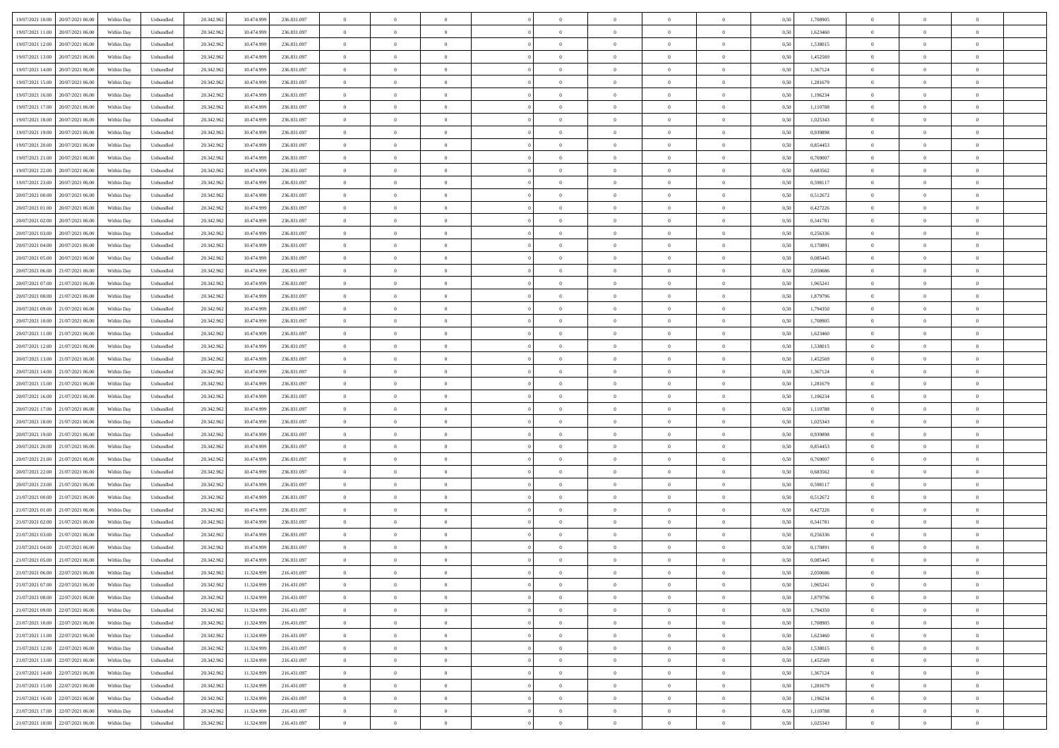| 19/07/2021 10:00<br>20/07/2021 06:00 | Within Day | Unbundled | 20.342.962 | 10.474.999 | 236.831.097 | $\overline{0}$ | $\overline{0}$ | $\overline{0}$ | $\theta$       | $\theta$       |                | $\overline{0}$ | 0,50 | 1,708905 | $\theta$       | $\theta$       | $\overline{0}$ |  |
|--------------------------------------|------------|-----------|------------|------------|-------------|----------------|----------------|----------------|----------------|----------------|----------------|----------------|------|----------|----------------|----------------|----------------|--|
|                                      |            |           |            |            |             |                | $\overline{0}$ |                |                |                |                |                |      |          |                | $\theta$       | $\overline{0}$ |  |
| 19/07/2021 11:00<br>20/07/2021 06.00 | Within Day | Unbundled | 20.342.96  | 10.474.999 | 236.831.097 | $\overline{0}$ |                | $\overline{0}$ | $\,$ 0 $\,$    | $\bf{0}$       | $\overline{0}$ | $\bf{0}$       | 0,50 | 1,623460 | $\,$ 0 $\,$    |                |                |  |
| 19/07/2021 12:00<br>20/07/2021 06:00 | Within Day | Unbundled | 20.342.962 | 10.474.999 | 236.831.097 | $\overline{0}$ | $\overline{0}$ | $\overline{0}$ | $\bf{0}$       | $\bf{0}$       | $\overline{0}$ | $\mathbf{0}$   | 0.50 | 1.538015 | $\bf{0}$       | $\overline{0}$ | $\overline{0}$ |  |
| 19/07/2021 13:00<br>20/07/2021 06:00 | Within Day | Unbundled | 20.342.962 | 10.474.999 | 236.831.097 | $\overline{0}$ | $\overline{0}$ | $\overline{0}$ | $\overline{0}$ | $\overline{0}$ | $\overline{0}$ | $\bf{0}$       | 0,50 | 1,452569 | $\theta$       | $\theta$       | $\overline{0}$ |  |
| 19/07/2021 14:00<br>20/07/2021 06.00 | Within Day | Unbundled | 20.342.96  | 10.474.999 | 236.831.097 | $\overline{0}$ | $\overline{0}$ | $\bf{0}$       | $\bf{0}$       | $\overline{0}$ | $\overline{0}$ | $\bf{0}$       | 0,50 | 1,367124 | $\,$ 0 $\,$    | $\theta$       | $\overline{0}$ |  |
| 19/07/2021 15:00<br>20/07/2021 06:00 | Within Day | Unbundled | 20.342.962 | 10.474.999 | 236.831.097 | $\overline{0}$ | $\overline{0}$ | $\overline{0}$ | $\bf{0}$       | $\overline{0}$ | $\overline{0}$ | $\mathbf{0}$   | 0.50 | 1.281679 | $\bf{0}$       | $\theta$       | $\overline{0}$ |  |
| 19/07/2021 16:00<br>20/07/2021 06:00 | Within Day | Unbundled | 20.342.962 | 10.474.999 | 236.831.097 | $\overline{0}$ | $\overline{0}$ | $\overline{0}$ | $\overline{0}$ | $\overline{0}$ | $\overline{0}$ | $\bf{0}$       | 0,50 | 1,196234 | $\theta$       | $\theta$       | $\overline{0}$ |  |
| 19/07/2021 17.00<br>20/07/2021 06.00 | Within Day | Unbundled | 20.342.96  | 10.474.999 | 236.831.097 | $\overline{0}$ | $\overline{0}$ | $\overline{0}$ | $\bf{0}$       | $\bf{0}$       | $\overline{0}$ | $\bf{0}$       | 0,50 | 1,110788 | $\,$ 0 $\,$    | $\bf{0}$       | $\overline{0}$ |  |
|                                      |            |           |            |            |             |                |                |                |                |                |                |                |      |          |                |                |                |  |
| 19/07/2021 18:00<br>20/07/2021 06:00 | Within Day | Unbundled | 20.342.962 | 10.474.999 | 236.831.097 | $\overline{0}$ | $\overline{0}$ | $\overline{0}$ | $\bf{0}$       | $\bf{0}$       | $\overline{0}$ | $\mathbf{0}$   | 0.50 | 1.025343 | $\,$ 0 $\,$    | $\theta$       | $\overline{0}$ |  |
| 19/07/2021 19:00<br>20/07/2021 06:00 | Within Day | Unbundled | 20.342.962 | 10.474.999 | 236.831.097 | $\overline{0}$ | $\overline{0}$ | $\overline{0}$ | $\bf{0}$       | $\overline{0}$ | $\overline{0}$ | $\bf{0}$       | 0,50 | 0,939898 | $\,$ 0 $\,$    | $\theta$       | $\overline{0}$ |  |
| 19/07/2021 20.00<br>20/07/2021 06.00 | Within Day | Unbundled | 20.342.96  | 10.474.999 | 236.831.097 | $\overline{0}$ | $\overline{0}$ | $\overline{0}$ | $\bf{0}$       | $\overline{0}$ | $\overline{0}$ | $\bf{0}$       | 0,50 | 0,854453 | $\,$ 0 $\,$    | $\bf{0}$       | $\overline{0}$ |  |
| 19/07/2021 21.00<br>20/07/2021 06:00 | Within Day | Unbundled | 20.342.962 | 10.474.999 | 236.831.097 | $\overline{0}$ | $\overline{0}$ | $\overline{0}$ | $\bf{0}$       | $\bf{0}$       | $\overline{0}$ | $\,$ 0 $\,$    | 0.50 | 0.769007 | $\bf{0}$       | $\overline{0}$ | $\bf{0}$       |  |
| 19/07/2021 22.00<br>20/07/2021 06:00 | Within Day | Unbundled | 20.342.962 | 10.474.999 | 236.831.097 | $\overline{0}$ | $\overline{0}$ | $\overline{0}$ | $\overline{0}$ | $\overline{0}$ | $\overline{0}$ | $\bf{0}$       | 0,50 | 0,683562 | $\theta$       | $\theta$       | $\overline{0}$ |  |
| 19/07/2021 23.00<br>20/07/2021 06.00 | Within Day | Unbundled | 20.342.96  | 10.474.999 | 236.831.097 | $\overline{0}$ | $\overline{0}$ | $\overline{0}$ | $\bf{0}$       | $\bf{0}$       | $\overline{0}$ | $\bf{0}$       | 0,50 | 0,598117 | $\,$ 0 $\,$    | $\bf{0}$       | $\overline{0}$ |  |
| 20/07/2021 00:00<br>20/07/2021 06:00 | Within Day | Unbundled | 20.342.962 | 10.474.999 | 236.831.097 | $\overline{0}$ | $\overline{0}$ | $\overline{0}$ | $\overline{0}$ | $\overline{0}$ | $\overline{0}$ | $\mathbf{0}$   | 0.50 | 0,512672 | $\theta$       | $\theta$       | $\overline{0}$ |  |
|                                      |            |           |            |            |             |                |                |                |                |                |                |                |      |          |                |                |                |  |
| 20/07/2021 01:00<br>20/07/2021 06:00 | Within Day | Unbundled | 20.342.962 | 10.474.999 | 236.831.097 | $\overline{0}$ | $\overline{0}$ | $\overline{0}$ | $\overline{0}$ | $\overline{0}$ | $\overline{0}$ | $\bf{0}$       | 0,50 | 0,427226 | $\theta$       | $\theta$       | $\overline{0}$ |  |
| 20/07/2021 02:00<br>20/07/2021 06.00 | Within Day | Unbundled | 20.342.96  | 10.474.999 | 236.831.097 | $\overline{0}$ | $\overline{0}$ | $\overline{0}$ | $\bf{0}$       | $\overline{0}$ | $\overline{0}$ | $\bf{0}$       | 0,50 | 0,341781 | $\,$ 0 $\,$    | $\theta$       | $\overline{0}$ |  |
| 20/07/2021 03:00<br>20/07/2021 06:00 | Within Day | Unbundled | 20.342.962 | 10.474.999 | 236.831.097 | $\overline{0}$ | $\overline{0}$ | $\overline{0}$ | $\bf{0}$       | $\bf{0}$       | $\overline{0}$ | $\mathbf{0}$   | 0.50 | 0.256336 | $\,$ 0 $\,$    | $\overline{0}$ | $\overline{0}$ |  |
| 20/07/2021 04:00<br>20/07/2021 06:00 | Within Day | Unbundled | 20.342.962 | 10.474.999 | 236.831.097 | $\overline{0}$ | $\overline{0}$ | $\overline{0}$ | $\overline{0}$ | $\overline{0}$ | $\overline{0}$ | $\bf{0}$       | 0,50 | 0,170891 | $\,$ 0 $\,$    | $\theta$       | $\overline{0}$ |  |
| 20/07/2021 05:00<br>20/07/2021 06.00 | Within Day | Unbundled | 20.342.96  | 10.474.999 | 236.831.097 | $\overline{0}$ | $\overline{0}$ | $\overline{0}$ | $\bf{0}$       | $\bf{0}$       | $\overline{0}$ | $\bf{0}$       | 0,50 | 0,085445 | $\,$ 0 $\,$    | $\bf{0}$       | $\overline{0}$ |  |
| 20/07/2021 06:00<br>21/07/2021 06:00 | Within Day | Unbundled | 20.342.962 | 10.474.999 | 236.831.097 | $\overline{0}$ | $\overline{0}$ | $\overline{0}$ | $\bf{0}$       | $\bf{0}$       | $\overline{0}$ | $\,$ 0 $\,$    | 0.50 | 2.050686 | $\bf{0}$       | $\overline{0}$ | $\overline{0}$ |  |
| 20/07/2021 07:00<br>21/07/2021 06:00 | Within Day | Unbundled | 20.342.962 | 10.474.999 | 236.831.097 | $\overline{0}$ | $\overline{0}$ | $\overline{0}$ | $\overline{0}$ | $\overline{0}$ | $\overline{0}$ | $\,$ 0 $\,$    | 0,50 | 1,965241 | $\theta$       | $\theta$       | $\overline{0}$ |  |
|                                      |            |           |            |            |             |                |                |                |                |                |                |                |      |          |                |                |                |  |
| 20/07/2021 08:00<br>21/07/2021 06.00 | Within Day | Unbundled | 20.342.96  | 10.474.999 | 236.831.097 | $\overline{0}$ | $\overline{0}$ | $\overline{0}$ | $\bf{0}$       | $\overline{0}$ | $\overline{0}$ | $\bf{0}$       | 0,50 | 1,879796 | $\,$ 0 $\,$    | $\bf{0}$       | $\overline{0}$ |  |
| 20/07/2021 09:00<br>21/07/2021 06:00 | Within Day | Unbundled | 20.342.962 | 10.474.999 | 236.831.097 | $\overline{0}$ | $\overline{0}$ | $\overline{0}$ | $\overline{0}$ | $\overline{0}$ | $\overline{0}$ | $\mathbf{0}$   | 0.50 | 1,794350 | $\,$ 0 $\,$    | $\theta$       | $\overline{0}$ |  |
| 20/07/2021 10:00<br>21/07/2021 06:00 | Within Day | Unbundled | 20.342.962 | 10.474.999 | 236.831.097 | $\overline{0}$ | $\overline{0}$ | $\overline{0}$ | $\overline{0}$ | $\overline{0}$ | $\overline{0}$ | $\bf{0}$       | 0,50 | 1,708905 | $\theta$       | $\theta$       | $\overline{0}$ |  |
| 20/07/2021 11:00<br>21/07/2021 06.00 | Within Day | Unbundled | 20.342.96  | 10.474.999 | 236.831.097 | $\overline{0}$ | $\overline{0}$ | $\overline{0}$ | $\bf{0}$       | $\overline{0}$ | $\overline{0}$ | $\bf{0}$       | 0,50 | 1,623460 | $\,$ 0 $\,$    | $\theta$       | $\overline{0}$ |  |
| 20/07/2021 12:00<br>21/07/2021 06:00 | Within Day | Unbundled | 20.342.962 | 10.474.999 | 236.831.097 | $\overline{0}$ | $\overline{0}$ | $\overline{0}$ | $\bf{0}$       | $\bf{0}$       | $\overline{0}$ | $\mathbf{0}$   | 0.50 | 1.538015 | $\,$ 0 $\,$    | $\theta$       | $\overline{0}$ |  |
| 20/07/2021 13:00<br>21/07/2021 06:00 | Within Day | Unbundled | 20.342.962 | 10.474.999 | 236.831.097 | $\overline{0}$ | $\overline{0}$ | $\overline{0}$ | $\overline{0}$ | $\overline{0}$ | $\overline{0}$ | $\bf{0}$       | 0,50 | 1,452569 | $\theta$       | $\theta$       | $\overline{0}$ |  |
| 20/07/2021 14:00<br>21/07/2021 06.00 | Within Day | Unbundled | 20.342.96  | 10.474.999 | 236.831.097 | $\overline{0}$ | $\overline{0}$ | $\overline{0}$ | $\overline{0}$ | $\bf{0}$       | $\overline{0}$ | $\bf{0}$       | 0,50 | 1,367124 | $\,$ 0 $\,$    | $\bf{0}$       | $\overline{0}$ |  |
|                                      |            |           |            |            |             |                |                |                |                |                |                |                |      |          |                |                |                |  |
| 20/07/2021 15:00<br>21/07/2021 06:00 | Within Day | Unbundled | 20.342.962 | 10.474.999 | 236.831.097 | $\overline{0}$ | $\overline{0}$ | $\overline{0}$ | $\bf{0}$       | $\bf{0}$       | $\overline{0}$ | $\,$ 0 $\,$    | 0.50 | 1,281679 | $\bf{0}$       | $\overline{0}$ | $\bf{0}$       |  |
| 20/07/2021 16:00<br>21/07/2021 06:00 | Within Day | Unbundled | 20.342.962 | 10.474.999 | 236.831.097 | $\overline{0}$ | $\overline{0}$ | $\overline{0}$ | $\overline{0}$ | $\overline{0}$ | $\overline{0}$ | $\overline{0}$ | 0.50 | 1,196234 | $\theta$       | $\theta$       | $\overline{0}$ |  |
| 20/07/2021 17:00<br>21/07/2021 06.00 | Within Day | Unbundled | 20.342.962 | 10.474.999 | 236.831.097 | $\overline{0}$ | $\overline{0}$ | $\overline{0}$ | $\bf{0}$       | $\overline{0}$ | $\overline{0}$ | $\bf{0}$       | 0,50 | 1,110788 | $\,$ 0 $\,$    | $\bf{0}$       | $\overline{0}$ |  |
| 20/07/2021 18:00<br>21/07/2021 06:00 | Within Day | Unbundled | 20.342.962 | 10.474.999 | 236.831.097 | $\overline{0}$ | $\overline{0}$ | $\overline{0}$ | $\overline{0}$ | $\overline{0}$ | $\overline{0}$ | $\mathbf{0}$   | 0.50 | 1.025343 | $\,$ 0 $\,$    | $\theta$       | $\overline{0}$ |  |
| 20/07/2021 19:00<br>21/07/2021 06:00 | Within Day | Unbundled | 20.342.962 | 10.474.999 | 236.831.097 | $\overline{0}$ | $\overline{0}$ | $\overline{0}$ | $\overline{0}$ | $\overline{0}$ | $\overline{0}$ | $\overline{0}$ | 0.50 | 0,939898 | $\theta$       | $\theta$       | $\overline{0}$ |  |
| 20/07/2021 20:00<br>21/07/2021 06.00 | Within Day | Unbundled | 20.342.96  | 10.474.999 | 236.831.097 | $\overline{0}$ | $\overline{0}$ | $\overline{0}$ | $\bf{0}$       | $\overline{0}$ | $\overline{0}$ | $\bf{0}$       | 0,50 | 0,854453 | $\,$ 0 $\,$    | $\bf{0}$       | $\overline{0}$ |  |
| 20/07/2021 21:00<br>21/07/2021 06:00 | Within Day | Unbundled | 20.342.962 | 10.474.999 | 236.831.097 | $\overline{0}$ | $\overline{0}$ | $\overline{0}$ | $\overline{0}$ | $\bf{0}$       | $\overline{0}$ | $\mathbf{0}$   | 0.50 | 0.769007 | $\,$ 0 $\,$    | $\theta$       | $\overline{0}$ |  |
| 20/07/2021 22:00<br>21/07/2021 06:00 | Within Day | Unbundled | 20.342.962 | 10.474.999 | 236.831.097 | $\overline{0}$ | $\overline{0}$ | $\overline{0}$ | $\overline{0}$ | $\overline{0}$ | $\overline{0}$ | $\overline{0}$ | 0.50 | 0,683562 | $\theta$       | $\theta$       | $\overline{0}$ |  |
| 20/07/2021 23:00<br>21/07/2021 06.0  | Within Day | Unbundled | 20.342.96  | 10.474.999 | 236.831.097 | $\overline{0}$ | $\overline{0}$ | $\overline{0}$ | $\,$ 0 $\,$    | $\bf{0}$       | $\overline{0}$ | $\bf{0}$       | 0,50 | 0,598117 | $\,$ 0 $\,$    | $\bf{0}$       | $\overline{0}$ |  |
|                                      |            |           |            |            |             |                |                |                |                |                |                |                |      |          |                |                |                |  |
| 21/07/2021 00:00<br>21/07/2021 06:00 | Within Day | Unbundled | 20.342.962 | 10.474.999 | 236.831.097 | $\overline{0}$ | $\overline{0}$ | $\overline{0}$ | $\bf{0}$       | $\bf{0}$       | $\overline{0}$ | $\mathbf{0}$   | 0.50 | 0,512672 | $\bf{0}$       | $\overline{0}$ | $\overline{0}$ |  |
| 21/07/2021 01:00<br>21/07/2021 06:00 | Within Day | Unbundled | 20.342.962 | 10.474.999 | 236.831.097 | $\overline{0}$ | $\overline{0}$ | $\overline{0}$ | $\overline{0}$ | $\overline{0}$ | $\overline{0}$ | $\overline{0}$ | 0.50 | 0,427226 | $\theta$       | $\theta$       | $\overline{0}$ |  |
| 21/07/2021 02:00<br>21/07/2021 06.00 | Within Day | Unbundled | 20.342.962 | 10.474.999 | 236.831.097 | $\overline{0}$ | $\overline{0}$ | $\overline{0}$ | $\bf{0}$       | $\bf{0}$       | $\overline{0}$ | $\bf{0}$       | 0,50 | 0,341781 | $\,$ 0 $\,$    | $\bf{0}$       | $\overline{0}$ |  |
| 21/07/2021 03:00<br>21/07/2021 06:00 | Within Day | Unbundled | 20.342.962 | 10.474.999 | 236.831.097 | $\overline{0}$ | $\overline{0}$ | $\overline{0}$ | $\overline{0}$ | $\overline{0}$ | $\overline{0}$ | $\mathbf{0}$   | 0.50 | 0.256336 | $\,$ 0 $\,$    | $\theta$       | $\overline{0}$ |  |
| 21/07/2021 04:00<br>21/07/2021 06:00 | Within Day | Unbundled | 20.342.962 | 10.474.999 | 236.831.097 | $\overline{0}$ | $\overline{0}$ | $\overline{0}$ | $\overline{0}$ | $\overline{0}$ | $\Omega$       | $\overline{0}$ | 0.50 | 0,170891 | $\theta$       | $\theta$       | $\overline{0}$ |  |
| 21/07/2021 05:00<br>21/07/2021 06.00 | Within Day | Unbundled | 20.342.962 | 10.474.999 | 236.831.097 | $\overline{0}$ | $\overline{0}$ | $\bf{0}$       | $\overline{0}$ | $\bf{0}$       | $\overline{0}$ | $\bf{0}$       | 0,50 | 0,085445 | $\,$ 0 $\,$    | $\bf{0}$       | $\overline{0}$ |  |
| 21/07/2021 06:00<br>22/07/2021 06:00 | Within Day | Unbundled | 20.342.962 | 11.324.999 | 216.431.097 | $\bf{0}$       | $\,$ 0 $\,$    |                | $\bf{0}$       |                |                | $\Omega$       | 0,50 | 2.050686 | $\theta$       | $\overline{0}$ |                |  |
|                                      |            |           |            |            |             |                |                |                |                |                |                |                |      |          |                |                |                |  |
| 21/07/2021 07:00 22/07/2021 06:00    | Within Dav | Unbundled | 20.342.962 | 11.324.999 | 216.431.097 | $\overline{0}$ | $\overline{0}$ | $\overline{0}$ | $\overline{0}$ | $\overline{0}$ | $\overline{0}$ | $\overline{0}$ | 0,50 | 1,965241 | $\theta$       | $\theta$       | $\overline{0}$ |  |
| 21/07/2021 08:00<br>22/07/2021 06.00 | Within Day | Unbundled | 20.342.962 | 11.324.999 | 216.431.097 | $\overline{0}$ | $\overline{0}$ | $\overline{0}$ | $\bf{0}$       | $\overline{0}$ | $\overline{0}$ | $\mathbf{0}$   | 0,50 | 1,879796 | $\bf{0}$       | $\overline{0}$ | $\bf{0}$       |  |
| 21/07/2021 09:00<br>22/07/2021 06:00 | Within Day | Unbundled | 20.342.962 | 11.324.999 | 216.431.097 | $\overline{0}$ | $\overline{0}$ | $\overline{0}$ | $\bf{0}$       | $\bf{0}$       | $\overline{0}$ | $\mathbf{0}$   | 0.50 | 1,794350 | $\overline{0}$ | $\bf{0}$       | $\,$ 0 $\,$    |  |
| 21/07/2021 10:00<br>22/07/2021 06:00 | Within Dav | Unbundled | 20.342.962 | 11.324.999 | 216.431.097 | $\overline{0}$ | $\overline{0}$ | $\overline{0}$ | $\overline{0}$ | $\overline{0}$ | $\overline{0}$ | $\mathbf{0}$   | 0,50 | 1,708905 | $\overline{0}$ | $\theta$       | $\overline{0}$ |  |
| 21/07/2021 11:00<br>22/07/2021 06:00 | Within Day | Unbundled | 20.342.962 | 11.324.999 | 216.431.097 | $\overline{0}$ | $\overline{0}$ | $\overline{0}$ | $\overline{0}$ | $\bf{0}$       | $\overline{0}$ | $\mathbf{0}$   | 0,50 | 1,623460 | $\overline{0}$ | $\bf{0}$       | $\overline{0}$ |  |
| 21/07/2021 12:00<br>22/07/2021 06:00 | Within Day | Unbundled | 20.342.962 | 11.324.999 | 216.431.097 | $\overline{0}$ | $\overline{0}$ | $\overline{0}$ | $\bf{0}$       | $\overline{0}$ | $\overline{0}$ | $\mathbf{0}$   | 0.50 | 1.538015 | $\,$ 0 $\,$    | $\theta$       | $\,$ 0         |  |
| 21/07/2021 13:00<br>22/07/2021 06:00 | Within Day | Unbundled | 20.342.962 | 11.324.999 | 216.431.097 | $\overline{0}$ | $\overline{0}$ | $\overline{0}$ | $\overline{0}$ | $\overline{0}$ | $\overline{0}$ | $\mathbf{0}$   | 0,50 | 1,452569 | $\overline{0}$ | $\theta$       | $\overline{0}$ |  |
|                                      |            |           |            |            |             |                |                |                |                |                |                |                |      |          |                |                |                |  |
| 22/07/2021 06:00<br>21/07/2021 14:00 | Within Day | Unbundled | 20.342.962 | 11.324.999 | 216.431.097 | $\overline{0}$ | $\overline{0}$ | $\overline{0}$ | $\bf{0}$       | $\bf{0}$       | $\overline{0}$ | $\,$ 0 $\,$    | 0,50 | 1,367124 | $\bf{0}$       | $\bf{0}$       | $\overline{0}$ |  |
| 21/07/2021 15:00<br>22/07/2021 06:00 | Within Day | Unbundled | 20.342.962 | 11.324.999 | 216.431.097 | $\overline{0}$ | $\overline{0}$ | $\overline{0}$ | $\bf{0}$       | $\bf{0}$       | $\overline{0}$ | $\,$ 0 $\,$    | 0.50 | 1.281679 | $\overline{0}$ | $\overline{0}$ | $\,$ 0         |  |
| 21/07/2021 16:00<br>22/07/2021 06:00 | Within Dav | Unbundled | 20.342.962 | 11.324.999 | 216.431.097 | $\overline{0}$ | $\overline{0}$ | $\overline{0}$ | $\overline{0}$ | $\overline{0}$ | $\overline{0}$ | $\mathbf{0}$   | 0,50 | 1,196234 | $\overline{0}$ | $\theta$       | $\overline{0}$ |  |
| 21/07/2021 17:00<br>22/07/2021 06.0  | Within Day | Unbundled | 20.342.962 | 11.324.999 | 216.431.097 | $\overline{0}$ | $\overline{0}$ | $\overline{0}$ | $\overline{0}$ | $\bf{0}$       | $\overline{0}$ | $\mathbf{0}$   | 0,50 | 1,110788 | $\bf{0}$       | $\bf{0}$       | $\overline{0}$ |  |
| 21/07/2021 18:00 22/07/2021 06:00    | Within Day | Unbundled | 20.342.962 | 11.324.999 | 216.431.097 | $\,$ 0 $\,$    | $\overline{0}$ | $\overline{0}$ | $\bf{0}$       | $\,$ 0         | $\overline{0}$ | $\,0\,$        | 0,50 | 1,025343 | $\overline{0}$ | $\,$ 0 $\,$    | $\,$ 0 $\,$    |  |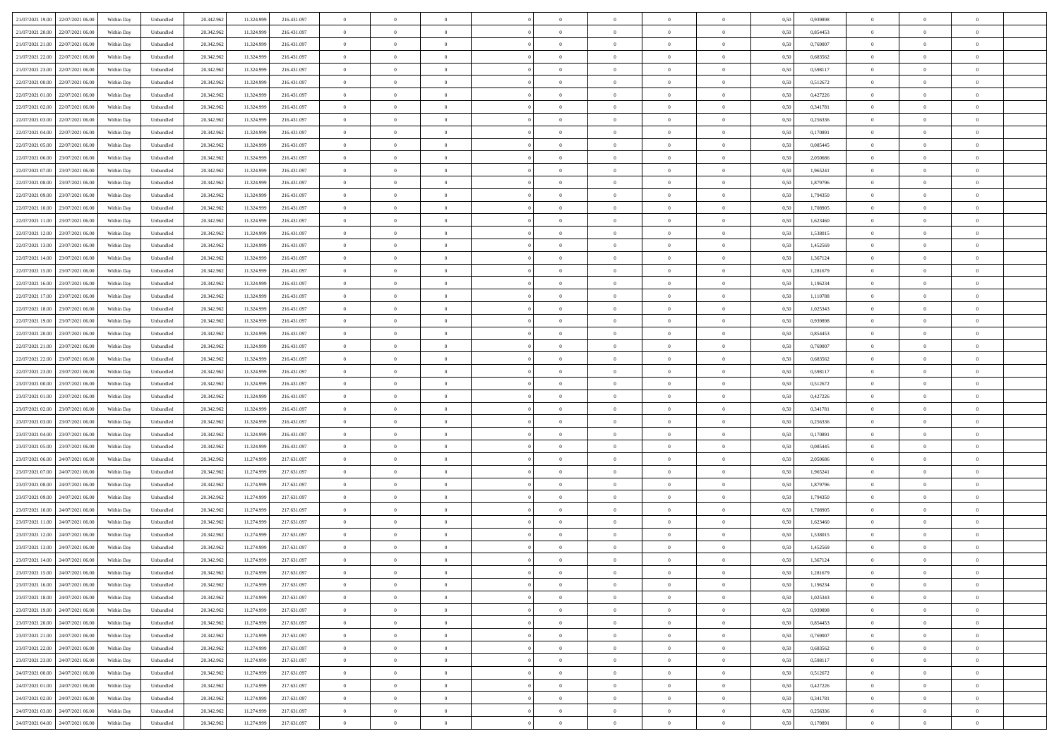| 21/07/2021 19:00<br>22/07/2021 06:00 | Within Day | Unbundled | 20.342.962 | 11.324.999 | 216.431.097 | $\overline{0}$ | $\overline{0}$ | $\overline{0}$ | $\theta$       | $\theta$       |                | $\overline{0}$ | 0,50 | 0,939898 | $\theta$       | $\theta$       | $\overline{0}$ |  |
|--------------------------------------|------------|-----------|------------|------------|-------------|----------------|----------------|----------------|----------------|----------------|----------------|----------------|------|----------|----------------|----------------|----------------|--|
|                                      |            |           |            |            |             |                |                |                |                |                |                |                |      |          |                |                |                |  |
| 21/07/2021 20.00<br>22/07/2021 06.00 | Within Day | Unbundled | 20.342.96  | 11.324.999 | 216.431.097 | $\overline{0}$ | $\overline{0}$ | $\overline{0}$ | $\,$ 0 $\,$    | $\bf{0}$       | $\overline{0}$ | $\bf{0}$       | 0,50 | 0,854453 | $\,$ 0 $\,$    | $\bf{0}$       | $\overline{0}$ |  |
| 21/07/2021 21.00<br>22/07/2021 06:00 | Within Day | Unbundled | 20.342.962 | 11.324.999 | 216.431.097 | $\overline{0}$ | $\overline{0}$ | $\overline{0}$ | $\bf{0}$       | $\bf{0}$       | $\overline{0}$ | $\mathbf{0}$   | 0.50 | 0.769007 | $\bf{0}$       | $\overline{0}$ | $\overline{0}$ |  |
| 21/07/2021 22.00<br>22/07/2021 06:00 | Within Day | Unbundled | 20.342.962 | 11.324.999 | 216.431.097 | $\overline{0}$ | $\overline{0}$ | $\overline{0}$ | $\overline{0}$ | $\overline{0}$ | $\overline{0}$ | $\bf{0}$       | 0,50 | 0,683562 | $\theta$       | $\theta$       | $\overline{0}$ |  |
| 21/07/2021 23.00<br>22/07/2021 06.00 | Within Day | Unbundled | 20.342.96  | 11.324.999 | 216.431.097 | $\overline{0}$ | $\overline{0}$ | $\bf{0}$       | $\bf{0}$       | $\overline{0}$ | $\overline{0}$ | $\bf{0}$       | 0,50 | 0,598117 | $\,$ 0 $\,$    | $\theta$       | $\overline{0}$ |  |
|                                      |            |           |            |            |             |                |                |                |                |                |                |                |      |          |                |                |                |  |
| 22/07/2021 00:00<br>22/07/2021 06:00 | Within Day | Unbundled | 20.342.962 | 11.324.999 | 216.431.097 | $\overline{0}$ | $\overline{0}$ | $\overline{0}$ | $\bf{0}$       | $\overline{0}$ | $\overline{0}$ | $\mathbf{0}$   | 0.50 | 0,512672 | $\bf{0}$       | $\theta$       | $\overline{0}$ |  |
| 22/07/2021 01:00<br>22/07/2021 06:00 | Within Day | Unbundled | 20.342.962 | 11.324.999 | 216.431.097 | $\overline{0}$ | $\overline{0}$ | $\overline{0}$ | $\overline{0}$ | $\overline{0}$ | $\overline{0}$ | $\bf{0}$       | 0,50 | 0,427226 | $\theta$       | $\theta$       | $\overline{0}$ |  |
| 22/07/2021 02.00<br>22/07/2021 06.00 | Within Day | Unbundled | 20.342.96  | 11.324.999 | 216.431.097 | $\overline{0}$ | $\overline{0}$ | $\overline{0}$ | $\bf{0}$       | $\bf{0}$       | $\overline{0}$ | $\bf{0}$       | 0,50 | 0,341781 | $\,$ 0 $\,$    | $\bf{0}$       | $\overline{0}$ |  |
| 22/07/2021 03:00<br>22/07/2021 06:00 | Within Day | Unbundled | 20.342.962 | 11.324.999 | 216.431.097 | $\overline{0}$ | $\overline{0}$ | $\overline{0}$ | $\bf{0}$       | $\bf{0}$       | $\overline{0}$ | $\mathbf{0}$   | 0.50 | 0.256336 | $\,$ 0 $\,$    | $\theta$       | $\overline{0}$ |  |
| 22/07/2021 04:00<br>22/07/2021 06:00 | Within Day | Unbundled | 20.342.962 | 11.324.999 | 216.431.097 | $\overline{0}$ | $\overline{0}$ | $\overline{0}$ | $\bf{0}$       | $\overline{0}$ | $\overline{0}$ | $\bf{0}$       | 0,50 | 0,170891 | $\,$ 0 $\,$    | $\theta$       | $\overline{0}$ |  |
|                                      |            |           |            |            |             |                | $\overline{0}$ |                |                |                |                |                |      |          |                |                |                |  |
| 22/07/2021 05:00<br>22/07/2021 06.00 | Within Day | Unbundled | 20.342.96  | 11.324.999 | 216.431.097 | $\overline{0}$ |                | $\overline{0}$ | $\bf{0}$       | $\overline{0}$ | $\overline{0}$ | $\bf{0}$       | 0,50 | 0,085445 | $\,$ 0 $\,$    | $\bf{0}$       | $\overline{0}$ |  |
| 22/07/2021 06.00<br>23/07/2021 06:00 | Within Day | Unbundled | 20.342.962 | 11.324.999 | 216.431.097 | $\overline{0}$ | $\overline{0}$ | $\overline{0}$ | $\bf{0}$       | $\bf{0}$       | $\overline{0}$ | $\,$ 0 $\,$    | 0.50 | 2.050686 | $\bf{0}$       | $\overline{0}$ | $\overline{0}$ |  |
| 22/07/2021 07:00<br>23/07/2021 06:00 | Within Day | Unbundled | 20.342.962 | 11.324.999 | 216.431.097 | $\overline{0}$ | $\overline{0}$ | $\overline{0}$ | $\overline{0}$ | $\overline{0}$ | $\overline{0}$ | $\,$ 0 $\,$    | 0,50 | 1,965241 | $\theta$       | $\theta$       | $\overline{0}$ |  |
| 22/07/2021 08:00<br>23/07/2021 06.00 | Within Day | Unbundled | 20.342.96  | 11.324.999 | 216.431.097 | $\overline{0}$ | $\overline{0}$ | $\overline{0}$ | $\bf{0}$       | $\bf{0}$       | $\overline{0}$ | $\bf{0}$       | 0,50 | 1,879796 | $\,$ 0 $\,$    | $\bf{0}$       | $\overline{0}$ |  |
| 22/07/2021 09:00<br>23/07/2021 06:00 | Within Day | Unbundled | 20.342.962 | 11.324.999 | 216.431.097 | $\overline{0}$ | $\overline{0}$ | $\overline{0}$ | $\overline{0}$ | $\overline{0}$ | $\overline{0}$ | $\mathbf{0}$   | 0.50 | 1,794350 | $\theta$       | $\theta$       | $\overline{0}$ |  |
| 22/07/2021 10:00<br>23/07/2021 06:00 | Within Day | Unbundled | 20.342.962 | 11.324.999 | 216.431.097 | $\overline{0}$ | $\overline{0}$ | $\overline{0}$ | $\overline{0}$ | $\overline{0}$ | $\overline{0}$ | $\bf{0}$       | 0,50 | 1,708905 | $\theta$       | $\theta$       | $\overline{0}$ |  |
|                                      |            |           |            |            |             |                |                |                |                |                |                |                |      |          |                |                |                |  |
| 22/07/2021 11:00<br>23/07/2021 06.00 | Within Day | Unbundled | 20.342.96  | 11.324.999 | 216.431.097 | $\overline{0}$ | $\overline{0}$ | $\overline{0}$ | $\bf{0}$       | $\overline{0}$ | $\overline{0}$ | $\bf{0}$       | 0,50 | 1,623460 | $\,$ 0 $\,$    | $\theta$       | $\overline{0}$ |  |
| 22/07/2021 12:00<br>23/07/2021 06:00 | Within Day | Unbundled | 20.342.962 | 11.324.999 | 216.431.097 | $\overline{0}$ | $\overline{0}$ | $\overline{0}$ | $\bf{0}$       | $\bf{0}$       | $\overline{0}$ | $\mathbf{0}$   | 0.50 | 1.538015 | $\,$ 0 $\,$    | $\overline{0}$ | $\overline{0}$ |  |
| 22/07/2021 13:00<br>23/07/2021 06:00 | Within Day | Unbundled | 20.342.962 | 11.324.999 | 216.431.097 | $\overline{0}$ | $\overline{0}$ | $\overline{0}$ | $\overline{0}$ | $\overline{0}$ | $\overline{0}$ | $\bf{0}$       | 0,50 | 1,452569 | $\,$ 0 $\,$    | $\theta$       | $\overline{0}$ |  |
| 22/07/2021 14:00<br>23/07/2021 06.00 | Within Day | Unbundled | 20.342.96  | 11.324.999 | 216.431.097 | $\overline{0}$ | $\overline{0}$ | $\overline{0}$ | $\bf{0}$       | $\bf{0}$       | $\overline{0}$ | $\bf{0}$       | 0,50 | 1,367124 | $\,$ 0 $\,$    | $\bf{0}$       | $\overline{0}$ |  |
| 22/07/2021 15:00<br>23/07/2021 06:00 | Within Day | Unbundled | 20.342.962 | 11.324.999 | 216.431.097 | $\overline{0}$ | $\overline{0}$ | $\overline{0}$ | $\bf{0}$       | $\bf{0}$       | $\overline{0}$ | $\,$ 0 $\,$    | 0.50 | 1,281679 | $\bf{0}$       | $\theta$       | $\overline{0}$ |  |
| 22/07/2021 16:00<br>23/07/2021 06:00 | Within Day | Unbundled | 20.342.962 | 11.324.999 | 216.431.097 | $\overline{0}$ | $\overline{0}$ | $\overline{0}$ | $\overline{0}$ | $\overline{0}$ | $\overline{0}$ | $\,$ 0 $\,$    | 0,50 | 1,196234 | $\theta$       | $\theta$       | $\overline{0}$ |  |
|                                      |            |           |            |            |             |                |                |                |                |                |                |                |      |          |                |                |                |  |
| 22/07/2021 17.00<br>23/07/2021 06.00 | Within Day | Unbundled | 20.342.96  | 11.324.999 | 216.431.097 | $\overline{0}$ | $\overline{0}$ | $\bf{0}$       | $\bf{0}$       | $\overline{0}$ | $\overline{0}$ | $\bf{0}$       | 0,50 | 1,110788 | $\,$ 0 $\,$    | $\bf{0}$       | $\overline{0}$ |  |
| 22/07/2021 18:00<br>23/07/2021 06:00 | Within Day | Unbundled | 20.342.962 | 11.324.999 | 216.431.097 | $\overline{0}$ | $\overline{0}$ | $\overline{0}$ | $\overline{0}$ | $\overline{0}$ | $\overline{0}$ | $\mathbf{0}$   | 0.50 | 1.025343 | $\,$ 0 $\,$    | $\theta$       | $\overline{0}$ |  |
| 22/07/2021 19:00<br>23/07/2021 06:00 | Within Day | Unbundled | 20.342.962 | 11.324.999 | 216.431.097 | $\overline{0}$ | $\overline{0}$ | $\overline{0}$ | $\overline{0}$ | $\overline{0}$ | $\overline{0}$ | $\bf{0}$       | 0,50 | 0,939898 | $\theta$       | $\theta$       | $\overline{0}$ |  |
| 22/07/2021 20.00<br>23/07/2021 06.00 | Within Day | Unbundled | 20.342.96  | 11.324.999 | 216.431.097 | $\overline{0}$ | $\overline{0}$ | $\overline{0}$ | $\bf{0}$       | $\overline{0}$ | $\overline{0}$ | $\bf{0}$       | 0,50 | 0,854453 | $\,$ 0 $\,$    | $\theta$       | $\overline{0}$ |  |
| 22/07/2021 21.00<br>23/07/2021 06:00 | Within Day | Unbundled | 20.342.962 | 11.324.999 | 216.431.097 | $\overline{0}$ | $\overline{0}$ | $\overline{0}$ | $\bf{0}$       | $\bf{0}$       | $\overline{0}$ | $\mathbf{0}$   | 0.50 | 0.769007 | $\,$ 0 $\,$    | $\theta$       | $\overline{0}$ |  |
| 22/07/2021 22.00<br>23/07/2021 06:00 | Within Day | Unbundled | 20.342.962 | 11.324.999 | 216.431.097 | $\overline{0}$ | $\overline{0}$ | $\overline{0}$ | $\overline{0}$ | $\overline{0}$ | $\overline{0}$ | $\bf{0}$       | 0,50 | 0,683562 | $\theta$       | $\theta$       | $\overline{0}$ |  |
|                                      |            |           |            |            |             |                |                |                |                |                |                |                |      |          |                |                |                |  |
| 22/07/2021 23.00<br>23/07/2021 06.00 | Within Day | Unbundled | 20.342.96  | 11.324.999 | 216.431.097 | $\overline{0}$ | $\overline{0}$ | $\overline{0}$ | $\overline{0}$ | $\bf{0}$       | $\overline{0}$ | $\bf{0}$       | 0,50 | 0,598117 | $\,$ 0 $\,$    | $\bf{0}$       | $\overline{0}$ |  |
| 23/07/2021 00:00<br>23/07/2021 06:00 | Within Day | Unbundled | 20.342.962 | 11.324.999 | 216.431.097 | $\overline{0}$ | $\overline{0}$ | $\overline{0}$ | $\bf{0}$       | $\bf{0}$       | $\overline{0}$ | $\,$ 0 $\,$    | 0.50 | 0,512672 | $\bf{0}$       | $\overline{0}$ | $\overline{0}$ |  |
| 23/07/2021 01:00<br>23/07/2021 06:00 | Within Day | Unbundled | 20.342.962 | 11.324.999 | 216.431.097 | $\overline{0}$ | $\overline{0}$ | $\overline{0}$ | $\overline{0}$ | $\overline{0}$ | $\overline{0}$ | $\overline{0}$ | 0.50 | 0,427226 | $\theta$       | $\theta$       | $\overline{0}$ |  |
| 23/07/2021 02:00<br>23/07/2021 06.00 | Within Day | Unbundled | 20.342.962 | 11.324.999 | 216.431.097 | $\overline{0}$ | $\overline{0}$ | $\overline{0}$ | $\bf{0}$       | $\overline{0}$ | $\overline{0}$ | $\bf{0}$       | 0,50 | 0,341781 | $\,$ 0 $\,$    | $\bf{0}$       | $\overline{0}$ |  |
| 23/07/2021 03:00<br>23/07/2021 06:00 | Within Day | Unbundled | 20.342.962 | 11.324.999 | 216.431.097 | $\overline{0}$ | $\overline{0}$ | $\overline{0}$ | $\overline{0}$ | $\overline{0}$ | $\overline{0}$ | $\mathbf{0}$   | 0.50 | 0.256336 | $\,$ 0 $\,$    | $\overline{0}$ | $\overline{0}$ |  |
| 23/07/2021 04:00<br>23/07/2021 06:00 | Within Day | Unbundled | 20.342.962 | 11.324.999 | 216.431.097 | $\overline{0}$ | $\overline{0}$ | $\overline{0}$ | $\overline{0}$ | $\overline{0}$ | $\overline{0}$ | $\overline{0}$ | 0.50 | 0,170891 | $\theta$       | $\theta$       | $\overline{0}$ |  |
|                                      |            |           |            |            |             |                | $\overline{0}$ |                |                |                | $\overline{0}$ |                |      |          |                |                |                |  |
| 23/07/2021 05:00<br>23/07/2021 06.00 | Within Day | Unbundled | 20.342.96  | 11.324.999 | 216.431.097 | $\overline{0}$ |                | $\overline{0}$ | $\bf{0}$       | $\overline{0}$ |                | $\bf{0}$       | 0,50 | 0,085445 | $\,$ 0 $\,$    | $\bf{0}$       | $\overline{0}$ |  |
| 23/07/2021 06:00<br>24/07/2021 06:00 | Within Day | Unbundled | 20.342.962 | 11.274.999 | 217.631.097 | $\overline{0}$ | $\overline{0}$ | $\overline{0}$ | $\overline{0}$ | $\bf{0}$       | $\overline{0}$ | $\mathbf{0}$   | 0.50 | 2.050686 | $\,$ 0 $\,$    | $\theta$       | $\overline{0}$ |  |
| 23/07/2021 07:00<br>24/07/2021 06.00 | Within Day | Unbundled | 20.342.962 | 11.274.999 | 217.631.097 | $\overline{0}$ | $\overline{0}$ | $\overline{0}$ | $\overline{0}$ | $\overline{0}$ | $\overline{0}$ | $\overline{0}$ | 0.50 | 1,965241 | $\theta$       | $\theta$       | $\overline{0}$ |  |
| 23/07/2021 08:00<br>24/07/2021 06.00 | Within Day | Unbundled | 20.342.96  | 11.274.999 | 217.631.097 | $\overline{0}$ | $\overline{0}$ | $\overline{0}$ | $\,$ 0 $\,$    | $\bf{0}$       | $\overline{0}$ | $\bf{0}$       | 0,50 | 1,879796 | $\,$ 0 $\,$    | $\bf{0}$       | $\overline{0}$ |  |
| 23/07/2021 09:00<br>24/07/2021 06:00 | Within Day | Unbundled | 20.342.962 | 11.274.999 | 217.631.097 | $\overline{0}$ | $\overline{0}$ | $\overline{0}$ | $\bf{0}$       | $\bf{0}$       | $\overline{0}$ | $\,$ 0 $\,$    | 0.50 | 1,794350 | $\bf{0}$       | $\overline{0}$ | $\overline{0}$ |  |
| 23/07/2021 10:00<br>24/07/2021 06:00 | Within Day | Unbundled | 20.342.962 | 11.274.999 | 217.631.097 | $\overline{0}$ | $\overline{0}$ | $\overline{0}$ | $\overline{0}$ | $\overline{0}$ | $\overline{0}$ | $\overline{0}$ | 0.50 | 1,708905 | $\theta$       | $\theta$       | $\overline{0}$ |  |
|                                      |            |           |            |            |             |                | $\overline{0}$ |                | $\bf{0}$       | $\bf{0}$       | $\overline{0}$ | $\bf{0}$       |      |          | $\,$ 0 $\,$    | $\bf{0}$       | $\overline{0}$ |  |
| 23/07/2021 11:00<br>24/07/2021 06.00 | Within Day | Unbundled | 20.342.962 | 11.274.999 | 217.631.097 | $\overline{0}$ |                | $\overline{0}$ |                |                |                |                | 0,50 | 1,623460 |                |                |                |  |
| 23/07/2021 12:00<br>24/07/2021 06:00 | Within Day | Unbundled | 20.342.962 | 11.274.999 | 217.631.097 | $\overline{0}$ | $\overline{0}$ | $\overline{0}$ | $\overline{0}$ | $\overline{0}$ | $\overline{0}$ | $\mathbf{0}$   | 0.50 | 1.538015 | $\,$ 0 $\,$    | $\theta$       | $\overline{0}$ |  |
| 23/07/2021 13:00<br>24/07/2021 06.00 | Within Day | Unbundled | 20.342.962 | 11.274.999 | 217.631.097 | $\overline{0}$ | $\overline{0}$ | $\overline{0}$ | $\overline{0}$ | $\overline{0}$ | $\Omega$       | $\overline{0}$ | 0.50 | 1,452569 | $\theta$       | $\theta$       | $\overline{0}$ |  |
| 23/07/2021 14:00<br>24/07/2021 06.00 | Within Day | Unbundled | 20.342.962 | 11.274.999 | 217.631.097 | $\overline{0}$ | $\overline{0}$ | $\bf{0}$       | $\overline{0}$ | $\bf{0}$       | $\overline{0}$ | $\bf{0}$       | 0,50 | 1,367124 | $\,$ 0 $\,$    | $\bf{0}$       | $\overline{0}$ |  |
| 23/07/2021 15:00 24/07/2021 06:00    | Within Day | Unbundled | 20.342.962 | 11.274.999 | 217.631.097 | $\bf{0}$       | $\,0\,$        |                | $\bf{0}$       |                |                | $\Omega$       | 0,50 | 1,281679 | $\theta$       | $\bf{0}$       |                |  |
| 23/07/2021 16:00 24/07/2021 06:00    | Within Dav | Unbundled | 20.342.962 | 11.274.999 | 217.631.097 | $\overline{0}$ | $\overline{0}$ | $\overline{0}$ | $\overline{0}$ | $\overline{0}$ | $\overline{0}$ | $\overline{0}$ | 0,50 | 1,196234 | $\theta$       | $\theta$       | $\overline{0}$ |  |
| 23/07/2021 18:00<br>24/07/2021 06.00 | Within Day | Unbundled | 20.342.962 | 11.274.999 | 217.631.097 | $\overline{0}$ | $\overline{0}$ | $\overline{0}$ | $\bf{0}$       | $\overline{0}$ | $\overline{0}$ | $\mathbf{0}$   | 0,50 | 1,025343 | $\bf{0}$       | $\overline{0}$ | $\bf{0}$       |  |
|                                      |            |           |            |            |             |                |                |                |                |                |                |                |      |          |                |                |                |  |
| 23/07/2021 19:00<br>24/07/2021 06:00 | Within Day | Unbundled | 20.342.962 | 11.274.999 | 217.631.097 | $\overline{0}$ | $\overline{0}$ | $\overline{0}$ | $\bf{0}$       | $\bf{0}$       | $\overline{0}$ | $\mathbf{0}$   | 0.50 | 0.939898 | $\overline{0}$ | $\bf{0}$       | $\,$ 0 $\,$    |  |
| 23/07/2021 20:00<br>24/07/2021 06:00 | Within Dav | Unbundled | 20.342.962 | 11.274.999 | 217.631.097 | $\overline{0}$ | $\overline{0}$ | $\overline{0}$ | $\overline{0}$ | $\overline{0}$ | $\overline{0}$ | $\mathbf{0}$   | 0,50 | 0,854453 | $\overline{0}$ | $\theta$       | $\overline{0}$ |  |
| 23/07/2021 21:00<br>24/07/2021 06.00 | Within Day | Unbundled | 20.342.962 | 11.274.999 | 217.631.097 | $\overline{0}$ | $\overline{0}$ | $\overline{0}$ | $\overline{0}$ | $\bf{0}$       | $\overline{0}$ | $\mathbf{0}$   | 0,50 | 0,769007 | $\overline{0}$ | $\bf{0}$       | $\overline{0}$ |  |
| 23/07/2021 22:00<br>24/07/2021 06:00 | Within Day | Unbundled | 20.342.962 | 11.274.999 | 217.631.097 | $\overline{0}$ | $\overline{0}$ | $\overline{0}$ | $\bf{0}$       | $\overline{0}$ | $\overline{0}$ | $\mathbf{0}$   | 0.50 | 0.683562 | $\,$ 0 $\,$    | $\theta$       | $\overline{0}$ |  |
| 23/07/2021 23:00<br>24/07/2021 06:00 | Within Day | Unbundled | 20.342.962 | 11.274.999 | 217.631.097 | $\overline{0}$ | $\overline{0}$ | $\overline{0}$ | $\overline{0}$ | $\overline{0}$ | $\overline{0}$ | $\mathbf{0}$   | 0,50 | 0,598117 | $\overline{0}$ | $\theta$       | $\overline{0}$ |  |
| 24/07/2021 00:00<br>24/07/2021 06:00 | Within Day | Unbundled | 20.342.962 | 11.274.999 | 217.631.097 | $\overline{0}$ | $\overline{0}$ | $\overline{0}$ | $\bf{0}$       | $\bf{0}$       | $\overline{0}$ | $\,$ 0 $\,$    | 0,50 | 0,512672 | $\bf{0}$       | $\bf{0}$       | $\overline{0}$ |  |
|                                      |            |           |            |            |             |                |                |                |                |                |                |                |      |          |                |                |                |  |
| 24/07/2021 01:00<br>24/07/2021 06:00 | Within Day | Unbundled | 20.342.962 | 11.274.999 | 217.631.097 | $\overline{0}$ | $\overline{0}$ | $\overline{0}$ | $\bf{0}$       | $\bf{0}$       | $\overline{0}$ | $\,$ 0 $\,$    | 0.50 | 0.427226 | $\overline{0}$ | $\overline{0}$ | $\,$ 0         |  |
| 24/07/2021 02:00<br>24/07/2021 06:00 | Within Dav | Unbundled | 20.342.962 | 11.274.999 | 217.631.097 | $\overline{0}$ | $\overline{0}$ | $\overline{0}$ | $\overline{0}$ | $\overline{0}$ | $\overline{0}$ | $\mathbf{0}$   | 0,50 | 0,341781 | $\overline{0}$ | $\theta$       | $\overline{0}$ |  |
| 24/07/2021 03:00<br>24/07/2021 06.00 | Within Day | Unbundled | 20.342.962 | 11.274.999 | 217.631.097 | $\overline{0}$ | $\overline{0}$ | $\overline{0}$ | $\overline{0}$ | $\bf{0}$       | $\overline{0}$ | $\mathbf{0}$   | 0,50 | 0,256336 | $\bf{0}$       | $\bf{0}$       | $\overline{0}$ |  |
| 24/07/2021 04.00 24/07/2021 06.00    | Within Day | Unbundled | 20.342.962 | 11.274.999 | 217.631.097 | $\overline{0}$ | $\overline{0}$ | $\overline{0}$ | $\bf{0}$       | $\,$ 0         | $\overline{0}$ | $\,0\,$        | 0,50 | 0,170891 | $\overline{0}$ | $\,$ 0 $\,$    | $\,$ 0 $\,$    |  |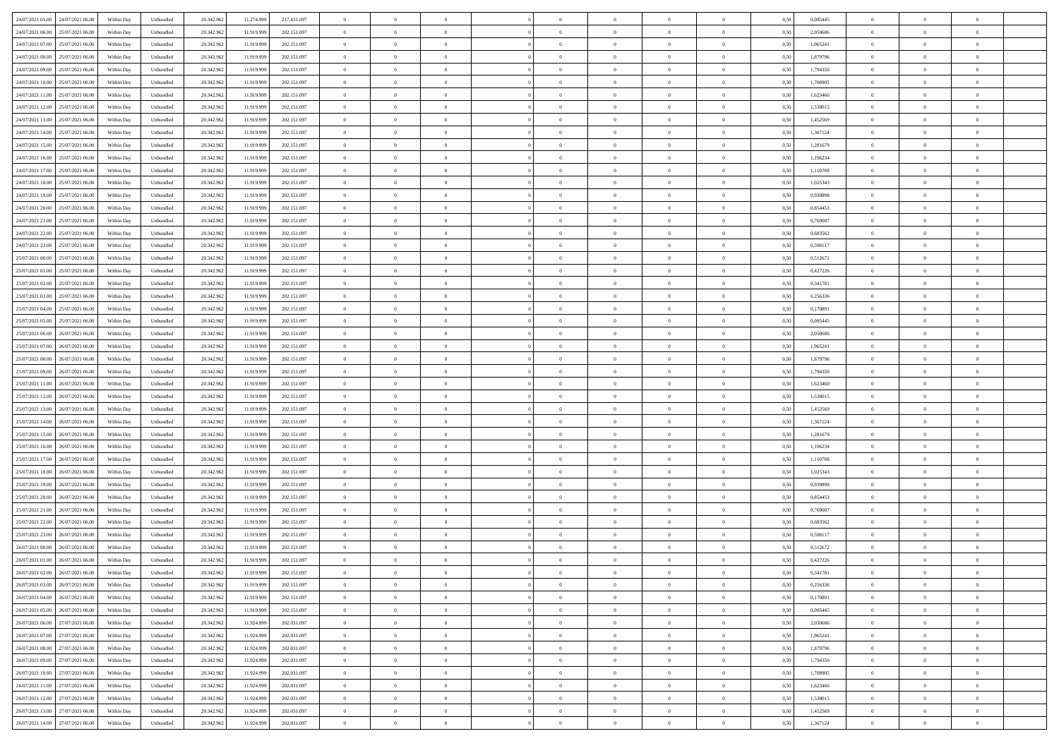| 24/07/2021 05:00 24/07/2021 06:00     | Within Day | Unbundled                   | 20.342.962 | 11.274.999 | 217.631.097 | $\overline{0}$ | $\theta$       |                | $\overline{0}$ | $\theta$       |                | $\theta$       | 0,50 | 0,085445 | $\theta$       | $\theta$       | $\overline{0}$ |  |
|---------------------------------------|------------|-----------------------------|------------|------------|-------------|----------------|----------------|----------------|----------------|----------------|----------------|----------------|------|----------|----------------|----------------|----------------|--|
| 24/07/2021 06:00<br>25/07/2021 06.00  | Within Day | Unbundled                   | 20.342.96  | 11.919.99  | 202.151.097 | $\bf{0}$       | $\overline{0}$ | $\bf{0}$       | $\overline{0}$ | $\bf{0}$       | $\overline{0}$ | $\bf{0}$       | 0,50 | 2,050686 | $\,$ 0 $\,$    | $\bf{0}$       | $\overline{0}$ |  |
| 24/07/2021 07:00<br>25/07/2021 06:00  | Within Day | Unbundled                   | 20.342.962 | 11.919.999 | 202.151.097 | $\overline{0}$ | $\bf{0}$       | $\overline{0}$ | $\bf{0}$       | $\bf{0}$       | $\overline{0}$ | $\bf{0}$       | 0.50 | 1,965241 | $\bf{0}$       | $\overline{0}$ | $\overline{0}$ |  |
| 24/07/2021 08:00<br>25/07/2021 06:00  | Within Day | Unbundled                   | 20.342.96  | 11.919.999 | 202.151.097 | $\overline{0}$ | $\overline{0}$ | $\overline{0}$ | $\theta$       | $\theta$       | $\overline{0}$ | $\bf{0}$       | 0,50 | 1,879796 | $\theta$       | $\theta$       | $\overline{0}$ |  |
| 24/07/2021 09:00<br>25/07/2021 06.00  | Within Day | Unbundled                   | 20.342.96  | 11.919.99  | 202.151.097 | $\bf{0}$       | $\overline{0}$ | $\bf{0}$       | $\overline{0}$ | $\theta$       | $\overline{0}$ | $\bf{0}$       | 0,50 | 1,794350 | $\,$ 0 $\,$    | $\bf{0}$       | $\overline{0}$ |  |
|                                       |            |                             |            |            |             |                |                |                |                |                |                |                |      |          |                |                |                |  |
| 24/07/2021 10:00<br>25/07/2021 06:00  | Within Day | Unbundled                   | 20.342.962 | 11.919.999 | 202.151.097 | $\overline{0}$ | $\overline{0}$ | $\overline{0}$ | $\bf{0}$       | $\overline{0}$ | $\theta$       | $\bf{0}$       | 0.50 | 1,708905 | $\,$ 0 $\,$    | $\theta$       | $\overline{0}$ |  |
| 24/07/2021 11:00<br>25/07/2021 06:00  | Within Day | Unbundled                   | 20.342.96  | 11.919.999 | 202.151.097 | $\overline{0}$ | $\overline{0}$ | $\overline{0}$ | $\overline{0}$ | $\overline{0}$ | $\overline{0}$ | $\bf{0}$       | 0,50 | 1,623460 | $\theta$       | $\theta$       | $\overline{0}$ |  |
| 24/07/2021 12:00<br>25/07/2021 06.00  | Within Day | Unbundled                   | 20.342.96  | 11.919.99  | 202.151.097 | $\bf{0}$       | $\overline{0}$ | $\overline{0}$ | $\overline{0}$ | $\overline{0}$ | $\overline{0}$ | $\bf{0}$       | 0,50 | 1,538015 | $\,$ 0 $\,$    | $\bf{0}$       | $\overline{0}$ |  |
| 24/07/2021 13:00<br>25/07/2021 06:00  | Within Day | Unbundled                   | 20.342.96  | 11.919.999 | 202.151.097 | $\overline{0}$ | $\bf{0}$       | $\overline{0}$ | $\bf{0}$       | $\overline{0}$ | $\overline{0}$ | $\bf{0}$       | 0.50 | 1.452569 | $\bf{0}$       | $\theta$       | $\overline{0}$ |  |
| 24/07/2021 14:00<br>25/07/2021 06:00  | Within Day | Unbundled                   | 20.342.962 | 11.919.999 | 202.151.097 | $\overline{0}$ | $\bf{0}$       | $\overline{0}$ | $\overline{0}$ | $\overline{0}$ | $\overline{0}$ | $\bf{0}$       | 0,50 | 1,367124 | $\,$ 0 $\,$    | $\theta$       | $\overline{0}$ |  |
| 24/07/2021 15:00<br>25/07/2021 06.00  | Within Day | Unbundled                   | 20.342.96  | 11.919.99  | 202.151.097 | $\bf{0}$       | $\overline{0}$ | $\bf{0}$       | $\overline{0}$ | $\bf{0}$       | $\overline{0}$ | $\bf{0}$       | 0,50 | 1,281679 | $\,$ 0 $\,$    | $\bf{0}$       | $\overline{0}$ |  |
| 24/07/2021 16:00<br>25/07/2021 06:00  | Within Day | Unbundled                   | 20.342.962 | 11.919.999 | 202.151.097 | $\overline{0}$ | $\bf{0}$       | $\overline{0}$ | $\bf{0}$       | $\bf{0}$       | $\overline{0}$ | $\bf{0}$       | 0.50 | 1,196234 | $\bf{0}$       | $\overline{0}$ | $\overline{0}$ |  |
|                                       |            |                             |            |            |             |                |                |                |                |                |                |                |      |          |                |                |                |  |
| 24/07/2021 17:00<br>25/07/2021 06:00  | Within Day | Unbundled                   | 20.342.96  | 11.919.999 | 202.151.097 | $\overline{0}$ | $\overline{0}$ | $\overline{0}$ | $\overline{0}$ | $\theta$       | $\overline{0}$ | $\overline{0}$ | 0,50 | 1,110788 | $\,$ 0 $\,$    | $\theta$       | $\overline{0}$ |  |
| 24/07/2021 18:00<br>25/07/2021 06.00  | Within Day | Unbundled                   | 20.342.96  | 11.919.999 | 202.151.097 | $\bf{0}$       | $\overline{0}$ | $\bf{0}$       | $\overline{0}$ | $\theta$       | $\overline{0}$ | $\bf{0}$       | 0,50 | 1,025343 | $\,$ 0 $\,$    | $\bf{0}$       | $\overline{0}$ |  |
| 24/07/2021 19:00<br>25/07/2021 06:00  | Within Day | Unbundled                   | 20.342.962 | 11.919.999 | 202.151.097 | $\overline{0}$ | $\overline{0}$ | $\overline{0}$ | $\bf{0}$       | $\bf{0}$       | $\theta$       | $\bf{0}$       | 0.50 | 0.939898 | $\,$ 0 $\,$    | $\theta$       | $\overline{0}$ |  |
| 24/07/2021 20:00<br>25/07/2021 06:00  | Within Day | Unbundled                   | 20.342.962 | 11.919.999 | 202.151.097 | $\overline{0}$ | $\overline{0}$ | $\overline{0}$ | $\overline{0}$ | $\overline{0}$ | $\overline{0}$ | $\bf{0}$       | 0,50 | 0,854453 | $\theta$       | $\theta$       | $\overline{0}$ |  |
| 24/07/2021 21:00<br>25/07/2021 06.00  | Within Day | Unbundled                   | 20.342.96  | 11.919.99  | 202.151.097 | $\bf{0}$       | $\overline{0}$ | $\overline{0}$ | $\overline{0}$ | $\bf{0}$       | $\overline{0}$ | $\bf{0}$       | 0,50 | 0,769007 | $\,$ 0 $\,$    | $\bf{0}$       | $\overline{0}$ |  |
| 24/07/2021 22:00<br>25/07/2021 06:00  | Within Day | Unbundled                   | 20.342.96  | 11.919.999 | 202.151.097 | $\overline{0}$ | $\bf{0}$       | $\overline{0}$ | $\bf{0}$       | $\overline{0}$ | $\overline{0}$ | $\bf{0}$       | 0.50 | 0.683562 | $\bf{0}$       | $\overline{0}$ | $\overline{0}$ |  |
| 24/07/2021 23:00<br>25/07/2021 06:00  | Within Day | Unbundled                   | 20.342.962 | 11.919.999 | 202.151.097 | $\overline{0}$ | $\overline{0}$ | $\overline{0}$ | $\overline{0}$ | $\overline{0}$ | $\overline{0}$ | $\bf{0}$       | 0,50 | 0,598117 | $\,$ 0 $\,$    | $\theta$       | $\overline{0}$ |  |
|                                       |            |                             |            |            |             |                |                |                |                |                |                |                |      |          |                |                |                |  |
| 25/07/2021 00:00<br>25/07/2021 06.00  | Within Day | Unbundled                   | 20.342.96  | 11.919.99  | 202.151.097 | $\bf{0}$       | $\bf{0}$       | $\bf{0}$       | $\bf{0}$       | $\overline{0}$ | $\overline{0}$ | $\bf{0}$       | 0,50 | 0,512672 | $\,$ 0 $\,$    | $\bf{0}$       | $\overline{0}$ |  |
| 25/07/2021 01:00<br>25/07/2021 06:00  | Within Day | Unbundled                   | 20.342.962 | 11.919.999 | 202.151.097 | $\overline{0}$ | $\bf{0}$       | $\overline{0}$ | $\bf{0}$       | $\bf{0}$       | $\overline{0}$ | $\bf{0}$       | 0.50 | 0,427226 | $\bf{0}$       | $\overline{0}$ | $\overline{0}$ |  |
| 25/07/2021 02:00<br>25/07/2021 06:00  | Within Day | Unbundled                   | 20.342.96  | 11.919.999 | 202.151.097 | $\overline{0}$ | $\overline{0}$ | $\overline{0}$ | $\theta$       | $\theta$       | $\overline{0}$ | $\bf{0}$       | 0,50 | 0,341781 | $\theta$       | $\theta$       | $\overline{0}$ |  |
| 25/07/2021 03:00<br>25/07/2021 06.00  | Within Day | Unbundled                   | 20.342.96  | 11.919.99  | 202.151.097 | $\bf{0}$       | $\overline{0}$ | $\bf{0}$       | $\bf{0}$       | $\,$ 0 $\,$    | $\overline{0}$ | $\bf{0}$       | 0,50 | 0,256336 | $\,$ 0 $\,$    | $\bf{0}$       | $\overline{0}$ |  |
| 25/07/2021 04:00<br>25/07/2021 06:00  | Within Day | Unbundled                   | 20.342.962 | 11.919.999 | 202.151.097 | $\overline{0}$ | $\overline{0}$ | $\overline{0}$ | $\overline{0}$ | $\overline{0}$ | $\Omega$       | $\bf{0}$       | 0.50 | 0,170891 | $\,$ 0 $\,$    | $\theta$       | $\overline{0}$ |  |
| 25/07/2021 05:00<br>25/07/2021 06:00  | Within Day | Unbundled                   | 20.342.962 | 11.919.999 | 202.151.097 | $\overline{0}$ | $\overline{0}$ | $\overline{0}$ | $\overline{0}$ | $\overline{0}$ | $\overline{0}$ | $\bf{0}$       | 0,50 | 0,085445 | $\theta$       | $\theta$       | $\overline{0}$ |  |
| 25/07/2021 06:00<br>26/07/2021 06.00  | Within Day | Unbundled                   | 20.342.96  | 11.919.999 | 202.151.097 | $\bf{0}$       | $\theta$       | $\bf{0}$       | $\overline{0}$ | $\bf{0}$       | $\overline{0}$ | $\bf{0}$       | 0,50 | 2,050686 | $\,$ 0 $\,$    | $\bf{0}$       | $\overline{0}$ |  |
| 25/07/2021 07:00<br>26/07/2021 06:00  | Within Day | Unbundled                   | 20.342.96  | 11.919.999 | 202.151.097 | $\overline{0}$ | $\bf{0}$       | $\overline{0}$ | $\bf{0}$       | $\overline{0}$ | $\overline{0}$ | $\bf{0}$       | 0.50 | 1.965241 | $\bf{0}$       | $\theta$       | $\overline{0}$ |  |
| 25/07/2021 08:00<br>26/07/2021 06:00  | Within Day | Unbundled                   | 20.342.962 | 11.919.999 | 202.151.097 | $\overline{0}$ | $\overline{0}$ | $\overline{0}$ | $\overline{0}$ | $\overline{0}$ | $\overline{0}$ | $\bf{0}$       | 0,50 | 1,879796 | $\theta$       | $\theta$       | $\overline{0}$ |  |
|                                       |            |                             |            |            |             |                |                |                |                |                |                |                |      |          |                |                |                |  |
| 25/07/2021 09:00<br>26/07/2021 06.00  | Within Day | Unbundled                   | 20.342.96  | 11.919.99  | 202.151.097 | $\bf{0}$       | $\bf{0}$       | $\bf{0}$       | $\bf{0}$       | $\overline{0}$ | $\overline{0}$ | $\bf{0}$       | 0,50 | 1,794350 | $\,$ 0 $\,$    | $\bf{0}$       | $\overline{0}$ |  |
| 25/07/2021 11:00<br>26/07/2021 06:00  | Within Day | Unbundled                   | 20.342.962 | 11.919.999 | 202.151.097 | $\overline{0}$ | $\bf{0}$       | $\overline{0}$ | $\bf{0}$       | $\bf{0}$       | $\overline{0}$ | $\bf{0}$       | 0.50 | 1.623460 | $\bf{0}$       | $\overline{0}$ | $\overline{0}$ |  |
| 25/07/2021 12:00<br>26/07/2021 06:00  | Within Day | Unbundled                   | 20.342.96  | 11.919.999 | 202.151.097 | $\overline{0}$ | $\overline{0}$ | $\overline{0}$ | $\overline{0}$ | $\overline{0}$ | $\overline{0}$ | $\bf{0}$       | 0.5( | 1,538015 | $\theta$       | $\theta$       | $\overline{0}$ |  |
| 25/07/2021 13:00<br>26/07/2021 06.00  | Within Day | Unbundled                   | 20.342.96  | 11.919.999 | 202.151.097 | $\bf{0}$       | $\overline{0}$ | $\bf{0}$       | $\overline{0}$ | $\overline{0}$ | $\overline{0}$ | $\bf{0}$       | 0,50 | 1,452569 | $\,$ 0 $\,$    | $\bf{0}$       | $\overline{0}$ |  |
| 25/07/2021 14:00<br>26/07/2021 06:00  | Within Day | Unbundled                   | 20.342.962 | 11.919.999 | 202.151.097 | $\overline{0}$ | $\overline{0}$ | $\overline{0}$ | $\bf{0}$       | $\overline{0}$ | $\Omega$       | $\bf{0}$       | 0.50 | 1.367124 | $\,$ 0 $\,$    | $\theta$       | $\overline{0}$ |  |
| 25/07/2021 15:00<br>26/07/2021 06:00  | Within Dav | Unbundled                   | 20.342.96  | 11.919.999 | 202.151.097 | $\overline{0}$ | $\overline{0}$ | $\overline{0}$ | $\overline{0}$ | $\overline{0}$ | $\overline{0}$ | $\overline{0}$ | 0.5( | 1,281679 | $\theta$       | $\theta$       | $\overline{0}$ |  |
| 25/07/2021 16:00<br>26/07/2021 06.00  | Within Day | Unbundled                   | 20.342.96  | 11.919.99  | 202.151.097 | $\bf{0}$       | $\overline{0}$ | $\bf{0}$       | $\overline{0}$ | $\bf{0}$       | $\overline{0}$ | $\bf{0}$       | 0,50 | 1,196234 | $\,$ 0 $\,$    | $\bf{0}$       | $\overline{0}$ |  |
| 25/07/2021 17:00<br>26/07/2021 06:00  | Within Day | Unbundled                   | 20.342.96  | 11.919.999 | 202.151.097 | $\overline{0}$ | $\bf{0}$       | $\overline{0}$ | $\bf{0}$       | $\overline{0}$ | $\overline{0}$ | $\bf{0}$       | 0.50 | 1.110788 | $\bf{0}$       | $\overline{0}$ | $\overline{0}$ |  |
| 25/07/2021 18:00<br>26/07/2021 06:00  | Within Dav | Unbundled                   | 20.342.96  | 11.919.999 | 202.151.097 | $\overline{0}$ | $\overline{0}$ | $\overline{0}$ | $\overline{0}$ | $\overline{0}$ | $\overline{0}$ | $\overline{0}$ | 0.50 | 1,025343 | $\theta$       | $\theta$       | $\overline{0}$ |  |
|                                       |            |                             |            |            |             |                |                |                |                |                |                |                |      |          |                |                |                |  |
| 25/07/2021 19:00<br>26/07/2021 06.00  | Within Day | Unbundled                   | 20.342.96  | 11.919.99  | 202.151.097 | $\bf{0}$       | $\bf{0}$       | $\bf{0}$       | $\bf{0}$       | $\overline{0}$ | $\overline{0}$ | $\bf{0}$       | 0,50 | 0,939898 | $\,$ 0 $\,$    | $\bf{0}$       | $\overline{0}$ |  |
| 25/07/2021 20:00<br>26/07/2021 06:00  | Within Day | Unbundled                   | 20.342.962 | 11.919.999 | 202.151.097 | $\overline{0}$ | $\bf{0}$       | $\overline{0}$ | $\bf{0}$       | $\bf{0}$       | $\overline{0}$ | $\bf{0}$       | 0.50 | 0.854453 | $\bf{0}$       | $\overline{0}$ | $\overline{0}$ |  |
| 25/07/2021 21:00<br>26/07/2021 06:00  | Within Dav | Unbundled                   | 20.342.96  | 11.919.999 | 202.151.097 | $\overline{0}$ | $\overline{0}$ | $\overline{0}$ | $\overline{0}$ | $\overline{0}$ | $\overline{0}$ | $\bf{0}$       | 0.5( | 0,769007 | $\theta$       | $\theta$       | $\overline{0}$ |  |
| 25/07/2021 22.00<br>26/07/2021 06.00  | Within Day | Unbundled                   | 20.342.96  | 11.919.99  | 202.151.097 | $\bf{0}$       | $\overline{0}$ | $\bf{0}$       | $\overline{0}$ | $\overline{0}$ | $\overline{0}$ | $\bf{0}$       | 0,50 | 0,683562 | $\,$ 0 $\,$    | $\bf{0}$       | $\overline{0}$ |  |
| 25/07/2021 23:00<br>26/07/2021 06:00  | Within Day | Unbundled                   | 20.342.962 | 11.919.999 | 202.151.097 | $\overline{0}$ | $\overline{0}$ | $\overline{0}$ | $\overline{0}$ | $\overline{0}$ | $\theta$       | $\bf{0}$       | 0.50 | 0.598117 | $\bf{0}$       | $\theta$       | $\overline{0}$ |  |
| 26/07/2021 00:00<br>26/07/2021 06:00  | Within Dav | Unbundled                   | 20.342.96  | 11.919.999 | 202.151.097 | $\overline{0}$ | $\overline{0}$ | $\Omega$       | $\overline{0}$ | $\theta$       | $\Omega$       | $\overline{0}$ | 0.5( | 0,512672 | $\theta$       | $\theta$       | $\overline{0}$ |  |
| 26/07/2021 01:00<br>26/07/2021 06.00  | Within Day | Unbundled                   | 20.342.96  | 11.919.999 | 202.151.097 | $\bf{0}$       | $\bf{0}$       | $\bf{0}$       | $\bf{0}$       | $\bf{0}$       | $\overline{0}$ | $\bf{0}$       | 0,50 | 0,427226 | $\,$ 0 $\,$    | $\bf{0}$       | $\overline{0}$ |  |
| $26/07/2021$ 02.00 $26/07/2021$ 06.00 | Within Day | $\ensuremath{\mathsf{Unb}}$ | 20.342.962 | 11.919.999 | 202.151.097 | $\overline{0}$ | $\Omega$       |                | $\overline{0}$ |                |                |                | 0,50 | 0,341781 | $\bf{0}$       | $\overline{0}$ |                |  |
|                                       |            |                             |            |            |             |                |                |                |                |                |                |                |      |          |                |                |                |  |
| 26/07/2021 03:00 26/07/2021 06:00     | Within Day | Unbundled                   | 20.342.962 | 11.919.999 | 202.151.097 | $\overline{0}$ | $\theta$       | $\Omega$       | $\theta$       | $\overline{0}$ | $\overline{0}$ | $\bf{0}$       | 0,50 | 0,256336 | $\theta$       | $\theta$       | $\overline{0}$ |  |
| 26/07/2021 04:00<br>26/07/2021 06:00  | Within Day | Unbundled                   | 20.342.96  | 11.919.999 | 202.151.097 | $\overline{0}$ | $\bf{0}$       | $\overline{0}$ | $\overline{0}$ | $\bf{0}$       | $\overline{0}$ | $\bf{0}$       | 0,50 | 0,170891 | $\bf{0}$       | $\overline{0}$ | $\bf{0}$       |  |
| 26/07/2021 05:00<br>26/07/2021 06:00  | Within Day | Unbundled                   | 20.342.962 | 11.919.999 | 202.151.097 | $\overline{0}$ | $\bf{0}$       | $\overline{0}$ | $\overline{0}$ | $\overline{0}$ | $\overline{0}$ | $\,$ 0 $\,$    | 0.50 | 0.085445 | $\overline{0}$ | $\bf{0}$       | $\,$ 0 $\,$    |  |
| 26/07/2021 06:00 27/07/2021 06:00     | Within Day | Unbundled                   | 20.342.962 | 11.924.999 | 202.031.097 | $\overline{0}$ | $\overline{0}$ | $\overline{0}$ | $\overline{0}$ | $\overline{0}$ | $\overline{0}$ | $\bf{0}$       | 0,50 | 2,050686 | $\theta$       | $\theta$       | $\overline{0}$ |  |
| 26/07/2021 07:00<br>27/07/2021 06:00  | Within Day | Unbundled                   | 20.342.962 | 11.924.999 | 202.031.097 | $\overline{0}$ | $\bf{0}$       | $\overline{0}$ | $\bf{0}$       | $\overline{0}$ | $\overline{0}$ | $\bf{0}$       | 0,50 | 1,965241 | $\bf{0}$       | $\bf{0}$       | $\overline{0}$ |  |
| 26/07/2021 08:00<br>27/07/2021 06:00  | Within Day | Unbundled                   | 20.342.962 | 11.924.999 | 202.031.097 | $\overline{0}$ | $\bf{0}$       | $\overline{0}$ | $\overline{0}$ | $\overline{0}$ | $\overline{0}$ | $\bf{0}$       | 0.50 | 1.879796 | $\,$ 0 $\,$    | $\theta$       | $\,$ 0         |  |
| 26/07/2021 09:00 27/07/2021 06:00     | Within Dav | Unbundled                   | 20.342.962 | 11.924.999 | 202.031.097 | $\overline{0}$ | $\overline{0}$ | $\overline{0}$ | $\overline{0}$ | $\overline{0}$ | $\overline{0}$ | $\bf{0}$       | 0.50 | 1,794350 | $\overline{0}$ | $\theta$       | $\overline{0}$ |  |
| 27/07/2021 06:00<br>26/07/2021 10:00  | Within Day | Unbundled                   | 20.342.96  | 11.924.999 | 202.031.097 | $\overline{0}$ | $\overline{0}$ | $\overline{0}$ | $\overline{0}$ | $\bf{0}$       | $\overline{0}$ | $\bf{0}$       | 0,50 | 1,708905 | $\bf{0}$       | $\overline{0}$ | $\overline{0}$ |  |
|                                       |            |                             |            |            |             |                |                |                |                |                |                |                |      |          |                |                |                |  |
| 26/07/2021 11:00 27/07/2021 06:00     | Within Day | Unbundled                   | 20.342.962 | 11.924.999 | 202.031.097 | $\overline{0}$ | $\overline{0}$ | $\overline{0}$ | $\overline{0}$ | $\bf{0}$       | $\overline{0}$ | $\bf{0}$       | 0.50 | 1.623460 | $\overline{0}$ | $\,$ 0 $\,$    | $\,$ 0         |  |
| 26/07/2021 12:00 27/07/2021 06:00     | Within Dav | Unbundled                   | 20.342.962 | 11.924.999 | 202.031.097 | $\overline{0}$ | $\overline{0}$ | $\overline{0}$ | $\overline{0}$ | $\overline{0}$ | $\overline{0}$ | $\bf{0}$       | 0,50 | 1,538015 | $\overline{0}$ | $\theta$       | $\overline{0}$ |  |
| 26/07/2021 13:00<br>27/07/2021 06:00  | Within Day | Unbundled                   | 20.342.96  | 11.924.999 | 202.031.097 | $\overline{0}$ | $\bf{0}$       | $\overline{0}$ | $\bf{0}$       | $\overline{0}$ | $\bf{0}$       | $\bf{0}$       | 0,50 | 1,452569 | $\bf{0}$       | $\bf{0}$       | $\overline{0}$ |  |
| 26/07/2021 14:00 27/07/2021 06:00     | Within Day | Unbundled                   | 20.342.962 | 11.924.999 | 202.031.097 | $\overline{0}$ | $\bf{0}$       | $\overline{0}$ | $\overline{0}$ | $\,$ 0 $\,$    | $\overline{0}$ | $\bf{0}$       | 0,50 | 1,367124 | $\overline{0}$ | $\,$ 0 $\,$    | $\,$ 0 $\,$    |  |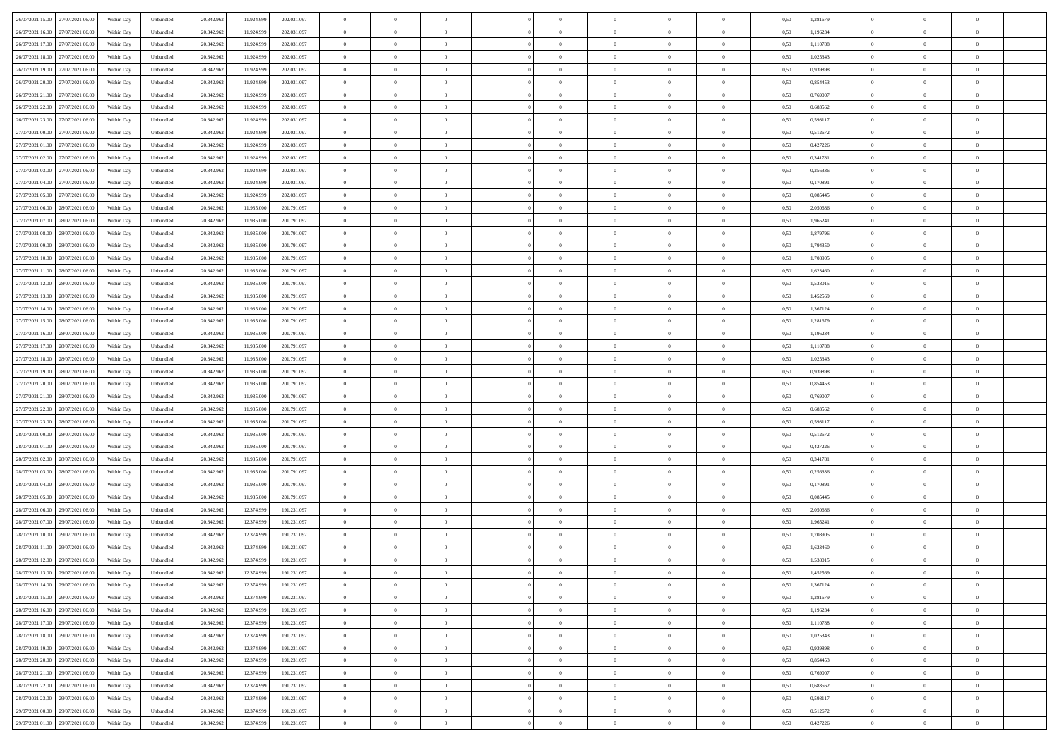|                                      |            |                             |            |            |             | $\overline{0}$ | $\theta$       |                | $\overline{0}$ | $\theta$       |                | $\theta$       |      |          | $\theta$       | $\theta$       | $\overline{0}$ |  |
|--------------------------------------|------------|-----------------------------|------------|------------|-------------|----------------|----------------|----------------|----------------|----------------|----------------|----------------|------|----------|----------------|----------------|----------------|--|
| 26/07/2021 15:00 27/07/2021 06:00    | Within Day | Unbundled                   | 20.342.962 | 11.924.999 | 202.031.097 |                |                |                |                |                |                |                | 0,50 | 1,281679 |                |                |                |  |
| 26/07/2021 16:00<br>27/07/2021 06.00 | Within Day | Unbundled                   | 20.342.96  | 11.924.99  | 202.031.097 | $\bf{0}$       | $\overline{0}$ | $\bf{0}$       | $\overline{0}$ | $\overline{0}$ | $\overline{0}$ | $\bf{0}$       | 0,50 | 1,196234 | $\,$ 0 $\,$    | $\bf{0}$       | $\overline{0}$ |  |
| 26/07/2021 17:00<br>27/07/2021 06:00 | Within Day | Unbundled                   | 20.342.962 | 11.924.999 | 202.031.097 | $\overline{0}$ | $\bf{0}$       | $\overline{0}$ | $\bf{0}$       | $\bf{0}$       | $\overline{0}$ | $\bf{0}$       | 0.50 | 1.110788 | $\bf{0}$       | $\overline{0}$ | $\overline{0}$ |  |
| 26/07/2021 18:00<br>27/07/2021 06:00 | Within Day | Unbundled                   | 20.342.96  | 11.924.999 | 202.031.097 | $\overline{0}$ | $\overline{0}$ | $\overline{0}$ | $\theta$       | $\theta$       | $\overline{0}$ | $\bf{0}$       | 0,50 | 1,025343 | $\theta$       | $\theta$       | $\overline{0}$ |  |
|                                      |            |                             |            |            |             |                |                |                |                |                |                |                |      |          |                |                |                |  |
| 26/07/2021 19:00<br>27/07/2021 06.00 | Within Day | Unbundled                   | 20.342.96  | 11.924.99  | 202.031.097 | $\overline{0}$ | $\overline{0}$ | $\bf{0}$       | $\overline{0}$ | $\theta$       | $\overline{0}$ | $\bf{0}$       | 0,50 | 0,939898 | $\,$ 0 $\,$    | $\bf{0}$       | $\overline{0}$ |  |
| 26/07/2021 20:00<br>27/07/2021 06:00 | Within Day | Unbundled                   | 20.342.962 | 11.924.999 | 202.031.097 | $\overline{0}$ | $\overline{0}$ | $\overline{0}$ | $\overline{0}$ | $\overline{0}$ | $\theta$       | $\bf{0}$       | 0.50 | 0.854453 | $\,$ 0 $\,$    | $\theta$       | $\overline{0}$ |  |
| 26/07/2021 21:00<br>27/07/2021 06:00 | Within Day | Unbundled                   | 20.342.96  | 11.924.999 | 202.031.097 | $\overline{0}$ | $\overline{0}$ | $\overline{0}$ | $\overline{0}$ | $\overline{0}$ | $\overline{0}$ | $\bf{0}$       | 0,50 | 0,769007 | $\theta$       | $\theta$       | $\overline{0}$ |  |
| 26/07/2021 22.00<br>27/07/2021 06.00 | Within Day | Unbundled                   | 20.342.96  | 11.924.99  | 202.031.097 | $\bf{0}$       | $\overline{0}$ | $\bf{0}$       | $\overline{0}$ | $\overline{0}$ | $\overline{0}$ | $\bf{0}$       | 0,50 | 0,683562 | $\,$ 0 $\,$    | $\bf{0}$       | $\overline{0}$ |  |
|                                      |            |                             |            |            |             |                |                |                |                |                |                |                |      |          |                |                |                |  |
| 26/07/2021 23:00<br>27/07/2021 06:00 | Within Day | Unbundled                   | 20.342.96  | 11.924.999 | 202.031.097 | $\overline{0}$ | $\bf{0}$       | $\overline{0}$ | $\bf{0}$       | $\overline{0}$ | $\overline{0}$ | $\bf{0}$       | 0.50 | 0.598117 | $\bf{0}$       | $\overline{0}$ | $\overline{0}$ |  |
| 27/07/2021 00:00<br>27/07/2021 06:00 | Within Day | Unbundled                   | 20.342.962 | 11.924.999 | 202.031.097 | $\overline{0}$ | $\bf{0}$       | $\overline{0}$ | $\overline{0}$ | $\overline{0}$ | $\overline{0}$ | $\bf{0}$       | 0,50 | 0,512672 | $\,$ 0 $\,$    | $\theta$       | $\overline{0}$ |  |
| 27/07/2021 01:00<br>27/07/2021 06.00 | Within Day | Unbundled                   | 20.342.96  | 11.924.999 | 202.031.097 | $\bf{0}$       | $\overline{0}$ | $\bf{0}$       | $\overline{0}$ | $\bf{0}$       | $\overline{0}$ | $\bf{0}$       | 0,50 | 0,427226 | $\,$ 0 $\,$    | $\bf{0}$       | $\overline{0}$ |  |
| 27/07/2021 02:00<br>27/07/2021 06:00 | Within Day | Unbundled                   | 20.342.962 | 11.924.999 | 202.031.097 | $\overline{0}$ | $\bf{0}$       | $\overline{0}$ | $\bf{0}$       | $\bf{0}$       | $\overline{0}$ | $\bf{0}$       | 0.50 | 0.341781 | $\bf{0}$       | $\overline{0}$ | $\bf{0}$       |  |
| 27/07/2021 03:00<br>27/07/2021 06:00 | Within Day | Unbundled                   | 20.342.96  | 11.924.999 | 202.031.097 | $\overline{0}$ | $\overline{0}$ | $\overline{0}$ | $\overline{0}$ | $\theta$       | $\overline{0}$ | $\overline{0}$ | 0,50 | 0,256336 | $\theta$       | $\theta$       | $\overline{0}$ |  |
|                                      |            |                             |            |            |             |                |                |                |                |                |                |                |      |          |                |                |                |  |
| 27/07/2021 04:00<br>27/07/2021 06.00 | Within Day | Unbundled                   | 20.342.96  | 11.924.99  | 202.031.097 | $\bf{0}$       | $\theta$       | $\bf{0}$       | $\overline{0}$ | $\theta$       | $\overline{0}$ | $\bf{0}$       | 0,50 | 0,170891 | $\,$ 0 $\,$    | $\bf{0}$       | $\overline{0}$ |  |
| 27/07/2021 05:00<br>27/07/2021 06:00 | Within Day | Unbundled                   | 20.342.962 | 11.924.999 | 202.031.097 | $\overline{0}$ | $\overline{0}$ | $\overline{0}$ | $\bf{0}$       | $\overline{0}$ | $\theta$       | $\bf{0}$       | 0.50 | 0.085445 | $\theta$       | $\theta$       | $\overline{0}$ |  |
| 27/07/2021 06:00<br>28/07/2021 06:00 | Within Day | Unbundled                   | 20.342.962 | 11.935.000 | 201.791.097 | $\overline{0}$ | $\overline{0}$ | $\overline{0}$ | $\overline{0}$ | $\overline{0}$ | $\overline{0}$ | $\bf{0}$       | 0,50 | 2,050686 | $\theta$       | $\theta$       | $\overline{0}$ |  |
| 27/07/2021 07:00<br>28/07/2021 06.00 | Within Day | Unbundled                   | 20.342.96  | 11.935.00  | 201.791.097 | $\bf{0}$       | $\overline{0}$ | $\bf{0}$       | $\overline{0}$ | $\bf{0}$       | $\overline{0}$ | $\bf{0}$       | 0,50 | 1,965241 | $\,$ 0 $\,$    | $\bf{0}$       | $\overline{0}$ |  |
|                                      |            |                             |            |            |             |                |                |                |                |                |                |                |      |          |                |                |                |  |
| 27/07/2021 08:00<br>28/07/2021 06:00 | Within Day | Unbundled                   | 20.342.96  | 11.935.00  | 201.791.097 | $\overline{0}$ | $\bf{0}$       | $\overline{0}$ | $\bf{0}$       | $\overline{0}$ | $\overline{0}$ | $\bf{0}$       | 0.50 | 1.879796 | $\bf{0}$       | $\overline{0}$ | $\overline{0}$ |  |
| 27/07/2021 09:00<br>28/07/2021 06:00 | Within Day | Unbundled                   | 20.342.962 | 11.935.000 | 201.791.097 | $\overline{0}$ | $\overline{0}$ | $\overline{0}$ | $\overline{0}$ | $\overline{0}$ | $\overline{0}$ | $\bf{0}$       | 0,50 | 1,794350 | $\,$ 0 $\,$    | $\theta$       | $\overline{0}$ |  |
| 27/07/2021 10:00<br>28/07/2021 06:00 | Within Day | Unbundled                   | 20.342.96  | 11.935.00  | 201.791.097 | $\bf{0}$       | $\bf{0}$       | $\bf{0}$       | $\bf{0}$       | $\overline{0}$ | $\overline{0}$ | $\bf{0}$       | 0,50 | 1,708905 | $\,$ 0 $\,$    | $\bf{0}$       | $\overline{0}$ |  |
| 27/07/2021 11:00<br>28/07/2021 06:00 | Within Day | Unbundled                   | 20.342.962 | 11.935,000 | 201.791.097 | $\overline{0}$ | $\bf{0}$       | $\overline{0}$ | $\bf{0}$       | $\bf{0}$       | $\overline{0}$ | $\bf{0}$       | 0.50 | 1.623460 | $\bf{0}$       | $\overline{0}$ | $\bf{0}$       |  |
| 27/07/2021 12:00<br>28/07/2021 06:00 | Within Day | Unbundled                   | 20.342.96  | 11.935.000 | 201.791.097 | $\overline{0}$ | $\overline{0}$ | $\overline{0}$ | $\theta$       | $\theta$       | $\overline{0}$ | $\bf{0}$       | 0,50 | 1,538015 | $\theta$       | $\theta$       | $\overline{0}$ |  |
|                                      |            |                             |            |            |             |                | $\overline{0}$ |                |                | $\,$ 0 $\,$    |                |                |      |          |                |                | $\overline{0}$ |  |
| 27/07/2021 13:00<br>28/07/2021 06:00 | Within Day | Unbundled                   | 20.342.96  | 11.935.00  | 201.791.097 | $\bf{0}$       |                | $\bf{0}$       | $\overline{0}$ |                | $\overline{0}$ | $\bf{0}$       | 0,50 | 1,452569 | $\,$ 0 $\,$    | $\bf{0}$       |                |  |
| 27/07/2021 14:00<br>28/07/2021 06:00 | Within Day | Unbundled                   | 20.342.962 | 11.935.000 | 201.791.097 | $\overline{0}$ | $\overline{0}$ | $\overline{0}$ | $\overline{0}$ | $\overline{0}$ | $\theta$       | $\bf{0}$       | 0.50 | 1.367124 | $\,$ 0 $\,$    | $\theta$       | $\overline{0}$ |  |
| 27/07/2021 15:00<br>28/07/2021 06:00 | Within Day | Unbundled                   | 20.342.962 | 11.935.000 | 201.791.097 | $\overline{0}$ | $\overline{0}$ | $\overline{0}$ | $\overline{0}$ | $\theta$       | $\overline{0}$ | $\bf{0}$       | 0,50 | 1,281679 | $\theta$       | $\theta$       | $\overline{0}$ |  |
| 27/07/2021 16:00<br>28/07/2021 06:00 | Within Day | Unbundled                   | 20.342.96  | 11.935.00  | 201.791.097 | $\bf{0}$       | $\theta$       | $\bf{0}$       | $\overline{0}$ | $\theta$       | $\overline{0}$ | $\bf{0}$       | 0,50 | 1,196234 | $\,$ 0 $\,$    | $\bf{0}$       | $\overline{0}$ |  |
| 27/07/2021 17:00<br>28/07/2021 06:00 | Within Day | Unbundled                   | 20.342.96  | 11.935.00  | 201.791.097 | $\overline{0}$ | $\bf{0}$       | $\overline{0}$ | $\bf{0}$       | $\overline{0}$ | $\overline{0}$ | $\bf{0}$       | 0.50 | 1.110788 | $\bf{0}$       | $\overline{0}$ | $\overline{0}$ |  |
| 27/07/2021 18:00<br>28/07/2021 06:00 | Within Day | Unbundled                   | 20.342.962 | 11.935.000 | 201.791.097 | $\overline{0}$ | $\overline{0}$ | $\overline{0}$ | $\overline{0}$ | $\overline{0}$ | $\overline{0}$ | $\bf{0}$       | 0,50 | 1,025343 | $\theta$       | $\theta$       | $\overline{0}$ |  |
|                                      |            |                             |            |            |             |                |                |                |                |                |                |                |      |          |                |                |                |  |
| 27/07/2021 19:00<br>28/07/2021 06:00 | Within Day | Unbundled                   | 20.342.96  | 11.935.000 | 201.791.097 | $\bf{0}$       | $\bf{0}$       | $\bf{0}$       | $\bf{0}$       | $\overline{0}$ | $\overline{0}$ | $\bf{0}$       | 0,50 | 0,939898 | $\,$ 0 $\,$    | $\bf{0}$       | $\overline{0}$ |  |
| 27/07/2021 20:00<br>28/07/2021 06:00 | Within Day | Unbundled                   | 20.342.962 | 11.935.00  | 201.791.097 | $\overline{0}$ | $\bf{0}$       | $\overline{0}$ | $\bf{0}$       | $\bf{0}$       | $\overline{0}$ | $\bf{0}$       | 0.50 | 0.854453 | $\bf{0}$       | $\overline{0}$ | $\bf{0}$       |  |
| 27/07/2021 21:00<br>28/07/2021 06:00 | Within Day | Unbundled                   | 20.342.96  | 11.935,000 | 201.791.097 | $\overline{0}$ | $\overline{0}$ | $\overline{0}$ | $\overline{0}$ | $\overline{0}$ | $\overline{0}$ | $\bf{0}$       | 0.5( | 0.769007 | $\theta$       | $\theta$       | $\overline{0}$ |  |
| 27/07/2021 22.00<br>28/07/2021 06:00 | Within Day | Unbundled                   | 20.342.96  | 11.935.00  | 201.791.097 | $\bf{0}$       | $\overline{0}$ | $\bf{0}$       | $\overline{0}$ | $\overline{0}$ | $\overline{0}$ | $\bf{0}$       | 0,50 | 0,683562 | $\,$ 0 $\,$    | $\bf{0}$       | $\overline{0}$ |  |
| 27/07/2021 23:00<br>28/07/2021 06:00 | Within Day | Unbundled                   | 20.342.962 | 11.935.00  | 201.791.097 | $\overline{0}$ | $\overline{0}$ | $\overline{0}$ | $\bf{0}$       | $\overline{0}$ | $\Omega$       | $\bf{0}$       | 0.50 | 0.598117 | $\,$ 0 $\,$    | $\theta$       | $\overline{0}$ |  |
|                                      |            |                             |            |            |             |                |                |                |                |                |                |                |      |          |                |                |                |  |
| 28/07/2021 00:00<br>28/07/2021 06:00 | Within Dav | Unbundled                   | 20.342.96  | 11.935.000 | 201.791.097 | $\overline{0}$ | $\overline{0}$ | $\overline{0}$ | $\overline{0}$ | $\overline{0}$ | $\overline{0}$ | $\overline{0}$ | 0.5( | 0,512672 | $\theta$       | $\theta$       | $\overline{0}$ |  |
| 28/07/2021 01:00<br>28/07/2021 06:00 | Within Day | Unbundled                   | 20.342.96  | 11.935.00  | 201.791.097 | $\bf{0}$       | $\overline{0}$ | $\bf{0}$       | $\overline{0}$ | $\bf{0}$       | $\overline{0}$ | $\bf{0}$       | 0,50 | 0,427226 | $\,$ 0 $\,$    | $\bf{0}$       | $\overline{0}$ |  |
| 28/07/2021 02:00<br>28/07/2021 06:00 | Within Day | Unbundled                   | 20.342.96  | 11.935.000 | 201.791.097 | $\overline{0}$ | $\bf{0}$       | $\overline{0}$ | $\bf{0}$       | $\overline{0}$ | $\overline{0}$ | $\bf{0}$       | 0.50 | 0.341781 | $\bf{0}$       | $\overline{0}$ | $\overline{0}$ |  |
| 28/07/2021 03:00<br>28/07/2021 06:00 | Within Dav | Unbundled                   | 20.342.96  | 11.935.000 | 201.791.097 | $\overline{0}$ | $\overline{0}$ | $\overline{0}$ | $\overline{0}$ | $\overline{0}$ | $\overline{0}$ | $\overline{0}$ | 0.50 | 0,256336 | $\theta$       | $\theta$       | $\overline{0}$ |  |
| 28/07/2021 04:00<br>28/07/2021 06:00 | Within Day | Unbundled                   | 20.342.96  | 11.935.00  | 201.791.097 | $\bf{0}$       | $\bf{0}$       | $\bf{0}$       | $\bf{0}$       | $\overline{0}$ | $\overline{0}$ | $\bf{0}$       | 0,50 | 0,170891 | $\,$ 0 $\,$    | $\bf{0}$       | $\overline{0}$ |  |
|                                      |            |                             |            |            |             |                |                |                |                |                |                |                |      |          |                |                |                |  |
| 28/07/2021 05:00<br>28/07/2021 06:00 | Within Day | Unbundled                   | 20.342.962 | 11.935,000 | 201.791.097 | $\overline{0}$ | $\bf{0}$       | $\overline{0}$ | $\bf{0}$       | $\bf{0}$       | $\overline{0}$ | $\bf{0}$       | 0.50 | 0.085445 | $\bf{0}$       | $\overline{0}$ | $\bf{0}$       |  |
| 28/07/2021 06:00<br>29/07/2021 06:00 | Within Dav | Unbundled                   | 20.342.96  | 12.374.999 | 191.231.097 | $\overline{0}$ | $\overline{0}$ | $\overline{0}$ | $\overline{0}$ | $\overline{0}$ | $\overline{0}$ | $\bf{0}$       | 0.50 | 2.050686 | $\theta$       | $\theta$       | $\overline{0}$ |  |
| 28/07/2021 07:00<br>29/07/2021 06.00 | Within Day | Unbundled                   | 20.342.96  | 12.374.999 | 191.231.097 | $\bf{0}$       | $\overline{0}$ | $\bf{0}$       | $\bf{0}$       | $\overline{0}$ | $\overline{0}$ | $\bf{0}$       | 0,50 | 1,965241 | $\,$ 0 $\,$    | $\bf{0}$       | $\overline{0}$ |  |
| 28/07/2021 10:00<br>29/07/2021 06:00 | Within Day | Unbundled                   | 20.342.962 | 12.374.999 | 191.231.097 | $\overline{0}$ | $\overline{0}$ | $\overline{0}$ | $\overline{0}$ | $\overline{0}$ | $\Omega$       | $\bf{0}$       | 0.50 | 1,708905 | $\bf{0}$       | $\theta$       | $\overline{0}$ |  |
| 28/07/2021 11:00<br>29/07/2021 06:00 | Within Dav | Unbundled                   | 20.342.96  | 12.374.999 | 191.231.097 | $\overline{0}$ | $\overline{0}$ | $\Omega$       | $\overline{0}$ | $\theta$       | $\Omega$       | $\overline{0}$ | 0.5( | 1,623460 | $\theta$       | $\theta$       | $\overline{0}$ |  |
|                                      |            |                             |            |            |             |                |                |                |                |                |                |                |      |          |                |                |                |  |
| 28/07/2021 12:00<br>29/07/2021 06.00 | Within Day | Unbundled                   | 20.342.96  | 12.374.999 | 191.231.097 | $\bf{0}$       | $\bf{0}$       | $\bf{0}$       | $\bf{0}$       | $\bf{0}$       | $\overline{0}$ | $\bf{0}$       | 0,50 | 1,538015 | $\,$ 0 $\,$    | $\bf{0}$       | $\overline{0}$ |  |
| 28/07/2021 13:00 29/07/2021 06:00    | Within Day | $\ensuremath{\mathsf{Unb}}$ | 20.342.962 | 12.374.999 | 191.231.097 | $\bf{0}$       | $\theta$       |                | $\overline{0}$ |                |                |                | 0,50 | 1,452569 | $\bf{0}$       | $\overline{0}$ |                |  |
| 28/07/2021 14:00 29/07/2021 06:00    | Within Day | Unbundled                   | 20.342.962 | 12.374.999 | 191.231.097 | $\overline{0}$ | $\theta$       | $\Omega$       | $\theta$       | $\overline{0}$ | $\overline{0}$ | $\bf{0}$       | 0,50 | 1,367124 | $\theta$       | $\theta$       | $\overline{0}$ |  |
| 28/07/2021 15:00<br>29/07/2021 06.00 | Within Day | Unbundled                   | 20.342.96  | 12.374.999 | 191.231.097 | $\overline{0}$ | $\bf{0}$       | $\overline{0}$ | $\overline{0}$ | $\bf{0}$       | $\overline{0}$ | $\bf{0}$       | 0,50 | 1,281679 | $\bf{0}$       | $\overline{0}$ | $\bf{0}$       |  |
| 28/07/2021 16:00 29/07/2021 06:00    | Within Day | Unbundled                   | 20.342.962 | 12.374.999 | 191.231.097 | $\overline{0}$ | $\bf{0}$       | $\overline{0}$ | $\overline{0}$ | $\mathbf{0}$   | $\overline{0}$ | $\,$ 0 $\,$    | 0.50 | 1.196234 | $\overline{0}$ | $\bf{0}$       | $\,$ 0 $\,$    |  |
|                                      |            |                             |            |            |             |                |                |                |                |                |                |                |      |          |                |                |                |  |
| 28/07/2021 17:00 29/07/2021 06:00    | Within Day | Unbundled                   | 20.342.962 | 12.374.999 | 191.231.097 | $\overline{0}$ | $\overline{0}$ | $\overline{0}$ | $\overline{0}$ | $\overline{0}$ | $\overline{0}$ | $\bf{0}$       | 0,50 | 1,110788 | $\theta$       | $\theta$       | $\overline{0}$ |  |
| 28/07/2021 18:00<br>29/07/2021 06.00 | Within Day | Unbundled                   | 20.342.962 | 12.374.999 | 191.231.097 | $\overline{0}$ | $\bf{0}$       | $\overline{0}$ | $\bf{0}$       | $\overline{0}$ | $\bf{0}$       | $\bf{0}$       | 0,50 | 1,025343 | $\bf{0}$       | $\bf{0}$       | $\overline{0}$ |  |
| 29/07/2021 06:00<br>28/07/2021 19:00 | Within Day | Unbundled                   | 20.342.962 | 12.374.999 | 191.231.097 | $\overline{0}$ | $\bf{0}$       | $\overline{0}$ | $\overline{0}$ | $\overline{0}$ | $\overline{0}$ | $\bf{0}$       | 0.50 | 0.939898 | $\,$ 0 $\,$    | $\theta$       | $\,$ 0         |  |
| 28/07/2021 20:00<br>29/07/2021 06:00 | Within Dav | Unbundled                   | 20.342.962 | 12.374.999 | 191.231.097 | $\overline{0}$ | $\overline{0}$ | $\overline{0}$ | $\overline{0}$ | $\overline{0}$ | $\overline{0}$ | $\bf{0}$       | 0.50 | 0,854453 | $\overline{0}$ | $\theta$       | $\overline{0}$ |  |
| 29/07/2021 06:00<br>28/07/2021 21:00 | Within Day | Unbundled                   | 20.342.96  | 12.374.999 | 191.231.097 | $\overline{0}$ | $\overline{0}$ | $\overline{0}$ | $\overline{0}$ | $\overline{0}$ | $\overline{0}$ | $\bf{0}$       | 0,50 | 0,769007 | $\bf{0}$       | $\overline{0}$ | $\overline{0}$ |  |
|                                      |            |                             |            |            |             |                |                |                |                |                |                |                |      |          |                |                |                |  |
| 28/07/2021 22:00<br>29/07/2021 06:00 | Within Day | Unbundled                   | 20.342.96  | 12.374.999 | 191.231.097 | $\overline{0}$ | $\overline{0}$ | $\overline{0}$ | $\overline{0}$ | $\bf{0}$       | $\overline{0}$ | $\bf{0}$       | 0.50 | 0.683562 | $\mathbf{0}$   | $\bf{0}$       | $\,$ 0         |  |
| 28/07/2021 23:00 29/07/2021 06:00    | Within Dav | Unbundled                   | 20.342.962 | 12.374.999 | 191.231.097 | $\overline{0}$ | $\overline{0}$ | $\overline{0}$ | $\overline{0}$ | $\overline{0}$ | $\overline{0}$ | $\bf{0}$       | 0,50 | 0,598117 | $\overline{0}$ | $\theta$       | $\overline{0}$ |  |
| 29/07/2021 00:00<br>29/07/2021 06.00 | Within Day | Unbundled                   | 20.342.96  | 12.374.999 | 191.231.097 | $\overline{0}$ | $\bf{0}$       | $\overline{0}$ | $\bf{0}$       | $\overline{0}$ | $\overline{0}$ | $\bf{0}$       | 0,50 | 0,512672 | $\bf{0}$       | $\bf{0}$       | $\bf{0}$       |  |
| 29/07/2021 01:00 29/07/2021 06:00    | Within Day | Unbundled                   | 20.342.962 | 12.374.999 | 191.231.097 | $\overline{0}$ | $\bf{0}$       | $\overline{0}$ | $\overline{0}$ | $\,$ 0 $\,$    | $\overline{0}$ | $\bf{0}$       | 0,50 | 0,427226 | $\overline{0}$ | $\,$ 0 $\,$    | $\,$ 0 $\,$    |  |
|                                      |            |                             |            |            |             |                |                |                |                |                |                |                |      |          |                |                |                |  |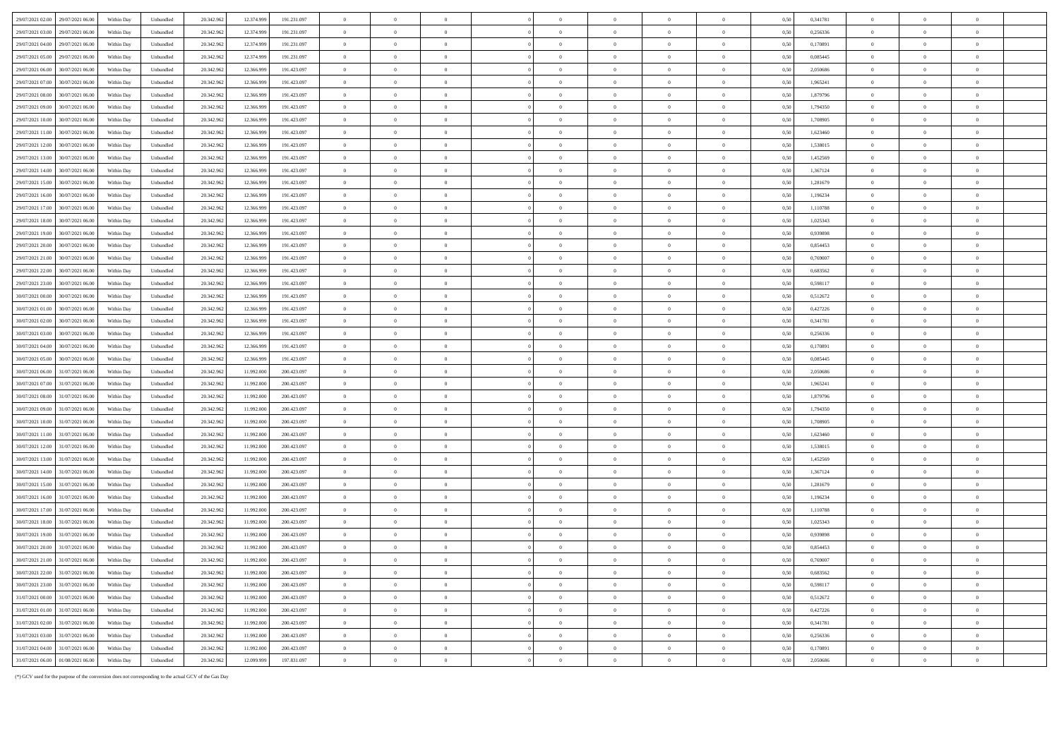| $\theta$<br>$\Omega$<br>29/07/2021 03:00<br>29/07/2021 06:00<br>Within Day<br>12.374.99<br>$\overline{0}$<br>$\theta$<br>$\Omega$<br>$\theta$<br>$\theta$<br>0.50<br>0.256336<br>$\theta$<br>Unbundled<br>20.342.962<br>191 231 097                                            | $\Omega$<br>$\theta$             |
|--------------------------------------------------------------------------------------------------------------------------------------------------------------------------------------------------------------------------------------------------------------------------------|----------------------------------|
| $\overline{0}$<br>29/07/2021 04:00<br>29/07/2021 06:00<br>20.342.962<br>12.374.999<br>191.231.097<br>$\theta$<br>$\overline{0}$<br>$\overline{0}$<br>$\overline{0}$<br>$\overline{0}$<br>$\overline{0}$<br>0.170891<br>$\overline{0}$<br>Within Day<br>Unbundled<br>0.50       | $\overline{0}$<br>$\overline{0}$ |
| 29/07/2021 05:00<br>29/07/2021 06:00<br>20.342.962<br>$\overline{0}$<br>$\,$ 0 $\,$<br>Within Day<br>Unbundled<br>12.374.99<br>191.231.097<br>$\overline{0}$<br>$\overline{0}$<br>$\overline{0}$<br>$\overline{0}$<br>$\overline{0}$<br>$\overline{0}$<br>0,50<br>0,085445     | $\,$ 0 $\,$<br>$\theta$          |
| 29/07/2021 06:00<br>30/07/2021 06:00<br>Within Day<br>Unbundled<br>20.342.962<br>12,366,999<br>191.423.097<br>$\overline{0}$<br>$\overline{0}$<br>$\overline{0}$<br>$\overline{0}$<br>$\,$ 0 $\,$<br>$\bf{0}$<br>$\overline{0}$<br>0.50<br>2,050686<br>$\overline{0}$          | $\overline{0}$<br>$\theta$       |
| 29/07/2021 07:00<br>30/07/2021 06:00<br>Within Day<br>Unbundled<br>20.342.962<br>12.366.999<br>191 423 097<br>$\overline{0}$<br>$\overline{0}$<br>$\theta$<br>$\theta$<br>$\overline{0}$<br>$\theta$<br>$\mathbf{0}$<br>0.50<br>1965241<br>$\overline{0}$                      | $\Omega$<br>$\theta$             |
| 29/07/2021 08:00<br>30/07/2021 06:00<br>Within Day<br>Unbundled<br>20.342.962<br>12.366.999<br>191.423.097<br>$\overline{0}$<br>1,879796<br>$\overline{0}$<br>$\overline{0}$<br>$\Omega$<br>$\overline{0}$<br>$\theta$<br>$\theta$<br>0.50<br>$\overline{0}$                   | $\Omega$                         |
| 29/07/2021 09:00<br>$\overline{0}$<br>0/07/2021 06:0<br>Within Day<br>Unbundled<br>20.342.962<br>12.366.99<br>191.423.097<br>$\overline{0}$<br>$\overline{0}$<br>$\overline{0}$<br>$\theta$<br>$\theta$<br>$\overline{0}$<br>0,50<br>1,794350<br>$\overline{0}$                | $\overline{0}$                   |
| 29/07/2021 10:00<br>30/07/2021 06.0<br>Within Day<br>Unbundled<br>20.342.962<br>12.366.999<br>191.423.097<br>$\overline{0}$<br>$\overline{0}$<br>$\overline{0}$<br>$\,0\,$<br>0,50<br>1,708905<br>$\,$ 0 $\,$<br>$\overline{0}$<br>$\,$ 0<br>$\overline{0}$                    | $\overline{0}$                   |
| $\overline{0}$<br>29/07/2021 11:00<br>$\theta$<br>$\overline{0}$<br>$\theta$<br>$\Omega$<br>$\theta$<br>$\theta$<br>30/07/2021 06:00<br>Within Day<br>Unbundled<br>20.342.962<br>12.366.999<br>191 423 097<br>$\theta$<br>0.50<br>1.623460                                     | $\overline{0}$<br>$\theta$       |
| $\overline{0}$<br>$\theta$                                                                                                                                                                                                                                                     |                                  |
| 29/07/2021 12:00<br>30/07/2021 06:00<br>$\overline{0}$<br>$\overline{0}$<br>Within Day<br>20.342.962<br>12,366,999<br>191.423.097<br>$\overline{0}$<br>$\overline{0}$<br>$\overline{0}$<br>$\theta$<br>0.50<br>1.538015<br>Unbundled                                           | $\theta$<br>$\theta$             |
| 29/07/2021 13:00<br>$\,$ 0 $\,$<br>$\,$ 0 $\,$<br>30/07/2021 06:00<br>Within Day<br>Unbundled<br>20.342.962<br>12.366.999<br>191.423.097<br>$\,$ 0 $\,$<br>$\overline{0}$<br>$\,$ 0 $\,$<br>$\,$ 0 $\,$<br>$\overline{0}$<br>$\,$ 0 $\,$<br>0,50<br>1,452569                   | $\overline{0}$<br>$\overline{0}$ |
| 29/07/2021 14:00<br>30/07/2021 06:00<br>Within Dav<br>Unbundled<br>20.342.962<br>12,366,999<br>191 423 097<br>$\overline{0}$<br>$\overline{0}$<br>$\theta$<br>$\overline{0}$<br>$\overline{0}$<br>$\theta$<br>$\sqrt{2}$<br>0.50<br>1.367124<br>$\overline{0}$                 | $\Omega$<br>$\sqrt{2}$           |
| 29/07/2021 15:00<br>30/07/2021 06:00<br>Within Day<br>Unbundled<br>20.342.962<br>12.366.999<br>191 423 097<br>$\overline{0}$<br>$\theta$<br>$\theta$<br>$\Omega$<br>1.281679<br>$\overline{0}$<br>$\theta$<br>$\overline{0}$<br>$\mathbf{0}$<br>0.50                           | $\Omega$<br>$\theta$             |
| 29/07/2021 16:00<br>30/07/2021 06:00<br>Within Day<br>20.342.962<br>12,366,999<br>191.423.097<br>$\overline{0}$<br>Unbundled<br>$\overline{0}$<br>$\theta$<br>0.50<br>1.196234<br>$\overline{0}$<br>$\overline{0}$<br>$\overline{0}$<br>$\overline{0}$<br>$\bf{0}$             | $\Omega$<br>$^{\circ}$           |
| 29/07/2021 17:00<br>30/07/2021 06.00<br>Within Day<br>20.342.962<br>12.366.999<br>191.423.097<br>$\theta$<br>1,110788<br>$\label{thm:undl} Unbundle$<br>$\overline{0}$<br>$\overline{0}$<br>$\bf{0}$<br>$\theta$<br>$\overline{0}$<br>0.51<br>$\overline{0}$                   |                                  |
| 29/07/2021 18:00<br>30/07/2021 06.0<br>Within Day<br>Unbundled<br>20.342.962<br>12.366.999<br>191.423.097<br>$\overline{0}$<br>$\,$ 0<br>$\overline{0}$<br>$\overline{0}$<br>$\,$ 0 $\,$<br>$\overline{0}$<br>0,50<br>1,025343<br>$\overline{0}$<br>$\,$ 0 $\,$                | $\overline{0}$<br>$\overline{0}$ |
| $\overline{0}$<br>29/07/2021 19:00<br>$\theta$<br>$\theta$<br>$\theta$<br>30/07/2021 06:00<br>Within Day<br>Unbundled<br>20.342.962<br>12.366.999<br>191 423 097<br>$\theta$<br>$\overline{0}$<br>$\theta$<br>$\theta$<br>0.50<br>0.939898                                     | $\Omega$<br>$\sim$               |
| 29/07/2021 20.00<br>30/07/2021 06:00<br>20.342.962<br>12.366.999<br>191.423.097<br>$\overline{0}$<br>$\theta$<br>$\overline{0}$<br>$\,$ 0 $\,$<br>$\,$ 0 $\,$<br>$\,$ 0 $\,$<br>$\hspace{0.1mm}\bm{0}$<br>0,854453<br>$\,$ 0 $\,$<br>Within Day<br>Unbundled<br>0.50           | $\overline{0}$<br>$\theta$       |
| 29/07/2021 21:00<br>$\overline{0}$<br>30/07/2021 06:00<br>Within Day<br>Unbundled<br>20.342.962<br>12.366.99<br>191.423.097<br>$\overline{0}$<br>$\overline{0}$<br>$\overline{0}$<br>$\overline{0}$<br>$\theta$<br>$\overline{0}$<br>0.5(<br>0,769007<br>$\overline{0}$        |                                  |
| 29/07/2021 22:00<br>30/07/2021 06:00<br>Within Day<br>Unbundled<br>20.342.962<br>12.366.999<br>191.423.097<br>$\overline{0}$<br>$\,$ 0 $\,$<br>$\overline{0}$<br>$\,$ 0 $\,$<br>$\,$ 0 $\,$<br>$\overline{0}$<br>$\,$ 0 $\,$<br>0,50<br>0,683562<br>$\,$ 0 $\,$                | $\,$ 0 $\,$<br>$\overline{0}$    |
| 29/07/2021 23:00<br>30/07/2021 06:00<br>20.342.962<br>Within Day<br>Unbundled<br>12.366.999<br>191 423 097<br>$\overline{0}$<br>$\theta$<br>0.50<br>0.598117<br>$\theta$<br>$\theta$<br>$\theta$<br>$\theta$<br>$\Omega$<br>$\theta$                                           | $\Omega$<br>$\mathbf{a}$         |
| 30/07/2021 00:00<br>30/07/2021 06:00<br>Within Dav<br>Unbundled<br>20.342.962<br>12.366.999<br>191.423.097<br>$\overline{0}$<br>$\overline{0}$<br>$\overline{0}$<br>0.512672<br>$\overline{0}$<br>$\overline{0}$<br>$\overline{0}$<br>0.50<br>$\overline{0}$<br>$\overline{0}$ | $\overline{0}$<br>$\theta$       |
| 30/07/2021 01:00<br>$\,$ 0 $\,$<br>30/07/2021 06:00<br>Within Day<br>20.342.962<br>12.366.999<br>191.423.097<br>$\overline{0}$<br>0,427226<br>$\theta$<br>Unbundled<br>$\overline{0}$<br>$\overline{0}$<br>$\theta$<br>$\theta$<br>$\overline{0}$<br>0,50                      | $\overline{0}$                   |
| 30/07/2021 02:00<br>30/07/2021 06:0<br>Within Day<br>$\label{thm:undl} Unbundle$<br>20.342.962<br>12.366.99<br>191.423.097<br>$\overline{0}$<br>$\overline{0}$<br>$\overline{0}$<br>$\Omega$<br>$\theta$<br>$\theta$<br>$\overline{0}$<br>0.5(<br>0,341781<br>$\overline{0}$   | $\Omega$<br>$\Omega$             |
| $\overline{0}$<br>$\,$ 0 $\,$<br>$\theta$<br>$\alpha$<br>$\theta$<br>$\,$ 0 $\,$<br>$\theta$<br>$\alpha$<br>30/07/2021 03:0<br>30/07/2021 06:00<br>Within Day<br>20,342.96<br>12.366.99<br>0.256336<br>Unbundled<br>191 423 097<br>0.50                                        | $\overline{0}$<br>$\theta$       |
| 30/07/2021 04:00<br>$\overline{0}$<br>$\overline{0}$<br>30/07/2021 06:00<br>Within Day<br>20.342.962<br>12,366,999<br>191.423.097<br>$\overline{0}$<br>$\overline{0}$<br>$\overline{0}$<br>$\overline{0}$<br>$\overline{0}$<br>$\overline{0}$<br>0.50<br>0.170891<br>Unbundled | $\overline{0}$<br>$\theta$       |
| 30/07/2021 05:00<br>30/07/2021 06.00<br>Within Day<br>20.342.962<br>191.423.097<br>$\overline{0}$<br>$\theta$<br>$\overline{0}$<br>$\overline{0}$<br>$\,$ 0 $\,$<br>$\overline{0}$<br>$\,$ 0 $\,$<br>Unbundled<br>12,366.99<br>$\overline{0}$<br>0.5(<br>0.085445              | $\overline{0}$<br>$\overline{0}$ |
| 30/07/2021 06:00<br>31/07/2021 06:00<br>Within Day<br>Unbundled<br>20.342.962<br>11.992.000<br>200.423.097<br>$\overline{0}$<br>$\,$ 0<br>$\overline{0}$<br>$\overline{0}$<br>$\,$ 0 $\,$<br>$\,$ 0 $\,$<br>0.5(<br>2,050686<br>$\overline{0}$<br>$\overline{0}$               | $\overline{0}$<br>$\theta$       |
| 30/07/2021 07:00<br>$\overline{0}$<br>$\overline{0}$<br>$\overline{0}$<br>$\overline{0}$<br>31/07/2021 06:00<br>Within Day<br>Unbundled<br>20.342.962<br>11.992.000<br>200 423 097<br>$\overline{0}$<br>$\overline{0}$<br>$\theta$<br>0.50<br>1.965241<br>$\overline{0}$       | $\Omega$<br>$\theta$             |
| 30/07/2021 08:00<br>31/07/2021 06:00<br>Within Day<br>20.342.962<br>11.992.000<br>200 423 097<br>$\overline{0}$<br>$\Omega$<br>1879796<br>Unbundled<br>$\Omega$<br>$\theta$<br>$\theta$<br>$\theta$<br>$\theta$<br>0.50<br>$\Omega$                                            | $\Omega$<br>$\theta$             |
| 30/07/2021 09:00<br>31/07/2021 06.00<br>200.423.097<br>$\mathbf{0}$<br>Within Day<br>Unbundled<br>20.342.962<br>11.992.000<br>$\overline{0}$<br>$\overline{0}$<br>$\theta$<br>0,50<br>1,794350<br>$\overline{0}$<br>$\theta$<br>$\theta$<br>$\overline{0}$                     | $\overline{0}$                   |
| 30/07/2021 10:00<br>31/07/2021 06.0<br>Within Day<br>20.342.962<br>11.992.000<br>200.423.097<br>$\overline{0}$<br>$\overline{0}$<br>$\overline{0}$<br>0,50<br>1,708905<br>$\,$ 0 $\,$<br>Unbundled<br>$\overline{0}$<br>$\,$ 0 $\,$<br>$\,$ 0 $\,$<br>$\overline{0}$           | $\,$ 0 $\,$<br>$\overline{0}$    |
| 30/07/2021 11:00<br>$\theta$<br>31/07/2021 06:00<br>Within Day<br>Unbundled<br>20,342.96<br>11.992.000<br>200 423 097<br>$\Omega$<br>$\theta$<br>$\theta$<br>$\Omega$<br>$\Omega$<br>$\theta$<br>0.50<br>1.623460<br>$\Omega$                                                  | $\Omega$<br>$\sqrt{2}$           |
| 30/07/2021 12:00<br>$\overline{0}$<br>$\overline{0}$<br>$\overline{0}$<br>$\mathbf{0}$<br>$\,$ 0 $\,$<br>$\overline{0}$<br>$\overline{0}$<br>$\overline{0}$<br>31/07/2021 06:00<br>Within Day<br>20.342.962<br>11.992.000<br>200.423.097<br>0.50<br>1.538015<br>Unbundled      | $\overline{0}$<br>$\overline{0}$ |
| 30/07/2021 13:00<br>31/07/2021 06:00<br>Within Day<br>20.342.962<br>11.992.000<br>200.423.097<br>$\overline{0}$<br>$\overline{0}$<br>$\overline{0}$<br>$\overline{0}$<br>$\,$ 0 $\,$<br>$\theta$<br>$\overline{0}$<br>0,50<br>1,452569<br>$\,$ 0 $\,$<br>Unbundled             | $\overline{0}$<br>$\overline{0}$ |
| 30/07/2021 14:00<br>31/07/2021 06:00<br>Within Day<br>Unbundled<br>20.342.962<br>11.992.000<br>200.423.097<br>$\overline{0}$<br>$\theta$<br>$\overline{0}$<br>$\,$ 0 $\,$<br>$\,$ 0 $\,$<br>$\overline{0}$<br>$\,$ 0 $\,$<br>0,50<br>1,367124<br>$\,$ 0 $\,$                   | $\,$ 0 $\,$<br>$\overline{0}$    |
| 30/07/2021 15:00<br>31/07/2021 06:00<br>Within Day<br>Unbundled<br>20.342.962<br>11.992.000<br>200 423 097<br>$\overline{0}$<br>$\overline{0}$<br>$\theta$<br>$\theta$<br>$\overline{0}$<br>$\theta$<br>$\theta$<br>0.50<br>1.281679<br>$\overline{0}$                         | $\Omega$<br>$\theta$             |
| 30/07/2021 16:00<br>31/07/2021 06:00<br>20.342.962<br>Within Dav<br>Unbundled<br>11.992.000<br>200.423,097<br>$\overline{0}$<br>$\overline{0}$<br>$\overline{0}$<br>$\theta$<br>0.50<br>1.196234<br>$\overline{0}$<br>$\overline{0}$<br>$\bf{0}$<br>$\overline{0}$             | $\overline{0}$                   |
| 30/07/2021 17:00<br>31/07/2021 06.00<br>Within Day<br>20.342.962<br>11.992.000<br>200.423.097<br>$\overline{0}$<br>1,110788<br>Unbundled<br>$\overline{0}$<br>$\overline{0}$<br>$\theta$<br>0.5(<br>$\overline{0}$<br>$\Omega$<br>$\overline{0}$<br>$\theta$                   | $\Omega$<br>$\theta$             |
| 30/07/2021 18:00<br>31/07/2021 06.0<br>Within Day<br>Unbundled<br>20.342.962<br>11.992.000<br>200.423.097<br>$\overline{0}$<br>$\overline{0}$<br>$\overline{0}$<br>$\overline{0}$<br>$\,$ 0 $\,$<br>$\overline{0}$<br>0,50<br>1,025343<br>$\bf{0}$<br>$\theta$                 | $\overline{0}$                   |
| 30/07/2021 19:00<br>$\overline{0}$<br>$\theta$<br>$\overline{0}$<br>31/07/2021 06:00<br>Within Day<br>Unbundled<br>20.342.962<br>11.992.000<br>200.423.097<br>$\overline{0}$<br>$\theta$<br>$\overline{0}$<br>$\overline{0}$<br>$\overline{0}$<br>0.5(<br>0.939898             | $\overline{0}$<br>$\sqrt{2}$     |
| 30/07/2021 20:00<br>$\theta$<br>$\theta$<br>31/07/2021 06:00<br>11 992 00<br>$\Omega$<br>$\theta$<br>$\overline{0}$<br>$\theta$<br>$\Omega$<br>$\theta$<br>Within Day<br>Unbundled<br>20.342.962<br>200 423 097<br>0.50<br>0.854453                                            | $\Omega$<br>$\sqrt{2}$           |
| 30/07/2021 21.00<br>$\,$ 0 $\,$<br>31/07/2021 06:00<br>Within Day<br>Unbundled<br>20.342.962<br>11.992.000<br>200.423.097<br>$\bf{0}$<br>$\overline{0}$<br>$\overline{0}$<br>$\,$ 0 $\,$<br>$\overline{0}$<br>$\overline{0}$<br>0,50<br>0,769007<br>$\overline{0}$             | $\overline{0}$<br>$\overline{0}$ |
| 30/07/2021 22:00<br>31/07/2021 06:00<br>Within Day<br>20.342.962<br>11.992.000<br>200.423.097<br>$\overline{0}$<br>0,50<br>0,683562<br>$\,$ 0 $\,$<br>Unbundled<br>$\overline{0}$<br>$\overline{0}$<br>$\overline{0}$<br>$\,$ 0 $\,$<br>$\,$ 0 $\,$<br>$\overline{0}$          | $\overline{0}$<br>$\sqrt{2}$     |
| 30/07/2021 23:00<br>31/07/2021 06:00<br>Within Day<br>Unbundled<br>20.342.962<br>11.992.000<br>200 423 097<br>$\overline{0}$<br>$\overline{0}$<br>$\overline{0}$<br>$\overline{0}$<br>$\overline{0}$<br>$\overline{0}$<br>$\overline{0}$<br>0.50<br>0.598117<br>$\overline{0}$ | $\Omega$<br>$\theta$             |
| 31/07/2021 00:00<br>31/07/2021 06:00<br>200.423.097<br>0,512672<br>Within Day<br>20.342.962<br>11,992,000<br>$\overline{0}$<br>$\theta$<br>$\theta$<br>$\overline{0}$<br>Unbundled<br>$\overline{0}$<br>$\overline{0}$<br>$\overline{0}$<br>0.50<br>$\overline{0}$             | $\theta$<br>$\theta$             |
| 31/07/2021 01:00<br>31/07/2021 06:00<br>Within Day<br>Unbundled<br>20.342.962<br>11.992.000<br>200.423.097<br>$\overline{0}$<br>$\overline{0}$<br>0,427226<br>$\,$ 0 $\,$<br>$\overline{0}$<br>$\overline{0}$<br>$\overline{0}$<br>$\,$ 0 $\,$<br>$\overline{0}$<br>0,50       | $\overline{0}$                   |
| 31/07/2021 02.00<br>31/07/2021 06.00<br>Within Day<br>20.342.962<br>11.992.000<br>200.423.097<br>$\overline{0}$<br>$\overline{0}$<br>0,341781<br>$\theta$<br>Unbundled<br>$\overline{0}$<br>$\overline{0}$<br>$\theta$<br>$\theta$<br>$\overline{0}$<br>0.5(                   | $\overline{0}$                   |
| 31/07/2021 03:00<br>$\theta$<br>31/07/2021 06:0<br>Within Dav<br>Unbundled<br>20.342.96<br>11 992.00<br>200 423 097<br>$\Omega$<br>$\Omega$<br>$\Omega$<br>$\theta$<br>$\Omega$<br>$\theta$<br>0.50<br>0.256336<br>$\Omega$                                                    | $\theta$<br>$\mathbf{a}$         |
| $\overline{0}$<br>$\overline{0}$<br>31/07/2021 04:00<br>31/07/2021 06:00<br>20.342.962<br>$\theta$<br>$\overline{0}$<br>$\overline{0}$<br>$\theta$<br>$\overline{0}$<br>0.50<br>$\overline{0}$<br>Within Day<br>Unbundled<br>11.992.000<br>200.423.097<br>0.170891             | $\overline{0}$<br>$\overline{0}$ |
| 31/07/2021 06:00<br>01/08/2021 06:00<br>Within Day<br>20.342.962<br>12.099.999<br>197.831.097<br>$\overline{0}$<br>$\theta$<br>$\overline{0}$<br>0,50<br>2,050686<br>$\Omega$<br>Unbundled<br>$\Omega$<br>$\theta$<br>$\theta$                                                 | $\Omega$<br>$\theta$             |

(\*) GCV used for the purpose of the conversion does not corresponding to the actual GCV of the Gas Day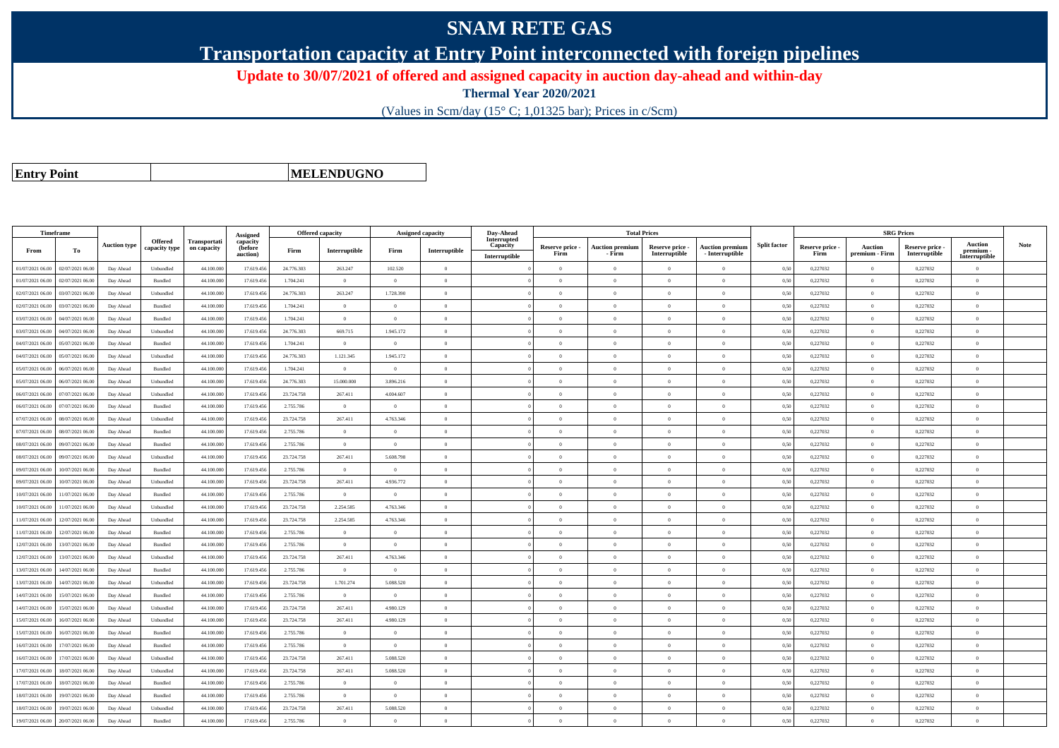## **SNAM RETE GAS**

**Transportation capacity at Entry Point interconnected with foreign pipelines**

**Update to 30/07/2021 of offered and assigned capacity in auction day-ahead and within-day**

**Thermal Year 2020/2021**

(Values in Scm/day (15° C; 1,01325 bar); Prices in c/Scm)

**Entry Point**

**MELENDUGNO**

| Timeframe        |                  |                     |                          |                                    | Assigned                        | <b>Offered capacity</b> |                |                | <b>Assigned capacity</b> | Day-Ahead                                |                         | <b>Total Prices</b>              |                                  |                                           |                     |                         | <b>SRG Prices</b>                |                                  |                                     |             |
|------------------|------------------|---------------------|--------------------------|------------------------------------|---------------------------------|-------------------------|----------------|----------------|--------------------------|------------------------------------------|-------------------------|----------------------------------|----------------------------------|-------------------------------------------|---------------------|-------------------------|----------------------------------|----------------------------------|-------------------------------------|-------------|
| From             | To               | <b>Auction type</b> | Offered<br>capacity type | <b>Transportati</b><br>on capacity | capacity<br>(before<br>auction) | Firm                    | Interruptible  | Firm           | Interruptible            | Interrupted<br>Capacity<br>Interruptible | Reserve price -<br>Firm | <b>Auction premium</b><br>- Firm | Reserve price -<br>Interruptible | <b>Auction premium</b><br>- Interruptible | <b>Split factor</b> | Reserve price -<br>Firm | <b>Auction</b><br>premium - Firm | Reserve price -<br>Interruptible | Auction<br>premium<br>Interruptible | <b>Note</b> |
| 01/07/2021 06:00 | 02/07/2021 06:00 | Day Ahead           | Unbundled                | 44,100.00                          | 17.619.456                      | 24,776,303              | 263.247        | 102.520        | $\overline{0}$           |                                          | $\Omega$                | $\theta$                         | $\Omega$                         | $\theta$                                  | 0,50                | 0,227032                | $\Omega$                         | 0,227032                         | $\Omega$                            |             |
| 01/07/2021 06.00 | 02/07/2021 06.00 | Day Ahead           | Bundled                  | 44.100.00                          | 17.619.456                      | 1.704.241               | $\overline{0}$ | $\overline{0}$ | $\Omega$                 |                                          | $\theta$                | $\theta$                         | $\Omega$                         | $\Omega$                                  | 0,50                | 0,227032                | $\overline{0}$                   | 0,227032                         | $\bf{0}$                            |             |
| 02/07/2021 06:00 | 03/07/2021 06:00 | Day Ahead           | Unbundled                | 44,100,000                         | 17.619.456                      | 24,776,303              | 263.247        | 1.728.390      | $\theta$                 |                                          | $\theta$                | $\theta$                         | $\overline{0}$                   | $\mathbf{0}$                              | 0.50                | 0.227032                | $\overline{0}$                   | 0.227032                         | $\bf{0}$                            |             |
| 02/07/2021 06:00 | 03/07/2021 06:00 | Day Ahead           | <b>Bundled</b>           | 44.100.000                         | 17.619.456                      | 1.704.241               | $\overline{0}$ | $\Omega$       | $\overline{0}$           |                                          | $\Omega$                | $\theta$                         | $\overline{0}$                   | $\overline{0}$                            | 0,50                | 0,227032                | $\overline{0}$                   | 0,227032                         | $\Omega$                            |             |
| 03/07/2021 06.0  | 04/07/2021 06.0  | Day Ahead           | Bundled                  | 44.100.00                          | 17.619.456                      | 1.704.241               | $\overline{0}$ | $\overline{0}$ | $\theta$                 |                                          | $\theta$                | $\theta$                         | $\overline{0}$                   | $\mathbf{0}$                              | 0,50                | 0,227032                | $\overline{0}$                   | 0,227032                         | $\bf{0}$                            |             |
| 03/07/2021 06:00 | 04/07/2021 06.00 | Day Ahead           | Unbundled                | 44,100,000                         | 17.619.456                      | 24.776.303              | 669.715        | 1.945.172      | $\theta$                 |                                          | $\theta$                | $\theta$                         | $\Omega$                         | $\theta$                                  | 0,50                | 0,227032                | $\overline{0}$                   | 0,227032                         | $\theta$                            |             |
| 04/07/2021 06:00 | 05/07/2021 06.00 | Day Ahead           | Bundled                  | 44,100,000                         | 17.619.456                      | 1.704.241               | $\overline{0}$ | $^{\circ}$     | $\Omega$                 |                                          | $\theta$                | $\mathbf{a}$                     | $\theta$                         | $\theta$                                  | 0,50                | 0,227032                | $\overline{0}$                   | 0,227032                         | $\Omega$                            |             |
| 04/07/2021 06:00 | 05/07/2021 06.0  | Day Ahead           | Unbundled                | 44.100.00                          | 17.619.456                      | 24.776.303              | 1.121.345      | 1.945.172      | $\Omega$                 |                                          | $\Omega$                |                                  | $\Omega$                         | $\theta$                                  | 0.50                | 0,227032                | $\Omega$                         | 0,227032                         | $\Omega$                            |             |
| 05/07/2021 06:00 | 06/07/2021 06:00 | Day Ahead           | Bundled                  | 44,100,000                         | 17.619.456                      | 1.704.241               | $\overline{0}$ | $\overline{0}$ | $\theta$                 |                                          | $\theta$                | $\theta$                         | $\overline{0}$                   | $\overline{0}$                            | 0,50                | 0,227032                | $\overline{0}$                   | 0,227032                         | $\bf{0}$                            |             |
| 05/07/2021 06:00 | 06/07/2021 06.0  | Day Ahead           | Unbundled                | 44.100.000                         | 17.619.456                      | 24.776.303              | 15.000.000     | 3.896.216      | $\theta$                 |                                          | $\theta$                | $\overline{0}$                   | $\overline{0}$                   | $\mathbf{0}$                              | 0,50                | 0,227032                | $\overline{0}$                   | 0,227032                         | $\bf{0}$                            |             |
| 06/07/2021 06:00 | 7/07/2021 06.0   | Day Ahead           | Unbundled                | 44.100.00                          | 17.619.456                      | 23.724.758              | 267.411        | 4.004.607      | $\Omega$                 |                                          | $\Omega$                |                                  | $\Omega$                         | $\Omega$                                  | 0,50                | 0,227032                | $\mathbf{0}$                     | 0,227032                         | $\theta$                            |             |
| 06/07/2021 06:00 | 07/07/2021 06.00 | Day Ahead           | Bundled                  | 44.100.000                         | 17.619.456                      | 2.755.786               | $\overline{0}$ | $\Omega$       | $\Omega$                 |                                          | $\Omega$                | $\theta$                         | $\Omega$                         | $\theta$                                  | 0.50                | 0,227032                | $\overline{0}$                   | 0,227032                         | $\Omega$                            |             |
| 07/07/2021 06:00 | 08/07/2021 06:00 | Day Ahead           | Unbundled                | 44.100.000                         | 17.619.456                      | 23.724.758              | 267.411        | 4.763.346      | $\Omega$                 |                                          | $\Omega$                | $\theta$                         | $\theta$                         | $\Omega$                                  | 0,50                | 0,227032                | $\overline{0}$                   | 0,227032                         | $\Omega$                            |             |
| 07/07/2021 06:00 | 08/07/2021 06:00 | Day Ahead           | <b>Bundled</b>           | 44,100,000                         | 17.619.456                      | 2.755.786               | $\overline{0}$ | $\Omega$       | $\theta$                 |                                          | $\theta$                | $\theta$                         | $\Omega$                         | $\theta$                                  | 0.50                | 0.227032                | $\Omega$                         | 0.227032                         | $\theta$                            |             |
| 08/07/2021 06:00 | 09/07/2021 06.00 | Day Ahead           | Bundled                  | 44.100.00                          | 17.619.456                      | 2.755.786               | $\overline{0}$ | $\overline{0}$ | $\overline{0}$           |                                          | $\theta$                | $\theta$                         | $\overline{0}$                   | $\mathbf{0}$                              | 0,50                | 0,227032                | $\,$ 0 $\,$                      | 0,227032                         | $\bf{0}$                            |             |
| 08/07/2021 06:00 | 09/07/2021 06.00 | Day Ahead           | Unbundled                | 44.100.000                         | 17.619.456                      | 23.724.758              | 267.411        | 5.608.798      | $\theta$                 |                                          | $\theta$                | $\theta$                         | $\overline{0}$                   | $\mathbf{0}$                              | 0,50                | 0,227032                | $\overline{0}$                   | 0,227032                         | $\Omega$                            |             |
| 09/07/2021 06:00 | 10/07/2021 06:00 | Day Ahead           | <b>Bundled</b>           | 44,100,000                         | 17.619.456                      | 2.755.786               | $\overline{0}$ | $\Omega$       | $\theta$                 |                                          | $\theta$                | $\theta$                         | $\Omega$                         | $\theta$                                  | 0,50                | 0,227032                | $\theta$                         | 0,227032                         | $\theta$                            |             |
| 09/07/2021 06.0  | 10/07/2021 06.0  | Day Ahead           | Unbundled                | 44.100.00                          | 17.619.456                      | 23.724.758              | 267.411        | 4.936.772      | $\theta$                 |                                          | $\theta$                | $\theta$                         | $\theta$                         | $\mathbf{0}$                              | 0,50                | 0,227032                | $\overline{0}$                   | 0,227032                         | $\bf{0}$                            |             |
| 10/07/2021 06:00 | 11/07/2021 06.00 | Day Ahead           | <b>Bundled</b>           | 44,100,000                         | 17.619.456                      | 2.755.786               | $\theta$       | $\Omega$       | $\theta$                 |                                          | $\Omega$                | $\theta$                         | $\Omega$                         | $\theta$                                  | 0.50                | 0,227032                | $\Omega$                         | 0.227032                         | $\theta$                            |             |
| 10/07/2021 06:00 | 11/07/2021 06:00 | Day Ahead           | Unbundled                | 44,100,000                         | 17.619.456                      | 23,724,758              | 2.254.585      | 4.763.346      | $\theta$                 |                                          | $\theta$                | $\theta$                         | $\overline{0}$                   | $\mathbf{0}$                              | 0.50                | 0,227032                | $\overline{0}$                   | 0.227032                         | $\Omega$                            |             |
| 11/07/2021 06.00 | 12/07/2021 06.0  | Day Ahead           | Unbundled                | 44.100.00                          | 17.619.456                      | 23.724.758              | 2.254.585      | 4.763.346      | $\theta$                 |                                          | $\theta$                | $\theta$                         | $\theta$                         | $\mathbf{0}$                              | 0,50                | 0,227032                | $\overline{0}$                   | 0,227032                         | $\overline{0}$                      |             |
| 11/07/2021 06:00 | 12/07/2021 06:00 | Day Ahead           | Bundled                  | 44.100.000                         | 17.619.456                      | 2.755.786               | $\overline{0}$ | $\Omega$       | $\Omega$                 |                                          | $\Omega$                | $\theta$                         | $\theta$                         | $\theta$                                  | 0,50                | 0,227032                | $\overline{0}$                   | 0,227032                         | $\Omega$                            |             |
| 12/07/2021 06:00 | 13/07/2021 06:00 | Day Ahead           | Bundled                  | 44.100.000                         | 17.619.456                      | 2.755.786               | $\overline{0}$ | $\Omega$       | $\Omega$                 |                                          | $\Omega$                | $\theta$                         | $\overline{0}$                   | $\overline{0}$                            | 0,50                | 0,227032                | $\overline{0}$                   | 0,227032                         | $\Omega$                            |             |
| 12/07/2021 06:00 | 13/07/2021 06.0  | Day Ahead           | Unbundled                | 44.100.00                          | 17.619.456                      | 23.724.758              | 267.411        | 4.763.346      | $\Omega$                 |                                          | $\Omega$                |                                  | $\Omega$                         | $\Omega$                                  | 0,50                | 0,227032                | $\overline{0}$                   | 0,227032                         | $\Omega$                            |             |
| 13/07/2021 06:00 | 14/07/2021 06.00 | Day Ahead           | Bundled                  | 44.100.000                         | 17.619.456                      | 2.755.786               | $\overline{0}$ | $\overline{0}$ | $\Omega$                 |                                          | $\Omega$                | $\theta$                         | $\overline{0}$                   | $\overline{0}$                            | 0,50                | 0,227032                | $\,$ 0 $\,$                      | 0,227032                         | $\bf{0}$                            |             |
| 13/07/2021 06:00 | 14/07/2021 06:00 | Day Ahead           | Unbundled                | 44.100.000                         | 17.619.456                      | 23.724.758              | 1.701.274      | 5.088.520      | $\theta$                 |                                          | $\theta$                | $\theta$                         | $\overline{0}$                   | $\mathbf{0}$                              | 0,50                | 0,227032                | $\overline{0}$                   | 0,227032                         | $\bf{0}$                            |             |
| 14/07/2021 06:00 | 15/07/2021 06.00 | Day Ahead           | Bundled                  | 44.100.00                          | 17.619.456                      | 2.755.786               | $\overline{0}$ | $\Omega$       | $\Omega$                 |                                          | $\Omega$                |                                  | $\theta$                         | $\Omega$                                  | 0,50                | 0,227032                | $\mathbf{0}$                     | 0,227032                         | $\Omega$                            |             |
| 14/07/2021 06:00 | 15/07/2021 06.00 | Day Ahead           | Unbundled                | 44.100.00                          | 17.619.456                      | 23.724.758              | 267.411        | 4.980.129      | $\overline{0}$           |                                          | $\Omega$                | $\theta$                         | $\overline{0}$                   | $\overline{0}$                            | 0,50                | 0,227032                | $\theta$                         | 0,227032                         | $\Omega$                            |             |
| 15/07/2021 06:00 | 16/07/2021 06:00 | Day Ahead           | Unbundled                | 44.100.000                         | 17.619.456                      | 23.724.758              | 267.411        | 4.980.129      | $\theta$                 |                                          | $\theta$                | $\theta$                         | $\overline{0}$                   | $\mathbf{0}$                              | 0,50                | 0,227032                | $\overline{0}$                   | 0,227032                         | $\bf{0}$                            |             |
| 15/07/2021 06:00 | 16/07/2021 06:00 | Day Ahead           | <b>Bundled</b>           | 44,100,000                         | 17.619.456                      | 2.755.786               | $\overline{0}$ | $\Omega$       | $\theta$                 |                                          | $\theta$                | $\theta$                         | $\theta$                         | $\theta$                                  | 0.50                | 0.227032                | $\overline{0}$                   | 0.227032                         | $\theta$                            |             |
| 16/07/2021 06:00 | 17/07/2021 06.0  | Day Ahead           | Bundled                  | 44.100.00                          | 17.619.456                      | 2.755.786               | $\overline{0}$ | $\Omega$       | $\theta$                 |                                          | $\theta$                | $\theta$                         | $\Omega$                         | $\mathbf{0}$                              | 0,50                | 0,227032                | $\overline{0}$                   | 0,227032                         | $\Omega$                            |             |
| 16/07/2021 06:00 | 17/07/2021 06:00 | Day Ahead           | Unbundled                | 44.100.000                         | 17.619.456                      | 23.724.758              | 267.411        | 5.088.520      | $\theta$                 |                                          | $\theta$                | $\overline{0}$                   | $\overline{0}$                   | $\mathbf{0}$                              | 0,50                | 0,227032                | $\overline{0}$                   | 0,227032                         | $\bf{0}$                            |             |
| 17/07/2021 06:00 | 18/07/2021 06:00 | Day Ahead           | Unbundled                | 44,100,000                         | 17.619.456                      | 23.724.758              | 267.411        | 5.088.520      | $\theta$                 |                                          | $\theta$                | $\theta$                         | $\theta$                         | $\Omega$                                  | 0,50                | 0,227032                | $\Omega$                         | 0,227032                         | $\Omega$                            |             |
| 17/07/2021 06.00 | 18/07/2021 06.0  | Day Ahead           | Bundled                  | 44.100.00                          | 17.619.456                      | 2.755.786               | $\overline{0}$ | $\overline{0}$ | $\theta$                 |                                          | $\theta$                | $\theta$                         | $\theta$                         | $\mathbf{0}$                              | 0,50                | 0,227032                | $\overline{0}$                   | 0,227032                         | $\bf{0}$                            |             |
| 18/07/2021 06:00 | 19/07/2021 06.00 | Day Ahead           | Bundled                  | 44.100.000                         | 17.619.456                      | 2.755.786               | $\overline{0}$ | $\overline{0}$ | $\theta$                 |                                          | $\theta$                | $\theta$                         | $\overline{0}$                   | $\mathbf{0}$                              | 0,50                | 0,227032                | $\overline{0}$                   | 0,227032                         | $\Omega$                            |             |
| 18/07/2021 06:00 | 19/07/2021 06.0  | Day Ahead           | Unbundled                | 44.100.00                          | 17.619.456                      | 23.724.758              | 267.411        | 5.088.520      | $\theta$                 |                                          | $\theta$                | $\theta$                         | $\theta$                         | $\theta$                                  | 0.50                | 0,227032                | $\overline{0}$                   | 0,227032                         | $\Omega$                            |             |
| 19/07/2021 06:00 | 20/07/2021 06.00 | Day Ahead           | Bundled                  | 44,100,000                         | 17.619.456                      | 2.755.786               | $\Omega$       | $\Omega$       | $\Omega$                 |                                          | $\Omega$                |                                  | $\Omega$                         | $\theta$                                  | 0,50                | 0.227032                | $\Omega$                         | 0.227032                         | $\Omega$                            |             |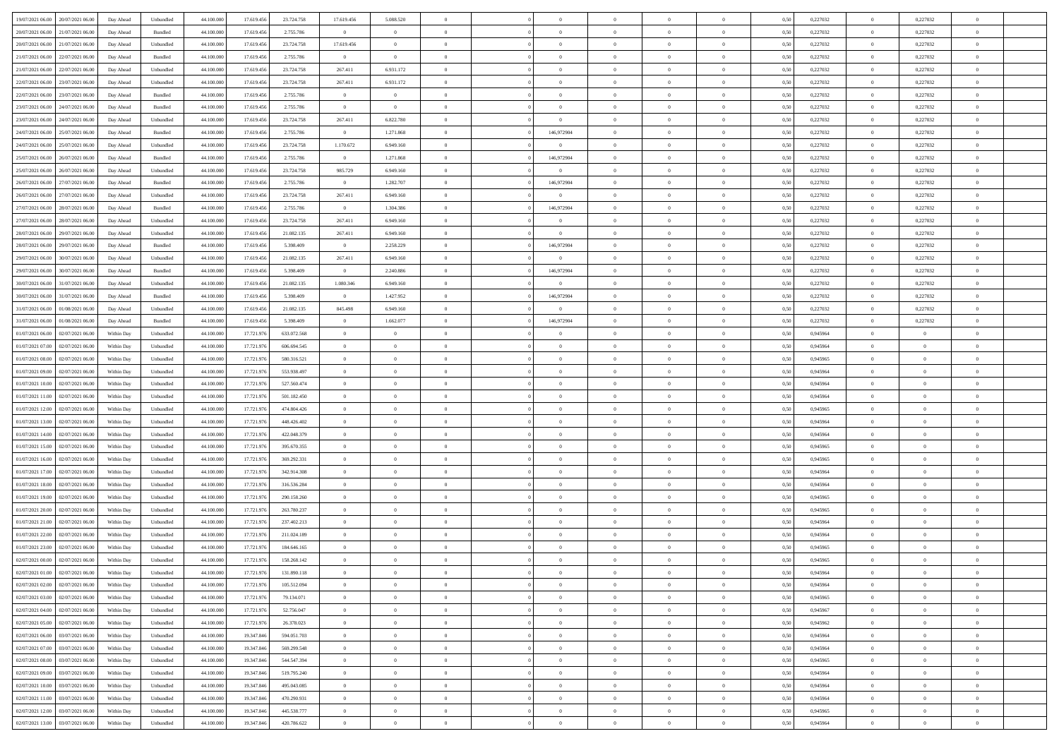| 19/07/2021 06:00 20/07/2021 06:00            | Day Ahead  | Unbundled                   | 44.100.000 | 17.619.456 | 23.724.758  | 17.619.456     | 5.088.520      |                | $\overline{0}$ | $\theta$       |                | $\theta$       | 0,50 | 0,227032 | $\theta$       | 0,227032       | $\overline{0}$ |  |
|----------------------------------------------|------------|-----------------------------|------------|------------|-------------|----------------|----------------|----------------|----------------|----------------|----------------|----------------|------|----------|----------------|----------------|----------------|--|
| 20/07/2021 06:00<br>21/07/2021 06:00         | Day Ahead  | Bundled                     | 44.100.00  | 17.619.45  | 2.755.786   | $\bf{0}$       | $\overline{0}$ | $\bf{0}$       | $\overline{0}$ | $\overline{0}$ | $\overline{0}$ | $\bf{0}$       | 0,50 | 0,227032 | $\,$ 0 $\,$    | 0,227032       | $\overline{0}$ |  |
| 20/07/2021 06:00<br>21/07/2021 06:00         | Day Ahead  | Unbundled                   | 44,100,000 | 17.619.456 | 23.724.758  | 17.619.456     | $\overline{0}$ | $\overline{0}$ | $\bf{0}$       | $\bf{0}$       | $\overline{0}$ | $\bf{0}$       | 0.50 | 0,227032 | $\bf{0}$       | 0,227032       | $\overline{0}$ |  |
| 21/07/2021 06:00<br>22/07/2021 06:00         | Day Ahead  | Bundled                     | 44.100.000 | 17.619.456 | 2.755.786   | $\overline{0}$ | $\overline{0}$ | $\overline{0}$ | $\theta$       | $\theta$       | $\overline{0}$ | $\overline{0}$ | 0,50 | 0,227032 | $\,$ 0 $\,$    | 0,227032       | $\overline{0}$ |  |
| 21/07/2021 06:00<br>22/07/2021 06.00         | Day Ahead  | Unbundled                   | 44.100.00  | 17.619.456 | 23.724.758  | 267.411        | 6.931.172      | $\bf{0}$       | $\overline{0}$ | $\theta$       | $\overline{0}$ | $\bf{0}$       | 0,50 | 0,227032 | $\,$ 0 $\,$    | 0,227032       | $\overline{0}$ |  |
| 22/07/2021 06:00<br>23/07/2021 06:00         | Day Ahead  | Unbundled                   | 44,100,000 | 17.619.456 | 23.724.758  | 267.411        | 6.931.172      | $\overline{0}$ | $\overline{0}$ | $\overline{0}$ | $\theta$       | $\bf{0}$       | 0.50 | 0,227032 | $\bf{0}$       | 0.227032       | $\overline{0}$ |  |
| 23/07/2021 06:00<br>22/07/2021 06:00         | Day Ahead  | Bundled                     | 44.100.000 | 17.619.456 | 2.755.786   | $\overline{0}$ | $\overline{0}$ | $\overline{0}$ | $\overline{0}$ | $\theta$       | $\overline{0}$ | $\overline{0}$ | 0,50 | 0,227032 | $\bf{0}$       | 0,227032       | $\overline{0}$ |  |
| 23/07/2021 06:00<br>24/07/2021 06.00         | Day Ahead  | Bundled                     | 44.100.00  | 17.619.45  | 2.755.786   | $\bf{0}$       | $\bf{0}$       | $\bf{0}$       | $\overline{0}$ | $\theta$       | $\overline{0}$ | $\bf{0}$       | 0,50 | 0,227032 | $\,$ 0 $\,$    | 0,227032       | $\overline{0}$ |  |
|                                              |            |                             |            |            |             |                |                |                |                |                |                |                |      |          |                |                |                |  |
| 23/07/2021 06:00<br>24/07/2021 06:00         | Day Ahead  | Unbundled                   | 44,100,000 | 17.619.456 | 23.724.758  | 267.411        | 6.822.780      | $\Omega$       | $\overline{0}$ | $\overline{0}$ | $\overline{0}$ | $\bf{0}$       | 0.50 | 0.227032 | $\bf{0}$       | 0.227032       | $\overline{0}$ |  |
| 24/07/2021 06:00<br>25/07/2021 06:00         | Day Ahead  | Bundled                     | 44.100.000 | 17.619.456 | 2.755.786   | $\overline{0}$ | 1.271.868      | $\overline{0}$ | 146,972904     | $\theta$       | $\overline{0}$ | $\bf{0}$       | 0,50 | 0,227032 | $\bf{0}$       | 0,227032       | $\overline{0}$ |  |
| 24/07/2021 06:00<br>25/07/2021 06.00         | Day Ahead  | Unbundled                   | 44.100.00  | 17.619.456 | 23.724.758  | 1.170.672      | 6.949.160      | $\bf{0}$       | $\overline{0}$ | $\bf{0}$       | $\overline{0}$ | $\bf{0}$       | 0,50 | 0,227032 | $\,$ 0 $\,$    | 0,227032       | $\overline{0}$ |  |
| 25/07/2021 06:00<br>26/07/2021 06:00         | Day Ahead  | Bundled                     | 44,100,000 | 17.619.456 | 2.755.786   | $\overline{0}$ | 1.271.868      | $\overline{0}$ | 146,972904     | $\bf{0}$       | $\overline{0}$ | $\bf{0}$       | 0.50 | 0,227032 | $\overline{0}$ | 0,227032       | $\overline{0}$ |  |
| 25/07/2021 06:00<br>26/07/2021 06:00         | Day Ahead  | Unbundled                   | 44.100.000 | 17.619.456 | 23.724.758  | 985.729        | 6.949.160      | $\overline{0}$ | $\overline{0}$ | $\theta$       | $\overline{0}$ | $\overline{0}$ | 0,50 | 0,227032 | $\,$ 0 $\,$    | 0,227032       | $\overline{0}$ |  |
| 26/07/2021 06:00<br>27/07/2021 06.00         | Day Ahead  | Bundled                     | 44.100.00  | 17.619.456 | 2.755.786   | $\bf{0}$       | 1.282.707      | $\bf{0}$       | 146,972904     | $\overline{0}$ | $\overline{0}$ | $\bf{0}$       | 0,50 | 0,227032 | $\,$ 0 $\,$    | 0,227032       | $\overline{0}$ |  |
| 26/07/2021 06:00<br>27/07/2021 06:00         | Day Ahead  | Unbundled                   | 44,100,000 | 17.619.456 | 23.724.758  | 267.411        | 6.949.160      | $\Omega$       | $\overline{0}$ | $\theta$       | $\theta$       | $\bf{0}$       | 0.50 | 0,227032 | $\bf{0}$       | 0.227032       | $\overline{0}$ |  |
| 27/07/2021 06:00<br>28/07/2021 06:00         | Day Ahead  | Bundled                     | 44.100.000 | 17.619.456 | 2.755.786   | $\overline{0}$ | 1.304.386      | $\overline{0}$ | 146,972904     | $\theta$       | $\overline{0}$ | $\bf{0}$       | 0,50 | 0,227032 | $\theta$       | 0,227032       | $\overline{0}$ |  |
| 27/07/2021 06:00<br>28/07/2021 06:00         | Day Ahead  | Unbundled                   | 44.100.00  | 17.619.456 | 23.724.758  | 267.411        | 6.949.160      | $\bf{0}$       | $\overline{0}$ | $\theta$       | $\overline{0}$ | $\bf{0}$       | 0,50 | 0,227032 | $\,$ 0 $\,$    | 0,227032       | $\overline{0}$ |  |
| 28/07/2021 06:00<br>29/07/2021 06:00         | Day Ahead  | Unbundled                   | 44,100,000 | 17.619.456 | 21.082.135  | 267.411        | 6.949.160      | $\overline{0}$ | $\overline{0}$ | $\overline{0}$ | $\overline{0}$ | $\bf{0}$       | 0.50 | 0.227032 | $\bf{0}$       | 0.227032       | $\overline{0}$ |  |
| 28/07/2021 06:00<br>29/07/2021 06:00         | Day Ahead  | Bundled                     | 44.100.000 | 17.619.456 | 5.398.409   | $\overline{0}$ | 2.258.229      | $\overline{0}$ | 146,972904     | $\overline{0}$ | $\overline{0}$ | $\bf{0}$       | 0,50 | 0,227032 | $\,$ 0 $\,$    | 0,227032       | $\overline{0}$ |  |
|                                              |            |                             |            |            |             |                |                |                |                |                |                |                |      |          |                |                |                |  |
| 29/07/2021 06:00<br>30/07/2021 06.00         | Day Ahead  | Unbundled                   | 44.100.00  | 17.619.456 | 21.082.135  | 267.411        | 6.949.160      | $\bf{0}$       | $\bf{0}$       | $\overline{0}$ | $\overline{0}$ | $\bf{0}$       | 0,50 | 0,227032 | $\,$ 0 $\,$    | 0,227032       | $\overline{0}$ |  |
| 29/07/2021 06:00<br>30/07/2021 06:00         | Day Ahead  | Bundled                     | 44,100,000 | 17.619.456 | 5.398.409   | $\overline{0}$ | 2.240.886      | $\overline{0}$ | 146,972904     | $\overline{0}$ | $\overline{0}$ | $\bf{0}$       | 0.50 | 0,227032 | $\,$ 0 $\,$    | 0,227032       | $\overline{0}$ |  |
| 30/07/2021 06:00<br>31/07/2021 06:00         | Day Ahead  | Unbundled                   | 44.100.000 | 17.619.456 | 21.082.135  | 1.080.346      | 6.949.160      | $\overline{0}$ | $\overline{0}$ | $\overline{0}$ | $\overline{0}$ | $\bf{0}$       | 0.5( | 0,227032 | $\,$ 0 $\,$    | 0,227032       | $\overline{0}$ |  |
| 30/07/2021 06:00<br>31/07/2021 06.00         | Day Ahead  | Bundled                     | 44.100.00  | 17.619.456 | 5.398.409   | $\bf{0}$       | 1.427.952      | $\bf{0}$       | 146,972904     | $\theta$       | $\overline{0}$ | $\bf{0}$       | 0,50 | 0,227032 | $\,$ 0 $\,$    | 0,227032       | $\overline{0}$ |  |
| 31/07/2021 06:00<br>01/08/2021 06:00         | Day Ahead  | Unbundled                   | 44,100,000 | 17.619.456 | 21.082.135  | 845,498        | 6.949.160      | $\Omega$       | $\overline{0}$ | $\theta$       | $\theta$       | $\bf{0}$       | 0.50 | 0,227032 | $\bf{0}$       | 0.227032       | $\overline{0}$ |  |
| 31/07/2021 06:00<br>01/08/2021 06:00         | Day Ahead  | Bundled                     | 44.100.000 | 17.619.456 | 5.398.409   | $\overline{0}$ | 1.662.077      | $\overline{0}$ | 146,972904     | $\overline{0}$ | $\overline{0}$ | $\overline{0}$ | 0,50 | 0,227032 | $\,$ 0 $\,$    | 0,227032       | $\overline{0}$ |  |
| 01/07/2021 06:00<br>02/07/2021 06.00         | Within Day | Unbundled                   | 44.100.00  | 17.721.97  | 633.072.568 | $\bf{0}$       | $\theta$       | $\bf{0}$       |                | $\overline{0}$ | $\overline{0}$ | $\bf{0}$       | 0,50 | 0,945964 | $\,$ 0 $\,$    | $\overline{0}$ | $\overline{0}$ |  |
| 01/07/2021 07:00<br>02/07/2021 06:00         | Within Day | Unbundled                   | 44,100,000 | 17.721.976 | 606.694.545 | $\overline{0}$ | $\overline{0}$ | $\overline{0}$ | $\bf{0}$       | $\overline{0}$ | $\overline{0}$ | $\bf{0}$       | 0.50 | 0.945964 | $\bf{0}$       | $\overline{0}$ | $\overline{0}$ |  |
| 01/07/2021 08:00<br>02/07/2021 06:00         | Within Day | Unbundled                   | 44.100.000 | 17.721.976 | 580.316.521 | $\overline{0}$ | $\overline{0}$ | $\overline{0}$ | $\theta$       | $\overline{0}$ | $\overline{0}$ | $\bf{0}$       | 0,50 | 0,945965 | $\theta$       | $\theta$       | $\overline{0}$ |  |
| 01/07/2021 09:00<br>02/07/2021 06.00         | Within Day | Unbundled                   | 44.100.00  | 17.721.97  | 553.938.497 | $\bf{0}$       | $\bf{0}$       | $\bf{0}$       | $\bf{0}$       | $\overline{0}$ | $\overline{0}$ | $\bf{0}$       | 0,50 | 0,945964 | $\,$ 0 $\,$    | $\bf{0}$       | $\overline{0}$ |  |
| 01/07/2021 10:00<br>02/07/2021 06:00         | Within Day | Unbundled                   | 44,100,000 | 17.721.976 | 527.560.474 | $\overline{0}$ | $\bf{0}$       | $\overline{0}$ | $\bf{0}$       | $\bf{0}$       | $\overline{0}$ | $\bf{0}$       | 0.50 | 0.945964 | $\bf{0}$       | $\overline{0}$ | $\bf{0}$       |  |
| 01/07/2021 11:00<br>02/07/2021 06:00         | Within Day | Unbundled                   | 44.100.000 | 17.721.976 | 501.182.450 | $\overline{0}$ | $\overline{0}$ | $\overline{0}$ | $\overline{0}$ | $\overline{0}$ | $\overline{0}$ | $\bf{0}$       | 0.5( | 0.945964 | $\theta$       | $\theta$       | $\overline{0}$ |  |
|                                              |            |                             |            |            |             |                | $\overline{0}$ |                | $\overline{0}$ | $\overline{0}$ | $\overline{0}$ |                |      |          | $\,$ 0 $\,$    | $\bf{0}$       | $\overline{0}$ |  |
| 01/07/2021 12:00<br>02/07/2021 06.00         | Within Day | Unbundled                   | 44.100.00  | 17.721.97  | 474.804.426 | $\bf{0}$       |                | $\bf{0}$       |                |                |                | $\bf{0}$       | 0,50 | 0,945965 |                |                |                |  |
| 01/07/2021 13:00<br>02/07/2021 06:00         | Within Day | Unbundled                   | 44,100,000 | 17.721.976 | 448.426.402 | $\overline{0}$ | $\overline{0}$ | $\overline{0}$ | $\bf{0}$       | $\overline{0}$ | $\Omega$       | $\bf{0}$       | 0.50 | 0.945964 | $\,$ 0 $\,$    | $\theta$       | $\overline{0}$ |  |
| 01/07/2021 14:00<br>02/07/2021 06:00         | Within Dav | Unbundled                   | 44.100.000 | 17.721.976 | 422.048.379 | $\overline{0}$ | $\overline{0}$ | $\Omega$       | $\overline{0}$ | $\overline{0}$ | $\overline{0}$ | $\bf{0}$       | 0.50 | 0,945964 | $\theta$       | $\theta$       | $\overline{0}$ |  |
| 01/07/2021 15:00<br>02/07/2021 06.00         | Within Day | Unbundled                   | 44.100.00  | 17.721.97  | 395.670.355 | $\bf{0}$       | $\overline{0}$ | $\bf{0}$       | $\overline{0}$ | $\overline{0}$ | $\overline{0}$ | $\bf{0}$       | 0,50 | 0,945965 | $\,$ 0 $\,$    | $\bf{0}$       | $\overline{0}$ |  |
| 01/07/2021 16:00<br>02/07/2021 06:00         | Within Day | Unbundled                   | 44,100,000 | 17.721.976 | 369.292.331 | $\overline{0}$ | $\bf{0}$       | $\overline{0}$ | $\bf{0}$       | $\overline{0}$ | $\overline{0}$ | $\bf{0}$       | 0.50 | 0.945965 | $\bf{0}$       | $\overline{0}$ | $\overline{0}$ |  |
| 01/07/2021 17:00<br>02/07/2021 06:00         | Within Dav | Unbundled                   | 44.100.000 | 17.721.976 | 342.914.308 | $\overline{0}$ | $\overline{0}$ | $\overline{0}$ | $\overline{0}$ | $\overline{0}$ | $\overline{0}$ | $\overline{0}$ | 0.5( | 0,945964 | $\theta$       | $\theta$       | $\overline{0}$ |  |
| 01/07/2021 18:00<br>02/07/2021 06.00         | Within Day | Unbundled                   | 44.100.00  | 17.721.97  | 316.536.284 | $\bf{0}$       | $\bf{0}$       | $\bf{0}$       | $\bf{0}$       | $\overline{0}$ | $\overline{0}$ | $\bf{0}$       | 0,50 | 0,945964 | $\,$ 0 $\,$    | $\bf{0}$       | $\overline{0}$ |  |
| 01/07/2021 19:00<br>02/07/2021 06:00         | Within Day | Unbundled                   | 44,100,000 | 17.721.976 | 290.158.260 | $\overline{0}$ | $\bf{0}$       | $\overline{0}$ | $\bf{0}$       | $\bf{0}$       | $\overline{0}$ | $\bf{0}$       | 0.50 | 0.945965 | $\bf{0}$       | $\overline{0}$ | $\bf{0}$       |  |
| 01/07/2021 20:00<br>02/07/2021 06:00         | Within Day | Unbundled                   | 44.100.000 | 17.721.976 | 263.780.237 | $\overline{0}$ | $\overline{0}$ | $\overline{0}$ | $\overline{0}$ | $\overline{0}$ | $\overline{0}$ | $\bf{0}$       | 0.50 | 0.945965 | $\theta$       | $\theta$       | $\overline{0}$ |  |
| 01/07/2021 21:00<br>02/07/2021 06.00         | Within Day | Unbundled                   | 44.100.00  | 17.721.97  | 237.402.213 | $\bf{0}$       | $\overline{0}$ | $\bf{0}$       | $\overline{0}$ | $\overline{0}$ | $\overline{0}$ | $\bf{0}$       | 0,50 | 0,945964 | $\,$ 0 $\,$    | $\bf{0}$       | $\overline{0}$ |  |
| 01/07/2021 22.00<br>02/07/2021 06:00         | Within Day | Unbundled                   | 44,100,000 | 17.721.976 | 211.024.189 | $\overline{0}$ | $\overline{0}$ | $\overline{0}$ | $\bf{0}$       | $\overline{0}$ | $\Omega$       | $\bf{0}$       | 0.50 | 0.945964 | $\bf{0}$       | $\theta$       | $\overline{0}$ |  |
| 01/07/2021 23:00<br>02/07/2021 06:00         | Within Dav | Unbundled                   | 44.100.000 | 17.721.976 | 184,646,165 | $\overline{0}$ | $\overline{0}$ | $\Omega$       | $\overline{0}$ | $\theta$       | $\Omega$       | $\overline{0}$ | 0.5( | 0,945965 | $\theta$       | $\theta$       | $\overline{0}$ |  |
| 02/07/2021 00:00<br>02/07/2021 06:00         | Within Day | Unbundled                   | 44.100.000 | 17.721.97  | 158.268.142 | $\bf{0}$       | $\bf{0}$       | $\overline{0}$ | $\bf{0}$       | $\bf{0}$       | $\overline{0}$ | $\bf{0}$       | 0,50 | 0,945965 | $\,$ 0 $\,$    | $\bf{0}$       | $\overline{0}$ |  |
| $02/07/2021\ 01.00 \qquad 02/07/2021\ 06.00$ | Within Day | $\ensuremath{\mathsf{Unb}}$ | 44.100.000 | 17.721.976 | 131.890.118 | $\bf{0}$       |                |                | $\Omega$       |                |                |                | 0.50 | 0.945964 | $\theta$       | $\bf{0}$       |                |  |
| 02/07/2021 02:00 02/07/2021 06:00            | Within Dav | Unbundled                   | 44.100.000 | 17.721.976 | 105.512.094 | $\theta$       | $\theta$       | $\Omega$       | $\theta$       | $\theta$       | $\overline{0}$ | $\bf{0}$       | 0,50 | 0,945964 | $\theta$       | $\theta$       | $\overline{0}$ |  |
|                                              |            |                             |            |            |             |                |                |                |                |                |                |                |      |          |                |                |                |  |
| 02/07/2021 03:00<br>02/07/2021 06:00         | Within Day | Unbundled                   | 44.100.00  | 17.721.97  | 79.134.071  | $\overline{0}$ | $\bf{0}$       | $\overline{0}$ | $\overline{0}$ | $\bf{0}$       | $\overline{0}$ | $\bf{0}$       | 0,50 | 0,945965 | $\bf{0}$       | $\overline{0}$ | $\bf{0}$       |  |
| 02/07/2021 04:00 02/07/2021 06:00            | Within Day | Unbundled                   | 44,100,000 | 17.721.976 | 52.756.047  | $\overline{0}$ | $\bf{0}$       | $\overline{0}$ | $\overline{0}$ | $\overline{0}$ | $\overline{0}$ | $\bf{0}$       | 0.50 | 0.945967 | $\mathbf{0}$   | $\bf{0}$       | $\,$ 0 $\,$    |  |
| 02/07/2021 05:00 02/07/2021 06:00            | Within Dav | Unbundled                   | 44.100.000 | 17.721.976 | 26.378.023  | $\overline{0}$ | $\overline{0}$ | $\overline{0}$ | $\overline{0}$ | $\overline{0}$ | $\overline{0}$ | $\bf{0}$       | 0,50 | 0,945962 | $\theta$       | $\theta$       | $\overline{0}$ |  |
| 02/07/2021 06:00<br>03/07/2021 06:00         | Within Day | Unbundled                   | 44.100.000 | 19.347.846 | 594.051.703 | $\overline{0}$ | $\bf{0}$       | $\overline{0}$ | $\bf{0}$       | $\overline{0}$ | $\overline{0}$ | $\bf{0}$       | 0,50 | 0,945964 | $\overline{0}$ | $\bf{0}$       | $\overline{0}$ |  |
| 02/07/2021 07:00<br>03/07/2021 06:00         | Within Day | Unbundled                   | 44,100,000 | 19,347,846 | 569.299.548 | $\overline{0}$ | $\bf{0}$       | $\overline{0}$ | $\overline{0}$ | $\overline{0}$ | $\overline{0}$ | $\bf{0}$       | 0.50 | 0.945964 | $\,$ 0 $\,$    | $\theta$       | $\overline{0}$ |  |
| 02/07/2021 08:00<br>03/07/2021 06:00         | Within Dav | Unbundled                   | 44.100.000 | 19.347.846 | 544.547.394 | $\overline{0}$ | $\overline{0}$ | $\overline{0}$ | $\overline{0}$ | $\overline{0}$ | $\overline{0}$ | $\overline{0}$ | 0.50 | 0,945965 | $\overline{0}$ | $\theta$       | $\overline{0}$ |  |
| 02/07/2021 09:00<br>03/07/2021 06:00         | Within Day | Unbundled                   | 44.100.00  | 19.347.846 | 519.795.240 | $\overline{0}$ | $\bf{0}$       | $\overline{0}$ | $\overline{0}$ | $\bf{0}$       | $\overline{0}$ | $\bf{0}$       | 0,50 | 0,945964 | $\bf{0}$       | $\bf{0}$       | $\overline{0}$ |  |
| 02/07/2021 10:00 03/07/2021 06:00            | Within Day | Unbundled                   | 44,100,000 | 19,347,846 | 495.043.085 | $\overline{0}$ | $\overline{0}$ | $\overline{0}$ | $\overline{0}$ | $\bf{0}$       | $\overline{0}$ | $\bf{0}$       | 0.50 | 0.945964 | $\overline{0}$ | $\overline{0}$ | $\,$ 0         |  |
| 02/07/2021 11:00 03/07/2021 06:00            | Within Dav | Unbundled                   | 44.100.000 | 19.347.846 | 470.290.931 | $\overline{0}$ | $\overline{0}$ | $\overline{0}$ | $\overline{0}$ | $\overline{0}$ | $\overline{0}$ | $\bf{0}$       | 0,50 | 0,945964 | $\theta$       | $\theta$       | $\overline{0}$ |  |
| 02/07/2021 12:00<br>03/07/2021 06.00         | Within Day | Unbundled                   | 44.100.00  | 19.347.846 | 445.538.777 | $\overline{0}$ | $\bf{0}$       | $\overline{0}$ | $\bf{0}$       | $\overline{0}$ | $\bf{0}$       | $\bf{0}$       | 0,50 | 0,945965 | $\bf{0}$       | $\bf{0}$       | $\overline{0}$ |  |
|                                              |            |                             |            |            |             |                |                |                |                |                |                |                |      |          |                |                |                |  |
| 02/07/2021 13:00 03/07/2021 06:00            | Within Day | ${\sf Unbundred}$           | 44.100.000 | 19.347.846 | 420.786.622 | $\overline{0}$ | $\bf{0}$       | $\overline{0}$ | $\overline{0}$ | $\overline{0}$ | $\overline{0}$ | $\bf{0}$       | 0,50 | 0,945964 | $\overline{0}$ | $\bf{0}$       | $\,$ 0 $\,$    |  |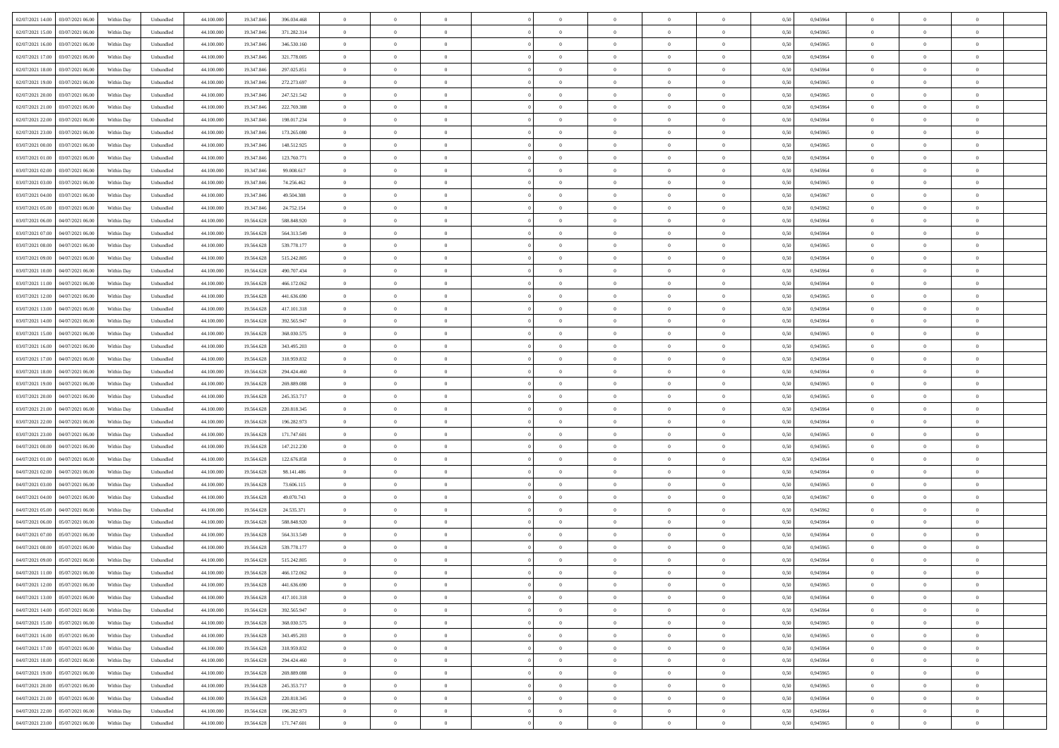|                                              |            |                             |            |            |             | $\overline{0}$ | $\theta$       |                | $\overline{0}$ | $\theta$       |                | $\theta$       |      |          | $\theta$       | $\theta$       | $\overline{0}$ |  |
|----------------------------------------------|------------|-----------------------------|------------|------------|-------------|----------------|----------------|----------------|----------------|----------------|----------------|----------------|------|----------|----------------|----------------|----------------|--|
| 02/07/2021 14:00 03/07/2021 06:00            | Within Day | Unbundled                   | 44.100.000 | 19.347.846 | 396.034.468 |                |                |                |                |                |                |                | 0,50 | 0,945964 |                |                |                |  |
| 02/07/2021 15:00<br>03/07/2021 06.00         | Within Day | Unbundled                   | 44.100.00  | 19.347.84  | 371.282.314 | $\bf{0}$       | $\overline{0}$ | $\bf{0}$       | $\overline{0}$ | $\bf{0}$       | $\overline{0}$ | $\bf{0}$       | 0,50 | 0,945965 | $\,$ 0 $\,$    | $\bf{0}$       | $\overline{0}$ |  |
| 02/07/2021 16:00<br>03/07/2021 06:00         | Within Day | Unbundled                   | 44,100,000 | 19,347,846 | 346,530,160 | $\overline{0}$ | $\bf{0}$       | $\overline{0}$ | $\bf{0}$       | $\bf{0}$       | $\overline{0}$ | $\bf{0}$       | 0.50 | 0.945965 | $\bf{0}$       | $\overline{0}$ | $\overline{0}$ |  |
| 02/07/2021 17:00<br>03/07/2021 06:00         | Within Day | Unbundled                   | 44.100.000 | 19.347.846 | 321.778.005 | $\overline{0}$ | $\overline{0}$ | $\overline{0}$ | $\theta$       | $\theta$       | $\overline{0}$ | $\bf{0}$       | 0,50 | 0,945964 | $\theta$       | $\theta$       | $\overline{0}$ |  |
| 02/07/2021 18:00<br>03/07/2021 06.00         | Within Day | Unbundled                   | 44.100.00  | 19.347.84  | 297.025.851 | $\bf{0}$       | $\overline{0}$ | $\bf{0}$       | $\overline{0}$ | $\theta$       | $\overline{0}$ | $\bf{0}$       | 0,50 | 0,945964 | $\,$ 0 $\,$    | $\bf{0}$       | $\overline{0}$ |  |
|                                              |            |                             |            |            |             |                |                |                |                |                |                |                |      |          |                |                |                |  |
| 02/07/2021 19:00<br>03/07/2021 06:00         | Within Day | Unbundled                   | 44,100,000 | 19.347.84  | 272.273.697 | $\overline{0}$ | $\overline{0}$ | $\overline{0}$ | $\bf{0}$       | $\overline{0}$ | $\theta$       | $\bf{0}$       | 0.50 | 0.945965 | $\bf{0}$       | $\theta$       | $\overline{0}$ |  |
| 02/07/2021 20:00<br>03/07/2021 06:00         | Within Day | Unbundled                   | 44.100.000 | 19.347.846 | 247.521.542 | $\overline{0}$ | $\overline{0}$ | $\overline{0}$ | $\overline{0}$ | $\overline{0}$ | $\overline{0}$ | $\bf{0}$       | 0,50 | 0,945965 | $\theta$       | $\theta$       | $\overline{0}$ |  |
| 02/07/2021 21:00<br>03/07/2021 06.00         | Within Day | Unbundled                   | 44.100.00  | 19.347.84  | 222.769.388 | $\bf{0}$       | $\overline{0}$ | $\overline{0}$ | $\overline{0}$ | $\overline{0}$ | $\overline{0}$ | $\bf{0}$       | 0,50 | 0,945964 | $\,$ 0 $\,$    | $\bf{0}$       | $\overline{0}$ |  |
| 02/07/2021 22:00<br>03/07/2021 06:00         | Within Day | Unbundled                   | 44,100,000 | 19.347.84  | 198.017.234 | $\overline{0}$ | $\bf{0}$       | $\overline{0}$ | $\bf{0}$       | $\overline{0}$ | $\overline{0}$ | $\bf{0}$       | 0.50 | 0.945964 | $\bf{0}$       | $\overline{0}$ | $\overline{0}$ |  |
| 02/07/2021 23:00<br>03/07/2021 06:00         | Within Day | Unbundled                   | 44.100.000 | 19.347.846 | 173.265.080 | $\bf{0}$       | $\bf{0}$       | $\overline{0}$ | $\overline{0}$ | $\overline{0}$ | $\overline{0}$ | $\bf{0}$       | 0,50 | 0,945965 | $\,$ 0 $\,$    | $\bf{0}$       | $\overline{0}$ |  |
| 03/07/2021 00:00<br>03/07/2021 06.00         | Within Day | Unbundled                   | 44.100.00  | 19.347.846 | 148.512.925 | $\bf{0}$       | $\overline{0}$ | $\bf{0}$       | $\bf{0}$       | $\bf{0}$       | $\overline{0}$ | $\bf{0}$       | 0,50 | 0,945965 | $\,$ 0 $\,$    | $\bf{0}$       | $\overline{0}$ |  |
| 03/07/2021 01:00<br>03/07/2021 06:00         | Within Day | Unbundled                   | 44,100,000 | 19.347.846 | 123.760.771 | $\overline{0}$ | $\bf{0}$       | $\overline{0}$ | $\bf{0}$       | $\bf{0}$       | $\overline{0}$ | $\bf{0}$       | 0.50 | 0.945964 | $\bf{0}$       | $\overline{0}$ | $\bf{0}$       |  |
|                                              |            |                             |            |            |             | $\overline{0}$ | $\overline{0}$ | $\overline{0}$ | $\overline{0}$ | $\theta$       | $\overline{0}$ | $\overline{0}$ |      |          | $\theta$       | $\theta$       | $\overline{0}$ |  |
| 03/07/2021 02:00<br>03/07/2021 06:00         | Within Day | Unbundled                   | 44.100.000 | 19.347.846 | 99.008.617  |                |                |                |                |                |                |                | 0,50 | 0,945964 |                |                |                |  |
| 03/07/2021 03:00<br>03/07/2021 06.00         | Within Day | Unbundled                   | 44.100.00  | 19.347.84  | 74.256.462  | $\bf{0}$       | $\overline{0}$ | $\bf{0}$       | $\overline{0}$ | $\bf{0}$       | $\overline{0}$ | $\bf{0}$       | 0,50 | 0,945965 | $\,$ 0 $\,$    | $\bf{0}$       | $\overline{0}$ |  |
| 03/07/2021 04:00<br>03/07/2021 06:00         | Within Day | Unbundled                   | 44,100,000 | 19.347.84  | 49 504 308  | $\overline{0}$ | $\overline{0}$ | $\overline{0}$ | $\bf{0}$       | $\bf{0}$       | $\Omega$       | $\bf{0}$       | 0.50 | 0.945967 | $\theta$       | $\theta$       | $\overline{0}$ |  |
| 03/07/2021 05:00<br>03/07/2021 06:00         | Within Day | Unbundled                   | 44.100.000 | 19.347.846 | 24.752.154  | $\overline{0}$ | $\overline{0}$ | $\overline{0}$ | $\overline{0}$ | $\overline{0}$ | $\overline{0}$ | $\bf{0}$       | 0,50 | 0,945962 | $\theta$       | $\theta$       | $\overline{0}$ |  |
| 03/07/2021 06:00<br>04/07/2021 06.00         | Within Day | Unbundled                   | 44.100.00  | 19.564.628 | 588.848.920 | $\bf{0}$       | $\overline{0}$ | $\overline{0}$ | $\overline{0}$ | $\bf{0}$       | $\overline{0}$ | $\bf{0}$       | 0,50 | 0,945964 | $\,$ 0 $\,$    | $\bf{0}$       | $\overline{0}$ |  |
| 03/07/2021 07:00<br>04/07/2021 06:00         | Within Day | Unbundled                   | 44,100,000 | 19.564.628 | 564.313.549 | $\overline{0}$ | $\bf{0}$       | $\overline{0}$ | $\bf{0}$       | $\overline{0}$ | $\overline{0}$ | $\bf{0}$       | 0.50 | 0.945964 | $\bf{0}$       | $\overline{0}$ | $\overline{0}$ |  |
| 03/07/2021 08:00<br>04/07/2021 06:00         | Within Day | Unbundled                   | 44.100.000 | 19.564.628 | 539.778.177 | $\overline{0}$ | $\overline{0}$ | $\overline{0}$ | $\overline{0}$ | $\overline{0}$ | $\overline{0}$ | $\bf{0}$       | 0,50 | 0,945965 | $\,$ 0 $\,$    | $\theta$       | $\overline{0}$ |  |
| 03/07/2021 09:00<br>04/07/2021 06.00         | Within Day | Unbundled                   | 44.100.00  | 19.564.628 | 515.242.805 | $\bf{0}$       | $\bf{0}$       | $\bf{0}$       | $\bf{0}$       | $\overline{0}$ | $\overline{0}$ | $\bf{0}$       | 0,50 | 0,945964 | $\,$ 0 $\,$    | $\bf{0}$       | $\overline{0}$ |  |
|                                              |            |                             |            |            |             |                |                |                |                |                |                |                |      |          |                |                |                |  |
| 03/07/2021 10:00<br>04/07/2021 06:00         | Within Day | Unbundled                   | 44,100,000 | 19.564.628 | 490.707.434 | $\overline{0}$ | $\bf{0}$       | $\overline{0}$ | $\bf{0}$       | $\bf{0}$       | $\overline{0}$ | $\bf{0}$       | 0.50 | 0.945964 | $\bf{0}$       | $\overline{0}$ | $\bf{0}$       |  |
| 03/07/2021 11:00<br>04/07/2021 06:00         | Within Day | Unbundled                   | 44.100.000 | 19.564.628 | 466.172.062 | $\overline{0}$ | $\overline{0}$ | $\overline{0}$ | $\theta$       | $\theta$       | $\overline{0}$ | $\bf{0}$       | 0,50 | 0,945964 | $\theta$       | $\theta$       | $\overline{0}$ |  |
| 03/07/2021 12:00<br>04/07/2021 06.00         | Within Day | Unbundled                   | 44.100.00  | 19.564.628 | 441.636.690 | $\bf{0}$       | $\overline{0}$ | $\bf{0}$       | $\bf{0}$       | $\,$ 0 $\,$    | $\overline{0}$ | $\bf{0}$       | 0,50 | 0,945965 | $\,$ 0 $\,$    | $\bf{0}$       | $\overline{0}$ |  |
| 03/07/2021 13:00<br>04/07/2021 06:00         | Within Day | Unbundled                   | 44,100,000 | 19.564.628 | 417.101.318 | $\overline{0}$ | $\overline{0}$ | $\overline{0}$ | $\overline{0}$ | $\overline{0}$ | $\Omega$       | $\bf{0}$       | 0.50 | 0.945964 | $\bf{0}$       | $\theta$       | $\overline{0}$ |  |
| 03/07/2021 14:00<br>04/07/2021 06:00         | Within Day | Unbundled                   | 44.100.000 | 19.564.628 | 392.565.947 | $\overline{0}$ | $\overline{0}$ | $\overline{0}$ | $\overline{0}$ | $\overline{0}$ | $\overline{0}$ | $\bf{0}$       | 0,50 | 0,945964 | $\theta$       | $\theta$       | $\overline{0}$ |  |
| 03/07/2021 15:00<br>04/07/2021 06.00         | Within Day | Unbundled                   | 44.100.00  | 19.564.628 | 368.030.575 | $\bf{0}$       | $\theta$       | $\bf{0}$       | $\overline{0}$ | $\bf{0}$       | $\overline{0}$ | $\bf{0}$       | 0,50 | 0,945965 | $\,$ 0 $\,$    | $\bf{0}$       | $\overline{0}$ |  |
| 03/07/2021 16:00<br>04/07/2021 06:00         | Within Day | Unbundled                   | 44,100,000 | 19.564.628 | 343.495.203 | $\overline{0}$ | $\bf{0}$       | $\overline{0}$ | $\bf{0}$       | $\overline{0}$ | $\overline{0}$ | $\bf{0}$       | 0.50 | 0.945965 | $\bf{0}$       | $\overline{0}$ | $\overline{0}$ |  |
| 03/07/2021 17:00<br>04/07/2021 06:00         | Within Day | Unbundled                   | 44.100.000 | 19.564.628 | 318.959.832 | $\overline{0}$ | $\overline{0}$ | $\overline{0}$ | $\overline{0}$ | $\overline{0}$ | $\overline{0}$ | $\bf{0}$       | 0,50 | 0,945964 | $\theta$       | $\theta$       | $\overline{0}$ |  |
|                                              |            |                             |            |            |             |                |                |                |                |                |                |                |      |          |                |                |                |  |
| 03/07/2021 18:00<br>04/07/2021 06.00         | Within Day | Unbundled                   | 44.100.00  | 19.564.628 | 294.424.460 | $\bf{0}$       | $\bf{0}$       | $\bf{0}$       | $\bf{0}$       | $\overline{0}$ | $\overline{0}$ | $\bf{0}$       | 0,50 | 0,945964 | $\,$ 0 $\,$    | $\bf{0}$       | $\overline{0}$ |  |
| 03/07/2021 19:00<br>04/07/2021 06:00         | Within Day | Unbundled                   | 44,100,000 | 19.564.628 | 269.889.088 | $\overline{0}$ | $\bf{0}$       | $\overline{0}$ | $\bf{0}$       | $\bf{0}$       | $\overline{0}$ | $\bf{0}$       | 0.50 | 0.945965 | $\bf{0}$       | $\overline{0}$ | $\bf{0}$       |  |
| 03/07/2021 20:00<br>04/07/2021 06:00         | Within Day | Unbundled                   | 44.100.000 | 19.564.628 | 245.353.717 | $\overline{0}$ | $\overline{0}$ | $\overline{0}$ | $\overline{0}$ | $\overline{0}$ | $\overline{0}$ | $\bf{0}$       | 0.50 | 0.945965 | $\theta$       | $\theta$       | $\overline{0}$ |  |
| 03/07/2021 21:00<br>04/07/2021 06.00         | Within Day | Unbundled                   | 44.100.00  | 19.564.628 | 220.818.345 | $\bf{0}$       | $\overline{0}$ | $\bf{0}$       | $\bf{0}$       | $\,$ 0 $\,$    | $\overline{0}$ | $\bf{0}$       | 0,50 | 0,945964 | $\,$ 0 $\,$    | $\bf{0}$       | $\overline{0}$ |  |
| 03/07/2021 22.00<br>04/07/2021 06:00         | Within Day | Unbundled                   | 44,100,000 | 19.564.628 | 196.282.973 | $\overline{0}$ | $\overline{0}$ | $\overline{0}$ | $\bf{0}$       | $\overline{0}$ | $\Omega$       | $\bf{0}$       | 0.50 | 0.945964 | $\,$ 0 $\,$    | $\theta$       | $\overline{0}$ |  |
| 03/07/2021 23:00<br>04/07/2021 06:00         | Within Dav | Unbundled                   | 44.100.000 | 19.564.628 | 171.747.601 | $\overline{0}$ | $\overline{0}$ | $\overline{0}$ | $\overline{0}$ | $\overline{0}$ | $\overline{0}$ | $\overline{0}$ | 0.5( | 0,945965 | $\theta$       | $\theta$       | $\overline{0}$ |  |
| 04/07/2021 00:00<br>04/07/2021 06.00         | Within Day | Unbundled                   | 44.100.00  | 19.564.628 | 147.212.230 | $\bf{0}$       | $\overline{0}$ | $\bf{0}$       | $\bf{0}$       | $\bf{0}$       | $\overline{0}$ | $\bf{0}$       | 0,50 | 0,945965 | $\,$ 0 $\,$    | $\bf{0}$       | $\overline{0}$ |  |
| 04/07/2021 01:00<br>04/07/2021 06:00         | Within Day | Unbundled                   | 44,100,000 | 19.564.628 | 122.676.858 | $\overline{0}$ | $\bf{0}$       | $\overline{0}$ | $\bf{0}$       | $\overline{0}$ | $\overline{0}$ | $\bf{0}$       | 0.50 | 0.945964 | $\bf{0}$       | $\overline{0}$ | $\overline{0}$ |  |
| 04/07/2021 02:00<br>04/07/2021 06:00         | Within Dav | Unbundled                   | 44.100.000 | 19.564.628 | 98.141.486  | $\overline{0}$ | $\overline{0}$ | $\overline{0}$ | $\overline{0}$ | $\overline{0}$ | $\overline{0}$ | $\overline{0}$ | 0.50 | 0,945964 | $\theta$       | $\theta$       | $\overline{0}$ |  |
|                                              |            |                             |            |            |             |                |                |                |                |                |                |                |      |          |                |                |                |  |
| 04/07/2021 03:00<br>04/07/2021 06.00         | Within Day | Unbundled                   | 44.100.00  | 19.564.628 | 73.606.115  | $\bf{0}$       | $\bf{0}$       | $\bf{0}$       | $\bf{0}$       | $\overline{0}$ | $\overline{0}$ | $\bf{0}$       | 0,50 | 0,945965 | $\,$ 0 $\,$    | $\bf{0}$       | $\overline{0}$ |  |
| 04/07/2021 04:00<br>04/07/2021 06:00         | Within Day | Unbundled                   | 44,100,000 | 19.564.628 | 49.070.743  | $\overline{0}$ | $\bf{0}$       | $\overline{0}$ | $\bf{0}$       | $\bf{0}$       | $\overline{0}$ | $\bf{0}$       | 0.50 | 0.945967 | $\bf{0}$       | $\overline{0}$ | $\overline{0}$ |  |
| 04/07/2021 05:00<br>04/07/2021 06:00         | Within Dav | Unbundled                   | 44.100.000 | 19.564.628 | 24.535.371  | $\overline{0}$ | $\overline{0}$ | $\overline{0}$ | $\overline{0}$ | $\overline{0}$ | $\overline{0}$ | $\bf{0}$       | 0.50 | 0,945962 | $\theta$       | $\theta$       | $\overline{0}$ |  |
| 04/07/2021 06:00<br>05/07/2021 06.00         | Within Day | Unbundled                   | 44.100.00  | 19.564.628 | 588.848.920 | $\bf{0}$       | $\overline{0}$ | $\bf{0}$       | $\bf{0}$       | $\overline{0}$ | $\overline{0}$ | $\bf{0}$       | 0,50 | 0,945964 | $\,$ 0 $\,$    | $\bf{0}$       | $\overline{0}$ |  |
| 04/07/2021 07:00<br>05/07/2021 06:00         | Within Day | Unbundled                   | 44,100,000 | 19.564.628 | 564.313.549 | $\overline{0}$ | $\overline{0}$ | $\Omega$       | $\overline{0}$ | $\overline{0}$ | $\theta$       | $\bf{0}$       | 0.50 | 0.945964 | $\,$ 0 $\,$    | $\theta$       | $\overline{0}$ |  |
| 04/07/2021 08:00<br>05/07/2021 06:00         | Within Dav | Unbundled                   | 44.100.000 | 19.564.628 | 539.778.177 | $\overline{0}$ | $\overline{0}$ | $\Omega$       | $\overline{0}$ | $\theta$       | $\Omega$       | $\overline{0}$ | 0.5( | 0,945965 | $\theta$       | $\theta$       | $\overline{0}$ |  |
| 04/07/2021 09:00<br>05/07/2021 06:00         | Within Day | Unbundled                   | 44.100.000 | 19.564.628 | 515.242.805 | $\bf{0}$       | $\bf{0}$       | $\bf{0}$       | $\bf{0}$       | $\bf{0}$       | $\overline{0}$ | $\bf{0}$       | 0,50 | 0,945964 | $\,$ 0 $\,$    | $\bf{0}$       | $\overline{0}$ |  |
| $04/07/2021\ 11.00 \qquad 05/07/2021\ 06.00$ | Within Day | $\ensuremath{\mathsf{Unb}}$ | 44.100.000 | 19.564.628 | 466.172.062 | $\bf{0}$       | $\theta$       |                | $\overline{0}$ |                |                |                | 0,50 | 0.945964 | $\bf{0}$       | $\bf{0}$       |                |  |
|                                              |            |                             |            |            |             |                |                |                |                |                |                |                |      |          |                |                |                |  |
| 04/07/2021 12:00 05/07/2021 06:00            | Within Day | Unbundled                   | 44.100.000 | 19.564.628 | 441.636.690 | $\overline{0}$ | $\theta$       | $\Omega$       | $\theta$       | $\overline{0}$ | $\overline{0}$ | $\bf{0}$       | 0,50 | 0,945965 | $\theta$       | $\theta$       | $\overline{0}$ |  |
| 04/07/2021 13:00<br>05/07/2021 06:00         | Within Day | Unbundled                   | 44.100.00  | 19.564.628 | 417.101.318 | $\overline{0}$ | $\bf{0}$       | $\overline{0}$ | $\overline{0}$ | $\bf{0}$       | $\overline{0}$ | $\bf{0}$       | 0,50 | 0,945964 | $\bf{0}$       | $\overline{0}$ | $\bf{0}$       |  |
| 04/07/2021 14:00 05/07/2021 06:00            | Within Day | Unbundled                   | 44,100,000 | 19.564.628 | 392.565.947 | $\overline{0}$ | $\bf{0}$       | $\overline{0}$ | $\overline{0}$ | $\overline{0}$ | $\overline{0}$ | $\bf{0}$       | 0.50 | 0.945964 | $\mathbf{0}$   | $\bf{0}$       | $\,$ 0 $\,$    |  |
| 04/07/2021 15:00  05/07/2021 06:00           | Within Dav | Unbundled                   | 44.100.000 | 19.564.628 | 368.030.575 | $\overline{0}$ | $\overline{0}$ | $\overline{0}$ | $\overline{0}$ | $\overline{0}$ | $\overline{0}$ | $\bf{0}$       | 0,50 | 0,945965 | $\theta$       | $\theta$       | $\overline{0}$ |  |
| 04/07/2021 16:00<br>05/07/2021 06:00         | Within Day | Unbundled                   | 44.100.000 | 19.564.628 | 343.495.203 | $\overline{0}$ | $\bf{0}$       | $\overline{0}$ | $\bf{0}$       | $\overline{0}$ | $\bf{0}$       | $\bf{0}$       | 0,50 | 0,945965 | $\overline{0}$ | $\bf{0}$       | $\overline{0}$ |  |
| 04/07/2021 17:00  05/07/2021 06:00           | Within Day | Unbundled                   | 44,100,000 | 19.564.628 | 318.959.832 | $\overline{0}$ | $\bf{0}$       | $\overline{0}$ | $\overline{0}$ | $\overline{0}$ | $\overline{0}$ | $\bf{0}$       | 0.50 | 0.945964 | $\,$ 0 $\,$    | $\theta$       | $\overline{0}$ |  |
| 04/07/2021 18:00<br>05/07/2021 06:00         | Within Dav | Unbundled                   | 44.100.000 | 19.564.628 | 294.424.460 | $\overline{0}$ | $\overline{0}$ | $\overline{0}$ | $\overline{0}$ | $\overline{0}$ | $\overline{0}$ | $\bf{0}$       | 0.50 | 0,945964 | $\overline{0}$ | $\theta$       | $\overline{0}$ |  |
| 05/07/2021 06:00<br>04/07/2021 19:00         | Within Day | Unbundled                   | 44.100.00  | 19.564.628 | 269.889.088 | $\overline{0}$ | $\bf{0}$       | $\overline{0}$ | $\overline{0}$ | $\bf{0}$       | $\overline{0}$ | $\bf{0}$       | 0,50 | 0,945965 | $\bf{0}$       | $\overline{0}$ | $\overline{0}$ |  |
|                                              |            |                             |            |            |             |                |                |                |                |                |                |                |      |          |                |                |                |  |
| 04/07/2021 20:00 05/07/2021 06:00            | Within Day | Unbundled                   | 44,100,000 | 19.564.628 | 245.353.717 | $\overline{0}$ | $\overline{0}$ | $\overline{0}$ | $\overline{0}$ | $\bf{0}$       | $\overline{0}$ | $\bf{0}$       | 0.50 | 0.945965 | $\overline{0}$ | $\,$ 0 $\,$    | $\,$ 0         |  |
| 04/07/2021 21:00  05/07/2021 06:00           | Within Dav | Unbundled                   | 44.100.000 | 19.564.628 | 220.818.345 | $\overline{0}$ | $\overline{0}$ | $\overline{0}$ | $\overline{0}$ | $\overline{0}$ | $\overline{0}$ | $\bf{0}$       | 0,50 | 0,945964 | $\theta$       | $\theta$       | $\overline{0}$ |  |
| 04/07/2021 22:00<br>05/07/2021 06:00         | Within Day | Unbundled                   | 44.100.00  | 19.564.628 | 196.282.973 | $\overline{0}$ | $\bf{0}$       | $\overline{0}$ | $\bf{0}$       | $\overline{0}$ | $\bf{0}$       | $\bf{0}$       | 0,50 | 0,945964 | $\bf{0}$       | $\bf{0}$       | $\overline{0}$ |  |
| 04/07/2021 23:00 05/07/2021 06:00            | Within Day | Unbundled                   | 44.100.000 | 19.564.628 | 171.747.601 | $\overline{0}$ | $\bf{0}$       | $\overline{0}$ | $\overline{0}$ | $\,$ 0 $\,$    | $\overline{0}$ | $\bf{0}$       | 0,50 | 0,945965 | $\overline{0}$ | $\,$ 0 $\,$    | $\,$ 0 $\,$    |  |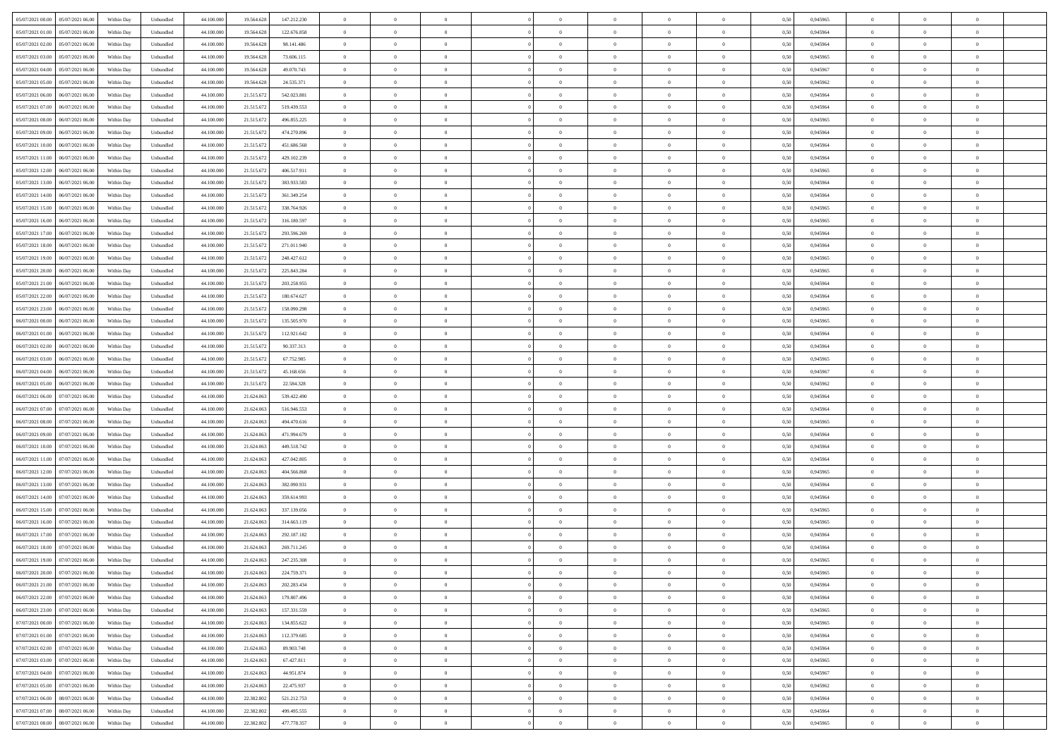| 05/07/2021 00:00 05/07/2021 06:00            | Within Day | Unbundled                   | 44.100.000 | 19.564.628 | 147.212.230 | $\overline{0}$ | $\theta$       |                | $\overline{0}$ | $\theta$       |                | $\theta$       | 0,50 | 0,945965 | $\theta$       | $\theta$       | $\overline{0}$ |  |
|----------------------------------------------|------------|-----------------------------|------------|------------|-------------|----------------|----------------|----------------|----------------|----------------|----------------|----------------|------|----------|----------------|----------------|----------------|--|
| 05/07/2021 01:00<br>05/07/2021 06.00         | Within Day | Unbundled                   | 44.100.00  | 19.564.62  | 122.676.858 | $\bf{0}$       | $\overline{0}$ | $\bf{0}$       | $\overline{0}$ | $\bf{0}$       | $\overline{0}$ | $\bf{0}$       | 0,50 | 0,945964 | $\,$ 0 $\,$    | $\bf{0}$       | $\overline{0}$ |  |
| 05/07/2021 02:00<br>05/07/2021 06:00         | Within Day | Unbundled                   | 44,100,000 | 19.564.628 | 98.141.486  | $\overline{0}$ | $\bf{0}$       | $\overline{0}$ | $\bf{0}$       | $\bf{0}$       | $\overline{0}$ | $\bf{0}$       | 0.50 | 0.945964 | $\bf{0}$       | $\overline{0}$ | $\overline{0}$ |  |
| 05/07/2021 03:00<br>05/07/2021 06:00         | Within Day | Unbundled                   | 44.100.000 | 19.564.628 | 73.606.115  | $\overline{0}$ | $\overline{0}$ | $\overline{0}$ | $\theta$       | $\theta$       | $\overline{0}$ | $\bf{0}$       | 0,50 | 0,945965 | $\theta$       | $\theta$       | $\overline{0}$ |  |
| 05/07/2021 04:00<br>05/07/2021 06.00         | Within Day | Unbundled                   | 44.100.00  | 19.564.628 | 49.070.743  | $\overline{0}$ | $\overline{0}$ | $\overline{0}$ | $\overline{0}$ | $\theta$       | $\overline{0}$ | $\bf{0}$       | 0,50 | 0,945967 | $\,$ 0 $\,$    | $\bf{0}$       | $\overline{0}$ |  |
|                                              |            |                             |            |            |             |                |                |                |                |                | $\theta$       |                |      |          |                |                |                |  |
| 05/07/2021 05:00<br>05/07/2021 06:00         | Within Day | Unbundled                   | 44,100,000 | 19.564.628 | 24.535.371  | $\overline{0}$ | $\overline{0}$ | $\overline{0}$ | $\bf{0}$       | $\overline{0}$ |                | $\bf{0}$       | 0.50 | 0.945962 | $\bf{0}$       | $\theta$       | $\overline{0}$ |  |
| 05/07/2021 06:00<br>06/07/2021 06:00         | Within Day | Unbundled                   | 44.100.000 | 21.515.672 | 542.023.881 | $\overline{0}$ | $\overline{0}$ | $\overline{0}$ | $\overline{0}$ | $\overline{0}$ | $\overline{0}$ | $\bf{0}$       | 0,50 | 0,945964 | $\theta$       | $\theta$       | $\overline{0}$ |  |
| 05/07/2021 07:00<br>06/07/2021 06.00         | Within Day | Unbundled                   | 44.100.00  | 21.515.67  | 519.439.553 | $\overline{0}$ | $\overline{0}$ | $\overline{0}$ | $\overline{0}$ | $\overline{0}$ | $\overline{0}$ | $\bf{0}$       | 0,50 | 0,945964 | $\,$ 0 $\,$    | $\bf{0}$       | $\overline{0}$ |  |
| 05/07/2021 08:00<br>06/07/2021 06:00         | Within Day | Unbundled                   | 44,100,00  | 21.515.67  | 496.855.225 | $\overline{0}$ | $\bf{0}$       | $\overline{0}$ | $\bf{0}$       | $\overline{0}$ | $\overline{0}$ | $\bf{0}$       | 0.50 | 0.945965 | $\bf{0}$       | $\theta$       | $\overline{0}$ |  |
| 05/07/2021 09:00<br>06/07/2021 06:00         | Within Day | Unbundled                   | 44.100.000 | 21.515.672 | 474.270.896 | $\overline{0}$ | $\bf{0}$       | $\overline{0}$ | $\overline{0}$ | $\theta$       | $\overline{0}$ | $\bf{0}$       | 0,50 | 0,945964 | $\,$ 0 $\,$    | $\theta$       | $\overline{0}$ |  |
| 05/07/2021 10:00<br>06/07/2021 06.00         | Within Day | Unbundled                   | 44.100.00  | 21.515.67  | 451.686.568 | $\bf{0}$       | $\overline{0}$ | $\bf{0}$       | $\bf{0}$       | $\bf{0}$       | $\overline{0}$ | $\bf{0}$       | 0,50 | 0,945964 | $\,$ 0 $\,$    | $\bf{0}$       | $\overline{0}$ |  |
| 05/07/2021 11:00<br>06/07/2021 06:00         | Within Day | Unbundled                   | 44,100,000 | 21.515.672 | 429.102.239 | $\overline{0}$ | $\bf{0}$       | $\overline{0}$ | $\bf{0}$       | $\bf{0}$       | $\overline{0}$ | $\bf{0}$       | 0.50 | 0.945964 | $\bf{0}$       | $\overline{0}$ | $\bf{0}$       |  |
| 05/07/2021 12:00<br>06/07/2021 06:00         | Within Day | Unbundled                   | 44.100.000 | 21.515.672 | 406.517.911 | $\overline{0}$ | $\overline{0}$ | $\overline{0}$ | $\overline{0}$ | $\theta$       | $\overline{0}$ | $\overline{0}$ | 0,50 | 0,945965 | $\theta$       | $\theta$       | $\overline{0}$ |  |
|                                              |            |                             |            |            |             |                |                |                |                |                |                |                |      |          |                |                |                |  |
| 05/07/2021 13:00<br>06/07/2021 06.00         | Within Day | Unbundled                   | 44.100.00  | 21.515.67  | 383.933.583 | $\bf{0}$       | $\overline{0}$ | $\bf{0}$       | $\overline{0}$ | $\bf{0}$       | $\overline{0}$ | $\bf{0}$       | 0,50 | 0,945964 | $\,$ 0 $\,$    | $\bf{0}$       | $\overline{0}$ |  |
| 05/07/2021 14:00<br>06/07/2021 06:00         | Within Day | Unbundled                   | 44,100,00  | 21.515.672 | 361.349.254 | $\overline{0}$ | $\overline{0}$ | $\overline{0}$ | $\bf{0}$       | $\theta$       | $\Omega$       | $\bf{0}$       | 0.50 | 0.945964 | $\theta$       | $\theta$       | $\overline{0}$ |  |
| 05/07/2021 15:00<br>06/07/2021 06:00         | Within Day | Unbundled                   | 44.100.000 | 21.515.672 | 338.764.926 | $\overline{0}$ | $\overline{0}$ | $\overline{0}$ | $\overline{0}$ | $\overline{0}$ | $\overline{0}$ | $\bf{0}$       | 0,50 | 0,945965 | $\theta$       | $\theta$       | $\overline{0}$ |  |
| 05/07/2021 16:00<br>06/07/2021 06.00         | Within Day | Unbundled                   | 44.100.00  | 21.515.67  | 316.180.597 | $\bf{0}$       | $\overline{0}$ | $\overline{0}$ | $\overline{0}$ | $\theta$       | $\overline{0}$ | $\bf{0}$       | 0,50 | 0,945965 | $\,$ 0 $\,$    | $\bf{0}$       | $\overline{0}$ |  |
| 05/07/2021 17:00<br>06/07/2021 06:00         | Within Day | Unbundled                   | 44,100,00  | 21.515.67  | 293.596.269 | $\overline{0}$ | $\overline{0}$ | $\overline{0}$ | $\bf{0}$       | $\overline{0}$ | $\overline{0}$ | $\bf{0}$       | 0.50 | 0.945964 | $\bf{0}$       | $\overline{0}$ | $\overline{0}$ |  |
| 05/07/2021 18:00<br>06/07/2021 06:00         | Within Day | Unbundled                   | 44.100.000 | 21.515.672 | 271.011.940 | $\overline{0}$ | $\overline{0}$ | $\overline{0}$ | $\overline{0}$ | $\overline{0}$ | $\overline{0}$ | $\bf{0}$       | 0,50 | 0,945964 | $\,$ 0 $\,$    | $\theta$       | $\overline{0}$ |  |
| 05/07/2021 19:00<br>06/07/2021 06.00         | Within Day | Unbundled                   | 44.100.00  | 21.515.67  | 248.427.612 | $\bf{0}$       | $\overline{0}$ | $\bf{0}$       | $\bf{0}$       | $\overline{0}$ | $\overline{0}$ | $\bf{0}$       | 0,50 | 0,945965 | $\,$ 0 $\,$    | $\bf{0}$       | $\overline{0}$ |  |
|                                              |            |                             |            |            |             |                |                |                |                |                |                |                |      |          |                |                |                |  |
| 05/07/2021 20:00<br>06/07/2021 06:00         | Within Day | Unbundled                   | 44,100,000 | 21.515.672 | 225.843.284 | $\overline{0}$ | $\bf{0}$       | $\overline{0}$ | $\bf{0}$       | $\bf{0}$       | $\overline{0}$ | $\bf{0}$       | 0.50 | 0.945965 | $\bf{0}$       | $\overline{0}$ | $\overline{0}$ |  |
| 05/07/2021 21:00<br>06/07/2021 06:00         | Within Day | Unbundled                   | 44.100.000 | 21.515.672 | 203.258.955 | $\overline{0}$ | $\overline{0}$ | $\overline{0}$ | $\theta$       | $\theta$       | $\overline{0}$ | $\bf{0}$       | 0,50 | 0,945964 | $\theta$       | $\theta$       | $\overline{0}$ |  |
| 05/07/2021 22.00<br>06/07/2021 06.00         | Within Day | Unbundled                   | 44.100.00  | 21.515.67  | 180.674.627 | $\bf{0}$       | $\overline{0}$ | $\bf{0}$       | $\bf{0}$       | $\bf{0}$       | $\overline{0}$ | $\bf{0}$       | 0,50 | 0,945964 | $\,$ 0 $\,$    | $\bf{0}$       | $\overline{0}$ |  |
| 05/07/2021 23:00<br>06/07/2021 06:00         | Within Day | Unbundled                   | 44,100,00  | 21.515.67  | 158,090.298 | $\overline{0}$ | $\overline{0}$ | $\overline{0}$ | $\overline{0}$ | $\overline{0}$ | $\Omega$       | $\bf{0}$       | 0.50 | 0.945965 | $\bf{0}$       | $\theta$       | $\overline{0}$ |  |
| 06/07/2021 00:00<br>06/07/2021 06:00         | Within Day | Unbundled                   | 44.100.000 | 21.515.672 | 135.505.970 | $\overline{0}$ | $\overline{0}$ | $\overline{0}$ | $\overline{0}$ | $\overline{0}$ | $\overline{0}$ | $\bf{0}$       | 0,50 | 0,945965 | $\theta$       | $\theta$       | $\overline{0}$ |  |
| 06/07/2021 01:00<br>06/07/2021 06.00         | Within Day | Unbundled                   | 44.100.00  | 21.515.67  | 112.921.642 | $\bf{0}$       | $\theta$       | $\bf{0}$       | $\overline{0}$ | $\bf{0}$       | $\overline{0}$ | $\bf{0}$       | 0,50 | 0,945964 | $\,$ 0 $\,$    | $\bf{0}$       | $\overline{0}$ |  |
| 06/07/2021 02:00<br>06/07/2021 06:00         | Within Day | Unbundled                   | 44,100,00  | 21.515.67  | 90.337.313  | $\overline{0}$ | $\bf{0}$       | $\overline{0}$ | $\bf{0}$       | $\overline{0}$ | $\overline{0}$ | $\bf{0}$       | 0.50 | 0.945964 | $\bf{0}$       | $\overline{0}$ | $\overline{0}$ |  |
| 06/07/2021 03:00<br>06/07/2021 06:00         | Within Day | Unbundled                   | 44.100.000 | 21.515.672 | 67.752.985  | $\overline{0}$ | $\overline{0}$ | $\overline{0}$ | $\overline{0}$ | $\overline{0}$ | $\overline{0}$ | $\bf{0}$       | 0,50 | 0,945965 | $\theta$       | $\theta$       | $\overline{0}$ |  |
|                                              |            |                             |            |            |             |                |                |                |                |                |                |                |      |          |                |                |                |  |
| 06/07/2021 04:00<br>06/07/2021 06.00         | Within Day | Unbundled                   | 44.100.00  | 21.515.67  | 45.168.656  | $\bf{0}$       | $\bf{0}$       | $\bf{0}$       | $\bf{0}$       | $\overline{0}$ | $\overline{0}$ | $\bf{0}$       | 0,50 | 0,945967 | $\,$ 0 $\,$    | $\bf{0}$       | $\overline{0}$ |  |
| 06/07/2021 05:00<br>06/07/2021 06:00         | Within Day | Unbundled                   | 44,100,000 | 21.515.67  | 22.584.328  | $\overline{0}$ | $\bf{0}$       | $\overline{0}$ | $\bf{0}$       | $\bf{0}$       | $\overline{0}$ | $\bf{0}$       | 0.50 | 0.945962 | $\bf{0}$       | $\overline{0}$ | $\overline{0}$ |  |
| 06/07/2021 06:00<br>07/07/2021 06:00         | Within Day | Unbundled                   | 44.100.000 | 21.624.06  | 539.422.490 | $\overline{0}$ | $\overline{0}$ | $\overline{0}$ | $\overline{0}$ | $\overline{0}$ | $\overline{0}$ | $\bf{0}$       | 0.5( | 0.945964 | $\theta$       | $\theta$       | $\overline{0}$ |  |
| 06/07/2021 07:00<br>07/07/2021 06.00         | Within Day | Unbundled                   | 44.100.00  | 21.624.06  | 516.946.553 | $\bf{0}$       | $\overline{0}$ | $\bf{0}$       | $\overline{0}$ | $\overline{0}$ | $\overline{0}$ | $\bf{0}$       | 0,50 | 0,945964 | $\,$ 0 $\,$    | $\bf{0}$       | $\overline{0}$ |  |
| 06/07/2021 08:00<br>07/07/2021 06:00         | Within Day | Unbundled                   | 44,100,00  | 21.624.063 | 494.470.616 | $\overline{0}$ | $\overline{0}$ | $\overline{0}$ | $\bf{0}$       | $\bf{0}$       | $\Omega$       | $\bf{0}$       | 0.50 | 0.945965 | $\,$ 0 $\,$    | $\theta$       | $\overline{0}$ |  |
| 06/07/2021 09:00<br>07/07/2021 06:00         | Within Dav | Unbundled                   | 44.100.000 | 21.624.063 | 471.994.679 | $\overline{0}$ | $\overline{0}$ | $\overline{0}$ | $\overline{0}$ | $\overline{0}$ | $\overline{0}$ | $\overline{0}$ | 0.5( | 0,945964 | $\theta$       | $\theta$       | $\overline{0}$ |  |
| 06/07/2021 10:00<br>07/07/2021 06.00         | Within Day | Unbundled                   | 44.100.00  | 21.624.06  | 449.518.742 | $\bf{0}$       | $\overline{0}$ | $\bf{0}$       | $\bf{0}$       | $\bf{0}$       | $\overline{0}$ | $\bf{0}$       | 0,50 | 0,945964 | $\,$ 0 $\,$    | $\bf{0}$       | $\overline{0}$ |  |
| 06/07/2021 11:00<br>07/07/2021 06:00         | Within Day | Unbundled                   | 44,100,00  | 21.624.06  | 427.042.805 | $\overline{0}$ | $\bf{0}$       | $\overline{0}$ | $\bf{0}$       | $\overline{0}$ | $\overline{0}$ | $\bf{0}$       | 0.50 | 0.945964 | $\bf{0}$       | $\overline{0}$ | $\overline{0}$ |  |
| 06/07/2021 12:00<br>07/07/2021 06:00         | Within Dav | Unbundled                   | 44.100.000 | 21.624.06  | 404.566.868 | $\overline{0}$ | $\overline{0}$ | $\overline{0}$ | $\overline{0}$ | $\overline{0}$ | $\overline{0}$ | $\overline{0}$ | 0.50 | 0,945965 | $\theta$       | $\theta$       | $\overline{0}$ |  |
|                                              |            |                             |            |            |             |                |                |                |                |                |                |                |      |          |                |                |                |  |
| 06/07/2021 13:00<br>07/07/2021 06.00         | Within Day | Unbundled                   | 44.100.00  | 21.624.06  | 382.090.931 | $\bf{0}$       | $\bf{0}$       | $\bf{0}$       | $\bf{0}$       | $\overline{0}$ | $\overline{0}$ | $\bf{0}$       | 0,50 | 0,945964 | $\,$ 0 $\,$    | $\bf{0}$       | $\overline{0}$ |  |
| 06/07/2021 14:00<br>07/07/2021 06:00         | Within Day | Unbundled                   | 44,100,000 | 21.624.063 | 359.614.993 | $\overline{0}$ | $\bf{0}$       | $\overline{0}$ | $\bf{0}$       | $\bf{0}$       | $\overline{0}$ | $\bf{0}$       | 0.50 | 0.945964 | $\bf{0}$       | $\overline{0}$ | $\overline{0}$ |  |
| 06/07/2021 15:00<br>07/07/2021 06:00         | Within Dav | Unbundled                   | 44.100.000 | 21.624.063 | 337.139.056 | $\overline{0}$ | $\overline{0}$ | $\overline{0}$ | $\overline{0}$ | $\overline{0}$ | $\overline{0}$ | $\bf{0}$       | 0.50 | 0,945965 | $\theta$       | $\theta$       | $\overline{0}$ |  |
| 06/07/2021 16:00<br>07/07/2021 06.00         | Within Day | Unbundled                   | 44.100.00  | 21.624.06  | 314.663.119 | $\bf{0}$       | $\overline{0}$ | $\bf{0}$       | $\overline{0}$ | $\,$ 0 $\,$    | $\overline{0}$ | $\bf{0}$       | 0,50 | 0,945965 | $\,$ 0 $\,$    | $\bf{0}$       | $\overline{0}$ |  |
| 06/07/2021 17:00<br>07/07/2021 06:00         | Within Day | Unbundled                   | 44,100,00  | 21.624.06  | 292.187.182 | $\overline{0}$ | $\overline{0}$ | $\Omega$       | $\overline{0}$ | $\overline{0}$ | $\theta$       | $\bf{0}$       | 0.50 | 0.945964 | $\,$ 0 $\,$    | $\theta$       | $\overline{0}$ |  |
| 06/07/2021 18:00<br>07/07/2021 06:00         | Within Dav | Unbundled                   | 44.100.000 | 21.624.06  | 269.711.245 | $\overline{0}$ | $\overline{0}$ | $\Omega$       | $\overline{0}$ | $\theta$       | $\Omega$       | $\overline{0}$ | 0.5( | 0,945964 | $\theta$       | $\theta$       | $\overline{0}$ |  |
| 06/07/2021 19:00<br>07/07/2021 06:00         | Within Day | Unbundled                   | 44.100.000 | 21.624.06  | 247.235.308 | $\bf{0}$       | $\bf{0}$       | $\bf{0}$       | $\bf{0}$       | $\bf{0}$       | $\overline{0}$ | $\bf{0}$       | 0,50 | 0,945965 | $\,$ 0 $\,$    | $\bf{0}$       | $\overline{0}$ |  |
| $06/07/2021\ 20.00 \qquad 07/07/2021\ 06.00$ | Within Day | $\ensuremath{\mathsf{Unb}}$ | 44.100.000 | 21.624.063 | 224.759.371 | $\overline{0}$ | $\Omega$       |                | $\overline{0}$ |                |                |                | 0,50 | 0.945965 | $\theta$       | $\overline{0}$ |                |  |
|                                              |            |                             |            |            |             |                |                |                |                |                |                |                |      |          |                |                |                |  |
| 06/07/2021 21:00 07/07/2021 06:00            | Within Day | Unbundled                   | 44.100.000 | 21.624.063 | 202.283.434 | $\overline{0}$ | $\overline{0}$ | $\Omega$       | $\theta$       | $\overline{0}$ | $\overline{0}$ | $\bf{0}$       | 0,50 | 0,945964 | $\theta$       | $\theta$       | $\overline{0}$ |  |
| 06/07/2021 22:00<br>07/07/2021 06:00         | Within Day | Unbundled                   | 44.100.00  | 21.624.063 | 179.807.496 | $\overline{0}$ | $\bf{0}$       | $\overline{0}$ | $\overline{0}$ | $\bf{0}$       | $\overline{0}$ | $\bf{0}$       | 0,50 | 0,945964 | $\bf{0}$       | $\overline{0}$ | $\bf{0}$       |  |
| 06/07/2021 23:00 07/07/2021 06:00            | Within Day | Unbundled                   | 44,100,000 | 21.624.063 | 157.331.559 | $\overline{0}$ | $\bf{0}$       | $\overline{0}$ | $\overline{0}$ | $\mathbf{0}$   | $\overline{0}$ | $\bf{0}$       | 0.50 | 0.945965 | $\mathbf{0}$   | $\bf{0}$       | $\,$ 0 $\,$    |  |
| 07/07/2021 00:00 07/07/2021 06:00            | Within Day | Unbundled                   | 44.100.000 | 21.624.063 | 134.855.622 | $\overline{0}$ | $\overline{0}$ | $\overline{0}$ | $\overline{0}$ | $\overline{0}$ | $\overline{0}$ | $\bf{0}$       | 0,50 | 0,945965 | $\theta$       | $\theta$       | $\overline{0}$ |  |
| 07/07/2021 01:00<br>07/07/2021 06:00         | Within Day | Unbundled                   | 44.100.000 | 21.624.063 | 112.379.685 | $\overline{0}$ | $\bf{0}$       | $\overline{0}$ | $\overline{0}$ | $\overline{0}$ | $\overline{0}$ | $\bf{0}$       | 0,50 | 0,945964 | $\overline{0}$ | $\overline{0}$ | $\overline{0}$ |  |
| 07/07/2021 02:00 07/07/2021 06:00            | Within Day | Unbundled                   | 44,100,000 | 21.624.063 | 89,903,748  | $\overline{0}$ | $\bf{0}$       | $\overline{0}$ | $\overline{0}$ | $\overline{0}$ | $\overline{0}$ | $\bf{0}$       | 0.50 | 0.945964 | $\,$ 0 $\,$    | $\theta$       | $\overline{0}$ |  |
| 07/07/2021 03:00<br>07/07/2021 06:00         | Within Dav | Unbundled                   | 44.100.000 | 21.624.063 | 67.427.811  | $\overline{0}$ | $\overline{0}$ | $\overline{0}$ | $\overline{0}$ | $\overline{0}$ | $\overline{0}$ | $\bf{0}$       | 0.50 | 0,945965 | $\overline{0}$ | $\theta$       | $\overline{0}$ |  |
| 07/07/2021 06:00<br>07/07/2021 04:00         | Within Day | Unbundled                   | 44.100.00  | 21.624.063 | 44.951.874  | $\overline{0}$ | $\overline{0}$ | $\overline{0}$ | $\overline{0}$ | $\bf{0}$       | $\overline{0}$ | $\bf{0}$       | 0,50 | 0,945967 | $\bf{0}$       | $\overline{0}$ | $\overline{0}$ |  |
|                                              |            |                             |            |            |             |                |                |                |                |                |                |                |      |          |                |                |                |  |
| 07/07/2021 05:00 07/07/2021 06:00            | Within Day | Unbundled                   | 44,100,000 | 21.624.063 | 22.475.937  | $\overline{0}$ | $\overline{0}$ | $\overline{0}$ | $\overline{0}$ | $\bf{0}$       | $\overline{0}$ | $\bf{0}$       | 0.50 | 0.945962 | $\overline{0}$ | $\bf{0}$       | $\,$ 0         |  |
| 07/07/2021 06:00 08/07/2021 06:00            | Within Dav | Unbundled                   | 44.100.000 | 22.382.802 | 521.212.753 | $\overline{0}$ | $\overline{0}$ | $\overline{0}$ | $\overline{0}$ | $\overline{0}$ | $\overline{0}$ | $\bf{0}$       | 0,50 | 0,945964 | $\overline{0}$ | $\theta$       | $\overline{0}$ |  |
| 07/07/2021 07:00<br>08/07/2021 06:00         | Within Day | Unbundled                   | 44.100.00  | 22.382.802 | 499.495.555 | $\overline{0}$ | $\bf{0}$       | $\overline{0}$ | $\bf{0}$       | $\overline{0}$ | $\bf{0}$       | $\bf{0}$       | 0,50 | 0,945964 | $\bf{0}$       | $\bf{0}$       | $\bf{0}$       |  |
| 07/07/2021 08:00 08/07/2021 06:00            | Within Day | Unbundled                   | 44.100.000 | 22.382.802 | 477.778.357 | $\overline{0}$ | $\bf{0}$       | $\overline{0}$ | $\overline{0}$ | $\,$ 0 $\,$    | $\overline{0}$ | $\bf{0}$       | 0,50 | 0,945965 | $\overline{0}$ | $\,$ 0 $\,$    | $\,$ 0 $\,$    |  |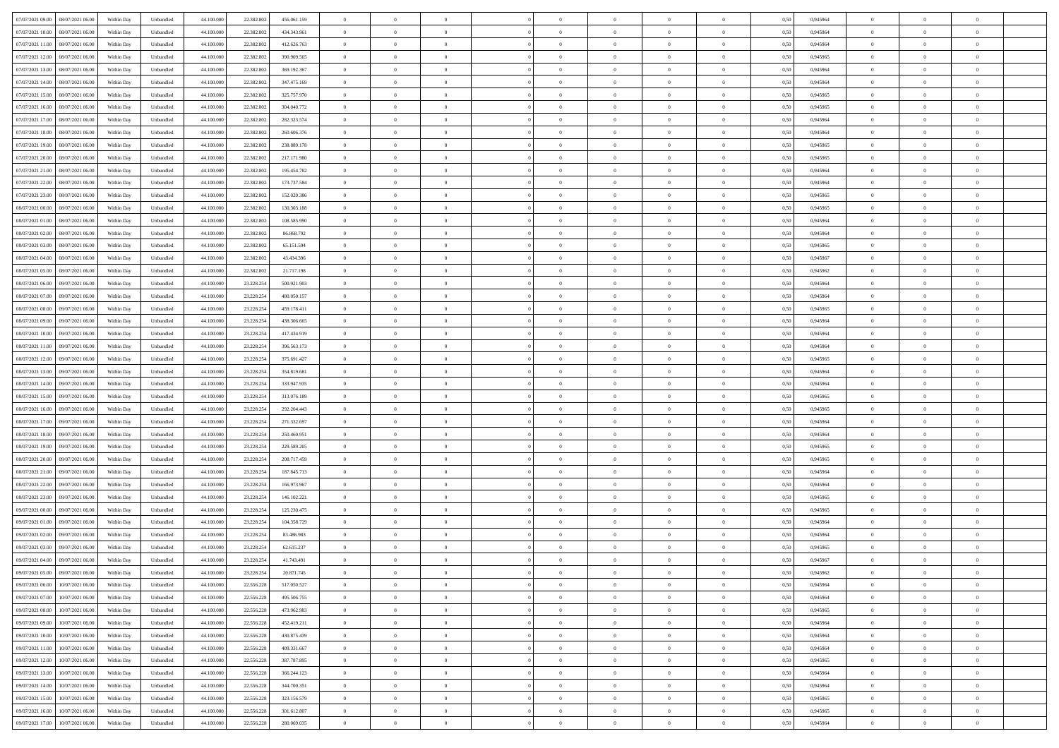|                                                |            |                             |            |            |               | $\overline{0}$ | $\overline{0}$ |                | $\overline{0}$ | $\theta$       |                | $\theta$       |      |          | $\theta$       | $\theta$       | $\overline{0}$ |  |
|------------------------------------------------|------------|-----------------------------|------------|------------|---------------|----------------|----------------|----------------|----------------|----------------|----------------|----------------|------|----------|----------------|----------------|----------------|--|
| 07/07/2021 09:00   08/07/2021 06:00            | Within Day | Unbundled                   | 44.100.000 | 22.382.802 | 456.061.159   |                |                |                |                |                |                |                | 0,50 | 0,945964 |                |                |                |  |
| 07/07/2021 10:00<br>08/07/2021 06:00           | Within Day | Unbundled                   | 44.100.00  | 22.382.80  | 434.343.961   | $\bf{0}$       | $\overline{0}$ | $\overline{0}$ | $\overline{0}$ | $\theta$       | $\overline{0}$ | $\bf{0}$       | 0,50 | 0,945964 | $\theta$       | $\bf{0}$       | $\overline{0}$ |  |
| 07/07/2021 11:00<br>08/07/2021 06:00           | Within Day | Unbundled                   | 44,100,000 | 22.382.802 | 412.626.763   | $\overline{0}$ | $\bf{0}$       | $\overline{0}$ | $\bf{0}$       | $\bf{0}$       | $\overline{0}$ | $\bf{0}$       | 0.50 | 0.945964 | $\bf{0}$       | $\overline{0}$ | $\overline{0}$ |  |
| 07/07/2021 12:00<br>08/07/2021 06:00           | Within Day | Unbundled                   | 44.100.000 | 22.382.802 | 390.909.565   | $\overline{0}$ | $\overline{0}$ | $\overline{0}$ | $\theta$       | $\theta$       | $\overline{0}$ | $\overline{0}$ | 0,50 | 0,945965 | $\theta$       | $\theta$       | $\overline{0}$ |  |
|                                                |            |                             |            |            |               |                |                |                |                |                |                |                |      |          |                |                |                |  |
| 07/07/2021 13:00<br>08/07/2021 06:00           | Within Day | Unbundled                   | 44.100.00  | 22.382.802 | 369.192.367   | $\overline{0}$ | $\theta$       | $\overline{0}$ | $\overline{0}$ | $\theta$       | $\overline{0}$ | $\bf{0}$       | 0,50 | 0,945964 | $\,$ 0 $\,$    | $\theta$       | $\overline{0}$ |  |
| 07/07/2021 14:00<br>08/07/2021 06:00           | Within Day | Unbundled                   | 44,100,000 | 22.382.802 | 347,475,169   | $\overline{0}$ | $\overline{0}$ | $\overline{0}$ | $\overline{0}$ | $\overline{0}$ | $\Omega$       | $\bf{0}$       | 0.50 | 0.945964 | $\bf{0}$       | $\overline{0}$ | $\overline{0}$ |  |
| 07/07/2021 15:00<br>08/07/2021 06:00           | Within Day | Unbundled                   | 44.100.000 | 22.382.802 | 325.757.970   | $\overline{0}$ | $\overline{0}$ | $\overline{0}$ | $\overline{0}$ | $\overline{0}$ | $\overline{0}$ | $\bf{0}$       | 0,50 | 0,945965 | $\theta$       | $\theta$       | $\overline{0}$ |  |
|                                                |            |                             |            |            |               |                |                |                |                |                |                |                |      |          |                |                |                |  |
| 07/07/2021 16:00<br>08/07/2021 06:00           | Within Day | Unbundled                   | 44.100.00  | 22.382.802 | 304.040.772   | $\overline{0}$ | $\overline{0}$ | $\overline{0}$ | $\overline{0}$ | $\theta$       | $\overline{0}$ | $\bf{0}$       | 0,50 | 0,945965 | $\,$ 0 $\,$    | $\bf{0}$       | $\overline{0}$ |  |
| 07/07/2021 17:00<br>08/07/2021 06:00           | Within Day | Unbundled                   | 44,100,00  | 22.382.802 | 282.323.574   | $\overline{0}$ | $\overline{0}$ | $\overline{0}$ | $\bf{0}$       | $\overline{0}$ | $\overline{0}$ | $\bf{0}$       | 0.50 | 0.945964 | $\,$ 0 $\,$    | $\theta$       | $\overline{0}$ |  |
| 07/07/2021 18:00<br>08/07/2021 06:00           | Within Day | Unbundled                   | 44.100.000 | 22.382.802 | 260.606.376   | $\overline{0}$ | $\bf{0}$       | $\overline{0}$ | $\overline{0}$ | $\theta$       | $\overline{0}$ | $\bf{0}$       | 0,50 | 0,945964 | $\theta$       | $\theta$       | $\overline{0}$ |  |
| 07/07/2021 19:00<br>08/07/2021 06:00           | Within Day | Unbundled                   | 44.100.00  | 22.382.802 | 238.889.178   | $\bf{0}$       | $\overline{0}$ | $\bf{0}$       | $\overline{0}$ | $\bf{0}$       | $\overline{0}$ | $\bf{0}$       | 0,50 | 0,945965 | $\,$ 0 $\,$    | $\bf{0}$       | $\overline{0}$ |  |
| 08/07/2021 06:00                               |            |                             | 44,100,000 | 22.382.802 |               |                | $\overline{0}$ |                |                |                | $\overline{0}$ |                |      | 0.945965 |                | $\overline{0}$ |                |  |
| 07/07/2021 20:00                               | Within Day | Unbundled                   |            |            | 217.171.980   | $\overline{0}$ |                | $\overline{0}$ | $\bf{0}$       | $\bf{0}$       |                | $\bf{0}$       | 0.50 |          | $\bf{0}$       |                | $\overline{0}$ |  |
| 07/07/2021 21:00<br>08/07/2021 06:00           | Within Day | Unbundled                   | 44.100.000 | 22.382.802 | 195.454.782   | $\overline{0}$ | $\overline{0}$ | $\overline{0}$ | $\overline{0}$ | $\theta$       | $\overline{0}$ | $\overline{0}$ | 0,50 | 0,945964 | $\theta$       | $\theta$       | $\overline{0}$ |  |
| 07/07/2021 22.00<br>08/07/2021 06:00           | Within Day | Unbundled                   | 44.100.00  | 22.382.802 | 173.737.584   | $\bf{0}$       | $\theta$       | $\bf{0}$       | $\overline{0}$ | $\theta$       | $\overline{0}$ | $\bf{0}$       | 0,50 | 0,945964 | $\bf{0}$       | $\bf{0}$       | $\overline{0}$ |  |
| 07/07/2021 23:00<br>08/07/2021 06:00           | Within Day | Unbundled                   | 44,100,00  | 22.382.802 | 152,020,386   | $\overline{0}$ | $\overline{0}$ | $\overline{0}$ | $\bf{0}$       | $\theta$       | $\theta$       | $\bf{0}$       | 0.50 | 0.945965 | $\theta$       | $\overline{0}$ | $\overline{0}$ |  |
| 08/07/2021 00:00<br>08/07/2021 06:00           | Within Day | Unbundled                   | 44.100.000 | 22.382.802 | 130.303.188   | $\overline{0}$ | $\overline{0}$ | $\overline{0}$ | $\overline{0}$ | $\overline{0}$ | $\overline{0}$ | $\bf{0}$       | 0,50 | 0,945965 | $\theta$       | $\theta$       | $\overline{0}$ |  |
|                                                |            |                             |            |            |               |                |                |                |                |                |                |                |      |          |                |                |                |  |
| 08/07/2021 01:00<br>08/07/2021 06:00           | Within Day | Unbundled                   | 44.100.00  | 22.382.802 | 108.585.990   | $\overline{0}$ | $\overline{0}$ | $\overline{0}$ | $\overline{0}$ | $\theta$       | $\overline{0}$ | $\bf{0}$       | 0,50 | 0,945964 | $\,$ 0 $\,$    | $\theta$       | $\overline{0}$ |  |
| 08/07/2021 02:00<br>08/07/2021 06:00           | Within Day | Unbundled                   | 44,100,00  | 22,382,802 | 86,868,792    | $\overline{0}$ | $\overline{0}$ | $\overline{0}$ | $\bf{0}$       | $\overline{0}$ | $\overline{0}$ | $\bf{0}$       | 0.50 | 0.945964 | $\bf{0}$       | $\overline{0}$ | $\overline{0}$ |  |
| 08/07/2021 03:00<br>08/07/2021 06:00           | Within Day | Unbundled                   | 44.100.000 | 22.382.802 | 65.151.594    | $\overline{0}$ | $\overline{0}$ | $\overline{0}$ | $\overline{0}$ | $\theta$       | $\overline{0}$ | $\bf{0}$       | 0,50 | 0,945965 | $\,$ 0 $\,$    | $\theta$       | $\overline{0}$ |  |
| 08/07/2021 04:00<br>08/07/2021 06:00           | Within Day | Unbundled                   | 44.100.00  | 22.382.802 | 43.434.396    | $\bf{0}$       | $\overline{0}$ | $\bf{0}$       | $\bf{0}$       | $\overline{0}$ | $\overline{0}$ | $\bf{0}$       | 0,50 | 0,945967 | $\,$ 0 $\,$    | $\bf{0}$       | $\overline{0}$ |  |
| 08/07/2021 06:00                               |            |                             | 44,100,000 |            |               |                |                |                |                |                | $\overline{0}$ |                |      | 0.945962 |                | $\overline{0}$ |                |  |
| 08/07/2021 05:00                               | Within Day | Unbundled                   |            | 22.382.802 | 21.717.198    | $\overline{0}$ | $\bf{0}$       | $\overline{0}$ | $\bf{0}$       | $\overline{0}$ |                | $\bf{0}$       | 0.50 |          | $\bf{0}$       |                | $\overline{0}$ |  |
| 08/07/2021 06:00<br>09/07/2021 06:00           | Within Day | Unbundled                   | 44.100.000 | 23.228.254 | 500.921.903   | $\overline{0}$ | $\overline{0}$ | $\overline{0}$ | $\theta$       | $\theta$       | $\overline{0}$ | $\bf{0}$       | 0,50 | 0,945964 | $\theta$       | $\theta$       | $\overline{0}$ |  |
| 08/07/2021 07:00<br>09/07/2021 06.00           | Within Day | Unbundled                   | 44.100.00  | 23.228.25  | 480.050.157   | $\bf{0}$       | $\overline{0}$ | $\bf{0}$       | $\bf{0}$       | $\theta$       | $\overline{0}$ | $\bf{0}$       | 0,50 | 0,945964 | $\,$ 0 $\,$    | $\bf{0}$       | $\overline{0}$ |  |
| 08/07/2021 08:00<br>09/07/2021 06:00           | Within Day | Unbundled                   | 44,100,00  | 23.228.25  | 459.178.411   | $\overline{0}$ | $\overline{0}$ | $\overline{0}$ | $\overline{0}$ | $\overline{0}$ | $\Omega$       | $\bf{0}$       | 0.50 | 0.945965 | $\bf{0}$       | $\theta$       | $\overline{0}$ |  |
| 08/07/2021 09:00<br>09/07/2021 06:00           | Within Day | Unbundled                   | 44.100.000 | 23.228.254 | 438.306.665   | $\overline{0}$ | $\overline{0}$ | $\overline{0}$ | $\overline{0}$ | $\overline{0}$ | $\overline{0}$ | $\bf{0}$       | 0,50 | 0,945964 | $\theta$       | $\theta$       | $\overline{0}$ |  |
|                                                |            |                             |            |            |               |                |                |                |                |                |                |                |      |          |                |                |                |  |
| 08/07/2021 10:00<br>09/07/2021 06.00           | Within Day | Unbundled                   | 44.100.00  | 23.228.25  | 417.434.919   | $\bf{0}$       | $\overline{0}$ | $\overline{0}$ | $\overline{0}$ | $\theta$       | $\overline{0}$ | $\bf{0}$       | 0,50 | 0,945964 | $\,$ 0 $\,$    | $\bf{0}$       | $\overline{0}$ |  |
| 08/07/2021 11:00<br>09/07/2021 06:00           | Within Day | Unbundled                   | 44,100,00  | 23.228.25  | 396, 563, 173 | $\overline{0}$ | $\overline{0}$ | $\overline{0}$ | $\bf{0}$       | $\overline{0}$ | $\overline{0}$ | $\bf{0}$       | 0.50 | 0.945964 | $\bf{0}$       | $\theta$       | $\overline{0}$ |  |
| 08/07/2021 12:00<br>09/07/2021 06:00           | Within Day | Unbundled                   | 44.100.000 | 23.228.254 | 375.691.427   | $\overline{0}$ | $\overline{0}$ | $\overline{0}$ | $\overline{0}$ | $\theta$       | $\overline{0}$ | $\bf{0}$       | 0,50 | 0,945965 | $\theta$       | $\theta$       | $\overline{0}$ |  |
| 08/07/2021 13:00<br>09/07/2021 06.00           | Within Day | Unbundled                   | 44.100.00  | 23.228.254 | 354.819.681   | $\bf{0}$       | $\bf{0}$       | $\bf{0}$       | $\bf{0}$       | $\overline{0}$ | $\overline{0}$ | $\bf{0}$       | 0,50 | 0,945964 | $\,$ 0 $\,$    | $\bf{0}$       | $\overline{0}$ |  |
| 08/07/2021 14:00<br>09/07/2021 06:00           | Within Day | Unbundled                   | 44,100,000 | 23.228.254 | 333.947.935   | $\overline{0}$ | $\overline{0}$ | $\overline{0}$ | $\bf{0}$       | $\bf{0}$       | $\overline{0}$ | $\bf{0}$       | 0.50 | 0.945964 | $\bf{0}$       | $\overline{0}$ | $\overline{0}$ |  |
|                                                |            |                             |            |            |               |                |                |                |                |                |                |                |      |          |                |                |                |  |
| 08/07/2021 15:00<br>09/07/2021 06:00           | Within Day | Unbundled                   | 44.100.000 | 23.228.25  | 313.076.189   | $\overline{0}$ | $\overline{0}$ | $\overline{0}$ | $\overline{0}$ | $\overline{0}$ | $\overline{0}$ | $\bf{0}$       | 0.50 | 0.945965 | $\theta$       | $\theta$       | $\overline{0}$ |  |
| 08/07/2021 16:00<br>09/07/2021 06.00           | Within Day | Unbundled                   | 44.100.00  | 23.228.25  | 292.204.443   | $\bf{0}$       | $\overline{0}$ | $\bf{0}$       | $\overline{0}$ | $\overline{0}$ | $\overline{0}$ | $\bf{0}$       | 0,50 | 0,945965 | $\,$ 0 $\,$    | $\bf{0}$       | $\overline{0}$ |  |
| 08/07/2021 17:00<br>09/07/2021 06:00           | Within Day | Unbundled                   | 44,100,00  | 23.228.254 | 271.332.697   | $\overline{0}$ | $\overline{0}$ | $\overline{0}$ | $\bf{0}$       | $\theta$       | $\theta$       | $\bf{0}$       | 0.50 | 0.945964 | $\theta$       | $\overline{0}$ | $\overline{0}$ |  |
| 08/07/2021 18:00<br>09/07/2021 06:00           | Within Dav | Unbundled                   | 44.100.000 | 23.228.254 | 250.460.951   | $\overline{0}$ | $\theta$       | $\Omega$       | $\overline{0}$ | $\overline{0}$ | $\overline{0}$ | $\overline{0}$ | 0.5( | 0,945964 | $\theta$       | $\theta$       | $\overline{0}$ |  |
| 08/07/2021 19:00<br>09/07/2021 06.00           | Within Day | Unbundled                   | 44.100.00  | 23.228.25  | 229.589.205   | $\bf{0}$       | $\overline{0}$ | $\bf{0}$       | $\overline{0}$ | $\bf{0}$       | $\overline{0}$ | $\bf{0}$       | 0,50 | 0,945965 | $\,$ 0 $\,$    | $\bf{0}$       | $\overline{0}$ |  |
|                                                |            |                             |            |            |               |                |                |                |                |                |                |                |      |          |                |                |                |  |
| 08/07/2021 20:00<br>09/07/2021 06:00           | Within Day | Unbundled                   | 44,100,00  | 23.228.25  | 208,717.459   | $\overline{0}$ | $\overline{0}$ | $\overline{0}$ | $\bf{0}$       | $\overline{0}$ | $\overline{0}$ | $\bf{0}$       | 0.50 | 0.945965 | $\bf{0}$       | $\theta$       | $\overline{0}$ |  |
| 08/07/2021 21:00<br>09/07/2021 06:00           | Within Dav | Unbundled                   | 44.100.000 | 23.228.254 | 187.845.713   | $\overline{0}$ | $\overline{0}$ | $\overline{0}$ | $\overline{0}$ | $\overline{0}$ | $\overline{0}$ | $\overline{0}$ | 0.50 | 0,945964 | $\theta$       | $\theta$       | $\overline{0}$ |  |
| 08/07/2021 22:00<br>09/07/2021 06.00           | Within Day | Unbundled                   | 44.100.00  | 23.228.25  | 166.973.967   | $\bf{0}$       | $\bf{0}$       | $\bf{0}$       | $\bf{0}$       | $\overline{0}$ | $\overline{0}$ | $\bf{0}$       | 0,50 | 0,945964 | $\,$ 0 $\,$    | $\bf{0}$       | $\overline{0}$ |  |
| 08/07/2021 23:00<br>09/07/2021 06:00           | Within Day | Unbundled                   | 44,100,000 | 23.228.254 | 146.102.221   | $\overline{0}$ | $\bf{0}$       | $\overline{0}$ | $\bf{0}$       | $\bf{0}$       | $\overline{0}$ | $\bf{0}$       | 0.50 | 0.945965 | $\bf{0}$       | $\overline{0}$ | $\overline{0}$ |  |
| 09/07/2021 00:00<br>09/07/2021 06:00           | Within Day | Unbundled                   | 44.100.000 | 23.228.254 | 125.230.475   | $\overline{0}$ | $\overline{0}$ | $\Omega$       | $\overline{0}$ | $\overline{0}$ | $\overline{0}$ | $\bf{0}$       | 0.50 | 0,945965 | $\theta$       | $\theta$       | $\overline{0}$ |  |
|                                                |            |                             |            |            |               |                |                |                |                |                |                |                |      |          |                |                |                |  |
| 09/07/2021 01:00<br>09/07/2021 06.00           | Within Day | Unbundled                   | 44.100.00  | 23.228.254 | 104.358.729   | $\bf{0}$       | $\overline{0}$ | $\bf{0}$       | $\overline{0}$ | $\overline{0}$ | $\overline{0}$ | $\bf{0}$       | 0,50 | 0,945964 | $\,$ 0 $\,$    | $\bf{0}$       | $\overline{0}$ |  |
| 09/07/2021 02:00<br>09/07/2021 06:00           | Within Day | Unbundled                   | 44,100,00  | 23.228.25  | 83,486,983    | $\overline{0}$ | $\overline{0}$ | $\Omega$       | $\overline{0}$ | $\overline{0}$ | $\theta$       | $\bf{0}$       | 0.50 | 0.945964 | $\bf{0}$       | $\overline{0}$ | $\overline{0}$ |  |
| 09/07/2021 03:00<br>09/07/2021 06:00           | Within Dav | Unbundled                   | 44.100.000 | 23.228.25  | 62.615.237    | $\overline{0}$ | $\overline{0}$ | $\Omega$       | $\overline{0}$ | $\theta$       | $\Omega$       | $\overline{0}$ | 0.5( | 0,945965 | $\theta$       | $\theta$       | $\overline{0}$ |  |
| 09/07/2021 04:00<br>09/07/2021 06:00           | Within Day | Unbundled                   | 44.100.000 | 23.228.25  | 41.743.491    | $\bf{0}$       | $\bf{0}$       | $\bf{0}$       | $\bf{0}$       | $\bf{0}$       | $\overline{0}$ | $\bf{0}$       | 0,50 | 0,945967 | $\,$ 0 $\,$    | $\bf{0}$       | $\overline{0}$ |  |
| $09/07/2021\; 05.00 \qquad 09/07/2021\; 06.00$ | Within Day | $\ensuremath{\mathsf{Unb}}$ | 44.100.000 | 23.228.254 | 20.871.745    | $\overline{0}$ | $\Omega$       |                | $\overline{0}$ |                |                |                | 0,50 | 0,945962 | $\theta$       | $\overline{0}$ |                |  |
|                                                |            |                             |            |            |               |                |                |                |                |                |                |                |      |          |                |                |                |  |
| 09/07/2021 06:00 10/07/2021 06:00              | Within Day | Unbundled                   | 44.100.000 | 22.556.228 | 517.050.527   | $\overline{0}$ | $\overline{0}$ | $\Omega$       | $\theta$       | $\overline{0}$ | $\overline{0}$ | $\bf{0}$       | 0,50 | 0,945964 | $\theta$       | $\theta$       | $\overline{0}$ |  |
| 09/07/2021 07:00<br>10/07/2021 06:00           | Within Day | Unbundled                   | 44.100.00  | 22.556.228 | 495.506.755   | $\overline{0}$ | $\bf{0}$       | $\overline{0}$ | $\overline{0}$ | $\bf{0}$       | $\overline{0}$ | $\bf{0}$       | 0,50 | 0,945964 | $\bf{0}$       | $\overline{0}$ | $\bf{0}$       |  |
| 09/07/2021 08:00 10/07/2021 06:00              | Within Day | Unbundled                   | 44,100,000 | 22.556.228 | 473.962.983   | $\overline{0}$ | $\bf{0}$       | $\overline{0}$ | $\overline{0}$ | $\mathbf{0}$   | $\overline{0}$ | $\bf{0}$       | 0.50 | 0.945965 | $\mathbf{0}$   | $\bf{0}$       | $\,$ 0 $\,$    |  |
| 09/07/2021 09:00<br>10/07/2021 06:00           | Within Dav | Unbundled                   | 44.100.000 | 22.556.228 | 452.419.211   | $\overline{0}$ | $\overline{0}$ | $\overline{0}$ | $\overline{0}$ | $\overline{0}$ | $\overline{0}$ | $\bf{0}$       | 0,50 | 0,945964 | $\theta$       | $\theta$       | $\overline{0}$ |  |
|                                                |            |                             |            |            |               |                | $\bf{0}$       |                |                | $\overline{0}$ |                |                |      |          | $\overline{0}$ | $\overline{0}$ | $\overline{0}$ |  |
| 09/07/2021 10:00<br>10/07/2021 06:00           | Within Day | Unbundled                   | 44.100.000 | 22.556.228 | 430.875.439   | $\overline{0}$ |                | $\overline{0}$ | $\overline{0}$ |                | $\bf{0}$       | $\bf{0}$       | 0,50 | 0,945964 |                |                |                |  |
| 10/07/2021 06:00<br>09/07/2021 11:00           | Within Day | Unbundled                   | 44,100,000 | 22.556.228 | 409.331.667   | $\overline{0}$ | $\bf{0}$       | $\overline{0}$ | $\overline{0}$ | $\overline{0}$ | $\overline{0}$ | $\bf{0}$       | 0.50 | 0.945964 | $\,$ 0 $\,$    | $\theta$       | $\bf{0}$       |  |
| 09/07/2021 12:00<br>10/07/2021 06:00           | Within Dav | Unbundled                   | 44.100.000 | 22.556.228 | 387.787.895   | $\overline{0}$ | $\overline{0}$ | $\overline{0}$ | $\overline{0}$ | $\overline{0}$ | $\overline{0}$ | $\bf{0}$       | 0.50 | 0,945965 | $\overline{0}$ | $\theta$       | $\overline{0}$ |  |
| 09/07/2021 13:00<br>10/07/2021 06:00           | Within Day | Unbundled                   | 44.100.00  | 22.556.228 | 366.244.123   | $\overline{0}$ | $\overline{0}$ | $\overline{0}$ | $\overline{0}$ | $\bf{0}$       | $\overline{0}$ | $\bf{0}$       | 0,50 | 0,945964 | $\bf{0}$       | $\overline{0}$ | $\overline{0}$ |  |
| 09/07/2021 14:00<br>10/07/2021 06:00           | Within Day | Unbundled                   | 44,100,000 | 22.556.228 | 344,700,351   | $\overline{0}$ | $\overline{0}$ | $\overline{0}$ | $\overline{0}$ | $\bf{0}$       | $\overline{0}$ | $\bf{0}$       | 0.50 | 0.945964 | $\overline{0}$ | $\bf{0}$       | $\,$ 0         |  |
|                                                |            |                             |            |            |               |                |                |                |                |                |                |                |      |          |                |                |                |  |
| 09/07/2021 15:00<br>10/07/2021 06:00           | Within Dav | Unbundled                   | 44.100.000 | 22.556.228 | 323.156.579   | $\overline{0}$ | $\overline{0}$ | $\overline{0}$ | $\overline{0}$ | $\overline{0}$ | $\overline{0}$ | $\bf{0}$       | 0,50 | 0,945965 | $\overline{0}$ | $\theta$       | $\overline{0}$ |  |
| 09/07/2021 16:00<br>10/07/2021 06:00           | Within Day | Unbundled                   | 44.100.00  | 22.556.228 | 301.612.807   | $\overline{0}$ | $\bf{0}$       | $\overline{0}$ | $\bf{0}$       | $\overline{0}$ | $\overline{0}$ | $\bf{0}$       | 0,50 | 0,945965 | $\bf{0}$       | $\bf{0}$       | $\bf{0}$       |  |
| 09/07/2021 17:00 10/07/2021 06:00              | Within Day | Unbundled                   | 44.100.000 | 22.556.228 | 280.069.035   | $\overline{0}$ | $\bf{0}$       | $\overline{0}$ | $\overline{0}$ | $\,$ 0 $\,$    | $\overline{0}$ | $\bf{0}$       | 0,50 | 0,945964 | $\overline{0}$ | $\,$ 0 $\,$    | $\,$ 0 $\,$    |  |
|                                                |            |                             |            |            |               |                |                |                |                |                |                |                |      |          |                |                |                |  |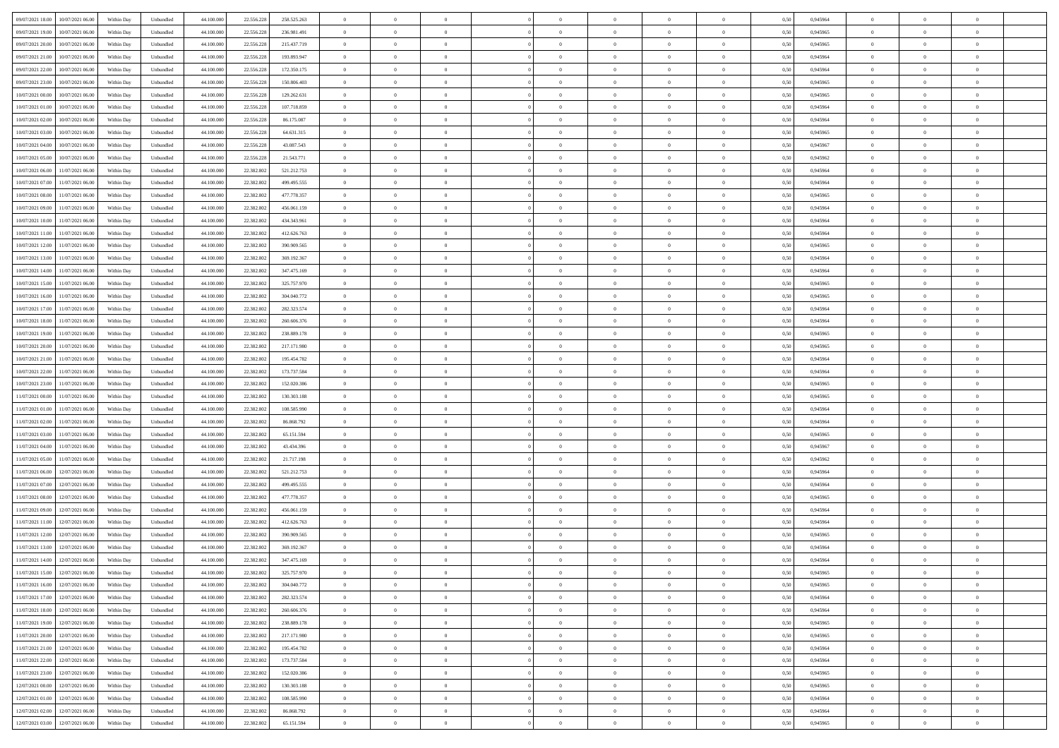| 10/07/2021 06:00<br>Within Day<br>Unbundled<br>44.100.00<br>22.556.228<br>236.981.491<br>$\bf{0}$<br>$\overline{0}$<br>$\overline{0}$<br>$\bf{0}$<br>0,50<br>0,945965<br>$\,$ 0 $\,$<br>$\bf{0}$<br>$\overline{0}$<br>$\bf{0}$<br>$\bf{0}$<br>$\overline{0}$<br>10/07/2021 06:00<br>Unbundled<br>44,100,000<br>22.556.228<br>215.437.719<br>$\overline{0}$<br>$\bf{0}$<br>$\bf{0}$<br>$\overline{0}$<br>$\bf{0}$<br>0.945965<br>$\bf{0}$<br>$\overline{0}$<br>$\bf{0}$<br>Within Day<br>$\overline{0}$<br>$\bf{0}$<br>0.50<br>09/07/2021 21:00<br>10/07/2021 06:00<br>$\overline{0}$<br>$\theta$<br>$\theta$<br>Within Day<br>Unbundled<br>44.100.000<br>22.556.228<br>193.893.947<br>$\overline{0}$<br>$\overline{0}$<br>$\theta$<br>$\theta$<br>$\overline{0}$<br>$\bf{0}$<br>0,50<br>0,945964<br>$\overline{0}$<br>10/07/2021 06:00<br>Within Day<br>Unbundled<br>44.100.00<br>22.556.228<br>172.350.175<br>$\bf{0}$<br>0,50<br>0,945964<br>$\,$ 0 $\,$<br>$\bf{0}$<br>$\bf{0}$<br>$\overline{0}$<br>$\bf{0}$<br>$\overline{0}$<br>$\theta$<br>$\overline{0}$<br>$\overline{0}$<br>10/07/2021 06:00<br>44,100,000<br>22.556.228<br>$\overline{0}$<br>$\theta$<br>$\bf{0}$<br>$\theta$<br>$\overline{0}$<br>Within Day<br>Unbundled<br>150.806.403<br>$\overline{0}$<br>$\overline{0}$<br>$\overline{0}$<br>$\overline{0}$<br>0.50<br>0.945965<br>$\bf{0}$<br>10/07/2021 00:00<br>10/07/2021 06:00<br>Within Day<br>Unbundled<br>44.100.000<br>22.556.228<br>129.262.631<br>$\overline{0}$<br>$\overline{0}$<br>$\overline{0}$<br>$\overline{0}$<br>$\overline{0}$<br>$\overline{0}$<br>$\bf{0}$<br>0,50<br>0,945965<br>$\theta$<br>$\theta$<br>$\overline{0}$<br>10/07/2021 06:00<br>Within Day<br>Unbundled<br>44.100.00<br>22.556.228<br>107.718.859<br>$\overline{0}$<br>$\overline{0}$<br>$\overline{0}$<br>$\bf{0}$<br>0,50<br>0,945964<br>$\,$ 0 $\,$<br>$\bf{0}$<br>$\overline{0}$<br>$\bf{0}$<br>$\bf{0}$<br>$\overline{0}$<br>10/07/2021 06:00<br>44,100,00<br>$\overline{0}$<br>$\bf{0}$<br>$\overline{0}$<br>$\overline{0}$<br>$\bf{0}$<br>$\bf{0}$<br>$\overline{0}$<br>$\overline{0}$<br>Within Day<br>Unbundled<br>22.556.228<br>86.175.087<br>$\overline{0}$<br>$\bf{0}$<br>0.50<br>0.945964<br>10/07/2021 06:00<br>$\theta$<br>Within Day<br>Unbundled<br>44.100.000<br>22.556.228<br>64.631.315<br>$\overline{0}$<br>$\bf{0}$<br>$\overline{0}$<br>$\overline{0}$<br>$\overline{0}$<br>$\overline{0}$<br>$\bf{0}$<br>0,50<br>0,945965<br>$\theta$<br>$\overline{0}$<br>10/07/2021 04:00<br>10/07/2021 06:00<br>Within Day<br>Unbundled<br>44.100.00<br>22.556.228<br>43.087.543<br>$\overline{0}$<br>$\bf{0}$<br>$\bf{0}$<br>0,50<br>0,945967<br>$\,$ 0 $\,$<br>$\bf{0}$<br>$\overline{0}$<br>$\bf{0}$<br>$\bf{0}$<br>$\overline{0}$<br>$\overline{0}$<br>10/07/2021 06:00<br>Unbundled<br>44,100,000<br>22.556.228<br>21.543.771<br>$\overline{0}$<br>$\bf{0}$<br>$\bf{0}$<br>$\overline{0}$<br>$\bf{0}$<br>0.945962<br>$\bf{0}$<br>$\overline{0}$<br>$\bf{0}$<br>Within Day<br>$\overline{0}$<br>$\bf{0}$<br>0.50<br>11/07/2021 06:00<br>44.100.000<br>$\overline{0}$<br>$\theta$<br>$\theta$<br>Within Day<br>Unbundled<br>22.382.802<br>521.212.753<br>$\overline{0}$<br>$\overline{0}$<br>$\overline{0}$<br>$\theta$<br>$\overline{0}$<br>$\overline{0}$<br>0,50<br>0,945964<br>$\overline{0}$<br>11/07/2021 06:00<br>Within Day<br>Unbundled<br>44.100.00<br>22.382.802<br>499.495.555<br>$\bf{0}$<br>0,50<br>0,945964<br>$\,$ 0 $\,$<br>$\bf{0}$<br>$\overline{0}$<br>$\bf{0}$<br>$\overline{0}$<br>$\bf{0}$<br>$\overline{0}$<br>$\theta$<br>$\overline{0}$<br>10/07/2021 08:00<br>11/07/2021 06:00<br>44,100,00<br>22.382.802<br>477.778.357<br>$\overline{0}$<br>$\bf{0}$<br>$\theta$<br>$\overline{0}$<br>Within Day<br>Unbundled<br>$\overline{0}$<br>$\overline{0}$<br>$\overline{0}$<br>$\bf{0}$<br>$\Omega$<br>0.50<br>0.945965<br>$\theta$<br>10/07/2021 09:00<br>11/07/2021 06:00<br>Within Day<br>Unbundled<br>44.100.000<br>22.382.802<br>456.061.159<br>$\overline{0}$<br>$\overline{0}$<br>$\overline{0}$<br>$\overline{0}$<br>$\overline{0}$<br>$\overline{0}$<br>$\bf{0}$<br>0,50<br>0,945964<br>$\theta$<br>$\theta$<br>$\overline{0}$<br>11/07/2021 06:00<br>Within Day<br>Unbundled<br>44.100.00<br>22.382.802<br>434.343.961<br>$\bf{0}$<br>$\overline{0}$<br>$\bf{0}$<br>$\overline{0}$<br>$\bf{0}$<br>0,50<br>0,945964<br>$\,$ 0 $\,$<br>$\bf{0}$<br>$\overline{0}$<br>$\overline{0}$<br>$\overline{0}$<br>11/07/2021 06:00<br>44,100,00<br>$\overline{0}$<br>$\bf{0}$<br>$\overline{0}$<br>$\overline{0}$<br>$\bf{0}$<br>$\bf{0}$<br>$\overline{0}$<br>$\bf{0}$<br>Within Day<br>Unbundled<br>22,382.802<br>412.626.763<br>$\overline{0}$<br>$\bf{0}$<br>0.50<br>0.945964<br>11/07/2021 06:00<br>Within Day<br>Unbundled<br>44.100.000<br>22.382.802<br>390.909.565<br>$\overline{0}$<br>$\overline{0}$<br>$\overline{0}$<br>$\theta$<br>$\overline{0}$<br>$\overline{0}$<br>$\bf{0}$<br>0,50<br>0,945965<br>$\,$ 0 $\,$<br>$\theta$<br>$\overline{0}$<br>11/07/2021 06:00<br>Within Day<br>Unbundled<br>44.100.00<br>22.382.802<br>369.192.367<br>$\bf{0}$<br>$\bf{0}$<br>$\overline{0}$<br>$\overline{0}$<br>$\bf{0}$<br>0,50<br>0,945964<br>$\,$ 0 $\,$<br>$\bf{0}$<br>$\overline{0}$<br>$\bf{0}$<br>$\bf{0}$<br>11/07/2021 06:00<br>Unbundled<br>44,100,000<br>22.382.802<br>347,475,169<br>$\overline{0}$<br>$\bf{0}$<br>$\bf{0}$<br>$\overline{0}$<br>$\bf{0}$<br>0.945964<br>$\bf{0}$<br>$\overline{0}$<br>$\bf{0}$<br>Within Day<br>$\overline{0}$<br>$\bf{0}$<br>0.50<br>11/07/2021 06:00<br>44.100.000<br>$\overline{0}$<br>$\theta$<br>$\theta$<br>Within Day<br>Unbundled<br>22.382.802<br>325.757.970<br>$\overline{0}$<br>$\overline{0}$<br>$\theta$<br>$\theta$<br>$\overline{0}$<br>$\bf{0}$<br>0,50<br>0,945965<br>$\overline{0}$<br>11/07/2021 06:00<br>Within Day<br>Unbundled<br>44.100.00<br>22.382.802<br>304.040.772<br>$\overline{0}$<br>$\,$ 0 $\,$<br>$\bf{0}$<br>0,50<br>0,945965<br>$\,$ 0 $\,$<br>$\bf{0}$<br>$\overline{0}$<br>$\bf{0}$<br>$\bf{0}$<br>$\bf{0}$<br>$\overline{0}$<br>10/07/2021 17:00<br>11/07/2021 06:00<br>44,100,00<br>282.323.574<br>$\overline{0}$<br>$\bf{0}$<br>$\theta$<br>$\overline{0}$<br>Within Day<br>Unbundled<br>22,382.802<br>$\overline{0}$<br>$\overline{0}$<br>$\overline{0}$<br>$\overline{0}$<br>$\Omega$<br>0.50<br>0.945964<br>$\bf{0}$<br>11/07/2021 06:00<br>Within Day<br>Unbundled<br>44.100.000<br>22.382.802<br>260.606.376<br>$\overline{0}$<br>$\overline{0}$<br>$\overline{0}$<br>$\overline{0}$<br>$\overline{0}$<br>$\overline{0}$<br>$\bf{0}$<br>0,50<br>0,945964<br>$\theta$<br>$\theta$<br>$\overline{0}$<br>11/07/2021 06:00<br>Within Day<br>Unbundled<br>44.100.00<br>22.382.80<br>238.889.178<br>$\bf{0}$<br>$\overline{0}$<br>$\bf{0}$<br>$\bf{0}$<br>$\overline{0}$<br>$\bf{0}$<br>0,50<br>0,945965<br>$\,$ 0 $\,$<br>$\bf{0}$<br>$\overline{0}$<br>$\overline{0}$<br>11/07/2021 06:00<br>217.171.980<br>$\overline{0}$<br>$\bf{0}$<br>$\overline{0}$<br>$\overline{0}$<br>$\bf{0}$<br>$\bf{0}$<br>$\overline{0}$<br>$\overline{0}$<br>Within Day<br>Unbundled<br>44,100,00<br>22,382,802<br>$\overline{0}$<br>$\bf{0}$<br>0.50<br>0.945965<br>10/07/2021 21:00<br>11/07/2021 06:00<br>Within Day<br>Unbundled<br>44.100.000<br>22.382.802<br>195.454.782<br>$\overline{0}$<br>$\overline{0}$<br>$\overline{0}$<br>$\theta$<br>$\overline{0}$<br>$\overline{0}$<br>$\bf{0}$<br>0,50<br>0,945964<br>$\theta$<br>$\theta$<br>$\overline{0}$<br>11/07/2021 06:00<br>Within Day<br>Unbundled<br>44.100.00<br>22.382.802<br>173.737.584<br>$\bf{0}$<br>$\bf{0}$<br>$\overline{0}$<br>$\overline{0}$<br>$\bf{0}$<br>0,50<br>0,945964<br>$\,$ 0 $\,$<br>$\bf{0}$<br>$\overline{0}$<br>$\bf{0}$<br>$\bf{0}$<br>11/07/2021 06:00<br>Unbundled<br>44,100,000<br>22.382.802<br>152,020,386<br>$\overline{0}$<br>$\bf{0}$<br>$\bf{0}$<br>$\overline{0}$<br>$\bf{0}$<br>0.945965<br>$\bf{0}$<br>$\overline{0}$<br>$\bf{0}$<br>Within Day<br>$\overline{0}$<br>$\bf{0}$<br>0.50<br>11/07/2021 06:00<br>44.100.000<br>$\overline{0}$<br>$\overline{0}$<br>$\bf{0}$<br>$\theta$<br>$\theta$<br>$\overline{0}$<br>Within Day<br>Unbundled<br>22.382.802<br>130.303.188<br>$\overline{0}$<br>$\overline{0}$<br>$\overline{0}$<br>$\overline{0}$<br>0.50<br>0.945965<br>11/07/2021 06:00<br>Within Day<br>Unbundled<br>44.100.00<br>22.382.80<br>108.585.990<br>$\overline{0}$<br>$\,$ 0 $\,$<br>$\overline{0}$<br>$\bf{0}$<br>0,50<br>0,945964<br>$\,$ 0 $\,$<br>$\bf{0}$<br>$\overline{0}$<br>$\bf{0}$<br>$\bf{0}$<br>$\bf{0}$<br>11/07/2021 02:00<br>11/07/2021 06:00<br>44,100,00<br>22.382.802<br>$\overline{0}$<br>$\,$ 0 $\,$<br>$\theta$<br>$\overline{0}$<br>Within Day<br>Unbundled<br>86,868,792<br>$\overline{0}$<br>$\overline{0}$<br>$\overline{0}$<br>$\bf{0}$<br>$\Omega$<br>$\bf{0}$<br>0.50<br>0.945964<br>11/07/2021 06:00<br>44.100.000<br>22.382.802<br>65.151.594<br>$\overline{0}$<br>$\overline{0}$<br>0,945965<br>$\theta$<br>$\theta$<br>$\overline{0}$<br>Within Dav<br>Unbundled<br>$\overline{0}$<br>$\overline{0}$<br>$\overline{0}$<br>$\overline{0}$<br>$\overline{0}$<br>0.5(<br>11/07/2021 06:00<br>Within Day<br>Unbundled<br>44.100.00<br>22.382.80<br>43.434.396<br>$\bf{0}$<br>$\overline{0}$<br>$\bf{0}$<br>$\bf{0}$<br>$\overline{0}$<br>$\bf{0}$<br>0,50<br>0,945967<br>$\,$ 0 $\,$<br>$\bf{0}$<br>$\overline{0}$<br>$\overline{0}$<br>11/07/2021 06:00<br>Unbundled<br>44,100,00<br>21.717.198<br>$\overline{0}$<br>$\bf{0}$<br>$\overline{0}$<br>$\overline{0}$<br>$\bf{0}$<br>$\bf{0}$<br>$\overline{0}$<br>$\overline{0}$<br>Within Day<br>22,382,802<br>$\overline{0}$<br>$\bf{0}$<br>0.50<br>0.945962<br>11/07/2021 06:00<br>12/07/2021 06:00<br>44.100.000<br>521.212.753<br>$\overline{0}$<br>0,945964<br>$\theta$<br>$\theta$<br>$\overline{0}$<br>Within Dav<br>Unbundled<br>22.382.802<br>$\overline{0}$<br>$\overline{0}$<br>$\overline{0}$<br>$\overline{0}$<br>$\overline{0}$<br>$\overline{0}$<br>0.50<br>12/07/2021 06:00<br>Within Day<br>Unbundled<br>44.100.00<br>22.382.80<br>499.495.555<br>$\bf{0}$<br>$\bf{0}$<br>$\bf{0}$<br>$\overline{0}$<br>$\overline{0}$<br>$\bf{0}$<br>0,50<br>0,945964<br>$\,$ 0 $\,$<br>$\bf{0}$<br>$\overline{0}$<br>$\bf{0}$<br>12/07/2021 06:00<br>Unbundled<br>44,100,000<br>22.382.802<br>477.778.357<br>$\overline{0}$<br>$\bf{0}$<br>$\bf{0}$<br>$\overline{0}$<br>$\bf{0}$<br>0.945965<br>$\bf{0}$<br>$\overline{0}$<br>$\bf{0}$<br>Within Day<br>$\overline{0}$<br>$\bf{0}$<br>0.50<br>12/07/2021 06:00<br>44.100.000<br>22.382.802<br>$\overline{0}$<br>$\overline{0}$<br>$\overline{0}$<br>$\bf{0}$<br>0,945964<br>$\theta$<br>$\theta$<br>$\overline{0}$<br>Within Dav<br>Unbundled<br>456.061.159<br>$\overline{0}$<br>$\overline{0}$<br>$\overline{0}$<br>0.50<br>12/07/2021 06:00<br>Within Day<br>Unbundled<br>44.100.00<br>22.382.802<br>412.626.763<br>$\bf{0}$<br>$\overline{0}$<br>$\bf{0}$<br>$\,$ 0 $\,$<br>$\overline{0}$<br>$\bf{0}$<br>0,50<br>0,945964<br>$\,$ 0 $\,$<br>$\bf{0}$<br>$\overline{0}$<br>$\bf{0}$<br>11/07/2021 12:00<br>12/07/2021 06:00<br>44,100,00<br>$\,$ 0 $\,$<br>$\theta$<br>Within Day<br>Unbundled<br>22.382.802<br>390.909.565<br>$\overline{0}$<br>$\overline{0}$<br>$\Omega$<br>$\overline{0}$<br>$\overline{0}$<br>$\Omega$<br>$\bf{0}$<br>0.50<br>0.945965<br>$\overline{0}$<br>12/07/2021 06:00<br>44.100.000<br>369.192.367<br>$\overline{0}$<br>0,945964<br>$\theta$<br>$\theta$<br>Within Dav<br>Unbundled<br>22.382.802<br>$\overline{0}$<br>$\theta$<br>$\Omega$<br>$\overline{0}$<br>0.5(<br>$\overline{0}$<br>$\Omega$<br>$\overline{0}$<br>12/07/2021 06:00<br>Within Day<br>Unbundled<br>44.100.000<br>22.382.80<br>347.475.169<br>$\bf{0}$<br>$\bf{0}$<br>$\bf{0}$<br>$\bf{0}$<br>$\overline{0}$<br>$\bf{0}$<br>0,50<br>0,945964<br>$\,$ 0 $\,$<br>$\bf{0}$<br>$\overline{0}$<br>$\bf{0}$<br>Unbundled<br>44.100.000<br>22.382.802<br>Within Day<br>325.757.970<br>0,50<br>0.945965<br>$\bf{0}$<br>$\theta$<br>$\overline{0}$<br>$\theta$<br>$\overline{0}$ |                                               |            |           |            |            |             |                |                |                |                |                |                |             |      |          |                |                |                |  |
|------------------------------------------------------------------------------------------------------------------------------------------------------------------------------------------------------------------------------------------------------------------------------------------------------------------------------------------------------------------------------------------------------------------------------------------------------------------------------------------------------------------------------------------------------------------------------------------------------------------------------------------------------------------------------------------------------------------------------------------------------------------------------------------------------------------------------------------------------------------------------------------------------------------------------------------------------------------------------------------------------------------------------------------------------------------------------------------------------------------------------------------------------------------------------------------------------------------------------------------------------------------------------------------------------------------------------------------------------------------------------------------------------------------------------------------------------------------------------------------------------------------------------------------------------------------------------------------------------------------------------------------------------------------------------------------------------------------------------------------------------------------------------------------------------------------------------------------------------------------------------------------------------------------------------------------------------------------------------------------------------------------------------------------------------------------------------------------------------------------------------------------------------------------------------------------------------------------------------------------------------------------------------------------------------------------------------------------------------------------------------------------------------------------------------------------------------------------------------------------------------------------------------------------------------------------------------------------------------------------------------------------------------------------------------------------------------------------------------------------------------------------------------------------------------------------------------------------------------------------------------------------------------------------------------------------------------------------------------------------------------------------------------------------------------------------------------------------------------------------------------------------------------------------------------------------------------------------------------------------------------------------------------------------------------------------------------------------------------------------------------------------------------------------------------------------------------------------------------------------------------------------------------------------------------------------------------------------------------------------------------------------------------------------------------------------------------------------------------------------------------------------------------------------------------------------------------------------------------------------------------------------------------------------------------------------------------------------------------------------------------------------------------------------------------------------------------------------------------------------------------------------------------------------------------------------------------------------------------------------------------------------------------------------------------------------------------------------------------------------------------------------------------------------------------------------------------------------------------------------------------------------------------------------------------------------------------------------------------------------------------------------------------------------------------------------------------------------------------------------------------------------------------------------------------------------------------------------------------------------------------------------------------------------------------------------------------------------------------------------------------------------------------------------------------------------------------------------------------------------------------------------------------------------------------------------------------------------------------------------------------------------------------------------------------------------------------------------------------------------------------------------------------------------------------------------------------------------------------------------------------------------------------------------------------------------------------------------------------------------------------------------------------------------------------------------------------------------------------------------------------------------------------------------------------------------------------------------------------------------------------------------------------------------------------------------------------------------------------------------------------------------------------------------------------------------------------------------------------------------------------------------------------------------------------------------------------------------------------------------------------------------------------------------------------------------------------------------------------------------------------------------------------------------------------------------------------------------------------------------------------------------------------------------------------------------------------------------------------------------------------------------------------------------------------------------------------------------------------------------------------------------------------------------------------------------------------------------------------------------------------------------------------------------------------------------------------------------------------------------------------------------------------------------------------------------------------------------------------------------------------------------------------------------------------------------------------------------------------------------------------------------------------------------------------------------------------------------------------------------------------------------------------------------------------------------------------------------------------------------------------------------------------------------------------------------------------------------------------------------------------------------------------------------------------------------------------------------------------------------------------------------------------------------------------------------------------------------------------------------------------------------------------------------------------------------------------------------------------------------------------------------------------------------------------------------------------------------------------------------------------------------------------------------------------------------------------------------------------------------------------------------------------------------------------------------------------------------------------------------------------------------------------------------------------------------------------------------------------------------------------------------------------------------------------------------------------------------------------------------------------------------------------------------------------------------------------------------------------------------------------------------------------------------------------------------------------------------------------------------------------------------------------------------------------------------------------------------------------------------------------------------------------------------------------------------------------------------------------------------------------------------------------------------------------------------------------------------------------------------------------------------------------------------------------------------------------------------------------------------------------------------------------------------------------------------------------------------------------------------------------------------------------------------------------------------------------------------------------------------------------------------------------------------------------------------------------------------------------------------------------------------------------------------------------------------------------------------------------------------------------------------------------------------------------------------------------------------------------------------------------------------------------------------------------------------------------------------------------------------------------------------------------------------------------------------------------------------------------------------------------------------------------------------------------------------------------------------------------------------------------------------------------------------------------------------------------------------------------------------------------------------------------------------------------------------------------------------------------------------------------------------------------------------------------------------------------------------------------------------------------------------------------------------------------------------------------------------------------------------------------------------------------------------------------------------------------------------------------------------------------------------------------------------------------------------------------------------------------------------------------------------------------------------------------------------------------------------------------------------------------------------------------------------------------------------------------------------------------------------------------------------------------------------------------------------------------------------------------------------------------------------------------------------------------------------------------------------------------------------------------------------------------------------------------------------------------------------------------------------------------------------------------------------------------------------------------------------------------------------------------------------------------------------------------------------------------------------------------------------------------------------------------------------------|-----------------------------------------------|------------|-----------|------------|------------|-------------|----------------|----------------|----------------|----------------|----------------|----------------|-------------|------|----------|----------------|----------------|----------------|--|
|                                                                                                                                                                                                                                                                                                                                                                                                                                                                                                                                                                                                                                                                                                                                                                                                                                                                                                                                                                                                                                                                                                                                                                                                                                                                                                                                                                                                                                                                                                                                                                                                                                                                                                                                                                                                                                                                                                                                                                                                                                                                                                                                                                                                                                                                                                                                                                                                                                                                                                                                                                                                                                                                                                                                                                                                                                                                                                                                                                                                                                                                                                                                                                                                                                                                                                                                                                                                                                                                                                                                                                                                                                                                                                                                                                                                                                                                                                                                                                                                                                                                                                                                                                                                                                                                                                                                                                                                                                                                                                                                                                                                                                                                                                                                                                                                                                                                                                                                                                                                                                                                                                                                                                                                                                                                                                                                                                                                                                                                                                                                                                                                                                                                                                                                                                                                                                                                                                                                                                                                                                                                                                                                                                                                                                                                                                                                                                                                                                                                                                                                                                                                                                                                                                                                                                                                                                                                                                                                                                                                                                                                                                                                                                                                                                                                                                                                                                                                                                                                                                                                                                                                                                                                                                                                                                                                                                                                                                                                                                                                                                                                                                                                                                                                                                                                                                                                                                                                                                                                                                                                                                                                                                                                                                                                                                                                                                                                                                                                                                                                                                                                                                                                                                                                                                                                                                                                                                                                                                                                                                                                                                                                                                                                                                                                                                                                                                                                                                                                                                                                                                                                                                                                                                                                                                                                                                                                                                                                                                                                                                                                                                                                                                                                                                                                                                                                                                                                                                                                                                                                                                                                                                                                                                                                                                                                                                                                                                                                                                                                                                                                                                                                                                                                                                                                                                                                                                                                                                                                                                                                                                                | 09/07/2021 18:00<br>10/07/2021 06:00          | Within Day | Unbundled | 44.100.000 | 22.556.228 | 258.525.263 | $\overline{0}$ | $\overline{0}$ |                | $\overline{0}$ | $\theta$       |                | $\theta$    | 0,50 | 0,945964 | $\theta$       | $\theta$       | $\overline{0}$ |  |
|                                                                                                                                                                                                                                                                                                                                                                                                                                                                                                                                                                                                                                                                                                                                                                                                                                                                                                                                                                                                                                                                                                                                                                                                                                                                                                                                                                                                                                                                                                                                                                                                                                                                                                                                                                                                                                                                                                                                                                                                                                                                                                                                                                                                                                                                                                                                                                                                                                                                                                                                                                                                                                                                                                                                                                                                                                                                                                                                                                                                                                                                                                                                                                                                                                                                                                                                                                                                                                                                                                                                                                                                                                                                                                                                                                                                                                                                                                                                                                                                                                                                                                                                                                                                                                                                                                                                                                                                                                                                                                                                                                                                                                                                                                                                                                                                                                                                                                                                                                                                                                                                                                                                                                                                                                                                                                                                                                                                                                                                                                                                                                                                                                                                                                                                                                                                                                                                                                                                                                                                                                                                                                                                                                                                                                                                                                                                                                                                                                                                                                                                                                                                                                                                                                                                                                                                                                                                                                                                                                                                                                                                                                                                                                                                                                                                                                                                                                                                                                                                                                                                                                                                                                                                                                                                                                                                                                                                                                                                                                                                                                                                                                                                                                                                                                                                                                                                                                                                                                                                                                                                                                                                                                                                                                                                                                                                                                                                                                                                                                                                                                                                                                                                                                                                                                                                                                                                                                                                                                                                                                                                                                                                                                                                                                                                                                                                                                                                                                                                                                                                                                                                                                                                                                                                                                                                                                                                                                                                                                                                                                                                                                                                                                                                                                                                                                                                                                                                                                                                                                                                                                                                                                                                                                                                                                                                                                                                                                                                                                                                                                                                                                                                                                                                                                                                                                                                                                                                                                                                                                                                                                                | 09/07/2021 19:00                              |            |           |            |            |             |                |                |                |                |                |                |             |      |          |                |                |                |  |
|                                                                                                                                                                                                                                                                                                                                                                                                                                                                                                                                                                                                                                                                                                                                                                                                                                                                                                                                                                                                                                                                                                                                                                                                                                                                                                                                                                                                                                                                                                                                                                                                                                                                                                                                                                                                                                                                                                                                                                                                                                                                                                                                                                                                                                                                                                                                                                                                                                                                                                                                                                                                                                                                                                                                                                                                                                                                                                                                                                                                                                                                                                                                                                                                                                                                                                                                                                                                                                                                                                                                                                                                                                                                                                                                                                                                                                                                                                                                                                                                                                                                                                                                                                                                                                                                                                                                                                                                                                                                                                                                                                                                                                                                                                                                                                                                                                                                                                                                                                                                                                                                                                                                                                                                                                                                                                                                                                                                                                                                                                                                                                                                                                                                                                                                                                                                                                                                                                                                                                                                                                                                                                                                                                                                                                                                                                                                                                                                                                                                                                                                                                                                                                                                                                                                                                                                                                                                                                                                                                                                                                                                                                                                                                                                                                                                                                                                                                                                                                                                                                                                                                                                                                                                                                                                                                                                                                                                                                                                                                                                                                                                                                                                                                                                                                                                                                                                                                                                                                                                                                                                                                                                                                                                                                                                                                                                                                                                                                                                                                                                                                                                                                                                                                                                                                                                                                                                                                                                                                                                                                                                                                                                                                                                                                                                                                                                                                                                                                                                                                                                                                                                                                                                                                                                                                                                                                                                                                                                                                                                                                                                                                                                                                                                                                                                                                                                                                                                                                                                                                                                                                                                                                                                                                                                                                                                                                                                                                                                                                                                                                                                                                                                                                                                                                                                                                                                                                                                                                                                                                                                                                                | 09/07/2021 20:00                              |            |           |            |            |             |                |                |                |                |                |                |             |      |          |                |                |                |  |
|                                                                                                                                                                                                                                                                                                                                                                                                                                                                                                                                                                                                                                                                                                                                                                                                                                                                                                                                                                                                                                                                                                                                                                                                                                                                                                                                                                                                                                                                                                                                                                                                                                                                                                                                                                                                                                                                                                                                                                                                                                                                                                                                                                                                                                                                                                                                                                                                                                                                                                                                                                                                                                                                                                                                                                                                                                                                                                                                                                                                                                                                                                                                                                                                                                                                                                                                                                                                                                                                                                                                                                                                                                                                                                                                                                                                                                                                                                                                                                                                                                                                                                                                                                                                                                                                                                                                                                                                                                                                                                                                                                                                                                                                                                                                                                                                                                                                                                                                                                                                                                                                                                                                                                                                                                                                                                                                                                                                                                                                                                                                                                                                                                                                                                                                                                                                                                                                                                                                                                                                                                                                                                                                                                                                                                                                                                                                                                                                                                                                                                                                                                                                                                                                                                                                                                                                                                                                                                                                                                                                                                                                                                                                                                                                                                                                                                                                                                                                                                                                                                                                                                                                                                                                                                                                                                                                                                                                                                                                                                                                                                                                                                                                                                                                                                                                                                                                                                                                                                                                                                                                                                                                                                                                                                                                                                                                                                                                                                                                                                                                                                                                                                                                                                                                                                                                                                                                                                                                                                                                                                                                                                                                                                                                                                                                                                                                                                                                                                                                                                                                                                                                                                                                                                                                                                                                                                                                                                                                                                                                                                                                                                                                                                                                                                                                                                                                                                                                                                                                                                                                                                                                                                                                                                                                                                                                                                                                                                                                                                                                                                                                                                                                                                                                                                                                                                                                                                                                                                                                                                                                                                                |                                               |            |           |            |            |             |                |                |                |                |                |                |             |      |          |                |                |                |  |
|                                                                                                                                                                                                                                                                                                                                                                                                                                                                                                                                                                                                                                                                                                                                                                                                                                                                                                                                                                                                                                                                                                                                                                                                                                                                                                                                                                                                                                                                                                                                                                                                                                                                                                                                                                                                                                                                                                                                                                                                                                                                                                                                                                                                                                                                                                                                                                                                                                                                                                                                                                                                                                                                                                                                                                                                                                                                                                                                                                                                                                                                                                                                                                                                                                                                                                                                                                                                                                                                                                                                                                                                                                                                                                                                                                                                                                                                                                                                                                                                                                                                                                                                                                                                                                                                                                                                                                                                                                                                                                                                                                                                                                                                                                                                                                                                                                                                                                                                                                                                                                                                                                                                                                                                                                                                                                                                                                                                                                                                                                                                                                                                                                                                                                                                                                                                                                                                                                                                                                                                                                                                                                                                                                                                                                                                                                                                                                                                                                                                                                                                                                                                                                                                                                                                                                                                                                                                                                                                                                                                                                                                                                                                                                                                                                                                                                                                                                                                                                                                                                                                                                                                                                                                                                                                                                                                                                                                                                                                                                                                                                                                                                                                                                                                                                                                                                                                                                                                                                                                                                                                                                                                                                                                                                                                                                                                                                                                                                                                                                                                                                                                                                                                                                                                                                                                                                                                                                                                                                                                                                                                                                                                                                                                                                                                                                                                                                                                                                                                                                                                                                                                                                                                                                                                                                                                                                                                                                                                                                                                                                                                                                                                                                                                                                                                                                                                                                                                                                                                                                                                                                                                                                                                                                                                                                                                                                                                                                                                                                                                                                                                                                                                                                                                                                                                                                                                                                                                                                                                                                                                                                                |                                               |            |           |            |            |             |                |                |                |                |                |                |             |      |          |                |                |                |  |
|                                                                                                                                                                                                                                                                                                                                                                                                                                                                                                                                                                                                                                                                                                                                                                                                                                                                                                                                                                                                                                                                                                                                                                                                                                                                                                                                                                                                                                                                                                                                                                                                                                                                                                                                                                                                                                                                                                                                                                                                                                                                                                                                                                                                                                                                                                                                                                                                                                                                                                                                                                                                                                                                                                                                                                                                                                                                                                                                                                                                                                                                                                                                                                                                                                                                                                                                                                                                                                                                                                                                                                                                                                                                                                                                                                                                                                                                                                                                                                                                                                                                                                                                                                                                                                                                                                                                                                                                                                                                                                                                                                                                                                                                                                                                                                                                                                                                                                                                                                                                                                                                                                                                                                                                                                                                                                                                                                                                                                                                                                                                                                                                                                                                                                                                                                                                                                                                                                                                                                                                                                                                                                                                                                                                                                                                                                                                                                                                                                                                                                                                                                                                                                                                                                                                                                                                                                                                                                                                                                                                                                                                                                                                                                                                                                                                                                                                                                                                                                                                                                                                                                                                                                                                                                                                                                                                                                                                                                                                                                                                                                                                                                                                                                                                                                                                                                                                                                                                                                                                                                                                                                                                                                                                                                                                                                                                                                                                                                                                                                                                                                                                                                                                                                                                                                                                                                                                                                                                                                                                                                                                                                                                                                                                                                                                                                                                                                                                                                                                                                                                                                                                                                                                                                                                                                                                                                                                                                                                                                                                                                                                                                                                                                                                                                                                                                                                                                                                                                                                                                                                                                                                                                                                                                                                                                                                                                                                                                                                                                                                                                                                                                                                                                                                                                                                                                                                                                                                                                                                                                                                                                                | 09/07/2021 22.00                              |            |           |            |            |             |                |                |                |                |                |                |             |      |          |                |                |                |  |
|                                                                                                                                                                                                                                                                                                                                                                                                                                                                                                                                                                                                                                                                                                                                                                                                                                                                                                                                                                                                                                                                                                                                                                                                                                                                                                                                                                                                                                                                                                                                                                                                                                                                                                                                                                                                                                                                                                                                                                                                                                                                                                                                                                                                                                                                                                                                                                                                                                                                                                                                                                                                                                                                                                                                                                                                                                                                                                                                                                                                                                                                                                                                                                                                                                                                                                                                                                                                                                                                                                                                                                                                                                                                                                                                                                                                                                                                                                                                                                                                                                                                                                                                                                                                                                                                                                                                                                                                                                                                                                                                                                                                                                                                                                                                                                                                                                                                                                                                                                                                                                                                                                                                                                                                                                                                                                                                                                                                                                                                                                                                                                                                                                                                                                                                                                                                                                                                                                                                                                                                                                                                                                                                                                                                                                                                                                                                                                                                                                                                                                                                                                                                                                                                                                                                                                                                                                                                                                                                                                                                                                                                                                                                                                                                                                                                                                                                                                                                                                                                                                                                                                                                                                                                                                                                                                                                                                                                                                                                                                                                                                                                                                                                                                                                                                                                                                                                                                                                                                                                                                                                                                                                                                                                                                                                                                                                                                                                                                                                                                                                                                                                                                                                                                                                                                                                                                                                                                                                                                                                                                                                                                                                                                                                                                                                                                                                                                                                                                                                                                                                                                                                                                                                                                                                                                                                                                                                                                                                                                                                                                                                                                                                                                                                                                                                                                                                                                                                                                                                                                                                                                                                                                                                                                                                                                                                                                                                                                                                                                                                                                                                                                                                                                                                                                                                                                                                                                                                                                                                                                                                                                                | 09/07/2021 23:00                              |            |           |            |            |             |                |                |                |                |                |                |             |      |          |                |                |                |  |
|                                                                                                                                                                                                                                                                                                                                                                                                                                                                                                                                                                                                                                                                                                                                                                                                                                                                                                                                                                                                                                                                                                                                                                                                                                                                                                                                                                                                                                                                                                                                                                                                                                                                                                                                                                                                                                                                                                                                                                                                                                                                                                                                                                                                                                                                                                                                                                                                                                                                                                                                                                                                                                                                                                                                                                                                                                                                                                                                                                                                                                                                                                                                                                                                                                                                                                                                                                                                                                                                                                                                                                                                                                                                                                                                                                                                                                                                                                                                                                                                                                                                                                                                                                                                                                                                                                                                                                                                                                                                                                                                                                                                                                                                                                                                                                                                                                                                                                                                                                                                                                                                                                                                                                                                                                                                                                                                                                                                                                                                                                                                                                                                                                                                                                                                                                                                                                                                                                                                                                                                                                                                                                                                                                                                                                                                                                                                                                                                                                                                                                                                                                                                                                                                                                                                                                                                                                                                                                                                                                                                                                                                                                                                                                                                                                                                                                                                                                                                                                                                                                                                                                                                                                                                                                                                                                                                                                                                                                                                                                                                                                                                                                                                                                                                                                                                                                                                                                                                                                                                                                                                                                                                                                                                                                                                                                                                                                                                                                                                                                                                                                                                                                                                                                                                                                                                                                                                                                                                                                                                                                                                                                                                                                                                                                                                                                                                                                                                                                                                                                                                                                                                                                                                                                                                                                                                                                                                                                                                                                                                                                                                                                                                                                                                                                                                                                                                                                                                                                                                                                                                                                                                                                                                                                                                                                                                                                                                                                                                                                                                                                                                                                                                                                                                                                                                                                                                                                                                                                                                                                                                                                                |                                               |            |           |            |            |             |                |                |                |                |                |                |             |      |          |                |                |                |  |
|                                                                                                                                                                                                                                                                                                                                                                                                                                                                                                                                                                                                                                                                                                                                                                                                                                                                                                                                                                                                                                                                                                                                                                                                                                                                                                                                                                                                                                                                                                                                                                                                                                                                                                                                                                                                                                                                                                                                                                                                                                                                                                                                                                                                                                                                                                                                                                                                                                                                                                                                                                                                                                                                                                                                                                                                                                                                                                                                                                                                                                                                                                                                                                                                                                                                                                                                                                                                                                                                                                                                                                                                                                                                                                                                                                                                                                                                                                                                                                                                                                                                                                                                                                                                                                                                                                                                                                                                                                                                                                                                                                                                                                                                                                                                                                                                                                                                                                                                                                                                                                                                                                                                                                                                                                                                                                                                                                                                                                                                                                                                                                                                                                                                                                                                                                                                                                                                                                                                                                                                                                                                                                                                                                                                                                                                                                                                                                                                                                                                                                                                                                                                                                                                                                                                                                                                                                                                                                                                                                                                                                                                                                                                                                                                                                                                                                                                                                                                                                                                                                                                                                                                                                                                                                                                                                                                                                                                                                                                                                                                                                                                                                                                                                                                                                                                                                                                                                                                                                                                                                                                                                                                                                                                                                                                                                                                                                                                                                                                                                                                                                                                                                                                                                                                                                                                                                                                                                                                                                                                                                                                                                                                                                                                                                                                                                                                                                                                                                                                                                                                                                                                                                                                                                                                                                                                                                                                                                                                                                                                                                                                                                                                                                                                                                                                                                                                                                                                                                                                                                                                                                                                                                                                                                                                                                                                                                                                                                                                                                                                                                                                                                                                                                                                                                                                                                                                                                                                                                                                                                                                                                                |                                               |            |           |            |            |             |                |                |                |                |                |                |             |      |          |                |                |                |  |
|                                                                                                                                                                                                                                                                                                                                                                                                                                                                                                                                                                                                                                                                                                                                                                                                                                                                                                                                                                                                                                                                                                                                                                                                                                                                                                                                                                                                                                                                                                                                                                                                                                                                                                                                                                                                                                                                                                                                                                                                                                                                                                                                                                                                                                                                                                                                                                                                                                                                                                                                                                                                                                                                                                                                                                                                                                                                                                                                                                                                                                                                                                                                                                                                                                                                                                                                                                                                                                                                                                                                                                                                                                                                                                                                                                                                                                                                                                                                                                                                                                                                                                                                                                                                                                                                                                                                                                                                                                                                                                                                                                                                                                                                                                                                                                                                                                                                                                                                                                                                                                                                                                                                                                                                                                                                                                                                                                                                                                                                                                                                                                                                                                                                                                                                                                                                                                                                                                                                                                                                                                                                                                                                                                                                                                                                                                                                                                                                                                                                                                                                                                                                                                                                                                                                                                                                                                                                                                                                                                                                                                                                                                                                                                                                                                                                                                                                                                                                                                                                                                                                                                                                                                                                                                                                                                                                                                                                                                                                                                                                                                                                                                                                                                                                                                                                                                                                                                                                                                                                                                                                                                                                                                                                                                                                                                                                                                                                                                                                                                                                                                                                                                                                                                                                                                                                                                                                                                                                                                                                                                                                                                                                                                                                                                                                                                                                                                                                                                                                                                                                                                                                                                                                                                                                                                                                                                                                                                                                                                                                                                                                                                                                                                                                                                                                                                                                                                                                                                                                                                                                                                                                                                                                                                                                                                                                                                                                                                                                                                                                                                                                                                                                                                                                                                                                                                                                                                                                                                                                                                                                                                                | 10/07/2021 01:00                              |            |           |            |            |             |                |                |                |                |                |                |             |      |          |                |                |                |  |
|                                                                                                                                                                                                                                                                                                                                                                                                                                                                                                                                                                                                                                                                                                                                                                                                                                                                                                                                                                                                                                                                                                                                                                                                                                                                                                                                                                                                                                                                                                                                                                                                                                                                                                                                                                                                                                                                                                                                                                                                                                                                                                                                                                                                                                                                                                                                                                                                                                                                                                                                                                                                                                                                                                                                                                                                                                                                                                                                                                                                                                                                                                                                                                                                                                                                                                                                                                                                                                                                                                                                                                                                                                                                                                                                                                                                                                                                                                                                                                                                                                                                                                                                                                                                                                                                                                                                                                                                                                                                                                                                                                                                                                                                                                                                                                                                                                                                                                                                                                                                                                                                                                                                                                                                                                                                                                                                                                                                                                                                                                                                                                                                                                                                                                                                                                                                                                                                                                                                                                                                                                                                                                                                                                                                                                                                                                                                                                                                                                                                                                                                                                                                                                                                                                                                                                                                                                                                                                                                                                                                                                                                                                                                                                                                                                                                                                                                                                                                                                                                                                                                                                                                                                                                                                                                                                                                                                                                                                                                                                                                                                                                                                                                                                                                                                                                                                                                                                                                                                                                                                                                                                                                                                                                                                                                                                                                                                                                                                                                                                                                                                                                                                                                                                                                                                                                                                                                                                                                                                                                                                                                                                                                                                                                                                                                                                                                                                                                                                                                                                                                                                                                                                                                                                                                                                                                                                                                                                                                                                                                                                                                                                                                                                                                                                                                                                                                                                                                                                                                                                                                                                                                                                                                                                                                                                                                                                                                                                                                                                                                                                                                                                                                                                                                                                                                                                                                                                                                                                                                                                                                                                                | 10/07/2021 02:00                              |            |           |            |            |             |                |                |                |                |                |                |             |      |          |                |                |                |  |
|                                                                                                                                                                                                                                                                                                                                                                                                                                                                                                                                                                                                                                                                                                                                                                                                                                                                                                                                                                                                                                                                                                                                                                                                                                                                                                                                                                                                                                                                                                                                                                                                                                                                                                                                                                                                                                                                                                                                                                                                                                                                                                                                                                                                                                                                                                                                                                                                                                                                                                                                                                                                                                                                                                                                                                                                                                                                                                                                                                                                                                                                                                                                                                                                                                                                                                                                                                                                                                                                                                                                                                                                                                                                                                                                                                                                                                                                                                                                                                                                                                                                                                                                                                                                                                                                                                                                                                                                                                                                                                                                                                                                                                                                                                                                                                                                                                                                                                                                                                                                                                                                                                                                                                                                                                                                                                                                                                                                                                                                                                                                                                                                                                                                                                                                                                                                                                                                                                                                                                                                                                                                                                                                                                                                                                                                                                                                                                                                                                                                                                                                                                                                                                                                                                                                                                                                                                                                                                                                                                                                                                                                                                                                                                                                                                                                                                                                                                                                                                                                                                                                                                                                                                                                                                                                                                                                                                                                                                                                                                                                                                                                                                                                                                                                                                                                                                                                                                                                                                                                                                                                                                                                                                                                                                                                                                                                                                                                                                                                                                                                                                                                                                                                                                                                                                                                                                                                                                                                                                                                                                                                                                                                                                                                                                                                                                                                                                                                                                                                                                                                                                                                                                                                                                                                                                                                                                                                                                                                                                                                                                                                                                                                                                                                                                                                                                                                                                                                                                                                                                                                                                                                                                                                                                                                                                                                                                                                                                                                                                                                                                                                                                                                                                                                                                                                                                                                                                                                                                                                                                                                                                                | 10/07/2021 03:00                              |            |           |            |            |             |                |                |                |                |                |                |             |      |          |                |                |                |  |
|                                                                                                                                                                                                                                                                                                                                                                                                                                                                                                                                                                                                                                                                                                                                                                                                                                                                                                                                                                                                                                                                                                                                                                                                                                                                                                                                                                                                                                                                                                                                                                                                                                                                                                                                                                                                                                                                                                                                                                                                                                                                                                                                                                                                                                                                                                                                                                                                                                                                                                                                                                                                                                                                                                                                                                                                                                                                                                                                                                                                                                                                                                                                                                                                                                                                                                                                                                                                                                                                                                                                                                                                                                                                                                                                                                                                                                                                                                                                                                                                                                                                                                                                                                                                                                                                                                                                                                                                                                                                                                                                                                                                                                                                                                                                                                                                                                                                                                                                                                                                                                                                                                                                                                                                                                                                                                                                                                                                                                                                                                                                                                                                                                                                                                                                                                                                                                                                                                                                                                                                                                                                                                                                                                                                                                                                                                                                                                                                                                                                                                                                                                                                                                                                                                                                                                                                                                                                                                                                                                                                                                                                                                                                                                                                                                                                                                                                                                                                                                                                                                                                                                                                                                                                                                                                                                                                                                                                                                                                                                                                                                                                                                                                                                                                                                                                                                                                                                                                                                                                                                                                                                                                                                                                                                                                                                                                                                                                                                                                                                                                                                                                                                                                                                                                                                                                                                                                                                                                                                                                                                                                                                                                                                                                                                                                                                                                                                                                                                                                                                                                                                                                                                                                                                                                                                                                                                                                                                                                                                                                                                                                                                                                                                                                                                                                                                                                                                                                                                                                                                                                                                                                                                                                                                                                                                                                                                                                                                                                                                                                                                                                                                                                                                                                                                                                                                                                                                                                                                                                                                                                                                                |                                               |            |           |            |            |             |                |                |                |                |                |                |             |      |          |                |                |                |  |
|                                                                                                                                                                                                                                                                                                                                                                                                                                                                                                                                                                                                                                                                                                                                                                                                                                                                                                                                                                                                                                                                                                                                                                                                                                                                                                                                                                                                                                                                                                                                                                                                                                                                                                                                                                                                                                                                                                                                                                                                                                                                                                                                                                                                                                                                                                                                                                                                                                                                                                                                                                                                                                                                                                                                                                                                                                                                                                                                                                                                                                                                                                                                                                                                                                                                                                                                                                                                                                                                                                                                                                                                                                                                                                                                                                                                                                                                                                                                                                                                                                                                                                                                                                                                                                                                                                                                                                                                                                                                                                                                                                                                                                                                                                                                                                                                                                                                                                                                                                                                                                                                                                                                                                                                                                                                                                                                                                                                                                                                                                                                                                                                                                                                                                                                                                                                                                                                                                                                                                                                                                                                                                                                                                                                                                                                                                                                                                                                                                                                                                                                                                                                                                                                                                                                                                                                                                                                                                                                                                                                                                                                                                                                                                                                                                                                                                                                                                                                                                                                                                                                                                                                                                                                                                                                                                                                                                                                                                                                                                                                                                                                                                                                                                                                                                                                                                                                                                                                                                                                                                                                                                                                                                                                                                                                                                                                                                                                                                                                                                                                                                                                                                                                                                                                                                                                                                                                                                                                                                                                                                                                                                                                                                                                                                                                                                                                                                                                                                                                                                                                                                                                                                                                                                                                                                                                                                                                                                                                                                                                                                                                                                                                                                                                                                                                                                                                                                                                                                                                                                                                                                                                                                                                                                                                                                                                                                                                                                                                                                                                                                                                                                                                                                                                                                                                                                                                                                                                                                                                                                                                                                                |                                               |            |           |            |            |             |                |                |                |                |                |                |             |      |          |                |                |                |  |
|                                                                                                                                                                                                                                                                                                                                                                                                                                                                                                                                                                                                                                                                                                                                                                                                                                                                                                                                                                                                                                                                                                                                                                                                                                                                                                                                                                                                                                                                                                                                                                                                                                                                                                                                                                                                                                                                                                                                                                                                                                                                                                                                                                                                                                                                                                                                                                                                                                                                                                                                                                                                                                                                                                                                                                                                                                                                                                                                                                                                                                                                                                                                                                                                                                                                                                                                                                                                                                                                                                                                                                                                                                                                                                                                                                                                                                                                                                                                                                                                                                                                                                                                                                                                                                                                                                                                                                                                                                                                                                                                                                                                                                                                                                                                                                                                                                                                                                                                                                                                                                                                                                                                                                                                                                                                                                                                                                                                                                                                                                                                                                                                                                                                                                                                                                                                                                                                                                                                                                                                                                                                                                                                                                                                                                                                                                                                                                                                                                                                                                                                                                                                                                                                                                                                                                                                                                                                                                                                                                                                                                                                                                                                                                                                                                                                                                                                                                                                                                                                                                                                                                                                                                                                                                                                                                                                                                                                                                                                                                                                                                                                                                                                                                                                                                                                                                                                                                                                                                                                                                                                                                                                                                                                                                                                                                                                                                                                                                                                                                                                                                                                                                                                                                                                                                                                                                                                                                                                                                                                                                                                                                                                                                                                                                                                                                                                                                                                                                                                                                                                                                                                                                                                                                                                                                                                                                                                                                                                                                                                                                                                                                                                                                                                                                                                                                                                                                                                                                                                                                                                                                                                                                                                                                                                                                                                                                                                                                                                                                                                                                                                                                                                                                                                                                                                                                                                                                                                                                                                                                                                                                                | 10/07/2021 05:00                              |            |           |            |            |             |                |                |                |                |                |                |             |      |          |                |                |                |  |
|                                                                                                                                                                                                                                                                                                                                                                                                                                                                                                                                                                                                                                                                                                                                                                                                                                                                                                                                                                                                                                                                                                                                                                                                                                                                                                                                                                                                                                                                                                                                                                                                                                                                                                                                                                                                                                                                                                                                                                                                                                                                                                                                                                                                                                                                                                                                                                                                                                                                                                                                                                                                                                                                                                                                                                                                                                                                                                                                                                                                                                                                                                                                                                                                                                                                                                                                                                                                                                                                                                                                                                                                                                                                                                                                                                                                                                                                                                                                                                                                                                                                                                                                                                                                                                                                                                                                                                                                                                                                                                                                                                                                                                                                                                                                                                                                                                                                                                                                                                                                                                                                                                                                                                                                                                                                                                                                                                                                                                                                                                                                                                                                                                                                                                                                                                                                                                                                                                                                                                                                                                                                                                                                                                                                                                                                                                                                                                                                                                                                                                                                                                                                                                                                                                                                                                                                                                                                                                                                                                                                                                                                                                                                                                                                                                                                                                                                                                                                                                                                                                                                                                                                                                                                                                                                                                                                                                                                                                                                                                                                                                                                                                                                                                                                                                                                                                                                                                                                                                                                                                                                                                                                                                                                                                                                                                                                                                                                                                                                                                                                                                                                                                                                                                                                                                                                                                                                                                                                                                                                                                                                                                                                                                                                                                                                                                                                                                                                                                                                                                                                                                                                                                                                                                                                                                                                                                                                                                                                                                                                                                                                                                                                                                                                                                                                                                                                                                                                                                                                                                                                                                                                                                                                                                                                                                                                                                                                                                                                                                                                                                                                                                                                                                                                                                                                                                                                                                                                                                                                                                                                                                                | 10/07/2021 06:00                              |            |           |            |            |             |                |                |                |                |                |                |             |      |          |                |                |                |  |
|                                                                                                                                                                                                                                                                                                                                                                                                                                                                                                                                                                                                                                                                                                                                                                                                                                                                                                                                                                                                                                                                                                                                                                                                                                                                                                                                                                                                                                                                                                                                                                                                                                                                                                                                                                                                                                                                                                                                                                                                                                                                                                                                                                                                                                                                                                                                                                                                                                                                                                                                                                                                                                                                                                                                                                                                                                                                                                                                                                                                                                                                                                                                                                                                                                                                                                                                                                                                                                                                                                                                                                                                                                                                                                                                                                                                                                                                                                                                                                                                                                                                                                                                                                                                                                                                                                                                                                                                                                                                                                                                                                                                                                                                                                                                                                                                                                                                                                                                                                                                                                                                                                                                                                                                                                                                                                                                                                                                                                                                                                                                                                                                                                                                                                                                                                                                                                                                                                                                                                                                                                                                                                                                                                                                                                                                                                                                                                                                                                                                                                                                                                                                                                                                                                                                                                                                                                                                                                                                                                                                                                                                                                                                                                                                                                                                                                                                                                                                                                                                                                                                                                                                                                                                                                                                                                                                                                                                                                                                                                                                                                                                                                                                                                                                                                                                                                                                                                                                                                                                                                                                                                                                                                                                                                                                                                                                                                                                                                                                                                                                                                                                                                                                                                                                                                                                                                                                                                                                                                                                                                                                                                                                                                                                                                                                                                                                                                                                                                                                                                                                                                                                                                                                                                                                                                                                                                                                                                                                                                                                                                                                                                                                                                                                                                                                                                                                                                                                                                                                                                                                                                                                                                                                                                                                                                                                                                                                                                                                                                                                                                                                                                                                                                                                                                                                                                                                                                                                                                                                                                                                                                                | 10/07/2021 07:00                              |            |           |            |            |             |                |                |                |                |                |                |             |      |          |                |                |                |  |
|                                                                                                                                                                                                                                                                                                                                                                                                                                                                                                                                                                                                                                                                                                                                                                                                                                                                                                                                                                                                                                                                                                                                                                                                                                                                                                                                                                                                                                                                                                                                                                                                                                                                                                                                                                                                                                                                                                                                                                                                                                                                                                                                                                                                                                                                                                                                                                                                                                                                                                                                                                                                                                                                                                                                                                                                                                                                                                                                                                                                                                                                                                                                                                                                                                                                                                                                                                                                                                                                                                                                                                                                                                                                                                                                                                                                                                                                                                                                                                                                                                                                                                                                                                                                                                                                                                                                                                                                                                                                                                                                                                                                                                                                                                                                                                                                                                                                                                                                                                                                                                                                                                                                                                                                                                                                                                                                                                                                                                                                                                                                                                                                                                                                                                                                                                                                                                                                                                                                                                                                                                                                                                                                                                                                                                                                                                                                                                                                                                                                                                                                                                                                                                                                                                                                                                                                                                                                                                                                                                                                                                                                                                                                                                                                                                                                                                                                                                                                                                                                                                                                                                                                                                                                                                                                                                                                                                                                                                                                                                                                                                                                                                                                                                                                                                                                                                                                                                                                                                                                                                                                                                                                                                                                                                                                                                                                                                                                                                                                                                                                                                                                                                                                                                                                                                                                                                                                                                                                                                                                                                                                                                                                                                                                                                                                                                                                                                                                                                                                                                                                                                                                                                                                                                                                                                                                                                                                                                                                                                                                                                                                                                                                                                                                                                                                                                                                                                                                                                                                                                                                                                                                                                                                                                                                                                                                                                                                                                                                                                                                                                                                                                                                                                                                                                                                                                                                                                                                                                                                                                                                                                                |                                               |            |           |            |            |             |                |                |                |                |                |                |             |      |          |                |                |                |  |
|                                                                                                                                                                                                                                                                                                                                                                                                                                                                                                                                                                                                                                                                                                                                                                                                                                                                                                                                                                                                                                                                                                                                                                                                                                                                                                                                                                                                                                                                                                                                                                                                                                                                                                                                                                                                                                                                                                                                                                                                                                                                                                                                                                                                                                                                                                                                                                                                                                                                                                                                                                                                                                                                                                                                                                                                                                                                                                                                                                                                                                                                                                                                                                                                                                                                                                                                                                                                                                                                                                                                                                                                                                                                                                                                                                                                                                                                                                                                                                                                                                                                                                                                                                                                                                                                                                                                                                                                                                                                                                                                                                                                                                                                                                                                                                                                                                                                                                                                                                                                                                                                                                                                                                                                                                                                                                                                                                                                                                                                                                                                                                                                                                                                                                                                                                                                                                                                                                                                                                                                                                                                                                                                                                                                                                                                                                                                                                                                                                                                                                                                                                                                                                                                                                                                                                                                                                                                                                                                                                                                                                                                                                                                                                                                                                                                                                                                                                                                                                                                                                                                                                                                                                                                                                                                                                                                                                                                                                                                                                                                                                                                                                                                                                                                                                                                                                                                                                                                                                                                                                                                                                                                                                                                                                                                                                                                                                                                                                                                                                                                                                                                                                                                                                                                                                                                                                                                                                                                                                                                                                                                                                                                                                                                                                                                                                                                                                                                                                                                                                                                                                                                                                                                                                                                                                                                                                                                                                                                                                                                                                                                                                                                                                                                                                                                                                                                                                                                                                                                                                                                                                                                                                                                                                                                                                                                                                                                                                                                                                                                                                                                                                                                                                                                                                                                                                                                                                                                                                                                                                                                                                                |                                               |            |           |            |            |             |                |                |                |                |                |                |             |      |          |                |                |                |  |
|                                                                                                                                                                                                                                                                                                                                                                                                                                                                                                                                                                                                                                                                                                                                                                                                                                                                                                                                                                                                                                                                                                                                                                                                                                                                                                                                                                                                                                                                                                                                                                                                                                                                                                                                                                                                                                                                                                                                                                                                                                                                                                                                                                                                                                                                                                                                                                                                                                                                                                                                                                                                                                                                                                                                                                                                                                                                                                                                                                                                                                                                                                                                                                                                                                                                                                                                                                                                                                                                                                                                                                                                                                                                                                                                                                                                                                                                                                                                                                                                                                                                                                                                                                                                                                                                                                                                                                                                                                                                                                                                                                                                                                                                                                                                                                                                                                                                                                                                                                                                                                                                                                                                                                                                                                                                                                                                                                                                                                                                                                                                                                                                                                                                                                                                                                                                                                                                                                                                                                                                                                                                                                                                                                                                                                                                                                                                                                                                                                                                                                                                                                                                                                                                                                                                                                                                                                                                                                                                                                                                                                                                                                                                                                                                                                                                                                                                                                                                                                                                                                                                                                                                                                                                                                                                                                                                                                                                                                                                                                                                                                                                                                                                                                                                                                                                                                                                                                                                                                                                                                                                                                                                                                                                                                                                                                                                                                                                                                                                                                                                                                                                                                                                                                                                                                                                                                                                                                                                                                                                                                                                                                                                                                                                                                                                                                                                                                                                                                                                                                                                                                                                                                                                                                                                                                                                                                                                                                                                                                                                                                                                                                                                                                                                                                                                                                                                                                                                                                                                                                                                                                                                                                                                                                                                                                                                                                                                                                                                                                                                                                                                                                                                                                                                                                                                                                                                                                                                                                                                                                                                                                                |                                               |            |           |            |            |             |                |                |                |                |                |                |             |      |          |                |                |                |  |
|                                                                                                                                                                                                                                                                                                                                                                                                                                                                                                                                                                                                                                                                                                                                                                                                                                                                                                                                                                                                                                                                                                                                                                                                                                                                                                                                                                                                                                                                                                                                                                                                                                                                                                                                                                                                                                                                                                                                                                                                                                                                                                                                                                                                                                                                                                                                                                                                                                                                                                                                                                                                                                                                                                                                                                                                                                                                                                                                                                                                                                                                                                                                                                                                                                                                                                                                                                                                                                                                                                                                                                                                                                                                                                                                                                                                                                                                                                                                                                                                                                                                                                                                                                                                                                                                                                                                                                                                                                                                                                                                                                                                                                                                                                                                                                                                                                                                                                                                                                                                                                                                                                                                                                                                                                                                                                                                                                                                                                                                                                                                                                                                                                                                                                                                                                                                                                                                                                                                                                                                                                                                                                                                                                                                                                                                                                                                                                                                                                                                                                                                                                                                                                                                                                                                                                                                                                                                                                                                                                                                                                                                                                                                                                                                                                                                                                                                                                                                                                                                                                                                                                                                                                                                                                                                                                                                                                                                                                                                                                                                                                                                                                                                                                                                                                                                                                                                                                                                                                                                                                                                                                                                                                                                                                                                                                                                                                                                                                                                                                                                                                                                                                                                                                                                                                                                                                                                                                                                                                                                                                                                                                                                                                                                                                                                                                                                                                                                                                                                                                                                                                                                                                                                                                                                                                                                                                                                                                                                                                                                                                                                                                                                                                                                                                                                                                                                                                                                                                                                                                                                                                                                                                                                                                                                                                                                                                                                                                                                                                                                                                                                                                                                                                                                                                                                                                                                                                                                                                                                                                                                                                                | 10/07/2021 10:00                              |            |           |            |            |             |                |                |                |                |                |                |             |      |          |                |                |                |  |
|                                                                                                                                                                                                                                                                                                                                                                                                                                                                                                                                                                                                                                                                                                                                                                                                                                                                                                                                                                                                                                                                                                                                                                                                                                                                                                                                                                                                                                                                                                                                                                                                                                                                                                                                                                                                                                                                                                                                                                                                                                                                                                                                                                                                                                                                                                                                                                                                                                                                                                                                                                                                                                                                                                                                                                                                                                                                                                                                                                                                                                                                                                                                                                                                                                                                                                                                                                                                                                                                                                                                                                                                                                                                                                                                                                                                                                                                                                                                                                                                                                                                                                                                                                                                                                                                                                                                                                                                                                                                                                                                                                                                                                                                                                                                                                                                                                                                                                                                                                                                                                                                                                                                                                                                                                                                                                                                                                                                                                                                                                                                                                                                                                                                                                                                                                                                                                                                                                                                                                                                                                                                                                                                                                                                                                                                                                                                                                                                                                                                                                                                                                                                                                                                                                                                                                                                                                                                                                                                                                                                                                                                                                                                                                                                                                                                                                                                                                                                                                                                                                                                                                                                                                                                                                                                                                                                                                                                                                                                                                                                                                                                                                                                                                                                                                                                                                                                                                                                                                                                                                                                                                                                                                                                                                                                                                                                                                                                                                                                                                                                                                                                                                                                                                                                                                                                                                                                                                                                                                                                                                                                                                                                                                                                                                                                                                                                                                                                                                                                                                                                                                                                                                                                                                                                                                                                                                                                                                                                                                                                                                                                                                                                                                                                                                                                                                                                                                                                                                                                                                                                                                                                                                                                                                                                                                                                                                                                                                                                                                                                                                                                                                                                                                                                                                                                                                                                                                                                                                                                                                                                                                                | 10/07/2021 11:00                              |            |           |            |            |             |                |                |                |                |                |                |             |      |          |                |                |                |  |
|                                                                                                                                                                                                                                                                                                                                                                                                                                                                                                                                                                                                                                                                                                                                                                                                                                                                                                                                                                                                                                                                                                                                                                                                                                                                                                                                                                                                                                                                                                                                                                                                                                                                                                                                                                                                                                                                                                                                                                                                                                                                                                                                                                                                                                                                                                                                                                                                                                                                                                                                                                                                                                                                                                                                                                                                                                                                                                                                                                                                                                                                                                                                                                                                                                                                                                                                                                                                                                                                                                                                                                                                                                                                                                                                                                                                                                                                                                                                                                                                                                                                                                                                                                                                                                                                                                                                                                                                                                                                                                                                                                                                                                                                                                                                                                                                                                                                                                                                                                                                                                                                                                                                                                                                                                                                                                                                                                                                                                                                                                                                                                                                                                                                                                                                                                                                                                                                                                                                                                                                                                                                                                                                                                                                                                                                                                                                                                                                                                                                                                                                                                                                                                                                                                                                                                                                                                                                                                                                                                                                                                                                                                                                                                                                                                                                                                                                                                                                                                                                                                                                                                                                                                                                                                                                                                                                                                                                                                                                                                                                                                                                                                                                                                                                                                                                                                                                                                                                                                                                                                                                                                                                                                                                                                                                                                                                                                                                                                                                                                                                                                                                                                                                                                                                                                                                                                                                                                                                                                                                                                                                                                                                                                                                                                                                                                                                                                                                                                                                                                                                                                                                                                                                                                                                                                                                                                                                                                                                                                                                                                                                                                                                                                                                                                                                                                                                                                                                                                                                                                                                                                                                                                                                                                                                                                                                                                                                                                                                                                                                                                                                                                                                                                                                                                                                                                                                                                                                                                                                                                                                                                                | 10/07/2021 12:00                              |            |           |            |            |             |                |                |                |                |                |                |             |      |          |                |                |                |  |
|                                                                                                                                                                                                                                                                                                                                                                                                                                                                                                                                                                                                                                                                                                                                                                                                                                                                                                                                                                                                                                                                                                                                                                                                                                                                                                                                                                                                                                                                                                                                                                                                                                                                                                                                                                                                                                                                                                                                                                                                                                                                                                                                                                                                                                                                                                                                                                                                                                                                                                                                                                                                                                                                                                                                                                                                                                                                                                                                                                                                                                                                                                                                                                                                                                                                                                                                                                                                                                                                                                                                                                                                                                                                                                                                                                                                                                                                                                                                                                                                                                                                                                                                                                                                                                                                                                                                                                                                                                                                                                                                                                                                                                                                                                                                                                                                                                                                                                                                                                                                                                                                                                                                                                                                                                                                                                                                                                                                                                                                                                                                                                                                                                                                                                                                                                                                                                                                                                                                                                                                                                                                                                                                                                                                                                                                                                                                                                                                                                                                                                                                                                                                                                                                                                                                                                                                                                                                                                                                                                                                                                                                                                                                                                                                                                                                                                                                                                                                                                                                                                                                                                                                                                                                                                                                                                                                                                                                                                                                                                                                                                                                                                                                                                                                                                                                                                                                                                                                                                                                                                                                                                                                                                                                                                                                                                                                                                                                                                                                                                                                                                                                                                                                                                                                                                                                                                                                                                                                                                                                                                                                                                                                                                                                                                                                                                                                                                                                                                                                                                                                                                                                                                                                                                                                                                                                                                                                                                                                                                                                                                                                                                                                                                                                                                                                                                                                                                                                                                                                                                                                                                                                                                                                                                                                                                                                                                                                                                                                                                                                                                                                                                                                                                                                                                                                                                                                                                                                                                                                                                                                                                                |                                               |            |           |            |            |             |                |                |                |                |                |                |             |      |          |                |                |                |  |
|                                                                                                                                                                                                                                                                                                                                                                                                                                                                                                                                                                                                                                                                                                                                                                                                                                                                                                                                                                                                                                                                                                                                                                                                                                                                                                                                                                                                                                                                                                                                                                                                                                                                                                                                                                                                                                                                                                                                                                                                                                                                                                                                                                                                                                                                                                                                                                                                                                                                                                                                                                                                                                                                                                                                                                                                                                                                                                                                                                                                                                                                                                                                                                                                                                                                                                                                                                                                                                                                                                                                                                                                                                                                                                                                                                                                                                                                                                                                                                                                                                                                                                                                                                                                                                                                                                                                                                                                                                                                                                                                                                                                                                                                                                                                                                                                                                                                                                                                                                                                                                                                                                                                                                                                                                                                                                                                                                                                                                                                                                                                                                                                                                                                                                                                                                                                                                                                                                                                                                                                                                                                                                                                                                                                                                                                                                                                                                                                                                                                                                                                                                                                                                                                                                                                                                                                                                                                                                                                                                                                                                                                                                                                                                                                                                                                                                                                                                                                                                                                                                                                                                                                                                                                                                                                                                                                                                                                                                                                                                                                                                                                                                                                                                                                                                                                                                                                                                                                                                                                                                                                                                                                                                                                                                                                                                                                                                                                                                                                                                                                                                                                                                                                                                                                                                                                                                                                                                                                                                                                                                                                                                                                                                                                                                                                                                                                                                                                                                                                                                                                                                                                                                                                                                                                                                                                                                                                                                                                                                                                                                                                                                                                                                                                                                                                                                                                                                                                                                                                                                                                                                                                                                                                                                                                                                                                                                                                                                                                                                                                                                                                                                                                                                                                                                                                                                                                                                                                                                                                                                                                                                                | 10/07/2021 13:00                              |            |           |            |            |             |                |                |                |                |                |                |             |      |          |                |                |                |  |
|                                                                                                                                                                                                                                                                                                                                                                                                                                                                                                                                                                                                                                                                                                                                                                                                                                                                                                                                                                                                                                                                                                                                                                                                                                                                                                                                                                                                                                                                                                                                                                                                                                                                                                                                                                                                                                                                                                                                                                                                                                                                                                                                                                                                                                                                                                                                                                                                                                                                                                                                                                                                                                                                                                                                                                                                                                                                                                                                                                                                                                                                                                                                                                                                                                                                                                                                                                                                                                                                                                                                                                                                                                                                                                                                                                                                                                                                                                                                                                                                                                                                                                                                                                                                                                                                                                                                                                                                                                                                                                                                                                                                                                                                                                                                                                                                                                                                                                                                                                                                                                                                                                                                                                                                                                                                                                                                                                                                                                                                                                                                                                                                                                                                                                                                                                                                                                                                                                                                                                                                                                                                                                                                                                                                                                                                                                                                                                                                                                                                                                                                                                                                                                                                                                                                                                                                                                                                                                                                                                                                                                                                                                                                                                                                                                                                                                                                                                                                                                                                                                                                                                                                                                                                                                                                                                                                                                                                                                                                                                                                                                                                                                                                                                                                                                                                                                                                                                                                                                                                                                                                                                                                                                                                                                                                                                                                                                                                                                                                                                                                                                                                                                                                                                                                                                                                                                                                                                                                                                                                                                                                                                                                                                                                                                                                                                                                                                                                                                                                                                                                                                                                                                                                                                                                                                                                                                                                                                                                                                                                                                                                                                                                                                                                                                                                                                                                                                                                                                                                                                                                                                                                                                                                                                                                                                                                                                                                                                                                                                                                                                                                                                                                                                                                                                                                                                                                                                                                                                                                                                                                                                                | 10/07/2021 14:00                              |            |           |            |            |             |                |                |                |                |                |                |             |      |          |                |                |                |  |
|                                                                                                                                                                                                                                                                                                                                                                                                                                                                                                                                                                                                                                                                                                                                                                                                                                                                                                                                                                                                                                                                                                                                                                                                                                                                                                                                                                                                                                                                                                                                                                                                                                                                                                                                                                                                                                                                                                                                                                                                                                                                                                                                                                                                                                                                                                                                                                                                                                                                                                                                                                                                                                                                                                                                                                                                                                                                                                                                                                                                                                                                                                                                                                                                                                                                                                                                                                                                                                                                                                                                                                                                                                                                                                                                                                                                                                                                                                                                                                                                                                                                                                                                                                                                                                                                                                                                                                                                                                                                                                                                                                                                                                                                                                                                                                                                                                                                                                                                                                                                                                                                                                                                                                                                                                                                                                                                                                                                                                                                                                                                                                                                                                                                                                                                                                                                                                                                                                                                                                                                                                                                                                                                                                                                                                                                                                                                                                                                                                                                                                                                                                                                                                                                                                                                                                                                                                                                                                                                                                                                                                                                                                                                                                                                                                                                                                                                                                                                                                                                                                                                                                                                                                                                                                                                                                                                                                                                                                                                                                                                                                                                                                                                                                                                                                                                                                                                                                                                                                                                                                                                                                                                                                                                                                                                                                                                                                                                                                                                                                                                                                                                                                                                                                                                                                                                                                                                                                                                                                                                                                                                                                                                                                                                                                                                                                                                                                                                                                                                                                                                                                                                                                                                                                                                                                                                                                                                                                                                                                                                                                                                                                                                                                                                                                                                                                                                                                                                                                                                                                                                                                                                                                                                                                                                                                                                                                                                                                                                                                                                                                                                                                                                                                                                                                                                                                                                                                                                                                                                                                                                                                                | 10/07/2021 15:00                              |            |           |            |            |             |                |                |                |                |                |                |             |      |          |                |                |                |  |
|                                                                                                                                                                                                                                                                                                                                                                                                                                                                                                                                                                                                                                                                                                                                                                                                                                                                                                                                                                                                                                                                                                                                                                                                                                                                                                                                                                                                                                                                                                                                                                                                                                                                                                                                                                                                                                                                                                                                                                                                                                                                                                                                                                                                                                                                                                                                                                                                                                                                                                                                                                                                                                                                                                                                                                                                                                                                                                                                                                                                                                                                                                                                                                                                                                                                                                                                                                                                                                                                                                                                                                                                                                                                                                                                                                                                                                                                                                                                                                                                                                                                                                                                                                                                                                                                                                                                                                                                                                                                                                                                                                                                                                                                                                                                                                                                                                                                                                                                                                                                                                                                                                                                                                                                                                                                                                                                                                                                                                                                                                                                                                                                                                                                                                                                                                                                                                                                                                                                                                                                                                                                                                                                                                                                                                                                                                                                                                                                                                                                                                                                                                                                                                                                                                                                                                                                                                                                                                                                                                                                                                                                                                                                                                                                                                                                                                                                                                                                                                                                                                                                                                                                                                                                                                                                                                                                                                                                                                                                                                                                                                                                                                                                                                                                                                                                                                                                                                                                                                                                                                                                                                                                                                                                                                                                                                                                                                                                                                                                                                                                                                                                                                                                                                                                                                                                                                                                                                                                                                                                                                                                                                                                                                                                                                                                                                                                                                                                                                                                                                                                                                                                                                                                                                                                                                                                                                                                                                                                                                                                                                                                                                                                                                                                                                                                                                                                                                                                                                                                                                                                                                                                                                                                                                                                                                                                                                                                                                                                                                                                                                                                                                                                                                                                                                                                                                                                                                                                                                                                                                                                                                                | 10/07/2021 16:00                              |            |           |            |            |             |                |                |                |                |                |                |             |      |          |                |                |                |  |
|                                                                                                                                                                                                                                                                                                                                                                                                                                                                                                                                                                                                                                                                                                                                                                                                                                                                                                                                                                                                                                                                                                                                                                                                                                                                                                                                                                                                                                                                                                                                                                                                                                                                                                                                                                                                                                                                                                                                                                                                                                                                                                                                                                                                                                                                                                                                                                                                                                                                                                                                                                                                                                                                                                                                                                                                                                                                                                                                                                                                                                                                                                                                                                                                                                                                                                                                                                                                                                                                                                                                                                                                                                                                                                                                                                                                                                                                                                                                                                                                                                                                                                                                                                                                                                                                                                                                                                                                                                                                                                                                                                                                                                                                                                                                                                                                                                                                                                                                                                                                                                                                                                                                                                                                                                                                                                                                                                                                                                                                                                                                                                                                                                                                                                                                                                                                                                                                                                                                                                                                                                                                                                                                                                                                                                                                                                                                                                                                                                                                                                                                                                                                                                                                                                                                                                                                                                                                                                                                                                                                                                                                                                                                                                                                                                                                                                                                                                                                                                                                                                                                                                                                                                                                                                                                                                                                                                                                                                                                                                                                                                                                                                                                                                                                                                                                                                                                                                                                                                                                                                                                                                                                                                                                                                                                                                                                                                                                                                                                                                                                                                                                                                                                                                                                                                                                                                                                                                                                                                                                                                                                                                                                                                                                                                                                                                                                                                                                                                                                                                                                                                                                                                                                                                                                                                                                                                                                                                                                                                                                                                                                                                                                                                                                                                                                                                                                                                                                                                                                                                                                                                                                                                                                                                                                                                                                                                                                                                                                                                                                                                                                                                                                                                                                                                                                                                                                                                                                                                                                                                                                                                                |                                               |            |           |            |            |             |                |                |                |                |                |                |             |      |          |                |                |                |  |
|                                                                                                                                                                                                                                                                                                                                                                                                                                                                                                                                                                                                                                                                                                                                                                                                                                                                                                                                                                                                                                                                                                                                                                                                                                                                                                                                                                                                                                                                                                                                                                                                                                                                                                                                                                                                                                                                                                                                                                                                                                                                                                                                                                                                                                                                                                                                                                                                                                                                                                                                                                                                                                                                                                                                                                                                                                                                                                                                                                                                                                                                                                                                                                                                                                                                                                                                                                                                                                                                                                                                                                                                                                                                                                                                                                                                                                                                                                                                                                                                                                                                                                                                                                                                                                                                                                                                                                                                                                                                                                                                                                                                                                                                                                                                                                                                                                                                                                                                                                                                                                                                                                                                                                                                                                                                                                                                                                                                                                                                                                                                                                                                                                                                                                                                                                                                                                                                                                                                                                                                                                                                                                                                                                                                                                                                                                                                                                                                                                                                                                                                                                                                                                                                                                                                                                                                                                                                                                                                                                                                                                                                                                                                                                                                                                                                                                                                                                                                                                                                                                                                                                                                                                                                                                                                                                                                                                                                                                                                                                                                                                                                                                                                                                                                                                                                                                                                                                                                                                                                                                                                                                                                                                                                                                                                                                                                                                                                                                                                                                                                                                                                                                                                                                                                                                                                                                                                                                                                                                                                                                                                                                                                                                                                                                                                                                                                                                                                                                                                                                                                                                                                                                                                                                                                                                                                                                                                                                                                                                                                                                                                                                                                                                                                                                                                                                                                                                                                                                                                                                                                                                                                                                                                                                                                                                                                                                                                                                                                                                                                                                                                                                                                                                                                                                                                                                                                                                                                                                                                                                                                                                                |                                               |            |           |            |            |             |                |                |                |                |                |                |             |      |          |                |                |                |  |
|                                                                                                                                                                                                                                                                                                                                                                                                                                                                                                                                                                                                                                                                                                                                                                                                                                                                                                                                                                                                                                                                                                                                                                                                                                                                                                                                                                                                                                                                                                                                                                                                                                                                                                                                                                                                                                                                                                                                                                                                                                                                                                                                                                                                                                                                                                                                                                                                                                                                                                                                                                                                                                                                                                                                                                                                                                                                                                                                                                                                                                                                                                                                                                                                                                                                                                                                                                                                                                                                                                                                                                                                                                                                                                                                                                                                                                                                                                                                                                                                                                                                                                                                                                                                                                                                                                                                                                                                                                                                                                                                                                                                                                                                                                                                                                                                                                                                                                                                                                                                                                                                                                                                                                                                                                                                                                                                                                                                                                                                                                                                                                                                                                                                                                                                                                                                                                                                                                                                                                                                                                                                                                                                                                                                                                                                                                                                                                                                                                                                                                                                                                                                                                                                                                                                                                                                                                                                                                                                                                                                                                                                                                                                                                                                                                                                                                                                                                                                                                                                                                                                                                                                                                                                                                                                                                                                                                                                                                                                                                                                                                                                                                                                                                                                                                                                                                                                                                                                                                                                                                                                                                                                                                                                                                                                                                                                                                                                                                                                                                                                                                                                                                                                                                                                                                                                                                                                                                                                                                                                                                                                                                                                                                                                                                                                                                                                                                                                                                                                                                                                                                                                                                                                                                                                                                                                                                                                                                                                                                                                                                                                                                                                                                                                                                                                                                                                                                                                                                                                                                                                                                                                                                                                                                                                                                                                                                                                                                                                                                                                                                                                                                                                                                                                                                                                                                                                                                                                                                                                                                                                                                                | 10/07/2021 18:00                              |            |           |            |            |             |                |                |                |                |                |                |             |      |          |                |                |                |  |
|                                                                                                                                                                                                                                                                                                                                                                                                                                                                                                                                                                                                                                                                                                                                                                                                                                                                                                                                                                                                                                                                                                                                                                                                                                                                                                                                                                                                                                                                                                                                                                                                                                                                                                                                                                                                                                                                                                                                                                                                                                                                                                                                                                                                                                                                                                                                                                                                                                                                                                                                                                                                                                                                                                                                                                                                                                                                                                                                                                                                                                                                                                                                                                                                                                                                                                                                                                                                                                                                                                                                                                                                                                                                                                                                                                                                                                                                                                                                                                                                                                                                                                                                                                                                                                                                                                                                                                                                                                                                                                                                                                                                                                                                                                                                                                                                                                                                                                                                                                                                                                                                                                                                                                                                                                                                                                                                                                                                                                                                                                                                                                                                                                                                                                                                                                                                                                                                                                                                                                                                                                                                                                                                                                                                                                                                                                                                                                                                                                                                                                                                                                                                                                                                                                                                                                                                                                                                                                                                                                                                                                                                                                                                                                                                                                                                                                                                                                                                                                                                                                                                                                                                                                                                                                                                                                                                                                                                                                                                                                                                                                                                                                                                                                                                                                                                                                                                                                                                                                                                                                                                                                                                                                                                                                                                                                                                                                                                                                                                                                                                                                                                                                                                                                                                                                                                                                                                                                                                                                                                                                                                                                                                                                                                                                                                                                                                                                                                                                                                                                                                                                                                                                                                                                                                                                                                                                                                                                                                                                                                                                                                                                                                                                                                                                                                                                                                                                                                                                                                                                                                                                                                                                                                                                                                                                                                                                                                                                                                                                                                                                                                                                                                                                                                                                                                                                                                                                                                                                                                                                                                                                                | 10/07/2021 19:00                              |            |           |            |            |             |                |                |                |                |                |                |             |      |          |                |                |                |  |
|                                                                                                                                                                                                                                                                                                                                                                                                                                                                                                                                                                                                                                                                                                                                                                                                                                                                                                                                                                                                                                                                                                                                                                                                                                                                                                                                                                                                                                                                                                                                                                                                                                                                                                                                                                                                                                                                                                                                                                                                                                                                                                                                                                                                                                                                                                                                                                                                                                                                                                                                                                                                                                                                                                                                                                                                                                                                                                                                                                                                                                                                                                                                                                                                                                                                                                                                                                                                                                                                                                                                                                                                                                                                                                                                                                                                                                                                                                                                                                                                                                                                                                                                                                                                                                                                                                                                                                                                                                                                                                                                                                                                                                                                                                                                                                                                                                                                                                                                                                                                                                                                                                                                                                                                                                                                                                                                                                                                                                                                                                                                                                                                                                                                                                                                                                                                                                                                                                                                                                                                                                                                                                                                                                                                                                                                                                                                                                                                                                                                                                                                                                                                                                                                                                                                                                                                                                                                                                                                                                                                                                                                                                                                                                                                                                                                                                                                                                                                                                                                                                                                                                                                                                                                                                                                                                                                                                                                                                                                                                                                                                                                                                                                                                                                                                                                                                                                                                                                                                                                                                                                                                                                                                                                                                                                                                                                                                                                                                                                                                                                                                                                                                                                                                                                                                                                                                                                                                                                                                                                                                                                                                                                                                                                                                                                                                                                                                                                                                                                                                                                                                                                                                                                                                                                                                                                                                                                                                                                                                                                                                                                                                                                                                                                                                                                                                                                                                                                                                                                                                                                                                                                                                                                                                                                                                                                                                                                                                                                                                                                                                                                                                                                                                                                                                                                                                                                                                                                                                                                                                                                                                                | 10/07/2021 20:00                              |            |           |            |            |             |                |                |                |                |                |                |             |      |          |                |                |                |  |
|                                                                                                                                                                                                                                                                                                                                                                                                                                                                                                                                                                                                                                                                                                                                                                                                                                                                                                                                                                                                                                                                                                                                                                                                                                                                                                                                                                                                                                                                                                                                                                                                                                                                                                                                                                                                                                                                                                                                                                                                                                                                                                                                                                                                                                                                                                                                                                                                                                                                                                                                                                                                                                                                                                                                                                                                                                                                                                                                                                                                                                                                                                                                                                                                                                                                                                                                                                                                                                                                                                                                                                                                                                                                                                                                                                                                                                                                                                                                                                                                                                                                                                                                                                                                                                                                                                                                                                                                                                                                                                                                                                                                                                                                                                                                                                                                                                                                                                                                                                                                                                                                                                                                                                                                                                                                                                                                                                                                                                                                                                                                                                                                                                                                                                                                                                                                                                                                                                                                                                                                                                                                                                                                                                                                                                                                                                                                                                                                                                                                                                                                                                                                                                                                                                                                                                                                                                                                                                                                                                                                                                                                                                                                                                                                                                                                                                                                                                                                                                                                                                                                                                                                                                                                                                                                                                                                                                                                                                                                                                                                                                                                                                                                                                                                                                                                                                                                                                                                                                                                                                                                                                                                                                                                                                                                                                                                                                                                                                                                                                                                                                                                                                                                                                                                                                                                                                                                                                                                                                                                                                                                                                                                                                                                                                                                                                                                                                                                                                                                                                                                                                                                                                                                                                                                                                                                                                                                                                                                                                                                                                                                                                                                                                                                                                                                                                                                                                                                                                                                                                                                                                                                                                                                                                                                                                                                                                                                                                                                                                                                                                                                                                                                                                                                                                                                                                                                                                                                                                                                                                                                                                                |                                               |            |           |            |            |             |                |                |                |                |                |                |             |      |          |                |                |                |  |
|                                                                                                                                                                                                                                                                                                                                                                                                                                                                                                                                                                                                                                                                                                                                                                                                                                                                                                                                                                                                                                                                                                                                                                                                                                                                                                                                                                                                                                                                                                                                                                                                                                                                                                                                                                                                                                                                                                                                                                                                                                                                                                                                                                                                                                                                                                                                                                                                                                                                                                                                                                                                                                                                                                                                                                                                                                                                                                                                                                                                                                                                                                                                                                                                                                                                                                                                                                                                                                                                                                                                                                                                                                                                                                                                                                                                                                                                                                                                                                                                                                                                                                                                                                                                                                                                                                                                                                                                                                                                                                                                                                                                                                                                                                                                                                                                                                                                                                                                                                                                                                                                                                                                                                                                                                                                                                                                                                                                                                                                                                                                                                                                                                                                                                                                                                                                                                                                                                                                                                                                                                                                                                                                                                                                                                                                                                                                                                                                                                                                                                                                                                                                                                                                                                                                                                                                                                                                                                                                                                                                                                                                                                                                                                                                                                                                                                                                                                                                                                                                                                                                                                                                                                                                                                                                                                                                                                                                                                                                                                                                                                                                                                                                                                                                                                                                                                                                                                                                                                                                                                                                                                                                                                                                                                                                                                                                                                                                                                                                                                                                                                                                                                                                                                                                                                                                                                                                                                                                                                                                                                                                                                                                                                                                                                                                                                                                                                                                                                                                                                                                                                                                                                                                                                                                                                                                                                                                                                                                                                                                                                                                                                                                                                                                                                                                                                                                                                                                                                                                                                                                                                                                                                                                                                                                                                                                                                                                                                                                                                                                                                                                                                                                                                                                                                                                                                                                                                                                                                                                                                                                                                                |                                               |            |           |            |            |             |                |                |                |                |                |                |             |      |          |                |                |                |  |
|                                                                                                                                                                                                                                                                                                                                                                                                                                                                                                                                                                                                                                                                                                                                                                                                                                                                                                                                                                                                                                                                                                                                                                                                                                                                                                                                                                                                                                                                                                                                                                                                                                                                                                                                                                                                                                                                                                                                                                                                                                                                                                                                                                                                                                                                                                                                                                                                                                                                                                                                                                                                                                                                                                                                                                                                                                                                                                                                                                                                                                                                                                                                                                                                                                                                                                                                                                                                                                                                                                                                                                                                                                                                                                                                                                                                                                                                                                                                                                                                                                                                                                                                                                                                                                                                                                                                                                                                                                                                                                                                                                                                                                                                                                                                                                                                                                                                                                                                                                                                                                                                                                                                                                                                                                                                                                                                                                                                                                                                                                                                                                                                                                                                                                                                                                                                                                                                                                                                                                                                                                                                                                                                                                                                                                                                                                                                                                                                                                                                                                                                                                                                                                                                                                                                                                                                                                                                                                                                                                                                                                                                                                                                                                                                                                                                                                                                                                                                                                                                                                                                                                                                                                                                                                                                                                                                                                                                                                                                                                                                                                                                                                                                                                                                                                                                                                                                                                                                                                                                                                                                                                                                                                                                                                                                                                                                                                                                                                                                                                                                                                                                                                                                                                                                                                                                                                                                                                                                                                                                                                                                                                                                                                                                                                                                                                                                                                                                                                                                                                                                                                                                                                                                                                                                                                                                                                                                                                                                                                                                                                                                                                                                                                                                                                                                                                                                                                                                                                                                                                                                                                                                                                                                                                                                                                                                                                                                                                                                                                                                                                                                                                                                                                                                                                                                                                                                                                                                                                                                                                                                                                                | 10/07/2021 22:00                              |            |           |            |            |             |                |                |                |                |                |                |             |      |          |                |                |                |  |
|                                                                                                                                                                                                                                                                                                                                                                                                                                                                                                                                                                                                                                                                                                                                                                                                                                                                                                                                                                                                                                                                                                                                                                                                                                                                                                                                                                                                                                                                                                                                                                                                                                                                                                                                                                                                                                                                                                                                                                                                                                                                                                                                                                                                                                                                                                                                                                                                                                                                                                                                                                                                                                                                                                                                                                                                                                                                                                                                                                                                                                                                                                                                                                                                                                                                                                                                                                                                                                                                                                                                                                                                                                                                                                                                                                                                                                                                                                                                                                                                                                                                                                                                                                                                                                                                                                                                                                                                                                                                                                                                                                                                                                                                                                                                                                                                                                                                                                                                                                                                                                                                                                                                                                                                                                                                                                                                                                                                                                                                                                                                                                                                                                                                                                                                                                                                                                                                                                                                                                                                                                                                                                                                                                                                                                                                                                                                                                                                                                                                                                                                                                                                                                                                                                                                                                                                                                                                                                                                                                                                                                                                                                                                                                                                                                                                                                                                                                                                                                                                                                                                                                                                                                                                                                                                                                                                                                                                                                                                                                                                                                                                                                                                                                                                                                                                                                                                                                                                                                                                                                                                                                                                                                                                                                                                                                                                                                                                                                                                                                                                                                                                                                                                                                                                                                                                                                                                                                                                                                                                                                                                                                                                                                                                                                                                                                                                                                                                                                                                                                                                                                                                                                                                                                                                                                                                                                                                                                                                                                                                                                                                                                                                                                                                                                                                                                                                                                                                                                                                                                                                                                                                                                                                                                                                                                                                                                                                                                                                                                                                                                                                                                                                                                                                                                                                                                                                                                                                                                                                                                                                                                                | 10/07/2021 23:00                              |            |           |            |            |             |                |                |                |                |                |                |             |      |          |                |                |                |  |
|                                                                                                                                                                                                                                                                                                                                                                                                                                                                                                                                                                                                                                                                                                                                                                                                                                                                                                                                                                                                                                                                                                                                                                                                                                                                                                                                                                                                                                                                                                                                                                                                                                                                                                                                                                                                                                                                                                                                                                                                                                                                                                                                                                                                                                                                                                                                                                                                                                                                                                                                                                                                                                                                                                                                                                                                                                                                                                                                                                                                                                                                                                                                                                                                                                                                                                                                                                                                                                                                                                                                                                                                                                                                                                                                                                                                                                                                                                                                                                                                                                                                                                                                                                                                                                                                                                                                                                                                                                                                                                                                                                                                                                                                                                                                                                                                                                                                                                                                                                                                                                                                                                                                                                                                                                                                                                                                                                                                                                                                                                                                                                                                                                                                                                                                                                                                                                                                                                                                                                                                                                                                                                                                                                                                                                                                                                                                                                                                                                                                                                                                                                                                                                                                                                                                                                                                                                                                                                                                                                                                                                                                                                                                                                                                                                                                                                                                                                                                                                                                                                                                                                                                                                                                                                                                                                                                                                                                                                                                                                                                                                                                                                                                                                                                                                                                                                                                                                                                                                                                                                                                                                                                                                                                                                                                                                                                                                                                                                                                                                                                                                                                                                                                                                                                                                                                                                                                                                                                                                                                                                                                                                                                                                                                                                                                                                                                                                                                                                                                                                                                                                                                                                                                                                                                                                                                                                                                                                                                                                                                                                                                                                                                                                                                                                                                                                                                                                                                                                                                                                                                                                                                                                                                                                                                                                                                                                                                                                                                                                                                                                                                                                                                                                                                                                                                                                                                                                                                                                                                                                                                                                                | 11/07/2021 00:00                              |            |           |            |            |             |                |                |                |                |                |                |             |      |          |                |                |                |  |
|                                                                                                                                                                                                                                                                                                                                                                                                                                                                                                                                                                                                                                                                                                                                                                                                                                                                                                                                                                                                                                                                                                                                                                                                                                                                                                                                                                                                                                                                                                                                                                                                                                                                                                                                                                                                                                                                                                                                                                                                                                                                                                                                                                                                                                                                                                                                                                                                                                                                                                                                                                                                                                                                                                                                                                                                                                                                                                                                                                                                                                                                                                                                                                                                                                                                                                                                                                                                                                                                                                                                                                                                                                                                                                                                                                                                                                                                                                                                                                                                                                                                                                                                                                                                                                                                                                                                                                                                                                                                                                                                                                                                                                                                                                                                                                                                                                                                                                                                                                                                                                                                                                                                                                                                                                                                                                                                                                                                                                                                                                                                                                                                                                                                                                                                                                                                                                                                                                                                                                                                                                                                                                                                                                                                                                                                                                                                                                                                                                                                                                                                                                                                                                                                                                                                                                                                                                                                                                                                                                                                                                                                                                                                                                                                                                                                                                                                                                                                                                                                                                                                                                                                                                                                                                                                                                                                                                                                                                                                                                                                                                                                                                                                                                                                                                                                                                                                                                                                                                                                                                                                                                                                                                                                                                                                                                                                                                                                                                                                                                                                                                                                                                                                                                                                                                                                                                                                                                                                                                                                                                                                                                                                                                                                                                                                                                                                                                                                                                                                                                                                                                                                                                                                                                                                                                                                                                                                                                                                                                                                                                                                                                                                                                                                                                                                                                                                                                                                                                                                                                                                                                                                                                                                                                                                                                                                                                                                                                                                                                                                                                                                                                                                                                                                                                                                                                                                                                                                                                                                                                                                                                                | 11/07/2021 01:00                              |            |           |            |            |             |                |                |                |                |                |                |             |      |          |                |                |                |  |
|                                                                                                                                                                                                                                                                                                                                                                                                                                                                                                                                                                                                                                                                                                                                                                                                                                                                                                                                                                                                                                                                                                                                                                                                                                                                                                                                                                                                                                                                                                                                                                                                                                                                                                                                                                                                                                                                                                                                                                                                                                                                                                                                                                                                                                                                                                                                                                                                                                                                                                                                                                                                                                                                                                                                                                                                                                                                                                                                                                                                                                                                                                                                                                                                                                                                                                                                                                                                                                                                                                                                                                                                                                                                                                                                                                                                                                                                                                                                                                                                                                                                                                                                                                                                                                                                                                                                                                                                                                                                                                                                                                                                                                                                                                                                                                                                                                                                                                                                                                                                                                                                                                                                                                                                                                                                                                                                                                                                                                                                                                                                                                                                                                                                                                                                                                                                                                                                                                                                                                                                                                                                                                                                                                                                                                                                                                                                                                                                                                                                                                                                                                                                                                                                                                                                                                                                                                                                                                                                                                                                                                                                                                                                                                                                                                                                                                                                                                                                                                                                                                                                                                                                                                                                                                                                                                                                                                                                                                                                                                                                                                                                                                                                                                                                                                                                                                                                                                                                                                                                                                                                                                                                                                                                                                                                                                                                                                                                                                                                                                                                                                                                                                                                                                                                                                                                                                                                                                                                                                                                                                                                                                                                                                                                                                                                                                                                                                                                                                                                                                                                                                                                                                                                                                                                                                                                                                                                                                                                                                                                                                                                                                                                                                                                                                                                                                                                                                                                                                                                                                                                                                                                                                                                                                                                                                                                                                                                                                                                                                                                                                                                                                                                                                                                                                                                                                                                                                                                                                                                                                                                                                                |                                               |            |           |            |            |             |                |                |                |                |                |                |             |      |          |                |                |                |  |
|                                                                                                                                                                                                                                                                                                                                                                                                                                                                                                                                                                                                                                                                                                                                                                                                                                                                                                                                                                                                                                                                                                                                                                                                                                                                                                                                                                                                                                                                                                                                                                                                                                                                                                                                                                                                                                                                                                                                                                                                                                                                                                                                                                                                                                                                                                                                                                                                                                                                                                                                                                                                                                                                                                                                                                                                                                                                                                                                                                                                                                                                                                                                                                                                                                                                                                                                                                                                                                                                                                                                                                                                                                                                                                                                                                                                                                                                                                                                                                                                                                                                                                                                                                                                                                                                                                                                                                                                                                                                                                                                                                                                                                                                                                                                                                                                                                                                                                                                                                                                                                                                                                                                                                                                                                                                                                                                                                                                                                                                                                                                                                                                                                                                                                                                                                                                                                                                                                                                                                                                                                                                                                                                                                                                                                                                                                                                                                                                                                                                                                                                                                                                                                                                                                                                                                                                                                                                                                                                                                                                                                                                                                                                                                                                                                                                                                                                                                                                                                                                                                                                                                                                                                                                                                                                                                                                                                                                                                                                                                                                                                                                                                                                                                                                                                                                                                                                                                                                                                                                                                                                                                                                                                                                                                                                                                                                                                                                                                                                                                                                                                                                                                                                                                                                                                                                                                                                                                                                                                                                                                                                                                                                                                                                                                                                                                                                                                                                                                                                                                                                                                                                                                                                                                                                                                                                                                                                                                                                                                                                                                                                                                                                                                                                                                                                                                                                                                                                                                                                                                                                                                                                                                                                                                                                                                                                                                                                                                                                                                                                                                                                                                                                                                                                                                                                                                                                                                                                                                                                                                                                                                                |                                               |            |           |            |            |             |                |                |                |                |                |                |             |      |          |                |                |                |  |
|                                                                                                                                                                                                                                                                                                                                                                                                                                                                                                                                                                                                                                                                                                                                                                                                                                                                                                                                                                                                                                                                                                                                                                                                                                                                                                                                                                                                                                                                                                                                                                                                                                                                                                                                                                                                                                                                                                                                                                                                                                                                                                                                                                                                                                                                                                                                                                                                                                                                                                                                                                                                                                                                                                                                                                                                                                                                                                                                                                                                                                                                                                                                                                                                                                                                                                                                                                                                                                                                                                                                                                                                                                                                                                                                                                                                                                                                                                                                                                                                                                                                                                                                                                                                                                                                                                                                                                                                                                                                                                                                                                                                                                                                                                                                                                                                                                                                                                                                                                                                                                                                                                                                                                                                                                                                                                                                                                                                                                                                                                                                                                                                                                                                                                                                                                                                                                                                                                                                                                                                                                                                                                                                                                                                                                                                                                                                                                                                                                                                                                                                                                                                                                                                                                                                                                                                                                                                                                                                                                                                                                                                                                                                                                                                                                                                                                                                                                                                                                                                                                                                                                                                                                                                                                                                                                                                                                                                                                                                                                                                                                                                                                                                                                                                                                                                                                                                                                                                                                                                                                                                                                                                                                                                                                                                                                                                                                                                                                                                                                                                                                                                                                                                                                                                                                                                                                                                                                                                                                                                                                                                                                                                                                                                                                                                                                                                                                                                                                                                                                                                                                                                                                                                                                                                                                                                                                                                                                                                                                                                                                                                                                                                                                                                                                                                                                                                                                                                                                                                                                                                                                                                                                                                                                                                                                                                                                                                                                                                                                                                                                                                                                                                                                                                                                                                                                                                                                                                                                                                                                                                                                                | 11/07/2021 03:00                              |            |           |            |            |             |                |                |                |                |                |                |             |      |          |                |                |                |  |
|                                                                                                                                                                                                                                                                                                                                                                                                                                                                                                                                                                                                                                                                                                                                                                                                                                                                                                                                                                                                                                                                                                                                                                                                                                                                                                                                                                                                                                                                                                                                                                                                                                                                                                                                                                                                                                                                                                                                                                                                                                                                                                                                                                                                                                                                                                                                                                                                                                                                                                                                                                                                                                                                                                                                                                                                                                                                                                                                                                                                                                                                                                                                                                                                                                                                                                                                                                                                                                                                                                                                                                                                                                                                                                                                                                                                                                                                                                                                                                                                                                                                                                                                                                                                                                                                                                                                                                                                                                                                                                                                                                                                                                                                                                                                                                                                                                                                                                                                                                                                                                                                                                                                                                                                                                                                                                                                                                                                                                                                                                                                                                                                                                                                                                                                                                                                                                                                                                                                                                                                                                                                                                                                                                                                                                                                                                                                                                                                                                                                                                                                                                                                                                                                                                                                                                                                                                                                                                                                                                                                                                                                                                                                                                                                                                                                                                                                                                                                                                                                                                                                                                                                                                                                                                                                                                                                                                                                                                                                                                                                                                                                                                                                                                                                                                                                                                                                                                                                                                                                                                                                                                                                                                                                                                                                                                                                                                                                                                                                                                                                                                                                                                                                                                                                                                                                                                                                                                                                                                                                                                                                                                                                                                                                                                                                                                                                                                                                                                                                                                                                                                                                                                                                                                                                                                                                                                                                                                                                                                                                                                                                                                                                                                                                                                                                                                                                                                                                                                                                                                                                                                                                                                                                                                                                                                                                                                                                                                                                                                                                                                                                                                                                                                                                                                                                                                                                                                                                                                                                                                                                                                                | 11/07/2021 04:00                              |            |           |            |            |             |                |                |                |                |                |                |             |      |          |                |                |                |  |
|                                                                                                                                                                                                                                                                                                                                                                                                                                                                                                                                                                                                                                                                                                                                                                                                                                                                                                                                                                                                                                                                                                                                                                                                                                                                                                                                                                                                                                                                                                                                                                                                                                                                                                                                                                                                                                                                                                                                                                                                                                                                                                                                                                                                                                                                                                                                                                                                                                                                                                                                                                                                                                                                                                                                                                                                                                                                                                                                                                                                                                                                                                                                                                                                                                                                                                                                                                                                                                                                                                                                                                                                                                                                                                                                                                                                                                                                                                                                                                                                                                                                                                                                                                                                                                                                                                                                                                                                                                                                                                                                                                                                                                                                                                                                                                                                                                                                                                                                                                                                                                                                                                                                                                                                                                                                                                                                                                                                                                                                                                                                                                                                                                                                                                                                                                                                                                                                                                                                                                                                                                                                                                                                                                                                                                                                                                                                                                                                                                                                                                                                                                                                                                                                                                                                                                                                                                                                                                                                                                                                                                                                                                                                                                                                                                                                                                                                                                                                                                                                                                                                                                                                                                                                                                                                                                                                                                                                                                                                                                                                                                                                                                                                                                                                                                                                                                                                                                                                                                                                                                                                                                                                                                                                                                                                                                                                                                                                                                                                                                                                                                                                                                                                                                                                                                                                                                                                                                                                                                                                                                                                                                                                                                                                                                                                                                                                                                                                                                                                                                                                                                                                                                                                                                                                                                                                                                                                                                                                                                                                                                                                                                                                                                                                                                                                                                                                                                                                                                                                                                                                                                                                                                                                                                                                                                                                                                                                                                                                                                                                                                                                                                                                                                                                                                                                                                                                                                                                                                                                                                                                                                                | 11/07/2021 05:00                              |            |           |            |            |             |                |                |                |                |                |                |             |      |          |                |                |                |  |
|                                                                                                                                                                                                                                                                                                                                                                                                                                                                                                                                                                                                                                                                                                                                                                                                                                                                                                                                                                                                                                                                                                                                                                                                                                                                                                                                                                                                                                                                                                                                                                                                                                                                                                                                                                                                                                                                                                                                                                                                                                                                                                                                                                                                                                                                                                                                                                                                                                                                                                                                                                                                                                                                                                                                                                                                                                                                                                                                                                                                                                                                                                                                                                                                                                                                                                                                                                                                                                                                                                                                                                                                                                                                                                                                                                                                                                                                                                                                                                                                                                                                                                                                                                                                                                                                                                                                                                                                                                                                                                                                                                                                                                                                                                                                                                                                                                                                                                                                                                                                                                                                                                                                                                                                                                                                                                                                                                                                                                                                                                                                                                                                                                                                                                                                                                                                                                                                                                                                                                                                                                                                                                                                                                                                                                                                                                                                                                                                                                                                                                                                                                                                                                                                                                                                                                                                                                                                                                                                                                                                                                                                                                                                                                                                                                                                                                                                                                                                                                                                                                                                                                                                                                                                                                                                                                                                                                                                                                                                                                                                                                                                                                                                                                                                                                                                                                                                                                                                                                                                                                                                                                                                                                                                                                                                                                                                                                                                                                                                                                                                                                                                                                                                                                                                                                                                                                                                                                                                                                                                                                                                                                                                                                                                                                                                                                                                                                                                                                                                                                                                                                                                                                                                                                                                                                                                                                                                                                                                                                                                                                                                                                                                                                                                                                                                                                                                                                                                                                                                                                                                                                                                                                                                                                                                                                                                                                                                                                                                                                                                                                                                                                                                                                                                                                                                                                                                                                                                                                                                                                                                                                                |                                               |            |           |            |            |             |                |                |                |                |                |                |             |      |          |                |                |                |  |
|                                                                                                                                                                                                                                                                                                                                                                                                                                                                                                                                                                                                                                                                                                                                                                                                                                                                                                                                                                                                                                                                                                                                                                                                                                                                                                                                                                                                                                                                                                                                                                                                                                                                                                                                                                                                                                                                                                                                                                                                                                                                                                                                                                                                                                                                                                                                                                                                                                                                                                                                                                                                                                                                                                                                                                                                                                                                                                                                                                                                                                                                                                                                                                                                                                                                                                                                                                                                                                                                                                                                                                                                                                                                                                                                                                                                                                                                                                                                                                                                                                                                                                                                                                                                                                                                                                                                                                                                                                                                                                                                                                                                                                                                                                                                                                                                                                                                                                                                                                                                                                                                                                                                                                                                                                                                                                                                                                                                                                                                                                                                                                                                                                                                                                                                                                                                                                                                                                                                                                                                                                                                                                                                                                                                                                                                                                                                                                                                                                                                                                                                                                                                                                                                                                                                                                                                                                                                                                                                                                                                                                                                                                                                                                                                                                                                                                                                                                                                                                                                                                                                                                                                                                                                                                                                                                                                                                                                                                                                                                                                                                                                                                                                                                                                                                                                                                                                                                                                                                                                                                                                                                                                                                                                                                                                                                                                                                                                                                                                                                                                                                                                                                                                                                                                                                                                                                                                                                                                                                                                                                                                                                                                                                                                                                                                                                                                                                                                                                                                                                                                                                                                                                                                                                                                                                                                                                                                                                                                                                                                                                                                                                                                                                                                                                                                                                                                                                                                                                                                                                                                                                                                                                                                                                                                                                                                                                                                                                                                                                                                                                                                                                                                                                                                                                                                                                                                                                                                                                                                                                                                                                                |                                               |            |           |            |            |             |                |                |                |                |                |                |             |      |          |                |                |                |  |
|                                                                                                                                                                                                                                                                                                                                                                                                                                                                                                                                                                                                                                                                                                                                                                                                                                                                                                                                                                                                                                                                                                                                                                                                                                                                                                                                                                                                                                                                                                                                                                                                                                                                                                                                                                                                                                                                                                                                                                                                                                                                                                                                                                                                                                                                                                                                                                                                                                                                                                                                                                                                                                                                                                                                                                                                                                                                                                                                                                                                                                                                                                                                                                                                                                                                                                                                                                                                                                                                                                                                                                                                                                                                                                                                                                                                                                                                                                                                                                                                                                                                                                                                                                                                                                                                                                                                                                                                                                                                                                                                                                                                                                                                                                                                                                                                                                                                                                                                                                                                                                                                                                                                                                                                                                                                                                                                                                                                                                                                                                                                                                                                                                                                                                                                                                                                                                                                                                                                                                                                                                                                                                                                                                                                                                                                                                                                                                                                                                                                                                                                                                                                                                                                                                                                                                                                                                                                                                                                                                                                                                                                                                                                                                                                                                                                                                                                                                                                                                                                                                                                                                                                                                                                                                                                                                                                                                                                                                                                                                                                                                                                                                                                                                                                                                                                                                                                                                                                                                                                                                                                                                                                                                                                                                                                                                                                                                                                                                                                                                                                                                                                                                                                                                                                                                                                                                                                                                                                                                                                                                                                                                                                                                                                                                                                                                                                                                                                                                                                                                                                                                                                                                                                                                                                                                                                                                                                                                                                                                                                                                                                                                                                                                                                                                                                                                                                                                                                                                                                                                                                                                                                                                                                                                                                                                                                                                                                                                                                                                                                                                                                                                                                                                                                                                                                                                                                                                                                                                                                                                                                                                                | 11/07/2021 07:00                              |            |           |            |            |             |                |                |                |                |                |                |             |      |          |                |                |                |  |
|                                                                                                                                                                                                                                                                                                                                                                                                                                                                                                                                                                                                                                                                                                                                                                                                                                                                                                                                                                                                                                                                                                                                                                                                                                                                                                                                                                                                                                                                                                                                                                                                                                                                                                                                                                                                                                                                                                                                                                                                                                                                                                                                                                                                                                                                                                                                                                                                                                                                                                                                                                                                                                                                                                                                                                                                                                                                                                                                                                                                                                                                                                                                                                                                                                                                                                                                                                                                                                                                                                                                                                                                                                                                                                                                                                                                                                                                                                                                                                                                                                                                                                                                                                                                                                                                                                                                                                                                                                                                                                                                                                                                                                                                                                                                                                                                                                                                                                                                                                                                                                                                                                                                                                                                                                                                                                                                                                                                                                                                                                                                                                                                                                                                                                                                                                                                                                                                                                                                                                                                                                                                                                                                                                                                                                                                                                                                                                                                                                                                                                                                                                                                                                                                                                                                                                                                                                                                                                                                                                                                                                                                                                                                                                                                                                                                                                                                                                                                                                                                                                                                                                                                                                                                                                                                                                                                                                                                                                                                                                                                                                                                                                                                                                                                                                                                                                                                                                                                                                                                                                                                                                                                                                                                                                                                                                                                                                                                                                                                                                                                                                                                                                                                                                                                                                                                                                                                                                                                                                                                                                                                                                                                                                                                                                                                                                                                                                                                                                                                                                                                                                                                                                                                                                                                                                                                                                                                                                                                                                                                                                                                                                                                                                                                                                                                                                                                                                                                                                                                                                                                                                                                                                                                                                                                                                                                                                                                                                                                                                                                                                                                                                                                                                                                                                                                                                                                                                                                                                                                                                                                                                                | 11/07/2021 08:00                              |            |           |            |            |             |                |                |                |                |                |                |             |      |          |                |                |                |  |
|                                                                                                                                                                                                                                                                                                                                                                                                                                                                                                                                                                                                                                                                                                                                                                                                                                                                                                                                                                                                                                                                                                                                                                                                                                                                                                                                                                                                                                                                                                                                                                                                                                                                                                                                                                                                                                                                                                                                                                                                                                                                                                                                                                                                                                                                                                                                                                                                                                                                                                                                                                                                                                                                                                                                                                                                                                                                                                                                                                                                                                                                                                                                                                                                                                                                                                                                                                                                                                                                                                                                                                                                                                                                                                                                                                                                                                                                                                                                                                                                                                                                                                                                                                                                                                                                                                                                                                                                                                                                                                                                                                                                                                                                                                                                                                                                                                                                                                                                                                                                                                                                                                                                                                                                                                                                                                                                                                                                                                                                                                                                                                                                                                                                                                                                                                                                                                                                                                                                                                                                                                                                                                                                                                                                                                                                                                                                                                                                                                                                                                                                                                                                                                                                                                                                                                                                                                                                                                                                                                                                                                                                                                                                                                                                                                                                                                                                                                                                                                                                                                                                                                                                                                                                                                                                                                                                                                                                                                                                                                                                                                                                                                                                                                                                                                                                                                                                                                                                                                                                                                                                                                                                                                                                                                                                                                                                                                                                                                                                                                                                                                                                                                                                                                                                                                                                                                                                                                                                                                                                                                                                                                                                                                                                                                                                                                                                                                                                                                                                                                                                                                                                                                                                                                                                                                                                                                                                                                                                                                                                                                                                                                                                                                                                                                                                                                                                                                                                                                                                                                                                                                                                                                                                                                                                                                                                                                                                                                                                                                                                                                                                                                                                                                                                                                                                                                                                                                                                                                                                                                                                                                                | 11/07/2021 09:00                              |            |           |            |            |             |                |                |                |                |                |                |             |      |          |                |                |                |  |
|                                                                                                                                                                                                                                                                                                                                                                                                                                                                                                                                                                                                                                                                                                                                                                                                                                                                                                                                                                                                                                                                                                                                                                                                                                                                                                                                                                                                                                                                                                                                                                                                                                                                                                                                                                                                                                                                                                                                                                                                                                                                                                                                                                                                                                                                                                                                                                                                                                                                                                                                                                                                                                                                                                                                                                                                                                                                                                                                                                                                                                                                                                                                                                                                                                                                                                                                                                                                                                                                                                                                                                                                                                                                                                                                                                                                                                                                                                                                                                                                                                                                                                                                                                                                                                                                                                                                                                                                                                                                                                                                                                                                                                                                                                                                                                                                                                                                                                                                                                                                                                                                                                                                                                                                                                                                                                                                                                                                                                                                                                                                                                                                                                                                                                                                                                                                                                                                                                                                                                                                                                                                                                                                                                                                                                                                                                                                                                                                                                                                                                                                                                                                                                                                                                                                                                                                                                                                                                                                                                                                                                                                                                                                                                                                                                                                                                                                                                                                                                                                                                                                                                                                                                                                                                                                                                                                                                                                                                                                                                                                                                                                                                                                                                                                                                                                                                                                                                                                                                                                                                                                                                                                                                                                                                                                                                                                                                                                                                                                                                                                                                                                                                                                                                                                                                                                                                                                                                                                                                                                                                                                                                                                                                                                                                                                                                                                                                                                                                                                                                                                                                                                                                                                                                                                                                                                                                                                                                                                                                                                                                                                                                                                                                                                                                                                                                                                                                                                                                                                                                                                                                                                                                                                                                                                                                                                                                                                                                                                                                                                                                                                                                                                                                                                                                                                                                                                                                                                                                                                                                                                                                                | 11/07/2021 11:00                              |            |           |            |            |             |                |                |                |                |                |                |             |      |          |                |                |                |  |
|                                                                                                                                                                                                                                                                                                                                                                                                                                                                                                                                                                                                                                                                                                                                                                                                                                                                                                                                                                                                                                                                                                                                                                                                                                                                                                                                                                                                                                                                                                                                                                                                                                                                                                                                                                                                                                                                                                                                                                                                                                                                                                                                                                                                                                                                                                                                                                                                                                                                                                                                                                                                                                                                                                                                                                                                                                                                                                                                                                                                                                                                                                                                                                                                                                                                                                                                                                                                                                                                                                                                                                                                                                                                                                                                                                                                                                                                                                                                                                                                                                                                                                                                                                                                                                                                                                                                                                                                                                                                                                                                                                                                                                                                                                                                                                                                                                                                                                                                                                                                                                                                                                                                                                                                                                                                                                                                                                                                                                                                                                                                                                                                                                                                                                                                                                                                                                                                                                                                                                                                                                                                                                                                                                                                                                                                                                                                                                                                                                                                                                                                                                                                                                                                                                                                                                                                                                                                                                                                                                                                                                                                                                                                                                                                                                                                                                                                                                                                                                                                                                                                                                                                                                                                                                                                                                                                                                                                                                                                                                                                                                                                                                                                                                                                                                                                                                                                                                                                                                                                                                                                                                                                                                                                                                                                                                                                                                                                                                                                                                                                                                                                                                                                                                                                                                                                                                                                                                                                                                                                                                                                                                                                                                                                                                                                                                                                                                                                                                                                                                                                                                                                                                                                                                                                                                                                                                                                                                                                                                                                                                                                                                                                                                                                                                                                                                                                                                                                                                                                                                                                                                                                                                                                                                                                                                                                                                                                                                                                                                                                                                                                                                                                                                                                                                                                                                                                                                                                                                                                                                                                                                                |                                               |            |           |            |            |             |                |                |                |                |                |                |             |      |          |                |                |                |  |
|                                                                                                                                                                                                                                                                                                                                                                                                                                                                                                                                                                                                                                                                                                                                                                                                                                                                                                                                                                                                                                                                                                                                                                                                                                                                                                                                                                                                                                                                                                                                                                                                                                                                                                                                                                                                                                                                                                                                                                                                                                                                                                                                                                                                                                                                                                                                                                                                                                                                                                                                                                                                                                                                                                                                                                                                                                                                                                                                                                                                                                                                                                                                                                                                                                                                                                                                                                                                                                                                                                                                                                                                                                                                                                                                                                                                                                                                                                                                                                                                                                                                                                                                                                                                                                                                                                                                                                                                                                                                                                                                                                                                                                                                                                                                                                                                                                                                                                                                                                                                                                                                                                                                                                                                                                                                                                                                                                                                                                                                                                                                                                                                                                                                                                                                                                                                                                                                                                                                                                                                                                                                                                                                                                                                                                                                                                                                                                                                                                                                                                                                                                                                                                                                                                                                                                                                                                                                                                                                                                                                                                                                                                                                                                                                                                                                                                                                                                                                                                                                                                                                                                                                                                                                                                                                                                                                                                                                                                                                                                                                                                                                                                                                                                                                                                                                                                                                                                                                                                                                                                                                                                                                                                                                                                                                                                                                                                                                                                                                                                                                                                                                                                                                                                                                                                                                                                                                                                                                                                                                                                                                                                                                                                                                                                                                                                                                                                                                                                                                                                                                                                                                                                                                                                                                                                                                                                                                                                                                                                                                                                                                                                                                                                                                                                                                                                                                                                                                                                                                                                                                                                                                                                                                                                                                                                                                                                                                                                                                                                                                                                                                                                                                                                                                                                                                                                                                                                                                                                                                                                                                                                                |                                               |            |           |            |            |             |                |                |                |                |                |                |             |      |          |                |                |                |  |
|                                                                                                                                                                                                                                                                                                                                                                                                                                                                                                                                                                                                                                                                                                                                                                                                                                                                                                                                                                                                                                                                                                                                                                                                                                                                                                                                                                                                                                                                                                                                                                                                                                                                                                                                                                                                                                                                                                                                                                                                                                                                                                                                                                                                                                                                                                                                                                                                                                                                                                                                                                                                                                                                                                                                                                                                                                                                                                                                                                                                                                                                                                                                                                                                                                                                                                                                                                                                                                                                                                                                                                                                                                                                                                                                                                                                                                                                                                                                                                                                                                                                                                                                                                                                                                                                                                                                                                                                                                                                                                                                                                                                                                                                                                                                                                                                                                                                                                                                                                                                                                                                                                                                                                                                                                                                                                                                                                                                                                                                                                                                                                                                                                                                                                                                                                                                                                                                                                                                                                                                                                                                                                                                                                                                                                                                                                                                                                                                                                                                                                                                                                                                                                                                                                                                                                                                                                                                                                                                                                                                                                                                                                                                                                                                                                                                                                                                                                                                                                                                                                                                                                                                                                                                                                                                                                                                                                                                                                                                                                                                                                                                                                                                                                                                                                                                                                                                                                                                                                                                                                                                                                                                                                                                                                                                                                                                                                                                                                                                                                                                                                                                                                                                                                                                                                                                                                                                                                                                                                                                                                                                                                                                                                                                                                                                                                                                                                                                                                                                                                                                                                                                                                                                                                                                                                                                                                                                                                                                                                                                                                                                                                                                                                                                                                                                                                                                                                                                                                                                                                                                                                                                                                                                                                                                                                                                                                                                                                                                                                                                                                                                                                                                                                                                                                                                                                                                                                                                                                                                                                                                                                                | 11/07/2021 13:00                              |            |           |            |            |             |                |                |                |                |                |                |             |      |          |                |                |                |  |
|                                                                                                                                                                                                                                                                                                                                                                                                                                                                                                                                                                                                                                                                                                                                                                                                                                                                                                                                                                                                                                                                                                                                                                                                                                                                                                                                                                                                                                                                                                                                                                                                                                                                                                                                                                                                                                                                                                                                                                                                                                                                                                                                                                                                                                                                                                                                                                                                                                                                                                                                                                                                                                                                                                                                                                                                                                                                                                                                                                                                                                                                                                                                                                                                                                                                                                                                                                                                                                                                                                                                                                                                                                                                                                                                                                                                                                                                                                                                                                                                                                                                                                                                                                                                                                                                                                                                                                                                                                                                                                                                                                                                                                                                                                                                                                                                                                                                                                                                                                                                                                                                                                                                                                                                                                                                                                                                                                                                                                                                                                                                                                                                                                                                                                                                                                                                                                                                                                                                                                                                                                                                                                                                                                                                                                                                                                                                                                                                                                                                                                                                                                                                                                                                                                                                                                                                                                                                                                                                                                                                                                                                                                                                                                                                                                                                                                                                                                                                                                                                                                                                                                                                                                                                                                                                                                                                                                                                                                                                                                                                                                                                                                                                                                                                                                                                                                                                                                                                                                                                                                                                                                                                                                                                                                                                                                                                                                                                                                                                                                                                                                                                                                                                                                                                                                                                                                                                                                                                                                                                                                                                                                                                                                                                                                                                                                                                                                                                                                                                                                                                                                                                                                                                                                                                                                                                                                                                                                                                                                                                                                                                                                                                                                                                                                                                                                                                                                                                                                                                                                                                                                                                                                                                                                                                                                                                                                                                                                                                                                                                                                                                                                                                                                                                                                                                                                                                                                                                                                                                                                                                                                                | 11/07/2021 14:00                              |            |           |            |            |             |                |                |                |                |                |                |             |      |          |                |                |                |  |
|                                                                                                                                                                                                                                                                                                                                                                                                                                                                                                                                                                                                                                                                                                                                                                                                                                                                                                                                                                                                                                                                                                                                                                                                                                                                                                                                                                                                                                                                                                                                                                                                                                                                                                                                                                                                                                                                                                                                                                                                                                                                                                                                                                                                                                                                                                                                                                                                                                                                                                                                                                                                                                                                                                                                                                                                                                                                                                                                                                                                                                                                                                                                                                                                                                                                                                                                                                                                                                                                                                                                                                                                                                                                                                                                                                                                                                                                                                                                                                                                                                                                                                                                                                                                                                                                                                                                                                                                                                                                                                                                                                                                                                                                                                                                                                                                                                                                                                                                                                                                                                                                                                                                                                                                                                                                                                                                                                                                                                                                                                                                                                                                                                                                                                                                                                                                                                                                                                                                                                                                                                                                                                                                                                                                                                                                                                                                                                                                                                                                                                                                                                                                                                                                                                                                                                                                                                                                                                                                                                                                                                                                                                                                                                                                                                                                                                                                                                                                                                                                                                                                                                                                                                                                                                                                                                                                                                                                                                                                                                                                                                                                                                                                                                                                                                                                                                                                                                                                                                                                                                                                                                                                                                                                                                                                                                                                                                                                                                                                                                                                                                                                                                                                                                                                                                                                                                                                                                                                                                                                                                                                                                                                                                                                                                                                                                                                                                                                                                                                                                                                                                                                                                                                                                                                                                                                                                                                                                                                                                                                                                                                                                                                                                                                                                                                                                                                                                                                                                                                                                                                                                                                                                                                                                                                                                                                                                                                                                                                                                                                                                                                                                                                                                                                                                                                                                                                                                                                                                                                                                                                                                                | $11/07/2021\ 15.00\quad \  12/07/2021\ 06.00$ |            |           |            |            |             |                |                |                |                |                |                |             |      |          |                |                |                |  |
| Within Day<br>Unbundled<br>44.100.000<br>22.382.802<br>304.040.772<br>$\overline{0}$<br>$\overline{0}$<br>$\overline{0}$<br>$\overline{0}$<br>$\bf{0}$<br>0,50<br>0,945965<br>$\theta$<br>$\theta$<br>$\overline{0}$<br>$\Omega$<br>$\theta$                                                                                                                                                                                                                                                                                                                                                                                                                                                                                                                                                                                                                                                                                                                                                                                                                                                                                                                                                                                                                                                                                                                                                                                                                                                                                                                                                                                                                                                                                                                                                                                                                                                                                                                                                                                                                                                                                                                                                                                                                                                                                                                                                                                                                                                                                                                                                                                                                                                                                                                                                                                                                                                                                                                                                                                                                                                                                                                                                                                                                                                                                                                                                                                                                                                                                                                                                                                                                                                                                                                                                                                                                                                                                                                                                                                                                                                                                                                                                                                                                                                                                                                                                                                                                                                                                                                                                                                                                                                                                                                                                                                                                                                                                                                                                                                                                                                                                                                                                                                                                                                                                                                                                                                                                                                                                                                                                                                                                                                                                                                                                                                                                                                                                                                                                                                                                                                                                                                                                                                                                                                                                                                                                                                                                                                                                                                                                                                                                                                                                                                                                                                                                                                                                                                                                                                                                                                                                                                                                                                                                                                                                                                                                                                                                                                                                                                                                                                                                                                                                                                                                                                                                                                                                                                                                                                                                                                                                                                                                                                                                                                                                                                                                                                                                                                                                                                                                                                                                                                                                                                                                                                                                                                                                                                                                                                                                                                                                                                                                                                                                                                                                                                                                                                                                                                                                                                                                                                                                                                                                                                                                                                                                                                                                                                                                                                                                                                                                                                                                                                                                                                                                                                                                                                                                                                                                                                                                                                                                                                                                                                                                                                                                                                                                                                                                                                                                                                                                                                                                                                                                                                                                                                                                                                                                                                                                                                                                                                                                                                                                                                                                                                                                                                                                                                                                                                                   | 11/07/2021 16:00 12/07/2021 06:00             |            |           |            |            |             |                |                |                |                |                |                |             |      |          |                |                |                |  |
|                                                                                                                                                                                                                                                                                                                                                                                                                                                                                                                                                                                                                                                                                                                                                                                                                                                                                                                                                                                                                                                                                                                                                                                                                                                                                                                                                                                                                                                                                                                                                                                                                                                                                                                                                                                                                                                                                                                                                                                                                                                                                                                                                                                                                                                                                                                                                                                                                                                                                                                                                                                                                                                                                                                                                                                                                                                                                                                                                                                                                                                                                                                                                                                                                                                                                                                                                                                                                                                                                                                                                                                                                                                                                                                                                                                                                                                                                                                                                                                                                                                                                                                                                                                                                                                                                                                                                                                                                                                                                                                                                                                                                                                                                                                                                                                                                                                                                                                                                                                                                                                                                                                                                                                                                                                                                                                                                                                                                                                                                                                                                                                                                                                                                                                                                                                                                                                                                                                                                                                                                                                                                                                                                                                                                                                                                                                                                                                                                                                                                                                                                                                                                                                                                                                                                                                                                                                                                                                                                                                                                                                                                                                                                                                                                                                                                                                                                                                                                                                                                                                                                                                                                                                                                                                                                                                                                                                                                                                                                                                                                                                                                                                                                                                                                                                                                                                                                                                                                                                                                                                                                                                                                                                                                                                                                                                                                                                                                                                                                                                                                                                                                                                                                                                                                                                                                                                                                                                                                                                                                                                                                                                                                                                                                                                                                                                                                                                                                                                                                                                                                                                                                                                                                                                                                                                                                                                                                                                                                                                                                                                                                                                                                                                                                                                                                                                                                                                                                                                                                                                                                                                                                                                                                                                                                                                                                                                                                                                                                                                                                                                                                                                                                                                                                                                                                                                                                                                                                                                                                                                                                                                |                                               |            |           |            |            |             |                |                |                |                |                |                |             |      |          |                |                |                |  |
|                                                                                                                                                                                                                                                                                                                                                                                                                                                                                                                                                                                                                                                                                                                                                                                                                                                                                                                                                                                                                                                                                                                                                                                                                                                                                                                                                                                                                                                                                                                                                                                                                                                                                                                                                                                                                                                                                                                                                                                                                                                                                                                                                                                                                                                                                                                                                                                                                                                                                                                                                                                                                                                                                                                                                                                                                                                                                                                                                                                                                                                                                                                                                                                                                                                                                                                                                                                                                                                                                                                                                                                                                                                                                                                                                                                                                                                                                                                                                                                                                                                                                                                                                                                                                                                                                                                                                                                                                                                                                                                                                                                                                                                                                                                                                                                                                                                                                                                                                                                                                                                                                                                                                                                                                                                                                                                                                                                                                                                                                                                                                                                                                                                                                                                                                                                                                                                                                                                                                                                                                                                                                                                                                                                                                                                                                                                                                                                                                                                                                                                                                                                                                                                                                                                                                                                                                                                                                                                                                                                                                                                                                                                                                                                                                                                                                                                                                                                                                                                                                                                                                                                                                                                                                                                                                                                                                                                                                                                                                                                                                                                                                                                                                                                                                                                                                                                                                                                                                                                                                                                                                                                                                                                                                                                                                                                                                                                                                                                                                                                                                                                                                                                                                                                                                                                                                                                                                                                                                                                                                                                                                                                                                                                                                                                                                                                                                                                                                                                                                                                                                                                                                                                                                                                                                                                                                                                                                                                                                                                                                                                                                                                                                                                                                                                                                                                                                                                                                                                                                                                                                                                                                                                                                                                                                                                                                                                                                                                                                                                                                                                                                                                                                                                                                                                                                                                                                                                                                                                                                                                                                                                | 11/07/2021 17:00                              |            |           |            |            |             |                |                |                |                |                |                |             |      |          |                |                |                |  |
| 12/07/2021 06:00<br>Within Day<br>Unbundled<br>44.100.00<br>22.382.802<br>282.323.574<br>$\overline{0}$<br>$\bf{0}$<br>$\overline{0}$<br>$\overline{0}$<br>$\bf{0}$<br>$\overline{0}$<br>$\bf{0}$<br>0,50<br>0,945964<br>$\bf{0}$<br>$\overline{0}$<br>$\bf{0}$                                                                                                                                                                                                                                                                                                                                                                                                                                                                                                                                                                                                                                                                                                                                                                                                                                                                                                                                                                                                                                                                                                                                                                                                                                                                                                                                                                                                                                                                                                                                                                                                                                                                                                                                                                                                                                                                                                                                                                                                                                                                                                                                                                                                                                                                                                                                                                                                                                                                                                                                                                                                                                                                                                                                                                                                                                                                                                                                                                                                                                                                                                                                                                                                                                                                                                                                                                                                                                                                                                                                                                                                                                                                                                                                                                                                                                                                                                                                                                                                                                                                                                                                                                                                                                                                                                                                                                                                                                                                                                                                                                                                                                                                                                                                                                                                                                                                                                                                                                                                                                                                                                                                                                                                                                                                                                                                                                                                                                                                                                                                                                                                                                                                                                                                                                                                                                                                                                                                                                                                                                                                                                                                                                                                                                                                                                                                                                                                                                                                                                                                                                                                                                                                                                                                                                                                                                                                                                                                                                                                                                                                                                                                                                                                                                                                                                                                                                                                                                                                                                                                                                                                                                                                                                                                                                                                                                                                                                                                                                                                                                                                                                                                                                                                                                                                                                                                                                                                                                                                                                                                                                                                                                                                                                                                                                                                                                                                                                                                                                                                                                                                                                                                                                                                                                                                                                                                                                                                                                                                                                                                                                                                                                                                                                                                                                                                                                                                                                                                                                                                                                                                                                                                                                                                                                                                                                                                                                                                                                                                                                                                                                                                                                                                                                                                                                                                                                                                                                                                                                                                                                                                                                                                                                                                                                                                                                                                                                                                                                                                                                                                                                                                                                                                                                                                                                                | 11/07/2021 18:00 12/07/2021 06:00             | Within Day | Unbundled | 44,100,000 | 22.382.802 | 260.606.376 | $\overline{0}$ | $\bf{0}$       | $\overline{0}$ | $\overline{0}$ | $\mathbf{0}$   | $\overline{0}$ | $\,$ 0 $\,$ | 0.50 | 0.945964 | $\overline{0}$ | $\bf{0}$       | $\,$ 0 $\,$    |  |
|                                                                                                                                                                                                                                                                                                                                                                                                                                                                                                                                                                                                                                                                                                                                                                                                                                                                                                                                                                                                                                                                                                                                                                                                                                                                                                                                                                                                                                                                                                                                                                                                                                                                                                                                                                                                                                                                                                                                                                                                                                                                                                                                                                                                                                                                                                                                                                                                                                                                                                                                                                                                                                                                                                                                                                                                                                                                                                                                                                                                                                                                                                                                                                                                                                                                                                                                                                                                                                                                                                                                                                                                                                                                                                                                                                                                                                                                                                                                                                                                                                                                                                                                                                                                                                                                                                                                                                                                                                                                                                                                                                                                                                                                                                                                                                                                                                                                                                                                                                                                                                                                                                                                                                                                                                                                                                                                                                                                                                                                                                                                                                                                                                                                                                                                                                                                                                                                                                                                                                                                                                                                                                                                                                                                                                                                                                                                                                                                                                                                                                                                                                                                                                                                                                                                                                                                                                                                                                                                                                                                                                                                                                                                                                                                                                                                                                                                                                                                                                                                                                                                                                                                                                                                                                                                                                                                                                                                                                                                                                                                                                                                                                                                                                                                                                                                                                                                                                                                                                                                                                                                                                                                                                                                                                                                                                                                                                                                                                                                                                                                                                                                                                                                                                                                                                                                                                                                                                                                                                                                                                                                                                                                                                                                                                                                                                                                                                                                                                                                                                                                                                                                                                                                                                                                                                                                                                                                                                                                                                                                                                                                                                                                                                                                                                                                                                                                                                                                                                                                                                                                                                                                                                                                                                                                                                                                                                                                                                                                                                                                                                                                                                                                                                                                                                                                                                                                                                                                                                                                                                                                                                                | 11/07/2021 19:00 12/07/2021 06:00             | Within Day | Unbundled | 44.100.000 | 22.382.802 | 238.889.178 | $\overline{0}$ | $\overline{0}$ | $\overline{0}$ | $\overline{0}$ | $\overline{0}$ | $\overline{0}$ | $\bf{0}$    | 0,50 | 0,945965 | $\theta$       | $\theta$       | $\overline{0}$ |  |
|                                                                                                                                                                                                                                                                                                                                                                                                                                                                                                                                                                                                                                                                                                                                                                                                                                                                                                                                                                                                                                                                                                                                                                                                                                                                                                                                                                                                                                                                                                                                                                                                                                                                                                                                                                                                                                                                                                                                                                                                                                                                                                                                                                                                                                                                                                                                                                                                                                                                                                                                                                                                                                                                                                                                                                                                                                                                                                                                                                                                                                                                                                                                                                                                                                                                                                                                                                                                                                                                                                                                                                                                                                                                                                                                                                                                                                                                                                                                                                                                                                                                                                                                                                                                                                                                                                                                                                                                                                                                                                                                                                                                                                                                                                                                                                                                                                                                                                                                                                                                                                                                                                                                                                                                                                                                                                                                                                                                                                                                                                                                                                                                                                                                                                                                                                                                                                                                                                                                                                                                                                                                                                                                                                                                                                                                                                                                                                                                                                                                                                                                                                                                                                                                                                                                                                                                                                                                                                                                                                                                                                                                                                                                                                                                                                                                                                                                                                                                                                                                                                                                                                                                                                                                                                                                                                                                                                                                                                                                                                                                                                                                                                                                                                                                                                                                                                                                                                                                                                                                                                                                                                                                                                                                                                                                                                                                                                                                                                                                                                                                                                                                                                                                                                                                                                                                                                                                                                                                                                                                                                                                                                                                                                                                                                                                                                                                                                                                                                                                                                                                                                                                                                                                                                                                                                                                                                                                                                                                                                                                                                                                                                                                                                                                                                                                                                                                                                                                                                                                                                                                                                                                                                                                                                                                                                                                                                                                                                                                                                                                                                                                                                                                                                                                                                                                                                                                                                                                                                                                                                                                                                                | 11/07/2021 20:00                              |            |           |            |            |             |                |                |                |                |                |                |             |      |          |                |                |                |  |
|                                                                                                                                                                                                                                                                                                                                                                                                                                                                                                                                                                                                                                                                                                                                                                                                                                                                                                                                                                                                                                                                                                                                                                                                                                                                                                                                                                                                                                                                                                                                                                                                                                                                                                                                                                                                                                                                                                                                                                                                                                                                                                                                                                                                                                                                                                                                                                                                                                                                                                                                                                                                                                                                                                                                                                                                                                                                                                                                                                                                                                                                                                                                                                                                                                                                                                                                                                                                                                                                                                                                                                                                                                                                                                                                                                                                                                                                                                                                                                                                                                                                                                                                                                                                                                                                                                                                                                                                                                                                                                                                                                                                                                                                                                                                                                                                                                                                                                                                                                                                                                                                                                                                                                                                                                                                                                                                                                                                                                                                                                                                                                                                                                                                                                                                                                                                                                                                                                                                                                                                                                                                                                                                                                                                                                                                                                                                                                                                                                                                                                                                                                                                                                                                                                                                                                                                                                                                                                                                                                                                                                                                                                                                                                                                                                                                                                                                                                                                                                                                                                                                                                                                                                                                                                                                                                                                                                                                                                                                                                                                                                                                                                                                                                                                                                                                                                                                                                                                                                                                                                                                                                                                                                                                                                                                                                                                                                                                                                                                                                                                                                                                                                                                                                                                                                                                                                                                                                                                                                                                                                                                                                                                                                                                                                                                                                                                                                                                                                                                                                                                                                                                                                                                                                                                                                                                                                                                                                                                                                                                                                                                                                                                                                                                                                                                                                                                                                                                                                                                                                                                                                                                                                                                                                                                                                                                                                                                                                                                                                                                                                                                                                                                                                                                                                                                                                                                                                                                                                                                                                                                                                                |                                               |            |           |            |            |             |                |                |                |                |                |                |             |      |          |                |                |                |  |
| 12/07/2021 06:00<br>Within Day<br>Unbundled<br>44.100.000<br>22.382.802<br>217.171.980<br>$\overline{0}$<br>$\bf{0}$<br>$\overline{0}$<br>$\overline{0}$<br>$\overline{0}$<br>$\bf{0}$<br>$\bf{0}$<br>0,50<br>0,945965<br>$\bf{0}$<br>$\overline{0}$<br>$\overline{0}$                                                                                                                                                                                                                                                                                                                                                                                                                                                                                                                                                                                                                                                                                                                                                                                                                                                                                                                                                                                                                                                                                                                                                                                                                                                                                                                                                                                                                                                                                                                                                                                                                                                                                                                                                                                                                                                                                                                                                                                                                                                                                                                                                                                                                                                                                                                                                                                                                                                                                                                                                                                                                                                                                                                                                                                                                                                                                                                                                                                                                                                                                                                                                                                                                                                                                                                                                                                                                                                                                                                                                                                                                                                                                                                                                                                                                                                                                                                                                                                                                                                                                                                                                                                                                                                                                                                                                                                                                                                                                                                                                                                                                                                                                                                                                                                                                                                                                                                                                                                                                                                                                                                                                                                                                                                                                                                                                                                                                                                                                                                                                                                                                                                                                                                                                                                                                                                                                                                                                                                                                                                                                                                                                                                                                                                                                                                                                                                                                                                                                                                                                                                                                                                                                                                                                                                                                                                                                                                                                                                                                                                                                                                                                                                                                                                                                                                                                                                                                                                                                                                                                                                                                                                                                                                                                                                                                                                                                                                                                                                                                                                                                                                                                                                                                                                                                                                                                                                                                                                                                                                                                                                                                                                                                                                                                                                                                                                                                                                                                                                                                                                                                                                                                                                                                                                                                                                                                                                                                                                                                                                                                                                                                                                                                                                                                                                                                                                                                                                                                                                                                                                                                                                                                                                                                                                                                                                                                                                                                                                                                                                                                                                                                                                                                                                                                                                                                                                                                                                                                                                                                                                                                                                                                                                                                                                                                                                                                                                                                                                                                                                                                                                                                                                                                                                                                                         |                                               |            |           |            |            |             |                |                |                |                |                |                |             |      |          |                |                |                |  |
| 12/07/2021 06:00<br>$\,$ 0 $\,$<br>$\,$ 0<br>Within Day<br>Unbundled<br>44,100,000<br>22.382.802<br>195.454.782<br>$\overline{0}$<br>$\bf{0}$<br>$\overline{0}$<br>$\overline{0}$<br>$\overline{0}$<br>$\overline{0}$<br>$\bf{0}$<br>0.50<br>0.945964<br>$\theta$                                                                                                                                                                                                                                                                                                                                                                                                                                                                                                                                                                                                                                                                                                                                                                                                                                                                                                                                                                                                                                                                                                                                                                                                                                                                                                                                                                                                                                                                                                                                                                                                                                                                                                                                                                                                                                                                                                                                                                                                                                                                                                                                                                                                                                                                                                                                                                                                                                                                                                                                                                                                                                                                                                                                                                                                                                                                                                                                                                                                                                                                                                                                                                                                                                                                                                                                                                                                                                                                                                                                                                                                                                                                                                                                                                                                                                                                                                                                                                                                                                                                                                                                                                                                                                                                                                                                                                                                                                                                                                                                                                                                                                                                                                                                                                                                                                                                                                                                                                                                                                                                                                                                                                                                                                                                                                                                                                                                                                                                                                                                                                                                                                                                                                                                                                                                                                                                                                                                                                                                                                                                                                                                                                                                                                                                                                                                                                                                                                                                                                                                                                                                                                                                                                                                                                                                                                                                                                                                                                                                                                                                                                                                                                                                                                                                                                                                                                                                                                                                                                                                                                                                                                                                                                                                                                                                                                                                                                                                                                                                                                                                                                                                                                                                                                                                                                                                                                                                                                                                                                                                                                                                                                                                                                                                                                                                                                                                                                                                                                                                                                                                                                                                                                                                                                                                                                                                                                                                                                                                                                                                                                                                                                                                                                                                                                                                                                                                                                                                                                                                                                                                                                                                                                                                                                                                                                                                                                                                                                                                                                                                                                                                                                                                                                                                                                                                                                                                                                                                                                                                                                                                                                                                                                                                                                                                                                                                                                                                                                                                                                                                                                                                                                                                                                                                                                              | 11/07/2021 22:00<br>12/07/2021 06:00          | Within Dav | Unbundled | 44.100.000 | 22.382.802 | 173.737.584 | $\overline{0}$ | $\overline{0}$ | $\overline{0}$ | $\overline{0}$ | $\overline{0}$ | $\overline{0}$ | $\bf{0}$    | 0.50 | 0,945964 | $\overline{0}$ | $\theta$       | $\overline{0}$ |  |
|                                                                                                                                                                                                                                                                                                                                                                                                                                                                                                                                                                                                                                                                                                                                                                                                                                                                                                                                                                                                                                                                                                                                                                                                                                                                                                                                                                                                                                                                                                                                                                                                                                                                                                                                                                                                                                                                                                                                                                                                                                                                                                                                                                                                                                                                                                                                                                                                                                                                                                                                                                                                                                                                                                                                                                                                                                                                                                                                                                                                                                                                                                                                                                                                                                                                                                                                                                                                                                                                                                                                                                                                                                                                                                                                                                                                                                                                                                                                                                                                                                                                                                                                                                                                                                                                                                                                                                                                                                                                                                                                                                                                                                                                                                                                                                                                                                                                                                                                                                                                                                                                                                                                                                                                                                                                                                                                                                                                                                                                                                                                                                                                                                                                                                                                                                                                                                                                                                                                                                                                                                                                                                                                                                                                                                                                                                                                                                                                                                                                                                                                                                                                                                                                                                                                                                                                                                                                                                                                                                                                                                                                                                                                                                                                                                                                                                                                                                                                                                                                                                                                                                                                                                                                                                                                                                                                                                                                                                                                                                                                                                                                                                                                                                                                                                                                                                                                                                                                                                                                                                                                                                                                                                                                                                                                                                                                                                                                                                                                                                                                                                                                                                                                                                                                                                                                                                                                                                                                                                                                                                                                                                                                                                                                                                                                                                                                                                                                                                                                                                                                                                                                                                                                                                                                                                                                                                                                                                                                                                                                                                                                                                                                                                                                                                                                                                                                                                                                                                                                                                                                                                                                                                                                                                                                                                                                                                                                                                                                                                                                                                                                                                                                                                                                                                                                                                                                                                                                                                                                                                                                                                                | 12/07/2021 06:00<br>11/07/2021 23:00          | Within Day | Unbundled | 44.100.000 | 22.382.802 | 152.020.386 | $\overline{0}$ | $\overline{0}$ | $\overline{0}$ | $\overline{0}$ | $\overline{0}$ | $\overline{0}$ | $\bf{0}$    | 0,50 | 0,945965 | $\bf{0}$       | $\overline{0}$ | $\overline{0}$ |  |
|                                                                                                                                                                                                                                                                                                                                                                                                                                                                                                                                                                                                                                                                                                                                                                                                                                                                                                                                                                                                                                                                                                                                                                                                                                                                                                                                                                                                                                                                                                                                                                                                                                                                                                                                                                                                                                                                                                                                                                                                                                                                                                                                                                                                                                                                                                                                                                                                                                                                                                                                                                                                                                                                                                                                                                                                                                                                                                                                                                                                                                                                                                                                                                                                                                                                                                                                                                                                                                                                                                                                                                                                                                                                                                                                                                                                                                                                                                                                                                                                                                                                                                                                                                                                                                                                                                                                                                                                                                                                                                                                                                                                                                                                                                                                                                                                                                                                                                                                                                                                                                                                                                                                                                                                                                                                                                                                                                                                                                                                                                                                                                                                                                                                                                                                                                                                                                                                                                                                                                                                                                                                                                                                                                                                                                                                                                                                                                                                                                                                                                                                                                                                                                                                                                                                                                                                                                                                                                                                                                                                                                                                                                                                                                                                                                                                                                                                                                                                                                                                                                                                                                                                                                                                                                                                                                                                                                                                                                                                                                                                                                                                                                                                                                                                                                                                                                                                                                                                                                                                                                                                                                                                                                                                                                                                                                                                                                                                                                                                                                                                                                                                                                                                                                                                                                                                                                                                                                                                                                                                                                                                                                                                                                                                                                                                                                                                                                                                                                                                                                                                                                                                                                                                                                                                                                                                                                                                                                                                                                                                                                                                                                                                                                                                                                                                                                                                                                                                                                                                                                                                                                                                                                                                                                                                                                                                                                                                                                                                                                                                                                                                                                                                                                                                                                                                                                                                                                                                                                                                                                                                                                                | 12/07/2021 00:00                              |            | Unbundled | 44,100,000 | 22.382.802 | 130.303.188 |                | $\overline{0}$ | $\overline{0}$ |                |                | $\overline{0}$ |             | 0.50 | 0.945965 |                |                | $\,$ 0         |  |
|                                                                                                                                                                                                                                                                                                                                                                                                                                                                                                                                                                                                                                                                                                                                                                                                                                                                                                                                                                                                                                                                                                                                                                                                                                                                                                                                                                                                                                                                                                                                                                                                                                                                                                                                                                                                                                                                                                                                                                                                                                                                                                                                                                                                                                                                                                                                                                                                                                                                                                                                                                                                                                                                                                                                                                                                                                                                                                                                                                                                                                                                                                                                                                                                                                                                                                                                                                                                                                                                                                                                                                                                                                                                                                                                                                                                                                                                                                                                                                                                                                                                                                                                                                                                                                                                                                                                                                                                                                                                                                                                                                                                                                                                                                                                                                                                                                                                                                                                                                                                                                                                                                                                                                                                                                                                                                                                                                                                                                                                                                                                                                                                                                                                                                                                                                                                                                                                                                                                                                                                                                                                                                                                                                                                                                                                                                                                                                                                                                                                                                                                                                                                                                                                                                                                                                                                                                                                                                                                                                                                                                                                                                                                                                                                                                                                                                                                                                                                                                                                                                                                                                                                                                                                                                                                                                                                                                                                                                                                                                                                                                                                                                                                                                                                                                                                                                                                                                                                                                                                                                                                                                                                                                                                                                                                                                                                                                                                                                                                                                                                                                                                                                                                                                                                                                                                                                                                                                                                                                                                                                                                                                                                                                                                                                                                                                                                                                                                                                                                                                                                                                                                                                                                                                                                                                                                                                                                                                                                                                                                                                                                                                                                                                                                                                                                                                                                                                                                                                                                                                                                                                                                                                                                                                                                                                                                                                                                                                                                                                                                                                                                                                                                                                                                                                                                                                                                                                                                                                                                                                                                                                                |                                               |            |           |            |            |             |                |                |                |                |                |                |             |      |          |                |                |                |  |
| 12/07/2021 06:00<br>$\overline{0}$<br>$\mathbf{0}$<br>$\bf{0}$<br>Within Day<br>$\overline{0}$<br>$\overline{0}$<br>$\bf{0}$                                                                                                                                                                                                                                                                                                                                                                                                                                                                                                                                                                                                                                                                                                                                                                                                                                                                                                                                                                                                                                                                                                                                                                                                                                                                                                                                                                                                                                                                                                                                                                                                                                                                                                                                                                                                                                                                                                                                                                                                                                                                                                                                                                                                                                                                                                                                                                                                                                                                                                                                                                                                                                                                                                                                                                                                                                                                                                                                                                                                                                                                                                                                                                                                                                                                                                                                                                                                                                                                                                                                                                                                                                                                                                                                                                                                                                                                                                                                                                                                                                                                                                                                                                                                                                                                                                                                                                                                                                                                                                                                                                                                                                                                                                                                                                                                                                                                                                                                                                                                                                                                                                                                                                                                                                                                                                                                                                                                                                                                                                                                                                                                                                                                                                                                                                                                                                                                                                                                                                                                                                                                                                                                                                                                                                                                                                                                                                                                                                                                                                                                                                                                                                                                                                                                                                                                                                                                                                                                                                                                                                                                                                                                                                                                                                                                                                                                                                                                                                                                                                                                                                                                                                                                                                                                                                                                                                                                                                                                                                                                                                                                                                                                                                                                                                                                                                                                                                                                                                                                                                                                                                                                                                                                                                                                                                                                                                                                                                                                                                                                                                                                                                                                                                                                                                                                                                                                                                                                                                                                                                                                                                                                                                                                                                                                                                                                                                                                                                                                                                                                                                                                                                                                                                                                                                                                                                                                                                                                                                                                                                                                                                                                                                                                                                                                                                                                                                                                                                                                                                                                                                                                                                                                                                                                                                                                                                                                                                                                                                                                                                                                                                                                                                                                                                                                                                                                                                                                                                                   |                                               |            |           |            |            |             |                |                |                |                |                |                |             |      |          |                |                |                |  |
| Unbundled<br>44.100.000<br>22.382.802<br>108.585.990<br>$\overline{0}$<br>$\overline{0}$<br>$\overline{0}$<br>$\overline{0}$<br>$\overline{0}$<br>$\bf{0}$<br>0,50<br>0,945964<br>$\overline{0}$<br>$\theta$<br>$\overline{0}$<br>Within Dav<br>$\overline{0}$                                                                                                                                                                                                                                                                                                                                                                                                                                                                                                                                                                                                                                                                                                                                                                                                                                                                                                                                                                                                                                                                                                                                                                                                                                                                                                                                                                                                                                                                                                                                                                                                                                                                                                                                                                                                                                                                                                                                                                                                                                                                                                                                                                                                                                                                                                                                                                                                                                                                                                                                                                                                                                                                                                                                                                                                                                                                                                                                                                                                                                                                                                                                                                                                                                                                                                                                                                                                                                                                                                                                                                                                                                                                                                                                                                                                                                                                                                                                                                                                                                                                                                                                                                                                                                                                                                                                                                                                                                                                                                                                                                                                                                                                                                                                                                                                                                                                                                                                                                                                                                                                                                                                                                                                                                                                                                                                                                                                                                                                                                                                                                                                                                                                                                                                                                                                                                                                                                                                                                                                                                                                                                                                                                                                                                                                                                                                                                                                                                                                                                                                                                                                                                                                                                                                                                                                                                                                                                                                                                                                                                                                                                                                                                                                                                                                                                                                                                                                                                                                                                                                                                                                                                                                                                                                                                                                                                                                                                                                                                                                                                                                                                                                                                                                                                                                                                                                                                                                                                                                                                                                                                                                                                                                                                                                                                                                                                                                                                                                                                                                                                                                                                                                                                                                                                                                                                                                                                                                                                                                                                                                                                                                                                                                                                                                                                                                                                                                                                                                                                                                                                                                                                                                                                                                                                                                                                                                                                                                                                                                                                                                                                                                                                                                                                                                                                                                                                                                                                                                                                                                                                                                                                                                                                                                                                                                                                                                                                                                                                                                                                                                                                                                                                                                                                                                                                                 | 12/07/2021 02:00<br>12/07/2021 06:00          | Within Day | Unbundled | 44.100.00  | 22.382.802 | 86.868.792  | $\overline{0}$ | $\bf{0}$       | $\overline{0}$ | $\bf{0}$       | $\overline{0}$ | $\bf{0}$       | $\bf{0}$    | 0,50 | 0,945964 | $\bf{0}$       | $\bf{0}$       | $\bf{0}$       |  |
|                                                                                                                                                                                                                                                                                                                                                                                                                                                                                                                                                                                                                                                                                                                                                                                                                                                                                                                                                                                                                                                                                                                                                                                                                                                                                                                                                                                                                                                                                                                                                                                                                                                                                                                                                                                                                                                                                                                                                                                                                                                                                                                                                                                                                                                                                                                                                                                                                                                                                                                                                                                                                                                                                                                                                                                                                                                                                                                                                                                                                                                                                                                                                                                                                                                                                                                                                                                                                                                                                                                                                                                                                                                                                                                                                                                                                                                                                                                                                                                                                                                                                                                                                                                                                                                                                                                                                                                                                                                                                                                                                                                                                                                                                                                                                                                                                                                                                                                                                                                                                                                                                                                                                                                                                                                                                                                                                                                                                                                                                                                                                                                                                                                                                                                                                                                                                                                                                                                                                                                                                                                                                                                                                                                                                                                                                                                                                                                                                                                                                                                                                                                                                                                                                                                                                                                                                                                                                                                                                                                                                                                                                                                                                                                                                                                                                                                                                                                                                                                                                                                                                                                                                                                                                                                                                                                                                                                                                                                                                                                                                                                                                                                                                                                                                                                                                                                                                                                                                                                                                                                                                                                                                                                                                                                                                                                                                                                                                                                                                                                                                                                                                                                                                                                                                                                                                                                                                                                                                                                                                                                                                                                                                                                                                                                                                                                                                                                                                                                                                                                                                                                                                                                                                                                                                                                                                                                                                                                                                                                                                                                                                                                                                                                                                                                                                                                                                                                                                                                                                                                                                                                                                                                                                                                                                                                                                                                                                                                                                                                                                                                                                                                                                                                                                                                                                                                                                                                                                                                                                                                                                                                | 12/07/2021 03:00 12/07/2021 06:00             | Within Day | Unbundled | 44.100.000 | 22.382.802 | 65.151.594  | $\overline{0}$ | $\bf{0}$       | $\overline{0}$ | $\overline{0}$ | $\,$ 0 $\,$    | $\overline{0}$ | $\bf{0}$    | 0,50 | 0,945965 | $\overline{0}$ | $\,$ 0 $\,$    | $\,$ 0 $\,$    |  |
|                                                                                                                                                                                                                                                                                                                                                                                                                                                                                                                                                                                                                                                                                                                                                                                                                                                                                                                                                                                                                                                                                                                                                                                                                                                                                                                                                                                                                                                                                                                                                                                                                                                                                                                                                                                                                                                                                                                                                                                                                                                                                                                                                                                                                                                                                                                                                                                                                                                                                                                                                                                                                                                                                                                                                                                                                                                                                                                                                                                                                                                                                                                                                                                                                                                                                                                                                                                                                                                                                                                                                                                                                                                                                                                                                                                                                                                                                                                                                                                                                                                                                                                                                                                                                                                                                                                                                                                                                                                                                                                                                                                                                                                                                                                                                                                                                                                                                                                                                                                                                                                                                                                                                                                                                                                                                                                                                                                                                                                                                                                                                                                                                                                                                                                                                                                                                                                                                                                                                                                                                                                                                                                                                                                                                                                                                                                                                                                                                                                                                                                                                                                                                                                                                                                                                                                                                                                                                                                                                                                                                                                                                                                                                                                                                                                                                                                                                                                                                                                                                                                                                                                                                                                                                                                                                                                                                                                                                                                                                                                                                                                                                                                                                                                                                                                                                                                                                                                                                                                                                                                                                                                                                                                                                                                                                                                                                                                                                                                                                                                                                                                                                                                                                                                                                                                                                                                                                                                                                                                                                                                                                                                                                                                                                                                                                                                                                                                                                                                                                                                                                                                                                                                                                                                                                                                                                                                                                                                                                                                                                                                                                                                                                                                                                                                                                                                                                                                                                                                                                                                                                                                                                                                                                                                                                                                                                                                                                                                                                                                                                                                                                                                                                                                                                                                                                                                                                                                                                                                                                                                                                                                |                                               |            |           |            |            |             |                |                |                |                |                |                |             |      |          |                |                |                |  |
|                                                                                                                                                                                                                                                                                                                                                                                                                                                                                                                                                                                                                                                                                                                                                                                                                                                                                                                                                                                                                                                                                                                                                                                                                                                                                                                                                                                                                                                                                                                                                                                                                                                                                                                                                                                                                                                                                                                                                                                                                                                                                                                                                                                                                                                                                                                                                                                                                                                                                                                                                                                                                                                                                                                                                                                                                                                                                                                                                                                                                                                                                                                                                                                                                                                                                                                                                                                                                                                                                                                                                                                                                                                                                                                                                                                                                                                                                                                                                                                                                                                                                                                                                                                                                                                                                                                                                                                                                                                                                                                                                                                                                                                                                                                                                                                                                                                                                                                                                                                                                                                                                                                                                                                                                                                                                                                                                                                                                                                                                                                                                                                                                                                                                                                                                                                                                                                                                                                                                                                                                                                                                                                                                                                                                                                                                                                                                                                                                                                                                                                                                                                                                                                                                                                                                                                                                                                                                                                                                                                                                                                                                                                                                                                                                                                                                                                                                                                                                                                                                                                                                                                                                                                                                                                                                                                                                                                                                                                                                                                                                                                                                                                                                                                                                                                                                                                                                                                                                                                                                                                                                                                                                                                                                                                                                                                                                                                                                                                                                                                                                                                                                                                                                                                                                                                                                                                                                                                                                                                                                                                                                                                                                                                                                                                                                                                                                                                                                                                                                                                                                                                                                                                                                                                                                                                                                                                                                                                                                                                                                                                                                                                                                                                                                                                                                                                                                                                                                                                                                                                                                                                                                                                                                                                                                                                                                                                                                                                                                                                                                                                                                                                                                                                                                                                                                                                                                                                                                                                                                                                                                                                |                                               |            |           |            |            |             |                |                |                |                |                |                |             |      |          |                |                |                |  |
|                                                                                                                                                                                                                                                                                                                                                                                                                                                                                                                                                                                                                                                                                                                                                                                                                                                                                                                                                                                                                                                                                                                                                                                                                                                                                                                                                                                                                                                                                                                                                                                                                                                                                                                                                                                                                                                                                                                                                                                                                                                                                                                                                                                                                                                                                                                                                                                                                                                                                                                                                                                                                                                                                                                                                                                                                                                                                                                                                                                                                                                                                                                                                                                                                                                                                                                                                                                                                                                                                                                                                                                                                                                                                                                                                                                                                                                                                                                                                                                                                                                                                                                                                                                                                                                                                                                                                                                                                                                                                                                                                                                                                                                                                                                                                                                                                                                                                                                                                                                                                                                                                                                                                                                                                                                                                                                                                                                                                                                                                                                                                                                                                                                                                                                                                                                                                                                                                                                                                                                                                                                                                                                                                                                                                                                                                                                                                                                                                                                                                                                                                                                                                                                                                                                                                                                                                                                                                                                                                                                                                                                                                                                                                                                                                                                                                                                                                                                                                                                                                                                                                                                                                                                                                                                                                                                                                                                                                                                                                                                                                                                                                                                                                                                                                                                                                                                                                                                                                                                                                                                                                                                                                                                                                                                                                                                                                                                                                                                                                                                                                                                                                                                                                                                                                                                                                                                                                                                                                                                                                                                                                                                                                                                                                                                                                                                                                                                                                                                                                                                                                                                                                                                                                                                                                                                                                                                                                                                                                                                                                                                                                                                                                                                                                                                                                                                                                                                                                                                                                                                                                                                                                                                                                                                                                                                                                                                                                                                                                                                                                                                                                                                                                                                                                                                                                                                                                                                                                                                                                                                                                                                |                                               |            |           |            |            |             |                |                |                |                |                |                |             |      |          |                |                |                |  |
|                                                                                                                                                                                                                                                                                                                                                                                                                                                                                                                                                                                                                                                                                                                                                                                                                                                                                                                                                                                                                                                                                                                                                                                                                                                                                                                                                                                                                                                                                                                                                                                                                                                                                                                                                                                                                                                                                                                                                                                                                                                                                                                                                                                                                                                                                                                                                                                                                                                                                                                                                                                                                                                                                                                                                                                                                                                                                                                                                                                                                                                                                                                                                                                                                                                                                                                                                                                                                                                                                                                                                                                                                                                                                                                                                                                                                                                                                                                                                                                                                                                                                                                                                                                                                                                                                                                                                                                                                                                                                                                                                                                                                                                                                                                                                                                                                                                                                                                                                                                                                                                                                                                                                                                                                                                                                                                                                                                                                                                                                                                                                                                                                                                                                                                                                                                                                                                                                                                                                                                                                                                                                                                                                                                                                                                                                                                                                                                                                                                                                                                                                                                                                                                                                                                                                                                                                                                                                                                                                                                                                                                                                                                                                                                                                                                                                                                                                                                                                                                                                                                                                                                                                                                                                                                                                                                                                                                                                                                                                                                                                                                                                                                                                                                                                                                                                                                                                                                                                                                                                                                                                                                                                                                                                                                                                                                                                                                                                                                                                                                                                                                                                                                                                                                                                                                                                                                                                                                                                                                                                                                                                                                                                                                                                                                                                                                                                                                                                                                                                                                                                                                                                                                                                                                                                                                                                                                                                                                                                                                                                                                                                                                                                                                                                                                                                                                                                                                                                                                                                                                                                                                                                                                                                                                                                                                                                                                                                                                                                                                                                                                                                                                                                                                                                                                                                                                                                                                                                                                                                                                                                                                |                                               |            |           |            |            |             |                |                |                |                |                |                |             |      |          |                |                |                |  |
|                                                                                                                                                                                                                                                                                                                                                                                                                                                                                                                                                                                                                                                                                                                                                                                                                                                                                                                                                                                                                                                                                                                                                                                                                                                                                                                                                                                                                                                                                                                                                                                                                                                                                                                                                                                                                                                                                                                                                                                                                                                                                                                                                                                                                                                                                                                                                                                                                                                                                                                                                                                                                                                                                                                                                                                                                                                                                                                                                                                                                                                                                                                                                                                                                                                                                                                                                                                                                                                                                                                                                                                                                                                                                                                                                                                                                                                                                                                                                                                                                                                                                                                                                                                                                                                                                                                                                                                                                                                                                                                                                                                                                                                                                                                                                                                                                                                                                                                                                                                                                                                                                                                                                                                                                                                                                                                                                                                                                                                                                                                                                                                                                                                                                                                                                                                                                                                                                                                                                                                                                                                                                                                                                                                                                                                                                                                                                                                                                                                                                                                                                                                                                                                                                                                                                                                                                                                                                                                                                                                                                                                                                                                                                                                                                                                                                                                                                                                                                                                                                                                                                                                                                                                                                                                                                                                                                                                                                                                                                                                                                                                                                                                                                                                                                                                                                                                                                                                                                                                                                                                                                                                                                                                                                                                                                                                                                                                                                                                                                                                                                                                                                                                                                                                                                                                                                                                                                                                                                                                                                                                                                                                                                                                                                                                                                                                                                                                                                                                                                                                                                                                                                                                                                                                                                                                                                                                                                                                                                                                                                                                                                                                                                                                                                                                                                                                                                                                                                                                                                                                                                                                                                                                                                                                                                                                                                                                                                                                                                                                                                                                                                                                                                                                                                                                                                                                                                                                                                                                                                                                                                                                |                                               |            |           |            |            |             |                |                |                |                |                |                |             |      |          |                |                |                |  |
|                                                                                                                                                                                                                                                                                                                                                                                                                                                                                                                                                                                                                                                                                                                                                                                                                                                                                                                                                                                                                                                                                                                                                                                                                                                                                                                                                                                                                                                                                                                                                                                                                                                                                                                                                                                                                                                                                                                                                                                                                                                                                                                                                                                                                                                                                                                                                                                                                                                                                                                                                                                                                                                                                                                                                                                                                                                                                                                                                                                                                                                                                                                                                                                                                                                                                                                                                                                                                                                                                                                                                                                                                                                                                                                                                                                                                                                                                                                                                                                                                                                                                                                                                                                                                                                                                                                                                                                                                                                                                                                                                                                                                                                                                                                                                                                                                                                                                                                                                                                                                                                                                                                                                                                                                                                                                                                                                                                                                                                                                                                                                                                                                                                                                                                                                                                                                                                                                                                                                                                                                                                                                                                                                                                                                                                                                                                                                                                                                                                                                                                                                                                                                                                                                                                                                                                                                                                                                                                                                                                                                                                                                                                                                                                                                                                                                                                                                                                                                                                                                                                                                                                                                                                                                                                                                                                                                                                                                                                                                                                                                                                                                                                                                                                                                                                                                                                                                                                                                                                                                                                                                                                                                                                                                                                                                                                                                                                                                                                                                                                                                                                                                                                                                                                                                                                                                                                                                                                                                                                                                                                                                                                                                                                                                                                                                                                                                                                                                                                                                                                                                                                                                                                                                                                                                                                                                                                                                                                                                                                                                                                                                                                                                                                                                                                                                                                                                                                                                                                                                                                                                                                                                                                                                                                                                                                                                                                                                                                                                                                                                                                                                                                                                                                                                                                                                                                                                                                                                                                                                                                                                                                |                                               |            |           |            |            |             |                |                |                |                |                |                |             |      |          |                |                |                |  |
|                                                                                                                                                                                                                                                                                                                                                                                                                                                                                                                                                                                                                                                                                                                                                                                                                                                                                                                                                                                                                                                                                                                                                                                                                                                                                                                                                                                                                                                                                                                                                                                                                                                                                                                                                                                                                                                                                                                                                                                                                                                                                                                                                                                                                                                                                                                                                                                                                                                                                                                                                                                                                                                                                                                                                                                                                                                                                                                                                                                                                                                                                                                                                                                                                                                                                                                                                                                                                                                                                                                                                                                                                                                                                                                                                                                                                                                                                                                                                                                                                                                                                                                                                                                                                                                                                                                                                                                                                                                                                                                                                                                                                                                                                                                                                                                                                                                                                                                                                                                                                                                                                                                                                                                                                                                                                                                                                                                                                                                                                                                                                                                                                                                                                                                                                                                                                                                                                                                                                                                                                                                                                                                                                                                                                                                                                                                                                                                                                                                                                                                                                                                                                                                                                                                                                                                                                                                                                                                                                                                                                                                                                                                                                                                                                                                                                                                                                                                                                                                                                                                                                                                                                                                                                                                                                                                                                                                                                                                                                                                                                                                                                                                                                                                                                                                                                                                                                                                                                                                                                                                                                                                                                                                                                                                                                                                                                                                                                                                                                                                                                                                                                                                                                                                                                                                                                                                                                                                                                                                                                                                                                                                                                                                                                                                                                                                                                                                                                                                                                                                                                                                                                                                                                                                                                                                                                                                                                                                                                                                                                                                                                                                                                                                                                                                                                                                                                                                                                                                                                                                                                                                                                                                                                                                                                                                                                                                                                                                                                                                                                                                                                                                                                                                                                                                                                                                                                                                                                                                                                                                                                                                |                                               |            |           |            |            |             |                |                |                |                |                |                |             |      |          |                |                |                |  |
|                                                                                                                                                                                                                                                                                                                                                                                                                                                                                                                                                                                                                                                                                                                                                                                                                                                                                                                                                                                                                                                                                                                                                                                                                                                                                                                                                                                                                                                                                                                                                                                                                                                                                                                                                                                                                                                                                                                                                                                                                                                                                                                                                                                                                                                                                                                                                                                                                                                                                                                                                                                                                                                                                                                                                                                                                                                                                                                                                                                                                                                                                                                                                                                                                                                                                                                                                                                                                                                                                                                                                                                                                                                                                                                                                                                                                                                                                                                                                                                                                                                                                                                                                                                                                                                                                                                                                                                                                                                                                                                                                                                                                                                                                                                                                                                                                                                                                                                                                                                                                                                                                                                                                                                                                                                                                                                                                                                                                                                                                                                                                                                                                                                                                                                                                                                                                                                                                                                                                                                                                                                                                                                                                                                                                                                                                                                                                                                                                                                                                                                                                                                                                                                                                                                                                                                                                                                                                                                                                                                                                                                                                                                                                                                                                                                                                                                                                                                                                                                                                                                                                                                                                                                                                                                                                                                                                                                                                                                                                                                                                                                                                                                                                                                                                                                                                                                                                                                                                                                                                                                                                                                                                                                                                                                                                                                                                                                                                                                                                                                                                                                                                                                                                                                                                                                                                                                                                                                                                                                                                                                                                                                                                                                                                                                                                                                                                                                                                                                                                                                                                                                                                                                                                                                                                                                                                                                                                                                                                                                                                                                                                                                                                                                                                                                                                                                                                                                                                                                                                                                                                                                                                                                                                                                                                                                                                                                                                                                                                                                                                                                                                                                                                                                                                                                                                                                                                                                                                                                                                                                                                                                |                                               |            |           |            |            |             |                |                |                |                |                |                |             |      |          |                |                |                |  |
|                                                                                                                                                                                                                                                                                                                                                                                                                                                                                                                                                                                                                                                                                                                                                                                                                                                                                                                                                                                                                                                                                                                                                                                                                                                                                                                                                                                                                                                                                                                                                                                                                                                                                                                                                                                                                                                                                                                                                                                                                                                                                                                                                                                                                                                                                                                                                                                                                                                                                                                                                                                                                                                                                                                                                                                                                                                                                                                                                                                                                                                                                                                                                                                                                                                                                                                                                                                                                                                                                                                                                                                                                                                                                                                                                                                                                                                                                                                                                                                                                                                                                                                                                                                                                                                                                                                                                                                                                                                                                                                                                                                                                                                                                                                                                                                                                                                                                                                                                                                                                                                                                                                                                                                                                                                                                                                                                                                                                                                                                                                                                                                                                                                                                                                                                                                                                                                                                                                                                                                                                                                                                                                                                                                                                                                                                                                                                                                                                                                                                                                                                                                                                                                                                                                                                                                                                                                                                                                                                                                                                                                                                                                                                                                                                                                                                                                                                                                                                                                                                                                                                                                                                                                                                                                                                                                                                                                                                                                                                                                                                                                                                                                                                                                                                                                                                                                                                                                                                                                                                                                                                                                                                                                                                                                                                                                                                                                                                                                                                                                                                                                                                                                                                                                                                                                                                                                                                                                                                                                                                                                                                                                                                                                                                                                                                                                                                                                                                                                                                                                                                                                                                                                                                                                                                                                                                                                                                                                                                                                                                                                                                                                                                                                                                                                                                                                                                                                                                                                                                                                                                                                                                                                                                                                                                                                                                                                                                                                                                                                                                                                                                                                                                                                                                                                                                                                                                                                                                                                                                                                                                                                | 11/07/2021 21:00                              |            |           |            |            |             |                |                |                |                |                |                |             |      |          |                |                |                |  |
|                                                                                                                                                                                                                                                                                                                                                                                                                                                                                                                                                                                                                                                                                                                                                                                                                                                                                                                                                                                                                                                                                                                                                                                                                                                                                                                                                                                                                                                                                                                                                                                                                                                                                                                                                                                                                                                                                                                                                                                                                                                                                                                                                                                                                                                                                                                                                                                                                                                                                                                                                                                                                                                                                                                                                                                                                                                                                                                                                                                                                                                                                                                                                                                                                                                                                                                                                                                                                                                                                                                                                                                                                                                                                                                                                                                                                                                                                                                                                                                                                                                                                                                                                                                                                                                                                                                                                                                                                                                                                                                                                                                                                                                                                                                                                                                                                                                                                                                                                                                                                                                                                                                                                                                                                                                                                                                                                                                                                                                                                                                                                                                                                                                                                                                                                                                                                                                                                                                                                                                                                                                                                                                                                                                                                                                                                                                                                                                                                                                                                                                                                                                                                                                                                                                                                                                                                                                                                                                                                                                                                                                                                                                                                                                                                                                                                                                                                                                                                                                                                                                                                                                                                                                                                                                                                                                                                                                                                                                                                                                                                                                                                                                                                                                                                                                                                                                                                                                                                                                                                                                                                                                                                                                                                                                                                                                                                                                                                                                                                                                                                                                                                                                                                                                                                                                                                                                                                                                                                                                                                                                                                                                                                                                                                                                                                                                                                                                                                                                                                                                                                                                                                                                                                                                                                                                                                                                                                                                                                                                                                                                                                                                                                                                                                                                                                                                                                                                                                                                                                                                                                                                                                                                                                                                                                                                                                                                                                                                                                                                                                                                                                                                                                                                                                                                                                                                                                                                                                                                                                                                                                                                |                                               |            |           |            |            |             |                |                |                |                |                |                |             |      |          |                |                |                |  |
|                                                                                                                                                                                                                                                                                                                                                                                                                                                                                                                                                                                                                                                                                                                                                                                                                                                                                                                                                                                                                                                                                                                                                                                                                                                                                                                                                                                                                                                                                                                                                                                                                                                                                                                                                                                                                                                                                                                                                                                                                                                                                                                                                                                                                                                                                                                                                                                                                                                                                                                                                                                                                                                                                                                                                                                                                                                                                                                                                                                                                                                                                                                                                                                                                                                                                                                                                                                                                                                                                                                                                                                                                                                                                                                                                                                                                                                                                                                                                                                                                                                                                                                                                                                                                                                                                                                                                                                                                                                                                                                                                                                                                                                                                                                                                                                                                                                                                                                                                                                                                                                                                                                                                                                                                                                                                                                                                                                                                                                                                                                                                                                                                                                                                                                                                                                                                                                                                                                                                                                                                                                                                                                                                                                                                                                                                                                                                                                                                                                                                                                                                                                                                                                                                                                                                                                                                                                                                                                                                                                                                                                                                                                                                                                                                                                                                                                                                                                                                                                                                                                                                                                                                                                                                                                                                                                                                                                                                                                                                                                                                                                                                                                                                                                                                                                                                                                                                                                                                                                                                                                                                                                                                                                                                                                                                                                                                                                                                                                                                                                                                                                                                                                                                                                                                                                                                                                                                                                                                                                                                                                                                                                                                                                                                                                                                                                                                                                                                                                                                                                                                                                                                                                                                                                                                                                                                                                                                                                                                                                                                                                                                                                                                                                                                                                                                                                                                                                                                                                                                                                                                                                                                                                                                                                                                                                                                                                                                                                                                                                                                                                                                                                                                                                                                                                                                                                                                                                                                                                                                                                                                                                |                                               |            |           |            |            |             |                |                |                |                |                |                |             |      |          |                |                |                |  |
|                                                                                                                                                                                                                                                                                                                                                                                                                                                                                                                                                                                                                                                                                                                                                                                                                                                                                                                                                                                                                                                                                                                                                                                                                                                                                                                                                                                                                                                                                                                                                                                                                                                                                                                                                                                                                                                                                                                                                                                                                                                                                                                                                                                                                                                                                                                                                                                                                                                                                                                                                                                                                                                                                                                                                                                                                                                                                                                                                                                                                                                                                                                                                                                                                                                                                                                                                                                                                                                                                                                                                                                                                                                                                                                                                                                                                                                                                                                                                                                                                                                                                                                                                                                                                                                                                                                                                                                                                                                                                                                                                                                                                                                                                                                                                                                                                                                                                                                                                                                                                                                                                                                                                                                                                                                                                                                                                                                                                                                                                                                                                                                                                                                                                                                                                                                                                                                                                                                                                                                                                                                                                                                                                                                                                                                                                                                                                                                                                                                                                                                                                                                                                                                                                                                                                                                                                                                                                                                                                                                                                                                                                                                                                                                                                                                                                                                                                                                                                                                                                                                                                                                                                                                                                                                                                                                                                                                                                                                                                                                                                                                                                                                                                                                                                                                                                                                                                                                                                                                                                                                                                                                                                                                                                                                                                                                                                                                                                                                                                                                                                                                                                                                                                                                                                                                                                                                                                                                                                                                                                                                                                                                                                                                                                                                                                                                                                                                                                                                                                                                                                                                                                                                                                                                                                                                                                                                                                                                                                                                                                                                                                                                                                                                                                                                                                                                                                                                                                                                                                                                                                                                                                                                                                                                                                                                                                                                                                                                                                                                                                                                                                                                                                                                                                                                                                                                                                                                                                                                                                                                                                                                |                                               |            |           |            |            |             |                |                |                |                |                |                |             |      |          |                |                |                |  |
|                                                                                                                                                                                                                                                                                                                                                                                                                                                                                                                                                                                                                                                                                                                                                                                                                                                                                                                                                                                                                                                                                                                                                                                                                                                                                                                                                                                                                                                                                                                                                                                                                                                                                                                                                                                                                                                                                                                                                                                                                                                                                                                                                                                                                                                                                                                                                                                                                                                                                                                                                                                                                                                                                                                                                                                                                                                                                                                                                                                                                                                                                                                                                                                                                                                                                                                                                                                                                                                                                                                                                                                                                                                                                                                                                                                                                                                                                                                                                                                                                                                                                                                                                                                                                                                                                                                                                                                                                                                                                                                                                                                                                                                                                                                                                                                                                                                                                                                                                                                                                                                                                                                                                                                                                                                                                                                                                                                                                                                                                                                                                                                                                                                                                                                                                                                                                                                                                                                                                                                                                                                                                                                                                                                                                                                                                                                                                                                                                                                                                                                                                                                                                                                                                                                                                                                                                                                                                                                                                                                                                                                                                                                                                                                                                                                                                                                                                                                                                                                                                                                                                                                                                                                                                                                                                                                                                                                                                                                                                                                                                                                                                                                                                                                                                                                                                                                                                                                                                                                                                                                                                                                                                                                                                                                                                                                                                                                                                                                                                                                                                                                                                                                                                                                                                                                                                                                                                                                                                                                                                                                                                                                                                                                                                                                                                                                                                                                                                                                                                                                                                                                                                                                                                                                                                                                                                                                                                                                                                                                                                                                                                                                                                                                                                                                                                                                                                                                                                                                                                                                                                                                                                                                                                                                                                                                                                                                                                                                                                                                                                                                                                                                                                                                                                                                                                                                                                                                                                                                                                                                                                                                |                                               |            |           |            |            |             |                |                |                |                |                |                |             |      |          |                |                |                |  |
|                                                                                                                                                                                                                                                                                                                                                                                                                                                                                                                                                                                                                                                                                                                                                                                                                                                                                                                                                                                                                                                                                                                                                                                                                                                                                                                                                                                                                                                                                                                                                                                                                                                                                                                                                                                                                                                                                                                                                                                                                                                                                                                                                                                                                                                                                                                                                                                                                                                                                                                                                                                                                                                                                                                                                                                                                                                                                                                                                                                                                                                                                                                                                                                                                                                                                                                                                                                                                                                                                                                                                                                                                                                                                                                                                                                                                                                                                                                                                                                                                                                                                                                                                                                                                                                                                                                                                                                                                                                                                                                                                                                                                                                                                                                                                                                                                                                                                                                                                                                                                                                                                                                                                                                                                                                                                                                                                                                                                                                                                                                                                                                                                                                                                                                                                                                                                                                                                                                                                                                                                                                                                                                                                                                                                                                                                                                                                                                                                                                                                                                                                                                                                                                                                                                                                                                                                                                                                                                                                                                                                                                                                                                                                                                                                                                                                                                                                                                                                                                                                                                                                                                                                                                                                                                                                                                                                                                                                                                                                                                                                                                                                                                                                                                                                                                                                                                                                                                                                                                                                                                                                                                                                                                                                                                                                                                                                                                                                                                                                                                                                                                                                                                                                                                                                                                                                                                                                                                                                                                                                                                                                                                                                                                                                                                                                                                                                                                                                                                                                                                                                                                                                                                                                                                                                                                                                                                                                                                                                                                                                                                                                                                                                                                                                                                                                                                                                                                                                                                                                                                                                                                                                                                                                                                                                                                                                                                                                                                                                                                                                                                                                                                                                                                                                                                                                                                                                                                                                                                                                                                                                                                |                                               |            |           |            |            |             |                |                |                |                |                |                |             |      |          |                |                |                |  |
|                                                                                                                                                                                                                                                                                                                                                                                                                                                                                                                                                                                                                                                                                                                                                                                                                                                                                                                                                                                                                                                                                                                                                                                                                                                                                                                                                                                                                                                                                                                                                                                                                                                                                                                                                                                                                                                                                                                                                                                                                                                                                                                                                                                                                                                                                                                                                                                                                                                                                                                                                                                                                                                                                                                                                                                                                                                                                                                                                                                                                                                                                                                                                                                                                                                                                                                                                                                                                                                                                                                                                                                                                                                                                                                                                                                                                                                                                                                                                                                                                                                                                                                                                                                                                                                                                                                                                                                                                                                                                                                                                                                                                                                                                                                                                                                                                                                                                                                                                                                                                                                                                                                                                                                                                                                                                                                                                                                                                                                                                                                                                                                                                                                                                                                                                                                                                                                                                                                                                                                                                                                                                                                                                                                                                                                                                                                                                                                                                                                                                                                                                                                                                                                                                                                                                                                                                                                                                                                                                                                                                                                                                                                                                                                                                                                                                                                                                                                                                                                                                                                                                                                                                                                                                                                                                                                                                                                                                                                                                                                                                                                                                                                                                                                                                                                                                                                                                                                                                                                                                                                                                                                                                                                                                                                                                                                                                                                                                                                                                                                                                                                                                                                                                                                                                                                                                                                                                                                                                                                                                                                                                                                                                                                                                                                                                                                                                                                                                                                                                                                                                                                                                                                                                                                                                                                                                                                                                                                                                                                                                                                                                                                                                                                                                                                                                                                                                                                                                                                                                                                                                                                                                                                                                                                                                                                                                                                                                                                                                                                                                                                                                                                                                                                                                                                                                                                                                                                                                                                                                                                                                                                | 12/07/2021 01:00 12/07/2021 06:00             |            |           |            |            |             |                |                |                |                |                |                |             |      |          |                |                |                |  |
|                                                                                                                                                                                                                                                                                                                                                                                                                                                                                                                                                                                                                                                                                                                                                                                                                                                                                                                                                                                                                                                                                                                                                                                                                                                                                                                                                                                                                                                                                                                                                                                                                                                                                                                                                                                                                                                                                                                                                                                                                                                                                                                                                                                                                                                                                                                                                                                                                                                                                                                                                                                                                                                                                                                                                                                                                                                                                                                                                                                                                                                                                                                                                                                                                                                                                                                                                                                                                                                                                                                                                                                                                                                                                                                                                                                                                                                                                                                                                                                                                                                                                                                                                                                                                                                                                                                                                                                                                                                                                                                                                                                                                                                                                                                                                                                                                                                                                                                                                                                                                                                                                                                                                                                                                                                                                                                                                                                                                                                                                                                                                                                                                                                                                                                                                                                                                                                                                                                                                                                                                                                                                                                                                                                                                                                                                                                                                                                                                                                                                                                                                                                                                                                                                                                                                                                                                                                                                                                                                                                                                                                                                                                                                                                                                                                                                                                                                                                                                                                                                                                                                                                                                                                                                                                                                                                                                                                                                                                                                                                                                                                                                                                                                                                                                                                                                                                                                                                                                                                                                                                                                                                                                                                                                                                                                                                                                                                                                                                                                                                                                                                                                                                                                                                                                                                                                                                                                                                                                                                                                                                                                                                                                                                                                                                                                                                                                                                                                                                                                                                                                                                                                                                                                                                                                                                                                                                                                                                                                                                                                                                                                                                                                                                                                                                                                                                                                                                                                                                                                                                                                                                                                                                                                                                                                                                                                                                                                                                                                                                                                                                                                                                                                                                                                                                                                                                                                                                                                                                                                                                                                                                |                                               |            |           |            |            |             |                |                |                |                |                |                |             |      |          |                |                |                |  |
|                                                                                                                                                                                                                                                                                                                                                                                                                                                                                                                                                                                                                                                                                                                                                                                                                                                                                                                                                                                                                                                                                                                                                                                                                                                                                                                                                                                                                                                                                                                                                                                                                                                                                                                                                                                                                                                                                                                                                                                                                                                                                                                                                                                                                                                                                                                                                                                                                                                                                                                                                                                                                                                                                                                                                                                                                                                                                                                                                                                                                                                                                                                                                                                                                                                                                                                                                                                                                                                                                                                                                                                                                                                                                                                                                                                                                                                                                                                                                                                                                                                                                                                                                                                                                                                                                                                                                                                                                                                                                                                                                                                                                                                                                                                                                                                                                                                                                                                                                                                                                                                                                                                                                                                                                                                                                                                                                                                                                                                                                                                                                                                                                                                                                                                                                                                                                                                                                                                                                                                                                                                                                                                                                                                                                                                                                                                                                                                                                                                                                                                                                                                                                                                                                                                                                                                                                                                                                                                                                                                                                                                                                                                                                                                                                                                                                                                                                                                                                                                                                                                                                                                                                                                                                                                                                                                                                                                                                                                                                                                                                                                                                                                                                                                                                                                                                                                                                                                                                                                                                                                                                                                                                                                                                                                                                                                                                                                                                                                                                                                                                                                                                                                                                                                                                                                                                                                                                                                                                                                                                                                                                                                                                                                                                                                                                                                                                                                                                                                                                                                                                                                                                                                                                                                                                                                                                                                                                                                                                                                                                                                                                                                                                                                                                                                                                                                                                                                                                                                                                                                                                                                                                                                                                                                                                                                                                                                                                                                                                                                                                                                                                                                                                                                                                                                                                                                                                                                                                                                                                                                                                                                |                                               |            |           |            |            |             |                |                |                |                |                |                |             |      |          |                |                |                |  |
|                                                                                                                                                                                                                                                                                                                                                                                                                                                                                                                                                                                                                                                                                                                                                                                                                                                                                                                                                                                                                                                                                                                                                                                                                                                                                                                                                                                                                                                                                                                                                                                                                                                                                                                                                                                                                                                                                                                                                                                                                                                                                                                                                                                                                                                                                                                                                                                                                                                                                                                                                                                                                                                                                                                                                                                                                                                                                                                                                                                                                                                                                                                                                                                                                                                                                                                                                                                                                                                                                                                                                                                                                                                                                                                                                                                                                                                                                                                                                                                                                                                                                                                                                                                                                                                                                                                                                                                                                                                                                                                                                                                                                                                                                                                                                                                                                                                                                                                                                                                                                                                                                                                                                                                                                                                                                                                                                                                                                                                                                                                                                                                                                                                                                                                                                                                                                                                                                                                                                                                                                                                                                                                                                                                                                                                                                                                                                                                                                                                                                                                                                                                                                                                                                                                                                                                                                                                                                                                                                                                                                                                                                                                                                                                                                                                                                                                                                                                                                                                                                                                                                                                                                                                                                                                                                                                                                                                                                                                                                                                                                                                                                                                                                                                                                                                                                                                                                                                                                                                                                                                                                                                                                                                                                                                                                                                                                                                                                                                                                                                                                                                                                                                                                                                                                                                                                                                                                                                                                                                                                                                                                                                                                                                                                                                                                                                                                                                                                                                                                                                                                                                                                                                                                                                                                                                                                                                                                                                                                                                                                                                                                                                                                                                                                                                                                                                                                                                                                                                                                                                                                                                                                                                                                                                                                                                                                                                                                                                                                                                                                                                                                                                                                                                                                                                                                                                                                                                                                                                                                                                                                                                |                                               |            |           |            |            |             |                |                |                |                |                |                |             |      |          |                |                |                |  |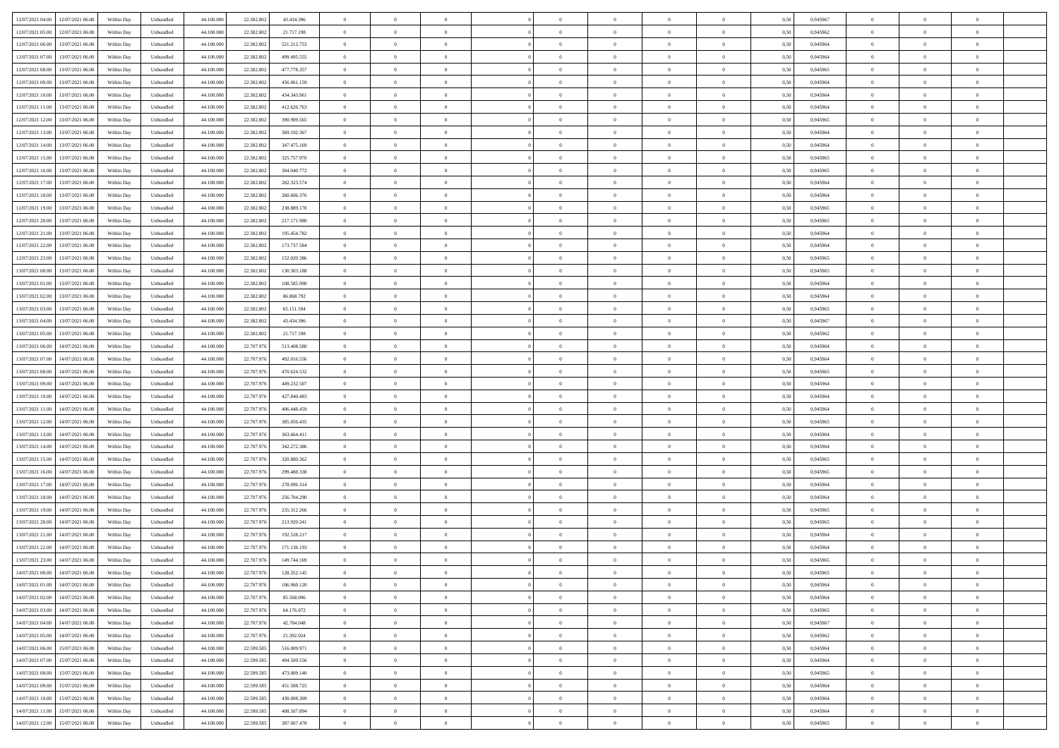| 12/07/2021 04:00 12/07/2021 06:00            | Within Day | Unbundled                   | 44.100.000 | 22.382.802 | 43.434.396  | $\overline{0}$ | $\overline{0}$ |                | $\overline{0}$ | $\theta$       |                | $\theta$       | 0,50 | 0,945967 | $\theta$       | $\theta$       | $\overline{0}$ |  |
|----------------------------------------------|------------|-----------------------------|------------|------------|-------------|----------------|----------------|----------------|----------------|----------------|----------------|----------------|------|----------|----------------|----------------|----------------|--|
| 12/07/2021 05:00<br>12/07/2021 06:00         | Within Day | Unbundled                   | 44.100.00  | 22.382.80  | 21.717.198  | $\bf{0}$       | $\bf{0}$       | $\bf{0}$       | $\overline{0}$ | $\overline{0}$ | $\overline{0}$ | $\bf{0}$       | 0,50 | 0,945962 | $\,$ 0 $\,$    | $\bf{0}$       | $\overline{0}$ |  |
| 12/07/2021 06:00<br>13/07/2021 06:00         | Within Day | Unbundled                   | 44,100,000 | 22.382.802 | 521.212.753 | $\overline{0}$ | $\bf{0}$       | $\overline{0}$ | $\bf{0}$       | $\bf{0}$       | $\overline{0}$ | $\bf{0}$       | 0.50 | 0.945964 | $\bf{0}$       | $\overline{0}$ | $\overline{0}$ |  |
| 12/07/2021 07:00<br>13/07/2021 06:00         |            |                             |            |            |             | $\overline{0}$ | $\overline{0}$ | $\overline{0}$ | $\theta$       | $\theta$       | $\overline{0}$ |                |      |          | $\theta$       | $\theta$       | $\overline{0}$ |  |
|                                              | Within Day | Unbundled                   | 44.100.000 | 22.382.802 | 499.495.555 |                |                |                |                |                |                | $\bf{0}$       | 0,50 | 0,945964 |                |                |                |  |
| 12/07/2021 08:00<br>13/07/2021 06:00         | Within Day | Unbundled                   | 44.100.00  | 22.382.802 | 477.778.357 | $\bf{0}$       | $\overline{0}$ | $\bf{0}$       | $\overline{0}$ | $\theta$       | $\overline{0}$ | $\bf{0}$       | 0,50 | 0,945965 | $\,$ 0 $\,$    | $\bf{0}$       | $\overline{0}$ |  |
| 12/07/2021 09:00<br>13/07/2021 06:00         | Within Day | Unbundled                   | 44,100,000 | 22.382.802 | 456.061.159 | $\overline{0}$ | $\overline{0}$ | $\overline{0}$ | $\bf{0}$       | $\overline{0}$ | $\theta$       | $\bf{0}$       | 0.50 | 0.945964 | $\bf{0}$       | $\theta$       | $\overline{0}$ |  |
| 12/07/2021 10:00<br>13/07/2021 06:00         | Within Day | Unbundled                   | 44.100.000 | 22.382.802 | 434.343.961 | $\overline{0}$ | $\overline{0}$ | $\overline{0}$ | $\overline{0}$ | $\overline{0}$ | $\overline{0}$ | $\bf{0}$       | 0,50 | 0,945964 | $\theta$       | $\theta$       | $\overline{0}$ |  |
|                                              |            |                             |            |            |             |                |                |                |                |                |                |                |      |          |                |                |                |  |
| 12/07/2021 11:00<br>13/07/2021 06:00         | Within Day | Unbundled                   | 44.100.00  | 22.382.80  | 412.626.763 | $\bf{0}$       | $\overline{0}$ | $\bf{0}$       | $\overline{0}$ | $\overline{0}$ | $\overline{0}$ | $\bf{0}$       | 0,50 | 0,945964 | $\,$ 0 $\,$    | $\bf{0}$       | $\overline{0}$ |  |
| 12/07/2021 12:00<br>13/07/2021 06:00         | Within Day | Unbundled                   | 44,100,00  | 22.382.802 | 390.909.565 | $\overline{0}$ | $\bf{0}$       | $\overline{0}$ | $\bf{0}$       | $\overline{0}$ | $\overline{0}$ | $\bf{0}$       | 0.50 | 0.945965 | $\bf{0}$       | $\overline{0}$ | $\overline{0}$ |  |
| 12/07/2021 13:00<br>13/07/2021 06:00         | Within Day | Unbundled                   | 44.100.000 | 22.382.802 | 369.192.367 | $\overline{0}$ | $\bf{0}$       | $\overline{0}$ | $\overline{0}$ | $\overline{0}$ | $\overline{0}$ | $\bf{0}$       | 0,50 | 0,945964 | $\,$ 0 $\,$    | $\bf{0}$       | $\overline{0}$ |  |
| 12/07/2021 14:00<br>13/07/2021 06:00         | Within Day | Unbundled                   | 44.100.00  | 22.382.802 | 347.475.169 | $\bf{0}$       | $\overline{0}$ | $\bf{0}$       | $\bf{0}$       | $\bf{0}$       | $\overline{0}$ | $\bf{0}$       | 0,50 | 0,945964 | $\,$ 0 $\,$    | $\bf{0}$       | $\overline{0}$ |  |
|                                              |            |                             |            |            |             |                |                |                |                |                |                |                |      |          |                |                |                |  |
| 12/07/2021 15:00<br>13/07/2021 06:00         | Within Day | Unbundled                   | 44,100,000 | 22.382.802 | 325,757,970 | $\overline{0}$ | $\bf{0}$       | $\overline{0}$ | $\bf{0}$       | $\bf{0}$       | $\overline{0}$ | $\bf{0}$       | 0.50 | 0.945965 | $\bf{0}$       | $\overline{0}$ | $\bf{0}$       |  |
| 12/07/2021 16:00<br>13/07/2021 06:00         | Within Day | Unbundled                   | 44.100.000 | 22.382.802 | 304.040.772 | $\overline{0}$ | $\overline{0}$ | $\overline{0}$ | $\overline{0}$ | $\theta$       | $\overline{0}$ | $\bf{0}$       | 0,50 | 0,945965 | $\,$ 0 $\,$    | $\theta$       | $\overline{0}$ |  |
| 12/07/2021 17:00<br>13/07/2021 06:00         | Within Day | Unbundled                   | 44.100.00  | 22.382.802 | 282.323.574 | $\bf{0}$       | $\overline{0}$ | $\bf{0}$       | $\overline{0}$ | $\theta$       | $\overline{0}$ | $\bf{0}$       | 0,50 | 0,945964 | $\bf{0}$       | $\bf{0}$       | $\overline{0}$ |  |
| 12/07/2021 18:00<br>13/07/2021 06:00         | Within Day | Unbundled                   | 44,100,00  | 22.382.802 | 260,606,376 | $\overline{0}$ | $\overline{0}$ | $\overline{0}$ | $\bf{0}$       | $\overline{0}$ | $\theta$       | $\bf{0}$       | 0.50 | 0.945964 | $\theta$       | $\theta$       | $\overline{0}$ |  |
| 12/07/2021 19:00<br>13/07/2021 06:00         | Within Day | Unbundled                   | 44.100.000 | 22.382.802 | 238.889.178 | $\overline{0}$ | $\overline{0}$ | $\overline{0}$ | $\overline{0}$ | $\overline{0}$ | $\overline{0}$ | $\bf{0}$       | 0,50 | 0,945965 | $\theta$       | $\theta$       | $\overline{0}$ |  |
|                                              |            |                             |            |            |             |                |                |                |                |                |                |                |      |          |                |                |                |  |
| 12/07/2021 20:00<br>13/07/2021 06:00         | Within Day | Unbundled                   | 44.100.00  | 22.382.802 | 217.171.980 | $\bf{0}$       | $\overline{0}$ | $\bf{0}$       | $\overline{0}$ | $\bf{0}$       | $\overline{0}$ | $\bf{0}$       | 0,50 | 0,945965 | $\,$ 0 $\,$    | $\bf{0}$       | $\overline{0}$ |  |
| 12/07/2021 21:00<br>13/07/2021 06:00         | Within Day | Unbundled                   | 44,100,00  | 22.382.802 | 195.454.782 | $\overline{0}$ | $\bf{0}$       | $\overline{0}$ | $\bf{0}$       | $\overline{0}$ | $\overline{0}$ | $\bf{0}$       | 0.50 | 0.945964 | $\bf{0}$       | $\overline{0}$ | $\overline{0}$ |  |
| 12/07/2021 22:00<br>13/07/2021 06:00         | Within Day | Unbundled                   | 44.100.000 | 22.382.802 | 173.737.584 | $\overline{0}$ | $\bf{0}$       | $\overline{0}$ | $\overline{0}$ | $\overline{0}$ | $\overline{0}$ | $\bf{0}$       | 0,50 | 0,945964 | $\,$ 0 $\,$    | $\bf{0}$       | $\overline{0}$ |  |
| 12/07/2021 23:00<br>13/07/2021 06:00         | Within Day | Unbundled                   | 44.100.00  | 22.382.802 | 152.020.386 | $\bf{0}$       | $\bf{0}$       | $\bf{0}$       | $\bf{0}$       | $\overline{0}$ | $\overline{0}$ | $\bf{0}$       | 0,50 | 0,945965 | $\,$ 0 $\,$    | $\bf{0}$       | $\overline{0}$ |  |
|                                              |            |                             |            |            |             |                |                |                |                |                |                |                |      |          |                |                |                |  |
| 13/07/2021 00:00<br>13/07/2021 06:00         | Within Day | Unbundled                   | 44,100,000 | 22.382.802 | 130.303.188 | $\overline{0}$ | $\bf{0}$       | $\overline{0}$ | $\bf{0}$       | $\bf{0}$       | $\overline{0}$ | $\bf{0}$       | 0.50 | 0.945965 | $\bf{0}$       | $\overline{0}$ | $\bf{0}$       |  |
| 13/07/2021 01:00<br>13/07/2021 06:00         | Within Day | Unbundled                   | 44.100.000 | 22.382.802 | 108.585.990 | $\overline{0}$ | $\overline{0}$ | $\overline{0}$ | $\theta$       | $\theta$       | $\overline{0}$ | $\bf{0}$       | 0,50 | 0,945964 | $\theta$       | $\theta$       | $\overline{0}$ |  |
| 13/07/2021 02:00<br>13/07/2021 06:00         | Within Day | Unbundled                   | 44.100.00  | 22.382.802 | 86.868.792  | $\bf{0}$       | $\overline{0}$ | $\bf{0}$       | $\bf{0}$       | $\overline{0}$ | $\overline{0}$ | $\bf{0}$       | 0,50 | 0,945964 | $\,$ 0 $\,$    | $\bf{0}$       | $\overline{0}$ |  |
| 13/07/2021 03:00<br>13/07/2021 06:00         | Within Day | Unbundled                   | 44,100,00  | 22.382.802 | 65.151.594  | $\overline{0}$ | $\overline{0}$ | $\overline{0}$ | $\overline{0}$ | $\overline{0}$ | $\theta$       | $\bf{0}$       | 0.50 | 0.945965 | $\bf{0}$       | $\theta$       | $\overline{0}$ |  |
| 13/07/2021 04:00<br>13/07/2021 06:00         | Within Day | Unbundled                   | 44.100.000 | 22.382.802 | 43.434.396  | $\overline{0}$ | $\overline{0}$ | $\overline{0}$ | $\overline{0}$ | $\overline{0}$ | $\overline{0}$ | $\bf{0}$       | 0,50 | 0,945967 | $\theta$       | $\theta$       | $\overline{0}$ |  |
|                                              |            |                             |            |            |             |                |                |                |                |                |                |                |      |          |                |                |                |  |
| 13/07/2021 05:00<br>13/07/2021 06:00         | Within Day | Unbundled                   | 44.100.00  | 22.382.80  | 21.717.198  | $\bf{0}$       | $\overline{0}$ | $\bf{0}$       | $\overline{0}$ | $\bf{0}$       | $\overline{0}$ | $\bf{0}$       | 0,50 | 0,945962 | $\,$ 0 $\,$    | $\bf{0}$       | $\overline{0}$ |  |
| 13/07/2021 06:00<br>14/07/2021 06:00         | Within Day | Unbundled                   | 44,100,000 | 22.707.976 | 513.408.580 | $\overline{0}$ | $\bf{0}$       | $\overline{0}$ | $\bf{0}$       | $\overline{0}$ | $\overline{0}$ | $\bf{0}$       | 0.50 | 0.945964 | $\bf{0}$       | $\overline{0}$ | $\overline{0}$ |  |
| 13/07/2021 07:00<br>14/07/2021 06:00         | Within Day | Unbundled                   | 44.100.000 | 22.707.976 | 492.016.556 | $\overline{0}$ | $\overline{0}$ | $\overline{0}$ | $\theta$       | $\overline{0}$ | $\overline{0}$ | $\bf{0}$       | 0,50 | 0,945964 | $\theta$       | $\theta$       | $\overline{0}$ |  |
| 13/07/2021 08:00<br>14/07/2021 06.00         | Within Day | Unbundled                   | 44.100.00  | 22.707.97  | 470.624.532 | $\bf{0}$       | $\bf{0}$       | $\bf{0}$       | $\bf{0}$       | $\overline{0}$ | $\overline{0}$ | $\bf{0}$       | 0,50 | 0,945965 | $\,$ 0 $\,$    | $\bf{0}$       | $\overline{0}$ |  |
| 14/07/2021 06:00                             |            |                             | 44,100,000 | 22.707.976 | 449.232.507 |                |                |                |                |                | $\overline{0}$ |                |      | 0.945964 |                |                |                |  |
| 13/07/2021 09:00                             | Within Day | Unbundled                   |            |            |             | $\overline{0}$ | $\bf{0}$       | $\overline{0}$ | $\bf{0}$       | $\bf{0}$       |                | $\bf{0}$       | 0.50 |          | $\bf{0}$       | $\overline{0}$ | $\bf{0}$       |  |
| 13/07/2021 10:00<br>14/07/2021 06:00         | Within Day | Unbundled                   | 44.100.000 | 22.707.976 | 427.840.483 | $\overline{0}$ | $\overline{0}$ | $\overline{0}$ | $\overline{0}$ | $\overline{0}$ | $\overline{0}$ | $\bf{0}$       | 0.5( | 0.945964 | $\theta$       | $\theta$       | $\overline{0}$ |  |
| 13/07/2021 11:00<br>14/07/2021 06.00         | Within Day | Unbundled                   | 44.100.00  | 22.707.97  | 406.448.459 | $\bf{0}$       | $\overline{0}$ | $\bf{0}$       | $\bf{0}$       | $\,$ 0 $\,$    | $\overline{0}$ | $\bf{0}$       | 0,50 | 0,945964 | $\,$ 0 $\,$    | $\bf{0}$       | $\overline{0}$ |  |
| 13/07/2021 12:00<br>14/07/2021 06:00         | Within Day | Unbundled                   | 44,100,000 | 22.707.976 | 385.056.435 | $\overline{0}$ | $\overline{0}$ | $\overline{0}$ | $\bf{0}$       | $\overline{0}$ | $\Omega$       | $\bf{0}$       | 0.50 | 0.945965 | $\,$ 0 $\,$    | $\theta$       | $\overline{0}$ |  |
| 13/07/2021 13:00<br>14/07/2021 06:00         | Within Dav | Unbundled                   | 44.100.000 | 22.707.976 | 363,664,411 | $\overline{0}$ | $\overline{0}$ | $\overline{0}$ | $\overline{0}$ | $\overline{0}$ | $\overline{0}$ | $\overline{0}$ | 0.50 | 0,945964 | $\theta$       | $\theta$       | $\overline{0}$ |  |
|                                              |            |                             |            |            |             |                |                |                |                |                |                |                |      |          |                |                |                |  |
| 13/07/2021 14:00<br>14/07/2021 06.00         | Within Day | Unbundled                   | 44.100.00  | 22.707.97  | 342.272.386 | $\bf{0}$       | $\overline{0}$ | $\bf{0}$       | $\bf{0}$       | $\bf{0}$       | $\overline{0}$ | $\bf{0}$       | 0,50 | 0,945964 | $\,$ 0 $\,$    | $\bf{0}$       | $\overline{0}$ |  |
| 13/07/2021 15:00<br>14/07/2021 06:00         | Within Day | Unbundled                   | 44,100,00  | 22,707.97  | 320.880.362 | $\overline{0}$ | $\bf{0}$       | $\overline{0}$ | $\bf{0}$       | $\overline{0}$ | $\overline{0}$ | $\bf{0}$       | 0.50 | 0.945965 | $\bf{0}$       | $\overline{0}$ | $\overline{0}$ |  |
| 13/07/2021 16:00<br>14/07/2021 06:00         | Within Dav | Unbundled                   | 44.100.000 | 22.707.976 | 299.488.338 | $\overline{0}$ | $\overline{0}$ | $\overline{0}$ | $\overline{0}$ | $\overline{0}$ | $\overline{0}$ | $\overline{0}$ | 0.50 | 0,945965 | $\theta$       | $\theta$       | $\overline{0}$ |  |
| 13/07/2021 17:00<br>14/07/2021 06.00         | Within Day | Unbundled                   | 44.100.00  | 22.707.97  | 278.096.314 | $\bf{0}$       | $\bf{0}$       | $\bf{0}$       | $\bf{0}$       | $\overline{0}$ | $\overline{0}$ | $\bf{0}$       | 0,50 | 0,945964 | $\,$ 0 $\,$    | $\bf{0}$       | $\overline{0}$ |  |
| 13/07/2021 18:00<br>14/07/2021 06:00         | Within Day | Unbundled                   | 44,100,000 | 22.707.976 | 256.704.290 | $\overline{0}$ | $\bf{0}$       | $\overline{0}$ | $\bf{0}$       | $\bf{0}$       | $\overline{0}$ | $\bf{0}$       | 0.50 | 0.945964 | $\bf{0}$       | $\overline{0}$ | $\overline{0}$ |  |
|                                              |            |                             |            |            |             |                |                |                |                |                |                |                |      |          |                |                |                |  |
| 13/07/2021 19:00<br>14/07/2021 06:00         | Within Dav | Unbundled                   | 44.100.000 | 22.707.976 | 235.312.266 | $\overline{0}$ | $\overline{0}$ | $\overline{0}$ | $\overline{0}$ | $\overline{0}$ | $\overline{0}$ | $\bf{0}$       | 0.50 | 0.945965 | $\theta$       | $\theta$       | $\overline{0}$ |  |
| 13/07/2021 20:00<br>14/07/2021 06.00         | Within Day | Unbundled                   | 44.100.00  | 22.707.97  | 213.920.241 | $\bf{0}$       | $\overline{0}$ | $\bf{0}$       | $\bf{0}$       | $\overline{0}$ | $\overline{0}$ | $\bf{0}$       | 0,50 | 0,945965 | $\,$ 0 $\,$    | $\bf{0}$       | $\overline{0}$ |  |
| 13/07/2021 21:00<br>14/07/2021 06:00         | Within Day | Unbundled                   | 44,100,00  | 22,707.97  | 192.528.217 | $\overline{0}$ | $\overline{0}$ | $\overline{0}$ | $\bf{0}$       | $\overline{0}$ | $\Omega$       | $\bf{0}$       | 0.50 | 0.945964 | $\,$ 0 $\,$    | $\theta$       | $\overline{0}$ |  |
| 13/07/2021 22:00<br>14/07/2021 06:00         | Within Dav | Unbundled                   | 44.100.000 | 22.707.976 | 171.136.193 | $\overline{0}$ | $\overline{0}$ | $\Omega$       | $\overline{0}$ | $\theta$       | $\overline{0}$ | $\overline{0}$ | 0.5( | 0,945964 | $\theta$       | $\theta$       | $\overline{0}$ |  |
| 13/07/2021 23:00<br>14/07/2021 06.00         | Within Day | Unbundled                   | 44.100.000 | 22.707.97  | 149.744.169 | $\bf{0}$       | $\bf{0}$       | $\bf{0}$       | $\bf{0}$       | $\bf{0}$       | $\overline{0}$ | $\bf{0}$       | 0,50 | 0,945965 | $\,$ 0 $\,$    | $\bf{0}$       | $\overline{0}$ |  |
|                                              |            |                             | 44.100.000 |            |             |                |                |                |                |                |                |                |      | 0.945965 |                |                |                |  |
| $14/07/2021\ 00.00 \qquad 14/07/2021\ 06.00$ | Within Day | $\ensuremath{\mathsf{Unb}}$ |            | 22.707.976 | 128.352.145 | $\bf{0}$       | $\theta$       |                | $\overline{0}$ |                |                |                | 0,50 |          | $\theta$       | $\bf{0}$       |                |  |
| 14/07/2021 01:00 14/07/2021 06:00            | Within Day | Unbundled                   | 44.100.000 | 22.707.976 | 106.960.120 | $\overline{0}$ | $\theta$       | $\Omega$       | $\theta$       | $\overline{0}$ | $\overline{0}$ | $\bf{0}$       | 0,50 | 0,945964 | $\theta$       | $\theta$       | $\overline{0}$ |  |
| 14/07/2021 02:00<br>14/07/2021 06.00         | Within Day | Unbundled                   | 44.100.00  | 22.707.97  | 85.568.096  | $\overline{0}$ | $\bf{0}$       | $\overline{0}$ | $\overline{0}$ | $\bf{0}$       | $\overline{0}$ | $\bf{0}$       | 0,50 | 0,945964 | $\bf{0}$       | $\overline{0}$ | $\bf{0}$       |  |
| 14/07/2021 03:00 14/07/2021 06:00            | Within Day | Unbundled                   | 44,100,000 | 22.707.976 | 64.176.072  | $\overline{0}$ | $\bf{0}$       | $\overline{0}$ | $\overline{0}$ | $\mathbf{0}$   | $\overline{0}$ | $\bf{0}$       | 0.50 | 0.945965 | $\mathbf{0}$   | $\bf{0}$       | $\,$ 0 $\,$    |  |
| 14/07/2021 04:00 14/07/2021 06:00            | Within Day | Unbundled                   | 44.100.000 | 22.707.976 | 42.784.048  | $\overline{0}$ | $\overline{0}$ | $\overline{0}$ | $\overline{0}$ | $\overline{0}$ | $\overline{0}$ | $\bf{0}$       | 0,50 | 0,945967 | $\theta$       | $\theta$       | $\overline{0}$ |  |
|                                              |            |                             |            |            |             |                |                |                |                |                |                |                |      |          |                |                |                |  |
| 14/07/2021 05:00<br>14/07/2021 06.00         | Within Day | Unbundled                   | 44.100.000 | 22.707.976 | 21.392.024  | $\overline{0}$ | $\bf{0}$       | $\overline{0}$ | $\overline{0}$ | $\overline{0}$ | $\bf{0}$       | $\bf{0}$       | 0,50 | 0,945962 | $\bf{0}$       | $\overline{0}$ | $\overline{0}$ |  |
| 14/07/2021 06:00<br>15/07/2021 06:00         | Within Day | Unbundled                   | 44,100,000 | 22.599.585 | 516.009.971 | $\overline{0}$ | $\bf{0}$       | $\overline{0}$ | $\overline{0}$ | $\overline{0}$ | $\overline{0}$ | $\bf{0}$       | 0.50 | 0.945964 | $\,$ 0 $\,$    | $\theta$       | $\,$ 0         |  |
| 14/07/2021 07:00<br>15/07/2021 06:00         | Within Dav | Unbundled                   | 44.100.000 | 22.599.585 | 494.509.556 | $\overline{0}$ | $\overline{0}$ | $\overline{0}$ | $\overline{0}$ | $\overline{0}$ | $\overline{0}$ | $\bf{0}$       | 0.50 | 0,945964 | $\overline{0}$ | $\theta$       | $\overline{0}$ |  |
| 15/07/2021 06:00<br>14/07/2021 08:00         | Within Day | Unbundled                   | 44.100.00  | 22.599.585 | 473.009.140 | $\overline{0}$ | $\bf{0}$       | $\overline{0}$ | $\overline{0}$ | $\bf{0}$       | $\overline{0}$ | $\bf{0}$       | 0,50 | 0,945965 | $\bf{0}$       | $\overline{0}$ | $\overline{0}$ |  |
|                                              |            |                             |            |            |             |                |                |                |                |                |                |                |      |          |                |                |                |  |
| 14/07/2021 09:00<br>15/07/2021 06:00         | Within Day | Unbundled                   | 44,100,000 | 22,599.585 | 451.508.725 | $\overline{0}$ | $\overline{0}$ | $\overline{0}$ | $\overline{0}$ | $\bf{0}$       | $\overline{0}$ | $\bf{0}$       | 0.50 | 0.945964 | $\overline{0}$ | $\bf{0}$       | $\,$ 0         |  |
| 14/07/2021 10:00 15/07/2021 06:00            | Within Dav | Unbundled                   | 44.100.000 | 22.599.585 | 430.008.309 | $\overline{0}$ | $\overline{0}$ | $\overline{0}$ | $\overline{0}$ | $\overline{0}$ | $\overline{0}$ | $\bf{0}$       | 0,50 | 0,945964 | $\overline{0}$ | $\theta$       | $\overline{0}$ |  |
| 14/07/2021 11:00<br>15/07/2021 06:00         | Within Day | Unbundled                   | 44.100.00  | 22.599.585 | 408.507.894 | $\overline{0}$ | $\bf{0}$       | $\overline{0}$ | $\bf{0}$       | $\overline{0}$ | $\overline{0}$ | $\bf{0}$       | 0,50 | 0,945964 | $\bf{0}$       | $\bf{0}$       | $\overline{0}$ |  |
| 14/07/2021 12:00 15/07/2021 06:00            | Within Day | Unbundled                   | 44.100.000 | 22.599.585 | 387.007.478 | $\overline{0}$ | $\bf{0}$       | $\overline{0}$ | $\overline{0}$ | $\,$ 0 $\,$    | $\overline{0}$ | $\bf{0}$       | 0,50 | 0,945965 | $\overline{0}$ | $\,$ 0 $\,$    | $\,$ 0 $\,$    |  |
|                                              |            |                             |            |            |             |                |                |                |                |                |                |                |      |          |                |                |                |  |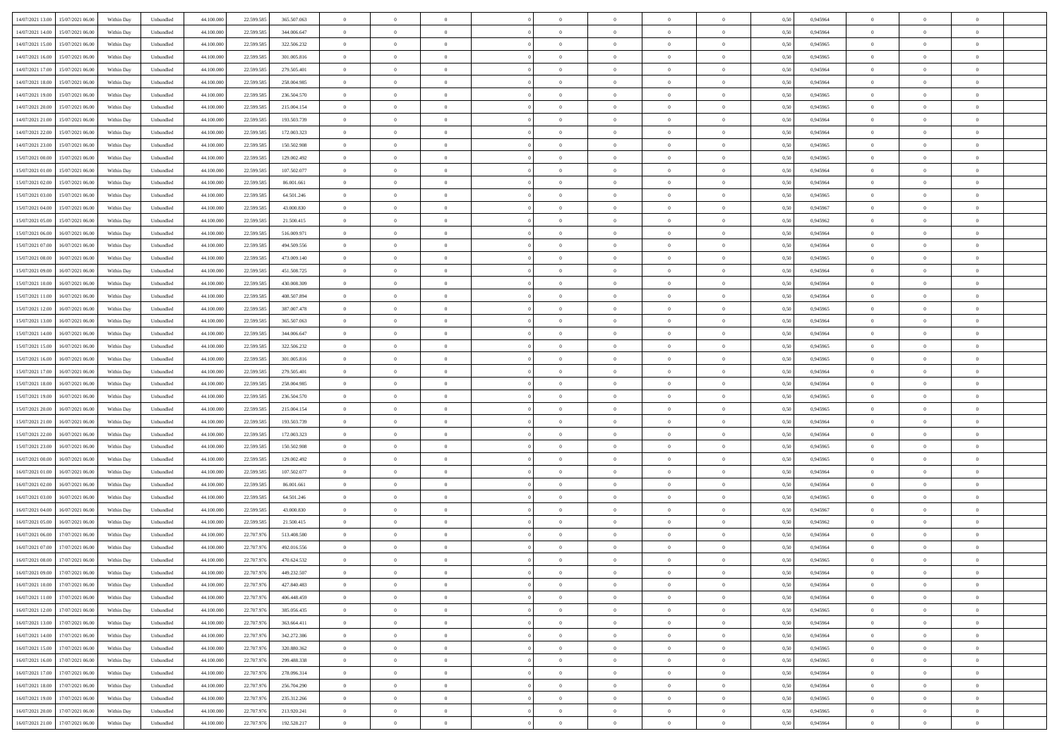| 14/07/2021 13:00 15/07/2021 06:00          |            |                             | 44.100.000 |            |             | $\overline{0}$ | $\overline{0}$ |                | $\overline{0}$ | $\theta$       |                | $\theta$       |      | 0,945964 | $\theta$       | $\theta$       | $\overline{0}$ |  |
|--------------------------------------------|------------|-----------------------------|------------|------------|-------------|----------------|----------------|----------------|----------------|----------------|----------------|----------------|------|----------|----------------|----------------|----------------|--|
|                                            | Within Day | Unbundled                   |            | 22.599.585 | 365.507.063 |                |                |                |                |                |                |                | 0,50 |          |                |                |                |  |
| 14/07/2021 14:00<br>15/07/2021 06:00       | Within Day | Unbundled                   | 44.100.00  | 22.599.58  | 344.006.647 | $\bf{0}$       | $\overline{0}$ | $\bf{0}$       | $\overline{0}$ | $\bf{0}$       | $\overline{0}$ | $\bf{0}$       | 0,50 | 0,945964 | $\,$ 0 $\,$    | $\bf{0}$       | $\overline{0}$ |  |
| 14/07/2021 15:00<br>15/07/2021 06:00       | Within Day | Unbundled                   | 44,100,000 | 22.599.585 | 322.506.232 | $\overline{0}$ | $\bf{0}$       | $\overline{0}$ | $\bf{0}$       | $\bf{0}$       | $\overline{0}$ | $\bf{0}$       | 0.50 | 0.945965 | $\bf{0}$       | $\overline{0}$ | $\overline{0}$ |  |
| 14/07/2021 16:00<br>15/07/2021 06:00       | Within Day | Unbundled                   | 44.100.000 | 22.599.585 | 301.005.816 | $\overline{0}$ | $\overline{0}$ | $\overline{0}$ | $\theta$       | $\theta$       | $\overline{0}$ | $\bf{0}$       | 0,50 | 0,945965 | $\theta$       | $\theta$       | $\overline{0}$ |  |
|                                            |            |                             |            |            |             |                |                |                |                |                |                |                |      |          |                |                |                |  |
| 14/07/2021 17:00<br>15/07/2021 06:00       | Within Day | Unbundled                   | 44.100.00  | 22.599.585 | 279.505.401 | $\bf{0}$       | $\theta$       | $\bf{0}$       | $\overline{0}$ | $\theta$       | $\overline{0}$ | $\bf{0}$       | 0,50 | 0,945964 | $\bf{0}$       | $\bf{0}$       | $\overline{0}$ |  |
| 14/07/2021 18:00<br>15/07/2021 06:00       | Within Day | Unbundled                   | 44,100,000 | 22.599.58  | 258.004.985 | $\overline{0}$ | $\overline{0}$ | $\overline{0}$ | $\overline{0}$ | $\overline{0}$ | $\theta$       | $\bf{0}$       | 0.50 | 0.945964 | $\bf{0}$       | $\theta$       | $\overline{0}$ |  |
| 14/07/2021 19:00<br>15/07/2021 06:00       | Within Day | Unbundled                   | 44.100.000 | 22.599.585 | 236.504.570 | $\overline{0}$ | $\overline{0}$ | $\overline{0}$ | $\overline{0}$ | $\overline{0}$ | $\overline{0}$ | $\bf{0}$       | 0,50 | 0,945965 | $\theta$       | $\theta$       | $\overline{0}$ |  |
| 14/07/2021 20:00<br>15/07/2021 06:00       | Within Day | Unbundled                   | 44.100.00  | 22.599.58  | 215.004.154 | $\bf{0}$       | $\overline{0}$ | $\overline{0}$ | $\overline{0}$ | $\theta$       | $\overline{0}$ | $\bf{0}$       | 0,50 | 0,945965 | $\,$ 0 $\,$    | $\bf{0}$       | $\overline{0}$ |  |
| 15/07/2021 06:00                           |            | Unbundled                   | 44,100,00  |            |             | $\overline{0}$ |                |                |                |                | $\overline{0}$ |                |      |          |                | $\overline{0}$ |                |  |
| 14/07/2021 21:00                           | Within Day |                             |            | 22.599.58  | 193.503.739 |                | $\bf{0}$       | $\overline{0}$ | $\bf{0}$       | $\overline{0}$ |                | $\bf{0}$       | 0.50 | 0.945964 | $\bf{0}$       |                | $\overline{0}$ |  |
| 14/07/2021 22:00<br>15/07/2021 06:00       | Within Day | Unbundled                   | 44.100.000 | 22.599.585 | 172.003.323 | $\overline{0}$ | $\bf{0}$       | $\overline{0}$ | $\overline{0}$ | $\overline{0}$ | $\overline{0}$ | $\bf{0}$       | 0,50 | 0,945964 | $\theta$       | $\theta$       | $\overline{0}$ |  |
| 14/07/2021 23:00<br>15/07/2021 06:00       | Within Day | Unbundled                   | 44.100.00  | 22.599.585 | 150.502.908 | $\bf{0}$       | $\overline{0}$ | $\bf{0}$       | $\overline{0}$ | $\bf{0}$       | $\overline{0}$ | $\bf{0}$       | 0,50 | 0,945965 | $\,$ 0 $\,$    | $\bf{0}$       | $\overline{0}$ |  |
| 15/07/2021 00:00<br>15/07/2021 06:00       | Within Day | Unbundled                   | 44,100,000 | 22.599.585 | 129.002.492 | $\overline{0}$ | $\bf{0}$       | $\overline{0}$ | $\bf{0}$       | $\bf{0}$       | $\overline{0}$ | $\bf{0}$       | 0.50 | 0.945965 | $\bf{0}$       | $\overline{0}$ | $\bf{0}$       |  |
| 15/07/2021 01:00<br>15/07/2021 06:00       | Within Day | Unbundled                   | 44.100.000 | 22.599.585 | 107.502.077 | $\overline{0}$ | $\overline{0}$ | $\overline{0}$ | $\overline{0}$ | $\theta$       | $\overline{0}$ | $\overline{0}$ | 0,50 | 0,945964 | $\theta$       | $\theta$       | $\overline{0}$ |  |
|                                            |            |                             |            |            |             |                |                |                |                |                |                |                |      |          |                |                |                |  |
| 15/07/2021 02:00<br>15/07/2021 06:00       | Within Day | Unbundled                   | 44.100.00  | 22.599.58  | 86.001.661  | $\bf{0}$       | $\overline{0}$ | $\bf{0}$       | $\overline{0}$ | $\theta$       | $\overline{0}$ | $\bf{0}$       | 0,50 | 0,945964 | $\bf{0}$       | $\bf{0}$       | $\overline{0}$ |  |
| 15/07/2021 03:00<br>15/07/2021 06:00       | Within Day | Unbundled                   | 44,100,00  | 22.599.58  | 64.501.246  | $\overline{0}$ | $\overline{0}$ | $\overline{0}$ | $\bf{0}$       | $\theta$       | $\Omega$       | $\bf{0}$       | 0.50 | 0.945965 | $\theta$       | $\theta$       | $\overline{0}$ |  |
| 15/07/2021 04:00<br>15/07/2021 06:00       | Within Day | Unbundled                   | 44.100.000 | 22.599.585 | 43.000.830  | $\overline{0}$ | $\overline{0}$ | $\overline{0}$ | $\overline{0}$ | $\overline{0}$ | $\overline{0}$ | $\bf{0}$       | 0,50 | 0,945967 | $\theta$       | $\theta$       | $\overline{0}$ |  |
| 15/07/2021 05:00<br>15/07/2021 06:00       | Within Day | Unbundled                   | 44.100.00  | 22.599.585 | 21.500.415  | $\bf{0}$       | $\overline{0}$ | $\overline{0}$ | $\overline{0}$ | $\bf{0}$       | $\overline{0}$ | $\bf{0}$       | 0,50 | 0,945962 | $\,$ 0 $\,$    | $\bf{0}$       | $\overline{0}$ |  |
| 15/07/2021 06:00<br>16/07/2021 06:00       |            | Unbundled                   | 44,100,00  | 22.599.58  | 516,009.971 |                | $\bf{0}$       | $\overline{0}$ |                | $\overline{0}$ | $\overline{0}$ |                | 0.50 | 0.945964 | $\bf{0}$       | $\overline{0}$ | $\overline{0}$ |  |
|                                            | Within Day |                             |            |            |             | $\overline{0}$ |                |                | $\bf{0}$       |                |                | $\bf{0}$       |      |          |                |                |                |  |
| 15/07/2021 07:00<br>16/07/2021 06:00       | Within Day | Unbundled                   | 44.100.000 | 22.599.585 | 494.509.556 | $\overline{0}$ | $\overline{0}$ | $\overline{0}$ | $\overline{0}$ | $\overline{0}$ | $\overline{0}$ | $\bf{0}$       | 0,50 | 0,945964 | $\,$ 0 $\,$    | $\theta$       | $\overline{0}$ |  |
| 15/07/2021 08:00<br>16/07/2021 06:00       | Within Day | Unbundled                   | 44.100.00  | 22.599.585 | 473.009.140 | $\bf{0}$       | $\bf{0}$       | $\bf{0}$       | $\bf{0}$       | $\overline{0}$ | $\overline{0}$ | $\bf{0}$       | 0,50 | 0,945965 | $\,$ 0 $\,$    | $\bf{0}$       | $\overline{0}$ |  |
| 15/07/2021 09:00<br>16/07/2021 06:00       | Within Day | Unbundled                   | 44,100,000 | 22.599.585 | 451.508.725 | $\overline{0}$ | $\bf{0}$       | $\overline{0}$ | $\bf{0}$       | $\bf{0}$       | $\overline{0}$ | $\bf{0}$       | 0.50 | 0.945964 | $\bf{0}$       | $\overline{0}$ | $\overline{0}$ |  |
| 15/07/2021 10:00<br>16/07/2021 06:00       | Within Day | Unbundled                   | 44.100.000 | 22.599.585 | 430.008.309 | $\overline{0}$ | $\overline{0}$ | $\overline{0}$ | $\theta$       | $\theta$       | $\overline{0}$ | $\bf{0}$       | 0,50 | 0,945964 | $\theta$       | $\theta$       | $\overline{0}$ |  |
|                                            |            |                             |            |            |             |                | $\overline{0}$ |                |                | $\bf{0}$       | $\overline{0}$ |                |      |          | $\,$ 0 $\,$    | $\bf{0}$       | $\overline{0}$ |  |
| 15/07/2021 11:00<br>16/07/2021 06:00       | Within Day | Unbundled                   | 44.100.00  | 22.599.585 | 408.507.894 | $\bf{0}$       |                | $\bf{0}$       | $\bf{0}$       |                |                | $\bf{0}$       | 0,50 | 0,945964 |                |                |                |  |
| 15/07/2021 12:00<br>16/07/2021 06:00       | Within Day | Unbundled                   | 44,100,00  | 22.599.58  | 387.007.478 | $\overline{0}$ | $\overline{0}$ | $\overline{0}$ | $\overline{0}$ | $\overline{0}$ | $\Omega$       | $\bf{0}$       | 0.50 | 0.945965 | $\bf{0}$       | $\theta$       | $\overline{0}$ |  |
| 15/07/2021 13:00<br>16/07/2021 06:00       | Within Day | Unbundled                   | 44.100.000 | 22.599.585 | 365.507.063 | $\overline{0}$ | $\overline{0}$ | $\overline{0}$ | $\overline{0}$ | $\overline{0}$ | $\overline{0}$ | $\bf{0}$       | 0,50 | 0,945964 | $\theta$       | $\theta$       | $\overline{0}$ |  |
| 15/07/2021 14:00<br>16/07/2021 06:00       | Within Day | Unbundled                   | 44.100.00  | 22.599.585 | 344.006.647 | $\bf{0}$       | $\overline{0}$ | $\bf{0}$       | $\overline{0}$ | $\bf{0}$       | $\overline{0}$ | $\bf{0}$       | 0,50 | 0,945964 | $\,$ 0 $\,$    | $\bf{0}$       | $\overline{0}$ |  |
| 15/07/2021 15:00<br>16/07/2021 06:00       | Within Day | Unbundled                   | 44,100,00  | 22.599.58  | 322.506.232 | $\overline{0}$ | $\bf{0}$       | $\overline{0}$ | $\bf{0}$       | $\overline{0}$ | $\overline{0}$ | $\bf{0}$       | 0.50 | 0.945965 | $\bf{0}$       | $\overline{0}$ | $\overline{0}$ |  |
|                                            |            |                             |            |            |             |                |                |                |                |                |                |                |      |          |                |                |                |  |
| 15/07/2021 16:00<br>16/07/2021 06:00       | Within Day | Unbundled                   | 44.100.000 | 22.599.585 | 301.005.816 | $\overline{0}$ | $\overline{0}$ | $\overline{0}$ | $\overline{0}$ | $\overline{0}$ | $\overline{0}$ | $\bf{0}$       | 0,50 | 0,945965 | $\theta$       | $\theta$       | $\overline{0}$ |  |
| 15/07/2021 17:00<br>16/07/2021 06:00       | Within Day | Unbundled                   | 44.100.00  | 22.599.585 | 279.505.401 | $\bf{0}$       | $\bf{0}$       | $\bf{0}$       | $\bf{0}$       | $\overline{0}$ | $\overline{0}$ | $\bf{0}$       | 0,50 | 0,945964 | $\,$ 0 $\,$    | $\bf{0}$       | $\overline{0}$ |  |
| 15/07/2021 18:00<br>16/07/2021 06:00       | Within Day | Unbundled                   | 44,100,000 | 22.599.58  | 258,004.985 | $\overline{0}$ | $\bf{0}$       | $\overline{0}$ | $\bf{0}$       | $\bf{0}$       | $\overline{0}$ | $\bf{0}$       | 0.50 | 0.945964 | $\bf{0}$       | $\overline{0}$ | $\overline{0}$ |  |
| 15/07/2021 19:00<br>16/07/2021 06:00       | Within Day | Unbundled                   | 44.100.000 | 22.599.58  | 236,504.570 | $\overline{0}$ | $\overline{0}$ | $\overline{0}$ | $\overline{0}$ | $\overline{0}$ | $\overline{0}$ | $\bf{0}$       | 0.5( | 0.945965 | $\theta$       | $\theta$       | $\overline{0}$ |  |
| 15/07/2021 20:00<br>16/07/2021 06:00       | Within Day | Unbundled                   | 44.100.00  | 22.599.58  | 215.004.154 | $\bf{0}$       | $\overline{0}$ | $\bf{0}$       | $\overline{0}$ | $\overline{0}$ | $\overline{0}$ | $\bf{0}$       | 0,50 | 0,945965 | $\,$ 0 $\,$    | $\bf{0}$       | $\overline{0}$ |  |
|                                            |            |                             |            |            |             |                |                |                |                |                |                |                |      |          |                |                |                |  |
| 15/07/2021 21:00<br>16/07/2021 06:00       | Within Day | Unbundled                   | 44,100,00  | 22.599.585 | 193.503.739 | $\overline{0}$ | $\overline{0}$ | $\overline{0}$ | $\bf{0}$       | $\bf{0}$       | $\Omega$       | $\bf{0}$       | 0.50 | 0.945964 | $\bf{0}$       | $\theta$       | $\overline{0}$ |  |
| 15/07/2021 22:00<br>16/07/2021 06:00       | Within Dav | Unbundled                   | 44.100.000 | 22.599.585 | 172.003.323 | $\overline{0}$ | $\overline{0}$ | $\overline{0}$ | $\overline{0}$ | $\overline{0}$ | $\overline{0}$ | $\overline{0}$ | 0.50 | 0,945964 | $\theta$       | $\theta$       | $\overline{0}$ |  |
| 15/07/2021 23:00<br>16/07/2021 06:00       | Within Day | Unbundled                   | 44.100.00  | 22.599.585 | 150.502.908 | $\bf{0}$       | $\overline{0}$ | $\bf{0}$       | $\overline{0}$ | $\bf{0}$       | $\overline{0}$ | $\bf{0}$       | 0,50 | 0,945965 | $\,$ 0 $\,$    | $\bf{0}$       | $\overline{0}$ |  |
| 16/07/2021 00:00<br>16/07/2021 06:00       | Within Day | Unbundled                   | 44,100,00  | 22.599.58  | 129.002.492 | $\overline{0}$ | $\bf{0}$       | $\overline{0}$ | $\bf{0}$       | $\overline{0}$ | $\overline{0}$ | $\bf{0}$       | 0.50 | 0.945965 | $\bf{0}$       | $\overline{0}$ | $\overline{0}$ |  |
| 16/07/2021 01:00<br>16/07/2021 06:00       | Within Dav | Unbundled                   | 44.100.000 | 22.599.585 | 107.502.077 | $\overline{0}$ | $\overline{0}$ | $\overline{0}$ | $\overline{0}$ | $\overline{0}$ | $\overline{0}$ | $\overline{0}$ | 0.50 | 0,945964 | $\theta$       | $\theta$       | $\overline{0}$ |  |
|                                            |            |                             |            |            |             |                |                |                |                |                |                |                |      |          |                |                |                |  |
| 16/07/2021 02:00<br>16/07/2021 06:00       | Within Day | Unbundled                   | 44.100.00  | 22.599.585 | 86.001.661  | $\bf{0}$       | $\bf{0}$       | $\bf{0}$       | $\bf{0}$       | $\overline{0}$ | $\overline{0}$ | $\bf{0}$       | 0,50 | 0,945964 | $\,$ 0 $\,$    | $\bf{0}$       | $\overline{0}$ |  |
| 16/07/2021 03:00<br>16/07/2021 06:00       | Within Day | Unbundled                   | 44,100,000 | 22.599.585 | 64.501.246  | $\overline{0}$ | $\bf{0}$       | $\overline{0}$ | $\bf{0}$       | $\bf{0}$       | $\overline{0}$ | $\bf{0}$       | 0.50 | 0.945965 | $\bf{0}$       | $\overline{0}$ | $\overline{0}$ |  |
| 16/07/2021 04:00<br>16/07/2021 06:00       | Within Dav | Unbundled                   | 44.100.000 | 22.599.585 | 43.000.830  | $\overline{0}$ | $\overline{0}$ | $\overline{0}$ | $\overline{0}$ | $\overline{0}$ | $\overline{0}$ | $\bf{0}$       | 0.50 | 0.945967 | $\theta$       | $\theta$       | $\overline{0}$ |  |
| 16/07/2021 05:00<br>16/07/2021 06:00       | Within Day | Unbundled                   | 44.100.00  | 22.599.585 | 21.500.415  | $\bf{0}$       | $\overline{0}$ | $\bf{0}$       | $\overline{0}$ | $\overline{0}$ | $\overline{0}$ | $\bf{0}$       | 0,50 | 0,945962 | $\,$ 0 $\,$    | $\bf{0}$       | $\overline{0}$ |  |
| 16/07/2021 06:00<br>17/07/2021 06:00       | Within Day | Unbundled                   | 44,100,00  | 22,707.97  | 513.408.580 | $\overline{0}$ | $\overline{0}$ | $\overline{0}$ | $\overline{0}$ | $\bf{0}$       | $\theta$       | $\bf{0}$       | 0.50 | 0.945964 | $\,$ 0 $\,$    | $\theta$       | $\overline{0}$ |  |
|                                            |            |                             |            |            |             |                |                |                |                |                |                |                |      |          |                |                |                |  |
| 16/07/2021 07:00<br>17/07/2021 06:00       | Within Dav | Unbundled                   | 44.100.000 | 22.707.976 | 492.016.556 | $\overline{0}$ | $\overline{0}$ | $\Omega$       | $\overline{0}$ | $\theta$       | $\Omega$       | $\overline{0}$ | 0.5( | 0,945964 | $\theta$       | $\theta$       | $\overline{0}$ |  |
| 16/07/2021 08:00<br>17/07/2021 06:00       | Within Day | Unbundled                   | 44.100.000 | 22.707.97  | 470.624.532 | $\bf{0}$       | $\bf{0}$       | $\bf{0}$       | $\bf{0}$       | $\bf{0}$       | $\overline{0}$ | $\bf{0}$       | 0,50 | 0,945965 | $\,$ 0 $\,$    | $\bf{0}$       | $\overline{0}$ |  |
| $16/07/2021\;09.00\qquad17/07/2021\;06.00$ | Within Day | $\ensuremath{\mathsf{Unb}}$ | 44.100.000 | 22.707.976 | 449.232.507 | $\overline{0}$ | $\theta$       |                | $\overline{0}$ |                |                |                | 0,50 | 0.945964 | $\theta$       | $\overline{0}$ |                |  |
| 16/07/2021 10:00 17/07/2021 06:00          | Within Day | Unbundled                   | 44.100.000 | 22.707.976 | 427.840.483 | $\overline{0}$ | $\theta$       | $\Omega$       | $\theta$       | $\overline{0}$ | $\overline{0}$ | $\bf{0}$       | 0,50 | 0,945964 | $\theta$       | $\theta$       | $\overline{0}$ |  |
| 16/07/2021 11:00<br>17/07/2021 06:00       | Within Day | Unbundled                   | 44.100.00  | 22.707.97  | 406.448.459 | $\overline{0}$ | $\bf{0}$       | $\overline{0}$ | $\overline{0}$ | $\bf{0}$       | $\overline{0}$ | $\bf{0}$       | 0,50 | 0,945964 | $\bf{0}$       | $\overline{0}$ | $\bf{0}$       |  |
|                                            |            |                             |            |            |             |                |                |                |                |                |                |                |      |          |                |                |                |  |
| 16/07/2021 12:00 17/07/2021 06:00          | Within Day | Unbundled                   | 44,100,000 | 22.707.976 | 385.056.435 | $\overline{0}$ | $\bf{0}$       | $\overline{0}$ | $\overline{0}$ | $\overline{0}$ | $\overline{0}$ | $\bf{0}$       | 0.50 | 0.945965 | $\mathbf{0}$   | $\bf{0}$       | $\,$ 0 $\,$    |  |
| 16/07/2021 13:00 17/07/2021 06:00          | Within Day | Unbundled                   | 44.100.000 | 22.707.976 | 363.664.411 | $\overline{0}$ | $\overline{0}$ | $\overline{0}$ | $\overline{0}$ | $\overline{0}$ | $\overline{0}$ | $\bf{0}$       | 0,50 | 0,945964 | $\theta$       | $\theta$       | $\overline{0}$ |  |
| 16/07/2021 14:00<br>17/07/2021 06:00       | Within Day | Unbundled                   | 44.100.000 | 22.707.976 | 342.272.386 | $\overline{0}$ | $\bf{0}$       | $\overline{0}$ | $\bf{0}$       | $\overline{0}$ | $\bf{0}$       | $\bf{0}$       | 0,50 | 0,945964 | $\overline{0}$ | $\bf{0}$       | $\overline{0}$ |  |
| 16/07/2021 15:00<br>17/07/2021 06:00       | Within Day | Unbundled                   | 44,100,000 | 22,707.976 | 320.880.362 | $\overline{0}$ | $\bf{0}$       | $\overline{0}$ | $\overline{0}$ | $\overline{0}$ | $\overline{0}$ | $\bf{0}$       | 0.50 | 0.945965 | $\,$ 0 $\,$    | $\theta$       | $\,$ 0         |  |
|                                            |            |                             |            |            |             |                |                |                |                |                |                |                |      |          |                |                |                |  |
| 16/07/2021 16:00<br>17/07/2021 06:00       | Within Dav | Unbundled                   | 44.100.000 | 22.707.976 | 299.488.338 | $\overline{0}$ | $\overline{0}$ | $\overline{0}$ | $\overline{0}$ | $\overline{0}$ | $\overline{0}$ | $\bf{0}$       | 0.50 | 0,945965 | $\overline{0}$ | $\theta$       | $\overline{0}$ |  |
| 17/07/2021 06:00<br>16/07/2021 17:00       | Within Day | Unbundled                   | 44.100.00  | 22.707.97  | 278.096.314 | $\overline{0}$ | $\overline{0}$ | $\overline{0}$ | $\overline{0}$ | $\bf{0}$       | $\overline{0}$ | $\bf{0}$       | 0,50 | 0,945964 | $\bf{0}$       | $\overline{0}$ | $\overline{0}$ |  |
| 16/07/2021 18:00<br>17/07/2021 06:00       | Within Day | Unbundled                   | 44,100,000 | 22,707.976 | 256,704.290 | $\overline{0}$ | $\overline{0}$ | $\overline{0}$ | $\overline{0}$ | $\bf{0}$       | $\overline{0}$ | $\bf{0}$       | 0.50 | 0.945964 | $\overline{0}$ | $\,$ 0 $\,$    | $\,$ 0         |  |
| 16/07/2021 19:00 17/07/2021 06:00          | Within Dav | Unbundled                   | 44.100.000 | 22.707.976 | 235.312.266 | $\overline{0}$ | $\overline{0}$ | $\overline{0}$ | $\overline{0}$ | $\overline{0}$ | $\overline{0}$ | $\bf{0}$       | 0,50 | 0,945965 | $\overline{0}$ | $\theta$       | $\overline{0}$ |  |
| 16/07/2021 20:00<br>17/07/2021 06:00       | Within Day | Unbundled                   | 44.100.00  | 22.707.97  | 213.920.241 | $\overline{0}$ | $\bf{0}$       | $\overline{0}$ | $\bf{0}$       | $\overline{0}$ | $\bf{0}$       | $\bf{0}$       | 0,50 | 0,945965 | $\bf{0}$       | $\bf{0}$       | $\overline{0}$ |  |
|                                            |            |                             |            |            |             |                |                |                |                |                |                |                |      |          |                |                |                |  |
| 16/07/2021 21:00 17/07/2021 06:00          | Within Day | Unbundled                   | 44.100.000 | 22.707.976 | 192.528.217 | $\overline{0}$ | $\bf{0}$       | $\overline{0}$ | $\overline{0}$ | $\,$ 0 $\,$    | $\overline{0}$ | $\bf{0}$       | 0,50 | 0,945964 | $\overline{0}$ | $\,$ 0 $\,$    | $\,$ 0 $\,$    |  |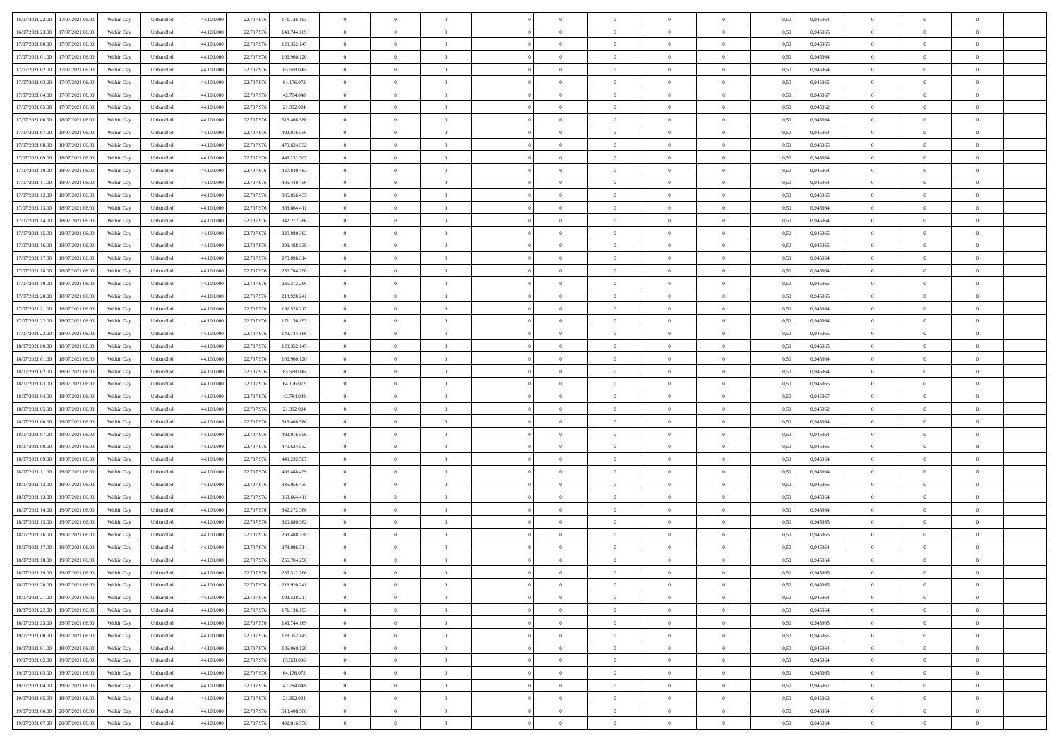| 16/07/2021 22:00<br>17/07/2021 06:00         | Within Day | Unbundled                   | 44.100.000 | 22.707.976 | 171.136.193 | $\overline{0}$ | $\theta$       |                | $\overline{0}$ | $\theta$       |                | $\theta$       | 0,50 | 0,945964 | $\theta$       | $\theta$       | $\overline{0}$ |  |
|----------------------------------------------|------------|-----------------------------|------------|------------|-------------|----------------|----------------|----------------|----------------|----------------|----------------|----------------|------|----------|----------------|----------------|----------------|--|
| 16/07/2021 23:00<br>17/07/2021 06:00         | Within Day | Unbundled                   | 44.100.00  | 22.707.97  | 149.744.169 | $\bf{0}$       | $\overline{0}$ | $\bf{0}$       | $\overline{0}$ | $\bf{0}$       | $\overline{0}$ | $\bf{0}$       | 0,50 | 0,945965 | $\,$ 0 $\,$    | $\bf{0}$       | $\overline{0}$ |  |
| 17/07/2021 00:00<br>17/07/2021 06:00         | Within Day | Unbundled                   | 44,100,000 | 22.707.976 | 128.352.145 | $\overline{0}$ | $\bf{0}$       | $\overline{0}$ | $\bf{0}$       | $\bf{0}$       | $\overline{0}$ | $\bf{0}$       | 0.50 | 0.945965 | $\bf{0}$       | $\overline{0}$ | $\overline{0}$ |  |
| 17/07/2021 01:00<br>17/07/2021 06:00         | Within Day | Unbundled                   | 44.100.000 | 22.707.976 | 106.960.120 | $\overline{0}$ | $\overline{0}$ | $\overline{0}$ | $\theta$       | $\theta$       | $\overline{0}$ | $\bf{0}$       | 0,50 | 0,945964 | $\theta$       | $\theta$       | $\overline{0}$ |  |
| 17/07/2021 02:00<br>17/07/2021 06:00         | Within Day | Unbundled                   | 44.100.00  | 22.707.97  | 85.568.096  | $\bf{0}$       | $\theta$       | $\bf{0}$       | $\overline{0}$ | $\theta$       | $\overline{0}$ | $\bf{0}$       | 0,50 | 0,945964 | $\,$ 0 $\,$    | $\bf{0}$       | $\overline{0}$ |  |
|                                              |            |                             |            |            |             |                |                |                |                |                |                |                |      |          |                |                |                |  |
| 17/07/2021 03:00<br>17/07/2021 06:00         | Within Day | Unbundled                   | 44,100,000 | 22.707.976 | 64.176.072  | $\overline{0}$ | $\overline{0}$ | $\overline{0}$ | $\bf{0}$       | $\overline{0}$ | $\theta$       | $\bf{0}$       | 0.50 | 0.945965 | $\bf{0}$       | $\theta$       | $\overline{0}$ |  |
| 17/07/2021 04:00<br>17/07/2021 06:00         | Within Day | Unbundled                   | 44.100.000 | 22.707.976 | 42.784.048  | $\overline{0}$ | $\overline{0}$ | $\overline{0}$ | $\overline{0}$ | $\overline{0}$ | $\overline{0}$ | $\bf{0}$       | 0,50 | 0,945967 | $\theta$       | $\theta$       | $\overline{0}$ |  |
| 17/07/2021 05:00<br>17/07/2021 06:00         | Within Day | Unbundled                   | 44.100.00  | 22.707.97  | 21.392.024  | $\bf{0}$       | $\overline{0}$ | $\overline{0}$ | $\overline{0}$ | $\overline{0}$ | $\overline{0}$ | $\bf{0}$       | 0,50 | 0,945962 | $\,$ 0 $\,$    | $\bf{0}$       | $\overline{0}$ |  |
| 17/07/2021 06:00<br>18/07/2021 06:00         | Within Day | Unbundled                   | 44,100,00  | 22,707.97  | 513.408.580 | $\overline{0}$ | $\bf{0}$       | $\overline{0}$ | $\bf{0}$       | $\overline{0}$ | $\overline{0}$ | $\bf{0}$       | 0.50 | 0.945964 | $\bf{0}$       | $\theta$       | $\overline{0}$ |  |
| 17/07/2021 07:00<br>18/07/2021 06:00         | Within Day | Unbundled                   | 44.100.000 | 22.707.976 | 492.016.556 | $\bf{0}$       | $\bf{0}$       | $\overline{0}$ | $\overline{0}$ | $\theta$       | $\overline{0}$ | $\bf{0}$       | 0,50 | 0,945964 | $\,$ 0 $\,$    | $\theta$       | $\overline{0}$ |  |
| 17/07/2021 08:00<br>18/07/2021 06:00         | Within Day | Unbundled                   | 44.100.00  | 22.707.97  | 470.624.532 | $\bf{0}$       | $\overline{0}$ | $\bf{0}$       | $\bf{0}$       | $\bf{0}$       | $\overline{0}$ | $\bf{0}$       | 0,50 | 0,945965 | $\,$ 0 $\,$    | $\bf{0}$       | $\overline{0}$ |  |
| 17/07/2021 09:00<br>18/07/2021 06:00         | Within Day | Unbundled                   | 44,100,000 | 22.707.976 | 449.232.507 | $\overline{0}$ | $\bf{0}$       | $\overline{0}$ | $\bf{0}$       | $\bf{0}$       | $\overline{0}$ | $\bf{0}$       | 0.50 | 0.945964 | $\bf{0}$       | $\overline{0}$ | $\overline{0}$ |  |
|                                              |            |                             |            |            |             | $\overline{0}$ | $\overline{0}$ | $\overline{0}$ | $\overline{0}$ | $\theta$       | $\overline{0}$ | $\overline{0}$ |      |          | $\theta$       | $\theta$       | $\overline{0}$ |  |
| 17/07/2021 10:00<br>18/07/2021 06:00         | Within Day | Unbundled                   | 44.100.000 | 22.707.976 | 427.840.483 |                |                |                |                |                |                |                | 0,50 | 0,945964 |                |                |                |  |
| 17/07/2021 11:00<br>18/07/2021 06:00         | Within Day | Unbundled                   | 44.100.00  | 22.707.97  | 406.448.459 | $\bf{0}$       | $\theta$       | $\bf{0}$       | $\overline{0}$ | $\bf{0}$       | $\overline{0}$ | $\bf{0}$       | 0,50 | 0,945964 | $\bf{0}$       | $\bf{0}$       | $\overline{0}$ |  |
| 17/07/2021 12:00<br>18/07/2021 06:00         | Within Day | Unbundled                   | 44,100,00  | 22,707.97  | 385.056.435 | $\overline{0}$ | $\overline{0}$ | $\overline{0}$ | $\bf{0}$       | $\theta$       | $\Omega$       | $\bf{0}$       | 0.50 | 0.945965 | $\theta$       | $\overline{0}$ | $\overline{0}$ |  |
| 17/07/2021 13:00<br>18/07/2021 06:00         | Within Day | Unbundled                   | 44.100.000 | 22.707.976 | 363.664.411 | $\overline{0}$ | $\overline{0}$ | $\overline{0}$ | $\overline{0}$ | $\overline{0}$ | $\overline{0}$ | $\bf{0}$       | 0,50 | 0,945964 | $\theta$       | $\theta$       | $\overline{0}$ |  |
| 17/07/2021 14:00<br>18/07/2021 06:00         | Within Day | Unbundled                   | 44.100.00  | 22.707.97  | 342.272.386 | $\bf{0}$       | $\overline{0}$ | $\overline{0}$ | $\overline{0}$ | $\bf{0}$       | $\overline{0}$ | $\bf{0}$       | 0,50 | 0,945964 | $\,$ 0 $\,$    | $\bf{0}$       | $\overline{0}$ |  |
| 17/07/2021 15:00<br>18/07/2021 06:00         | Within Day | Unbundled                   | 44,100,00  | 22,707.97  | 320.880.362 | $\overline{0}$ | $\bf{0}$       | $\overline{0}$ | $\bf{0}$       | $\overline{0}$ | $\overline{0}$ | $\bf{0}$       | 0.50 | 0.945965 | $\bf{0}$       | $\overline{0}$ | $\overline{0}$ |  |
| 17/07/2021 16:00<br>18/07/2021 06:00         | Within Day | Unbundled                   | 44.100.000 | 22.707.976 | 299.488.338 | $\overline{0}$ | $\overline{0}$ | $\overline{0}$ | $\overline{0}$ | $\overline{0}$ | $\overline{0}$ | $\bf{0}$       | 0,50 | 0,945965 | $\,$ 0 $\,$    | $\theta$       | $\overline{0}$ |  |
| 18/07/2021 06:00                             | Within Day | Unbundled                   | 44.100.00  | 22.707.97  |             | $\bf{0}$       | $\overline{0}$ | $\bf{0}$       | $\bf{0}$       | $\overline{0}$ | $\overline{0}$ | $\bf{0}$       | 0,50 | 0,945964 | $\,$ 0 $\,$    | $\bf{0}$       | $\overline{0}$ |  |
| 17/07/2021 17:00                             |            |                             |            |            | 278.096.314 |                |                |                |                |                |                |                |      |          |                |                |                |  |
| 17/07/2021 18:00<br>18/07/2021 06:00         | Within Day | Unbundled                   | 44,100,000 | 22.707.976 | 256.704.290 | $\overline{0}$ | $\bf{0}$       | $\overline{0}$ | $\bf{0}$       | $\bf{0}$       | $\overline{0}$ | $\bf{0}$       | 0.50 | 0.945964 | $\bf{0}$       | $\overline{0}$ | $\overline{0}$ |  |
| 17/07/2021 19:00<br>18/07/2021 06:00         | Within Day | Unbundled                   | 44.100.000 | 22.707.976 | 235.312.266 | $\overline{0}$ | $\overline{0}$ | $\overline{0}$ | $\theta$       | $\theta$       | $\overline{0}$ | $\bf{0}$       | 0,50 | 0,945965 | $\theta$       | $\theta$       | $\overline{0}$ |  |
| 17/07/2021 20:00<br>18/07/2021 06:00         | Within Day | Unbundled                   | 44.100.00  | 22.707.97  | 213.920.241 | $\bf{0}$       | $\overline{0}$ | $\bf{0}$       | $\bf{0}$       | $\bf{0}$       | $\overline{0}$ | $\bf{0}$       | 0,50 | 0,945965 | $\,$ 0 $\,$    | $\bf{0}$       | $\overline{0}$ |  |
| 17/07/2021 21:00<br>18/07/2021 06:00         | Within Day | Unbundled                   | 44,100,00  | 22,707.97  | 192.528.217 | $\overline{0}$ | $\overline{0}$ | $\overline{0}$ | $\overline{0}$ | $\overline{0}$ | $\Omega$       | $\bf{0}$       | 0.50 | 0.945964 | $\bf{0}$       | $\theta$       | $\overline{0}$ |  |
| 17/07/2021 22.00<br>18/07/2021 06:00         | Within Day | Unbundled                   | 44.100.000 | 22.707.976 | 171.136.193 | $\overline{0}$ | $\overline{0}$ | $\overline{0}$ | $\overline{0}$ | $\overline{0}$ | $\overline{0}$ | $\bf{0}$       | 0,50 | 0,945964 | $\theta$       | $\theta$       | $\overline{0}$ |  |
| 17/07/2021 23:00<br>18/07/2021 06:00         | Within Day | Unbundled                   | 44.100.00  | 22.707.97  | 149.744.169 | $\bf{0}$       | $\theta$       | $\bf{0}$       | $\overline{0}$ | $\bf{0}$       | $\overline{0}$ | $\bf{0}$       | 0,50 | 0,945965 | $\,$ 0 $\,$    | $\bf{0}$       | $\overline{0}$ |  |
| 18/07/2021 00:00<br>18/07/2021 06:00         | Within Day | Unbundled                   | 44,100,00  | 22.707.976 | 128.352.145 | $\overline{0}$ | $\bf{0}$       | $\overline{0}$ | $\bf{0}$       | $\overline{0}$ | $\overline{0}$ | $\bf{0}$       | 0.50 | 0.945965 | $\bf{0}$       | $\theta$       | $\overline{0}$ |  |
| 18/07/2021 01:00<br>18/07/2021 06:00         | Within Day | Unbundled                   | 44.100.000 | 22.707.976 | 106.960.120 | $\overline{0}$ | $\overline{0}$ | $\overline{0}$ | $\overline{0}$ | $\overline{0}$ | $\overline{0}$ | $\bf{0}$       | 0,50 | 0,945964 | $\theta$       | $\theta$       | $\overline{0}$ |  |
|                                              |            |                             |            |            |             |                |                |                |                |                |                |                |      |          |                |                |                |  |
| 18/07/2021 02:00<br>18/07/2021 06:00         | Within Day | Unbundled                   | 44.100.00  | 22.707.97  | 85.568.096  | $\bf{0}$       | $\bf{0}$       | $\bf{0}$       | $\bf{0}$       | $\overline{0}$ | $\overline{0}$ | $\bf{0}$       | 0,50 | 0,945964 | $\,$ 0 $\,$    | $\bf{0}$       | $\overline{0}$ |  |
| 18/07/2021 03:00<br>18/07/2021 06:00         | Within Day | Unbundled                   | 44,100,000 | 22.707.976 | 64.176.072  | $\overline{0}$ | $\bf{0}$       | $\overline{0}$ | $\bf{0}$       | $\bf{0}$       | $\overline{0}$ | $\bf{0}$       | 0.50 | 0.945965 | $\bf{0}$       | $\overline{0}$ | $\overline{0}$ |  |
| 18/07/2021 04:00<br>18/07/2021 06:00         | Within Day | Unbundled                   | 44.100.000 | 22.707.976 | 42,784,048  | $\overline{0}$ | $\overline{0}$ | $\overline{0}$ | $\overline{0}$ | $\overline{0}$ | $\overline{0}$ | $\bf{0}$       | 0.5( | 0.945967 | $\theta$       | $\theta$       | $\overline{0}$ |  |
| 18/07/2021 05:00<br>18/07/2021 06:00         | Within Day | Unbundled                   | 44.100.00  | 22.707.97  | 21.392.024  | $\bf{0}$       | $\overline{0}$ | $\bf{0}$       | $\overline{0}$ | $\,$ 0 $\,$    | $\overline{0}$ | $\bf{0}$       | 0,50 | 0,945962 | $\,$ 0 $\,$    | $\bf{0}$       | $\overline{0}$ |  |
| 18/07/2021 06:00<br>19/07/2021 06:00         | Within Day | Unbundled                   | 44,100,000 | 22.707.976 | 513.408.580 | $\overline{0}$ | $\overline{0}$ | $\overline{0}$ | $\bf{0}$       | $\bf{0}$       | $\Omega$       | $\bf{0}$       | 0.50 | 0.945964 | $\bf{0}$       | $\overline{0}$ | $\overline{0}$ |  |
| 18/07/2021 07:00<br>19/07/2021 06:00         | Within Dav | Unbundled                   | 44.100.000 | 22.707.976 | 492.016.556 | $\overline{0}$ | $\overline{0}$ | $\overline{0}$ | $\overline{0}$ | $\overline{0}$ | $\overline{0}$ | $\overline{0}$ | 0.5( | 0,945964 | $\theta$       | $\theta$       | $\overline{0}$ |  |
| 18/07/2021 08:00<br>19/07/2021 06:00         | Within Day | Unbundled                   | 44.100.00  | 22.707.97  | 470.624.532 | $\bf{0}$       | $\overline{0}$ | $\bf{0}$       | $\bf{0}$       | $\bf{0}$       | $\overline{0}$ | $\bf{0}$       | 0,50 | 0,945965 | $\,$ 0 $\,$    | $\bf{0}$       | $\overline{0}$ |  |
| 18/07/2021 09:00<br>19/07/2021 06:00         | Within Day | Unbundled                   | 44,100,00  | 22,707.97  | 449.232.507 | $\overline{0}$ | $\bf{0}$       | $\overline{0}$ | $\bf{0}$       | $\overline{0}$ | $\overline{0}$ | $\bf{0}$       | 0.50 | 0.945964 | $\bf{0}$       | $\overline{0}$ | $\overline{0}$ |  |
| 18/07/2021 11:00<br>19/07/2021 06:00         | Within Dav | Unbundled                   | 44.100.000 | 22.707.976 | 406,448,459 | $\overline{0}$ | $\overline{0}$ | $\overline{0}$ | $\overline{0}$ | $\overline{0}$ | $\overline{0}$ | $\overline{0}$ | 0.50 | 0,945964 | $\theta$       | $\theta$       | $\overline{0}$ |  |
|                                              |            |                             |            |            |             |                |                |                |                |                |                |                |      |          |                |                |                |  |
| 18/07/2021 12:00<br>19/07/2021 06:00         | Within Day | Unbundled                   | 44.100.00  | 22.707.97  | 385.056.435 | $\bf{0}$       | $\bf{0}$       | $\bf{0}$       | $\bf{0}$       | $\overline{0}$ | $\overline{0}$ | $\bf{0}$       | 0,50 | 0,945965 | $\,$ 0 $\,$    | $\bf{0}$       | $\overline{0}$ |  |
| 18/07/2021 13:00<br>19/07/2021 06:00         | Within Day | Unbundled                   | 44,100,000 | 22.707.976 | 363.664.411 | $\overline{0}$ | $\bf{0}$       | $\overline{0}$ | $\bf{0}$       | $\bf{0}$       | $\overline{0}$ | $\bf{0}$       | 0.50 | 0.945964 | $\bf{0}$       | $\overline{0}$ | $\overline{0}$ |  |
| 18/07/2021 14:00<br>19/07/2021 06:00         | Within Dav | Unbundled                   | 44.100.000 | 22.707.976 | 342.272.386 | $\overline{0}$ | $\overline{0}$ | $\overline{0}$ | $\overline{0}$ | $\overline{0}$ | $\overline{0}$ | $\bf{0}$       | 0.50 | 0,945964 | $\theta$       | $\theta$       | $\overline{0}$ |  |
| 18/07/2021 15:00<br>19/07/2021 06:00         | Within Day | Unbundled                   | 44.100.00  | 22.707.97  | 320.880.362 | $\bf{0}$       | $\overline{0}$ | $\bf{0}$       | $\bf{0}$       | $\overline{0}$ | $\overline{0}$ | $\bf{0}$       | 0,50 | 0,945965 | $\,$ 0 $\,$    | $\bf{0}$       | $\overline{0}$ |  |
| 18/07/2021 16:00<br>19/07/2021 06:00         | Within Day | Unbundled                   | 44,100,00  | 22,707.97  | 299.488.338 | $\overline{0}$ | $\overline{0}$ | $\Omega$       | $\overline{0}$ | $\overline{0}$ | $\theta$       | $\bf{0}$       | 0.50 | 0.945965 | $\bf{0}$       | $\overline{0}$ | $\overline{0}$ |  |
| 18/07/2021 17:00<br>19/07/2021 06:00         | Within Dav | Unbundled                   | 44.100.000 | 22.707.976 | 278,096.314 | $\overline{0}$ | $\overline{0}$ | $\Omega$       | $\overline{0}$ | $\theta$       | $\Omega$       | $\overline{0}$ | 0.5( | 0,945964 | $\theta$       | $\theta$       | $\overline{0}$ |  |
| 18/07/2021 18:00<br>19/07/2021 06:00         | Within Day | Unbundled                   | 44.100.000 | 22.707.97  | 256.704.290 | $\bf{0}$       | $\bf{0}$       | $\bf{0}$       | $\bf{0}$       | $\bf{0}$       | $\overline{0}$ | $\bf{0}$       | 0,50 | 0,945964 | $\,$ 0 $\,$    | $\bf{0}$       | $\overline{0}$ |  |
| $18/07/2021\ 19.00 \qquad 19/07/2021\ 06.00$ | Within Day | $\ensuremath{\mathsf{Unb}}$ | 44.100.000 | 22.707.976 | 235.312.266 | $\overline{0}$ | $\Omega$       |                | $\overline{0}$ |                |                |                | 0,50 | 0.945965 | $\theta$       | $\overline{0}$ |                |  |
|                                              |            |                             |            |            |             |                |                |                |                |                |                |                |      |          |                |                |                |  |
| 18/07/2021 20:00 19/07/2021 06:00            | Within Day | Unbundled                   | 44.100.000 | 22.707.976 | 213.920.241 | $\overline{0}$ | $\overline{0}$ | $\Omega$       | $\theta$       | $\overline{0}$ | $\overline{0}$ | $\bf{0}$       | 0,50 | 0,945965 | $\theta$       | $\theta$       | $\overline{0}$ |  |
| 18/07/2021 21:00<br>19/07/2021 06:00         | Within Day | Unbundled                   | 44.100.00  | 22.707.97  | 192.528.217 | $\overline{0}$ | $\bf{0}$       | $\overline{0}$ | $\overline{0}$ | $\bf{0}$       | $\overline{0}$ | $\bf{0}$       | 0,50 | 0,945964 | $\bf{0}$       | $\overline{0}$ | $\bf{0}$       |  |
| 18/07/2021 22:00 19/07/2021 06:00            | Within Day | Unbundled                   | 44,100,000 | 22.707.976 | 171.136.193 | $\overline{0}$ | $\bf{0}$       | $\overline{0}$ | $\overline{0}$ | $\mathbf{0}$   | $\overline{0}$ | $\,$ 0 $\,$    | 0.50 | 0.945964 | $\overline{0}$ | $\bf{0}$       | $\,$ 0 $\,$    |  |
| 18/07/2021 23:00 19/07/2021 06:00            | Within Day | Unbundled                   | 44.100.000 | 22.707.976 | 149.744.169 | $\overline{0}$ | $\overline{0}$ | $\overline{0}$ | $\overline{0}$ | $\overline{0}$ | $\overline{0}$ | $\bf{0}$       | 0,50 | 0,945965 | $\theta$       | $\theta$       | $\overline{0}$ |  |
| 19/07/2021 00:00<br>19/07/2021 06:00         | Within Day | Unbundled                   | 44.100.000 | 22.707.976 | 128.352.145 | $\overline{0}$ | $\bf{0}$       | $\overline{0}$ | $\overline{0}$ | $\overline{0}$ | $\overline{0}$ | $\bf{0}$       | 0,50 | 0,945965 | $\bf{0}$       | $\overline{0}$ | $\overline{0}$ |  |
| 19/07/2021 01:00<br>19/07/2021 06:00         | Within Day | Unbundled                   | 44,100,000 | 22,707.976 | 106.960.120 | $\overline{0}$ | $\bf{0}$       | $\overline{0}$ | $\overline{0}$ | $\overline{0}$ | $\overline{0}$ | $\bf{0}$       | 0.50 | 0.945964 | $\,$ 0 $\,$    | $\theta$       | $\overline{0}$ |  |
| 19/07/2021 02:00<br>19/07/2021 06:00         | Within Dav | Unbundled                   | 44.100.000 | 22.707.976 | 85.568.096  | $\overline{0}$ | $\overline{0}$ | $\overline{0}$ | $\overline{0}$ | $\overline{0}$ | $\overline{0}$ | $\bf{0}$       | 0.50 | 0,945964 | $\overline{0}$ | $\theta$       | $\overline{0}$ |  |
| 19/07/2021 03:00<br>19/07/2021 06:00         | Within Day | Unbundled                   | 44.100.000 | 22.707.97  | 64.176.072  | $\overline{0}$ | $\overline{0}$ | $\overline{0}$ | $\overline{0}$ | $\bf{0}$       | $\overline{0}$ | $\bf{0}$       | 0,50 | 0,945965 | $\bf{0}$       | $\overline{0}$ | $\overline{0}$ |  |
|                                              |            |                             |            |            |             |                |                |                |                |                |                |                |      |          |                |                |                |  |
| 19/07/2021 04:00<br>19/07/2021 06:00         | Within Day | Unbundled                   | 44,100,000 | 22,707.976 | 42,784,048  | $\overline{0}$ | $\overline{0}$ | $\overline{0}$ | $\overline{0}$ | $\bf{0}$       | $\overline{0}$ | $\bf{0}$       | 0.50 | 0.945967 | $\overline{0}$ | $\bf{0}$       | $\,$ 0         |  |
| 19/07/2021 05:00<br>19/07/2021 06:00         | Within Dav | Unbundled                   | 44.100.000 | 22.707.976 | 21.392.024  | $\overline{0}$ | $\overline{0}$ | $\overline{0}$ | $\overline{0}$ | $\overline{0}$ | $\overline{0}$ | $\bf{0}$       | 0,50 | 0,945962 | $\overline{0}$ | $\theta$       | $\overline{0}$ |  |
| 19/07/2021 06:00<br>20/07/2021 06:00         | Within Day | Unbundled                   | 44.100.00  | 22.707.97  | 513.408.580 | $\overline{0}$ | $\bf{0}$       | $\overline{0}$ | $\bf{0}$       | $\overline{0}$ | $\overline{0}$ | $\bf{0}$       | 0,50 | 0,945964 | $\bf{0}$       | $\bf{0}$       | $\bf{0}$       |  |
| 19/07/2021 07:00 20/07/2021 06:00            | Within Day | Unbundled                   | 44.100.000 | 22.707.976 | 492.016.556 | $\overline{0}$ | $\bf{0}$       | $\overline{0}$ | $\overline{0}$ | $\,$ 0 $\,$    | $\overline{0}$ | $\bf{0}$       | 0,50 | 0,945964 | $\overline{0}$ | $\,$ 0 $\,$    | $\,$ 0 $\,$    |  |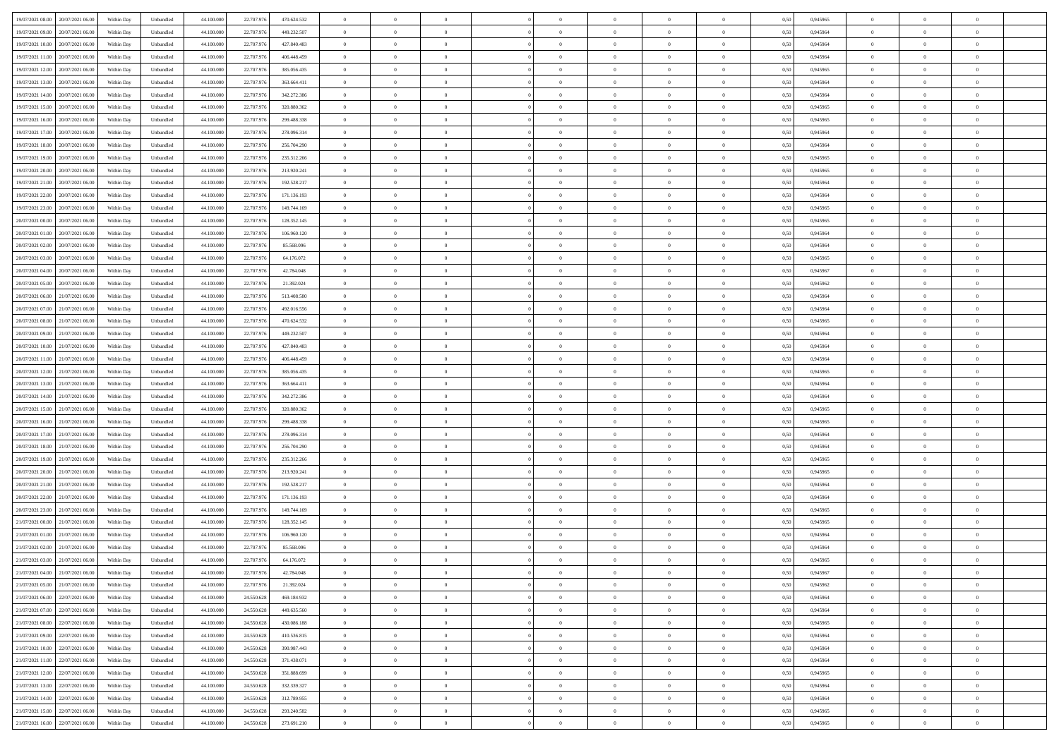| 19/07/2021 08:00<br>20/07/2021 06:00 | Within Day | Unbundled | 44.100.000 | 22.707.976 | 470.624.532 | $\overline{0}$ | $\overline{0}$ | $\overline{0}$ | $\theta$       | $\theta$       |                | $\overline{0}$ | 0,50 | 0,945965 | $\theta$       | $\theta$       | $\theta$       |  |
|--------------------------------------|------------|-----------|------------|------------|-------------|----------------|----------------|----------------|----------------|----------------|----------------|----------------|------|----------|----------------|----------------|----------------|--|
|                                      |            |           |            |            |             |                |                |                |                |                |                |                |      |          |                |                |                |  |
| 19/07/2021 09:00<br>20/07/2021 06.00 | Within Day | Unbundled | 44.100.00  | 22.707.976 | 449.232.507 | $\overline{0}$ | $\overline{0}$ | $\overline{0}$ | $\,$ 0 $\,$    | $\bf{0}$       | $\overline{0}$ | $\bf{0}$       | 0,50 | 0,945964 | $\theta$       | $\theta$       | $\overline{0}$ |  |
| 19/07/2021 10:00<br>20/07/2021 06:00 | Within Day | Unbundled | 44,100,000 | 22.707.976 | 427.840.483 | $\overline{0}$ | $\overline{0}$ | $\overline{0}$ | $\bf{0}$       | $\bf{0}$       | $\overline{0}$ | $\mathbf{0}$   | 0.50 | 0.945964 | $\bf{0}$       | $\overline{0}$ | $\overline{0}$ |  |
| 19/07/2021 11:00<br>20/07/2021 06:00 | Within Day | Unbundled | 44.100.000 | 22.707.976 | 406.448.459 | $\overline{0}$ | $\overline{0}$ | $\overline{0}$ | $\overline{0}$ | $\overline{0}$ | $\overline{0}$ | $\bf{0}$       | 0,50 | 0,945964 | $\theta$       | $\theta$       | $\overline{0}$ |  |
| 19/07/2021 12:00<br>20/07/2021 06.00 | Within Day | Unbundled | 44.100.000 | 22.707.976 | 385.056.435 | $\overline{0}$ | $\overline{0}$ | $\bf{0}$       | $\overline{0}$ | $\overline{0}$ | $\overline{0}$ | $\bf{0}$       | 0,50 | 0,945965 | $\,$ 0 $\,$    | $\theta$       | $\overline{0}$ |  |
| 19/07/2021 13:00<br>20/07/2021 06:00 | Within Day | Unbundled | 44,100,000 | 22.707.976 | 363,664,411 | $\overline{0}$ | $\overline{0}$ | $\overline{0}$ | $\overline{0}$ | $\overline{0}$ | $\Omega$       | $\overline{0}$ | 0.50 | 0.945964 | $\theta$       | $\overline{0}$ | $\overline{0}$ |  |
| 19/07/2021 14:00<br>20/07/2021 06:00 | Within Day | Unbundled | 44.100.000 | 22.707.976 | 342.272.386 | $\overline{0}$ | $\overline{0}$ | $\overline{0}$ | $\overline{0}$ | $\overline{0}$ | $\overline{0}$ | $\bf{0}$       | 0,50 | 0,945964 | $\theta$       | $\theta$       | $\overline{0}$ |  |
|                                      |            |           |            |            |             |                |                |                |                |                |                |                |      |          |                |                |                |  |
| 19/07/2021 15:00<br>20/07/2021 06.00 | Within Day | Unbundled | 44.100.000 | 22.707.976 | 320.880.362 | $\overline{0}$ | $\overline{0}$ | $\overline{0}$ | $\bf{0}$       | $\overline{0}$ | $\overline{0}$ | $\bf{0}$       | 0,50 | 0,945965 | $\,$ 0 $\,$    | $\bf{0}$       | $\overline{0}$ |  |
| 19/07/2021 16:00<br>20/07/2021 06:00 | Within Day | Unbundled | 44,100,000 | 22.707.976 | 299.488.338 | $\overline{0}$ | $\overline{0}$ | $\overline{0}$ | $\overline{0}$ | $\overline{0}$ | $\overline{0}$ | $\mathbf{0}$   | 0.50 | 0.945965 | $\theta$       | $\theta$       | $\overline{0}$ |  |
| 19/07/2021 17.00<br>20/07/2021 06:00 | Within Day | Unbundled | 44.100.000 | 22.707.976 | 278.096.314 | $\overline{0}$ | $\overline{0}$ | $\overline{0}$ | $\overline{0}$ | $\overline{0}$ | $\overline{0}$ | $\bf{0}$       | 0,50 | 0,945964 | $\theta$       | $\theta$       | $\overline{0}$ |  |
| 19/07/2021 18:00<br>20/07/2021 06.00 | Within Day | Unbundled | 44.100.000 | 22.707.976 | 256.704.290 | $\overline{0}$ | $\overline{0}$ | $\bf{0}$       | $\bf{0}$       | $\bf{0}$       | $\overline{0}$ | $\bf{0}$       | 0,50 | 0,945964 | $\,$ 0 $\,$    | $\theta$       | $\overline{0}$ |  |
| 19/07/2021 19:00<br>20/07/2021 06:00 | Within Day | Unbundled | 44,100,000 | 22.707.976 | 235.312.266 | $\overline{0}$ | $\overline{0}$ | $\overline{0}$ | $\bf{0}$       | $\bf{0}$       | $\overline{0}$ | $\mathbf{0}$   | 0.50 | 0.945965 | $\bf{0}$       | $\overline{0}$ | $\bf{0}$       |  |
| 19/07/2021 20.00<br>20/07/2021 06:00 | Within Day | Unbundled | 44.100.000 | 22.707.976 | 213.920.241 | $\overline{0}$ | $\overline{0}$ | $\overline{0}$ | $\overline{0}$ | $\overline{0}$ | $\overline{0}$ | $\bf{0}$       | 0,50 | 0,945965 | $\theta$       | $\theta$       | $\overline{0}$ |  |
|                                      |            |           |            |            |             |                |                |                |                |                |                |                |      |          |                |                |                |  |
| 19/07/2021 21.00<br>20/07/2021 06.00 | Within Day | Unbundled | 44.100.000 | 22.707.976 | 192.528.217 | $\overline{0}$ | $\overline{0}$ | $\bf{0}$       | $\bf{0}$       | $\overline{0}$ | $\overline{0}$ | $\bf{0}$       | 0,50 | 0,945964 | $\,$ 0 $\,$    | $\bf{0}$       | $\overline{0}$ |  |
| 19/07/2021 22.00<br>20/07/2021 06:00 | Within Day | Unbundled | 44,100,000 | 22.707.976 | 171.136.193 | $\overline{0}$ | $\overline{0}$ | $\overline{0}$ | $\overline{0}$ | $\overline{0}$ | $\Omega$       | $\mathbf{0}$   | 0.50 | 0.945964 | $\theta$       | $\overline{0}$ | $\overline{0}$ |  |
| 19/07/2021 23.00<br>20/07/2021 06:00 | Within Day | Unbundled | 44.100.000 | 22.707.976 | 149.744.169 | $\overline{0}$ | $\overline{0}$ | $\overline{0}$ | $\overline{0}$ | $\overline{0}$ | $\overline{0}$ | $\bf{0}$       | 0,50 | 0,945965 | $\theta$       | $\theta$       | $\overline{0}$ |  |
| 20/07/2021 00:00<br>20/07/2021 06.00 | Within Day | Unbundled | 44.100.000 | 22.707.976 | 128.352.145 | $\overline{0}$ | $\overline{0}$ | $\overline{0}$ | $\overline{0}$ | $\overline{0}$ | $\overline{0}$ | $\bf{0}$       | 0,50 | 0,945965 | $\,$ 0 $\,$    | $\theta$       | $\overline{0}$ |  |
| 20/07/2021 01:00<br>20/07/2021 06:00 | Within Day | Unbundled | 44,100,000 | 22.707.976 | 106.960.120 | $\overline{0}$ | $\overline{0}$ | $\overline{0}$ | $\overline{0}$ | $\overline{0}$ | $\overline{0}$ | $\mathbf{0}$   | 0.50 | 0.945964 | $\bf{0}$       | $\theta$       | $\overline{0}$ |  |
| 20/07/2021 02:00<br>20/07/2021 06:00 |            |           | 44.100.000 |            |             | $\overline{0}$ | $\overline{0}$ |                | $\overline{0}$ | $\overline{0}$ | $\overline{0}$ | $\bf{0}$       |      |          | $\theta$       | $\theta$       | $\overline{0}$ |  |
|                                      | Within Day | Unbundled |            | 22.707.976 | 85.568.096  |                |                | $\overline{0}$ |                |                |                |                | 0,50 | 0,945964 |                |                |                |  |
| 20/07/2021 03:00<br>20/07/2021 06.00 | Within Day | Unbundled | 44.100.000 | 22.707.976 | 64.176.072  | $\overline{0}$ | $\overline{0}$ | $\overline{0}$ | $\bf{0}$       | $\bf{0}$       | $\overline{0}$ | $\bf{0}$       | 0,50 | 0,945965 | $\,$ 0 $\,$    | $\bf{0}$       | $\overline{0}$ |  |
| 20/07/2021 04:00<br>20/07/2021 06:00 | Within Day | Unbundled | 44,100,000 | 22.707.976 | 42.784.048  | $\overline{0}$ | $\overline{0}$ | $\overline{0}$ | $\bf{0}$       | $\bf{0}$       | $\overline{0}$ | $\mathbf{0}$   | 0.50 | 0.945967 | $\bf{0}$       | $\theta$       | $\overline{0}$ |  |
| 20/07/2021 05:00<br>20/07/2021 06:00 | Within Day | Unbundled | 44.100.000 | 22.707.976 | 21.392.024  | $\overline{0}$ | $\overline{0}$ | $\overline{0}$ | $\overline{0}$ | $\overline{0}$ | $\overline{0}$ | $\bf{0}$       | 0,50 | 0,945962 | $\theta$       | $\theta$       | $\overline{0}$ |  |
| 20/07/2021 06:00<br>21/07/2021 06.00 | Within Day | Unbundled | 44.100.000 | 22.707.976 | 513.408.580 | $\overline{0}$ | $\overline{0}$ | $\bf{0}$       | $\bf{0}$       | $\overline{0}$ | $\overline{0}$ | $\bf{0}$       | 0,50 | 0,945964 | $\,$ 0 $\,$    | $\theta$       | $\overline{0}$ |  |
| 20/07/2021 07.00<br>21/07/2021 06:00 | Within Day | Unbundled | 44,100,000 | 22,707.976 | 492.016.556 | $\overline{0}$ | $\overline{0}$ | $\overline{0}$ | $\overline{0}$ | $\overline{0}$ | $\Omega$       | $\mathbf{0}$   | 0.50 | 0.945964 | $\theta$       | $\theta$       | $\overline{0}$ |  |
| 20/07/2021 08:00<br>21/07/2021 06:00 | Within Day | Unbundled | 44.100.000 | 22.707.976 | 470.624.532 | $\overline{0}$ | $\overline{0}$ | $\overline{0}$ | $\overline{0}$ | $\overline{0}$ | $\overline{0}$ | $\bf{0}$       | 0,50 | 0,945965 | $\theta$       | $\theta$       | $\overline{0}$ |  |
|                                      |            |           |            |            |             |                |                |                |                |                |                |                |      |          |                |                |                |  |
| 20/07/2021 09:00<br>21/07/2021 06.00 | Within Day | Unbundled | 44.100.000 | 22.707.976 | 449.232.507 | $\overline{0}$ | $\overline{0}$ | $\overline{0}$ | $\overline{0}$ | $\overline{0}$ | $\overline{0}$ | $\bf{0}$       | 0,50 | 0,945964 | $\,$ 0 $\,$    | $\theta$       | $\overline{0}$ |  |
| 20/07/2021 10:00<br>21/07/2021 06:00 | Within Day | Unbundled | 44,100,000 | 22.707.976 | 427.840.483 | $\overline{0}$ | $\overline{0}$ | $\overline{0}$ | $\overline{0}$ | $\overline{0}$ | $\overline{0}$ | $\mathbf{0}$   | 0.50 | 0.945964 | $\theta$       | $\theta$       | $\overline{0}$ |  |
| 20/07/2021 11:00<br>21/07/2021 06:00 | Within Day | Unbundled | 44.100.000 | 22.707.976 | 406.448.459 | $\overline{0}$ | $\overline{0}$ | $\overline{0}$ | $\overline{0}$ | $\overline{0}$ | $\overline{0}$ | $\bf{0}$       | 0,50 | 0,945964 | $\theta$       | $\theta$       | $\overline{0}$ |  |
| 20/07/2021 12:00<br>21/07/2021 06.00 | Within Day | Unbundled | 44.100.000 | 22.707.976 | 385.056.435 | $\overline{0}$ | $\overline{0}$ | $\overline{0}$ | $\overline{0}$ | $\bf{0}$       | $\overline{0}$ | $\bf{0}$       | 0,50 | 0,945965 | $\,$ 0 $\,$    | $\bf{0}$       | $\overline{0}$ |  |
| 20/07/2021 13:00<br>21/07/2021 06:00 | Within Day | Unbundled | 44,100,000 | 22,707.976 | 363.664.411 | $\overline{0}$ | $\overline{0}$ | $\overline{0}$ | $\bf{0}$       | $\bf{0}$       | $\overline{0}$ | $\mathbf{0}$   | 0.50 | 0.945964 | $\bf{0}$       | $\overline{0}$ | $\bf{0}$       |  |
| 20/07/2021 14:00<br>21/07/2021 06:00 | Within Day | Unbundled | 44.100.000 | 22.707.976 | 342.272.386 | $\overline{0}$ | $\overline{0}$ | $\overline{0}$ | $\overline{0}$ | $\overline{0}$ | $\overline{0}$ | $\overline{0}$ | 0.50 | 0.945964 | $\theta$       | $\theta$       | $\overline{0}$ |  |
|                                      |            |           |            |            |             |                | $\overline{0}$ |                |                | $\overline{0}$ | $\overline{0}$ |                |      |          |                |                | $\overline{0}$ |  |
| 20/07/2021 15:00<br>21/07/2021 06.00 | Within Day | Unbundled | 44.100.000 | 22.707.976 | 320.880.362 | $\overline{0}$ |                | $\overline{0}$ | $\bf{0}$       |                |                | $\bf{0}$       | 0,50 | 0,945965 | $\,$ 0 $\,$    | $\bf{0}$       |                |  |
| 20/07/2021 16:00<br>21/07/2021 06:00 | Within Day | Unbundled | 44,100,000 | 22.707.976 | 299.488.338 | $\overline{0}$ | $\overline{0}$ | $\overline{0}$ | $\overline{0}$ | $\overline{0}$ | $\overline{0}$ | $\overline{0}$ | 0.50 | 0.945965 | $\theta$       | $\overline{0}$ | $\overline{0}$ |  |
| 20/07/2021 17:00<br>21/07/2021 06:00 | Within Day | Unbundled | 44.100.000 | 22.707.976 | 278.096.314 | $\overline{0}$ | $\overline{0}$ | $\overline{0}$ | $\overline{0}$ | $\overline{0}$ | $\Omega$       | $\overline{0}$ | 0.50 | 0,945964 | $\theta$       | $\theta$       | $\overline{0}$ |  |
| 20/07/2021 18:00<br>21/07/2021 06.00 | Within Day | Unbundled | 44.100.000 | 22.707.976 | 256.704.290 | $\overline{0}$ | $\overline{0}$ | $\overline{0}$ | $\bf{0}$       | $\overline{0}$ | $\overline{0}$ | $\bf{0}$       | 0,50 | 0,945964 | $\,$ 0 $\,$    | $\theta$       | $\overline{0}$ |  |
| 20/07/2021 19:00<br>21/07/2021 06:00 | Within Day | Unbundled | 44,100,000 | 22.707.976 | 235.312.266 | $\overline{0}$ | $\overline{0}$ | $\overline{0}$ | $\overline{0}$ | $\overline{0}$ | $\overline{0}$ | $\mathbf{0}$   | 0.50 | 0.945965 | $\,$ 0 $\,$    | $\theta$       | $\overline{0}$ |  |
| 20/07/2021 20:00<br>21/07/2021 06:00 | Within Day | Unbundled | 44.100.000 | 22.707.976 | 213.920.241 | $\overline{0}$ | $\overline{0}$ | $\overline{0}$ | $\overline{0}$ | $\overline{0}$ | $\overline{0}$ | $\overline{0}$ | 0.50 | 0,945965 | $\theta$       | $\theta$       | $\overline{0}$ |  |
| 20/07/2021 21:00<br>21/07/2021 06.0  | Within Day | Unbundled | 44.100.000 | 22.707.976 | 192.528.217 | $\overline{0}$ | $\overline{0}$ | $\overline{0}$ | $\,$ 0 $\,$    | $\bf{0}$       | $\overline{0}$ | $\bf{0}$       | 0,50 | 0,945964 | $\,$ 0 $\,$    | $\bf{0}$       | $\overline{0}$ |  |
|                                      |            |           |            |            |             |                |                |                |                |                |                |                |      |          |                |                |                |  |
| 20/07/2021 22.00<br>21/07/2021 06:00 | Within Day | Unbundled | 44,100,000 | 22.707.976 | 171.136.193 | $\overline{0}$ | $\overline{0}$ | $\overline{0}$ | $\bf{0}$       | $\bf{0}$       | $\overline{0}$ | $\mathbf{0}$   | 0.50 | 0.945964 | $\bf{0}$       | $\overline{0}$ | $\overline{0}$ |  |
| 20/07/2021 23:00<br>21/07/2021 06:00 | Within Day | Unbundled | 44.100.000 | 22.707.976 | 149.744.169 | $\overline{0}$ | $\overline{0}$ | $\overline{0}$ | $\overline{0}$ | $\overline{0}$ | $\Omega$       | $\overline{0}$ | 0.50 | 0,945965 | $\theta$       | $\theta$       | $\overline{0}$ |  |
| 21/07/2021 00:00<br>21/07/2021 06.00 | Within Day | Unbundled | 44.100.000 | 22.707.976 | 128.352.145 | $\overline{0}$ | $\overline{0}$ | $\overline{0}$ | $\bf{0}$       | $\overline{0}$ | $\overline{0}$ | $\bf{0}$       | 0,50 | 0,945965 | $\,$ 0 $\,$    | $\bf{0}$       | $\overline{0}$ |  |
| 21/07/2021 01:00<br>21/07/2021 06:00 | Within Day | Unbundled | 44,100,000 | 22.707.976 | 106.960.120 | $\overline{0}$ | $\overline{0}$ | $\overline{0}$ | $\overline{0}$ | $\overline{0}$ | $\theta$       | $\overline{0}$ | 0.50 | 0.945964 | $\bf{0}$       | $\overline{0}$ | $\overline{0}$ |  |
| 21/07/2021 02:00<br>21/07/2021 06:00 | Within Day | Unbundled | 44.100.000 | 22.707.976 | 85,568,096  | $\overline{0}$ | $\overline{0}$ | $\overline{0}$ | $\overline{0}$ | $\overline{0}$ | $\theta$       | $\overline{0}$ | 0.5( | 0,945964 | $\theta$       | $\theta$       | $\overline{0}$ |  |
| 21/07/2021 03:00<br>21/07/2021 06.00 | Within Day | Unbundled | 44.100.000 | 22.707.976 | 64.176.072  | $\overline{0}$ | $\overline{0}$ | $\bf{0}$       | $\overline{0}$ | $\bf{0}$       | $\overline{0}$ | $\bf{0}$       | 0,50 | 0,945965 | $\,$ 0 $\,$    | $\bf{0}$       | $\overline{0}$ |  |
|                                      | Within Day |           | 44.100.000 | 22.707.976 | 42.784.048  |                |                |                |                |                |                | $\Omega$       | 0,50 | 0.945967 |                |                |                |  |
| 21/07/2021 04:00 21/07/2021 06:00    |            | Unbundled |            |            |             | $\bf{0}$       | $\,0\,$        |                | $\bf{0}$       |                |                |                |      |          | $\theta$       | $\overline{0}$ |                |  |
| 21/07/2021 05:00 21/07/2021 06:00    | Within Dav | Unbundled | 44.100.000 | 22.707.976 | 21.392.024  | $\overline{0}$ | $\overline{0}$ | $\overline{0}$ | $\overline{0}$ | $\overline{0}$ | $\overline{0}$ | $\overline{0}$ | 0,50 | 0,945962 | $\theta$       | $\theta$       | $\overline{0}$ |  |
| 21/07/2021 06:00<br>22/07/2021 06.00 | Within Day | Unbundled | 44.100.000 | 24.550.628 | 469.184.932 | $\overline{0}$ | $\overline{0}$ | $\overline{0}$ | $\bf{0}$       | $\overline{0}$ | $\overline{0}$ | $\mathbf{0}$   | 0,50 | 0,945964 | $\bf{0}$       | $\overline{0}$ | $\bf{0}$       |  |
| 21/07/2021 07:00 22/07/2021 06:00    | Within Day | Unbundled | 44.100.000 | 24.550.628 | 449.635.560 | $\overline{0}$ | $\overline{0}$ | $\overline{0}$ | $\overline{0}$ | $\bf{0}$       | $\overline{0}$ | $\mathbf{0}$   | 0.50 | 0.945964 | $\overline{0}$ | $\bf{0}$       | $\overline{0}$ |  |
| 21/07/2021 08:00<br>22/07/2021 06:00 | Within Dav | Unbundled | 44.100.000 | 24.550.628 | 430.086.188 | $\overline{0}$ | $\overline{0}$ | $\overline{0}$ | $\overline{0}$ | $\overline{0}$ | $\overline{0}$ | $\mathbf{0}$   | 0,50 | 0,945965 | $\theta$       | $\theta$       | $\overline{0}$ |  |
| 21/07/2021 09:00<br>22/07/2021 06.00 | Within Day | Unbundled | 44.100.000 | 24.550.628 | 410.536.815 | $\overline{0}$ | $\overline{0}$ | $\overline{0}$ | $\bf{0}$       | $\bf{0}$       | $\overline{0}$ | $\mathbf{0}$   | 0,50 | 0,945964 | $\overline{0}$ | $\bf{0}$       | $\overline{0}$ |  |
|                                      |            |           |            |            |             |                |                |                |                |                |                |                |      |          |                |                | $\overline{0}$ |  |
| 21/07/2021 10:00<br>22/07/2021 06:00 | Within Day | Unbundled | 44.100.000 | 24,550,628 | 390.987.443 | $\overline{0}$ | $\overline{0}$ | $\overline{0}$ | $\bf{0}$       | $\overline{0}$ | $\overline{0}$ | $\mathbf{0}$   | 0.50 | 0.945964 | $\,$ 0 $\,$    | $\theta$       |                |  |
| 21/07/2021 11:00<br>22/07/2021 06:00 | Within Day | Unbundled | 44.100.000 | 24.550.628 | 371.438.071 | $\overline{0}$ | $\overline{0}$ | $\overline{0}$ | $\overline{0}$ | $\overline{0}$ | $\overline{0}$ | $\mathbf{0}$   | 0,50 | 0,945964 | $\overline{0}$ | $\theta$       | $\overline{0}$ |  |
| 22/07/2021 06:00<br>21/07/2021 12:00 | Within Day | Unbundled | 44.100.000 | 24.550.628 | 351.888.699 | $\overline{0}$ | $\overline{0}$ | $\overline{0}$ | $\bf{0}$       | $\overline{0}$ | $\overline{0}$ | $\,$ 0 $\,$    | 0,50 | 0,945965 | $\bf{0}$       | $\bf{0}$       | $\overline{0}$ |  |
| 21/07/2021 13:00<br>22/07/2021 06:00 | Within Day | Unbundled | 44,100,000 | 24.550.628 | 332.339.327 | $\overline{0}$ | $\overline{0}$ | $\overline{0}$ | $\bf{0}$       | $\bf{0}$       | $\overline{0}$ | $\,$ 0 $\,$    | 0.50 | 0.945964 | $\overline{0}$ | $\bf{0}$       | $\,$ 0         |  |
| 21/07/2021 14:00<br>22/07/2021 06:00 | Within Dav | Unbundled | 44.100.000 | 24.550.628 | 312.789.955 | $\overline{0}$ | $\overline{0}$ | $\overline{0}$ | $\overline{0}$ | $\overline{0}$ | $\overline{0}$ | $\mathbf{0}$   | 0,50 | 0,945964 | $\overline{0}$ | $\theta$       | $\overline{0}$ |  |
| 21/07/2021 15:00<br>22/07/2021 06.0  | Within Day | Unbundled | 44.100.000 | 24.550.628 | 293.240.582 | $\overline{0}$ | $\overline{0}$ | $\overline{0}$ | $\overline{0}$ | $\bf{0}$       | $\overline{0}$ | $\mathbf{0}$   | 0,50 | 0,945965 | $\bf{0}$       | $\bf{0}$       | $\overline{0}$ |  |
|                                      |            |           |            |            |             |                |                |                |                |                |                |                |      |          |                |                |                |  |
| 21/07/2021 16:00 22/07/2021 06:00    | Within Day | Unbundled | 44.100.000 | 24.550.628 | 273.691.210 | $\,$ 0 $\,$    | $\overline{0}$ | $\overline{0}$ | $\bf{0}$       | $\,$ 0         | $\overline{0}$ | $\,$ 0 $\,$    | 0,50 | 0,945965 | $\overline{0}$ | $\,$ 0 $\,$    | $\,$ 0 $\,$    |  |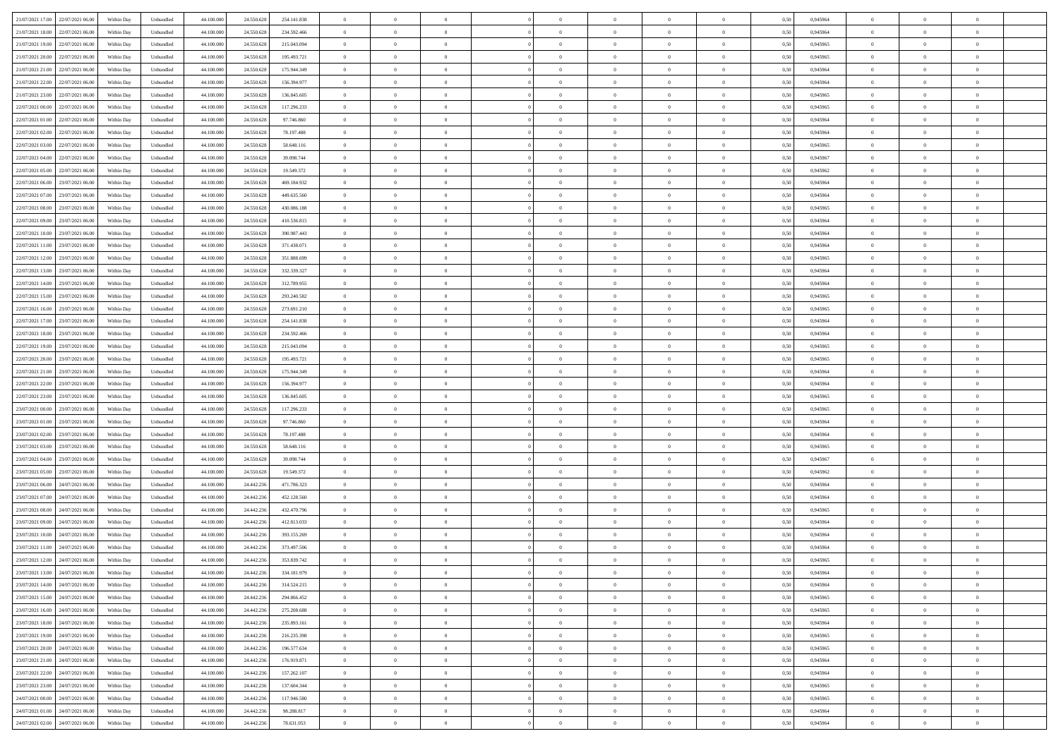| 21/07/2021 17:00 22/07/2021 06:00            | Within Day | Unbundled                   | 44.100.000 | 24.550.628 | 254.141.838 | $\overline{0}$ | $\theta$       |                | $\overline{0}$ | $\theta$       |                | $\theta$       | 0,50 | 0,945964 | $\theta$       | $\theta$       | $\overline{0}$ |  |
|----------------------------------------------|------------|-----------------------------|------------|------------|-------------|----------------|----------------|----------------|----------------|----------------|----------------|----------------|------|----------|----------------|----------------|----------------|--|
| 21/07/2021 18:00<br>22/07/2021 06.00         | Within Day | Unbundled                   | 44.100.00  | 24.550.628 | 234.592.466 | $\bf{0}$       | $\bf{0}$       | $\bf{0}$       | $\overline{0}$ | $\overline{0}$ | $\overline{0}$ | $\bf{0}$       | 0,50 | 0,945964 | $\,$ 0 $\,$    | $\bf{0}$       | $\overline{0}$ |  |
| 21/07/2021 19:00<br>22/07/2021 06:00         | Within Day | Unbundled                   | 44,100,000 | 24.550.628 | 215.043.094 | $\overline{0}$ | $\bf{0}$       | $\overline{0}$ | $\bf{0}$       | $\bf{0}$       | $\overline{0}$ | $\bf{0}$       | 0.50 | 0.945965 | $\bf{0}$       | $\overline{0}$ | $\overline{0}$ |  |
| 21/07/2021 20:00<br>22/07/2021 06:00         |            |                             | 44.100.000 |            |             | $\overline{0}$ | $\overline{0}$ | $\overline{0}$ | $\theta$       | $\theta$       | $\overline{0}$ |                |      |          | $\theta$       | $\theta$       | $\overline{0}$ |  |
|                                              | Within Day | Unbundled                   |            | 24.550.628 | 195.493.721 |                |                |                |                |                |                | $\bf{0}$       | 0,50 | 0,945965 |                |                |                |  |
| 21/07/2021 21:00<br>22/07/2021 06.00         | Within Day | Unbundled                   | 44.100.00  | 24.550.628 | 175.944.349 | $\bf{0}$       | $\overline{0}$ | $\bf{0}$       | $\overline{0}$ | $\theta$       | $\overline{0}$ | $\bf{0}$       | 0,50 | 0,945964 | $\,$ 0 $\,$    | $\bf{0}$       | $\overline{0}$ |  |
| 21/07/2021 22:00<br>22/07/2021 06:00         | Within Day | Unbundled                   | 44,100,000 | 24.550.628 | 156,394.977 | $\overline{0}$ | $\overline{0}$ | $\overline{0}$ | $\bf{0}$       | $\overline{0}$ | $\theta$       | $\bf{0}$       | 0.50 | 0.945964 | $\,$ 0 $\,$    | $\theta$       | $\overline{0}$ |  |
| 21/07/2021 23:00<br>22/07/2021 06:00         | Within Day | Unbundled                   | 44.100.000 | 24.550.628 | 136.845.605 | $\overline{0}$ | $\overline{0}$ | $\overline{0}$ | $\overline{0}$ | $\overline{0}$ | $\overline{0}$ | $\bf{0}$       | 0,50 | 0,945965 | $\theta$       | $\theta$       | $\overline{0}$ |  |
|                                              |            |                             |            |            |             |                |                |                |                |                |                |                |      |          |                |                |                |  |
| 22/07/2021 00:00<br>22/07/2021 06.00         | Within Day | Unbundled                   | 44.100.00  | 24.550.628 | 117.296.233 | $\bf{0}$       | $\overline{0}$ | $\bf{0}$       | $\overline{0}$ | $\overline{0}$ | $\overline{0}$ | $\bf{0}$       | 0,50 | 0,945965 | $\,$ 0 $\,$    | $\bf{0}$       | $\overline{0}$ |  |
| 22/07/2021 01:00<br>22/07/2021 06:00         | Within Day | Unbundled                   | 44,100,00  | 24.550.628 | 97.746.860  | $\overline{0}$ | $\bf{0}$       | $\overline{0}$ | $\bf{0}$       | $\overline{0}$ | $\overline{0}$ | $\bf{0}$       | 0.50 | 0.945964 | $\bf{0}$       | $\overline{0}$ | $\overline{0}$ |  |
| 22/07/2021 02:00<br>22/07/2021 06:00         | Within Day | Unbundled                   | 44.100.000 | 24.550.628 | 78.197.488  | $\overline{0}$ | $\bf{0}$       | $\overline{0}$ | $\overline{0}$ | $\overline{0}$ | $\overline{0}$ | $\bf{0}$       | 0,50 | 0,945964 | $\,$ 0 $\,$    | $\theta$       | $\overline{0}$ |  |
|                                              |            |                             |            |            |             |                |                |                |                |                |                |                |      |          |                |                |                |  |
| 22/07/2021 03:00<br>22/07/2021 06.00         | Within Day | Unbundled                   | 44.100.00  | 24.550.628 | 58.648.116  | $\bf{0}$       | $\overline{0}$ | $\bf{0}$       | $\bf{0}$       | $\bf{0}$       | $\overline{0}$ | $\bf{0}$       | 0,50 | 0,945965 | $\,$ 0 $\,$    | $\bf{0}$       | $\overline{0}$ |  |
| 22/07/2021 04:00<br>22/07/2021 06:00         | Within Day | Unbundled                   | 44,100,000 | 24.550.628 | 39,098,744  | $\overline{0}$ | $\bf{0}$       | $\overline{0}$ | $\bf{0}$       | $\bf{0}$       | $\overline{0}$ | $\bf{0}$       | 0.50 | 0.945967 | $\bf{0}$       | $\overline{0}$ | $\bf{0}$       |  |
| 22/07/2021 05:00<br>22/07/2021 06:00         | Within Day | Unbundled                   | 44.100.000 | 24.550.628 | 19.549.372  | $\overline{0}$ | $\overline{0}$ | $\overline{0}$ | $\overline{0}$ | $\theta$       | $\overline{0}$ | $\overline{0}$ | 0,50 | 0,945962 | $\theta$       | $\theta$       | $\overline{0}$ |  |
| 22/07/2021 06:00<br>23/07/2021 06.00         | Within Day | Unbundled                   | 44.100.00  | 24.550.628 | 469.184.932 | $\bf{0}$       | $\overline{0}$ | $\bf{0}$       | $\overline{0}$ | $\theta$       | $\overline{0}$ | $\bf{0}$       | 0,50 | 0,945964 | $\,$ 0 $\,$    | $\bf{0}$       | $\overline{0}$ |  |
|                                              |            |                             |            |            |             |                |                |                |                |                |                |                |      |          |                |                |                |  |
| 22/07/2021 07:00<br>23/07/2021 06:00         | Within Day | Unbundled                   | 44,100,00  | 24.550.628 | 449.635.560 | $\overline{0}$ | $\overline{0}$ | $\overline{0}$ | $\bf{0}$       | $\overline{0}$ | $\theta$       | $\bf{0}$       | 0.50 | 0.945964 | $\,$ 0 $\,$    | $\theta$       | $\overline{0}$ |  |
| 22/07/2021 08:00<br>23/07/2021 06:00         | Within Day | Unbundled                   | 44.100.000 | 24.550.628 | 430.086.188 | $\overline{0}$ | $\overline{0}$ | $\overline{0}$ | $\overline{0}$ | $\overline{0}$ | $\overline{0}$ | $\bf{0}$       | 0,50 | 0,945965 | $\theta$       | $\theta$       | $\overline{0}$ |  |
| 22/07/2021 09:00<br>23/07/2021 06.00         | Within Day | Unbundled                   | 44.100.00  | 24.550.628 | 410.536.815 | $\bf{0}$       | $\overline{0}$ | $\bf{0}$       | $\overline{0}$ | $\bf{0}$       | $\overline{0}$ | $\bf{0}$       | 0,50 | 0,945964 | $\,$ 0 $\,$    | $\bf{0}$       | $\overline{0}$ |  |
| 22/07/2021 10:00<br>23/07/2021 06:00         | Within Day | Unbundled                   | 44,100,00  | 24.550.628 | 390.987.443 | $\overline{0}$ | $\bf{0}$       | $\overline{0}$ | $\bf{0}$       | $\overline{0}$ | $\overline{0}$ | $\bf{0}$       | 0.50 | 0.945964 | $\bf{0}$       | $\overline{0}$ | $\overline{0}$ |  |
|                                              |            |                             |            |            |             |                |                |                |                |                |                |                |      |          |                |                |                |  |
| 22/07/2021 11:00<br>23/07/2021 06:00         | Within Day | Unbundled                   | 44.100.000 | 24.550.628 | 371.438.071 | $\overline{0}$ | $\overline{0}$ | $\overline{0}$ | $\overline{0}$ | $\overline{0}$ | $\overline{0}$ | $\bf{0}$       | 0,50 | 0,945964 | $\,$ 0 $\,$    | $\theta$       | $\overline{0}$ |  |
| 22/07/2021 12:00<br>23/07/2021 06.00         | Within Day | Unbundled                   | 44.100.00  | 24.550.628 | 351.888.699 | $\bf{0}$       | $\bf{0}$       | $\bf{0}$       | $\bf{0}$       | $\overline{0}$ | $\overline{0}$ | $\bf{0}$       | 0,50 | 0,945965 | $\,$ 0 $\,$    | $\bf{0}$       | $\overline{0}$ |  |
| 22/07/2021 13:00<br>23/07/2021 06:00         | Within Day | Unbundled                   | 44,100,000 | 24,550,628 | 332.339.327 | $\overline{0}$ | $\bf{0}$       | $\overline{0}$ | $\bf{0}$       | $\bf{0}$       | $\overline{0}$ | $\bf{0}$       | 0.50 | 0.945964 | $\bf{0}$       | $\overline{0}$ | $\bf{0}$       |  |
| 22/07/2021 14:00<br>23/07/2021 06:00         | Within Day | Unbundled                   | 44.100.000 | 24.550.628 | 312.789.955 | $\overline{0}$ | $\overline{0}$ | $\overline{0}$ | $\theta$       | $\theta$       | $\overline{0}$ | $\bf{0}$       | 0,50 | 0,945964 | $\theta$       | $\theta$       | $\overline{0}$ |  |
|                                              |            |                             |            |            |             |                |                |                |                |                |                |                |      |          |                |                |                |  |
| 22/07/2021 15:00<br>23/07/2021 06.00         | Within Day | Unbundled                   | 44.100.00  | 24.550.628 | 293.240.582 | $\bf{0}$       | $\overline{0}$ | $\bf{0}$       | $\bf{0}$       | $\overline{0}$ | $\overline{0}$ | $\bf{0}$       | 0,50 | 0,945965 | $\,$ 0 $\,$    | $\bf{0}$       | $\overline{0}$ |  |
| 22/07/2021 16:00<br>23/07/2021 06:00         | Within Day | Unbundled                   | 44,100,00  | 24.550.628 | 273.691.210 | $\overline{0}$ | $\overline{0}$ | $\overline{0}$ | $\overline{0}$ | $\overline{0}$ | $\theta$       | $\bf{0}$       | 0.50 | 0.945965 | $\,$ 0 $\,$    | $\theta$       | $\overline{0}$ |  |
| 22/07/2021 17:00<br>23/07/2021 06:00         | Within Day | Unbundled                   | 44.100.000 | 24.550.628 | 254.141.838 | $\overline{0}$ | $\overline{0}$ | $\overline{0}$ | $\overline{0}$ | $\overline{0}$ | $\overline{0}$ | $\bf{0}$       | 0,50 | 0,945964 | $\theta$       | $\theta$       | $\overline{0}$ |  |
| 22/07/2021 18:00<br>23/07/2021 06.00         | Within Day | Unbundled                   | 44.100.00  | 24.550.628 | 234.592.466 | $\bf{0}$       | $\overline{0}$ | $\bf{0}$       | $\overline{0}$ | $\bf{0}$       | $\overline{0}$ | $\bf{0}$       | 0,50 | 0,945964 | $\,$ 0 $\,$    | $\bf{0}$       | $\overline{0}$ |  |
|                                              |            |                             |            |            |             |                |                |                |                |                |                |                |      |          |                |                |                |  |
| 22/07/2021 19:00<br>23/07/2021 06:00         | Within Day | Unbundled                   | 44,100,000 | 24.550.628 | 215.043.094 | $\overline{0}$ | $\bf{0}$       | $\overline{0}$ | $\bf{0}$       | $\overline{0}$ | $\overline{0}$ | $\bf{0}$       | 0.50 | 0.945965 | $\bf{0}$       | $\overline{0}$ | $\overline{0}$ |  |
| 22/07/2021 20:00<br>23/07/2021 06:00         | Within Day | Unbundled                   | 44.100.000 | 24.550.628 | 195.493.721 | $\overline{0}$ | $\overline{0}$ | $\overline{0}$ | $\overline{0}$ | $\overline{0}$ | $\overline{0}$ | $\bf{0}$       | 0,50 | 0,945965 | $\theta$       | $\theta$       | $\overline{0}$ |  |
| 22/07/2021 21:00<br>23/07/2021 06.00         | Within Day | Unbundled                   | 44.100.00  | 24.550.628 | 175.944.349 | $\bf{0}$       | $\bf{0}$       | $\bf{0}$       | $\bf{0}$       | $\overline{0}$ | $\overline{0}$ | $\bf{0}$       | 0,50 | 0,945964 | $\,$ 0 $\,$    | $\bf{0}$       | $\overline{0}$ |  |
| 22/07/2021 22:00<br>23/07/2021 06:00         | Within Day | Unbundled                   | 44,100,000 | 24.550.628 | 156,394.977 | $\overline{0}$ | $\bf{0}$       | $\overline{0}$ | $\bf{0}$       | $\bf{0}$       | $\overline{0}$ | $\bf{0}$       | 0.50 | 0.945964 | $\bf{0}$       | $\overline{0}$ | $\bf{0}$       |  |
|                                              |            |                             |            |            |             |                |                |                |                |                |                |                |      |          |                |                |                |  |
| 22/07/2021 23:00<br>23/07/2021 06:00         | Within Day | Unbundled                   | 44.100.000 | 24.550.628 | 136,845,605 | $\overline{0}$ | $\overline{0}$ | $\overline{0}$ | $\overline{0}$ | $\overline{0}$ | $\overline{0}$ | $\bf{0}$       | 0.50 | 0.945965 | $\theta$       | $\theta$       | $\overline{0}$ |  |
| 23/07/2021 00:00<br>23/07/2021 06.00         | Within Day | Unbundled                   | 44.100.00  | 24.550.628 | 117.296.233 | $\bf{0}$       | $\overline{0}$ | $\bf{0}$       | $\bf{0}$       | $\,$ 0 $\,$    | $\overline{0}$ | $\bf{0}$       | 0,50 | 0,945965 | $\,$ 0 $\,$    | $\bf{0}$       | $\overline{0}$ |  |
| 23/07/2021 01:00<br>23/07/2021 06:00         | Within Day | Unbundled                   | 44,100,000 | 24.550.628 | 97.746.860  | $\overline{0}$ | $\overline{0}$ | $\overline{0}$ | $\bf{0}$       | $\overline{0}$ | $\overline{0}$ | $\bf{0}$       | 0.50 | 0.945964 | $\,$ 0 $\,$    | $\theta$       | $\overline{0}$ |  |
| 23/07/2021 02:00<br>23/07/2021 06:00         | Within Dav | Unbundled                   | 44.100.000 | 24.550.628 | 78.197.488  | $\overline{0}$ | $\overline{0}$ | $\overline{0}$ | $\overline{0}$ | $\overline{0}$ | $\overline{0}$ | $\overline{0}$ | 0.5( | 0,945964 | $\theta$       | $\theta$       | $\overline{0}$ |  |
|                                              |            |                             |            |            |             |                |                |                |                |                |                |                |      |          |                |                |                |  |
| 23/07/2021 03:00<br>23/07/2021 06.00         | Within Day | Unbundled                   | 44.100.00  | 24.550.628 | 58.648.116  | $\bf{0}$       | $\bf{0}$       | $\bf{0}$       | $\bf{0}$       | $\bf{0}$       | $\overline{0}$ | $\bf{0}$       | 0,50 | 0,945965 | $\,$ 0 $\,$    | $\bf{0}$       | $\overline{0}$ |  |
| 23/07/2021 04:00<br>23/07/2021 06:00         | Within Day | Unbundled                   | 44,100,00  | 24.550.628 | 39,098,744  | $\overline{0}$ | $\bf{0}$       | $\overline{0}$ | $\bf{0}$       | $\overline{0}$ | $\overline{0}$ | $\bf{0}$       | 0.50 | 0.945967 | $\bf{0}$       | $\overline{0}$ | $\overline{0}$ |  |
| 23/07/2021 05:00<br>23/07/2021 06:00         | Within Dav | Unbundled                   | 44.100.000 | 24.550.628 | 19.549.372  | $\overline{0}$ | $\overline{0}$ | $\overline{0}$ | $\overline{0}$ | $\overline{0}$ | $\overline{0}$ | $\overline{0}$ | 0.50 | 0,945962 | $\theta$       | $\theta$       | $\overline{0}$ |  |
| 23/07/2021 06:00<br>24/07/2021 06.00         | Within Day | Unbundled                   | 44.100.00  | 24.442.23  | 471.786.323 | $\bf{0}$       | $\bf{0}$       | $\bf{0}$       | $\bf{0}$       | $\overline{0}$ | $\overline{0}$ | $\bf{0}$       | 0,50 | 0,945964 | $\,$ 0 $\,$    | $\bf{0}$       | $\overline{0}$ |  |
|                                              |            |                             |            |            |             |                |                |                |                |                |                |                |      |          |                |                |                |  |
| 23/07/2021 07:00<br>24/07/2021 06:00         | Within Day | Unbundled                   | 44,100,000 | 24.442.236 | 452.128.560 | $\overline{0}$ | $\bf{0}$       | $\overline{0}$ | $\bf{0}$       | $\bf{0}$       | $\overline{0}$ | $\bf{0}$       | 0.50 | 0.945964 | $\bf{0}$       | $\overline{0}$ | $\bf{0}$       |  |
| 23/07/2021 08:00<br>24/07/2021 06:00         | Within Dav | Unbundled                   | 44.100.000 | 24.442.236 | 432.470.796 | $\overline{0}$ | $\overline{0}$ | $\overline{0}$ | $\overline{0}$ | $\overline{0}$ | $\overline{0}$ | $\bf{0}$       | 0.50 | 0,945965 | $\theta$       | $\theta$       | $\overline{0}$ |  |
| 23/07/2021 09:00<br>24/07/2021 06.00         | Within Day | Unbundled                   | 44.100.00  | 24.442.23  | 412.813.033 | $\bf{0}$       | $\bf{0}$       | $\bf{0}$       | $\bf{0}$       | $\overline{0}$ | $\overline{0}$ | $\bf{0}$       | 0,50 | 0,945964 | $\,$ 0 $\,$    | $\bf{0}$       | $\overline{0}$ |  |
| 23/07/2021 10:00<br>24/07/2021 06:00         | Within Day | Unbundled                   | 44,100,00  | 24.442.23  | 393.155.269 | $\overline{0}$ | $\overline{0}$ | $\overline{0}$ | $\overline{0}$ | $\overline{0}$ | $\Omega$       | $\bf{0}$       | 0.50 | 0.945964 | $\bf{0}$       | $\theta$       | $\overline{0}$ |  |
| 23/07/2021 11:00<br>24/07/2021 06:00         | Within Dav | Unbundled                   | 44.100.000 | 24.442.23  | 373.497.506 | $\overline{0}$ | $\overline{0}$ | $\Omega$       |                | $\theta$       | $\Omega$       | $\overline{0}$ | 0.5( | 0,945964 | $\theta$       | $\theta$       | $\overline{0}$ |  |
|                                              |            |                             |            |            |             |                |                |                | $\overline{0}$ |                |                |                |      |          |                |                |                |  |
| 23/07/2021 12:00<br>24/07/2021 06:00         | Within Day | Unbundled                   | 44.100.000 | 24.442.23  | 353.839.742 | $\bf{0}$       | $\bf{0}$       | $\bf{0}$       | $\bf{0}$       | $\bf{0}$       | $\overline{0}$ | $\bf{0}$       | 0,50 | 0,945965 | $\,$ 0 $\,$    | $\bf{0}$       | $\overline{0}$ |  |
| $23/07/2021\ 13.00 \qquad 24/07/2021\ 06.00$ | Within Day | $\ensuremath{\mathsf{Unb}}$ | 44.100.000 | 24.442.236 | 334.181.979 | $\bf{0}$       | $\theta$       |                | $\overline{0}$ |                |                |                | 0,50 | 0.945964 | $\bf{0}$       | $\bf{0}$       |                |  |
| 23/07/2021 14:00 24/07/2021 06:00            | Within Day | Unbundled                   | 44.100.000 | 24.442.236 | 314.524.215 | $\overline{0}$ | $\theta$       | $\Omega$       | $\theta$       | $\overline{0}$ | $\overline{0}$ | $\bf{0}$       | 0,50 | 0,945964 | $\theta$       | $\theta$       | $\overline{0}$ |  |
|                                              |            |                             |            |            |             |                |                |                |                |                |                |                |      |          |                |                |                |  |
| 23/07/2021 15:00<br>24/07/2021 06:00         | Within Day | Unbundled                   | 44.100.00  | 24.442.236 | 294.866.452 | $\overline{0}$ | $\bf{0}$       | $\overline{0}$ | $\overline{0}$ | $\bf{0}$       | $\overline{0}$ | $\bf{0}$       | 0,50 | 0,945965 | $\bf{0}$       | $\overline{0}$ | $\bf{0}$       |  |
| 23/07/2021 16:00 24/07/2021 06:00            | Within Day | Unbundled                   | 44,100,000 | 24.442.236 | 275.208.688 | $\overline{0}$ | $\bf{0}$       | $\overline{0}$ | $\overline{0}$ | $\overline{0}$ | $\overline{0}$ | $\,$ 0 $\,$    | 0.50 | 0.945965 | $\mathbf{0}$   | $\bf{0}$       | $\,$ 0 $\,$    |  |
| 23/07/2021 18:00 24/07/2021 06:00            | Within Day | Unbundled                   | 44.100.000 | 24.442.236 | 235.893.161 | $\overline{0}$ | $\overline{0}$ | $\overline{0}$ | $\overline{0}$ | $\overline{0}$ | $\overline{0}$ | $\bf{0}$       | 0,50 | 0,945964 | $\theta$       | $\theta$       | $\overline{0}$ |  |
| 23/07/2021 19:00<br>24/07/2021 06:00         | Within Day | Unbundled                   | 44.100.000 | 24.442.236 | 216.235.398 | $\overline{0}$ | $\bf{0}$       | $\overline{0}$ | $\bf{0}$       | $\overline{0}$ | $\overline{0}$ | $\bf{0}$       | 0,50 | 0,945965 | $\overline{0}$ | $\bf{0}$       | $\overline{0}$ |  |
|                                              |            |                             |            |            |             |                |                |                |                |                |                |                |      |          |                |                |                |  |
| 23/07/2021 20:00<br>24/07/2021 06:00         | Within Day | Unbundled                   | 44,100,000 | 24.442.236 | 196.577.634 | $\overline{0}$ | $\bf{0}$       | $\overline{0}$ | $\overline{0}$ | $\overline{0}$ | $\overline{0}$ | $\bf{0}$       | 0.50 | 0.945965 | $\,$ 0 $\,$    | $\theta$       | $\overline{0}$ |  |
| 23/07/2021 21:00<br>24/07/2021 06:00         | Within Dav | Unbundled                   | 44.100.000 | 24.442.236 | 176.919.871 | $\overline{0}$ | $\overline{0}$ | $\overline{0}$ | $\overline{0}$ | $\overline{0}$ | $\overline{0}$ | $\bf{0}$       | 0.50 | 0,945964 | $\overline{0}$ | $\theta$       | $\overline{0}$ |  |
| 23/07/2021 22:00<br>24/07/2021 06:00         | Within Day | Unbundled                   | 44.100.00  | 24.442.236 | 157.262.107 | $\overline{0}$ | $\overline{0}$ | $\overline{0}$ | $\overline{0}$ | $\bf{0}$       | $\overline{0}$ | $\bf{0}$       | 0,50 | 0,945964 | $\bf{0}$       | $\bf{0}$       | $\overline{0}$ |  |
| 23/07/2021 23:00<br>24/07/2021 06:00         | Within Day | Unbundled                   | 44,100,000 | 24.442.236 | 137.604.344 | $\overline{0}$ | $\overline{0}$ | $\overline{0}$ | $\overline{0}$ | $\bf{0}$       | $\overline{0}$ | $\bf{0}$       | 0.50 | 0.945965 | $\overline{0}$ | $\,$ 0 $\,$    | $\,$ 0         |  |
|                                              |            |                             |            |            |             |                |                |                |                |                |                |                |      |          |                |                |                |  |
| 24/07/2021 00:00 24/07/2021 06:00            | Within Dav | Unbundled                   | 44.100.000 | 24.442.236 | 117.946.580 | $\overline{0}$ | $\overline{0}$ | $\overline{0}$ | $\overline{0}$ | $\overline{0}$ | $\overline{0}$ | $\bf{0}$       | 0,50 | 0,945965 | $\theta$       | $\theta$       | $\overline{0}$ |  |
| 24/07/2021 01:00<br>24/07/2021 06.00         | Within Day | Unbundled                   | 44.100.00  | 24.442.236 | 98.288.817  | $\overline{0}$ | $\bf{0}$       | $\overline{0}$ | $\bf{0}$       | $\overline{0}$ | $\overline{0}$ | $\bf{0}$       | 0,50 | 0,945964 | $\bf{0}$       | $\bf{0}$       | $\overline{0}$ |  |
| 24/07/2021 02:00 24/07/2021 06:00            | Within Day | Unbundled                   | 44.100.000 | 24.442.236 | 78.631.053  | $\overline{0}$ | $\bf{0}$       | $\overline{0}$ | $\overline{0}$ | $\,$ 0 $\,$    | $\overline{0}$ | $\bf{0}$       | 0,50 | 0,945964 | $\overline{0}$ | $\,$ 0 $\,$    | $\,$ 0 $\,$    |  |
|                                              |            |                             |            |            |             |                |                |                |                |                |                |                |      |          |                |                |                |  |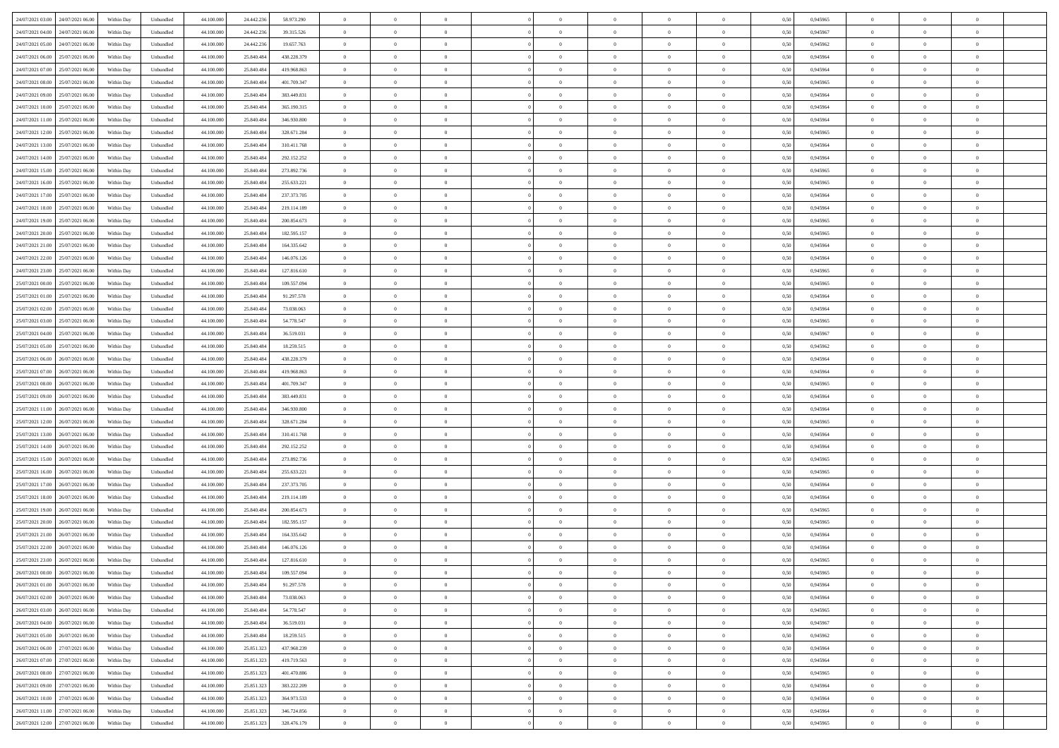| 24/07/2021 03:00 24/07/2021 06:00     | Within Day | Unbundled                   | 44.100.000 | 24.442.236 | 58.973.290    | $\overline{0}$ | $\theta$       |                | $\overline{0}$ | $\theta$       |                | $\theta$       | 0,50 | 0,945965 | $\theta$       | $\theta$       | $\overline{0}$ |  |
|---------------------------------------|------------|-----------------------------|------------|------------|---------------|----------------|----------------|----------------|----------------|----------------|----------------|----------------|------|----------|----------------|----------------|----------------|--|
| 24/07/2021 04:00<br>24/07/2021 06.00  | Within Day | Unbundled                   | 44.100.00  | 24.442.23  | 39.315.526    | $\bf{0}$       | $\overline{0}$ | $\bf{0}$       | $\overline{0}$ | $\overline{0}$ | $\overline{0}$ | $\bf{0}$       | 0,50 | 0,945967 | $\,$ 0 $\,$    | $\bf{0}$       | $\overline{0}$ |  |
| 24/07/2021 05:00<br>24/07/2021 06:00  | Within Day | Unbundled                   | 44,100,000 | 24.442.236 | 19.657.763    | $\overline{0}$ | $\bf{0}$       | $\overline{0}$ | $\bf{0}$       | $\bf{0}$       | $\overline{0}$ | $\bf{0}$       | 0.50 | 0.945962 | $\bf{0}$       | $\overline{0}$ | $\overline{0}$ |  |
| 24/07/2021 06:00<br>25/07/2021 06:00  | Within Day | Unbundled                   | 44.100.000 | 25.840.484 | 438.228.379   | $\overline{0}$ | $\overline{0}$ | $\overline{0}$ | $\theta$       | $\theta$       | $\overline{0}$ | $\bf{0}$       | 0,50 | 0,945964 | $\theta$       | $\theta$       | $\overline{0}$ |  |
|                                       |            |                             |            |            |               |                |                |                |                |                |                |                |      |          |                |                |                |  |
| 24/07/2021 07:00<br>25/07/2021 06.00  | Within Day | Unbundled                   | 44.100.00  | 25.840.48  | 419.968.863   | $\overline{0}$ | $\overline{0}$ | $\bf{0}$       | $\overline{0}$ | $\theta$       | $\overline{0}$ | $\bf{0}$       | 0,50 | 0,945964 | $\,$ 0 $\,$    | $\bf{0}$       | $\overline{0}$ |  |
| 24/07/2021 08:00<br>25/07/2021 06:00  | Within Day | Unbundled                   | 44,100,000 | 25.840.48  | 401.709.347   | $\overline{0}$ | $\overline{0}$ | $\overline{0}$ | $\overline{0}$ | $\overline{0}$ | $\theta$       | $\bf{0}$       | 0.50 | 0.945965 | $\bf{0}$       | $\theta$       | $\overline{0}$ |  |
| 24/07/2021 09:00<br>25/07/2021 06:00  | Within Day | Unbundled                   | 44.100.000 | 25.840.484 | 383.449.831   | $\overline{0}$ | $\overline{0}$ | $\overline{0}$ | $\overline{0}$ | $\overline{0}$ | $\overline{0}$ | $\bf{0}$       | 0,50 | 0,945964 | $\theta$       | $\theta$       | $\overline{0}$ |  |
| 24/07/2021 10:00<br>25/07/2021 06.00  | Within Day | Unbundled                   | 44.100.00  | 25.840.48  | 365.190.315   | $\overline{0}$ | $\overline{0}$ | $\overline{0}$ | $\overline{0}$ | $\overline{0}$ | $\overline{0}$ | $\bf{0}$       | 0,50 | 0,945964 | $\,$ 0 $\,$    | $\bf{0}$       | $\overline{0}$ |  |
| 24/07/2021 11:00<br>25/07/2021 06:00  | Within Day | Unbundled                   | 44,100,00  | 25.840.48  | 346.930.800   | $\overline{0}$ | $\bf{0}$       | $\overline{0}$ | $\bf{0}$       | $\overline{0}$ | $\overline{0}$ | $\bf{0}$       | 0.50 | 0.945964 | $\bf{0}$       | $\overline{0}$ | $\overline{0}$ |  |
|                                       |            |                             |            |            |               |                |                |                |                |                |                |                |      |          |                |                |                |  |
| 24/07/2021 12:00<br>25/07/2021 06:00  | Within Day | Unbundled                   | 44.100.000 | 25.840.484 | 328.671.284   | $\overline{0}$ | $\bf{0}$       | $\overline{0}$ | $\overline{0}$ | $\overline{0}$ | $\overline{0}$ | $\bf{0}$       | 0,50 | 0,945965 | $\,$ 0 $\,$    | $\theta$       | $\overline{0}$ |  |
| 24/07/2021 13:00<br>25/07/2021 06.00  | Within Day | Unbundled                   | 44.100.00  | 25.840.484 | 310.411.768   | $\bf{0}$       | $\overline{0}$ | $\bf{0}$       | $\bf{0}$       | $\bf{0}$       | $\overline{0}$ | $\bf{0}$       | 0,50 | 0,945964 | $\,$ 0 $\,$    | $\bf{0}$       | $\overline{0}$ |  |
| 24/07/2021 14:00<br>25/07/2021 06:00  | Within Day | Unbundled                   | 44,100,000 | 25,840,484 | 292.152.252   | $\overline{0}$ | $\bf{0}$       | $\overline{0}$ | $\bf{0}$       | $\bf{0}$       | $\overline{0}$ | $\bf{0}$       | 0.50 | 0.945964 | $\bf{0}$       | $\overline{0}$ | $\bf{0}$       |  |
| 24/07/2021 15:00<br>25/07/2021 06:00  | Within Day | Unbundled                   | 44.100.000 | 25.840.484 | 273.892.736   | $\overline{0}$ | $\overline{0}$ | $\overline{0}$ | $\overline{0}$ | $\theta$       | $\overline{0}$ | $\overline{0}$ | 0,50 | 0,945965 | $\theta$       | $\theta$       | $\overline{0}$ |  |
| 24/07/2021 16:00<br>25/07/2021 06.00  | Within Day | Unbundled                   | 44.100.00  | 25.840.48  | 255.633.221   | $\bf{0}$       | $\overline{0}$ | $\bf{0}$       | $\overline{0}$ | $\theta$       | $\overline{0}$ | $\bf{0}$       | 0,50 | 0,945965 | $\,$ 0 $\,$    | $\bf{0}$       | $\overline{0}$ |  |
|                                       |            |                             |            |            |               |                |                |                |                |                |                |                |      |          |                |                |                |  |
| 24/07/2021 17:00<br>25/07/2021 06:00  | Within Day | Unbundled                   | 44,100,00  | 25.840.48  | 237, 373, 705 | $\overline{0}$ | $\overline{0}$ | $\overline{0}$ | $\bf{0}$       | $\theta$       | $\Omega$       | $\bf{0}$       | 0.50 | 0.945964 | $\theta$       | $\theta$       | $\overline{0}$ |  |
| 24/07/2021 18:00<br>25/07/2021 06:00  | Within Day | Unbundled                   | 44.100.000 | 25.840.484 | 219.114.189   | $\overline{0}$ | $\overline{0}$ | $\overline{0}$ | $\overline{0}$ | $\overline{0}$ | $\overline{0}$ | $\bf{0}$       | 0,50 | 0,945964 | $\theta$       | $\theta$       | $\overline{0}$ |  |
| 24/07/2021 19:00<br>25/07/2021 06.00  | Within Day | Unbundled                   | 44.100.00  | 25.840.48  | 200.854.673   | $\bf{0}$       | $\overline{0}$ | $\overline{0}$ | $\overline{0}$ | $\theta$       | $\overline{0}$ | $\bf{0}$       | 0,50 | 0,945965 | $\,$ 0 $\,$    | $\bf{0}$       | $\overline{0}$ |  |
| 24/07/2021 20:00<br>25/07/2021 06:00  | Within Day | Unbundled                   | 44,100,00  | 25.840.48  | 182.595.157   | $\overline{0}$ | $\bf{0}$       | $\overline{0}$ | $\bf{0}$       | $\overline{0}$ | $\overline{0}$ | $\bf{0}$       | 0.50 | 0.945965 | $\bf{0}$       | $\overline{0}$ | $\overline{0}$ |  |
| 24/07/2021 21:00<br>25/07/2021 06:00  | Within Day | Unbundled                   | 44.100.000 | 25.840.484 | 164.335.642   | $\overline{0}$ | $\overline{0}$ | $\overline{0}$ | $\overline{0}$ | $\overline{0}$ | $\overline{0}$ | $\bf{0}$       | 0,50 | 0,945964 | $\,$ 0 $\,$    | $\theta$       | $\overline{0}$ |  |
| 24/07/2021 22.00<br>25/07/2021 06.00  | Within Day | Unbundled                   | 44.100.00  | 25.840.48  | 146.076.126   | $\bf{0}$       | $\bf{0}$       | $\bf{0}$       | $\bf{0}$       | $\overline{0}$ | $\overline{0}$ | $\bf{0}$       | 0,50 | 0,945964 | $\,$ 0 $\,$    | $\bf{0}$       | $\overline{0}$ |  |
| 25/07/2021 06:00                      |            |                             | 44,100,000 | 25,840,484 | 127.816.610   |                |                |                |                |                | $\overline{0}$ |                |      | 0.945965 |                |                |                |  |
| 24/07/2021 23:00                      | Within Day | Unbundled                   |            |            |               | $\overline{0}$ | $\bf{0}$       | $\overline{0}$ | $\bf{0}$       | $\bf{0}$       |                | $\bf{0}$       | 0.50 |          | $\bf{0}$       | $\overline{0}$ | $\overline{0}$ |  |
| 25/07/2021 00:00<br>25/07/2021 06:00  | Within Day | Unbundled                   | 44.100.000 | 25.840.484 | 109.557.094   | $\overline{0}$ | $\overline{0}$ | $\overline{0}$ | $\theta$       | $\theta$       | $\overline{0}$ | $\bf{0}$       | 0,50 | 0,945965 | $\theta$       | $\theta$       | $\overline{0}$ |  |
| 25/07/2021 01:00<br>25/07/2021 06.00  | Within Day | Unbundled                   | 44.100.00  | 25.840.48  | 91.297.578    | $\bf{0}$       | $\overline{0}$ | $\bf{0}$       | $\bf{0}$       | $\bf{0}$       | $\overline{0}$ | $\bf{0}$       | 0,50 | 0,945964 | $\,$ 0 $\,$    | $\bf{0}$       | $\overline{0}$ |  |
| 25/07/2021 02:00<br>25/07/2021 06:00  | Within Day | Unbundled                   | 44,100,00  | 25.840.48  | 73.038.063    | $\overline{0}$ | $\overline{0}$ | $\overline{0}$ | $\overline{0}$ | $\overline{0}$ | $\Omega$       | $\bf{0}$       | 0.50 | 0.945964 | $\bf{0}$       | $\theta$       | $\overline{0}$ |  |
| 25/07/2021 03:00<br>25/07/2021 06:00  | Within Day | Unbundled                   | 44.100.000 | 25.840.484 | 54.778.547    | $\overline{0}$ | $\overline{0}$ | $\overline{0}$ | $\overline{0}$ | $\overline{0}$ | $\overline{0}$ | $\bf{0}$       | 0,50 | 0,945965 | $\theta$       | $\theta$       | $\overline{0}$ |  |
| 25/07/2021 04:00<br>25/07/2021 06.00  | Within Day | Unbundled                   | 44.100.00  | 25.840.48  | 36.519.031    | $\bf{0}$       | $\theta$       | $\bf{0}$       | $\overline{0}$ | $\bf{0}$       | $\overline{0}$ | $\bf{0}$       | 0,50 | 0,945967 | $\,$ 0 $\,$    | $\bf{0}$       | $\overline{0}$ |  |
| 25/07/2021 05:00<br>25/07/2021 06:00  | Within Day | Unbundled                   | 44,100,00  | 25.840.48  | 18.259.515    | $\overline{0}$ | $\bf{0}$       | $\overline{0}$ | $\bf{0}$       | $\overline{0}$ | $\overline{0}$ | $\bf{0}$       | 0.50 | 0.945962 | $\bf{0}$       | $\overline{0}$ | $\overline{0}$ |  |
|                                       |            |                             |            |            |               | $\overline{0}$ | $\overline{0}$ | $\overline{0}$ | $\overline{0}$ | $\overline{0}$ | $\overline{0}$ |                |      |          | $\theta$       | $\theta$       | $\overline{0}$ |  |
| 25/07/2021 06:00<br>26/07/2021 06:00  | Within Day | Unbundled                   | 44.100.000 | 25.840.484 | 438.228.379   |                |                |                |                |                |                | $\bf{0}$       | 0,50 | 0,945964 |                |                |                |  |
| 25/07/2021 07:00<br>26/07/2021 06.00  | Within Day | Unbundled                   | 44.100.00  | 25.840.48  | 419.968.863   | $\bf{0}$       | $\bf{0}$       | $\bf{0}$       | $\bf{0}$       | $\overline{0}$ | $\overline{0}$ | $\bf{0}$       | 0,50 | 0,945964 | $\,$ 0 $\,$    | $\bf{0}$       | $\overline{0}$ |  |
| 25/07/2021 08:00<br>26/07/2021 06:00  | Within Day | Unbundled                   | 44,100,000 | 25,840,484 | 401.709.347   | $\overline{0}$ | $\bf{0}$       | $\overline{0}$ | $\bf{0}$       | $\bf{0}$       | $\overline{0}$ | $\bf{0}$       | 0.50 | 0.945965 | $\bf{0}$       | $\overline{0}$ | $\bf{0}$       |  |
| 25/07/2021 09:00<br>26/07/2021 06:00  | Within Day | Unbundled                   | 44.100.000 | 25.840.48  | 383,449,831   | $\overline{0}$ | $\overline{0}$ | $\overline{0}$ | $\overline{0}$ | $\overline{0}$ | $\overline{0}$ | $\bf{0}$       | 0.50 | 0.945964 | $\theta$       | $\theta$       | $\overline{0}$ |  |
| 25/07/2021 11:00<br>26/07/2021 06.00  | Within Day | Unbundled                   | 44.100.00  | 25.840.48  | 346.930.800   | $\bf{0}$       | $\overline{0}$ | $\bf{0}$       | $\overline{0}$ | $\overline{0}$ | $\overline{0}$ | $\bf{0}$       | 0,50 | 0,945964 | $\,$ 0 $\,$    | $\bf{0}$       | $\overline{0}$ |  |
| 25/07/2021 12:00<br>26/07/2021 06:00  | Within Day | Unbundled                   | 44,100,00  | 25,840,484 | 328.671.284   | $\overline{0}$ | $\overline{0}$ | $\overline{0}$ | $\bf{0}$       | $\overline{0}$ | $\Omega$       | $\bf{0}$       | 0.50 | 0.945965 | $\,$ 0 $\,$    | $\theta$       | $\overline{0}$ |  |
| 25/07/2021 13:00<br>26/07/2021 06:00  | Within Dav | Unbundled                   | 44.100.000 | 25.840.484 | 310.411.768   | $\overline{0}$ | $\overline{0}$ | $\overline{0}$ | $\overline{0}$ | $\overline{0}$ | $\overline{0}$ | $\overline{0}$ | 0.5( | 0,945964 | $\theta$       | $\theta$       | $\overline{0}$ |  |
|                                       |            |                             |            |            |               |                |                |                |                |                |                |                |      |          |                |                |                |  |
| 25/07/2021 14:00<br>26/07/2021 06.00  | Within Day | Unbundled                   | 44.100.00  | 25.840.48  | 292.152.252   | $\bf{0}$       | $\overline{0}$ | $\bf{0}$       | $\bf{0}$       | $\bf{0}$       | $\overline{0}$ | $\bf{0}$       | 0,50 | 0,945964 | $\,$ 0 $\,$    | $\bf{0}$       | $\overline{0}$ |  |
| 25/07/2021 15:00<br>26/07/2021 06:00  | Within Day | Unbundled                   | 44,100,00  | 25.840.48  | 273.892.736   | $\overline{0}$ | $\bf{0}$       | $\overline{0}$ | $\bf{0}$       | $\overline{0}$ | $\overline{0}$ | $\bf{0}$       | 0.50 | 0.945965 | $\bf{0}$       | $\overline{0}$ | $\overline{0}$ |  |
| 25/07/2021 16:00<br>26/07/2021 06:00  | Within Dav | Unbundled                   | 44.100.000 | 25.840.48  | 255.633.221   | $\overline{0}$ | $\overline{0}$ | $\overline{0}$ | $\overline{0}$ | $\overline{0}$ | $\overline{0}$ | $\overline{0}$ | 0.50 | 0,945965 | $\theta$       | $\theta$       | $\overline{0}$ |  |
| 25/07/2021 17:00<br>26/07/2021 06.00  | Within Day | Unbundled                   | 44.100.00  | 25.840.48  | 237.373.705   | $\bf{0}$       | $\bf{0}$       | $\bf{0}$       | $\bf{0}$       | $\overline{0}$ | $\overline{0}$ | $\bf{0}$       | 0,50 | 0,945964 | $\,$ 0 $\,$    | $\bf{0}$       | $\overline{0}$ |  |
| 25/07/2021 18:00<br>26/07/2021 06:00  | Within Day | Unbundled                   | 44,100,000 | 25,840,484 | 219.114.189   | $\overline{0}$ | $\bf{0}$       | $\overline{0}$ | $\bf{0}$       | $\bf{0}$       | $\overline{0}$ | $\bf{0}$       | 0.50 | 0.945964 | $\bf{0}$       | $\overline{0}$ | $\overline{0}$ |  |
| 25/07/2021 19:00<br>26/07/2021 06:00  | Within Dav | Unbundled                   | 44.100.000 | 25.840.484 | 200.854.673   | $\overline{0}$ | $\overline{0}$ | $\overline{0}$ | $\overline{0}$ | $\overline{0}$ | $\overline{0}$ | $\bf{0}$       | 0.50 | 0,945965 | $\theta$       | $\theta$       | $\overline{0}$ |  |
|                                       |            |                             |            |            |               | $\bf{0}$       | $\overline{0}$ | $\bf{0}$       | $\overline{0}$ | $\,$ 0 $\,$    | $\overline{0}$ |                |      |          | $\,$ 0 $\,$    | $\bf{0}$       | $\overline{0}$ |  |
| 25/07/2021 20:00<br>26/07/2021 06.00  | Within Day | Unbundled                   | 44.100.00  | 25.840.48  | 182.595.157   |                |                |                |                |                |                | $\bf{0}$       | 0,50 | 0,945965 |                |                |                |  |
| 25/07/2021 21:00<br>26/07/2021 06:00  | Within Day | Unbundled                   | 44,100,00  | 25.840.48  | 164.335.642   | $\overline{0}$ | $\overline{0}$ | $\Omega$       | $\overline{0}$ | $\overline{0}$ | $\theta$       | $\bf{0}$       | 0.50 | 0.945964 | $\,$ 0 $\,$    | $\theta$       | $\overline{0}$ |  |
| 25/07/2021 22:00<br>26/07/2021 06:00  | Within Dav | Unbundled                   | 44.100.000 | 25.840.48  | 146.076.126   | $\overline{0}$ | $\overline{0}$ | $\Omega$       | $\overline{0}$ | $\theta$       | $\Omega$       | $\overline{0}$ | 0.5( | 0,945964 | $\theta$       | $\theta$       | $\overline{0}$ |  |
| 25/07/2021 23:00<br>26/07/2021 06.00  | Within Day | Unbundled                   | 44.100.000 | 25.840.48  | 127.816.610   | $\bf{0}$       | $\bf{0}$       | $\bf{0}$       | $\bf{0}$       | $\bf{0}$       | $\overline{0}$ | $\bf{0}$       | 0,50 | 0,945965 | $\,$ 0 $\,$    | $\bf{0}$       | $\overline{0}$ |  |
| $26/07/2021$ 00.00 $26/07/2021$ 06.00 | Within Day | $\ensuremath{\mathsf{Unb}}$ | 44.100.000 | 25.840.484 | 109.557.094   | $\bf{0}$       | $\theta$       |                | $\overline{0}$ |                |                |                | 0,50 | 0.945965 | $\theta$       | $\overline{0}$ |                |  |
| 26/07/2021 01:00 26/07/2021 06:00     | Within Day | Unbundled                   | 44.100.000 | 25.840.484 | 91.297.578    | $\overline{0}$ | $\theta$       | $\Omega$       | $\theta$       | $\overline{0}$ | $\overline{0}$ | $\bf{0}$       | 0,50 | 0,945964 | $\theta$       | $\theta$       | $\overline{0}$ |  |
| 26/07/2021 02:00<br>26/07/2021 06:00  | Within Day | Unbundled                   | 44.100.00  | 25.840.484 | 73.038.063    | $\overline{0}$ | $\bf{0}$       | $\overline{0}$ | $\overline{0}$ | $\bf{0}$       | $\overline{0}$ | $\bf{0}$       | 0,50 | 0,945964 | $\bf{0}$       | $\overline{0}$ | $\bf{0}$       |  |
|                                       |            |                             |            |            |               |                |                |                |                |                |                |                |      |          |                |                |                |  |
| 26/07/2021 03:00<br>26/07/2021 06:00  | Within Day | Unbundled                   | 44,100,000 | 25.840.484 | 54.778.547    | $\overline{0}$ | $\bf{0}$       | $\overline{0}$ | $\overline{0}$ | $\mathbf{0}$   | $\overline{0}$ | $\,$ 0 $\,$    | 0.50 | 0.945965 | $\mathbf{0}$   | $\bf{0}$       | $\,$ 0 $\,$    |  |
| 26/07/2021 04:00 26/07/2021 06:00     | Within Dav | Unbundled                   | 44.100.000 | 25.840.484 | 36.519.031    | $\overline{0}$ | $\overline{0}$ | $\overline{0}$ | $\overline{0}$ | $\overline{0}$ | $\overline{0}$ | $\bf{0}$       | 0,50 | 0,945967 | $\theta$       | $\theta$       | $\overline{0}$ |  |
| 26/07/2021 05:00<br>26/07/2021 06:00  | Within Day | Unbundled                   | 44.100.000 | 25.840.484 | 18.259.515    | $\overline{0}$ | $\bf{0}$       | $\overline{0}$ | $\overline{0}$ | $\overline{0}$ | $\overline{0}$ | $\bf{0}$       | 0,50 | 0,945962 | $\bf{0}$       | $\overline{0}$ | $\overline{0}$ |  |
| 27/07/2021 06:00<br>26/07/2021 06:00  | Within Day | Unbundled                   | 44,100,000 | 25.851.323 | 437.968.239   | $\overline{0}$ | $\bf{0}$       | $\overline{0}$ | $\overline{0}$ | $\overline{0}$ | $\overline{0}$ | $\bf{0}$       | 0.50 | 0.945964 | $\,$ 0 $\,$    | $\theta$       | $\overline{0}$ |  |
| 26/07/2021 07:00<br>27/07/2021 06:00  | Within Dav | Unbundled                   | 44.100.000 | 25.851.323 | 419.719.563   | $\overline{0}$ | $\overline{0}$ | $\overline{0}$ | $\overline{0}$ | $\overline{0}$ | $\overline{0}$ | $\bf{0}$       | 0.50 | 0,945964 | $\overline{0}$ | $\theta$       | $\overline{0}$ |  |
| 26/07/2021 08:00<br>27/07/2021 06:00  | Within Day | Unbundled                   | 44.100.00  | 25.851.323 | 401.470.886   | $\overline{0}$ | $\bf{0}$       | $\overline{0}$ | $\overline{0}$ | $\bf{0}$       | $\overline{0}$ | $\bf{0}$       | 0,50 | 0,945965 | $\bf{0}$       | $\overline{0}$ | $\,$ 0         |  |
|                                       |            | Unbundled                   | 44,100,000 | 25.851.323 | 383.222.209   |                | $\overline{0}$ | $\overline{0}$ |                |                | $\overline{0}$ |                | 0.50 | 0.945964 |                |                | $\,$ 0         |  |
| 26/07/2021 09:00 27/07/2021 06:00     | Within Day |                             |            |            |               | $\overline{0}$ |                |                | $\overline{0}$ | $\bf{0}$       |                | $\bf{0}$       |      |          | $\overline{0}$ | $\bf{0}$       |                |  |
| 26/07/2021 10:00 27/07/2021 06:00     | Within Dav | Unbundled                   | 44.100.000 | 25.851.323 | 364.973.533   | $\overline{0}$ | $\overline{0}$ | $\overline{0}$ | $\overline{0}$ | $\overline{0}$ | $\overline{0}$ | $\bf{0}$       | 0,50 | 0,945964 | $\overline{0}$ | $\theta$       | $\overline{0}$ |  |
| 26/07/2021 11:00<br>27/07/2021 06:00  | Within Day | Unbundled                   | 44.100.00  | 25.851.323 | 346.724.856   | $\overline{0}$ | $\bf{0}$       | $\overline{0}$ | $\bf{0}$       | $\overline{0}$ | $\overline{0}$ | $\bf{0}$       | 0,50 | 0,945964 | $\bf{0}$       | $\bf{0}$       | $\bf{0}$       |  |
| 26/07/2021 12:00 27/07/2021 06:00     | Within Day | Unbundled                   | 44.100.000 | 25.851.323 | 328.476.179   | $\overline{0}$ | $\bf{0}$       | $\overline{0}$ | $\overline{0}$ | $\,$ 0 $\,$    | $\overline{0}$ | $\bf{0}$       | 0,50 | 0,945965 | $\overline{0}$ | $\,$ 0 $\,$    | $\,$ 0 $\,$    |  |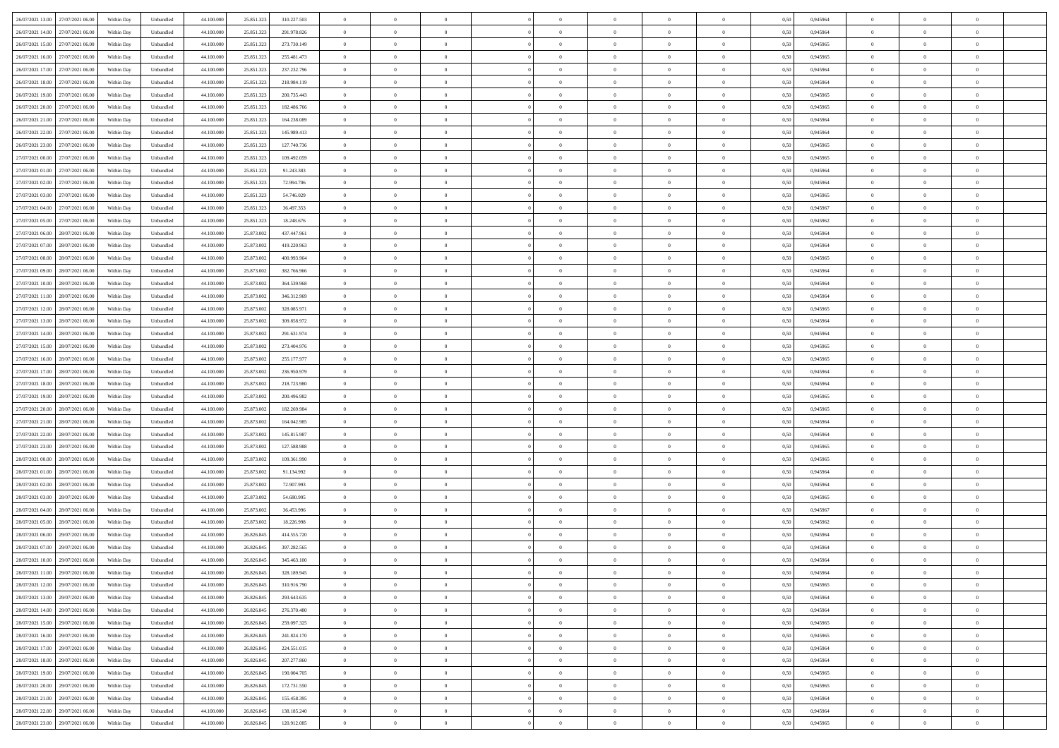|                                      |            |                   |            |            |             | $\overline{0}$ | $\theta$       |                | $\overline{0}$ | $\theta$       |                | $\theta$       |      |          | $\theta$       | $\theta$       | $\overline{0}$ |  |
|--------------------------------------|------------|-------------------|------------|------------|-------------|----------------|----------------|----------------|----------------|----------------|----------------|----------------|------|----------|----------------|----------------|----------------|--|
| 26/07/2021 13:00 27/07/2021 06:00    | Within Day | Unbundled         | 44.100.000 | 25.851.323 | 310.227.503 |                |                |                |                |                |                |                | 0,50 | 0,945964 |                |                |                |  |
| 26/07/2021 14:00<br>27/07/2021 06.00 | Within Day | Unbundled         | 44.100.00  | 25.851.32  | 291.978.826 | $\bf{0}$       | $\overline{0}$ | $\bf{0}$       | $\overline{0}$ | $\overline{0}$ | $\overline{0}$ | $\bf{0}$       | 0,50 | 0,945964 | $\,$ 0 $\,$    | $\bf{0}$       | $\overline{0}$ |  |
| 26/07/2021 15:00<br>27/07/2021 06:00 | Within Day | Unbundled         | 44,100,000 | 25.851.323 | 273.730.149 | $\overline{0}$ | $\bf{0}$       | $\overline{0}$ | $\bf{0}$       | $\bf{0}$       | $\overline{0}$ | $\bf{0}$       | 0.50 | 0.945965 | $\bf{0}$       | $\overline{0}$ | $\overline{0}$ |  |
| 26/07/2021 16:00<br>27/07/2021 06:00 | Within Day | Unbundled         | 44.100.000 | 25.851.323 | 255.481.473 | $\overline{0}$ | $\overline{0}$ | $\overline{0}$ | $\theta$       | $\theta$       | $\overline{0}$ | $\bf{0}$       | 0,50 | 0,945965 | $\theta$       | $\theta$       | $\overline{0}$ |  |
|                                      |            |                   |            |            |             |                |                |                |                |                |                |                |      |          |                |                |                |  |
| 26/07/2021 17:00<br>27/07/2021 06.00 | Within Day | Unbundled         | 44.100.00  | 25.851.32  | 237.232.796 | $\bf{0}$       | $\overline{0}$ | $\bf{0}$       | $\overline{0}$ | $\theta$       | $\overline{0}$ | $\bf{0}$       | 0,50 | 0,945964 | $\,$ 0 $\,$    | $\bf{0}$       | $\overline{0}$ |  |
| 26/07/2021 18:00<br>27/07/2021 06:00 | Within Day | Unbundled         | 44,100,000 | 25.851.32  | 218.984.119 | $\overline{0}$ | $\overline{0}$ | $\overline{0}$ | $\bf{0}$       | $\overline{0}$ | $\theta$       | $\bf{0}$       | 0.50 | 0.945964 | $\bf{0}$       | $\theta$       | $\overline{0}$ |  |
| 26/07/2021 19:00<br>27/07/2021 06:00 | Within Day | Unbundled         | 44.100.000 | 25.851.323 | 200.735.443 | $\overline{0}$ | $\overline{0}$ | $\overline{0}$ | $\overline{0}$ | $\overline{0}$ | $\overline{0}$ | $\bf{0}$       | 0,50 | 0,945965 | $\theta$       | $\theta$       | $\overline{0}$ |  |
|                                      |            |                   |            |            |             |                |                |                |                |                |                |                |      |          |                |                |                |  |
| 26/07/2021 20:00<br>27/07/2021 06.00 | Within Day | Unbundled         | 44.100.00  | 25.851.32  | 182.486.766 | $\bf{0}$       | $\overline{0}$ | $\bf{0}$       | $\overline{0}$ | $\overline{0}$ | $\overline{0}$ | $\bf{0}$       | 0,50 | 0,945965 | $\,$ 0 $\,$    | $\bf{0}$       | $\overline{0}$ |  |
| 26/07/2021 21:00<br>27/07/2021 06:00 | Within Day | Unbundled         | 44,100,00  | 25.851.32  | 164.238.089 | $\overline{0}$ | $\bf{0}$       | $\overline{0}$ | $\bf{0}$       | $\overline{0}$ | $\overline{0}$ | $\bf{0}$       | 0.50 | 0.945964 | $\bf{0}$       | $\overline{0}$ | $\overline{0}$ |  |
| 26/07/2021 22:00<br>27/07/2021 06:00 | Within Day | Unbundled         | 44.100.000 | 25.851.323 | 145.989.413 | $\overline{0}$ | $\bf{0}$       | $\overline{0}$ | $\overline{0}$ | $\overline{0}$ | $\overline{0}$ | $\bf{0}$       | 0,50 | 0,945964 | $\theta$       | $\theta$       | $\overline{0}$ |  |
| 26/07/2021 23:00<br>27/07/2021 06.00 | Within Day | Unbundled         | 44.100.00  | 25.851.323 | 127.740.736 | $\bf{0}$       | $\overline{0}$ | $\bf{0}$       | $\overline{0}$ | $\bf{0}$       | $\overline{0}$ | $\bf{0}$       | 0,50 | 0,945965 | $\,$ 0 $\,$    | $\bf{0}$       | $\overline{0}$ |  |
|                                      |            |                   |            |            |             |                |                |                |                |                |                |                |      |          |                |                |                |  |
| 27/07/2021 00:00<br>27/07/2021 06:00 | Within Day | Unbundled         | 44,100,000 | 25.851.32  | 109.492.059 | $\overline{0}$ | $\bf{0}$       | $\overline{0}$ | $\bf{0}$       | $\bf{0}$       | $\overline{0}$ | $\bf{0}$       | 0.50 | 0.945965 | $\bf{0}$       | $\overline{0}$ | $\bf{0}$       |  |
| 27/07/2021 01:00<br>27/07/2021 06:00 | Within Day | Unbundled         | 44.100.000 | 25.851.323 | 91.243.383  | $\overline{0}$ | $\overline{0}$ | $\overline{0}$ | $\overline{0}$ | $\theta$       | $\overline{0}$ | $\overline{0}$ | 0,50 | 0,945964 | $\theta$       | $\theta$       | $\overline{0}$ |  |
| 27/07/2021 02:00<br>27/07/2021 06.00 | Within Day | Unbundled         | 44.100.00  | 25.851.32  | 72.994.706  | $\bf{0}$       | $\overline{0}$ | $\bf{0}$       | $\overline{0}$ | $\theta$       | $\overline{0}$ | $\bf{0}$       | 0,50 | 0,945964 | $\bf{0}$       | $\bf{0}$       | $\overline{0}$ |  |
| 27/07/2021 03:00<br>27/07/2021 06:00 | Within Day | Unbundled         | 44,100,000 | 25.851.32  | 54,746,029  | $\overline{0}$ | $\overline{0}$ | $\overline{0}$ | $\bf{0}$       | $\overline{0}$ | $\theta$       | $\bf{0}$       | 0.50 | 0.945965 | $\theta$       | $\theta$       | $\overline{0}$ |  |
|                                      |            |                   |            |            |             | $\overline{0}$ | $\overline{0}$ | $\overline{0}$ | $\overline{0}$ | $\overline{0}$ | $\overline{0}$ |                |      |          | $\theta$       | $\theta$       | $\overline{0}$ |  |
| 27/07/2021 04:00<br>27/07/2021 06:00 | Within Day | Unbundled         | 44.100.000 | 25.851.323 | 36.497.353  |                |                |                |                |                |                | $\bf{0}$       | 0,50 | 0,945967 |                |                |                |  |
| 27/07/2021 05:00<br>27/07/2021 06.00 | Within Day | Unbundled         | 44.100.00  | 25.851.32  | 18.248.676  | $\bf{0}$       | $\overline{0}$ | $\bf{0}$       | $\overline{0}$ | $\bf{0}$       | $\overline{0}$ | $\bf{0}$       | 0,50 | 0,945962 | $\,$ 0 $\,$    | $\bf{0}$       | $\overline{0}$ |  |
| 27/07/2021 06:00<br>28/07/2021 06:00 | Within Day | Unbundled         | 44,100,00  | 25.873.00  | 437.447.961 | $\overline{0}$ | $\bf{0}$       | $\overline{0}$ | $\bf{0}$       | $\overline{0}$ | $\overline{0}$ | $\bf{0}$       | 0.50 | 0.945964 | $\bf{0}$       | $\overline{0}$ | $\overline{0}$ |  |
| 27/07/2021 07:00<br>28/07/2021 06:00 | Within Day | Unbundled         | 44.100.000 | 25.873.002 | 419.220.963 | $\overline{0}$ | $\overline{0}$ | $\overline{0}$ | $\overline{0}$ | $\overline{0}$ | $\overline{0}$ | $\bf{0}$       | 0,50 | 0,945964 | $\,$ 0 $\,$    | $\theta$       | $\overline{0}$ |  |
| 27/07/2021 08:00<br>28/07/2021 06.00 | Within Day | Unbundled         | 44.100.00  | 25.873.002 | 400.993.964 | $\bf{0}$       | $\bf{0}$       | $\bf{0}$       | $\bf{0}$       | $\overline{0}$ | $\overline{0}$ | $\bf{0}$       | 0,50 | 0,945965 | $\,$ 0 $\,$    | $\bf{0}$       | $\overline{0}$ |  |
|                                      |            |                   |            |            |             |                |                |                |                |                |                |                |      |          |                |                |                |  |
| 27/07/2021 09:00<br>28/07/2021 06:00 | Within Day | Unbundled         | 44,100,000 | 25.873.002 | 382.766.966 | $\overline{0}$ | $\bf{0}$       | $\overline{0}$ | $\bf{0}$       | $\bf{0}$       | $\overline{0}$ | $\bf{0}$       | 0.50 | 0.945964 | $\bf{0}$       | $\overline{0}$ | $\bf{0}$       |  |
| 27/07/2021 10:00<br>28/07/2021 06:00 | Within Day | Unbundled         | 44.100.000 | 25.873.002 | 364.539.968 | $\overline{0}$ | $\overline{0}$ | $\overline{0}$ | $\theta$       | $\theta$       | $\overline{0}$ | $\bf{0}$       | 0,50 | 0,945964 | $\theta$       | $\theta$       | $\overline{0}$ |  |
| 27/07/2021 11:00<br>28/07/2021 06.00 | Within Day | Unbundled         | 44.100.00  | 25.873.002 | 346.312.969 | $\bf{0}$       | $\overline{0}$ | $\bf{0}$       | $\bf{0}$       | $\bf{0}$       | $\overline{0}$ | $\bf{0}$       | 0,50 | 0,945964 | $\,$ 0 $\,$    | $\bf{0}$       | $\overline{0}$ |  |
| 27/07/2021 12:00<br>28/07/2021 06:00 | Within Day | Unbundled         | 44,100,000 | 25.873.00  | 328,085,971 | $\overline{0}$ | $\overline{0}$ | $\overline{0}$ | $\overline{0}$ | $\overline{0}$ | $\theta$       | $\bf{0}$       | 0.50 | 0.945965 | $\bf{0}$       | $\theta$       | $\overline{0}$ |  |
|                                      |            |                   |            |            |             |                |                |                |                |                |                |                |      |          |                |                |                |  |
| 27/07/2021 13:00<br>28/07/2021 06:00 | Within Day | Unbundled         | 44.100.000 | 25.873.002 | 309.858.972 | $\overline{0}$ | $\overline{0}$ | $\overline{0}$ | $\overline{0}$ | $\overline{0}$ | $\overline{0}$ | $\bf{0}$       | 0,50 | 0,945964 | $\theta$       | $\theta$       | $\overline{0}$ |  |
| 27/07/2021 14:00<br>28/07/2021 06.00 | Within Day | Unbundled         | 44.100.00  | 25.873.00  | 291.631.974 | $\bf{0}$       | $\overline{0}$ | $\bf{0}$       | $\overline{0}$ | $\bf{0}$       | $\overline{0}$ | $\bf{0}$       | 0,50 | 0,945964 | $\,$ 0 $\,$    | $\bf{0}$       | $\overline{0}$ |  |
| 27/07/2021 15:00<br>28/07/2021 06:00 | Within Day | Unbundled         | 44,100,000 | 25.873.00  | 273.404.976 | $\overline{0}$ | $\bf{0}$       | $\overline{0}$ | $\bf{0}$       | $\overline{0}$ | $\overline{0}$ | $\bf{0}$       | 0.50 | 0.945965 | $\bf{0}$       | $\overline{0}$ | $\overline{0}$ |  |
| 27/07/2021 16:00<br>28/07/2021 06:00 | Within Day | Unbundled         | 44.100.000 | 25.873.002 | 255.177.977 | $\overline{0}$ | $\overline{0}$ | $\overline{0}$ | $\overline{0}$ | $\overline{0}$ | $\overline{0}$ | $\bf{0}$       | 0,50 | 0,945965 | $\theta$       | $\theta$       | $\overline{0}$ |  |
|                                      |            |                   |            |            |             |                |                |                |                |                |                |                |      |          |                |                |                |  |
| 27/07/2021 17:00<br>28/07/2021 06.00 | Within Day | Unbundled         | 44.100.00  | 25.873.002 | 236.950.979 | $\bf{0}$       | $\bf{0}$       | $\bf{0}$       | $\bf{0}$       | $\overline{0}$ | $\overline{0}$ | $\bf{0}$       | 0,50 | 0,945964 | $\,$ 0 $\,$    | $\bf{0}$       | $\overline{0}$ |  |
| 27/07/2021 18:00<br>28/07/2021 06:00 | Within Day | Unbundled         | 44,100,000 | 25,873,002 | 218.723.980 | $\overline{0}$ | $\bf{0}$       | $\overline{0}$ | $\bf{0}$       | $\bf{0}$       | $\overline{0}$ | $\bf{0}$       | 0.50 | 0.945964 | $\bf{0}$       | $\overline{0}$ | $\bf{0}$       |  |
| 27/07/2021 19:00<br>28/07/2021 06:00 | Within Day | Unbundled         | 44.100.000 | 25.873.00  | 200.496.982 | $\overline{0}$ | $\overline{0}$ | $\overline{0}$ | $\overline{0}$ | $\overline{0}$ | $\overline{0}$ | $\bf{0}$       | 0.50 | 0.945965 | $\theta$       | $\theta$       | $\overline{0}$ |  |
| 27/07/2021 20:00<br>28/07/2021 06.00 | Within Day | Unbundled         | 44.100.00  | 25.873.00  | 182.269.984 | $\bf{0}$       | $\overline{0}$ | $\bf{0}$       | $\bf{0}$       | $\,$ 0 $\,$    | $\overline{0}$ | $\bf{0}$       | 0,50 | 0,945965 | $\,$ 0 $\,$    | $\bf{0}$       | $\overline{0}$ |  |
| 27/07/2021 21:00<br>28/07/2021 06:00 | Within Day | Unbundled         | 44,100,000 | 25.873.00  | 164.042.985 | $\overline{0}$ | $\overline{0}$ | $\overline{0}$ | $\bf{0}$       | $\overline{0}$ | $\overline{0}$ | $\bf{0}$       | 0.50 | 0.945964 | $\,$ 0 $\,$    | $\theta$       | $\overline{0}$ |  |
|                                      |            |                   |            |            |             |                |                |                |                |                |                |                |      |          |                |                |                |  |
| 27/07/2021 22.00<br>28/07/2021 06:00 | Within Dav | Unbundled         | 44.100.000 | 25.873.002 | 145.815.987 | $\overline{0}$ | $\overline{0}$ | $\overline{0}$ | $\overline{0}$ | $\overline{0}$ | $\overline{0}$ | $\overline{0}$ | 0.50 | 0,945964 | $\theta$       | $\theta$       | $\overline{0}$ |  |
| 27/07/2021 23:00<br>28/07/2021 06:00 | Within Day | Unbundled         | 44.100.00  | 25.873.00  | 127.588.988 | $\bf{0}$       | $\overline{0}$ | $\bf{0}$       | $\bf{0}$       | $\bf{0}$       | $\overline{0}$ | $\bf{0}$       | 0,50 | 0,945965 | $\,$ 0 $\,$    | $\bf{0}$       | $\overline{0}$ |  |
| 28/07/2021 00:00<br>28/07/2021 06:00 | Within Day | Unbundled         | 44,100,00  | 25,873,002 | 109.361.990 | $\overline{0}$ | $\bf{0}$       | $\overline{0}$ | $\bf{0}$       | $\overline{0}$ | $\overline{0}$ | $\bf{0}$       | 0.50 | 0.945965 | $\bf{0}$       | $\overline{0}$ | $\overline{0}$ |  |
| 28/07/2021 01:00<br>28/07/2021 06:00 | Within Dav | Unbundled         | 44.100.000 | 25.873.002 | 91.134.992  | $\overline{0}$ | $\overline{0}$ | $\overline{0}$ | $\overline{0}$ | $\overline{0}$ | $\overline{0}$ | $\overline{0}$ | 0.50 | 0,945964 | $\theta$       | $\theta$       | $\overline{0}$ |  |
|                                      |            |                   |            |            |             |                |                |                |                |                |                |                |      |          |                |                |                |  |
| 28/07/2021 02:00<br>28/07/2021 06.00 | Within Day | Unbundled         | 44.100.00  | 25.873.002 | 72.907.993  | $\bf{0}$       | $\bf{0}$       | $\bf{0}$       | $\bf{0}$       | $\overline{0}$ | $\overline{0}$ | $\bf{0}$       | 0,50 | 0,945964 | $\,$ 0 $\,$    | $\bf{0}$       | $\overline{0}$ |  |
| 28/07/2021 03:00<br>28/07/2021 06:00 | Within Day | Unbundled         | 44,100,000 | 25,873,002 | 54,680,995  | $\overline{0}$ | $\bf{0}$       | $\overline{0}$ | $\bf{0}$       | $\bf{0}$       | $\overline{0}$ | $\bf{0}$       | 0.50 | 0.945965 | $\bf{0}$       | $\overline{0}$ | $\overline{0}$ |  |
| 28/07/2021 04:00<br>28/07/2021 06:00 | Within Dav | Unbundled         | 44.100.000 | 25.873.002 | 36.453.996  | $\overline{0}$ | $\overline{0}$ | $\overline{0}$ | $\overline{0}$ | $\overline{0}$ | $\overline{0}$ | $\bf{0}$       | 0.50 | 0.945967 | $\theta$       | $\theta$       | $\overline{0}$ |  |
| 28/07/2021 05:00<br>28/07/2021 06.00 | Within Day | Unbundled         | 44.100.00  | 25.873.002 | 18.226.998  | $\bf{0}$       | $\overline{0}$ | $\bf{0}$       | $\bf{0}$       | $\overline{0}$ | $\overline{0}$ | $\bf{0}$       | 0,50 | 0,945962 | $\,$ 0 $\,$    | $\bf{0}$       | $\overline{0}$ |  |
| 28/07/2021 06:00<br>29/07/2021 06:00 | Within Day | Unbundled         | 44,100,000 | 26.826.84  | 414.555.720 | $\overline{0}$ | $\overline{0}$ | $\overline{0}$ | $\bf{0}$       | $\overline{0}$ | $\Omega$       | $\bf{0}$       | 0.50 | 0.945964 | $\bf{0}$       | $\theta$       | $\overline{0}$ |  |
|                                      |            |                   |            |            |             |                |                |                |                |                |                |                |      |          |                |                |                |  |
| 28/07/2021 07:00<br>29/07/2021 06:00 | Within Dav | Unbundled         | 44.100.000 | 26.826.845 | 397.282.565 | $\overline{0}$ | $\overline{0}$ | $\Omega$       | $\overline{0}$ | $\theta$       | $\Omega$       | $\overline{0}$ | 0.5( | 0,945964 | $\theta$       | $\theta$       | $\overline{0}$ |  |
| 28/07/2021 10:00<br>29/07/2021 06.00 | Within Day | Unbundled         | 44.100.000 | 26.826.845 | 345.463.100 | $\bf{0}$       | $\bf{0}$       | $\bf{0}$       | $\overline{0}$ | $\bf{0}$       | $\overline{0}$ | $\bf{0}$       | 0,50 | 0,945964 | $\,$ 0 $\,$    | $\bf{0}$       | $\overline{0}$ |  |
| 28/07/2021 11:00 29/07/2021 06:00    | Within Day | ${\sf Unbundred}$ | 44.100.000 | 26.826.845 | 328.189.945 | $\bf{0}$       | $\theta$       |                | $\overline{0}$ |                |                |                | 0,50 | 0.945964 | $\bf{0}$       | $\overline{0}$ |                |  |
| 28/07/2021 12:00 29/07/2021 06:00    | Within Day | Unbundled         | 44.100.000 | 26.826.845 | 310.916.790 | $\overline{0}$ | $\theta$       | $\Omega$       | $\theta$       | $\overline{0}$ | $\overline{0}$ | $\bf{0}$       | 0,50 | 0,945965 | $\theta$       | $\theta$       | $\overline{0}$ |  |
|                                      |            |                   |            |            |             |                |                |                |                |                |                |                |      |          |                |                |                |  |
| 28/07/2021 13:00<br>29/07/2021 06.00 | Within Day | Unbundled         | 44.100.00  | 26.826.845 | 293.643.635 | $\overline{0}$ | $\bf{0}$       | $\overline{0}$ | $\overline{0}$ | $\bf{0}$       | $\overline{0}$ | $\bf{0}$       | 0,50 | 0,945964 | $\bf{0}$       | $\overline{0}$ | $\bf{0}$       |  |
| 28/07/2021 14:00 29/07/2021 06:00    | Within Day | Unbundled         | 44,100,000 | 26.826.845 | 276.370.480 | $\overline{0}$ | $\bf{0}$       | $\overline{0}$ | $\overline{0}$ | $\mathbf{0}$   | $\overline{0}$ | $\bf{0}$       | 0.50 | 0.945964 | $\mathbf{0}$   | $\bf{0}$       | $\,$ 0 $\,$    |  |
| 28/07/2021 15:00 29/07/2021 06:00    | Within Dav | Unbundled         | 44.100.000 | 26.826.845 | 259.097.325 | $\overline{0}$ | $\overline{0}$ | $\overline{0}$ | $\overline{0}$ | $\overline{0}$ | $\overline{0}$ | $\bf{0}$       | 0,50 | 0,945965 | $\theta$       | $\theta$       | $\overline{0}$ |  |
| 28/07/2021 16:00<br>29/07/2021 06.00 | Within Day | Unbundled         | 44.100.000 | 26.826.845 | 241.824.170 | $\overline{0}$ | $\bf{0}$       | $\overline{0}$ | $\bf{0}$       | $\overline{0}$ | $\overline{0}$ | $\bf{0}$       | 0,50 | 0,945965 | $\overline{0}$ | $\overline{0}$ | $\overline{0}$ |  |
| 28/07/2021 17:00<br>29/07/2021 06:00 | Within Day | Unbundled         | 44,100,000 | 26.826.845 | 224.551.015 | $\overline{0}$ | $\bf{0}$       | $\overline{0}$ | $\overline{0}$ | $\overline{0}$ | $\overline{0}$ | $\bf{0}$       | 0.50 | 0.945964 | $\,$ 0 $\,$    | $\theta$       | $\bf{0}$       |  |
|                                      |            |                   |            |            |             |                |                |                |                |                |                |                |      |          |                |                |                |  |
| 28/07/2021 18:00<br>29/07/2021 06:00 | Within Dav | Unbundled         | 44.100.000 | 26.826.845 | 207.277.860 | $\overline{0}$ | $\overline{0}$ | $\overline{0}$ | $\overline{0}$ | $\overline{0}$ | $\overline{0}$ | $\bf{0}$       | 0.50 | 0,945964 | $\overline{0}$ | $\theta$       | $\overline{0}$ |  |
| 28/07/2021 19:00<br>29/07/2021 06.00 | Within Day | Unbundled         | 44.100.00  | 26.826.845 | 190.004.705 | $\overline{0}$ | $\overline{0}$ | $\overline{0}$ | $\overline{0}$ | $\bf{0}$       | $\overline{0}$ | $\bf{0}$       | 0,50 | 0,945965 | $\bf{0}$       | $\overline{0}$ | $\overline{0}$ |  |
| 29/07/2021 06:00<br>28/07/2021 20:00 | Within Day | Unbundled         | 44,100,000 | 26,826,845 | 172.731.550 | $\overline{0}$ | $\overline{0}$ | $\overline{0}$ | $\overline{0}$ | $\bf{0}$       | $\overline{0}$ | $\bf{0}$       | 0.50 | 0.945965 | $\overline{0}$ | $\bf{0}$       | $\,$ 0         |  |
| 28/07/2021 21:00 29/07/2021 06:00    | Within Dav | Unbundled         | 44.100.000 | 26.826.845 | 155.458.395 | $\overline{0}$ | $\overline{0}$ | $\overline{0}$ | $\overline{0}$ | $\overline{0}$ | $\overline{0}$ | $\bf{0}$       | 0,50 | 0,945964 | $\overline{0}$ | $\theta$       | $\overline{0}$ |  |
|                                      |            |                   |            |            |             |                |                |                |                |                |                |                |      |          |                |                |                |  |
| 28/07/2021 22:00<br>29/07/2021 06.00 | Within Day | Unbundled         | 44.100.00  | 26.826.845 | 138.185.240 | $\overline{0}$ | $\bf{0}$       | $\overline{0}$ | $\bf{0}$       | $\overline{0}$ | $\overline{0}$ | $\bf{0}$       | 0,50 | 0,945964 | $\bf{0}$       | $\bf{0}$       | $\overline{0}$ |  |
| 28/07/2021 23:00 29/07/2021 06:00    | Within Day | Unbundled         | 44.100.000 | 26.826.845 | 120.912.085 | $\overline{0}$ | $\bf{0}$       | $\overline{0}$ | $\overline{0}$ | $\,$ 0 $\,$    | $\overline{0}$ | $\bf{0}$       | 0,50 | 0,945965 | $\overline{0}$ | $\,$ 0 $\,$    | $\,$ 0 $\,$    |  |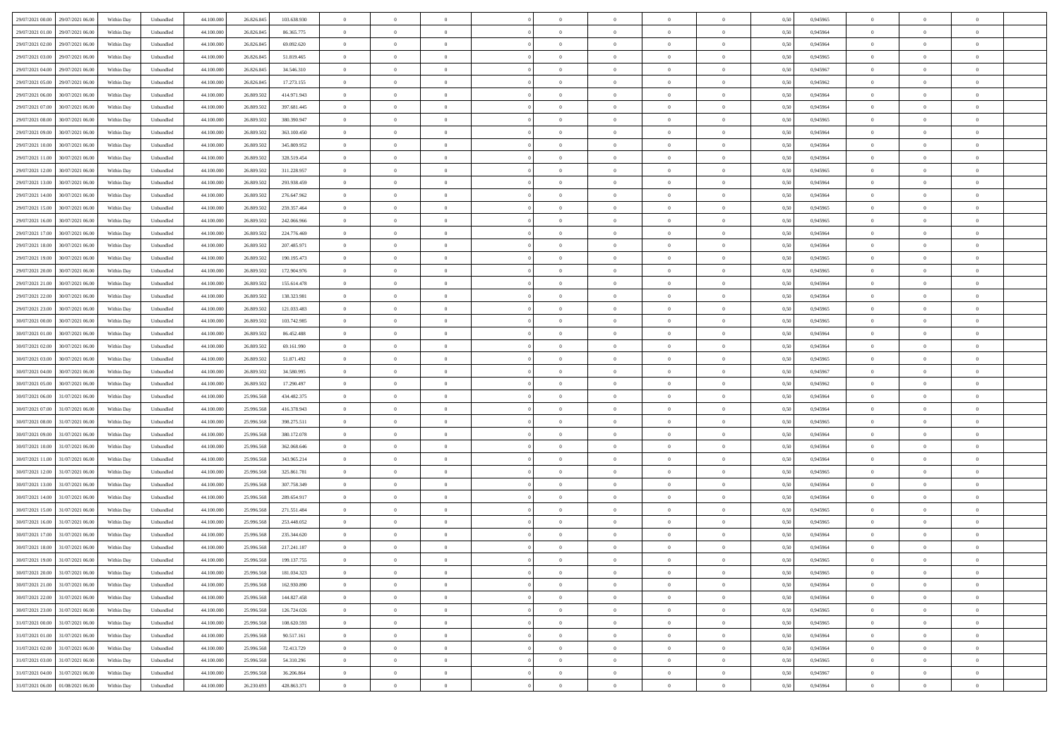| 29/07/2021 06:00<br>29/07/2021 00:00 | Within Day               | Unbundled | 44.100.000 | 26.826.845 | 103.638.930  |                                  |                |                |                |                |                |                | 0,50 | 0,945965 |                                  |                                  |                |  |
|--------------------------------------|--------------------------|-----------|------------|------------|--------------|----------------------------------|----------------|----------------|----------------|----------------|----------------|----------------|------|----------|----------------------------------|----------------------------------|----------------|--|
| 29/07/2021 01:00<br>29/07/2021 06:00 | Within Day               | Unbundled | 44,100,000 | 26.826.845 | 86, 365, 775 | $\overline{0}$                   | $\overline{0}$ | $\overline{0}$ | $\overline{0}$ | $\bf{0}$       | $\overline{0}$ | $\overline{0}$ | 0.50 | 0.945964 | $\overline{0}$                   | $\Omega$                         | $\theta$       |  |
| 29/07/2021 02:00<br>29/07/2021 06:00 | Within Dav               | Unbundled | 44.100.000 | 26.826.845 | 69.092.620   | $\overline{0}$                   | $\overline{0}$ | $\Omega$       | $\theta$       | $\overline{0}$ | $\overline{0}$ | $\theta$       | 0,50 | 0,945964 | $\overline{0}$                   | $\Omega$                         |                |  |
| 29/07/2021 03:00<br>29/07/2021 06.00 | Within Day               | Unbundled | 44.100.00  | 26.826.845 | 51.819.465   | $\overline{0}$                   | $\overline{0}$ | $\overline{0}$ | $\Omega$       | $\bf{0}$       | $\overline{0}$ | $\overline{0}$ | 0,50 | 0,945965 | $\overline{0}$                   | $\overline{0}$                   | $\theta$       |  |
| 29/07/2021 04:00<br>29/07/2021 06:00 | Within Day               | Unbundled | 44,100,000 | 26.826.845 | 34,546,310   | $\overline{0}$                   | $\overline{0}$ | $\overline{0}$ | $\overline{0}$ | $\bf{0}$       | $\overline{0}$ | $\mathbf{0}$   | 0.50 | 0.945967 | $\overline{0}$                   | $\Omega$                         | $\theta$       |  |
| 29/07/2021 05:00<br>29/07/2021 06:00 | Within Dav               | Unbundled | 44.100.000 | 26.826.845 | 17.273.155   | $\overline{0}$                   | $\overline{0}$ | $\overline{0}$ | $\theta$       | $\overline{0}$ | $\overline{0}$ | $\theta$       | 0.50 | 0,945962 | $\overline{0}$                   | $\overline{0}$                   | $\theta$       |  |
| 29/07/2021 06:00<br>30/07/2021 06:00 | Within Day               | Unbundled | 44.100.000 | 26.809.502 | 414.971.943  | $\overline{0}$                   | $\overline{0}$ | $\overline{0}$ | $\Omega$       | $\overline{0}$ | $\bf{0}$       | $\overline{0}$ | 0,50 | 0,945964 | $\overline{0}$                   | $\overline{0}$                   | $\theta$       |  |
| 29/07/2021 07:00<br>30/07/2021 06:00 | Within Day               | Unbundled | 44,100,000 | 26,809,502 | 397.681.445  | $\overline{0}$                   | $\overline{0}$ | $\overline{0}$ | $\overline{0}$ | $\bf{0}$       | $\overline{0}$ | $\overline{0}$ | 0.50 | 0.945964 | $\overline{0}$                   | $\Omega$                         | $\theta$       |  |
| 29/07/2021 08:00<br>30/07/2021 06:00 | Within Dav               | Unbundled | 44.100.000 | 26.809.502 | 380.390.947  | $\overline{0}$                   | $\overline{0}$ | $\Omega$       | $\theta$       | $\overline{0}$ | $\overline{0}$ | $\theta$       | 0,50 | 0,945965 | $\overline{0}$                   | $\overline{0}$                   | $\theta$       |  |
| 29/07/2021 09:00<br>30/07/2021 06:00 | Within Day               | Unbundled | 44.100.00  | 26.809.502 | 363.100.450  | $\overline{0}$                   | $\overline{0}$ | $\overline{0}$ | $\overline{0}$ | $\bf{0}$       | $\overline{0}$ | $\bf{0}$       | 0,50 | 0,945964 | $\overline{0}$                   | $\overline{0}$                   | $\bf{0}$       |  |
| 29/07/2021 10:00<br>30/07/2021 06:00 | Within Day               | Unbundled | 44,100,000 | 26.809.502 | 345.809.952  | $\overline{0}$                   | $\overline{0}$ | $\overline{0}$ | $\overline{0}$ | $\bf{0}$       | $\overline{0}$ | $\mathbf{0}$   | 0.50 | 0.945964 | $\overline{0}$                   | $\overline{0}$                   | $\overline{0}$ |  |
| 29/07/2021 11:00<br>30/07/2021 06:00 | Within Day               | Unbundled | 44.100.000 | 26.809.502 | 328.519.454  | $\overline{0}$                   | $\overline{0}$ | $\Omega$       | $\theta$       | $\overline{0}$ | $\overline{0}$ | $\theta$       | 0,50 | 0,945964 | $\overline{0}$                   | $\overline{0}$                   | $\theta$       |  |
| 29/07/2021 12:00<br>30/07/2021 06:00 | Within Day               | Unbundled | 44.100.000 | 26.809.502 | 311.228.957  | $\overline{0}$                   | $\overline{0}$ | $\overline{0}$ | $\Omega$       | $\overline{0}$ | $\bf{0}$       | $\overline{0}$ | 0,50 | 0,945965 | $\overline{0}$                   | $\overline{0}$                   | $\sqrt{2}$     |  |
| 29/07/2021 13:00<br>30/07/2021 06:00 | Within Day               | Unbundled | 44,100,000 | 26,809,502 | 293.938.459  | $\overline{0}$                   | $\overline{0}$ | $\overline{0}$ | $\Omega$       | $\bf{0}$       | $\overline{0}$ | $\bf{0}$       | 0.50 | 0.945964 | $\overline{0}$                   | $\Omega$                         | $\theta$       |  |
| 29/07/2021 14:00<br>30/07/2021 06:00 | Within Dav               | Unbundled | 44.100.000 | 26.809.502 | 276.647.962  | $\overline{0}$                   | $\overline{0}$ | $\Omega$       | $\theta$       | $\overline{0}$ | $\overline{0}$ | $\theta$       | 0,50 | 0,945964 | $\overline{0}$                   | $\overline{0}$                   | $\theta$       |  |
| 29/07/2021 15:00<br>30/07/2021 06:00 | Within Day               | Unbundled | 44.100.00  | 26.809.502 | 259.357.464  | $\overline{0}$                   | $\overline{0}$ | $\overline{0}$ | $\theta$       | $\bf{0}$       | $\overline{0}$ | $\overline{0}$ | 0,50 | 0,945965 | $\overline{0}$                   | $\bf{0}$                         | $\theta$       |  |
| 29/07/2021 16:00<br>30/07/2021 06:00 |                          | Unbundled | 44,100,000 | 26.809.502 | 242.066.966  |                                  | $\overline{0}$ | $\overline{0}$ | $\overline{0}$ | $\bf{0}$       | $\overline{0}$ | $\mathbf{0}$   | 0.50 | 0.945965 |                                  | $\overline{0}$                   | $\bf{0}$       |  |
| 29/07/2021 17:00<br>30/07/2021 06:00 | Within Day<br>Within Day | Unbundled | 44.100.000 | 26.809.502 | 224.776.469  | $\overline{0}$<br>$\overline{0}$ | $\overline{0}$ | $\Omega$       | $\theta$       | $\overline{0}$ | $\overline{0}$ | $\theta$       | 0,50 | 0,945964 | $\overline{0}$<br>$\overline{0}$ |                                  | $\theta$       |  |
|                                      |                          |           |            |            |              | $\overline{0}$                   | $\overline{0}$ | $\overline{0}$ | $\Omega$       | $\overline{0}$ | $\overline{0}$ | $\overline{0}$ |      |          |                                  | $\overline{0}$<br>$\overline{0}$ | $\theta$       |  |
| 29/07/2021 18:00<br>30/07/2021 06:00 | Within Day               | Unbundled | 44.100.00  | 26.809.502 | 207.485.971  |                                  |                |                |                |                |                |                | 0,50 | 0,945964 | $\overline{0}$                   |                                  |                |  |
| 29/07/2021 19:00<br>30/07/2021 06:00 | Within Day               | Unbundled | 44,100,000 | 26.809.502 | 190.195.473  | $\overline{0}$                   | $\overline{0}$ | $\overline{0}$ | $\overline{0}$ | $\bf{0}$       | $\overline{0}$ | $\overline{0}$ | 0.50 | 0.945965 | $\overline{0}$                   | $\Omega$                         | $\theta$       |  |
| 29/07/2021 20:00<br>30/07/2021 06:00 | Within Dav               | Unbundled | 44.100.000 | 26.809.502 | 172.904.976  | $\overline{0}$                   | $\overline{0}$ | $\Omega$       | $\theta$       | $\overline{0}$ | $\overline{0}$ | $\theta$       | 0.50 | 0,945965 | $\overline{0}$                   | $\overline{0}$                   | $\theta$       |  |
| 29/07/2021 21:00<br>30/07/2021 06:00 | Within Day               | Unbundled | 44.100.000 | 26.809.502 | 155.614.478  | $\overline{0}$                   | $\overline{0}$ | $\overline{0}$ | $\theta$       | $\overline{0}$ | $\bf{0}$       | $\overline{0}$ | 0,50 | 0,945964 | $\overline{0}$                   | $\overline{0}$                   | $\theta$       |  |
| 29/07/2021 22.00<br>30/07/2021 06:00 | Within Day               | Unbundled | 44,100,000 | 26.809.502 | 138.323.981  | $\overline{0}$                   | $\overline{0}$ | $\overline{0}$ | $\overline{0}$ | $\bf{0}$       | $\overline{0}$ | $\mathbf{0}$   | 0.50 | 0.945964 | $\overline{0}$                   | $\Omega$                         | $\bf{0}$       |  |
| 29/07/2021 23:00<br>30/07/2021 06:00 | Within Dav               | Unbundled | 44.100.000 | 26.809.502 | 121.033.483  | $\overline{0}$                   | $\overline{0}$ | $\Omega$       | $\theta$       | $\overline{0}$ | $\overline{0}$ | $\theta$       | 0,50 | 0,945965 | $\overline{0}$                   | $\overline{0}$                   | $\theta$       |  |
| 30/07/2021 00:00<br>30/07/2021 06:00 | Within Day               | Unbundled | 44.100.00  | 26.809.502 | 103.742.985  | $\overline{0}$                   | $\overline{0}$ | $\overline{0}$ | $\Omega$       | $\bf{0}$       | $\overline{0}$ | $\overline{0}$ | 0,50 | 0,945965 | $\overline{0}$                   | $\overline{0}$                   | $\theta$       |  |
| 30/07/2021 01:00<br>30/07/2021 06:00 | Within Day               | Unbundled | 44,100,000 | 26.809.502 | 86.452.488   | $\overline{0}$                   | $\overline{0}$ | $\overline{0}$ | $\overline{0}$ | $\bf{0}$       | $\overline{0}$ | $\mathbf{0}$   | 0.50 | 0.945964 | $\overline{0}$                   | $\overline{0}$                   | $\bf{0}$       |  |
| 30/07/2021 02:00<br>30/07/2021 06:00 | Within Dav               | Unbundled | 44.100.000 | 26.809.502 | 69.161.990   | $\overline{0}$                   | $\overline{0}$ | $\Omega$       | $\theta$       | $\overline{0}$ | $\overline{0}$ | $\theta$       | 0,50 | 0,945964 | $\overline{0}$                   | $\overline{0}$                   |                |  |
| 30/07/2021 03:00<br>30/07/2021 06:00 | Within Day               | Unbundled | 44.100.000 | 26.809.502 | 51.871.492   | $\overline{0}$                   | $\overline{0}$ | $\overline{0}$ | $\Omega$       | $\overline{0}$ | $\overline{0}$ | $\overline{0}$ | 0,50 | 0,945965 | $\overline{0}$                   | $\overline{0}$                   | $\theta$       |  |
| 30/07/2021 04:00<br>30/07/2021 06:00 | Within Day               | Unbundled | 44,100,000 | 26,809.502 | 34.580.995   | $\overline{0}$                   | $\overline{0}$ | $\overline{0}$ | $\overline{0}$ | $\bf{0}$       | $\overline{0}$ | $\overline{0}$ | 0.50 | 0.945967 | $\overline{0}$                   | $\Omega$                         | $\theta$       |  |
| 30/07/2021 05:00<br>30/07/2021 06:00 | Within Dav               | Unbundled | 44.100.000 | 26.809.502 | 17.290.497   | $\overline{0}$                   | $\overline{0}$ | $\Omega$       | $\Omega$       | $\overline{0}$ | $\overline{0}$ | $\theta$       | 0,50 | 0,945962 | $\overline{0}$                   | $\overline{0}$                   | $\theta$       |  |
| 30/07/2021 06:00<br>31/07/2021 06:00 | Within Day               | Unbundled | 44.100.000 | 25.996.568 | 434.482.375  | $\overline{0}$                   | $\overline{0}$ | $\overline{0}$ |                | $\overline{0}$ | $\overline{0}$ | $\overline{0}$ | 0,50 | 0,945964 | $\overline{0}$                   | $\overline{0}$                   |                |  |
| 30/07/2021 07:00<br>31/07/2021 06:00 | Within Day               | Unbundled | 44,100,000 | 25,996,568 | 416.378.943  | $\overline{0}$                   | $\overline{0}$ | $\overline{0}$ | $\overline{0}$ | $\bf{0}$       | $\overline{0}$ | $\mathbf{0}$   | 0.50 | 0.945964 | $\overline{0}$                   | $\overline{0}$                   | $\bf{0}$       |  |
| 30/07/2021 08:00<br>31/07/2021 06:00 | Within Dav               | Unbundled | 44.100.000 | 25.996.568 | 398.275.511  | $\overline{0}$                   | $\overline{0}$ | $\Omega$       | $\theta$       | $\overline{0}$ | $\overline{0}$ | $\theta$       | 0,50 | 0,945965 | $\overline{0}$                   | $\overline{0}$                   | $\theta$       |  |
| 30/07/2021 09:00<br>31/07/2021 06:00 | Within Day               | Unbundled | 44.100.000 | 25.996.568 | 380.172.078  | $\overline{0}$                   | $\overline{0}$ | $\overline{0}$ |                | $\overline{0}$ | $\theta$       | $\overline{0}$ | 0,50 | 0,945964 | $\theta$                         | $\overline{0}$                   |                |  |
| 30/07/2021 10:00<br>31/07/2021 06:00 | Within Day               | Unbundled | 44,100,000 | 25.996.568 | 362.068.646  | $\overline{0}$                   | $\overline{0}$ | $\overline{0}$ | $\overline{0}$ | $\bf{0}$       | $\overline{0}$ | $\mathbf{0}$   | 0.50 | 0.945964 | $\overline{0}$                   | $\Omega$                         | $\theta$       |  |
| 30/07/2021 11:00<br>31/07/2021 06:00 | Within Dav               | Unbundled | 44.100.000 | 25.996.568 | 343.965.214  | $\overline{0}$                   | $\overline{0}$ | $\overline{0}$ | $\theta$       | $\overline{0}$ | $\overline{0}$ | $\theta$       | 0.50 | 0.945964 | $\overline{0}$                   | $\overline{0}$                   | $\theta$       |  |
| 30/07/2021 12:00<br>31/07/2021 06:00 | Within Day               | Unbundled | 44.100.000 | 25.996.568 | 325.861.781  | $\overline{0}$                   | $\overline{0}$ | $\overline{0}$ |                | $\overline{0}$ | $\overline{0}$ | $\overline{0}$ | 0,50 | 0,945965 | $\overline{0}$                   | $\overline{0}$                   |                |  |
| 30/07/2021 13:00<br>31/07/2021 06:00 | Within Day               | Unbundled | 44,100,000 | 25.996.568 | 307.758.349  | $\overline{0}$                   | $\overline{0}$ | $\overline{0}$ | $\overline{0}$ | $\bf{0}$       | $\overline{0}$ | $\mathbf{0}$   | 0.50 | 0.945964 | $\overline{0}$                   | $\overline{0}$                   | $\bf{0}$       |  |
| 30/07/2021 14:00<br>31/07/2021 06:00 | Within Dav               | Unbundled | 44.100.000 | 25.996.568 | 289.654.917  | $\overline{0}$                   | $\overline{0}$ | $\Omega$       | $\theta$       | $\overline{0}$ | $\overline{0}$ | $\theta$       | 0,50 | 0,945964 | $\overline{0}$                   | $\overline{0}$                   | $\theta$       |  |
| 30/07/2021 15:00<br>31/07/2021 06:00 | Within Day               | Unbundled | 44.100.000 | 25.996.568 | 271.551.484  | $\overline{0}$                   | $\overline{0}$ | $\overline{0}$ |                | $\overline{0}$ | $\overline{0}$ | $\overline{0}$ | 0,50 | 0,945965 | $\overline{0}$                   | $\overline{0}$                   |                |  |
| 30/07/2021 16:00<br>31/07/2021 06:00 | Within Day               | Unbundled | 44,100,000 | 25,996,568 | 253.448.052  | $\overline{0}$                   | $\overline{0}$ | $\overline{0}$ | $\overline{0}$ | $\mathbf{0}$   | $\overline{0}$ | $\mathbf{0}$   | 0.50 | 0.945965 | $\overline{0}$                   | $\overline{0}$                   | $\bf{0}$       |  |
| 30/07/2021 17:00<br>31/07/2021 06:00 | Within Dav               | Unbundled | 44.100.000 | 25.996.568 | 235.344.620  | $\overline{0}$                   | $\overline{0}$ | $\Omega$       | $\theta$       | $\overline{0}$ | $\overline{0}$ | $\theta$       | 0.50 | 0,945964 | $\overline{0}$                   | $\overline{0}$                   |                |  |
| 30/07/2021 18:00<br>31/07/2021 06:00 | Within Day               | Unbundled | 44.100.000 | 25.996.568 | 217.241.187  | $\overline{0}$                   | $\overline{0}$ | $\overline{0}$ |                | $\theta$       | $\theta$       |                | 0,50 | 0,945964 | $\theta$                         | $\overline{0}$                   |                |  |
| 30/07/2021 19:00<br>31/07/2021 06:00 | Within Day               | Unbundled | 44,100,000 | 25.996.568 | 199.137.755  | $\overline{0}$                   | $\overline{0}$ | $\overline{0}$ | $\Omega$       | $\bf{0}$       | $\theta$       | $\bf{0}$       | 0.50 | 0.945965 | $\overline{0}$                   | $\Omega$                         | $^{\circ}$     |  |
| 30/07/2021 20:00 31/07/2021 06:00    | Within Day               | Unbundled | 44.100.000 | 25.996.568 | 181.034.323  | $\overline{0}$                   | $\overline{0}$ | $\theta$       | $\Omega$       | $\theta$       | $\Omega$       |                | 0,50 | 0,945965 | $\overline{0}$                   | $\Omega$                         |                |  |
| 30/07/2021 21:00 31/07/2021 06:00    | Within Day               | Unbundled | 44.100.000 | 25.996.568 | 162.930.890  | $\overline{0}$                   | $\overline{0}$ | $\overline{0}$ |                | $\overline{0}$ | $\overline{0}$ | $\overline{0}$ | 0,50 | 0,945964 | $\overline{0}$                   | $\overline{0}$                   |                |  |
| 30/07/2021 22:00<br>31/07/2021 06:00 | Within Day               | Unbundled | 44.100.000 | 25,996,568 | 144.827.458  | $\overline{0}$                   | $\overline{0}$ | $\overline{0}$ | $\overline{0}$ | $\mathbf{0}$   | $\overline{0}$ | $\mathbf{0}$   | 0.50 | 0.945964 | $\overline{0}$                   | $\overline{0}$                   | $\overline{0}$ |  |
| 30/07/2021 23:00 31/07/2021 06:00    | Within Day               | Unbundled | 44.100.000 | 25.996.568 | 126.724.026  | $\overline{0}$                   | $\overline{0}$ | $\overline{0}$ | $\overline{0}$ | $\overline{0}$ | $\overline{0}$ | $\overline{0}$ | 0,50 | 0,945965 | $\overline{0}$                   | $\overline{0}$                   | $\overline{0}$ |  |
| 31/07/2021 00:00<br>31/07/2021 06:00 | Within Day               | Unbundled | 44.100.000 | 25.996.568 | 108.620.593  | $\overline{0}$                   | $\overline{0}$ | $\overline{0}$ | $\overline{0}$ | $\,$ 0         | $\,$ 0 $\,$    | $\overline{0}$ | 0,50 | 0,945965 | $\overline{0}$                   | $\overline{0}$                   | $\overline{0}$ |  |
| 31/07/2021 01:00 31/07/2021 06:00    | Within Day               | Unbundled | 44,100,000 | 25.996.568 | 90.517.161   | $\bf{0}$                         | $\overline{0}$ | $\overline{0}$ | $\overline{0}$ | $\mathbf{0}$   | $\overline{0}$ | $\bf{0}$       | 0.50 | 0.945964 | $\overline{0}$                   | $\overline{0}$                   | $\overline{0}$ |  |
| 31/07/2021 02:00 31/07/2021 06:00    | Within Day               | Unbundled | 44.100.000 | 25.996.568 | 72.413.729   | $\overline{0}$                   | $\overline{0}$ | $\overline{0}$ | $\overline{0}$ | $\overline{0}$ | $\overline{0}$ | $\bf{0}$       | 0,50 | 0,945964 | $\overline{0}$                   | $\overline{0}$                   | $\overline{0}$ |  |
| 31/07/2021 03:00<br>31/07/2021 06:00 | Within Day               | Unbundled | 44.100.000 | 25.996.568 | 54.310.296   | $\overline{0}$                   | $\overline{0}$ | $\overline{0}$ | $\overline{0}$ | $\,$ 0         | $\overline{0}$ | $\overline{0}$ | 0,50 | 0,945965 | $\overline{0}$                   | $\overline{0}$                   | $\overline{0}$ |  |
| 31/07/2021 04:00<br>31/07/2021 06:00 | Within Day               | Unbundled | 44.100.000 | 25.996.568 | 36.206.864   | $\overline{0}$                   | $\overline{0}$ | $\overline{0}$ | $\overline{0}$ | $\mathbf{0}$   | $\overline{0}$ | $\overline{0}$ | 0.50 | 0.945967 | $\overline{0}$                   | $\overline{0}$                   | $\overline{0}$ |  |
| 31/07/2021 06:00 01/08/2021 06:00    | Within Day               | Unbundled | 44.100.000 | 26.230.693 | 428.863.371  | $\overline{0}$                   | $\overline{0}$ | $\overline{0}$ | $\overline{0}$ | $\mathbf{0}$   | $\overline{0}$ | $\bf{0}$       | 0,50 | 0,945964 | $\overline{0}$                   | $\overline{0}$                   | $\bf{0}$       |  |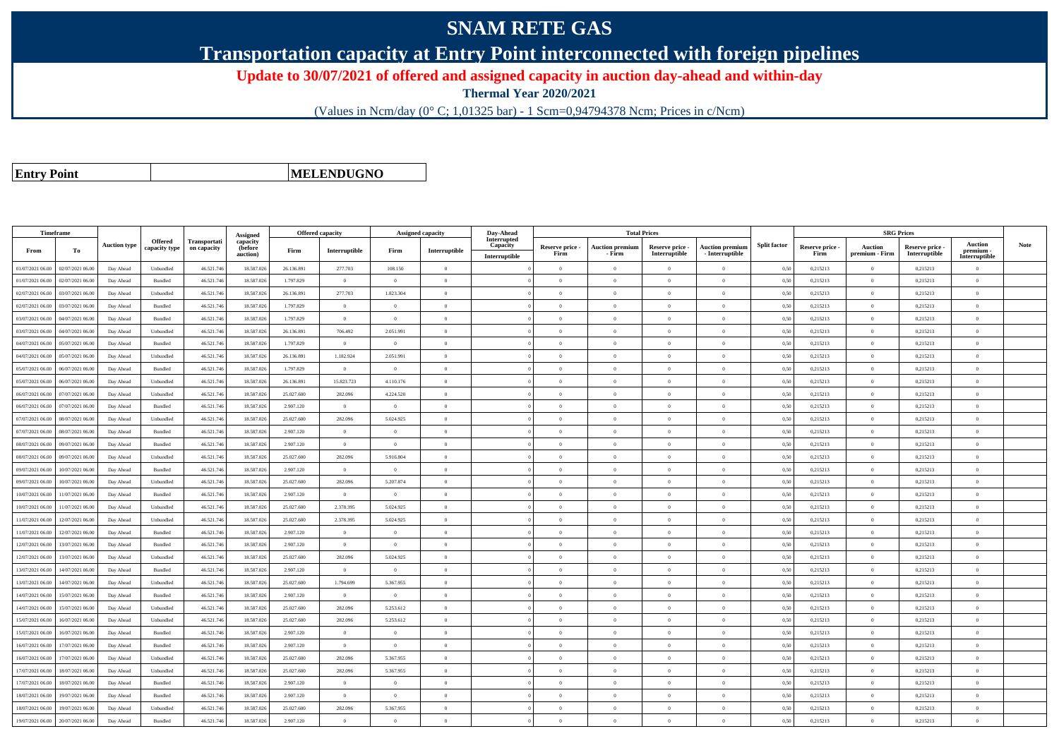## **SNAM RETE GAS**

**Transportation capacity at Entry Point interconnected with foreign pipelines**

**Update to 30/07/2021 of offered and assigned capacity in auction day-ahead and within-day**

**Thermal Year 2020/2021**

(Values in Ncm/day (0° C; 1,01325 bar) - 1 Scm=0,94794378 Ncm; Prices in c/Ncm)

**Entry Point**

**MELENDUGNO**

| Timeframe        |                  |                     |                                 |                             | Assigned                        | <b>Offered capacity</b> |                |                | Assigned capacity | Day-Ahead                                |                         | <b>Total Prices</b>              |                                  |                                           |                     |                         | <b>SRG</b> Prices                |                                  |                                              |             |
|------------------|------------------|---------------------|---------------------------------|-----------------------------|---------------------------------|-------------------------|----------------|----------------|-------------------|------------------------------------------|-------------------------|----------------------------------|----------------------------------|-------------------------------------------|---------------------|-------------------------|----------------------------------|----------------------------------|----------------------------------------------|-------------|
| From             | To               | <b>Auction type</b> | <b>Offered</b><br>capacity type | Transportati<br>on capacity | capacity<br>(before<br>auction) | Firm                    | Interruptible  | Firm           | Interruptible     | Interrupted<br>Capacity<br>Interruptible | Reserve price -<br>Firm | <b>Auction premium</b><br>- Firm | Reserve price -<br>Interruptible | <b>Auction premium</b><br>- Interruptible | <b>Split factor</b> | Reserve price -<br>Firm | <b>Auction</b><br>premium - Firm | Reserve price -<br>Interruptible | <b>Auction</b><br>premium -<br>Interruptible | <b>Note</b> |
| 01/07/2021 06:00 | 02/07/2021 06:00 | Day Ahead           | Unbundled                       | 46.521.74                   | 18.587.026                      | 26.136.891              | 277.703        | 108,150        | $\Omega$          |                                          | $\Omega$                | $\theta$                         | $\Omega$                         | $\theta$                                  | 0.50                | 0,215213                | $\overline{0}$                   | 0,215213                         | $\theta$                                     |             |
| 01/07/2021 06:00 | 02/07/2021 06:00 | Day Ahead           | Bundled                         | 46.521.74                   | 18.587.026                      | 1.797.829               | $\mathbf{0}$   | $\theta$       | $\Omega$          |                                          | $\Omega$                | $\theta$                         | $\theta$                         | $\theta$                                  | 0,50                | 0,215213                | $\overline{0}$                   | 0,215213                         | $\mathbf{0}$                                 |             |
| 02/07/2021 06:00 | 03/07/2021 06:00 | Day Ahead           | Unbundled                       | 46.521.746                  | 18.587.026                      | 26.136.891              | 277,703        | 1.823.304      | $\theta$          |                                          | $\theta$                | $\theta$                         | $\theta$                         | $\theta$                                  | 0.50                | 0,215213                | $\overline{0}$                   | 0.215213                         | $\theta$                                     |             |
| 02/07/2021 06:00 | 03/07/2021 06:00 | Day Ahead           | Bundled                         | 46.521.746                  | 18,587,026                      | 1.797.829               | $\overline{0}$ | $\theta$       | $\overline{0}$    |                                          | $\overline{0}$          | $\overline{0}$                   | $\overline{0}$                   | $\overline{0}$                            | 0.50                | 0.215213                | $\overline{0}$                   | 0.215213                         | $\overline{0}$                               |             |
| 03/07/2021 06:00 | 04/07/2021 06.0  | Day Ahead           | Bundled                         | 46.521.74                   | 18.587.026                      | 1.797.829               | $\overline{0}$ | $\overline{0}$ | $\theta$          |                                          | $\theta$                | $\theta$                         | $\overline{0}$                   | $\overline{0}$                            | 0,50                | 0,215213                | $\overline{0}$                   | 0,215213                         | $\mathbf{0}$                                 |             |
| 03/07/2021 06:00 | 04/07/2021 06:00 | Day Ahead           | Unbundled                       | 46.521.746                  | 18.587.026                      | 26.136.891              | 706.492        | 2.051.991      | $\Omega$          |                                          | $\Omega$                | $\theta$                         | $\Omega$                         | $\overline{0}$                            | 0,50                | 0,215213                | $\overline{0}$                   | 0,215213                         | $\Omega$                                     |             |
| 04/07/2021 06:00 | 05/07/2021 06.00 | Day Ahead           | Bundled                         | 46.521.746                  | 18.587.026                      | 1.797.829               | $\overline{0}$ | $\Omega$       | $\Omega$          |                                          | $\Omega$                | $\theta$                         | $\overline{0}$                   | $\Omega$                                  | 0,50                | 0,215213                | $\overline{0}$                   | 0,215213                         | $\Omega$                                     |             |
| 04/07/2021 06:00 | 05/07/2021 06:00 | Day Ahead           | Unbundled                       | 46.521.74                   | 18.587.026                      | 26.136.891              | 1.182.924      | 2.051.991      | $\Omega$          |                                          | $\Omega$                |                                  | $\Omega$                         | $\theta$                                  | 0,50                | 0,215213                | $\Omega$                         | 0,215213                         | $\theta$                                     |             |
| 05/07/2021 06:00 | 06/07/2021 06:00 | Day Ahead           | Bundled                         | 46.521.746                  | 18.587.026                      | 1.797.829               | $\overline{0}$ | $\overline{0}$ | $\theta$          |                                          | $\theta$                | $\Omega$                         | $\overline{0}$                   | $\theta$                                  | 0,50                | 0,215213                | $\overline{0}$                   | 0,215213                         | $\theta$                                     |             |
| 05/07/2021 06:00 | 06/07/2021 06:00 | Day Ahead           | Unbundled                       | 46.521.746                  | 18.587.026                      | 26.136.891              | 15.823.723     | 4.110.176      | $\theta$          |                                          | $\theta$                | $\theta$                         | $\theta$                         | $\theta$                                  | 0.50                | 0,215213                | $\theta$                         | 0,215213                         | $\theta$                                     |             |
| 06/07/2021 06:00 | 07/07/2021 06:00 | Day Ahead           | Unbundled                       | 46.521.746                  | 18,587,026                      | 25.027.600              | 282.096        | 4.224.520      | $\theta$          |                                          | $\theta$                | $\theta$                         | $\overline{0}$                   | $\mathbf{0}$                              | 0.50                | 0.215213                | $\overline{0}$                   | 0.215213                         | $\theta$                                     |             |
| 06/07/2021 06:00 | 07/07/2021 06:00 | Day Ahead           | Bundled                         | 46.521.74                   | 18.587.026                      | 2.907.120               | $\overline{0}$ | $\overline{0}$ | $\Omega$          |                                          | $\Omega$                | $\theta$                         | $\overline{0}$                   | $\overline{0}$                            | 0,50                | 0,215213                | $\overline{0}$                   | 0,215213                         | $\Omega$                                     |             |
| 07/07/2021 06:00 | 08/07/2021 06:00 | Day Ahead           | Unbundled                       | 46.521.746                  | 18.587.026                      | 25.027.600              | 282.096        | 5.024.925      | $\Omega$          |                                          | $\Omega$                | $\theta$                         | $\overline{0}$                   | $\mathbf{0}$                              | 0,50                | 0,215213                | $\overline{0}$                   | 0,215213                         | $\theta$                                     |             |
| 07/07/2021 06:00 | 08/07/2021 06:00 | Day Ahead           | Bundled                         | 46.521.746                  | 18,587,026                      | 2.907.120               | $\theta$       | $\theta$       | $\Omega$          |                                          | $\theta$                | $\theta$                         | $\Omega$                         | $\theta$                                  | 0.50                | 0,215213                | $\overline{0}$                   | 0,215213                         | $\theta$                                     |             |
| 08/07/2021 06:00 | 09/07/2021 06.0  | Day Ahead           | Bundled                         | 46.521.74                   | 18.587.026                      | 2.907.120               | $\mathbf{0}$   | $\theta$       | $\Omega$          |                                          | $\Omega$                | $\theta$                         | $\overline{0}$                   | $\mathbf{0}$                              | 0,50                | 0,215213                | $\overline{0}$                   | 0,215213                         | $\mathbf{0}$                                 |             |
| 08/07/2021 06:00 | 09/07/2021 06:00 | Day Ahead           | Unbundled                       | 46.521.746                  | 18.587.026                      | 25.027.600              | 282.096        | 5.916.804      | $\theta$          |                                          | $\Omega$                | $\theta$                         | $\theta$                         | $\theta$                                  | 0.50                | 0,215213                | $\overline{0}$                   | 0.215213                         | $\theta$                                     |             |
| 09/07/2021 06:00 | 10/07/2021 06:00 | Day Ahead           | Bundled                         | 46.521.746                  | 18,587,026                      | 2.907.120               | $\overline{0}$ | $\Omega$       | $\Omega$          |                                          | $\Omega$                | $\theta$                         | $\overline{0}$                   | $\theta$                                  | 0.50                | 0,215213                | $\overline{0}$                   | 0.215213                         | $\theta$                                     |             |
| 09/07/2021 06:00 | 10/07/2021 06.00 | Day Ahead           | Unbundled                       | 46.521.74                   | 18.587.026                      | 25.027.600              | 282.096        | 5.207.874      | $\theta$          |                                          | $\theta$                | $\theta$                         | $\overline{0}$                   | $\mathbf{0}$                              | 0.50                | 0,215213                | $\overline{0}$                   | 0.215213                         | $\theta$                                     |             |
| 10/07/2021 06:00 | 11/07/2021 06:00 | Day Ahead           | Bundled                         | 46.521.746                  | 18.587.026                      | 2.907.120               | $\overline{0}$ | $\overline{0}$ | $\theta$          |                                          | $\Omega$                | $\theta$                         | $\overline{0}$                   | $\overline{0}$                            | 0,50                | 0,215213                | $\overline{0}$                   | 0,215213                         | $\mathbf{0}$                                 |             |
| 10/07/2021 06:00 | 11/07/2021 06:00 | Day Ahead           | Unbundled                       | 46.521.746                  | 18.587.026                      | 25.027.600              | 2.378.395      | 5.024.925      | $\Omega$          |                                          | $\Omega$                | $\theta$                         | $\overline{0}$                   | $\Omega$                                  | 0,50                | 0,215213                | $\overline{0}$                   | 0,215213                         | $\Omega$                                     |             |
| 11/07/2021 06:00 | 12/07/2021 06:00 | Day Ahead           | Unbundled                       | 46.521.74                   | 18.587.026                      | 25.027.600              | 2.378.395      | 5.024.925      | $\Omega$          |                                          | $\Omega$                |                                  | $\Omega$                         | $\theta$                                  | 0,50                | 0,215213                | $\Omega$                         | 0,215213                         | $\theta$                                     |             |
| 11/07/2021 06:00 | 12/07/2021 06:00 | Day Ahead           | Bundled                         | 46.521.746                  | 18.587.026                      | 2.907.120               | $\overline{0}$ | $\overline{0}$ | $\theta$          |                                          | $\overline{0}$          | $\sqrt{2}$                       | $\overline{0}$                   | $\overline{0}$                            | 0,50                | 0,215213                | $\overline{0}$                   | 0,215213                         | $\mathbf{0}$                                 |             |
| 12/07/2021 06:00 | 13/07/2021 06:00 | Day Ahead           | Bundled                         | 46.521.746                  | 18.587.026                      | 2.907.120               | $\overline{0}$ | $\theta$       | $\theta$          |                                          | $\Omega$                | $\theta$                         | $\overline{0}$                   | $\overline{0}$                            | 0,50                | 0,215213                | $\overline{0}$                   | 0,215213                         | $\mathbf{0}$                                 |             |
| 12/07/2021 06:00 | 13/07/2021 06:00 | Day Ahead           | Unbundled                       | 46.521.746                  | 18,587,026                      | 25.027.600              | 282.096        | 5.024.925      | $\Omega$          |                                          | $\Omega$                |                                  | $\Omega$                         | $\theta$                                  | 0.50                | 0.215213                | $\theta$                         | 0.215213                         | $\theta$                                     |             |
| 13/07/2021 06:00 | 14/07/2021 06.00 | Day Ahead           | Bundled                         | 46.521.74                   | 18.587.026                      | 2.907.120               | $\overline{0}$ | $\overline{0}$ | $\overline{0}$    |                                          | $\Omega$                | $\theta$                         | $\overline{0}$                   | $\overline{0}$                            | 0.50                | 0,215213                | $\overline{0}$                   | 0,215213                         | $\Omega$                                     |             |
| 13/07/2021 06:00 | 14/07/2021 06:00 | Day Ahead           | Unbundled                       | 46.521.746                  | 18.587.026                      | 25.027.600              | 1.794.699      | 5.367.955      | $\theta$          |                                          | $\theta$                | $\theta$                         | $\overline{0}$                   | $\mathbf{0}$                              | 0,50                | 0,215213                | $\overline{0}$                   | 0,215213                         | $\mathbf{0}$                                 |             |
| 14/07/2021 06:00 | 15/07/2021 06:00 | Day Ahead           | <b>Bundled</b>                  | 46.521.746                  | 18,587,026                      | 2.907.120               | $\overline{0}$ | $\Omega$       | $\Omega$          |                                          | $\Omega$                | $\theta$                         | $\Omega$                         | $\Omega$                                  | 0.50                | 0,215213                | $\overline{0}$                   | 0,215213                         | $\Omega$                                     |             |
| 14/07/2021 06:00 | 15/07/2021 06.0  | Day Ahead           | Unbundled                       | 46.521.74                   | 18.587.026                      | 25.027.600              | 282.096        | 5.253.612      | $\theta$          |                                          | $\Omega$                | $\theta$                         | $\overline{0}$                   | $\theta$                                  | 0,50                | 0,215213                | $\overline{0}$                   | 0,215213                         | $\mathbf{0}$                                 |             |
| 15/07/2021 06:00 | 16/07/2021 06:00 | Day Ahead           | Unbundled                       | 46.521.746                  | 18.587.026                      | 25.027.600              | 282.096        | 5.253.612      | $\Omega$          |                                          | $\Omega$                | $\theta$                         | $\overline{0}$                   | $\overline{0}$                            | 0,50                | 0,215213                | $\overline{0}$                   | 0,215213                         | $\Omega$                                     |             |
| 15/07/2021 06:00 | 16/07/2021 06:00 | Day Ahead           | Bundled                         | 46.521.746                  | 18.587.026                      | 2.907.120               | $\overline{0}$ | $\Omega$       | $\theta$          |                                          | $\Omega$                | $\theta$                         | $\theta$                         | $\Omega$                                  | 0.50                | 0,215213                | $\overline{0}$                   | 0,215213                         | $\Omega$                                     |             |
| 16/07/2021 06:00 | 7/07/2021 06:00  | Day Ahead           | Bundled                         | 46.521.74                   | 18.587.026                      | 2.907.120               | $\overline{0}$ | $\theta$       | $\theta$          |                                          | $\theta$                | $\theta$                         | $\theta$                         | $\theta$                                  | 0.50                | 0,215213                | $\theta$                         | 0.215213                         | $\theta$                                     |             |
| 16/07/2021 06:00 | 17/07/2021 06:00 | Day Ahead           | Unbundled                       | 46.521.746                  | 18.587.026                      | 25.027.600              | 282.096        | 5.367.955      | $\theta$          |                                          | $\theta$                | $\theta$                         | $\overline{0}$                   | $\overline{0}$                            | 0,50                | 0,215213                | $\overline{0}$                   | 0,215213                         | $\mathbf{0}$                                 |             |
| 17/07/2021 06:00 | 18/07/2021 06:00 | Day Ahead           | Unbundled                       | 46.521.746                  | 18.587.026                      | 25.027.600              | 282.096        | 5.367.955      | $\Omega$          |                                          | $\Omega$                | $\theta$                         | $\overline{0}$                   | $\Omega$                                  | 0,50                | 0,215213                | $\overline{0}$                   | 0,215213                         | $\Omega$                                     |             |
| 17/07/2021 06:00 | 18/07/2021 06:00 | Day Ahead           | Bundled                         | 46.521.74                   | 18.587.026                      | 2.907.120               | $\Omega$       |                | $\theta$          |                                          | $\Omega$                |                                  | $\Omega$                         | $\theta$                                  | 0,50                | 0,215213                | $\Omega$                         | 0,215213                         | $\theta$                                     |             |
| 18/07/2021 06:00 | 19/07/2021 06.0  | Day Ahead           | Bundled                         | 46.521.746                  | 18.587.026                      | 2.907.120               | $\overline{0}$ | $\overline{0}$ | $\theta$          |                                          | $\Omega$                | $\theta$                         | $\overline{0}$                   | $\overline{0}$                            | 0,50                | 0,215213                | $\overline{0}$                   | 0,215213                         | $\overline{0}$                               |             |
| 18/07/2021 06:00 | 19/07/2021 06:00 | Day Ahead           | Unbundled                       | 46.521.746                  | 18.587.026                      | 25.027.600              | 282.096        | 5.367.955      | $\theta$          |                                          | $\Omega$                | $\theta$                         | $\overline{0}$                   | $\mathbf{0}$                              | 0,50                | 0,215213                | $\overline{0}$                   | 0,215213                         | $\mathbf{0}$                                 |             |
| 19/07/2021 06:00 | 20/07/2021 06:00 | Day Ahead           | Bundled                         | 46.521.746                  | 18,587,026                      | 2.907.120               | $\theta$       |                | $\Omega$          |                                          | $\Omega$                |                                  | $\Omega$                         |                                           | 0.50                | 0.215213                | $\theta$                         | 0.215213                         | $\theta$                                     |             |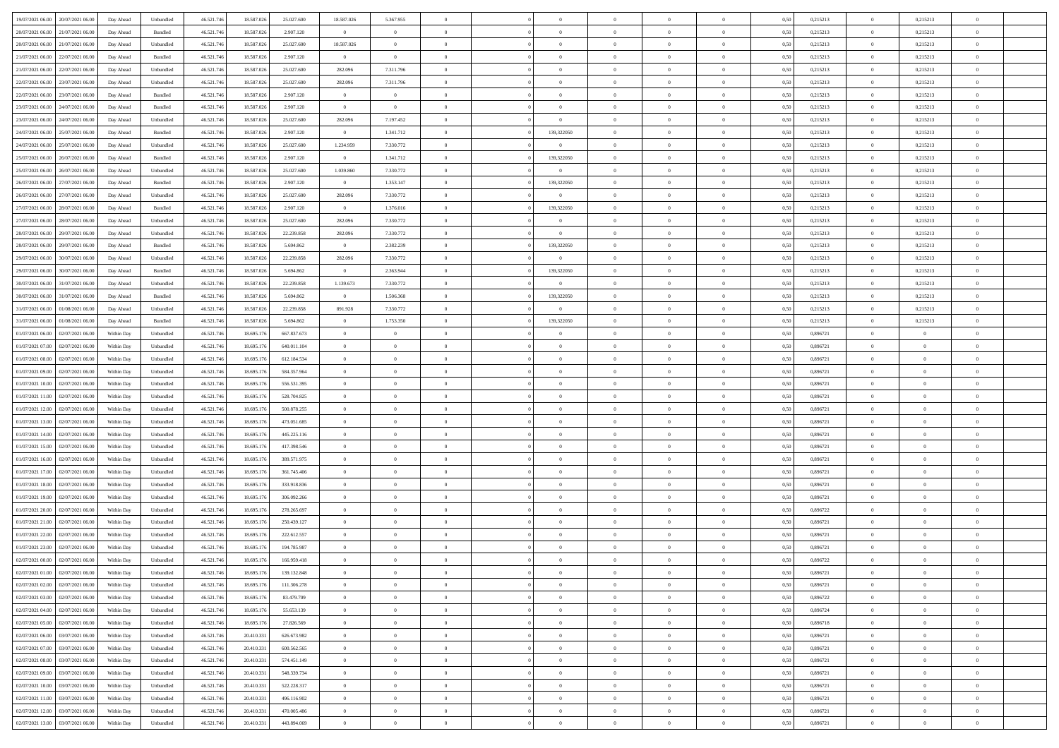| 19/07/2021 06:00                  | 20/07/2021 06:00 | Day Ahead  | Unbundled | 46.521.746 | 18.587.026 | 25.027.600  | 18.587.026     | 5.367.955      |                |                | $\overline{0}$ | $\overline{0}$ | $\overline{0}$ | 0,50 | 0,215213 | $\overline{0}$ | 0,215213       | $\overline{0}$ |  |
|-----------------------------------|------------------|------------|-----------|------------|------------|-------------|----------------|----------------|----------------|----------------|----------------|----------------|----------------|------|----------|----------------|----------------|----------------|--|
| 20/07/2021 06:00                  | 21/07/2021 06.00 | Day Ahead  | Bundled   | 46.521.746 | 18.587.026 | 2.907.120   | $\overline{0}$ | $\overline{0}$ | $\overline{0}$ | $\Omega$       | $\bf{0}$       | $\overline{0}$ | $\bf{0}$       | 0,50 | 0,215213 | $\bf{0}$       | 0,215213       | $\,$ 0         |  |
|                                   |                  |            |           |            |            |             |                |                |                |                |                |                |                |      |          |                |                |                |  |
| 20/07/2021 06:00                  | 21/07/2021 06:00 | Day Ahead  | Unbundled | 46.521.746 | 18.587.026 | 25.027.600  | 18.587.026     | $\overline{0}$ | $\overline{0}$ | $\overline{0}$ | $\,$ 0         | $\overline{0}$ | $\mathbf{0}$   | 0.50 | 0,215213 | $\overline{0}$ | 0,215213       | $\bf{0}$       |  |
| 21/07/2021 06:00                  | 22/07/2021 06:00 | Day Ahead  | Bundled   | 46.521.746 | 18.587.026 | 2.907.120   | $\overline{0}$ | $\overline{0}$ | $\overline{0}$ | $\overline{0}$ | $\bf{0}$       | $\overline{0}$ | $\theta$       | 0,50 | 0,215213 | $\,0\,$        | 0,215213       | $\overline{0}$ |  |
| 21/07/2021 06:00                  | 22/07/2021 06.00 | Day Ahead  | Unbundled | 46.521.746 | 18.587.026 | 25.027.600  | 282.096        | 7.311.796      | $\Omega$       |                | $\bf{0}$       | $\overline{0}$ | $\bf{0}$       | 0,50 | 0,215213 | $\bf{0}$       | 0,215213       | $\overline{0}$ |  |
| 22/07/2021 06:00                  | 23/07/2021 06:00 | Day Ahead  | Unbundled | 46.521.746 | 18.587.026 | 25.027.600  | 282.096        | 7.311.796      | $\overline{0}$ | $\Omega$       | $\bf{0}$       | $\overline{0}$ | $\bf{0}$       | 0.50 | 0,215213 | $\,$ 0         | 0.215213       | $\bf{0}$       |  |
| 22/07/2021 06:00                  | 23/07/2021 06:00 | Day Ahead  | Bundled   | 46.521.746 | 18.587.026 | 2.907.120   | $\overline{0}$ | $\overline{0}$ | $\overline{0}$ | $\overline{0}$ | $\bf{0}$       | $\overline{0}$ | $\theta$       | 0,50 | 0,215213 | $\,$ 0 $\,$    | 0,215213       | $\overline{0}$ |  |
| 23/07/2021 06:00                  | 24/07/2021 06.00 | Day Ahead  | Bundled   | 46.521.746 | 18.587.026 | 2.907.120   | $\overline{0}$ | $\overline{0}$ | $\overline{0}$ |                | $\bf{0}$       | $\overline{0}$ | $\bf{0}$       | 0,50 | 0,215213 | $\bf{0}$       | 0,215213       | $\bf{0}$       |  |
| 23/07/2021 06:00                  | 24/07/2021 06:00 | Day Ahead  | Unbundled | 46.521.746 | 18.587.026 | 25.027.600  | 282.096        | 7.197.452      | $\overline{0}$ | $\Omega$       | $\overline{0}$ | $\overline{0}$ | $\bf{0}$       | 0.50 | 0,215213 | $\bf{0}$       | 0.215213       | $\bf{0}$       |  |
| 24/07/2021 06:00                  | 25/07/2021 06:00 | Day Ahead  | Bundled   | 46.521.746 | 18.587.026 | 2.907.120   | $\overline{0}$ | 1.341.712      | $\overline{0}$ | 139,322050     | $\bf{0}$       | $\overline{0}$ | $\bf{0}$       | 0,50 | 0,215213 | $\bf{0}$       | 0,215213       | $\overline{0}$ |  |
| 24/07/2021 06:00                  | 25/07/2021 06.00 | Day Ahead  | Unbundled | 46.521.746 | 18.587.026 | 25.027.600  | 1.234.959      | 7.330.772      | $\overline{0}$ | $\Omega$       | $\bf{0}$       | $\overline{0}$ | $\bf{0}$       | 0,50 | 0,215213 | $\bf{0}$       | 0,215213       | $\,$ 0         |  |
|                                   |                  |            |           |            |            |             |                |                |                |                |                |                |                |      |          |                |                |                |  |
| 25/07/2021 06:00                  | 26/07/2021 06:00 | Day Ahead  | Bundled   | 46.521.746 | 18.587.026 | 2.907.120   | $\overline{0}$ | 1.341.712      | $\overline{0}$ | 139,322050     | $\bf{0}$       | $\overline{0}$ | $\overline{0}$ | 0.50 | 0,215213 | $\,$ 0 $\,$    | 0.215213       | $\bf{0}$       |  |
| 25/07/2021 06:00                  | 26/07/2021 06:00 | Day Ahead  | Unbundled | 46.521.746 | 18.587.026 | 25.027.600  | 1.039.860      | 7.330.772      | $\overline{0}$ | $\overline{0}$ | $\overline{0}$ | $\overline{0}$ | $\theta$       | 0,50 | 0,215213 | $\,$ 0 $\,$    | 0,215213       | $\overline{0}$ |  |
| 26/07/2021 06:00                  | 27/07/2021 06.00 | Day Ahead  | Bundled   | 46.521.746 | 18.587.026 | 2.907.120   | $\overline{0}$ | 1.353.147      | $\overline{0}$ | 139,322050     | $\bf{0}$       | $\overline{0}$ | $\bf{0}$       | 0,50 | 0,215213 | $\bf{0}$       | 0,215213       | $\overline{0}$ |  |
| 26/07/2021 06:00                  | 27/07/2021 06:00 | Day Ahead  | Unbundled | 46.521.746 | 18.587.026 | 25.027.600  | 282.096        | 7.330.772      | $\overline{0}$ | $\Omega$       | $\bf{0}$       | $\overline{0}$ | $\bf{0}$       | 0.50 | 0,215213 | $\bf{0}$       | 0.215213       | $\bf{0}$       |  |
| 27/07/2021 06:00                  | 28/07/2021 06:00 | Day Ahead  | Bundled   | 46.521.746 | 18.587.026 | 2.907.120   | $\overline{0}$ | 1.376.016      | $\overline{0}$ | 139,322050     | $\overline{0}$ | $\overline{0}$ | $\theta$       | 0,50 | 0,215213 | $\,$ 0 $\,$    | 0,215213       | $\overline{0}$ |  |
| 27/07/2021 06:00                  | 28/07/2021 06.00 | Day Ahead  | Unbundled | 46.521.746 | 18.587.026 | 25.027.600  | 282.096        | 7.330.772      | $\overline{0}$ |                | $\bf{0}$       | $\overline{0}$ | $\bf{0}$       | 0,50 | 0,215213 | $\bf{0}$       | 0,215213       | $\bf{0}$       |  |
| 28/07/2021 06:00                  | 29/07/2021 06:00 | Day Ahead  | Unbundled | 46.521.746 | 18.587.026 | 22.239.858  | 282.096        | 7.330.772      | $\overline{0}$ | $\Omega$       | $\overline{0}$ | $\overline{0}$ | $\bf{0}$       | 0.50 | 0.215213 | $\bf{0}$       | 0.215213       | $\bf{0}$       |  |
| 28/07/2021 06:00                  | 29/07/2021 06:00 | Day Ahead  | Bundled   | 46.521.746 | 18.587.026 | 5.694.862   | $\overline{0}$ | 2.382.239      | $\overline{0}$ | 139,322050     | $\bf{0}$       | $\overline{0}$ | $\bf{0}$       | 0,50 | 0,215213 | $\,$ 0 $\,$    | 0,215213       | $\overline{0}$ |  |
|                                   |                  |            |           |            |            |             |                |                | $\overline{0}$ | $\overline{0}$ | $\overline{0}$ |                | $\bf{0}$       |      |          | $\bf{0}$       |                | $\,$ 0         |  |
| 29/07/2021 06.00                  | 30/07/2021 06.00 | Day Ahead  | Unbundled | 46.521.746 | 18.587.026 | 22.239.858  | 282.096        | 7.330.772      |                |                |                | $\overline{0}$ |                | 0,50 | 0,215213 |                | 0,215213       |                |  |
| 29/07/2021 06:00                  | 30/07/2021 06:00 | Day Ahead  | Bundled   | 46.521.746 | 18.587.026 | 5.694.862   | $\overline{0}$ | 2.363.944      | $\overline{0}$ | 139,322050     | $\bf{0}$       | $\overline{0}$ | $\mathbf{0}$   | 0.50 | 0,215213 | $\,$ 0 $\,$    | 0.215213       | $\bf{0}$       |  |
| 30/07/2021 06:00                  | 31/07/2021 06:00 | Day Ahead  | Unbundled | 46.521.746 | 18.587.026 | 22.239.858  | 1.139.673      | 7.330.772      | $\overline{0}$ | $\overline{0}$ | $\overline{0}$ | $\overline{0}$ | $\theta$       | 0.50 | 0,215213 | $\,$ 0 $\,$    | 0,215213       | $\overline{0}$ |  |
| 30/07/2021 06:00                  | 31/07/2021 06.00 | Day Ahead  | Bundled   | 46.521.746 | 18.587.026 | 5.694.862   | $\overline{0}$ | 1.506.368      | $\overline{0}$ | 139,322050     | $\bf{0}$       | $\overline{0}$ | $\bf{0}$       | 0,50 | 0,215213 | $\bf{0}$       | 0,215213       | $\bf{0}$       |  |
| 31/07/2021 06:00                  | 01/08/2021 06:00 | Day Ahead  | Unbundled | 46.521.746 | 18.587.026 | 22.239.858  | 891.928        | 7.330.772      | $\Omega$       | $\mathbf{0}$   | $\overline{0}$ | $\overline{0}$ | $\bf{0}$       | 0.50 | 0,215213 | $\bf{0}$       | 0.215213       | $\bf{0}$       |  |
| 31/07/2021 06:00                  | 01/08/2021 06:00 | Day Ahead  | Bundled   | 46.521.746 | 18.587.026 | 5.694.862   | $\overline{0}$ | 1.753.350      | $\overline{0}$ | 139,322050     | $\overline{0}$ | $\overline{0}$ | $\theta$       | 0,50 | 0,215213 | $\,$ 0 $\,$    | 0,215213       | $\overline{0}$ |  |
| 01/07/2021 06:00                  | 02/07/2021 06.00 | Within Day | Unbundled | 46.521.746 | 18.695.176 | 667.837.673 | $\overline{0}$ | $\overline{0}$ | $\overline{0}$ |                | $\bf{0}$       | $\overline{0}$ | $\bf{0}$       | 0,50 | 0,896721 | $\bf{0}$       | $\overline{0}$ | $\bf{0}$       |  |
| 01/07/2021 07:00                  | 02/07/2021 06:00 | Within Day | Unbundled | 46.521.746 | 18.695.176 | 640 011 104 | $\overline{0}$ | $\overline{0}$ | $\overline{0}$ | $\overline{0}$ | $\overline{0}$ | $\overline{0}$ | $\bf{0}$       | 0.50 | 0.896721 | $\bf{0}$       | $\overline{0}$ | $\bf{0}$       |  |
| 01/07/2021 08:00                  | 02/07/2021 06:00 | Within Day | Unbundled | 46.521.746 | 18.695.176 | 612.184.534 | $\overline{0}$ | $\overline{0}$ | $\overline{0}$ | $\overline{0}$ | $\bf{0}$       | $\overline{0}$ | $\bf{0}$       | 0,50 | 0,896721 | $\,$ 0 $\,$    | $\overline{0}$ | $\overline{0}$ |  |
|                                   |                  |            |           |            |            |             |                |                |                |                |                |                |                |      |          |                |                |                |  |
| 01/07/2021 09:00                  | 02/07/2021 06.00 | Within Day | Unbundled | 46.521.746 | 18.695.176 | 584.357.964 | $\overline{0}$ | $\overline{0}$ | $\overline{0}$ | $\overline{0}$ | $\bf{0}$       | $\overline{0}$ | $\bf{0}$       | 0,50 | 0,896721 | $\bf{0}$       | $\bf{0}$       | $\bf{0}$       |  |
| 01/07/2021 10:00                  | 02/07/2021 06:00 | Within Day | Unbundled | 46.521.746 | 18.695.176 | 556.531.395 | $\overline{0}$ | $\overline{0}$ | $\overline{0}$ | $\overline{0}$ | $\,$ 0         | $\overline{0}$ | $\overline{0}$ | 0.50 | 0.896721 | $\bf{0}$       | $\bf{0}$       | $\bf{0}$       |  |
| 01/07/2021 11:00                  | 02/07/2021 06:00 | Within Dav | Unbundled | 46.521.746 | 18.695.176 | 528.704.825 | $\overline{0}$ | $\overline{0}$ | $\overline{0}$ | $\Omega$       | $\theta$       | $\overline{0}$ | $\bf{0}$       | 0,50 | 0,896721 | $\mathbf{0}$   | $\overline{0}$ | $\overline{0}$ |  |
| 01/07/2021 12:00                  | 02/07/2021 06.00 | Within Day | Unbundled | 46.521.746 | 18.695.176 | 500.878.255 | $\overline{0}$ | $\bf{0}$       | $\overline{0}$ |                | $\bf{0}$       | $\overline{0}$ | $\bf{0}$       | 0,50 | 0,896721 | $\bf{0}$       | $\overline{0}$ | $\,$ 0         |  |
| 01/07/2021 13:00                  | 02/07/2021 06:00 | Within Day | Unbundled | 46.521.746 | 18.695.176 | 473.051.685 | $\overline{0}$ | $\overline{0}$ | $\overline{0}$ | $\Omega$       | $\bf{0}$       | $\overline{0}$ | $\bf{0}$       | 0.50 | 0,896721 | $\bf{0}$       | $\overline{0}$ | $\bf{0}$       |  |
| 01/07/2021 14:00                  | 02/07/2021 06:00 | Within Dav | Unbundled | 46.521.746 | 18.695.176 | 445.225.116 | $\overline{0}$ | $\overline{0}$ | $\theta$       | $\Omega$       | $\theta$       | $\overline{0}$ | $\bf{0}$       | 0,50 | 0,896721 | $\mathbf{0}$   | $\theta$       | $\overline{0}$ |  |
| 01/07/2021 15:00                  | 02/07/2021 06.00 | Within Day | Unbundled | 46.521.746 | 18.695.176 | 417.398.546 | $\overline{0}$ | $\bf{0}$       | $\overline{0}$ |                | $\bf{0}$       | $\overline{0}$ | $\bf{0}$       | 0,50 | 0,896721 | $\bf{0}$       | $\overline{0}$ | $\bf{0}$       |  |
| 01/07/2021 16:00                  | 02/07/2021 06:00 | Within Day | Unbundled | 46.521.746 | 18.695.176 | 389.571.975 | $\overline{0}$ | $\overline{0}$ | $\overline{0}$ | $\overline{0}$ | $\bf{0}$       | $\overline{0}$ | $\bf{0}$       | 0.50 | 0.896721 | $\bf{0}$       | $\overline{0}$ | $\bf{0}$       |  |
| 01/07/2021 17:00                  | 02/07/2021 06:00 | Within Dav | Unbundled | 46.521.746 | 18.695.176 | 361.745.406 | $\overline{0}$ | $\overline{0}$ | $\overline{0}$ | $\Omega$       | $\overline{0}$ | $\overline{0}$ | $\bf{0}$       | 0,50 | 0,896721 | $\mathbf{0}$   | $\overline{0}$ | $\overline{0}$ |  |
| 01/07/2021 18:00                  | 02/07/2021 06.00 | Within Day | Unbundled | 46.521.746 | 18.695.17  | 333.918.836 | $\overline{0}$ | $\overline{0}$ | $\overline{0}$ | $\overline{0}$ | $\overline{0}$ | $\overline{0}$ | $\bf{0}$       | 0,50 | 0,896721 | $\bf{0}$       | $\overline{0}$ | $\bf{0}$       |  |
|                                   |                  |            |           |            |            |             |                |                |                |                |                |                |                |      |          |                |                |                |  |
| 01/07/2021 19:00                  | 02/07/2021 06:00 | Within Day | Unbundled | 46.521.746 | 18.695.176 | 306.092.266 | $\overline{0}$ | $\overline{0}$ | $\overline{0}$ | $\overline{0}$ | $\,$ 0         | $\overline{0}$ | $\mathbf{0}$   | 0.50 | 0.896721 | $\,$ 0 $\,$    | $\bf{0}$       | $\bf{0}$       |  |
| 01/07/2021 20:00                  | 02/07/2021 06:00 | Within Dav | Unbundled | 46.521.746 | 18.695.176 | 278.265.697 | $\overline{0}$ | $\overline{0}$ | $\Omega$       | $\Omega$       | $\theta$       | $\overline{0}$ | $\bf{0}$       | 0,50 | 0,896722 | $\mathbf{0}$   | $\theta$       | $\overline{0}$ |  |
| 01/07/2021 21:00                  | 02/07/2021 06.00 | Within Day | Unbundled | 46.521.746 | 18.695.176 | 250.439.127 | $\overline{0}$ | $\overline{0}$ | $\overline{0}$ |                | $\bf{0}$       | $\overline{0}$ | $\bf{0}$       | 0,50 | 0,896721 | $\bf{0}$       | $\overline{0}$ | $\bf{0}$       |  |
| 01/07/2021 22.00                  | 02/07/2021 06:00 | Within Day | Unbundled | 46.521.746 | 18.695.17  | 222.612.557 | $\overline{0}$ | $\overline{0}$ | $\overline{0}$ | $\Omega$       | $\bf{0}$       | $\overline{0}$ | $\bf{0}$       | 0.50 | 0,896721 | $\bf{0}$       | $\overline{0}$ | $\bf{0}$       |  |
| 01/07/2021 23:00                  | 02/07/2021 06:00 | Within Dav | Unbundled | 46.521.746 | 18.695.176 | 194.785.987 | $\overline{0}$ | $\Omega$       | $\theta$       | $\Omega$       | $\overline{0}$ | $\overline{0}$ | $\theta$       | 0.50 | 0,896721 | $\mathbf{0}$   | $\overline{0}$ | $\overline{0}$ |  |
| 02/07/2021 00:00                  | 02/07/2021 06:00 | Within Day | Unbundled | 46.521.746 | 18.695.176 | 166.959.418 | $\overline{0}$ | $\bf{0}$       | $\overline{0}$ |                | $\bf{0}$       | $\overline{0}$ | $\bf{0}$       | 0,50 | 0,896722 | $\bf{0}$       | $\overline{0}$ | $\bf{0}$       |  |
| 02/07/2021 01:00                  | 02/07/2021 06:00 | Within Day | Unbundled | 46.521.746 | 18.695.176 | 139.132.848 | $\bf{0}$       | $\overline{0}$ |                |                |                |                |                | 0,50 | 0,896721 | $\Omega$       |                |                |  |
| 02/07/2021 02:00                  | 02/07/2021 06:00 | Within Day | Unbundled | 46.521.746 | 18.695.176 | 111.306.278 | $\Omega$       | $\overline{0}$ | $\overline{0}$ | $\Omega$       | $\theta$       | $\overline{0}$ | $\mathbf{0}$   | 0,50 | 0,896721 | $\mathbf{0}$   | $\theta$       | $\bf{0}$       |  |
| 02/07/2021 03:00                  | 02/07/2021 06:00 | Within Day | Unbundled | 46.521.746 | 18.695.176 | 83.479.709  | $\overline{0}$ | $\bf{0}$       | $\overline{0}$ | $\overline{0}$ | $\bf{0}$       | $\overline{0}$ | $\bf{0}$       | 0,50 | 0,896722 | $\bf{0}$       | $\bf{0}$       | $\bf{0}$       |  |
|                                   |                  |            |           |            |            |             |                |                |                |                |                |                |                |      |          |                |                |                |  |
| 02/07/2021 04:00                  | 02/07/2021 06:00 | Within Day | Unbundled | 46.521.746 | 18.695.176 | 55.653.139  | $\overline{0}$ | $\overline{0}$ | $\overline{0}$ | $\overline{0}$ | $\,$ 0 $\,$    | $\overline{0}$ | $\bf{0}$       | 0.50 | 0.896724 | $\overline{0}$ | $\overline{0}$ | $\,$ 0 $\,$    |  |
| 02/07/2021 05:00                  | 02/07/2021 06:00 | Within Day | Unbundled | 46.521.746 | 18.695.176 | 27.826.569  | $\overline{0}$ | $\overline{0}$ | $\overline{0}$ | $\Omega$       | $\theta$       | $\overline{0}$ | $\bf{0}$       | 0,50 | 0,896718 | $\overline{0}$ | $\theta$       | $\bf{0}$       |  |
| 02/07/2021 06:00                  | 03/07/2021 06:00 | Within Day | Unbundled | 46.521.746 | 20.410.331 | 626.673.982 | $\overline{0}$ | $\overline{0}$ | $\overline{0}$ | $\overline{0}$ | $\overline{0}$ | $\overline{0}$ | $\bf{0}$       | 0,50 | 0,896721 | $\,$ 0 $\,$    | $\bf{0}$       | $\bf{0}$       |  |
| 02/07/2021 07:00                  | 03/07/2021 06:00 | Within Day | Unbundled | 46.521.746 | 20.410.331 | 600.562.565 | $\overline{0}$ | $\overline{0}$ | $\overline{0}$ | $\overline{0}$ | $\overline{0}$ | $\overline{0}$ | $\mathbf{0}$   | 0.50 | 0,896721 | $\,0\,$        | $\overline{0}$ | $\bf{0}$       |  |
| 02/07/2021 08:00                  | 03/07/2021 06:00 | Within Day | Unbundled | 46.521.746 | 20.410.331 | 574.451.149 | $\overline{0}$ | $\overline{0}$ | $\overline{0}$ | $\overline{0}$ | $\overline{0}$ | $\overline{0}$ | $\overline{0}$ | 0,50 | 0,896721 | $\overline{0}$ | $\theta$       | $\bf{0}$       |  |
| 02/07/2021 09:00                  | 03/07/2021 06:00 | Within Day | Unbundled | 46.521.746 | 20.410.331 | 548.339.734 | $\overline{0}$ | $\,$ 0 $\,$    | $\overline{0}$ | $\overline{0}$ | $\,$ 0         | $\overline{0}$ | $\bf{0}$       | 0,50 | 0,896721 | $\,$ 0 $\,$    | $\overline{0}$ | $\bf{0}$       |  |
| 02/07/2021 10:00                  | 03/07/2021 06:00 | Within Day | Unbundled | 46.521.746 | 20.410.331 | 522.228.317 | $\overline{0}$ | $\overline{0}$ | $\overline{0}$ | $\overline{0}$ | $\,$ 0 $\,$    | $\overline{0}$ | $\mathbf{0}$   | 0.50 | 0.896721 | $\overline{0}$ | $\bf{0}$       | $\bf{0}$       |  |
| 02/07/2021 11:00                  | 03/07/2021 06:00 | Within Day | Unbundled | 46.521.746 | 20.410.331 | 496.116.902 | $\overline{0}$ | $\overline{0}$ | $\overline{0}$ | $\Omega$       | $\overline{0}$ | $\overline{0}$ | $\overline{0}$ | 0,50 | 0,896721 | $\overline{0}$ | $\theta$       | $\bf{0}$       |  |
|                                   |                  |            |           |            |            |             |                |                |                |                |                |                |                |      |          |                |                |                |  |
| 02/07/2021 12:00                  | 03/07/2021 06.00 | Within Day | Unbundled | 46.521.746 | 20.410.331 | 470.005.486 | $\overline{0}$ | $\bf{0}$       | $\overline{0}$ | $\overline{0}$ | $\bf{0}$       | $\overline{0}$ | $\bf{0}$       | 0,50 | 0,896721 | $\bf{0}$       | $\bf{0}$       | $\bf{0}$       |  |
| 02/07/2021 13:00 03/07/2021 06:00 |                  | Within Day | Unbundled | 46.521.746 | 20.410.331 | 443.894.069 | $\overline{0}$ | $\,$ 0 $\,$    | $\overline{0}$ | $\overline{0}$ | $\,$ 0 $\,$    | $\overline{0}$ | $\mathbf{0}$   | 0,50 | 0,896721 | $\,$ 0 $\,$    | $\,$ 0 $\,$    | $\bf{0}$       |  |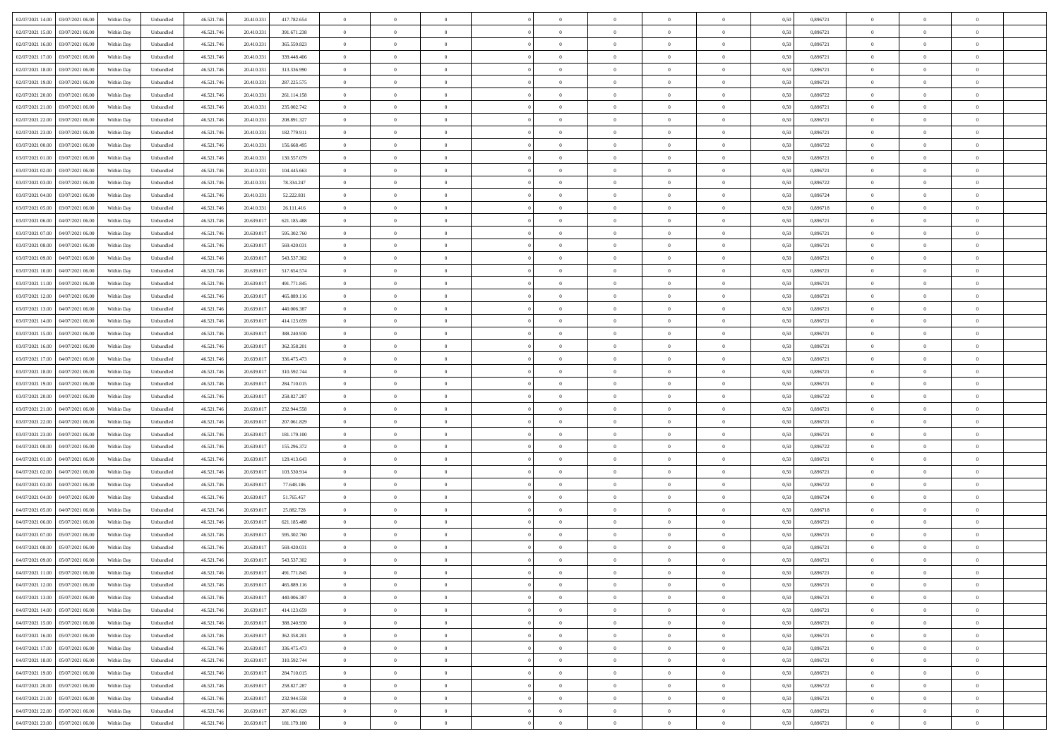| 02/07/2021 14:00 03/07/2021 06:00            | Within Day | Unbundled                   | 46.521.74  | 20.410.331 | 417.782.654   | $\overline{0}$ | $\theta$       |                | $\overline{0}$ | $\theta$       |                | $\theta$       | 0,50 | 0,896721 | $\theta$       | $\theta$       | $\overline{0}$ |  |
|----------------------------------------------|------------|-----------------------------|------------|------------|---------------|----------------|----------------|----------------|----------------|----------------|----------------|----------------|------|----------|----------------|----------------|----------------|--|
| 02/07/2021 15:00<br>03/07/2021 06.00         | Within Day | Unbundled                   | 46.521.74  | 20.410.33  | 391.671.238   | $\bf{0}$       | $\bf{0}$       | $\bf{0}$       | $\overline{0}$ | $\overline{0}$ | $\overline{0}$ | $\bf{0}$       | 0,50 | 0,896721 | $\,$ 0 $\,$    | $\bf{0}$       | $\overline{0}$ |  |
| 02/07/2021 16:00<br>03/07/2021 06:00         | Within Day | Unbundled                   | 46.521.746 | 20.410.33  | 365.559.823   | $\overline{0}$ | $\bf{0}$       | $\overline{0}$ | $\bf{0}$       | $\bf{0}$       | $\overline{0}$ | $\bf{0}$       | 0.50 | 0.896721 | $\bf{0}$       | $\overline{0}$ | $\overline{0}$ |  |
| 02/07/2021 17:00<br>03/07/2021 06:00         |            |                             | 46.521.74  |            |               | $\overline{0}$ | $\overline{0}$ | $\overline{0}$ | $\theta$       | $\theta$       | $\overline{0}$ | $\bf{0}$       |      | 0,896721 | $\theta$       | $\theta$       | $\overline{0}$ |  |
|                                              | Within Day | Unbundled                   |            | 20.410.331 | 339.448.406   |                |                |                |                |                |                |                | 0,50 |          |                |                |                |  |
| 02/07/2021 18:00<br>03/07/2021 06.00         | Within Day | Unbundled                   | 46.521.74  | 20.410.33  | 313.336.990   | $\bf{0}$       | $\overline{0}$ | $\bf{0}$       | $\overline{0}$ | $\theta$       | $\overline{0}$ | $\bf{0}$       | 0,50 | 0,896721 | $\,$ 0 $\,$    | $\bf{0}$       | $\overline{0}$ |  |
| 02/07/2021 19:00<br>03/07/2021 06:00         | Within Day | Unbundled                   | 46.521.746 | 20.410.33  | 287.225.575   | $\overline{0}$ | $\overline{0}$ | $\overline{0}$ | $\bf{0}$       | $\overline{0}$ | $\theta$       | $\bf{0}$       | 0.50 | 0.896721 | $\,$ 0 $\,$    | $\theta$       | $\overline{0}$ |  |
| 02/07/2021 20:00<br>03/07/2021 06:00         | Within Day | Unbundled                   | 46.521.74  | 20.410.331 | 261.114.158   | $\overline{0}$ | $\overline{0}$ | $\overline{0}$ | $\overline{0}$ | $\overline{0}$ | $\overline{0}$ | $\bf{0}$       | 0,50 | 0,896722 | $\theta$       | $\theta$       | $\overline{0}$ |  |
|                                              |            |                             |            |            |               |                |                |                |                |                |                |                |      |          |                |                |                |  |
| 02/07/2021 21:00<br>03/07/2021 06.00         | Within Day | Unbundled                   | 46.521.74  | 20.410.33  | 235.002.742   | $\bf{0}$       | $\overline{0}$ | $\bf{0}$       | $\overline{0}$ | $\overline{0}$ | $\overline{0}$ | $\bf{0}$       | 0,50 | 0,896721 | $\,$ 0 $\,$    | $\bf{0}$       | $\overline{0}$ |  |
| 02/07/2021 22:00<br>03/07/2021 06:00         | Within Day | Unbundled                   | 46.521.74  | 20.410.33  | 208.891.327   | $\overline{0}$ | $\bf{0}$       | $\overline{0}$ | $\bf{0}$       | $\overline{0}$ | $\overline{0}$ | $\bf{0}$       | 0.50 | 0.896721 | $\bf{0}$       | $\overline{0}$ | $\overline{0}$ |  |
| 02/07/2021 23:00<br>03/07/2021 06:00         | Within Day | Unbundled                   | 46.521.74  | 20.410.331 | 182.779.911   | $\overline{0}$ | $\bf{0}$       | $\overline{0}$ | $\overline{0}$ | $\overline{0}$ | $\overline{0}$ | $\bf{0}$       | 0,50 | 0,896721 | $\,$ 0 $\,$    | $\bf{0}$       | $\overline{0}$ |  |
| 03/07/2021 00:00<br>03/07/2021 06.00         | Within Day | Unbundled                   | 46.521.74  | 20.410.33  | 156.668.495   | $\bf{0}$       | $\overline{0}$ | $\bf{0}$       | $\bf{0}$       | $\bf{0}$       | $\overline{0}$ | $\bf{0}$       | 0,50 | 0,896722 | $\,$ 0 $\,$    | $\bf{0}$       | $\overline{0}$ |  |
|                                              |            |                             |            |            |               |                |                |                |                |                |                |                |      |          |                |                |                |  |
| 03/07/2021 01:00<br>03/07/2021 06:00         | Within Day | Unbundled                   | 46.521.746 | 20.410.33  | 130.557.079   | $\overline{0}$ | $\bf{0}$       | $\overline{0}$ | $\bf{0}$       | $\bf{0}$       | $\overline{0}$ | $\bf{0}$       | 0.50 | 0.896721 | $\bf{0}$       | $\overline{0}$ | $\bf{0}$       |  |
| 03/07/2021 02:00<br>03/07/2021 06:00         | Within Day | Unbundled                   | 46.521.74  | 20.410.331 | 104.445.663   | $\overline{0}$ | $\overline{0}$ | $\overline{0}$ | $\overline{0}$ | $\theta$       | $\overline{0}$ | $\overline{0}$ | 0,50 | 0,896721 | $\theta$       | $\theta$       | $\overline{0}$ |  |
| 03/07/2021 03:00<br>03/07/2021 06.00         | Within Day | Unbundled                   | 46.521.74  | 20.410.33  | 78.334.247    | $\bf{0}$       | $\overline{0}$ | $\bf{0}$       | $\overline{0}$ | $\theta$       | $\overline{0}$ | $\bf{0}$       | 0,50 | 0,896722 | $\bf{0}$       | $\bf{0}$       | $\overline{0}$ |  |
| 03/07/2021 04:00<br>03/07/2021 06:00         | Within Day | Unbundled                   | 46.521.74  | 20.410.33  | 52.222.831    | $\overline{0}$ | $\overline{0}$ | $\overline{0}$ | $\bf{0}$       | $\overline{0}$ | $\Omega$       | $\bf{0}$       | 0.50 | 0.896724 | $\,$ 0 $\,$    | $\theta$       | $\overline{0}$ |  |
| 03/07/2021 05:00<br>03/07/2021 06:00         | Within Day | Unbundled                   | 46.521.74  | 20.410.331 | 26.111.416    | $\overline{0}$ | $\overline{0}$ | $\overline{0}$ | $\overline{0}$ | $\overline{0}$ | $\overline{0}$ | $\bf{0}$       | 0,50 | 0,896718 | $\theta$       | $\theta$       | $\overline{0}$ |  |
|                                              |            |                             |            |            |               |                |                |                |                |                |                |                |      |          |                |                |                |  |
| 03/07/2021 06:00<br>04/07/2021 06.00         | Within Day | Unbundled                   | 46.521.74  | 20.639.01  | 621.185.488   | $\bf{0}$       | $\overline{0}$ | $\overline{0}$ | $\overline{0}$ | $\bf{0}$       | $\overline{0}$ | $\bf{0}$       | 0,50 | 0,896721 | $\,$ 0 $\,$    | $\bf{0}$       | $\overline{0}$ |  |
| 03/07/2021 07:00<br>04/07/2021 06:00         | Within Day | Unbundled                   | 46.521.74  | 20.639.01  | 595.302.760   | $\overline{0}$ | $\bf{0}$       | $\overline{0}$ | $\bf{0}$       | $\overline{0}$ | $\overline{0}$ | $\bf{0}$       | 0.50 | 0.896721 | $\bf{0}$       | $\overline{0}$ | $\overline{0}$ |  |
| 03/07/2021 08:00<br>04/07/2021 06:00         | Within Day | Unbundled                   | 46.521.74  | 20.639.017 | 569.420.031   | $\bf{0}$       | $\overline{0}$ | $\overline{0}$ | $\overline{0}$ | $\overline{0}$ | $\overline{0}$ | $\bf{0}$       | 0,50 | 0,896721 | $\,$ 0 $\,$    | $\bf{0}$       | $\overline{0}$ |  |
| 03/07/2021 09:00<br>04/07/2021 06.00         | Within Day | Unbundled                   | 46.521.74  | 20.639.01  | 543.537.302   | $\bf{0}$       | $\bf{0}$       | $\bf{0}$       | $\bf{0}$       | $\overline{0}$ | $\overline{0}$ | $\bf{0}$       | 0,50 | 0,896721 | $\,$ 0 $\,$    | $\bf{0}$       | $\overline{0}$ |  |
|                                              |            |                             |            |            |               |                |                |                |                |                |                |                |      |          |                |                |                |  |
| 03/07/2021 10:00<br>04/07/2021 06:00         | Within Day | Unbundled                   | 46.521.746 | 20.639.017 | 517.654.574   | $\overline{0}$ | $\bf{0}$       | $\overline{0}$ | $\bf{0}$       | $\bf{0}$       | $\overline{0}$ | $\bf{0}$       | 0.50 | 0.896721 | $\bf{0}$       | $\overline{0}$ | $\bf{0}$       |  |
| 03/07/2021 11:00<br>04/07/2021 06:00         | Within Day | Unbundled                   | 46.521.74  | 20.639.017 | 491.771.845   | $\overline{0}$ | $\overline{0}$ | $\overline{0}$ | $\theta$       | $\theta$       | $\overline{0}$ | $\bf{0}$       | 0,50 | 0,896721 | $\theta$       | $\theta$       | $\overline{0}$ |  |
| 03/07/2021 12:00<br>04/07/2021 06.00         | Within Day | Unbundled                   | 46.521.74  | 20.639.01  | 465.889.116   | $\bf{0}$       | $\overline{0}$ | $\bf{0}$       | $\bf{0}$       | $\overline{0}$ | $\overline{0}$ | $\bf{0}$       | 0,50 | 0,896721 | $\,$ 0 $\,$    | $\bf{0}$       | $\overline{0}$ |  |
| 03/07/2021 13:00<br>04/07/2021 06:00         | Within Day | Unbundled                   | 46.521.74  | 20.639.01  | 440,006,387   | $\overline{0}$ | $\overline{0}$ | $\overline{0}$ | $\overline{0}$ | $\overline{0}$ | $\Omega$       | $\bf{0}$       | 0.50 | 0.896721 | $\,$ 0 $\,$    | $\theta$       | $\overline{0}$ |  |
| 03/07/2021 14:00<br>04/07/2021 06:00         | Within Day | Unbundled                   | 46.521.74  | 20.639.017 | 414.123.659   | $\overline{0}$ | $\overline{0}$ | $\overline{0}$ | $\overline{0}$ | $\overline{0}$ | $\overline{0}$ | $\bf{0}$       | 0,50 | 0,896721 | $\theta$       | $\theta$       | $\overline{0}$ |  |
|                                              |            |                             |            |            |               |                |                |                |                |                |                |                |      |          |                |                |                |  |
| 03/07/2021 15:00<br>04/07/2021 06.00         | Within Day | Unbundled                   | 46.521.74  | 20.639.01  | 388.240.930   | $\bf{0}$       | $\overline{0}$ | $\bf{0}$       | $\overline{0}$ | $\bf{0}$       | $\overline{0}$ | $\bf{0}$       | 0,50 | 0,896721 | $\,$ 0 $\,$    | $\bf{0}$       | $\overline{0}$ |  |
| 03/07/2021 16:00<br>04/07/2021 06:00         | Within Day | Unbundled                   | 46.521.74  | 20.639.017 | 362.358.201   | $\overline{0}$ | $\bf{0}$       | $\overline{0}$ | $\bf{0}$       | $\overline{0}$ | $\overline{0}$ | $\bf{0}$       | 0.50 | 0.896721 | $\bf{0}$       | $\overline{0}$ | $\overline{0}$ |  |
| 03/07/2021 17:00<br>04/07/2021 06:00         | Within Day | Unbundled                   | 46.521.74  | 20.639.017 | 336.475.473   | $\overline{0}$ | $\overline{0}$ | $\overline{0}$ | $\overline{0}$ | $\overline{0}$ | $\overline{0}$ | $\bf{0}$       | 0,50 | 0,896721 | $\theta$       | $\theta$       | $\overline{0}$ |  |
| 03/07/2021 18:00<br>04/07/2021 06.00         | Within Day | Unbundled                   | 46.521.74  | 20.639.01  | 310.592.744   | $\bf{0}$       | $\bf{0}$       | $\bf{0}$       | $\bf{0}$       | $\overline{0}$ | $\overline{0}$ | $\bf{0}$       | 0,50 | 0,896721 | $\,$ 0 $\,$    | $\bf{0}$       | $\overline{0}$ |  |
|                                              |            |                             |            |            |               |                |                |                |                |                |                |                |      |          |                |                |                |  |
| 03/07/2021 19:00<br>04/07/2021 06:00         | Within Day | Unbundled                   | 46.521.74  | 20.639.017 | 284.710.015   | $\overline{0}$ | $\bf{0}$       | $\overline{0}$ | $\bf{0}$       | $\bf{0}$       | $\overline{0}$ | $\bf{0}$       | 0.50 | 0.896721 | $\bf{0}$       | $\overline{0}$ | $\bf{0}$       |  |
| 03/07/2021 20:00<br>04/07/2021 06:00         | Within Day | Unbundled                   | 46.521.74  | 20.639.017 | 258.827.287   | $\overline{0}$ | $\overline{0}$ | $\overline{0}$ | $\overline{0}$ | $\overline{0}$ | $\overline{0}$ | $\bf{0}$       | 0.5( | 0,896722 | $\theta$       | $\theta$       | $\overline{0}$ |  |
| 03/07/2021 21:00<br>04/07/2021 06.00         | Within Day | Unbundled                   | 46.521.74  | 20.639.01  | 232.944.558   | $\bf{0}$       | $\overline{0}$ | $\bf{0}$       | $\bf{0}$       | $\,$ 0 $\,$    | $\overline{0}$ | $\bf{0}$       | 0,50 | 0,896721 | $\,$ 0 $\,$    | $\bf{0}$       | $\overline{0}$ |  |
| 03/07/2021 22.00<br>04/07/2021 06:00         | Within Day | Unbundled                   | 46.521.746 | 20.639.017 | 207.061.829   | $\overline{0}$ | $\overline{0}$ | $\overline{0}$ | $\bf{0}$       | $\overline{0}$ | $\Omega$       | $\bf{0}$       | 0.50 | 0,896721 | $\,$ 0 $\,$    | $\theta$       | $\overline{0}$ |  |
| 03/07/2021 23:00<br>04/07/2021 06:00         | Within Dav | Unbundled                   | 46.521.74  | 20.639.017 | 181.179.100   | $\overline{0}$ | $\overline{0}$ | $\overline{0}$ | $\overline{0}$ | $\overline{0}$ | $\overline{0}$ | $\overline{0}$ | 0.5( | 0,896721 | $\theta$       | $\theta$       | $\overline{0}$ |  |
|                                              |            |                             |            |            |               |                |                |                |                |                |                |                |      |          |                |                |                |  |
| 04/07/2021 00:00<br>04/07/2021 06.00         | Within Day | Unbundled                   | 46.521.74  | 20.639.01  | 155.296.372   | $\bf{0}$       | $\overline{0}$ | $\bf{0}$       | $\bf{0}$       | $\bf{0}$       | $\overline{0}$ | $\bf{0}$       | 0,50 | 0,896722 | $\,$ 0 $\,$    | $\bf{0}$       | $\overline{0}$ |  |
| 04/07/2021 01:00<br>04/07/2021 06:00         | Within Day | Unbundled                   | 46.521.74  | 20.639.01  | 129.413.643   | $\overline{0}$ | $\bf{0}$       | $\overline{0}$ | $\bf{0}$       | $\overline{0}$ | $\overline{0}$ | $\bf{0}$       | 0.50 | 0.896721 | $\bf{0}$       | $\overline{0}$ | $\overline{0}$ |  |
| 04/07/2021 02:00<br>04/07/2021 06:00         | Within Dav | Unbundled                   | 46.521.74  | 20.639.017 | 103.530.914   | $\overline{0}$ | $\overline{0}$ | $\overline{0}$ | $\overline{0}$ | $\overline{0}$ | $\overline{0}$ | $\overline{0}$ | 0.50 | 0,896721 | $\theta$       | $\theta$       | $\overline{0}$ |  |
| 04/07/2021 03:00<br>04/07/2021 06.00         | Within Day | Unbundled                   | 46.521.74  | 20.639.01  | 77.648.186    | $\bf{0}$       | $\bf{0}$       | $\bf{0}$       | $\bf{0}$       | $\overline{0}$ | $\overline{0}$ | $\bf{0}$       | 0,50 | 0,896722 | $\,$ 0 $\,$    | $\bf{0}$       | $\overline{0}$ |  |
| 04/07/2021 06:00                             |            |                             |            | 20.639.017 |               |                |                |                |                |                | $\overline{0}$ |                |      | 0.896724 |                |                |                |  |
| 04/07/2021 04:00                             | Within Day | Unbundled                   | 46.521.746 |            | 51.765.457    | $\overline{0}$ | $\bf{0}$       | $\overline{0}$ | $\bf{0}$       | $\bf{0}$       |                | $\bf{0}$       | 0.50 |          | $\bf{0}$       | $\overline{0}$ | $\bf{0}$       |  |
| 04/07/2021 05:00<br>04/07/2021 06:00         | Within Day | Unbundled                   | 46.521.74  | 20.639.017 | 25.882.728    | $\overline{0}$ | $\overline{0}$ | $\overline{0}$ | $\overline{0}$ | $\overline{0}$ | $\overline{0}$ | $\bf{0}$       | 0.50 | 0,896718 | $\theta$       | $\theta$       | $\overline{0}$ |  |
| 04/07/2021 06:00<br>05/07/2021 06.00         | Within Day | Unbundled                   | 46.521.74  | 20.639.01  | 621.185.488   | $\bf{0}$       | $\overline{0}$ | $\bf{0}$       | $\bf{0}$       | $\overline{0}$ | $\overline{0}$ | $\bf{0}$       | 0,50 | 0,896721 | $\,$ 0 $\,$    | $\bf{0}$       | $\overline{0}$ |  |
| 04/07/2021 07:00<br>05/07/2021 06:00         | Within Day | Unbundled                   | 46.521.74  | 20.639.017 | 595.302.760   | $\overline{0}$ | $\overline{0}$ | $\overline{0}$ | $\bf{0}$       | $\overline{0}$ | $\Omega$       | $\bf{0}$       | 0.50 | 0,896721 | $\bf{0}$       | $\theta$       | $\overline{0}$ |  |
| 04/07/2021 08:00<br>05/07/2021 06:00         | Within Dav | Unbundled                   | 46.521.74  | 20.639.017 | 569.420.031   | $\overline{0}$ | $\overline{0}$ | $\Omega$       | $\overline{0}$ | $\theta$       | $\Omega$       | $\overline{0}$ | 0.5( | 0,896721 | $\theta$       | $\theta$       | $\overline{0}$ |  |
|                                              |            |                             |            |            |               |                |                |                |                |                |                |                |      |          |                |                |                |  |
| 04/07/2021 09:00<br>05/07/2021 06:00         | Within Day | Unbundled                   | 46.521.74  | 20.639.01  | 543.537.302   | $\bf{0}$       | $\bf{0}$       | $\bf{0}$       | $\bf{0}$       | $\bf{0}$       | $\overline{0}$ | $\bf{0}$       | 0,50 | 0,896721 | $\,$ 0 $\,$    | $\bf{0}$       | $\overline{0}$ |  |
| $04/07/2021\ 11.00 \qquad 05/07/2021\ 06.00$ | Within Day | $\ensuremath{\mathsf{Unb}}$ | 46.521.746 | 20.639.017 | 491.771.845   | $\bf{0}$       | $\theta$       |                | $\overline{0}$ |                |                |                | 0,50 | 0,896721 | $\bf{0}$       | $\bf{0}$       |                |  |
| 04/07/2021 12:00 05/07/2021 06:00            | Within Day | Unbundled                   | 46.521.746 | 20.639.017 | 465.889.116   | $\overline{0}$ | $\theta$       | $\Omega$       | $\theta$       | $\overline{0}$ | $\overline{0}$ | $\bf{0}$       | 0,50 | 0,896721 | $\theta$       | $\theta$       | $\overline{0}$ |  |
| 04/07/2021 13:00<br>05/07/2021 06:00         | Within Day | Unbundled                   | 46.521.74  | 20.639.017 | 440.006.387   | $\overline{0}$ | $\bf{0}$       | $\overline{0}$ | $\overline{0}$ | $\bf{0}$       | $\overline{0}$ | $\bf{0}$       | 0,50 | 0,896721 | $\bf{0}$       | $\overline{0}$ | $\bf{0}$       |  |
| 04/07/2021 14:00 05/07/2021 06:00            | Within Day | Unbundled                   | 46.521.746 | 20.639.017 | 414.123.659   | $\overline{0}$ | $\bf{0}$       | $\overline{0}$ | $\overline{0}$ | $\overline{0}$ | $\overline{0}$ | $\bf{0}$       | 0.50 | 0.896721 | $\mathbf{0}$   | $\bf{0}$       | $\,$ 0 $\,$    |  |
|                                              |            |                             |            |            |               |                |                |                |                |                |                |                |      |          |                |                |                |  |
| 04/07/2021 15:00  05/07/2021 06:00           | Within Day | Unbundled                   | 46.521.746 | 20.639.017 | 388.240.930   | $\overline{0}$ | $\overline{0}$ | $\overline{0}$ | $\overline{0}$ | $\overline{0}$ | $\overline{0}$ | $\bf{0}$       | 0,50 | 0,896721 | $\theta$       | $\theta$       | $\overline{0}$ |  |
| 04/07/2021 16:00<br>05/07/2021 06:00         | Within Day | Unbundled                   | 46.521.74  | 20.639.017 | 362.358.201   | $\overline{0}$ | $\bf{0}$       | $\overline{0}$ | $\bf{0}$       | $\overline{0}$ | $\overline{0}$ | $\bf{0}$       | 0,50 | 0,896721 | $\overline{0}$ | $\bf{0}$       | $\overline{0}$ |  |
| 04/07/2021 17:00  05/07/2021 06:00           | Within Day | Unbundled                   | 46.521.746 | 20.639.017 | 336, 475, 473 | $\overline{0}$ | $\bf{0}$       | $\overline{0}$ | $\overline{0}$ | $\overline{0}$ | $\overline{0}$ | $\bf{0}$       | 0.50 | 0.896721 | $\,$ 0 $\,$    | $\theta$       | $\overline{0}$ |  |
| 04/07/2021 18:00 05/07/2021 06:00            | Within Day | Unbundled                   | 46.521.746 | 20.639.017 | 310.592.744   | $\overline{0}$ | $\overline{0}$ | $\overline{0}$ | $\overline{0}$ | $\overline{0}$ | $\overline{0}$ | $\bf{0}$       | 0.50 | 0,896721 | $\overline{0}$ | $\theta$       | $\overline{0}$ |  |
|                                              |            |                             |            |            |               |                |                |                |                |                |                |                |      |          |                |                |                |  |
| 05/07/2021 06:00<br>04/07/2021 19:00         | Within Day | Unbundled                   | 46.521.74  | 20.639.017 | 284.710.015   | $\overline{0}$ | $\bf{0}$       | $\overline{0}$ | $\overline{0}$ | $\bf{0}$       | $\overline{0}$ | $\bf{0}$       | 0,50 | 0,896721 | $\bf{0}$       | $\bf{0}$       | $\overline{0}$ |  |
| 04/07/2021 20:00 05/07/2021 06:00            | Within Day | Unbundled                   | 46.521.746 | 20.639.017 | 258.827.287   | $\overline{0}$ | $\overline{0}$ | $\overline{0}$ | $\overline{0}$ | $\bf{0}$       | $\overline{0}$ | $\bf{0}$       | 0.50 | 0.896722 | $\overline{0}$ | $\,$ 0 $\,$    | $\,$ 0         |  |
| 04/07/2021 21:00 05/07/2021 06:00            | Within Dav | Unbundled                   | 46.521.746 | 20.639.017 | 232.944.558   | $\overline{0}$ | $\overline{0}$ | $\overline{0}$ | $\overline{0}$ | $\overline{0}$ | $\overline{0}$ | $\bf{0}$       | 0,50 | 0,896721 | $\overline{0}$ | $\theta$       | $\overline{0}$ |  |
| 04/07/2021 22:00<br>05/07/2021 06:00         | Within Day | Unbundled                   | 46.521.74  | 20.639.01  | 207.061.829   | $\overline{0}$ | $\bf{0}$       | $\overline{0}$ | $\bf{0}$       | $\overline{0}$ | $\overline{0}$ | $\bf{0}$       | 0,50 | 0,896721 | $\bf{0}$       | $\bf{0}$       | $\overline{0}$ |  |
|                                              |            |                             |            |            |               |                |                |                |                |                |                |                |      |          |                |                |                |  |
| 04/07/2021 23:00 05/07/2021 06:00            | Within Day | Unbundled                   | 46.521.746 | 20.639.017 | 181.179.100   | $\overline{0}$ | $\bf{0}$       | $\overline{0}$ | $\overline{0}$ | $\,$ 0 $\,$    | $\overline{0}$ | $\bf{0}$       | 0,50 | 0,896721 | $\overline{0}$ | $\,$ 0 $\,$    | $\,$ 0 $\,$    |  |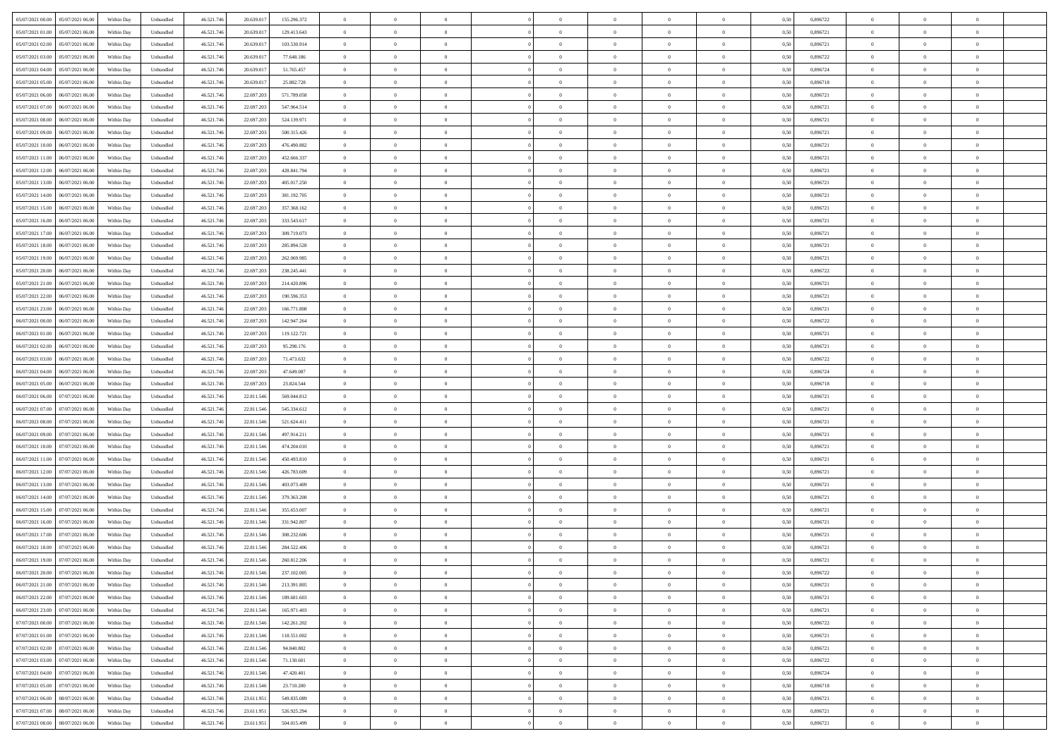| 05/07/2021 00:00 05/07/2021 06:00            | Within Day | Unbundled                   | 46.521.74  | 20.639.017 | 155.296.372 | $\overline{0}$ | $\theta$       |                | $\overline{0}$ | $\theta$       |                | $\theta$       | 0,50 | 0,896722 | $\theta$       | $\theta$       | $\overline{0}$ |  |
|----------------------------------------------|------------|-----------------------------|------------|------------|-------------|----------------|----------------|----------------|----------------|----------------|----------------|----------------|------|----------|----------------|----------------|----------------|--|
| 05/07/2021 01:00<br>05/07/2021 06.00         | Within Day | Unbundled                   | 46.521.74  | 20.639.01  | 129.413.643 | $\bf{0}$       | $\overline{0}$ | $\bf{0}$       | $\overline{0}$ | $\bf{0}$       | $\overline{0}$ | $\bf{0}$       | 0,50 | 0,896721 | $\,$ 0 $\,$    | $\bf{0}$       | $\overline{0}$ |  |
| 05/07/2021 02:00<br>05/07/2021 06:00         | Within Day | Unbundled                   | 46.521.746 | 20.639.017 | 103.530.914 | $\overline{0}$ | $\bf{0}$       | $\overline{0}$ | $\bf{0}$       | $\bf{0}$       | $\overline{0}$ | $\bf{0}$       | 0.50 | 0.896721 | $\bf{0}$       | $\overline{0}$ | $\overline{0}$ |  |
| 05/07/2021 03:00<br>05/07/2021 06:00         | Within Day | Unbundled                   | 46.521.74  | 20.639.017 | 77.648.186  | $\overline{0}$ | $\overline{0}$ | $\overline{0}$ | $\theta$       | $\theta$       | $\overline{0}$ | $\overline{0}$ | 0,50 | 0,896722 | $\theta$       | $\theta$       | $\overline{0}$ |  |
| 05/07/2021 04:00<br>05/07/2021 06.00         | Within Day | Unbundled                   | 46.521.74  | 20.639.01  | 51.765.457  | $\overline{0}$ | $\overline{0}$ | $\bf{0}$       | $\overline{0}$ | $\theta$       | $\overline{0}$ | $\bf{0}$       | 0,50 | 0,896724 | $\,$ 0 $\,$    | $\bf{0}$       | $\overline{0}$ |  |
| 05/07/2021 05:00<br>05/07/2021 06:00         | Within Day | Unbundled                   | 46.521.74  | 20.639.017 | 25.882.728  | $\overline{0}$ | $\overline{0}$ | $\overline{0}$ | $\overline{0}$ | $\overline{0}$ | $\theta$       | $\bf{0}$       | 0.50 | 0.896718 | $\bf{0}$       | $\theta$       | $\overline{0}$ |  |
| 05/07/2021 06:00<br>06/07/2021 06:00         | Within Day | Unbundled                   | 46.521.74  | 22.697.203 | 571.789.058 | $\overline{0}$ | $\overline{0}$ | $\overline{0}$ | $\overline{0}$ | $\overline{0}$ | $\overline{0}$ | $\bf{0}$       | 0,50 | 0,896721 | $\theta$       | $\theta$       | $\overline{0}$ |  |
|                                              |            |                             |            |            |             |                |                |                |                |                |                |                |      |          |                |                |                |  |
| 05/07/2021 07:00<br>06/07/2021 06.00         | Within Day | Unbundled                   | 46.521.74  | 22.697.20  | 547.964.514 | $\overline{0}$ | $\overline{0}$ | $\overline{0}$ | $\overline{0}$ | $\overline{0}$ | $\overline{0}$ | $\bf{0}$       | 0,50 | 0,896721 | $\,$ 0 $\,$    | $\bf{0}$       | $\overline{0}$ |  |
| 05/07/2021 08:00<br>06/07/2021 06:00         | Within Day | Unbundled                   | 46.521.74  | 22.697.203 | 524.139.971 | $\overline{0}$ | $\bf{0}$       | $\overline{0}$ | $\bf{0}$       | $\overline{0}$ | $\overline{0}$ | $\bf{0}$       | 0.50 | 0.896721 | $\bf{0}$       | $\theta$       | $\overline{0}$ |  |
| 05/07/2021 09:00<br>06/07/2021 06:00         | Within Day | Unbundled                   | 46.521.74  | 22.697.203 | 500.315.426 | $\overline{0}$ | $\bf{0}$       | $\overline{0}$ | $\overline{0}$ | $\theta$       | $\overline{0}$ | $\bf{0}$       | 0,50 | 0,896721 | $\,$ 0 $\,$    | $\theta$       | $\overline{0}$ |  |
| 05/07/2021 10:00<br>06/07/2021 06.00         | Within Day | Unbundled                   | 46.521.74  | 22.697.20  | 476.490.882 | $\bf{0}$       | $\overline{0}$ | $\bf{0}$       | $\overline{0}$ | $\bf{0}$       | $\overline{0}$ | $\bf{0}$       | 0,50 | 0,896721 | $\,$ 0 $\,$    | $\bf{0}$       | $\overline{0}$ |  |
| 05/07/2021 11:00<br>06/07/2021 06:00         | Within Day | Unbundled                   | 46.521.746 | 22.697.203 | 452.666.337 | $\overline{0}$ | $\bf{0}$       | $\overline{0}$ | $\bf{0}$       | $\bf{0}$       | $\overline{0}$ | $\bf{0}$       | 0.50 | 0.896721 | $\bf{0}$       | $\overline{0}$ | $\bf{0}$       |  |
| 05/07/2021 12:00<br>06/07/2021 06:00         | Within Day | Unbundled                   | 46.521.74  | 22.697.203 | 428.841.794 | $\overline{0}$ | $\overline{0}$ | $\overline{0}$ | $\overline{0}$ | $\theta$       | $\overline{0}$ | $\overline{0}$ | 0,50 | 0,896721 | $\theta$       | $\theta$       | $\overline{0}$ |  |
| 05/07/2021 13:00<br>06/07/2021 06.00         | Within Day | Unbundled                   | 46.521.74  | 22.697.20  | 405.017.250 | $\bf{0}$       | $\theta$       | $\bf{0}$       | $\overline{0}$ | $\theta$       | $\overline{0}$ | $\bf{0}$       | 0,50 | 0,896721 | $\bf{0}$       | $\bf{0}$       | $\overline{0}$ |  |
| 05/07/2021 14:00<br>06/07/2021 06:00         | Within Day | Unbundled                   | 46.521.74  | 22.697.20  | 381.192.705 | $\overline{0}$ | $\overline{0}$ | $\overline{0}$ | $\bf{0}$       | $\theta$       | $\Omega$       | $\bf{0}$       | 0.50 | 0,896721 | $\bf{0}$       | $\theta$       | $\overline{0}$ |  |
| 05/07/2021 15:00<br>06/07/2021 06:00         | Within Day | Unbundled                   | 46.521.74  | 22.697.203 | 357.368.162 | $\overline{0}$ | $\overline{0}$ | $\overline{0}$ | $\overline{0}$ | $\overline{0}$ | $\overline{0}$ | $\bf{0}$       | 0,50 | 0,896721 | $\theta$       | $\theta$       | $\overline{0}$ |  |
|                                              |            |                             |            |            |             |                |                |                |                |                |                |                |      |          |                |                |                |  |
| 05/07/2021 16:00<br>06/07/2021 06.00         | Within Day | Unbundled                   | 46.521.74  | 22.697.20  | 333.543.617 | $\bf{0}$       | $\overline{0}$ | $\overline{0}$ | $\overline{0}$ | $\theta$       | $\overline{0}$ | $\bf{0}$       | 0,50 | 0,896721 | $\,$ 0 $\,$    | $\bf{0}$       | $\overline{0}$ |  |
| 05/07/2021 17:00<br>06/07/2021 06:00         | Within Day | Unbundled                   | 46.521.74  | 22.697.203 | 309.719.073 | $\overline{0}$ | $\bf{0}$       | $\overline{0}$ | $\bf{0}$       | $\overline{0}$ | $\overline{0}$ | $\bf{0}$       | 0.50 | 0.896721 | $\bf{0}$       | $\overline{0}$ | $\overline{0}$ |  |
| 05/07/2021 18:00<br>06/07/2021 06:00         | Within Day | Unbundled                   | 46.521.74  | 22.697.203 | 285.894.528 | $\overline{0}$ | $\overline{0}$ | $\overline{0}$ | $\overline{0}$ | $\overline{0}$ | $\overline{0}$ | $\bf{0}$       | 0,50 | 0,896721 | $\,$ 0 $\,$    | $\theta$       | $\overline{0}$ |  |
| 05/07/2021 19:00<br>06/07/2021 06.00         | Within Day | Unbundled                   | 46.521.74  | 22.697.20  | 262.069.985 | $\bf{0}$       | $\overline{0}$ | $\bf{0}$       | $\bf{0}$       | $\overline{0}$ | $\overline{0}$ | $\bf{0}$       | 0,50 | 0,896721 | $\,$ 0 $\,$    | $\bf{0}$       | $\overline{0}$ |  |
| 05/07/2021 20:00<br>06/07/2021 06:00         | Within Day | Unbundled                   | 46.521.746 | 22.697.203 | 238.245.441 | $\overline{0}$ | $\bf{0}$       | $\overline{0}$ | $\bf{0}$       | $\bf{0}$       | $\overline{0}$ | $\bf{0}$       | 0.50 | 0.896722 | $\bf{0}$       | $\overline{0}$ | $\overline{0}$ |  |
| 05/07/2021 21:00<br>06/07/2021 06:00         | Within Day | Unbundled                   | 46.521.74  | 22.697.203 | 214.420.896 | $\overline{0}$ | $\overline{0}$ | $\overline{0}$ | $\theta$       | $\theta$       | $\overline{0}$ | $\bf{0}$       | 0,50 | 0,896721 | $\theta$       | $\theta$       | $\overline{0}$ |  |
| 05/07/2021 22.00<br>06/07/2021 06.00         | Within Day | Unbundled                   | 46.521.74  | 22.697.20  | 190.596.353 | $\bf{0}$       | $\overline{0}$ | $\bf{0}$       | $\bf{0}$       | $\bf{0}$       | $\overline{0}$ | $\bf{0}$       | 0,50 | 0,896721 | $\,$ 0 $\,$    | $\bf{0}$       | $\overline{0}$ |  |
| 05/07/2021 23:00<br>06/07/2021 06:00         | Within Day | Unbundled                   | 46.521.74  | 22.697.203 | 166,771,808 | $\overline{0}$ | $\overline{0}$ | $\overline{0}$ | $\overline{0}$ | $\overline{0}$ | $\Omega$       | $\bf{0}$       | 0.50 | 0.896721 | $\,$ 0 $\,$    | $\theta$       | $\overline{0}$ |  |
| 06/07/2021 00:00<br>06/07/2021 06:00         | Within Day | Unbundled                   | 46.521.74  | 22.697.203 | 142.947.264 | $\overline{0}$ | $\overline{0}$ | $\overline{0}$ | $\overline{0}$ | $\overline{0}$ | $\overline{0}$ | $\bf{0}$       | 0,50 | 0,896722 | $\theta$       | $\theta$       | $\overline{0}$ |  |
|                                              |            |                             |            |            |             |                | $\theta$       | $\bf{0}$       | $\overline{0}$ | $\bf{0}$       | $\overline{0}$ | $\bf{0}$       |      |          | $\,$ 0 $\,$    | $\bf{0}$       | $\overline{0}$ |  |
| 06/07/2021 01:00<br>06/07/2021 06.00         | Within Day | Unbundled                   | 46.521.74  | 22.697.20  | 119.122.721 | $\bf{0}$       |                |                |                |                |                |                | 0,50 | 0,896721 |                |                |                |  |
| 06/07/2021 02:00<br>06/07/2021 06:00         | Within Day | Unbundled                   | 46.521.74  | 22.697.203 | 95.298.176  | $\overline{0}$ | $\bf{0}$       | $\overline{0}$ | $\bf{0}$       | $\overline{0}$ | $\overline{0}$ | $\bf{0}$       | 0.50 | 0.896721 | $\bf{0}$       | $\overline{0}$ | $\overline{0}$ |  |
| 06/07/2021 03:00<br>06/07/2021 06:00         | Within Day | Unbundled                   | 46.521.74  | 22.697.203 | 71.473.632  | $\overline{0}$ | $\overline{0}$ | $\overline{0}$ | $\overline{0}$ | $\overline{0}$ | $\overline{0}$ | $\bf{0}$       | 0,50 | 0,896722 | $\theta$       | $\theta$       | $\overline{0}$ |  |
| 06/07/2021 04:00<br>06/07/2021 06.00         | Within Day | Unbundled                   | 46.521.74  | 22.697.20  | 47.649.087  | $\bf{0}$       | $\bf{0}$       | $\bf{0}$       | $\bf{0}$       | $\overline{0}$ | $\overline{0}$ | $\bf{0}$       | 0,50 | 0,896724 | $\,$ 0 $\,$    | $\bf{0}$       | $\overline{0}$ |  |
| 06/07/2021 05:00<br>06/07/2021 06:00         | Within Day | Unbundled                   | 46.521.746 | 22.697.20  | 23.824.544  | $\overline{0}$ | $\bf{0}$       | $\overline{0}$ | $\bf{0}$       | $\bf{0}$       | $\overline{0}$ | $\bf{0}$       | 0.50 | 0.896718 | $\bf{0}$       | $\overline{0}$ | $\overline{0}$ |  |
| 06/07/2021 06:00<br>07/07/2021 06:00         | Within Day | Unbundled                   | 46.521.74  | 22.811.54  | 569.044.812 | $\overline{0}$ | $\overline{0}$ | $\overline{0}$ | $\overline{0}$ | $\overline{0}$ | $\overline{0}$ | $\bf{0}$       | 0.5( | 0,896721 | $\theta$       | $\theta$       | $\overline{0}$ |  |
| 06/07/2021 07:00<br>07/07/2021 06.00         | Within Day | Unbundled                   | 46.521.74  | 22.811.54  | 545.334.612 | $\bf{0}$       | $\overline{0}$ | $\bf{0}$       | $\overline{0}$ | $\overline{0}$ | $\overline{0}$ | $\bf{0}$       | 0,50 | 0,896721 | $\,$ 0 $\,$    | $\bf{0}$       | $\overline{0}$ |  |
| 06/07/2021 08:00<br>07/07/2021 06:00         | Within Day | Unbundled                   | 46.521.74  | 22.811.546 | 521.624.411 | $\overline{0}$ | $\overline{0}$ | $\overline{0}$ | $\bf{0}$       | $\bf{0}$       | $\Omega$       | $\bf{0}$       | 0.50 | 0,896721 | $\,$ 0 $\,$    | $\theta$       | $\overline{0}$ |  |
| 06/07/2021 09:00<br>07/07/2021 06:00         | Within Dav | Unbundled                   | 46.521.74  | 22.811.546 | 497.914.211 | $\overline{0}$ | $\overline{0}$ | $\overline{0}$ | $\overline{0}$ | $\overline{0}$ | $\overline{0}$ | $\overline{0}$ | 0.5( | 0,896721 | $\theta$       | $\theta$       | $\overline{0}$ |  |
| 06/07/2021 10:00<br>07/07/2021 06.00         | Within Day | Unbundled                   | 46.521.74  | 22.811.54  | 474.204.010 | $\bf{0}$       | $\overline{0}$ | $\bf{0}$       | $\bf{0}$       | $\bf{0}$       | $\overline{0}$ | $\bf{0}$       | 0,50 | 0,896721 | $\,$ 0 $\,$    | $\bf{0}$       | $\overline{0}$ |  |
| 06/07/2021 11:00<br>07/07/2021 06:00         | Within Day | Unbundled                   | 46.521.74  | 22.811.54  | 450.493.810 | $\overline{0}$ | $\bf{0}$       | $\overline{0}$ | $\bf{0}$       | $\overline{0}$ | $\overline{0}$ | $\bf{0}$       | 0.50 | 0.896721 | $\bf{0}$       | $\overline{0}$ | $\overline{0}$ |  |
| 06/07/2021 12:00<br>07/07/2021 06:00         | Within Day | Unbundled                   | 46.521.74  | 22.811.54  | 426,783,609 | $\overline{0}$ | $\overline{0}$ | $\overline{0}$ | $\overline{0}$ | $\overline{0}$ | $\overline{0}$ | $\overline{0}$ | 0.50 | 0,896721 | $\theta$       | $\theta$       | $\overline{0}$ |  |
|                                              |            |                             |            |            |             |                |                |                |                |                |                |                |      |          |                |                |                |  |
| 06/07/2021 13:00<br>07/07/2021 06.00         | Within Day | Unbundled                   | 46.521.74  | 22.811.54  | 403.073.409 | $\bf{0}$       | $\bf{0}$       | $\bf{0}$       | $\bf{0}$       | $\overline{0}$ | $\overline{0}$ | $\bf{0}$       | 0,50 | 0,896721 | $\,$ 0 $\,$    | $\bf{0}$       | $\overline{0}$ |  |
| 06/07/2021 14:00<br>07/07/2021 06:00         | Within Day | Unbundled                   | 46.521.746 | 22.811.546 | 379.363.208 | $\overline{0}$ | $\bf{0}$       | $\overline{0}$ | $\bf{0}$       | $\bf{0}$       | $\overline{0}$ | $\bf{0}$       | 0.50 | 0.896721 | $\bf{0}$       | $\overline{0}$ | $\overline{0}$ |  |
| 06/07/2021 15:00<br>07/07/2021 06:00         | Within Day | Unbundled                   | 46.521.74  | 22.811.546 | 355.653.007 | $\overline{0}$ | $\overline{0}$ | $\overline{0}$ | $\overline{0}$ | $\overline{0}$ | $\overline{0}$ | $\bf{0}$       | 0.50 | 0,896721 | $\theta$       | $\theta$       | $\overline{0}$ |  |
| 06/07/2021 16:00<br>07/07/2021 06.00         | Within Day | Unbundled                   | 46.521.74  | 22.811.54  | 331.942.807 | $\bf{0}$       | $\overline{0}$ | $\bf{0}$       | $\overline{0}$ | $\,$ 0 $\,$    | $\overline{0}$ | $\bf{0}$       | 0,50 | 0,896721 | $\,$ 0 $\,$    | $\bf{0}$       | $\overline{0}$ |  |
| 06/07/2021 17:00<br>07/07/2021 06:00         | Within Day | Unbundled                   | 46.521.74  | 22.811.54  | 308.232.606 | $\overline{0}$ | $\overline{0}$ | $\Omega$       | $\overline{0}$ | $\overline{0}$ | $\theta$       | $\bf{0}$       | 0.50 | 0,896721 | $\bf{0}$       | $\theta$       | $\overline{0}$ |  |
| 06/07/2021 18:00<br>07/07/2021 06:00         | Within Dav | Unbundled                   | 46.521.74  | 22.811.54  | 284.522.406 | $\overline{0}$ | $\overline{0}$ | $\Omega$       | $\overline{0}$ | $\theta$       | $\Omega$       | $\overline{0}$ | 0.5( | 0,896721 | $\theta$       | $\theta$       | $\overline{0}$ |  |
| 06/07/2021 19:00<br>07/07/2021 06:00         | Within Day | Unbundled                   | 46.521.74  | 22.811.54  | 260.812.206 | $\bf{0}$       | $\bf{0}$       | $\bf{0}$       | $\bf{0}$       | $\bf{0}$       | $\overline{0}$ | $\bf{0}$       | 0,50 | 0,896721 | $\,$ 0 $\,$    | $\bf{0}$       | $\overline{0}$ |  |
| $06/07/2021\ 20.00 \qquad 07/07/2021\ 06.00$ | Within Day | $\ensuremath{\mathsf{Unb}}$ | 46.521.746 | 22.811.546 | 237.102.005 | $\bf{0}$       | $\Omega$       |                | $\overline{0}$ |                |                |                | 0,50 | 0,896722 | $\theta$       | $\overline{0}$ |                |  |
| 06/07/2021 21:00 07/07/2021 06:00            | Within Day | Unbundled                   | 46.521.746 | 22.811.546 | 213.391.805 | $\overline{0}$ | $\theta$       | $\Omega$       | $\theta$       | $\overline{0}$ | $\overline{0}$ | $\bf{0}$       | 0,50 | 0,896721 | $\theta$       | $\theta$       | $\overline{0}$ |  |
| 06/07/2021 22:00<br>07/07/2021 06:00         | Within Day | Unbundled                   | 46.521.74  | 22.811.546 | 189.681.603 | $\overline{0}$ | $\bf{0}$       | $\overline{0}$ | $\overline{0}$ | $\bf{0}$       | $\overline{0}$ | $\bf{0}$       | 0,50 | 0,896721 | $\bf{0}$       | $\overline{0}$ | $\bf{0}$       |  |
| 06/07/2021 23:00 07/07/2021 06:00            | Within Day | Unbundled                   | 46.521.746 | 22.811.546 | 165.971.403 | $\overline{0}$ | $\bf{0}$       | $\overline{0}$ | $\overline{0}$ | $\mathbf{0}$   | $\overline{0}$ | $\,$ 0 $\,$    | 0.50 | 0.896721 | $\overline{0}$ | $\bf{0}$       | $\,$ 0 $\,$    |  |
|                                              |            |                             |            |            |             |                |                |                |                |                |                |                |      |          |                |                |                |  |
| 07/07/2021 00:00 07/07/2021 06:00            | Within Day | Unbundled                   | 46.521.746 | 22.811.546 | 142.261.202 | $\overline{0}$ | $\overline{0}$ | $\overline{0}$ | $\overline{0}$ | $\overline{0}$ | $\overline{0}$ | $\bf{0}$       | 0,50 | 0,896722 | $\theta$       | $\theta$       | $\overline{0}$ |  |
| 07/07/2021 01:00<br>07/07/2021 06:00         | Within Day | Unbundled                   | 46.521.74  | 22.811.546 | 118.551.002 | $\overline{0}$ | $\bf{0}$       | $\overline{0}$ | $\overline{0}$ | $\overline{0}$ | $\overline{0}$ | $\bf{0}$       | 0,50 | 0,896721 | $\bf{0}$       | $\bf{0}$       | $\overline{0}$ |  |
| 07/07/2021 02:00 07/07/2021 06:00            | Within Day | Unbundled                   | 46.521.746 | 22.811.546 | 94.840.802  | $\overline{0}$ | $\bf{0}$       | $\overline{0}$ | $\overline{0}$ | $\overline{0}$ | $\overline{0}$ | $\bf{0}$       | 0.50 | 0.896721 | $\,$ 0 $\,$    | $\theta$       | $\overline{0}$ |  |
| 07/07/2021 03:00<br>07/07/2021 06:00         | Within Dav | Unbundled                   | 46.521.746 | 22.811.546 | 71.130.601  | $\overline{0}$ | $\overline{0}$ | $\overline{0}$ | $\overline{0}$ | $\overline{0}$ | $\overline{0}$ | $\bf{0}$       | 0.50 | 0,896722 | $\overline{0}$ | $\theta$       | $\overline{0}$ |  |
| 07/07/2021 06:00<br>07/07/2021 04:00         | Within Day | Unbundled                   | 46.521.74  | 22.811.546 | 47.420.401  | $\overline{0}$ | $\overline{0}$ | $\overline{0}$ | $\overline{0}$ | $\bf{0}$       | $\overline{0}$ | $\bf{0}$       | 0,50 | 0,896724 | $\bf{0}$       | $\overline{0}$ | $\overline{0}$ |  |
| 07/07/2021 05:00 07/07/2021 06:00            | Within Day | Unbundled                   | 46.521.746 | 22,811.546 | 23.710.200  | $\overline{0}$ | $\overline{0}$ | $\overline{0}$ | $\overline{0}$ | $\bf{0}$       | $\overline{0}$ | $\bf{0}$       | 0.50 | 0.896718 | $\mathbf{0}$   | $\bf{0}$       | $\,$ 0         |  |
| 07/07/2021 06:00 08/07/2021 06:00            | Within Dav | Unbundled                   | 46.521.746 | 23.611.951 | 549.835.089 | $\overline{0}$ | $\overline{0}$ | $\overline{0}$ | $\overline{0}$ | $\overline{0}$ | $\overline{0}$ | $\bf{0}$       | 0,50 | 0,896721 | $\overline{0}$ | $\theta$       | $\overline{0}$ |  |
| 07/07/2021 07:00<br>08/07/2021 06:00         | Within Day | Unbundled                   | 46.521.74  | 23.611.95  | 526.925.294 | $\overline{0}$ | $\bf{0}$       | $\overline{0}$ | $\bf{0}$       | $\overline{0}$ | $\overline{0}$ | $\bf{0}$       | 0,50 | 0,896721 | $\bf{0}$       | $\bf{0}$       | $\bf{0}$       |  |
| 07/07/2021 08:00 08/07/2021 06:00            |            | Unbundled                   | 46.521.746 |            | 504.015.499 | $\overline{0}$ | $\bf{0}$       | $\overline{0}$ |                | $\,$ 0 $\,$    | $\overline{0}$ | $\bf{0}$       |      | 0,896721 | $\overline{0}$ | $\,$ 0 $\,$    | $\,$ 0 $\,$    |  |
|                                              | Within Day |                             |            | 23.611.951 |             |                |                |                | $\overline{0}$ |                |                |                | 0,50 |          |                |                |                |  |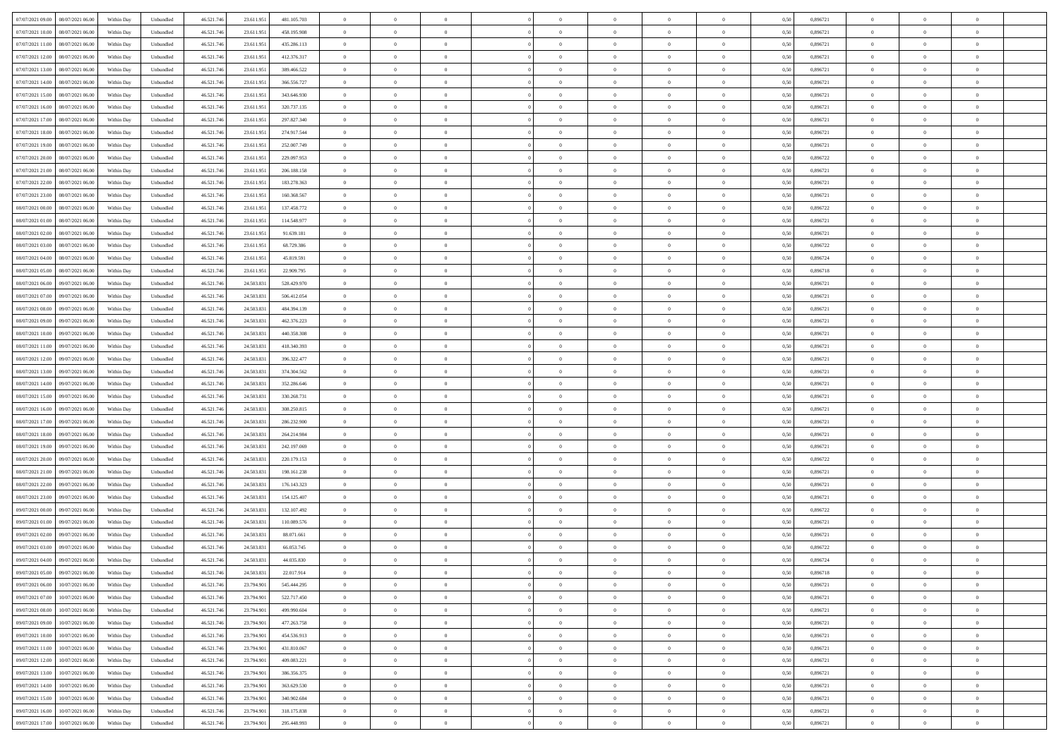|                                                |            |                             |            |            |             | $\overline{0}$ | $\theta$       |                | $\overline{0}$ | $\theta$       |                | $\theta$       |      |          | $\theta$       | $\theta$       | $\overline{0}$ |  |
|------------------------------------------------|------------|-----------------------------|------------|------------|-------------|----------------|----------------|----------------|----------------|----------------|----------------|----------------|------|----------|----------------|----------------|----------------|--|
| 07/07/2021 09:00   08/07/2021 06:00            | Within Day | Unbundled                   | 46.521.74  | 23.611.951 | 481.105.703 |                |                |                |                |                |                |                | 0,50 | 0,896721 |                |                |                |  |
| 07/07/2021 10:00<br>08/07/2021 06:00           | Within Day | Unbundled                   | 46.521.74  | 23.611.95  | 458.195.908 | $\bf{0}$       | $\overline{0}$ | $\overline{0}$ | $\overline{0}$ | $\theta$       | $\overline{0}$ | $\bf{0}$       | 0,50 | 0,896721 | $\,$ 0 $\,$    | $\bf{0}$       | $\overline{0}$ |  |
| 07/07/2021 11:00<br>08/07/2021 06:00           | Within Day | Unbundled                   | 46.521.746 | 23.611.951 | 435.286.113 | $\overline{0}$ | $\bf{0}$       | $\overline{0}$ | $\bf{0}$       | $\bf{0}$       | $\overline{0}$ | $\bf{0}$       | 0.50 | 0.896721 | $\bf{0}$       | $\overline{0}$ | $\overline{0}$ |  |
| 07/07/2021 12:00<br>08/07/2021 06:00           | Within Day | Unbundled                   | 46.521.74  | 23.611.951 | 412.376.317 | $\overline{0}$ | $\overline{0}$ | $\overline{0}$ | $\theta$       | $\theta$       | $\overline{0}$ | $\overline{0}$ | 0,50 | 0,896721 | $\theta$       | $\theta$       | $\overline{0}$ |  |
| 07/07/2021 13:00<br>08/07/2021 06:00           | Within Day | Unbundled                   | 46.521.74  | 23.611.95  | 389.466.522 | $\overline{0}$ | $\theta$       | $\overline{0}$ | $\overline{0}$ | $\theta$       | $\overline{0}$ | $\bf{0}$       | 0,50 | 0,896721 | $\,$ 0 $\,$    | $\theta$       | $\overline{0}$ |  |
|                                                |            |                             |            |            |             |                |                |                |                |                |                |                |      |          |                |                |                |  |
| 07/07/2021 14:00<br>08/07/2021 06:00           | Within Day | Unbundled                   | 46.521.74  | 23.611.951 | 366.556.727 | $\overline{0}$ | $\overline{0}$ | $\overline{0}$ | $\overline{0}$ | $\overline{0}$ | $\Omega$       | $\bf{0}$       | 0.50 | 0.896721 | $\bf{0}$       | $\theta$       | $\overline{0}$ |  |
| 07/07/2021 15:00<br>08/07/2021 06:00           | Within Day | Unbundled                   | 46.521.74  | 23.611.951 | 343.646.930 | $\overline{0}$ | $\overline{0}$ | $\overline{0}$ | $\overline{0}$ | $\theta$       | $\overline{0}$ | $\bf{0}$       | 0,50 | 0,896721 | $\theta$       | $\theta$       | $\overline{0}$ |  |
| 07/07/2021 16:00<br>08/07/2021 06:00           | Within Day | Unbundled                   | 46.521.74  | 23.611.95  | 320.737.135 | $\overline{0}$ | $\overline{0}$ | $\overline{0}$ | $\overline{0}$ | $\theta$       | $\overline{0}$ | $\bf{0}$       | 0,50 | 0,896721 | $\,$ 0 $\,$    | $\bf{0}$       | $\overline{0}$ |  |
| 07/07/2021 17:00<br>08/07/2021 06:00           | Within Day | Unbundled                   | 46.521.74  | 23.611.95  | 297.827.340 | $\overline{0}$ | $\overline{0}$ | $\overline{0}$ | $\bf{0}$       | $\overline{0}$ | $\overline{0}$ | $\bf{0}$       | 0.50 | 0.896721 | $\bf{0}$       | $\theta$       | $\overline{0}$ |  |
| 07/07/2021 18:00<br>08/07/2021 06:00           | Within Day | Unbundled                   | 46.521.74  | 23.611.951 | 274.917.544 | $\overline{0}$ | $\bf{0}$       | $\overline{0}$ | $\overline{0}$ | $\theta$       | $\overline{0}$ | $\bf{0}$       | 0,50 | 0,896721 | $\,$ 0 $\,$    | $\theta$       | $\overline{0}$ |  |
| 07/07/2021 19:00<br>08/07/2021 06:00           | Within Day | Unbundled                   | 46.521.74  | 23.611.95  | 252.007.749 | $\bf{0}$       | $\overline{0}$ | $\bf{0}$       | $\overline{0}$ | $\bf{0}$       | $\overline{0}$ | $\bf{0}$       | 0,50 | 0,896721 | $\,$ 0 $\,$    | $\bf{0}$       | $\overline{0}$ |  |
| 07/07/2021 20:00<br>08/07/2021 06:00           | Within Day | Unbundled                   | 46.521.746 | 23.611.951 | 229.097.953 | $\overline{0}$ | $\overline{0}$ | $\overline{0}$ | $\bf{0}$       | $\bf{0}$       | $\overline{0}$ | $\bf{0}$       | 0.50 | 0.896722 | $\bf{0}$       | $\overline{0}$ | $\overline{0}$ |  |
|                                                |            |                             |            |            |             | $\overline{0}$ | $\overline{0}$ | $\overline{0}$ | $\overline{0}$ | $\theta$       | $\overline{0}$ | $\overline{0}$ |      |          | $\theta$       | $\theta$       | $\overline{0}$ |  |
| 07/07/2021 21:00<br>08/07/2021 06:00           | Within Day | Unbundled                   | 46.521.74  | 23.611.951 | 206.188.158 |                |                |                |                |                |                |                | 0,50 | 0,896721 |                |                |                |  |
| 07/07/2021 22.00<br>08/07/2021 06:00           | Within Day | Unbundled                   | 46.521.74  | 23.611.95  | 183.278.363 | $\bf{0}$       | $\theta$       | $\bf{0}$       | $\overline{0}$ | $\theta$       | $\overline{0}$ | $\bf{0}$       | 0,50 | 0,896721 | $\bf{0}$       | $\bf{0}$       | $\overline{0}$ |  |
| 07/07/2021 23:00<br>08/07/2021 06:00           | Within Day | Unbundled                   | 46.521.74  | 23.611.951 | 160.368.567 | $\overline{0}$ | $\overline{0}$ | $\overline{0}$ | $\bf{0}$       | $\theta$       | $\Omega$       | $\bf{0}$       | 0.50 | 0,896721 | $\theta$       | $\theta$       | $\overline{0}$ |  |
| 08/07/2021 00:00<br>08/07/2021 06:00           | Within Day | Unbundled                   | 46.521.74  | 23.611.951 | 137.458.772 | $\overline{0}$ | $\overline{0}$ | $\overline{0}$ | $\overline{0}$ | $\overline{0}$ | $\overline{0}$ | $\bf{0}$       | 0,50 | 0,896722 | $\theta$       | $\theta$       | $\overline{0}$ |  |
| 08/07/2021 01:00<br>08/07/2021 06:00           | Within Day | Unbundled                   | 46.521.74  | 23.611.95  | 114.548.977 | $\overline{0}$ | $\overline{0}$ | $\overline{0}$ | $\overline{0}$ | $\theta$       | $\overline{0}$ | $\bf{0}$       | 0,50 | 0,896721 | $\,$ 0 $\,$    | $\theta$       | $\overline{0}$ |  |
| 08/07/2021 02:00<br>08/07/2021 06:00           | Within Day | Unbundled                   | 46.521.74  | 23.611.95  | 91.639.181  | $\overline{0}$ | $\overline{0}$ | $\overline{0}$ | $\bf{0}$       | $\overline{0}$ | $\overline{0}$ | $\bf{0}$       | 0.50 | 0.896721 | $\bf{0}$       | $\overline{0}$ | $\overline{0}$ |  |
| 08/07/2021 03:00<br>08/07/2021 06:00           | Within Day | Unbundled                   | 46.521.74  | 23.611.951 | 68.729.386  | $\overline{0}$ | $\overline{0}$ | $\overline{0}$ | $\overline{0}$ | $\theta$       | $\overline{0}$ | $\bf{0}$       | 0,50 | 0,896722 | $\,$ 0 $\,$    | $\theta$       | $\overline{0}$ |  |
| 08/07/2021 04:00<br>08/07/2021 06:00           | Within Day | Unbundled                   | 46.521.74  | 23.611.95  | 45.819.591  | $\bf{0}$       | $\overline{0}$ | $\bf{0}$       | $\bf{0}$       | $\overline{0}$ | $\overline{0}$ | $\bf{0}$       | 0,50 | 0,896724 | $\,$ 0 $\,$    | $\bf{0}$       | $\overline{0}$ |  |
|                                                |            |                             |            |            |             |                |                |                |                |                |                |                |      |          |                |                |                |  |
| 08/07/2021 05:00<br>08/07/2021 06:00           | Within Day | Unbundled                   | 46.521.746 | 23.611.951 | 22.909.795  | $\overline{0}$ | $\bf{0}$       | $\overline{0}$ | $\bf{0}$       | $\bf{0}$       | $\overline{0}$ | $\bf{0}$       | 0.50 | 0.896718 | $\bf{0}$       | $\overline{0}$ | $\overline{0}$ |  |
| 08/07/2021 06:00<br>09/07/2021 06:00           | Within Day | Unbundled                   | 46.521.74  | 24.503.831 | 528.429.970 | $\overline{0}$ | $\overline{0}$ | $\overline{0}$ | $\theta$       | $\theta$       | $\overline{0}$ | $\bf{0}$       | 0,50 | 0,896721 | $\theta$       | $\theta$       | $\overline{0}$ |  |
| 08/07/2021 07:00<br>09/07/2021 06.00           | Within Day | Unbundled                   | 46.521.74  | 24.503.83  | 506.412.054 | $\bf{0}$       | $\overline{0}$ | $\bf{0}$       | $\overline{0}$ | $\theta$       | $\overline{0}$ | $\bf{0}$       | 0,50 | 0,896721 | $\,$ 0 $\,$    | $\bf{0}$       | $\overline{0}$ |  |
| 08/07/2021 08:00<br>09/07/2021 06:00           | Within Day | Unbundled                   | 46.521.74  | 24,503.83  | 484.394.139 | $\overline{0}$ | $\overline{0}$ | $\overline{0}$ | $\overline{0}$ | $\overline{0}$ | $\Omega$       | $\bf{0}$       | 0.50 | 0.896721 | $\bf{0}$       | $\theta$       | $\overline{0}$ |  |
| 08/07/2021 09:00<br>09/07/2021 06:00           | Within Day | Unbundled                   | 46.521.74  | 24.503.831 | 462.376.223 | $\overline{0}$ | $\overline{0}$ | $\overline{0}$ | $\overline{0}$ | $\overline{0}$ | $\overline{0}$ | $\bf{0}$       | 0,50 | 0,896721 | $\theta$       | $\theta$       | $\overline{0}$ |  |
| 08/07/2021 10:00<br>09/07/2021 06.00           | Within Day | Unbundled                   | 46.521.74  | 24.503.83  | 440.358.308 | $\bf{0}$       | $\theta$       | $\overline{0}$ | $\overline{0}$ | $\theta$       | $\overline{0}$ | $\bf{0}$       | 0,50 | 0,896721 | $\,$ 0 $\,$    | $\bf{0}$       | $\overline{0}$ |  |
| 08/07/2021 11:00<br>09/07/2021 06:00           | Within Day | Unbundled                   | 46.521.74  | 24,503.83  | 418.340.393 | $\overline{0}$ | $\bf{0}$       | $\overline{0}$ | $\bf{0}$       | $\overline{0}$ | $\overline{0}$ | $\bf{0}$       | 0.50 | 0.896721 | $\bf{0}$       | $\theta$       | $\overline{0}$ |  |
| 08/07/2021 12:00<br>09/07/2021 06:00           | Within Day | Unbundled                   | 46.521.74  | 24.503.831 | 396.322.477 | $\overline{0}$ | $\overline{0}$ | $\overline{0}$ | $\overline{0}$ | $\theta$       | $\overline{0}$ | $\bf{0}$       | 0,50 | 0,896721 | $\theta$       | $\theta$       | $\overline{0}$ |  |
|                                                |            |                             |            |            |             |                |                |                |                |                |                |                |      |          |                |                |                |  |
| 08/07/2021 13:00<br>09/07/2021 06.00           | Within Day | Unbundled                   | 46.521.74  | 24.503.83  | 374.304.562 | $\bf{0}$       | $\bf{0}$       | $\bf{0}$       | $\bf{0}$       | $\overline{0}$ | $\overline{0}$ | $\bf{0}$       | 0,50 | 0,896721 | $\,$ 0 $\,$    | $\bf{0}$       | $\overline{0}$ |  |
| 08/07/2021 14:00<br>09/07/2021 06:00           | Within Day | Unbundled                   | 46.521.746 | 24.503.831 | 352.286.646 | $\overline{0}$ | $\bf{0}$       | $\overline{0}$ | $\bf{0}$       | $\bf{0}$       | $\overline{0}$ | $\bf{0}$       | 0.50 | 0.896721 | $\bf{0}$       | $\overline{0}$ | $\overline{0}$ |  |
| 08/07/2021 15:00<br>09/07/2021 06:00           | Within Day | Unbundled                   | 46.521.74  | 24.503.831 | 330.268.731 | $\overline{0}$ | $\overline{0}$ | $\overline{0}$ | $\overline{0}$ | $\theta$       | $\overline{0}$ | $\bf{0}$       | 0.5( | 0,896721 | $\theta$       | $\theta$       | $\overline{0}$ |  |
| 08/07/2021 16:00<br>09/07/2021 06.00           | Within Day | Unbundled                   | 46.521.74  | 24.503.83  | 308.250.815 | $\bf{0}$       | $\overline{0}$ | $\bf{0}$       | $\overline{0}$ | $\overline{0}$ | $\overline{0}$ | $\bf{0}$       | 0,50 | 0,896721 | $\,$ 0 $\,$    | $\bf{0}$       | $\overline{0}$ |  |
| 08/07/2021 17:00<br>09/07/2021 06:00           | Within Day | Unbundled                   | 46.521.74  | 24.503.831 | 286.232.900 | $\overline{0}$ | $\overline{0}$ | $\overline{0}$ | $\bf{0}$       | $\theta$       | $\Omega$       | $\bf{0}$       | 0.50 | 0,896721 | $\,$ 0 $\,$    | $\overline{0}$ | $\overline{0}$ |  |
| 08/07/2021 18:00<br>09/07/2021 06:00           | Within Dav | Unbundled                   | 46.521.74  | 24.503.831 | 264.214.984 | $\overline{0}$ | $\overline{0}$ | $\Omega$       | $\overline{0}$ | $\overline{0}$ | $\overline{0}$ | $\overline{0}$ | 0.5( | 0,896721 | $\theta$       | $\theta$       | $\overline{0}$ |  |
| 08/07/2021 19:00<br>09/07/2021 06.00           | Within Day | Unbundled                   | 46.521.74  | 24.503.83  | 242.197.069 | $\bf{0}$       | $\overline{0}$ | $\bf{0}$       | $\overline{0}$ | $\bf{0}$       | $\overline{0}$ | $\bf{0}$       | 0,50 | 0,896721 | $\,$ 0 $\,$    | $\bf{0}$       | $\overline{0}$ |  |
| 08/07/2021 20:00<br>09/07/2021 06:00           | Within Day | Unbundled                   | 46.521.74  | 24.503.83  | 220.179.153 | $\overline{0}$ | $\overline{0}$ | $\overline{0}$ | $\bf{0}$       | $\overline{0}$ | $\overline{0}$ | $\bf{0}$       | 0.50 | 0.896722 | $\bf{0}$       | $\theta$       | $\overline{0}$ |  |
|                                                |            |                             |            |            |             |                |                |                |                |                |                |                |      |          |                |                |                |  |
| 08/07/2021 21:00<br>09/07/2021 06:00           | Within Dav | Unbundled                   | 46.521.74  | 24.503.831 | 198.161.238 | $\overline{0}$ | $\overline{0}$ | $\overline{0}$ | $\overline{0}$ | $\overline{0}$ | $\overline{0}$ | $\overline{0}$ | 0.50 | 0,896721 | $\theta$       | $\theta$       | $\overline{0}$ |  |
| 08/07/2021 22:00<br>09/07/2021 06.00           | Within Day | Unbundled                   | 46.521.74  | 24.503.83  | 176.143.323 | $\bf{0}$       | $\bf{0}$       | $\bf{0}$       | $\bf{0}$       | $\overline{0}$ | $\overline{0}$ | $\bf{0}$       | 0,50 | 0,896721 | $\,$ 0 $\,$    | $\bf{0}$       | $\overline{0}$ |  |
| 08/07/2021 23:00<br>09/07/2021 06:00           | Within Day | Unbundled                   | 46.521.746 | 24.503.831 | 154.125.407 | $\overline{0}$ | $\bf{0}$       | $\overline{0}$ | $\bf{0}$       | $\bf{0}$       | $\overline{0}$ | $\bf{0}$       | 0.50 | 0.896721 | $\bf{0}$       | $\overline{0}$ | $\overline{0}$ |  |
| 09/07/2021 00:00<br>09/07/2021 06:00           | Within Day | Unbundled                   | 46.521.74  | 24.503.831 | 132.107.492 | $\overline{0}$ | $\overline{0}$ | $\Omega$       | $\overline{0}$ | $\overline{0}$ | $\overline{0}$ | $\bf{0}$       | 0.50 | 0,896722 | $\theta$       | $\theta$       | $\overline{0}$ |  |
| 09/07/2021 01:00<br>09/07/2021 06.00           | Within Day | Unbundled                   | 46.521.74  | 24.503.83  | 110.089.576 | $\bf{0}$       | $\overline{0}$ | $\bf{0}$       | $\overline{0}$ | $\overline{0}$ | $\overline{0}$ | $\bf{0}$       | 0,50 | 0,896721 | $\,$ 0 $\,$    | $\bf{0}$       | $\overline{0}$ |  |
| 09/07/2021 02:00<br>09/07/2021 06:00           | Within Day | Unbundled                   | 46.521.74  | 24.503.83  | 88.071.661  | $\overline{0}$ | $\overline{0}$ | $\Omega$       | $\overline{0}$ | $\overline{0}$ | $\theta$       | $\overline{0}$ | 0.50 | 0,896721 | $\,$ 0 $\,$    | $\overline{0}$ | $\overline{0}$ |  |
| 09/07/2021 03:00<br>09/07/2021 06:00           | Within Dav | Unbundled                   | 46.521.74  | 24.503.831 | 66.053.745  | $\overline{0}$ | $\overline{0}$ | $\Omega$       | $\overline{0}$ | $\theta$       | $\Omega$       | $\overline{0}$ | 0.5( | 0,896722 | $\theta$       | $\theta$       | $\overline{0}$ |  |
| 09/07/2021 04:00<br>09/07/2021 06:00           | Within Day | Unbundled                   | 46.521.74  | 24.503.83  | 44.035.830  | $\bf{0}$       | $\bf{0}$       | $\overline{0}$ | $\bf{0}$       | $\bf{0}$       | $\overline{0}$ | $\bf{0}$       | 0,50 | 0,896724 | $\,$ 0 $\,$    | $\bf{0}$       | $\overline{0}$ |  |
| $09/07/2021\; 05.00 \qquad 09/07/2021\; 06.00$ | Within Day | $\ensuremath{\mathsf{Unb}}$ | 46.521.746 | 24.503.831 | 22.017.914  | $\overline{0}$ | $\Omega$       |                | $\overline{0}$ |                |                |                | 0,50 | 0.896718 | $\theta$       | $\overline{0}$ |                |  |
|                                                |            |                             |            |            |             |                |                |                |                |                |                |                |      |          |                |                |                |  |
| 09/07/2021 06:00 10/07/2021 06:00              | Within Day | Unbundled                   | 46.521.746 | 23.794.901 | 545.444.295 | $\overline{0}$ | $\theta$       | $\Omega$       | $\theta$       | $\overline{0}$ | $\overline{0}$ | $\bf{0}$       | 0,50 | 0,896721 | $\theta$       | $\theta$       | $\overline{0}$ |  |
| 09/07/2021 07:00<br>10/07/2021 06:00           | Within Day | Unbundled                   | 46.521.74  | 23.794.901 | 522.717.450 | $\overline{0}$ | $\bf{0}$       | $\overline{0}$ | $\overline{0}$ | $\bf{0}$       | $\overline{0}$ | $\bf{0}$       | 0,50 | 0,896721 | $\bf{0}$       | $\overline{0}$ | $\bf{0}$       |  |
| 09/07/2021 08:00<br>10/07/2021 06:00           | Within Day | Unbundled                   | 46.521.746 | 23.794.901 | 499.990.604 | $\overline{0}$ | $\bf{0}$       | $\overline{0}$ | $\overline{0}$ | $\overline{0}$ | $\overline{0}$ | $\bf{0}$       | 0.50 | 0.896721 | $\overline{0}$ | $\bf{0}$       | $\,$ 0 $\,$    |  |
| 09/07/2021 09:00<br>10/07/2021 06:00           | Within Dav | Unbundled                   | 46.521.746 | 23.794.901 | 477.263.758 | $\overline{0}$ | $\overline{0}$ | $\overline{0}$ | $\overline{0}$ | $\overline{0}$ | $\overline{0}$ | $\bf{0}$       | 0,50 | 0,896721 | $\theta$       | $\theta$       | $\overline{0}$ |  |
| 09/07/2021 10:00<br>10/07/2021 06:00           | Within Day | Unbundled                   | 46.521.74  | 23.794.901 | 454.536.913 | $\overline{0}$ | $\bf{0}$       | $\overline{0}$ | $\bf{0}$       | $\overline{0}$ | $\overline{0}$ | $\bf{0}$       | 0,50 | 0,896721 | $\overline{0}$ | $\bf{0}$       | $\overline{0}$ |  |
| 10/07/2021 06:00<br>09/07/2021 11:00           | Within Day | Unbundled                   | 46.521.746 | 23.794.901 | 431.810.067 | $\overline{0}$ | $\bf{0}$       | $\overline{0}$ | $\overline{0}$ | $\overline{0}$ | $\overline{0}$ | $\bf{0}$       | 0.50 | 0,896721 | $\,$ 0 $\,$    | $\theta$       | $\overline{0}$ |  |
| 09/07/2021 12:00<br>10/07/2021 06:00           | Within Dav | Unbundled                   | 46.521.746 | 23.794.901 | 409.083.221 | $\overline{0}$ | $\overline{0}$ | $\overline{0}$ | $\overline{0}$ | $\overline{0}$ | $\overline{0}$ | $\bf{0}$       | 0.50 | 0,896721 | $\overline{0}$ | $\theta$       | $\overline{0}$ |  |
|                                                |            |                             |            |            |             |                |                |                |                |                |                |                |      |          |                |                |                |  |
| 09/07/2021 13:00<br>10/07/2021 06:00           | Within Day | Unbundled                   | 46.521.74  | 23.794.901 | 386.356.375 | $\overline{0}$ | $\overline{0}$ | $\overline{0}$ | $\overline{0}$ | $\bf{0}$       | $\overline{0}$ | $\bf{0}$       | 0,50 | 0,896721 | $\bf{0}$       | $\bf{0}$       | $\overline{0}$ |  |
| 09/07/2021 14:00<br>10/07/2021 06:00           | Within Day | Unbundled                   | 46.521.746 | 23.794.901 | 363.629.530 | $\overline{0}$ | $\overline{0}$ | $\overline{0}$ | $\overline{0}$ | $\bf{0}$       | $\overline{0}$ | $\bf{0}$       | 0.50 | 0.896721 | $\overline{0}$ | $\,$ 0 $\,$    | $\,$ 0         |  |
| 09/07/2021 15:00<br>10/07/2021 06:00           | Within Dav | Unbundled                   | 46.521.746 | 23.794.901 | 340.902.684 | $\overline{0}$ | $\overline{0}$ | $\overline{0}$ | $\overline{0}$ | $\overline{0}$ | $\overline{0}$ | $\bf{0}$       | 0,50 | 0,896721 | $\overline{0}$ | $\theta$       | $\overline{0}$ |  |
| 09/07/2021 16:00<br>10/07/2021 06:00           | Within Day | Unbundled                   | 46.521.74  | 23.794.90  | 318.175.838 | $\overline{0}$ | $\bf{0}$       | $\overline{0}$ | $\bf{0}$       | $\overline{0}$ | $\overline{0}$ | $\bf{0}$       | 0,50 | 0,896721 | $\bf{0}$       | $\bf{0}$       | $\overline{0}$ |  |
| 09/07/2021 17:00 10/07/2021 06:00              | Within Day | Unbundled                   | 46.521.746 | 23.794.901 | 295.448.993 | $\overline{0}$ | $\bf{0}$       | $\overline{0}$ | $\overline{0}$ | $\,$ 0 $\,$    | $\overline{0}$ | $\bf{0}$       | 0,50 | 0,896721 | $\overline{0}$ | $\,$ 0 $\,$    | $\,$ 0 $\,$    |  |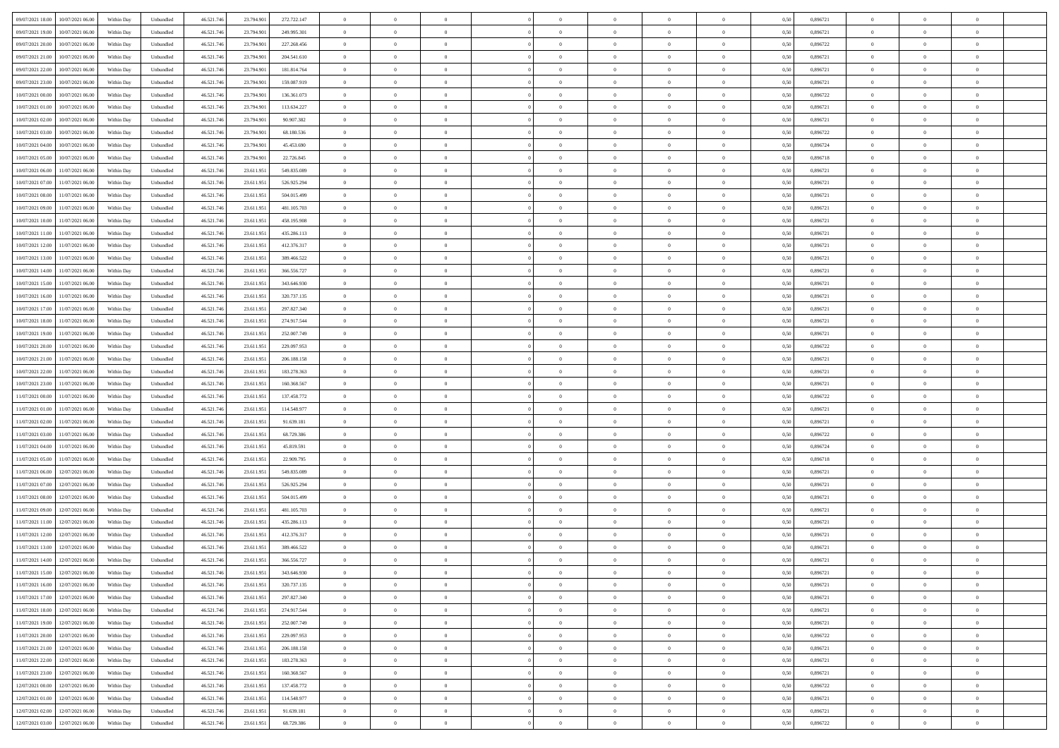| 09/07/2021 18:00 | 10/07/2021 06:00                  | Within Day | Unbundled | 46.521.746 | 23.794.901 | 272.722.147 | $\overline{0}$ | $\theta$       |                | $\overline{0}$ | $\bf{0}$       | $\overline{0}$ | $\theta$       | 0,50 | 0,896721 | $\theta$       | $\theta$       | $\overline{0}$ |  |
|------------------|-----------------------------------|------------|-----------|------------|------------|-------------|----------------|----------------|----------------|----------------|----------------|----------------|----------------|------|----------|----------------|----------------|----------------|--|
|                  |                                   |            |           |            |            |             | $\overline{0}$ | $\overline{0}$ |                |                |                |                |                |      |          |                |                | $\overline{0}$ |  |
| 09/07/2021 19:00 | 10/07/2021 06.00                  | Within Day | Unbundled | 46.521.74  | 23.794.901 | 249.995.301 |                |                | $\overline{0}$ | $\overline{0}$ | $\,$ 0         | $\overline{0}$ | $\bf{0}$       | 0,50 | 0,896721 | $\,$ 0 $\,$    | $\overline{0}$ |                |  |
| 09/07/2021 20:00 | 10/07/2021 06:00                  | Within Day | Unbundled | 46.521.746 | 23.794.901 | 227.268.456 | $\overline{0}$ | $\overline{0}$ | $\overline{0}$ | $\overline{0}$ | $\bf{0}$       | $\overline{0}$ | $\mathbf{0}$   | 0.50 | 0.896722 | $\bf{0}$       | $\overline{0}$ | $\overline{0}$ |  |
| 09/07/2021 21:00 | 10/07/2021 06:00                  | Within Day | Unbundled | 46.521.746 | 23.794.901 | 204.541.610 | $\overline{0}$ | $\overline{0}$ | $\overline{0}$ | $\overline{0}$ | $\bf{0}$       | $\overline{0}$ | $\overline{0}$ | 0,50 | 0,896721 | $\theta$       | $\overline{0}$ | $\overline{0}$ |  |
| 09/07/2021 22.00 | 10/07/2021 06.00                  | Within Day | Unbundled | 46.521.74  | 23.794.901 | 181.814.764 | $\overline{0}$ | $\theta$       | $\overline{0}$ |                | $\overline{0}$ | $\overline{0}$ | $\bf{0}$       | 0,50 | 0,896721 | $\,$ 0 $\,$    | $\overline{0}$ | $\overline{0}$ |  |
| 09/07/2021 23.00 | 10/07/2021 06:00                  | Within Day | Unbundled | 46.521.746 | 23,794.901 | 159.087.919 | $\overline{0}$ | $\overline{0}$ | $\overline{0}$ | $\overline{0}$ | $\bf{0}$       | $\overline{0}$ | $\overline{0}$ | 0.50 | 0.896721 | $\,0\,$        | $\theta$       | $\overline{0}$ |  |
| 10/07/2021 00:00 | 10/07/2021 06:00                  | Within Day | Unbundled | 46.521.746 | 23.794.901 | 136.361.073 | $\overline{0}$ | $\theta$       | $\overline{0}$ | $\overline{0}$ | $\,$ 0         | $\overline{0}$ | $\overline{0}$ | 0,50 | 0,896722 | $\theta$       | $\theta$       | $\overline{0}$ |  |
| 10/07/2021 01:00 | 10/07/2021 06.00                  | Within Day | Unbundled | 46.521.74  | 23.794.901 | 113.634.227 | $\overline{0}$ | $\theta$       | $\overline{0}$ | $\overline{0}$ | $\,$ 0         | $\overline{0}$ | $\bf{0}$       | 0,50 | 0,896721 | $\,$ 0 $\,$    | $\overline{0}$ | $\overline{0}$ |  |
| 10/07/2021 02:00 | 10/07/2021 06:00                  | Within Day | Unbundled | 46.521.746 | 23,794.901 | 90.907.382  | $\overline{0}$ | $\overline{0}$ | $\overline{0}$ | $\overline{0}$ | $\bf{0}$       | $\overline{0}$ | $\bf{0}$       | 0.50 | 0.896721 | $\,0\,$        | $\overline{0}$ | $\overline{0}$ |  |
|                  |                                   |            |           |            |            |             |                |                |                |                |                |                |                |      |          |                |                |                |  |
| 10/07/2021 03:00 | 10/07/2021 06:00                  | Within Day | Unbundled | 46.521.746 | 23.794.901 | 68.180.536  | $\overline{0}$ | $\overline{0}$ | $\overline{0}$ | $\overline{0}$ | $\,$ 0         | $\overline{0}$ | $\bf{0}$       | 0,50 | 0,896722 | $\,$ 0 $\,$    | $\overline{0}$ | $\overline{0}$ |  |
| 10/07/2021 04:00 | 10/07/2021 06.00                  | Within Day | Unbundled | 46.521.74  | 23.794.901 | 45.453.690  | $\overline{0}$ | $\theta$       | $\overline{0}$ | $\overline{0}$ | $\,$ 0         | $\overline{0}$ | $\bf{0}$       | 0,50 | 0,896724 | $\,$ 0 $\,$    | $\overline{0}$ | $\overline{0}$ |  |
| 10/07/2021 05:00 | 10/07/2021 06:00                  | Within Day | Unbundled | 46.521.746 | 23,794.901 | 22.726.845  | $\overline{0}$ | $\overline{0}$ | $\overline{0}$ | $\overline{0}$ | $\bf{0}$       | $\overline{0}$ | $\mathbf{0}$   | 0.50 | 0.896718 | $\bf{0}$       | $\overline{0}$ | $\bf{0}$       |  |
| 10/07/2021 06:00 | 11/07/2021 06:00                  | Within Day | Unbundled | 46.521.746 | 23.611.951 | 549.835.089 | $\overline{0}$ | $\theta$       | $\overline{0}$ | $\overline{0}$ | $\bf{0}$       | $\overline{0}$ | $\mathbf{0}$   | 0,50 | 0,896721 | $\,$ 0 $\,$    | $\overline{0}$ | $\overline{0}$ |  |
| 10/07/2021 07:00 | 11/07/2021 06.00                  | Within Day | Unbundled | 46.521.74  | 23.611.951 | 526.925.294 | $\overline{0}$ | $\theta$       | $\overline{0}$ | $\overline{0}$ | $\overline{0}$ | $\overline{0}$ | $\bf{0}$       | 0,50 | 0,896721 | $\,$ 0 $\,$    | $\overline{0}$ | $\overline{0}$ |  |
| 10/07/2021 08:00 | 11/07/2021 06:00                  | Within Day | Unbundled | 46.521.746 | 23.611.951 | 504.015.499 | $\overline{0}$ | $\overline{0}$ | $\overline{0}$ | $\overline{0}$ | $\,$ 0         | $\overline{0}$ | $\bf{0}$       | 0.50 | 0.896721 | $\theta$       | $\theta$       | $\overline{0}$ |  |
| 10/07/2021 09:00 | 11/07/2021 06:00                  | Within Day | Unbundled | 46.521.746 | 23.611.951 | 481.105.703 | $\overline{0}$ | $\overline{0}$ | $\overline{0}$ | $\overline{0}$ | $\bf{0}$       | $\overline{0}$ | $\overline{0}$ | 0,50 | 0,896721 | $\theta$       | $\theta$       | $\overline{0}$ |  |
|                  |                                   |            |           |            |            |             |                |                |                |                |                |                |                |      |          |                |                |                |  |
| 10/07/2021 10:00 | 1/07/2021 06.00                   | Within Day | Unbundled | 46.521.74  | 23.611.951 | 458.195.908 | $\overline{0}$ | $\theta$       | $\overline{0}$ |                | $\bf{0}$       | $\overline{0}$ | $\bf{0}$       | 0,50 | 0,896721 | $\,$ 0 $\,$    | $\overline{0}$ | $\overline{0}$ |  |
| 10/07/2021 11:00 | 11/07/2021 06:00                  | Within Day | Unbundled | 46.521.74  | 23.611.95  | 435.286.113 | $\overline{0}$ | $\overline{0}$ | $\overline{0}$ | $\overline{0}$ | $\bf{0}$       | $\overline{0}$ | $\bf{0}$       | 0.50 | 0.896721 | $\,0\,$        | $\overline{0}$ | $\overline{0}$ |  |
| 10/07/2021 12:00 | 11/07/2021 06:00                  | Within Day | Unbundled | 46.521.746 | 23.611.951 | 412.376.317 | $\overline{0}$ | $\overline{0}$ | $\overline{0}$ | $\overline{0}$ | $\,$ 0         | $\overline{0}$ | $\overline{0}$ | 0,50 | 0,896721 | $\,$ 0 $\,$    | $\theta$       | $\overline{0}$ |  |
| 10/07/2021 13:00 | 1/07/2021 06.00                   | Within Day | Unbundled | 46.521.74  | 23.611.951 | 389.466.522 | $\bf{0}$       | $\theta$       | $\overline{0}$ | $\overline{0}$ | $\,$ 0         | $\overline{0}$ | $\bf{0}$       | 0,50 | 0,896721 | $\,$ 0 $\,$    | $\overline{0}$ | $\overline{0}$ |  |
| 10/07/2021 14:00 | 11/07/2021 06:00                  | Within Day | Unbundled | 46.521.746 | 23.611.951 | 366.556.727 | $\overline{0}$ | $\overline{0}$ | $\overline{0}$ | $\overline{0}$ | $\bf{0}$       | $\overline{0}$ | $\mathbf{0}$   | 0.50 | 0.896721 | $\bf{0}$       | $\overline{0}$ | $\overline{0}$ |  |
| 10/07/2021 15:00 | 11/07/2021 06:00                  | Within Day | Unbundled | 46.521.746 | 23.611.951 | 343.646.930 | $\overline{0}$ | $\overline{0}$ | $\overline{0}$ | $\overline{0}$ | $\bf{0}$       | $\overline{0}$ | $\overline{0}$ | 0,50 | 0,896721 | $\theta$       | $\overline{0}$ | $\overline{0}$ |  |
| 10/07/2021 16:00 | 11/07/2021 06.00                  | Within Day | Unbundled | 46.521.74  | 23.611.951 | 320.737.135 | $\overline{0}$ | $\theta$       | $\overline{0}$ | $\overline{0}$ | $\,$ 0         | $\overline{0}$ | $\bf{0}$       | 0,50 | 0,896721 | $\,$ 0 $\,$    | $\overline{0}$ | $\overline{0}$ |  |
| 10/07/2021 17:00 | 11/07/2021 06:00                  |            |           |            | 23.611.95  | 297.827.340 |                | $\overline{0}$ | $\overline{0}$ | $\overline{0}$ | $\bf{0}$       | $\overline{0}$ | $\overline{0}$ | 0.50 | 0.896721 | $\,0\,$        | $\theta$       | $\overline{0}$ |  |
|                  |                                   | Within Day | Unbundled | 46.521.746 |            |             | $\overline{0}$ |                |                |                |                |                |                |      |          |                |                |                |  |
| 10/07/2021 18:00 | 11/07/2021 06:00                  | Within Day | Unbundled | 46.521.746 | 23.611.951 | 274.917.544 | $\overline{0}$ | $\theta$       | $\overline{0}$ | $\overline{0}$ | $\bf{0}$       | $\overline{0}$ | $\overline{0}$ | 0,50 | 0,896721 | $\theta$       | $\theta$       | $\overline{0}$ |  |
| 10/07/2021 19:00 | 1/07/2021 06.00                   | Within Day | Unbundled | 46.521.74  | 23.611.95  | 252.007.749 | $\overline{0}$ | $\theta$       | $\overline{0}$ |                | $\bf{0}$       | $\overline{0}$ | $\bf{0}$       | 0,50 | 0,896721 | $\,$ 0 $\,$    | $\overline{0}$ | $\overline{0}$ |  |
| 10/07/2021 20:00 | 11/07/2021 06:00                  | Within Day | Unbundled | 46.521.746 | 23.611.95  | 229.097.953 | $\overline{0}$ | $\overline{0}$ | $\overline{0}$ | $\overline{0}$ | $\bf{0}$       | $\overline{0}$ | $\bf{0}$       | 0.50 | 0.896722 | $\,0\,$        | $\overline{0}$ | $\overline{0}$ |  |
| 10/07/2021 21:00 | 11/07/2021 06:00                  | Within Day | Unbundled | 46.521.746 | 23.611.951 | 206.188.158 | $\overline{0}$ | $\overline{0}$ | $\overline{0}$ | $\overline{0}$ | $\bf{0}$       | $\overline{0}$ | $\bf{0}$       | 0,50 | 0,896721 | $\,$ 0 $\,$    | $\theta$       | $\overline{0}$ |  |
| 10/07/2021 22.00 | 1/07/2021 06.00                   | Within Day | Unbundled | 46.521.74  | 23.611.951 | 183.278.363 | $\bf{0}$       | $\theta$       | $\overline{0}$ | $\overline{0}$ | $\bf{0}$       | $\overline{0}$ | $\bf{0}$       | 0,50 | 0,896721 | $\,$ 0 $\,$    | $\overline{0}$ | $\overline{0}$ |  |
| 10/07/2021 23:00 | 11/07/2021 06:00                  | Within Day | Unbundled | 46.521.746 | 23.611.951 | 160 368 567 | $\overline{0}$ | $\overline{0}$ | $\overline{0}$ | $\overline{0}$ | $\bf{0}$       | $\overline{0}$ | $\mathbf{0}$   | 0.50 | 0.896721 | $\bf{0}$       | $\overline{0}$ | $\bf{0}$       |  |
| 11/07/2021 00:00 | 11/07/2021 06:00                  | Within Dav | Unbundled | 46.521.746 | 23.611.95  | 137.458.772 | $\overline{0}$ | $\overline{0}$ | $\theta$       | $\overline{0}$ | $\mathbf{0}$   | $\overline{0}$ | $\overline{0}$ | 0.50 | 0,896722 | $\theta$       | $\overline{0}$ | $\overline{0}$ |  |
| 11/07/2021 01:00 | 11/07/2021 06.00                  | Within Day | Unbundled | 46.521.74  | 23.611.95  | 114.548.977 | $\overline{0}$ | $\theta$       | $\overline{0}$ | $\overline{0}$ | $\,$ 0         | $\overline{0}$ | $\bf{0}$       | 0,50 | 0,896721 | $\,$ 0 $\,$    | $\overline{0}$ | $\overline{0}$ |  |
|                  |                                   |            |           |            |            |             |                |                |                |                |                |                |                |      |          |                |                |                |  |
| 11/07/2021 02:00 | 11/07/2021 06:00                  | Within Day | Unbundled | 46.521.746 | 23.611.951 | 91.639.181  | $\overline{0}$ | $\overline{0}$ | $\overline{0}$ | $\overline{0}$ | $\bf{0}$       | $\overline{0}$ | $\bf{0}$       | 0.50 | 0.896721 | $\,0\,$        | $\theta$       | $\overline{0}$ |  |
| 11/07/2021 03:00 | 11/07/2021 06:00                  | Within Dav | Unbundled | 46.521.746 | 23.611.951 | 68.729.386  | $\overline{0}$ | $\theta$       | $\Omega$       | $\Omega$       | $\mathbf{0}$   | $\overline{0}$ | $\overline{0}$ | 0.50 | 0,896722 | $\theta$       | $\overline{0}$ | $\overline{0}$ |  |
| 11/07/2021 04:00 | 1/07/2021 06.00                   | Within Day | Unbundled | 46.521.74  | 23.611.951 | 45.819.591  | $\overline{0}$ | $\theta$       | $\overline{0}$ | $\overline{0}$ | $\,$ 0         | $\overline{0}$ | $\bf{0}$       | 0,50 | 0,896724 | $\,$ 0 $\,$    | $\overline{0}$ | $\overline{0}$ |  |
| 11/07/2021 05:00 | 11/07/2021 06:00                  | Within Day | Unbundled | 46.521.74  | 23.611.95  | 22.909.795  | $\overline{0}$ | $\overline{0}$ | $\overline{0}$ | $\overline{0}$ | $\bf{0}$       | $\overline{0}$ | $\bf{0}$       | 0.50 | 0.896718 | $\,0\,$        | $\theta$       | $\overline{0}$ |  |
| 11/07/2021 06:00 | 12/07/2021 06:00                  | Within Dav | Unbundled | 46.521.746 | 23.611.95  | 549.835.089 | $\overline{0}$ | $\overline{0}$ | $\overline{0}$ | $\Omega$       | $\overline{0}$ | $\overline{0}$ | $\overline{0}$ | 0.50 | 0,896721 | $\theta$       | $\overline{0}$ | $\overline{0}$ |  |
| 11/07/2021 07:00 | 12/07/2021 06.00                  | Within Day | Unbundled | 46.521.74  | 23.611.95  | 526.925.294 | $\bf{0}$       | $\overline{0}$ | $\overline{0}$ | $\overline{0}$ | $\bf{0}$       | $\overline{0}$ | $\bf{0}$       | 0,50 | 0,896721 | $\,$ 0 $\,$    | $\overline{0}$ | $\overline{0}$ |  |
| 11/07/2021 08:00 | 12/07/2021 06:00                  | Within Day | Unbundled | 46.521.746 | 23.611.951 | 504.015.499 | $\overline{0}$ | $\overline{0}$ | $\overline{0}$ | $\overline{0}$ | $\bf{0}$       | $\overline{0}$ | $\mathbf{0}$   | 0.50 | 0.896721 | $\,$ 0 $\,$    | $\overline{0}$ | $\overline{0}$ |  |
| 11/07/2021 09:00 | 12/07/2021 06:00                  | Within Dav | Unbundled | 46.521.746 | 23.611.951 | 481.105.703 | $\overline{0}$ | $\overline{0}$ | $\Omega$       | $\Omega$       | $\mathbf{0}$   | $\overline{0}$ | $\overline{0}$ | 0.50 | 0,896721 | $\theta$       | $\overline{0}$ | $\overline{0}$ |  |
| 11/07/2021 11:00 | 12/07/2021 06:00                  | Within Day | Unbundled | 46.521.74  | 23.611.951 | 435.286.113 | $\overline{0}$ | $\theta$       | $\overline{0}$ | $\overline{0}$ | $\,$ 0         | $\overline{0}$ | $\bf{0}$       | 0,50 | 0,896721 | $\,$ 0 $\,$    | $\overline{0}$ | $\overline{0}$ |  |
|                  |                                   |            |           |            |            |             |                |                |                |                |                |                |                |      |          |                |                |                |  |
| 11/07/2021 12:00 | 12/07/2021 06:00                  | Within Day | Unbundled | 46.521.746 | 23.611.951 | 412.376.317 | $\overline{0}$ | $\theta$       | $\overline{0}$ | $\overline{0}$ | $\bf{0}$       | $\Omega$       | $\overline{0}$ | 0.50 | 0.896721 | $\,0\,$        | $\theta$       | $\overline{0}$ |  |
| 11/07/2021 13:00 | 12/07/2021 06:00                  | Within Dav | Unbundled | 46.521.746 | 23.611.95  | 389.466.522 | $\overline{0}$ | $\Omega$       | $\Omega$       | $\Omega$       | $\bf{0}$       | $\overline{0}$ | $\bf{0}$       | 0.50 | 0,896721 | $\theta$       | $\overline{0}$ | $\overline{0}$ |  |
| 11/07/2021 14:00 | 12/07/2021 06:00                  | Within Day | Unbundled | 46.521.746 | 23.611.951 | 366.556.727 | $\overline{0}$ | $\,$ 0 $\,$    | $\overline{0}$ | $\overline{0}$ | $\,$ 0         | $\overline{0}$ | $\bf{0}$       | 0,50 | 0,896721 | $\,$ 0 $\,$    | $\overline{0}$ | $\overline{0}$ |  |
| 11/07/2021 15:00 | 12/07/2021 06:00                  | Within Day | Unbundled | 46.521.746 | 23.611.951 | 343.646.930 | $\bf{0}$       | $\theta$       |                |                |                |                |                | 0,50 | 0,896721 | $\bf{0}$       | $\theta$       |                |  |
| 11/07/2021 16:00 | 12/07/2021 06:00                  | Within Day | Unbundled | 46.521.746 | 23.611.951 | 320.737.135 | $\Omega$       | $\overline{0}$ | $\overline{0}$ | $\Omega$       | $\mathbf{0}$   | $\overline{0}$ | $\overline{0}$ | 0.50 | 0,896721 | $\theta$       | $\theta$       | $\overline{0}$ |  |
| 11/07/2021 17:00 | 12/07/2021 06:00                  | Within Day | Unbundled | 46.521.746 | 23.611.951 | 297.827.340 | $\overline{0}$ | $\overline{0}$ | $\overline{0}$ | $\bf{0}$       | $\overline{0}$ | $\overline{0}$ | $\mathbf{0}$   | 0,50 | 0,896721 | $\bf{0}$       | $\overline{0}$ | $\bf{0}$       |  |
| 11/07/2021 18:00 | 12/07/2021 06:00                  | Within Day | Unbundled | 46.521.746 | 23.611.951 | 274.917.544 | $\overline{0}$ | $\overline{0}$ | $\overline{0}$ | $\overline{0}$ | $\bf{0}$       | $\overline{0}$ | $\mathbf{0}$   | 0.50 | 0,896721 | $\overline{0}$ | $\bf{0}$       | $\bf{0}$       |  |
| 11/07/2021 19:00 | 12/07/2021 06:00                  | Within Day | Unbundled | 46.521.746 | 23.611.951 | 252.007.749 | $\overline{0}$ | $\overline{0}$ | $\overline{0}$ | $\overline{0}$ | $\mathbf{0}$   | $\overline{0}$ | $\overline{0}$ | 0.50 | 0,896721 | $\overline{0}$ | $\theta$       | $\overline{0}$ |  |
|                  |                                   |            |           |            |            |             |                | $\overline{0}$ |                | $\overline{0}$ | $\bf{0}$       |                |                |      |          | $\,0\,$        | $\overline{0}$ | $\overline{0}$ |  |
| 11/07/2021 20:00 | 12/07/2021 06:00                  | Within Day | Unbundled | 46.521.746 | 23.611.951 | 229.097.953 | $\overline{0}$ |                | $\overline{0}$ |                |                | $\overline{0}$ | $\bf{0}$       | 0,50 | 0,896722 |                |                |                |  |
| 11/07/2021 21:00 | 12/07/2021 06:00                  | Within Day | Unbundled | 46.521.746 | 23.611.951 | 206.188.158 | $\overline{0}$ | $\overline{0}$ | $\overline{0}$ | $\overline{0}$ | $\bf{0}$       | $\overline{0}$ | $\mathbf{0}$   | 0.50 | 0.896721 | $\,$ 0 $\,$    | $\theta$       | $\overline{0}$ |  |
| 11/07/2021 22:00 | 12/07/2021 06:00                  | Within Day | Unbundled | 46.521.746 | 23.611.951 | 183.278.363 | $\overline{0}$ | $\overline{0}$ | $\overline{0}$ | $\overline{0}$ | $\overline{0}$ | $\overline{0}$ | $\overline{0}$ | 0.50 | 0,896721 | $\overline{0}$ | $\theta$       | $\overline{0}$ |  |
| 11/07/2021 23:00 | 12/07/2021 06:00                  | Within Day | Unbundled | 46.521.746 | 23.611.951 | 160.368.567 | $\overline{0}$ | $\,$ 0         | $\overline{0}$ | $\bf{0}$       | $\bf{0}$       | $\overline{0}$ | $\bf{0}$       | 0,50 | 0,896721 | $\,$ 0 $\,$    | $\overline{0}$ | $\overline{0}$ |  |
| 12/07/2021 00:00 | 12/07/2021 06:00                  | Within Day | Unbundled | 46.521.746 | 23.611.951 | 137.458.772 | $\overline{0}$ | $\overline{0}$ | $\overline{0}$ | $\overline{0}$ | $\bf{0}$       | $\overline{0}$ | $\mathbf{0}$   | 0.50 | 0.896722 | $\mathbf{0}$   | $\,$ 0 $\,$    | $\overline{0}$ |  |
| 12/07/2021 01:00 | 12/07/2021 06:00                  | Within Day | Unbundled | 46.521.746 | 23.611.951 | 114.548.977 | $\overline{0}$ | $\overline{0}$ | $\overline{0}$ | $\overline{0}$ | $\overline{0}$ | $\overline{0}$ | $\overline{0}$ | 0,50 | 0,896721 | $\overline{0}$ | $\theta$       | $\overline{0}$ |  |
| 12/07/2021 02:00 | 12/07/2021 06:00                  | Within Day | Unbundled | 46.521.746 | 23.611.951 | 91.639.181  | $\overline{0}$ | $\overline{0}$ | $\overline{0}$ | $\bf{0}$       | $\bf{0}$       | $\overline{0}$ | $\bf{0}$       | 0,50 | 0,896721 | $\bf{0}$       | $\,$ 0 $\,$    | $\bf{0}$       |  |
|                  | 12/07/2021 03:00 12/07/2021 06:00 | Within Day | Unbundled | 46.521.746 | 23.611.951 | 68.729.386  | $\overline{0}$ | $\overline{0}$ | $\overline{0}$ | $\overline{0}$ | $\bf{0}$       | $\overline{0}$ | $\,$ 0 $\,$    | 0,50 | 0,896722 | $\overline{0}$ | $\,$ 0 $\,$    | $\,$ 0 $\,$    |  |
|                  |                                   |            |           |            |            |             |                |                |                |                |                |                |                |      |          |                |                |                |  |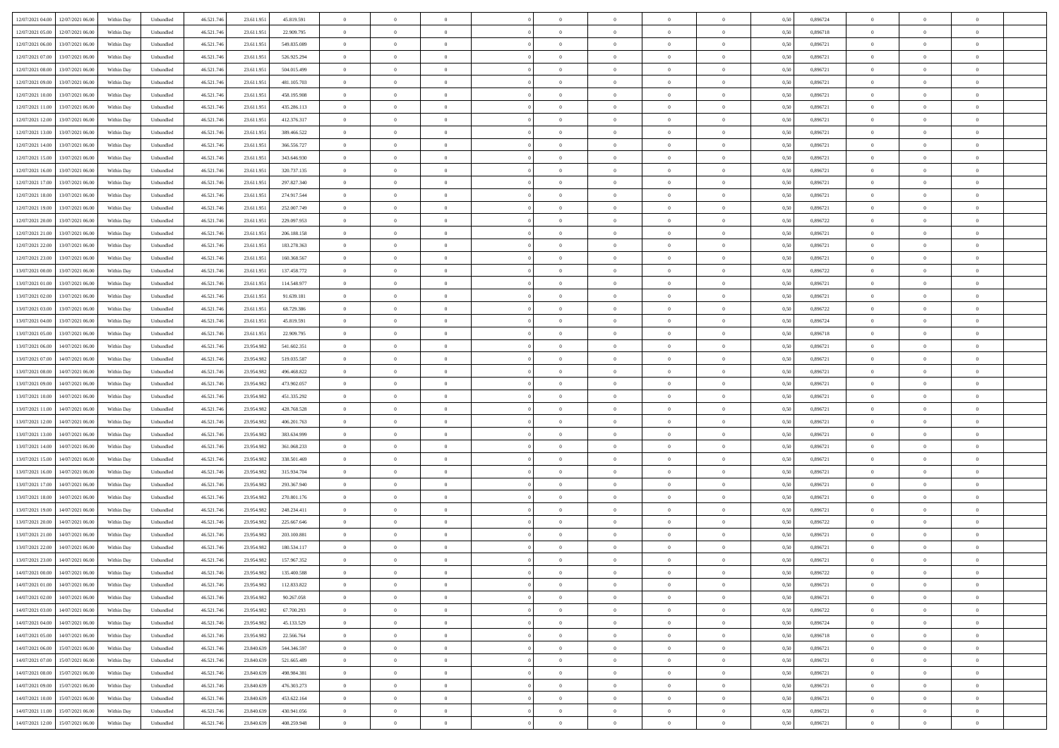| 12/07/2021 04:00                  | 12/07/2021 06:00 | Within Day | Unbundled                   | 46.521.746 | 23.611.951 | 45.819.591  | $\overline{0}$ | $\theta$       |                | $\overline{0}$ | $\bf{0}$       | $\overline{0}$ | $\theta$       | 0,50 | 0,896724 | $\theta$       | $\theta$       | $\overline{0}$           |  |
|-----------------------------------|------------------|------------|-----------------------------|------------|------------|-------------|----------------|----------------|----------------|----------------|----------------|----------------|----------------|------|----------|----------------|----------------|--------------------------|--|
|                                   |                  |            |                             |            |            |             | $\overline{0}$ | $\theta$       | $\overline{0}$ | $\overline{0}$ | $\,$ 0         |                |                |      |          | $\,$ 0 $\,$    | $\overline{0}$ | $\overline{0}$           |  |
| 12/07/2021 05:00                  | 12/07/2021 06:00 | Within Day | Unbundled                   | 46.521.74  | 23.611.951 | 22.909.795  |                |                |                |                |                | $\overline{0}$ | $\bf{0}$       | 0,50 | 0,896718 |                |                |                          |  |
| 12/07/2021 06:00                  | 13/07/2021 06:00 | Within Day | Unbundled                   | 46.521.746 | 23.611.951 | 549.835.089 | $\overline{0}$ | $\overline{0}$ | $\overline{0}$ | $\overline{0}$ | $\bf{0}$       | $\overline{0}$ | $\mathbf{0}$   | 0.50 | 0.896721 | $\bf{0}$       | $\overline{0}$ | $\overline{0}$           |  |
| 12/07/2021 07:00                  | 13/07/2021 06:00 | Within Day | Unbundled                   | 46.521.746 | 23.611.951 | 526.925.294 | $\overline{0}$ | $\overline{0}$ | $\overline{0}$ | $\overline{0}$ | $\bf{0}$       | $\overline{0}$ | $\overline{0}$ | 0,50 | 0,896721 | $\theta$       | $\overline{0}$ | $\overline{0}$           |  |
| 12/07/2021 08:00                  | 13/07/2021 06.00 | Within Day | Unbundled                   | 46.521.74  | 23.611.951 | 504.015.499 | $\overline{0}$ | $\theta$       | $\overline{0}$ |                | $\overline{0}$ | $\overline{0}$ | $\bf{0}$       | 0,50 | 0,896721 | $\,$ 0 $\,$    | $\overline{0}$ | $\overline{0}$           |  |
| 12/07/2021 09:00                  | 13/07/2021 06:00 | Within Day | Unbundled                   | 46.521.746 | 23.611.951 | 481.105.703 | $\overline{0}$ | $\overline{0}$ | $\overline{0}$ | $\overline{0}$ | $\bf{0}$       | $\overline{0}$ | $\overline{0}$ | 0.50 | 0.896721 | $\,0\,$        | $\theta$       | $\overline{0}$           |  |
| 12/07/2021 10:00                  | 13/07/2021 06:00 | Within Day | Unbundled                   | 46.521.746 | 23.611.951 | 458.195.908 | $\overline{0}$ | $\theta$       | $\overline{0}$ | $\overline{0}$ | $\,$ 0         | $\overline{0}$ | $\overline{0}$ | 0,50 | 0,896721 | $\theta$       | $\theta$       | $\overline{0}$           |  |
| 12/07/2021 11:00                  | 13/07/2021 06.00 | Within Day | Unbundled                   | 46.521.74  | 23.611.95  | 435.286.113 | $\overline{0}$ | $\theta$       | $\overline{0}$ |                | $\,$ 0         | $\bf{0}$       | $\bf{0}$       | 0,50 | 0,896721 | $\,$ 0 $\,$    | $\overline{0}$ | $\overline{0}$           |  |
| 12/07/2021 12:00                  | 13/07/2021 06:00 | Within Day | Unbundled                   | 46.521.746 | 23.611.951 | 412.376.317 | $\overline{0}$ | $\overline{0}$ | $\overline{0}$ | $\overline{0}$ | $\bf{0}$       | $\overline{0}$ | $\bf{0}$       | 0.50 | 0.896721 | $\,0\,$        | $\theta$       | $\overline{0}$           |  |
|                                   |                  |            |                             |            |            |             |                |                |                |                |                |                |                |      |          |                |                |                          |  |
| 12/07/2021 13:00                  | 13/07/2021 06:00 | Within Day | Unbundled                   | 46.521.746 | 23.611.951 | 389.466.522 | $\overline{0}$ | $\overline{0}$ | $\overline{0}$ | $\overline{0}$ | $\,$ 0         | $\overline{0}$ | $\bf{0}$       | 0,50 | 0,896721 | $\,$ 0 $\,$    | $\theta$       | $\overline{0}$           |  |
| 12/07/2021 14:00                  | 13/07/2021 06.00 | Within Day | Unbundled                   | 46.521.74  | 23.611.951 | 366.556.727 | $\overline{0}$ | $\theta$       | $\overline{0}$ | $\overline{0}$ | $\,$ 0         | $\overline{0}$ | $\bf{0}$       | 0,50 | 0,896721 | $\,$ 0 $\,$    | $\overline{0}$ | $\overline{0}$           |  |
| 12/07/2021 15:00                  | 13/07/2021 06:00 | Within Day | Unbundled                   | 46.521.746 | 23.611.951 | 343.646.930 | $\overline{0}$ | $\overline{0}$ | $\overline{0}$ | $\overline{0}$ | $\bf{0}$       | $\overline{0}$ | $\mathbf{0}$   | 0.50 | 0.896721 | $\bf{0}$       | $\overline{0}$ | $\bf{0}$                 |  |
| 12/07/2021 16:00                  | 13/07/2021 06:00 | Within Day | Unbundled                   | 46.521.746 | 23.611.951 | 320.737.135 | $\overline{0}$ | $\theta$       | $\overline{0}$ | $\overline{0}$ | $\bf{0}$       | $\overline{0}$ | $\overline{0}$ | 0,50 | 0,896721 | $\,$ 0 $\,$    | $\theta$       | $\overline{0}$           |  |
| 12/07/2021 17:00                  | 13/07/2021 06.00 | Within Day | Unbundled                   | 46.521.74  | 23.611.951 | 297.827.340 | $\overline{0}$ | $\theta$       | $\overline{0}$ |                | $\overline{0}$ | $\overline{0}$ | $\bf{0}$       | 0,50 | 0,896721 | $\,$ 0 $\,$    | $\overline{0}$ | $\overline{0}$           |  |
| 12/07/2021 18:00                  | 13/07/2021 06:00 | Within Day | Unbundled                   | 46.521.746 | 23.611.951 | 274.917.544 | $\overline{0}$ | $\overline{0}$ | $\overline{0}$ | $\overline{0}$ | $\,$ 0         | $\overline{0}$ | $\overline{0}$ | 0.50 | 0.896721 | $\,0\,$        | $\theta$       | $\overline{0}$           |  |
| 12/07/2021 19:00                  | 13/07/2021 06:00 | Within Day | Unbundled                   | 46.521.746 | 23.611.951 | 252.007.749 | $\overline{0}$ | $\theta$       | $\overline{0}$ | $\overline{0}$ | $\bf{0}$       | $\overline{0}$ | $\overline{0}$ | 0,50 | 0,896721 | $\theta$       | $\theta$       | $\overline{0}$           |  |
|                                   |                  |            |                             |            |            |             |                |                |                |                |                |                |                |      |          |                |                |                          |  |
| 12/07/2021 20:00                  | 13/07/2021 06.00 | Within Day | Unbundled                   | 46.521.74  | 23.611.951 | 229.097.953 | $\overline{0}$ | $\theta$       | $\overline{0}$ |                | $\bf{0}$       | $\overline{0}$ | $\bf{0}$       | 0,50 | 0,896722 | $\,$ 0 $\,$    | $\overline{0}$ | $\overline{0}$           |  |
| 12/07/2021 21:00                  | 13/07/2021 06:00 | Within Day | Unbundled                   | 46.521.74  | 23.611.95  | 206.188.158 | $\overline{0}$ | $\overline{0}$ | $\overline{0}$ | $\overline{0}$ | $\bf{0}$       | $\overline{0}$ | $\bf{0}$       | 0.50 | 0.896721 | $\,0\,$        | $\overline{0}$ | $\overline{0}$           |  |
| 12/07/2021 22:00                  | 13/07/2021 06:00 | Within Day | Unbundled                   | 46.521.746 | 23.611.951 | 183.278.363 | $\overline{0}$ | $\overline{0}$ | $\overline{0}$ | $\overline{0}$ | $\,$ 0         | $\overline{0}$ | $\overline{0}$ | 0,50 | 0,896721 | $\,$ 0 $\,$    | $\theta$       | $\overline{0}$           |  |
| 12/07/2021 23:00                  | 13/07/2021 06.00 | Within Day | Unbundled                   | 46.521.74  | 23.611.951 | 160.368.567 | $\overline{0}$ | $\theta$       | $\overline{0}$ | $\overline{0}$ | $\,$ 0         | $\bf{0}$       | $\bf{0}$       | 0,50 | 0,896721 | $\,$ 0 $\,$    | $\overline{0}$ | $\overline{0}$           |  |
| 13/07/2021 00:00                  | 13/07/2021 06:00 | Within Day | Unbundled                   | 46.521.746 | 23.611.951 | 137.458.772 | $\overline{0}$ | $\overline{0}$ | $\overline{0}$ | $\overline{0}$ | $\bf{0}$       | $\overline{0}$ | $\mathbf{0}$   | 0.50 | 0.896722 | $\bf{0}$       | $\overline{0}$ | $\overline{0}$           |  |
| 13/07/2021 01:00                  | 13/07/2021 06:00 | Within Day | Unbundled                   | 46.521.746 | 23.611.951 | 114.548.977 | $\overline{0}$ | $\overline{0}$ | $\overline{0}$ | $\overline{0}$ | $\bf{0}$       | $\overline{0}$ | $\overline{0}$ | 0,50 | 0,896721 | $\theta$       | $\overline{0}$ | $\overline{0}$           |  |
| 13/07/2021 02:00                  | 13/07/2021 06.00 | Within Day | Unbundled                   | 46.521.74  | 23.611.951 | 91.639.181  | $\overline{0}$ | $\theta$       | $\overline{0}$ | $\overline{0}$ | $\,$ 0         | $\overline{0}$ | $\bf{0}$       | 0,50 | 0,896721 | $\,$ 0 $\,$    | $\overline{0}$ | $\overline{0}$           |  |
|                                   | 13/07/2021 06:00 |            |                             |            |            | 68.729.386  |                | $\overline{0}$ |                |                |                | $\overline{0}$ |                |      | 0.896722 |                | $\theta$       | $\overline{0}$           |  |
| 13/07/2021 03:00                  |                  | Within Day | Unbundled                   | 46.521.746 | 23.611.951 |             | $\overline{0}$ |                | $\overline{0}$ | $\overline{0}$ | $\bf{0}$       |                | $\overline{0}$ | 0.50 |          | $\,0\,$        |                |                          |  |
| 13/07/2021 04:00                  | 13/07/2021 06:00 | Within Day | Unbundled                   | 46.521.746 | 23.611.951 | 45.819.591  | $\overline{0}$ | $\theta$       | $\overline{0}$ | $\overline{0}$ | $\bf{0}$       | $\overline{0}$ | $\overline{0}$ | 0,50 | 0,896724 | $\theta$       | $\theta$       | $\overline{0}$           |  |
| 13/07/2021 05:00                  | 13/07/2021 06.00 | Within Day | Unbundled                   | 46.521.74  | 23.611.951 | 22.909.795  | $\overline{0}$ | $\theta$       | $\overline{0}$ |                | $\bf{0}$       | $\overline{0}$ | $\bf{0}$       | 0,50 | 0,896718 | $\,$ 0 $\,$    | $\overline{0}$ | $\overline{0}$           |  |
| 13/07/2021 06:00                  | 14/07/2021 06:00 | Within Day | Unbundled                   | 46.521.746 | 23.954.982 | 541.602.351 | $\overline{0}$ | $\overline{0}$ | $\overline{0}$ | $\overline{0}$ | $\bf{0}$       | $\overline{0}$ | $\bf{0}$       | 0.50 | 0.896721 | $\,0\,$        | $\overline{0}$ | $\overline{0}$           |  |
| 13/07/2021 07:00                  | 14/07/2021 06:00 | Within Day | Unbundled                   | 46.521.746 | 23.954.982 | 519.035.587 | $\overline{0}$ | $\overline{0}$ | $\overline{0}$ | $\overline{0}$ | $\,$ 0         | $\overline{0}$ | $\bf{0}$       | 0,50 | 0,896721 | $\theta$       | $\theta$       | $\overline{0}$           |  |
| 13/07/2021 08:00                  | 14/07/2021 06.00 | Within Day | Unbundled                   | 46.521.74  | 23.954.982 | 496.468.822 | $\overline{0}$ | $\theta$       | $\overline{0}$ | $\overline{0}$ | $\,$ 0         | $\overline{0}$ | $\bf{0}$       | 0,50 | 0,896721 | $\,$ 0 $\,$    | $\overline{0}$ | $\overline{0}$           |  |
| 13/07/2021 09:00                  | 14/07/2021 06:00 | Within Day | Unbundled                   | 46.521.746 | 23.954.982 | 473.902.057 | $\overline{0}$ | $\overline{0}$ | $\overline{0}$ | $\overline{0}$ | $\bf{0}$       | $\overline{0}$ | $\mathbf{0}$   | 0.50 | 0.896721 | $\bf{0}$       | $\overline{0}$ | $\overline{\phantom{a}}$ |  |
| 13/07/2021 10:00                  | 14/07/2021 06:00 | Within Dav | Unbundled                   | 46.521.746 | 23.954.982 | 451.335.292 | $\overline{0}$ | $\overline{0}$ | $\theta$       | $\overline{0}$ | $\mathbf{0}$   | $\overline{0}$ | $\overline{0}$ | 0.50 | 0,896721 | $\theta$       | $\overline{0}$ | $\overline{0}$           |  |
| 13/07/2021 11:00                  | 14/07/2021 06.00 | Within Day | Unbundled                   | 46.521.74  | 23.954.982 | 428.768.528 | $\overline{0}$ | $\theta$       | $\overline{0}$ | $\overline{0}$ | $\bf{0}$       | $\overline{0}$ | $\bf{0}$       | 0,50 | 0,896721 | $\,$ 0 $\,$    | $\overline{0}$ | $\overline{0}$           |  |
|                                   |                  |            |                             |            |            |             |                |                |                |                |                |                |                |      |          |                |                |                          |  |
| 13/07/2021 12:00                  | 14/07/2021 06:00 | Within Day | Unbundled                   | 46.521.746 | 23.954.982 | 406.201.763 | $\overline{0}$ | $\overline{0}$ | $\overline{0}$ | $\overline{0}$ | $\bf{0}$       | $\overline{0}$ | $\bf{0}$       | 0.50 | 0.896721 | $\,0\,$        | $\theta$       | $\overline{0}$           |  |
| 13/07/2021 13:00                  | 14/07/2021 06:00 | Within Dav | Unbundled                   | 46.521.746 | 23.954.982 | 383.634.999 | $\overline{0}$ | $\theta$       | $\Omega$       | $\Omega$       | $\mathbf{0}$   | $\overline{0}$ | $\overline{0}$ | 0.50 | 0,896721 | $\theta$       | $\overline{0}$ | $\overline{0}$           |  |
| 13/07/2021 14:00                  | 14/07/2021 06.00 | Within Day | Unbundled                   | 46.521.74  | 23.954.982 | 361.068.233 | $\overline{0}$ | $\theta$       | $\overline{0}$ |                | $\,$ 0         | $\overline{0}$ | $\bf{0}$       | 0,50 | 0,896721 | $\,$ 0 $\,$    | $\overline{0}$ | $\overline{0}$           |  |
| 13/07/2021 15:00                  | 14/07/2021 06:00 | Within Day | Unbundled                   | 46.521.746 | 23.954.982 | 338,501.469 | $\overline{0}$ | $\overline{0}$ | $\overline{0}$ | $\overline{0}$ | $\bf{0}$       | $\overline{0}$ | $\bf{0}$       | 0.50 | 0.896721 | $\,0\,$        | $\theta$       | $\overline{0}$           |  |
| 13/07/2021 16:00                  | 14/07/2021 06:00 | Within Dav | Unbundled                   | 46.521.746 | 23.954.982 | 315.934.704 | $\overline{0}$ | $\overline{0}$ | $\overline{0}$ | $\Omega$       | $\overline{0}$ | $\overline{0}$ | $\overline{0}$ | 0.50 | 0,896721 | $\theta$       | $\overline{0}$ | $\overline{0}$           |  |
| 13/07/2021 17:00                  | 14/07/2021 06.00 | Within Day | Unbundled                   | 46.521.74  | 23.954.982 | 293.367.940 | $\bf{0}$       | $\overline{0}$ | $\overline{0}$ | $\overline{0}$ | $\bf{0}$       | $\overline{0}$ | $\bf{0}$       | 0,50 | 0,896721 | $\,$ 0 $\,$    | $\overline{0}$ | $\overline{0}$           |  |
| 13/07/2021 18:00                  | 14/07/2021 06:00 | Within Day | Unbundled                   | 46.521.746 | 23.954.982 | 270.801.176 | $\overline{0}$ | $\overline{0}$ | $\overline{0}$ | $\overline{0}$ | $\bf{0}$       | $\overline{0}$ | $\mathbf{0}$   | 0.50 | 0.896721 | $\,$ 0 $\,$    | $\overline{0}$ | $\overline{0}$           |  |
| 13/07/2021 19:00                  | 14/07/2021 06:00 | Within Dav | Unbundled                   | 46.521.746 | 23.954.982 | 248.234.411 | $\overline{0}$ | $\overline{0}$ | $\Omega$       | $\Omega$       | $\mathbf{0}$   | $\overline{0}$ | $\overline{0}$ | 0.50 | 0,896721 | $\theta$       | $\overline{0}$ | $\overline{0}$           |  |
| 13/07/2021 20:00                  | 14/07/2021 06.00 | Within Day | Unbundled                   | 46.521.74  | 23.954.982 | 225.667.646 | $\overline{0}$ | $\theta$       | $\overline{0}$ | $\overline{0}$ | $\,$ 0         | $\overline{0}$ | $\bf{0}$       | 0,50 | 0,896722 | $\,$ 0 $\,$    | $\overline{0}$ | $\overline{0}$           |  |
|                                   |                  |            |                             |            |            |             |                |                |                |                |                |                |                |      |          |                |                |                          |  |
| 13/07/2021 21:00                  | 14/07/2021 06:00 | Within Day | Unbundled                   | 46.521.746 | 23.954.982 | 203.100.881 | $\overline{0}$ | $\theta$       | $\overline{0}$ | $\overline{0}$ | $\bf{0}$       | $\Omega$       | $\overline{0}$ | 0.50 | 0.896721 | $\,0\,$        | $\theta$       | $\overline{0}$           |  |
| 13/07/2021 22:00                  | 14/07/2021 06:00 | Within Dav | Unbundled                   | 46.521.746 | 23.954.98  | 180.534.117 | $\overline{0}$ | $\Omega$       | $\Omega$       | $\Omega$       | $\bf{0}$       | $\overline{0}$ | $\overline{0}$ | 0.50 | 0,896721 | $\theta$       | $\overline{0}$ | $\overline{0}$           |  |
| 13/07/2021 23:00                  | 14/07/2021 06:00 | Within Day | Unbundled                   | 46.521.746 | 23.954.982 | 157.967.352 | $\bf{0}$       | $\overline{0}$ | $\overline{0}$ | $\overline{0}$ | $\,$ 0         | $\overline{0}$ | $\bf{0}$       | 0,50 | 0,896721 | $\,$ 0 $\,$    | $\overline{0}$ | $\overline{0}$           |  |
| 14/07/2021 00:00                  | 14/07/2021 06:00 | Within Day | $\ensuremath{\mathsf{Unb}}$ | 46.521.746 | 23.954.982 | 135.400.588 | $\bf{0}$       | $\theta$       |                |                |                |                |                | 0,50 | 0,896722 | $\bf{0}$       | $\theta$       |                          |  |
| 14/07/2021 01:00                  | 14/07/2021 06:00 | Within Day | Unbundled                   | 46.521.746 | 23.954.982 | 112.833.822 | $\Omega$       | $\overline{0}$ | $\Omega$       | $\Omega$       | $\mathbf{0}$   | $\overline{0}$ | $\mathbf{0}$   | 0.50 | 0,896721 | $\theta$       | $\theta$       | $\overline{0}$           |  |
| 14/07/2021 02:00                  | 14/07/2021 06:00 | Within Day | Unbundled                   | 46.521.746 | 23.954.982 | 90.267.058  | $\bf{0}$       | $\overline{0}$ | $\overline{0}$ | $\bf{0}$       | $\overline{0}$ | $\overline{0}$ | $\mathbf{0}$   | 0,50 | 0,896721 | $\bf{0}$       | $\overline{0}$ | $\bf{0}$                 |  |
| 14/07/2021 03:00                  | 14/07/2021 06:00 | Within Day | Unbundled                   | 46.521.746 | 23.954.982 | 67.700.293  | $\overline{0}$ | $\overline{0}$ | $\overline{0}$ | $\overline{0}$ | $\bf{0}$       | $\overline{0}$ | $\mathbf{0}$   | 0.50 | 0,896722 | $\overline{0}$ | $\bf{0}$       | $\bf{0}$                 |  |
| 14/07/2021 04:00                  | 14/07/2021 06:00 | Within Day | Unbundled                   | 46.521.746 | 23.954.982 | 45.133.529  | $\overline{0}$ | $\overline{0}$ | $\overline{0}$ | $\overline{0}$ | $\mathbf{0}$   | $\overline{0}$ | $\overline{0}$ | 0.50 | 0,896724 | $\overline{0}$ | $\theta$       | $\overline{0}$           |  |
|                                   |                  |            |                             |            |            |             |                |                |                | $\overline{0}$ |                |                |                |      |          |                |                |                          |  |
| 14/07/2021 05:00                  | 14/07/2021 06:00 | Within Day | Unbundled                   | 46.521.746 | 23.954.982 | 22.566.764  | $\bf{0}$       | $\overline{0}$ | $\overline{0}$ |                | $\bf{0}$       | $\bf{0}$       | $\bf{0}$       | 0,50 | 0,896718 | $\,0\,$        | $\overline{0}$ | $\overline{0}$           |  |
| 14/07/2021 06:00                  | 15/07/2021 06:00 | Within Day | Unbundled                   | 46.521.746 | 23,840,639 | 544.346.597 | $\overline{0}$ | $\overline{0}$ | $\overline{0}$ | $\overline{0}$ | $\overline{0}$ | $\overline{0}$ | $\overline{0}$ | 0.50 | 0.896721 | $\,$ 0 $\,$    | $\theta$       | $\overline{0}$           |  |
| 14/07/2021 07:00                  | 15/07/2021 06:00 | Within Day | Unbundled                   | 46.521.746 | 23.840.639 | 521.665.489 | $\overline{0}$ | $\overline{0}$ | $\overline{0}$ | $\overline{0}$ | $\overline{0}$ | $\overline{0}$ | $\overline{0}$ | 0.50 | 0,896721 | $\overline{0}$ | $\theta$       | $\overline{0}$           |  |
| 14/07/2021 08:00                  | 15/07/2021 06:00 | Within Day | Unbundled                   | 46.521.746 | 23.840.639 | 498.984.381 | $\overline{0}$ | $\,$ 0         | $\overline{0}$ | $\bf{0}$       | $\bf{0}$       | $\bf{0}$       | $\bf{0}$       | 0,50 | 0,896721 | $\,$ 0 $\,$    | $\overline{0}$ | $\,$ 0                   |  |
| 14/07/2021 09:00                  | 15/07/2021 06:00 | Within Day | Unbundled                   | 46.521.746 | 23,840,639 | 476.303.273 | $\overline{0}$ | $\overline{0}$ | $\overline{0}$ | $\overline{0}$ | $\bf{0}$       | $\overline{0}$ | $\mathbf{0}$   | 0.50 | 0.896721 | $\mathbf{0}$   | $\,$ 0 $\,$    | $\overline{0}$           |  |
| 14/07/2021 10:00                  | 15/07/2021 06:00 | Within Day | Unbundled                   | 46.521.746 | 23.840.639 | 453.622.164 | $\overline{0}$ | $\overline{0}$ | $\overline{0}$ | $\overline{0}$ | $\overline{0}$ | $\overline{0}$ | $\overline{0}$ | 0,50 | 0,896721 | $\overline{0}$ | $\theta$       | $\overline{0}$           |  |
| 14/07/2021 11:00                  | 15/07/2021 06:00 | Within Day | Unbundled                   | 46.521.746 | 23.840.639 | 430.941.056 | $\overline{0}$ | $\overline{0}$ | $\overline{0}$ | $\overline{0}$ | $\bf{0}$       | $\bf{0}$       | $\bf{0}$       | 0,50 | 0,896721 | $\bf{0}$       | $\overline{0}$ | $\bf{0}$                 |  |
| 14/07/2021 12:00 15/07/2021 06:00 |                  | Within Day | Unbundled                   | 46.521.746 | 23.840.639 | 408.259.948 | $\overline{0}$ | $\overline{0}$ | $\overline{0}$ | $\overline{0}$ | $\bf{0}$       | $\overline{0}$ | $\,$ 0 $\,$    | 0,50 | 0,896721 | $\overline{0}$ | $\,$ 0 $\,$    | $\,$ 0 $\,$              |  |
|                                   |                  |            |                             |            |            |             |                |                |                |                |                |                |                |      |          |                |                |                          |  |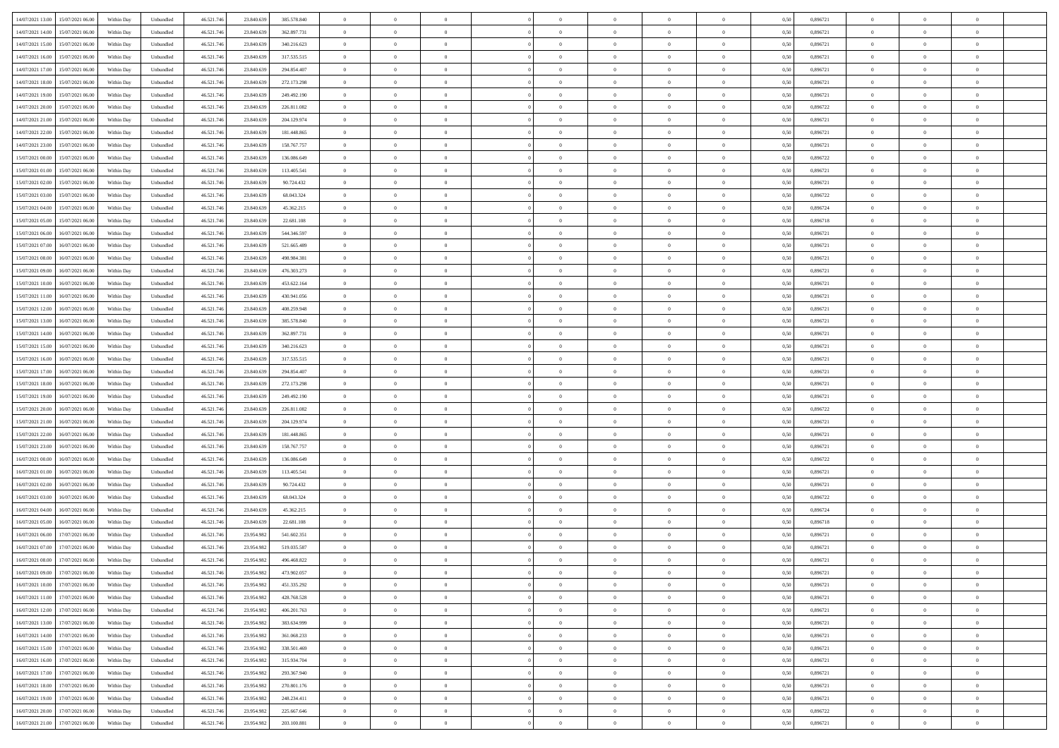|                                             |            |                   |            |            |             | $\overline{0}$ | $\theta$       |                | $\overline{0}$ | $\theta$       |                | $\theta$       |      |          | $\theta$       | $\theta$       | $\overline{0}$ |  |
|---------------------------------------------|------------|-------------------|------------|------------|-------------|----------------|----------------|----------------|----------------|----------------|----------------|----------------|------|----------|----------------|----------------|----------------|--|
| 14/07/2021 13:00 15/07/2021 06:00           | Within Day | Unbundled         | 46.521.74  | 23.840.639 | 385.578.840 |                |                |                |                |                |                |                | 0,50 | 0,896721 |                |                |                |  |
| 14/07/2021 14:00<br>15/07/2021 06:00        | Within Day | Unbundled         | 46.521.74  | 23.840.639 | 362.897.731 | $\bf{0}$       | $\overline{0}$ | $\bf{0}$       | $\overline{0}$ | $\bf{0}$       | $\overline{0}$ | $\bf{0}$       | 0,50 | 0,896721 | $\,$ 0 $\,$    | $\bf{0}$       | $\overline{0}$ |  |
| 14/07/2021 15:00<br>15/07/2021 06:00        | Within Day | Unbundled         | 46.521.746 | 23.840.639 | 340.216.623 | $\overline{0}$ | $\bf{0}$       | $\overline{0}$ | $\bf{0}$       | $\bf{0}$       | $\overline{0}$ | $\bf{0}$       | 0.50 | 0.896721 | $\bf{0}$       | $\overline{0}$ | $\overline{0}$ |  |
| 14/07/2021 16:00<br>15/07/2021 06:00        |            |                   |            |            |             | $\overline{0}$ | $\overline{0}$ | $\overline{0}$ | $\theta$       | $\theta$       | $\overline{0}$ |                |      | 0,896721 | $\theta$       | $\theta$       | $\overline{0}$ |  |
|                                             | Within Day | Unbundled         | 46.521.74  | 23.840.639 | 317.535.515 |                |                |                |                |                |                | $\bf{0}$       | 0,50 |          |                |                |                |  |
| 14/07/2021 17:00<br>15/07/2021 06:00        | Within Day | Unbundled         | 46.521.74  | 23.840.639 | 294.854.407 | $\bf{0}$       | $\overline{0}$ | $\bf{0}$       | $\overline{0}$ | $\theta$       | $\overline{0}$ | $\bf{0}$       | 0,50 | 0,896721 | $\,$ 0 $\,$    | $\bf{0}$       | $\overline{0}$ |  |
| 14/07/2021 18:00<br>15/07/2021 06:00        | Within Day | Unbundled         | 46.521.74  | 23,840,639 | 272.173.298 | $\overline{0}$ | $\overline{0}$ | $\overline{0}$ | $\bf{0}$       | $\overline{0}$ | $\theta$       | $\bf{0}$       | 0.50 | 0,896721 | $\,$ 0 $\,$    | $\theta$       | $\overline{0}$ |  |
| 14/07/2021 19:00<br>15/07/2021 06:00        | Within Day | Unbundled         | 46.521.74  | 23.840.639 | 249.492.190 | $\overline{0}$ | $\overline{0}$ | $\overline{0}$ | $\overline{0}$ | $\overline{0}$ | $\overline{0}$ | $\bf{0}$       | 0,50 | 0,896721 | $\theta$       | $\theta$       | $\overline{0}$ |  |
|                                             |            |                   |            |            |             |                |                |                |                |                |                |                |      |          |                |                |                |  |
| 14/07/2021 20:00<br>15/07/2021 06:00        | Within Day | Unbundled         | 46.521.74  | 23.840.639 | 226.811.082 | $\bf{0}$       | $\overline{0}$ | $\bf{0}$       | $\overline{0}$ | $\bf{0}$       | $\overline{0}$ | $\bf{0}$       | 0,50 | 0,896722 | $\,$ 0 $\,$    | $\bf{0}$       | $\overline{0}$ |  |
| 14/07/2021 21:00<br>15/07/2021 06:00        | Within Day | Unbundled         | 46.521.74  | 23,840,639 | 204.129.974 | $\overline{0}$ | $\bf{0}$       | $\overline{0}$ | $\bf{0}$       | $\overline{0}$ | $\overline{0}$ | $\bf{0}$       | 0.50 | 0.896721 | $\bf{0}$       | $\overline{0}$ | $\overline{0}$ |  |
| 14/07/2021 22:00<br>15/07/2021 06:00        | Within Day | Unbundled         | 46.521.74  | 23.840.639 | 181.448.865 | $\bf{0}$       | $\bf{0}$       | $\overline{0}$ | $\overline{0}$ | $\overline{0}$ | $\overline{0}$ | $\bf{0}$       | 0,50 | 0,896721 | $\,$ 0 $\,$    | $\bf{0}$       | $\overline{0}$ |  |
|                                             |            |                   |            |            |             |                |                |                |                |                |                |                |      |          |                |                |                |  |
| 14/07/2021 23:00<br>15/07/2021 06:00        | Within Day | Unbundled         | 46.521.74  | 23.840.639 | 158.767.757 | $\bf{0}$       | $\overline{0}$ | $\bf{0}$       | $\bf{0}$       | $\bf{0}$       | $\overline{0}$ | $\bf{0}$       | 0,50 | 0,896721 | $\,$ 0 $\,$    | $\bf{0}$       | $\overline{0}$ |  |
| 15/07/2021 00:00<br>15/07/2021 06:00        | Within Day | Unbundled         | 46.521.746 | 23,840,639 | 136,086,649 | $\overline{0}$ | $\bf{0}$       | $\overline{0}$ | $\bf{0}$       | $\bf{0}$       | $\overline{0}$ | $\bf{0}$       | 0.50 | 0.896722 | $\bf{0}$       | $\overline{0}$ | $\bf{0}$       |  |
| 15/07/2021 01:00<br>15/07/2021 06:00        | Within Day | Unbundled         | 46.521.74  | 23.840.639 | 113.405.541 | $\overline{0}$ | $\overline{0}$ | $\overline{0}$ | $\overline{0}$ | $\theta$       | $\overline{0}$ | $\overline{0}$ | 0,50 | 0,896721 | $\,$ 0 $\,$    | $\theta$       | $\overline{0}$ |  |
| 15/07/2021 02:00<br>15/07/2021 06:00        | Within Day | Unbundled         | 46.521.74  | 23.840.639 | 90.724.432  | $\bf{0}$       | $\theta$       | $\bf{0}$       | $\overline{0}$ | $\theta$       | $\overline{0}$ | $\bf{0}$       | 0,50 | 0,896721 | $\bf{0}$       | $\bf{0}$       | $\overline{0}$ |  |
|                                             |            |                   |            |            |             |                |                |                |                |                |                |                |      |          |                |                |                |  |
| 15/07/2021 03:00<br>15/07/2021 06:00        | Within Day | Unbundled         | 46.521.74  | 23.840.639 | 68.043.324  | $\overline{0}$ | $\overline{0}$ | $\overline{0}$ | $\bf{0}$       | $\bf{0}$       | $\Omega$       | $\bf{0}$       | 0.50 | 0,896722 | $\,$ 0 $\,$    | $\theta$       | $\overline{0}$ |  |
| 15/07/2021 04:00<br>15/07/2021 06:00        | Within Day | Unbundled         | 46.521.74  | 23.840.639 | 45.362.215  | $\overline{0}$ | $\overline{0}$ | $\overline{0}$ | $\overline{0}$ | $\overline{0}$ | $\overline{0}$ | $\bf{0}$       | 0,50 | 0,896724 | $\theta$       | $\theta$       | $\overline{0}$ |  |
| 15/07/2021 05:00<br>15/07/2021 06:00        | Within Day | Unbundled         | 46.521.74  | 23.840.639 | 22.681.108  | $\bf{0}$       | $\overline{0}$ | $\overline{0}$ | $\overline{0}$ | $\bf{0}$       | $\overline{0}$ | $\bf{0}$       | 0,50 | 0,896718 | $\,$ 0 $\,$    | $\bf{0}$       | $\overline{0}$ |  |
| 15/07/2021 06:00<br>16/07/2021 06:00        | Within Day | Unbundled         | 46.521.74  | 23.840.639 | 544.346.597 | $\overline{0}$ | $\bf{0}$       | $\overline{0}$ | $\bf{0}$       | $\overline{0}$ | $\overline{0}$ | $\bf{0}$       | 0.50 | 0.896721 | $\bf{0}$       | $\overline{0}$ | $\overline{0}$ |  |
|                                             |            |                   |            |            |             |                |                |                |                |                |                |                |      |          |                |                |                |  |
| 15/07/2021 07:00<br>16/07/2021 06:00        | Within Day | Unbundled         | 46.521.74  | 23.840.639 | 521.665.489 | $\overline{0}$ | $\overline{0}$ | $\overline{0}$ | $\overline{0}$ | $\overline{0}$ | $\overline{0}$ | $\bf{0}$       | 0,50 | 0,896721 | $\,$ 0 $\,$    | $\bf{0}$       | $\overline{0}$ |  |
| 15/07/2021 08:00<br>16/07/2021 06:00        | Within Day | Unbundled         | 46.521.74  | 23.840.639 | 498.984.381 | $\bf{0}$       | $\bf{0}$       | $\bf{0}$       | $\bf{0}$       | $\overline{0}$ | $\overline{0}$ | $\bf{0}$       | 0,50 | 0,896721 | $\,$ 0 $\,$    | $\bf{0}$       | $\overline{0}$ |  |
| 15/07/2021 09:00<br>16/07/2021 06:00        | Within Day | Unbundled         | 46.521.746 | 23,840,639 | 476.303.273 | $\overline{0}$ | $\bf{0}$       | $\overline{0}$ | $\bf{0}$       | $\bf{0}$       | $\overline{0}$ | $\bf{0}$       | 0.50 | 0.896721 | $\bf{0}$       | $\overline{0}$ | $\overline{0}$ |  |
| 15/07/2021 10:00<br>16/07/2021 06:00        | Within Day | Unbundled         | 46.521.74  | 23.840.639 | 453.622.164 | $\overline{0}$ | $\overline{0}$ | $\overline{0}$ | $\theta$       | $\theta$       | $\overline{0}$ | $\bf{0}$       | 0,50 | 0,896721 | $\theta$       | $\theta$       | $\overline{0}$ |  |
|                                             |            |                   |            |            |             |                |                |                |                |                |                |                |      |          |                |                |                |  |
| 15/07/2021 11:00<br>16/07/2021 06:00        | Within Day | Unbundled         | 46.521.74  | 23.840.639 | 430.941.056 | $\bf{0}$       | $\overline{0}$ | $\bf{0}$       | $\bf{0}$       | $\bf{0}$       | $\overline{0}$ | $\bf{0}$       | 0,50 | 0,896721 | $\,$ 0 $\,$    | $\bf{0}$       | $\overline{0}$ |  |
| 15/07/2021 12:00<br>16/07/2021 06:00        | Within Day | Unbundled         | 46.521.74  | 23,840,639 | 408.259.948 | $\overline{0}$ | $\overline{0}$ | $\overline{0}$ | $\overline{0}$ | $\overline{0}$ | $\theta$       | $\bf{0}$       | 0.50 | 0.896721 | $\,$ 0 $\,$    | $\theta$       | $\overline{0}$ |  |
| 15/07/2021 13:00<br>16/07/2021 06:00        | Within Day | Unbundled         | 46.521.74  | 23.840.639 | 385.578.840 | $\overline{0}$ | $\overline{0}$ | $\overline{0}$ | $\overline{0}$ | $\theta$       | $\overline{0}$ | $\bf{0}$       | 0,50 | 0,896721 | $\theta$       | $\theta$       | $\overline{0}$ |  |
| 15/07/2021 14:00<br>16/07/2021 06:00        | Within Day | Unbundled         | 46.521.74  | 23.840.639 | 362.897.731 | $\bf{0}$       | $\theta$       | $\bf{0}$       | $\overline{0}$ | $\theta$       | $\overline{0}$ | $\bf{0}$       | 0,50 | 0,896721 | $\,$ 0 $\,$    | $\bf{0}$       | $\overline{0}$ |  |
|                                             |            |                   |            |            |             |                |                |                |                |                |                |                |      |          |                |                |                |  |
| 15/07/2021 15:00<br>16/07/2021 06:00        | Within Day | Unbundled         | 46.521.74  | 23,840,639 | 340.216.623 | $\overline{0}$ | $\bf{0}$       | $\overline{0}$ | $\bf{0}$       | $\overline{0}$ | $\overline{0}$ | $\bf{0}$       | 0.50 | 0.896721 | $\bf{0}$       | $\overline{0}$ | $\overline{0}$ |  |
| 15/07/2021 16:00<br>16/07/2021 06:00        | Within Day | Unbundled         | 46.521.74  | 23.840.639 | 317.535.515 | $\overline{0}$ | $\overline{0}$ | $\overline{0}$ | $\overline{0}$ | $\overline{0}$ | $\overline{0}$ | $\bf{0}$       | 0,50 | 0,896721 | $\theta$       | $\theta$       | $\overline{0}$ |  |
| 15/07/2021 17:00<br>16/07/2021 06:00        | Within Day | Unbundled         | 46.521.74  | 23.840.639 | 294.854.407 | $\bf{0}$       | $\bf{0}$       | $\bf{0}$       | $\bf{0}$       | $\overline{0}$ | $\overline{0}$ | $\bf{0}$       | 0,50 | 0,896721 | $\,$ 0 $\,$    | $\bf{0}$       | $\overline{0}$ |  |
| 15/07/2021 18:00<br>16/07/2021 06:00        | Within Day | Unbundled         | 46.521.746 | 23,840,639 | 272.173.298 | $\overline{0}$ | $\bf{0}$       | $\overline{0}$ | $\bf{0}$       | $\bf{0}$       | $\overline{0}$ | $\bf{0}$       | 0.50 | 0.896721 | $\bf{0}$       | $\overline{0}$ | $\overline{0}$ |  |
|                                             |            |                   |            |            |             |                |                |                |                |                |                |                |      |          |                |                |                |  |
| 15/07/2021 19:00<br>16/07/2021 06:00        | Within Day | Unbundled         | 46.521.74  | 23,840,639 | 249.492.190 | $\overline{0}$ | $\overline{0}$ | $\overline{0}$ | $\overline{0}$ | $\overline{0}$ | $\overline{0}$ | $\bf{0}$       | 0.5( | 0,896721 | $\theta$       | $\theta$       | $\overline{0}$ |  |
| 15/07/2021 20:00<br>16/07/2021 06:00        | Within Day | Unbundled         | 46.521.74  | 23.840.639 | 226.811.082 | $\bf{0}$       | $\overline{0}$ | $\bf{0}$       | $\overline{0}$ | $\overline{0}$ | $\overline{0}$ | $\bf{0}$       | 0,50 | 0,896722 | $\,$ 0 $\,$    | $\bf{0}$       | $\overline{0}$ |  |
| 15/07/2021 21:00<br>16/07/2021 06:00        | Within Day | Unbundled         | 46.521.74  | 23,840,639 | 204.129.974 | $\overline{0}$ | $\overline{0}$ | $\overline{0}$ | $\bf{0}$       | $\bf{0}$       | $\Omega$       | $\bf{0}$       | 0.50 | 0,896721 | $\,$ 0 $\,$    | $\theta$       | $\overline{0}$ |  |
| 15/07/2021 22:00<br>16/07/2021 06:00        | Within Dav | Unbundled         | 46.521.74  | 23.840.639 | 181.448.865 | $\overline{0}$ | $\overline{0}$ | $\overline{0}$ | $\overline{0}$ | $\overline{0}$ | $\overline{0}$ | $\overline{0}$ | 0.5( | 0,896721 | $\theta$       | $\theta$       | $\overline{0}$ |  |
|                                             |            |                   |            |            |             |                |                |                |                |                |                |                |      |          |                |                |                |  |
| 15/07/2021 23:00<br>16/07/2021 06:00        | Within Day | Unbundled         | 46.521.74  | 23.840.639 | 158.767.757 | $\bf{0}$       | $\overline{0}$ | $\bf{0}$       | $\overline{0}$ | $\bf{0}$       | $\overline{0}$ | $\bf{0}$       | 0,50 | 0,896721 | $\,$ 0 $\,$    | $\bf{0}$       | $\overline{0}$ |  |
| 16/07/2021 00:00<br>16/07/2021 06:00        | Within Day | Unbundled         | 46.521.74  | 23.840.639 | 136.086.649 | $\overline{0}$ | $\bf{0}$       | $\overline{0}$ | $\bf{0}$       | $\overline{0}$ | $\overline{0}$ | $\bf{0}$       | 0.50 | 0.896722 | $\bf{0}$       | $\overline{0}$ | $\overline{0}$ |  |
| 16/07/2021 01:00<br>16/07/2021 06:00        | Within Dav | Unbundled         | 46.521.74  | 23,840,639 | 113.405.541 | $\overline{0}$ | $\overline{0}$ | $\overline{0}$ | $\overline{0}$ | $\overline{0}$ | $\overline{0}$ | $\overline{0}$ | 0.50 | 0,896721 | $\theta$       | $\theta$       | $\overline{0}$ |  |
| 16/07/2021 02:00<br>16/07/2021 06:00        | Within Day | Unbundled         | 46.521.74  | 23.840.639 | 90.724.432  | $\bf{0}$       | $\bf{0}$       | $\bf{0}$       | $\bf{0}$       | $\overline{0}$ | $\overline{0}$ | $\bf{0}$       | 0,50 | 0,896721 | $\,$ 0 $\,$    | $\bf{0}$       | $\overline{0}$ |  |
|                                             |            |                   |            |            |             |                |                |                |                |                |                |                |      |          |                |                |                |  |
| 16/07/2021 03:00<br>16/07/2021 06:00        | Within Day | Unbundled         | 46.521.746 | 23,840,639 | 68.043.324  | $\overline{0}$ | $\bf{0}$       | $\overline{0}$ | $\bf{0}$       | $\bf{0}$       | $\overline{0}$ | $\bf{0}$       | 0.50 | 0.896722 | $\bf{0}$       | $\overline{0}$ | $\overline{0}$ |  |
| 16/07/2021 04:00<br>16/07/2021 06:00        | Within Dav | Unbundled         | 46.521.74  | 23.840.639 | 45.362.215  | $\overline{0}$ | $\overline{0}$ | $\overline{0}$ | $\overline{0}$ | $\theta$       | $\overline{0}$ | $\bf{0}$       | 0.50 | 0,896724 | $\theta$       | $\theta$       | $\overline{0}$ |  |
| 16/07/2021 05:00<br>16/07/2021 06:00        | Within Day | Unbundled         | 46.521.74  | 23.840.639 | 22.681.108  | $\bf{0}$       | $\overline{0}$ | $\bf{0}$       | $\bf{0}$       | $\,$ 0 $\,$    | $\overline{0}$ | $\bf{0}$       | 0,50 | 0,896718 | $\,$ 0 $\,$    | $\bf{0}$       | $\overline{0}$ |  |
| 16/07/2021 06:00<br>17/07/2021 06:00        | Within Day | Unbundled         | 46.521.74  | 23.954.98  | 541.602.351 | $\overline{0}$ | $\overline{0}$ | $\overline{0}$ | $\bf{0}$       | $\overline{0}$ | $\Omega$       | $\bf{0}$       | 0.50 | 0,896721 | $\bf{0}$       | $\theta$       | $\overline{0}$ |  |
|                                             |            |                   |            |            |             |                |                |                |                |                |                |                |      |          |                |                |                |  |
| 16/07/2021 07:00<br>17/07/2021 06:00        | Within Dav | Unbundled         | 46.521.74  | 23.954.982 | 519.035.587 | $\overline{0}$ | $\overline{0}$ | $\Omega$       | $\overline{0}$ | $\theta$       | $\Omega$       | $\overline{0}$ | 0.5( | 0,896721 | $\theta$       | $\theta$       | $\overline{0}$ |  |
| 16/07/2021 08:00<br>17/07/2021 06:00        | Within Day | Unbundled         | 46.521.74  | 23.954.982 | 496.468.822 | $\bf{0}$       | $\bf{0}$       | $\bf{0}$       | $\bf{0}$       | $\bf{0}$       | $\overline{0}$ | $\bf{0}$       | 0,50 | 0,896721 | $\,$ 0 $\,$    | $\bf{0}$       | $\overline{0}$ |  |
| $16/07/2021\;09.00\qquad 17/07/2021\;06.00$ | Within Day | ${\sf Unbundred}$ | 46.521.746 | 23.954.982 | 473.902.057 | $\bf{0}$       | $\theta$       |                | $\overline{0}$ |                |                |                | 0,50 | 0,896721 | $\theta$       | $\overline{0}$ |                |  |
| 16/07/2021 10:00 17/07/2021 06:00           | Within Day | Unbundled         | 46.521.746 | 23.954.982 | 451.335.292 | $\overline{0}$ | $\theta$       | $\Omega$       | $\theta$       | $\overline{0}$ | $\overline{0}$ | $\bf{0}$       | 0,50 | 0,896721 | $\theta$       | $\theta$       | $\overline{0}$ |  |
|                                             |            |                   |            |            |             |                |                |                |                |                |                |                |      |          |                |                |                |  |
| 16/07/2021 11:00<br>17/07/2021 06:00        | Within Day | Unbundled         | 46.521.74  | 23.954.982 | 428.768.528 | $\overline{0}$ | $\bf{0}$       | $\overline{0}$ | $\overline{0}$ | $\bf{0}$       | $\overline{0}$ | $\bf{0}$       | 0,50 | 0,896721 | $\bf{0}$       | $\overline{0}$ | $\bf{0}$       |  |
| 16/07/2021 12:00 17/07/2021 06:00           | Within Day | Unbundled         | 46.521.746 | 23.954.982 | 406.201.763 | $\overline{0}$ | $\bf{0}$       | $\overline{0}$ | $\overline{0}$ | $\overline{0}$ | $\overline{0}$ | $\bf{0}$       | 0.50 | 0.896721 | $\overline{0}$ | $\bf{0}$       | $\,$ 0 $\,$    |  |
| 16/07/2021 13:00 17/07/2021 06:00           | Within Day | Unbundled         | 46.521.746 | 23.954.982 | 383.634.999 | $\overline{0}$ | $\overline{0}$ | $\overline{0}$ | $\overline{0}$ | $\overline{0}$ | $\overline{0}$ | $\bf{0}$       | 0,50 | 0,896721 | $\theta$       | $\theta$       | $\overline{0}$ |  |
| 16/07/2021 14:00<br>17/07/2021 06:00        | Within Day | Unbundled         | 46.521.74  | 23.954.982 | 361.068.233 | $\overline{0}$ | $\bf{0}$       | $\overline{0}$ | $\overline{0}$ | $\overline{0}$ | $\overline{0}$ | $\bf{0}$       | 0,50 | 0,896721 | $\bf{0}$       | $\bf{0}$       | $\overline{0}$ |  |
|                                             |            |                   |            |            |             |                |                |                |                |                |                |                |      |          |                |                |                |  |
| 16/07/2021 15:00<br>17/07/2021 06:00        | Within Day | Unbundled         | 46.521.746 | 23.954.982 | 338,501.469 | $\overline{0}$ | $\bf{0}$       | $\overline{0}$ | $\overline{0}$ | $\overline{0}$ | $\overline{0}$ | $\bf{0}$       | 0.50 | 0,896721 | $\,$ 0 $\,$    | $\theta$       | $\overline{0}$ |  |
| 16/07/2021 16:00<br>17/07/2021 06:00        | Within Dav | Unbundled         | 46.521.746 | 23.954.982 | 315.934.704 | $\overline{0}$ | $\overline{0}$ | $\overline{0}$ | $\overline{0}$ | $\overline{0}$ | $\overline{0}$ | $\bf{0}$       | 0.50 | 0,896721 | $\overline{0}$ | $\theta$       | $\overline{0}$ |  |
| 17/07/2021 06:00<br>16/07/2021 17:00        | Within Day | Unbundled         | 46.521.74  | 23.954.982 | 293.367.940 | $\overline{0}$ | $\overline{0}$ | $\overline{0}$ | $\overline{0}$ | $\bf{0}$       | $\overline{0}$ | $\bf{0}$       | 0,50 | 0,896721 | $\bf{0}$       | $\overline{0}$ | $\overline{0}$ |  |
| 16/07/2021 18:00<br>17/07/2021 06:00        | Within Day | Unbundled         | 46.521.746 | 23.954.982 | 270.801.176 | $\overline{0}$ | $\overline{0}$ | $\overline{0}$ | $\overline{0}$ | $\bf{0}$       | $\overline{0}$ | $\bf{0}$       | 0.50 | 0.896721 | $\mathbf{0}$   | $\bf{0}$       | $\,$ 0         |  |
|                                             |            |                   |            |            |             |                |                |                |                |                |                |                |      |          |                |                |                |  |
| 16/07/2021 19:00 17/07/2021 06:00           | Within Dav | Unbundled         | 46.521.746 | 23.954.982 | 248.234.411 | $\overline{0}$ | $\overline{0}$ | $\overline{0}$ | $\overline{0}$ | $\overline{0}$ | $\overline{0}$ | $\bf{0}$       | 0,50 | 0,896721 | $\overline{0}$ | $\theta$       | $\overline{0}$ |  |
| 16/07/2021 20:00<br>17/07/2021 06:00        | Within Day | Unbundled         | 46.521.74  | 23.954.982 | 225.667.646 | $\overline{0}$ | $\bf{0}$       | $\overline{0}$ | $\bf{0}$       | $\overline{0}$ | $\overline{0}$ | $\bf{0}$       | 0,50 | 0,896722 | $\bf{0}$       | $\bf{0}$       | $\overline{0}$ |  |
| 16/07/2021 21:00 17/07/2021 06:00           | Within Day | Unbundled         | 46.521.746 | 23.954.982 | 203.100.881 | $\overline{0}$ | $\bf{0}$       | $\overline{0}$ | $\overline{0}$ | $\,$ 0 $\,$    | $\overline{0}$ | $\bf{0}$       | 0,50 | 0,896721 | $\overline{0}$ | $\,$ 0 $\,$    | $\,$ 0 $\,$    |  |
|                                             |            |                   |            |            |             |                |                |                |                |                |                |                |      |          |                |                |                |  |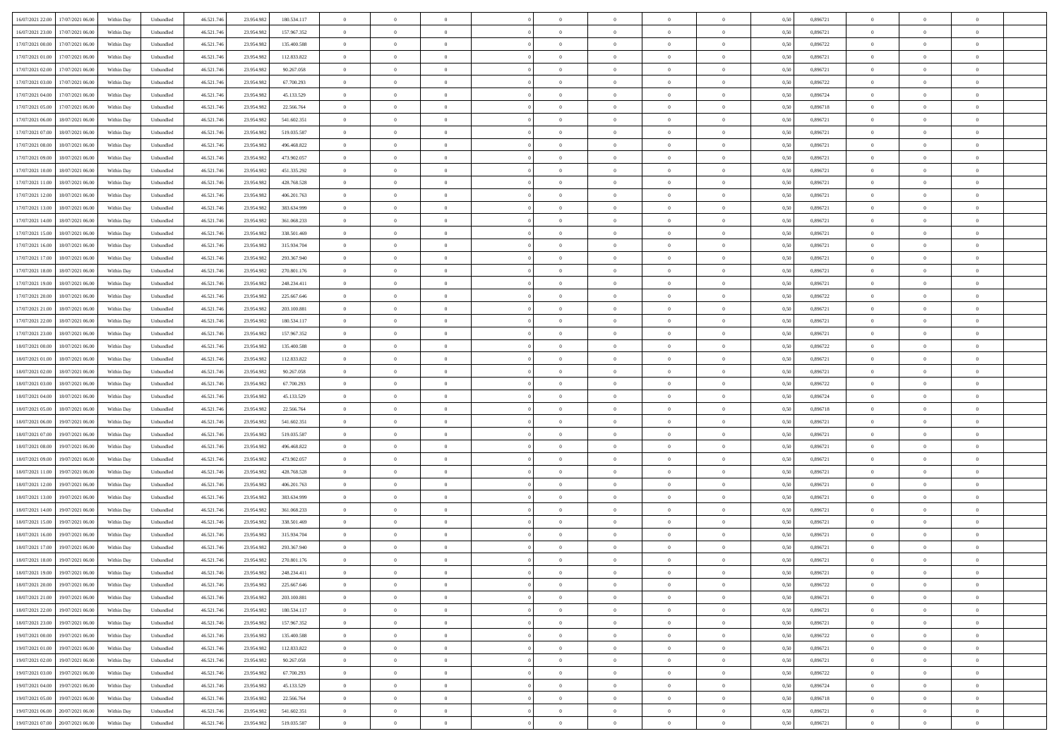| 16/07/2021 22:00<br>17/07/2021 06:00         | Within Day | Unbundled                   | 46.521.74  | 23.954.982 | 180.534.117 | $\overline{0}$ | $\theta$       |                | $\overline{0}$ | $\theta$       |                | $\theta$       | 0,50 | 0,896721 | $\theta$       | $\theta$       | $\overline{0}$ |  |
|----------------------------------------------|------------|-----------------------------|------------|------------|-------------|----------------|----------------|----------------|----------------|----------------|----------------|----------------|------|----------|----------------|----------------|----------------|--|
| 16/07/2021 23:00<br>17/07/2021 06:00         | Within Day | Unbundled                   | 46.521.74  | 23.954.98  | 157.967.352 | $\bf{0}$       | $\overline{0}$ | $\bf{0}$       | $\overline{0}$ | $\bf{0}$       | $\overline{0}$ | $\bf{0}$       | 0,50 | 0,896721 | $\,$ 0 $\,$    | $\bf{0}$       | $\overline{0}$ |  |
| 17/07/2021 00:00<br>17/07/2021 06:00         | Within Day | Unbundled                   | 46.521.746 | 23.954.982 | 135,400,588 | $\overline{0}$ | $\bf{0}$       | $\overline{0}$ | $\bf{0}$       | $\bf{0}$       | $\overline{0}$ | $\bf{0}$       | 0.50 | 0,896722 | $\bf{0}$       | $\overline{0}$ | $\overline{0}$ |  |
|                                              |            |                             |            |            |             | $\overline{0}$ | $\overline{0}$ | $\overline{0}$ | $\theta$       | $\theta$       | $\overline{0}$ |                |      |          | $\theta$       | $\theta$       | $\overline{0}$ |  |
| 17/07/2021 01:00<br>17/07/2021 06:00         | Within Day | Unbundled                   | 46.521.74  | 23.954.982 | 112.833.822 |                |                |                |                |                |                | $\bf{0}$       | 0,50 | 0,896721 |                |                |                |  |
| 17/07/2021 02:00<br>17/07/2021 06:00         | Within Day | Unbundled                   | 46.521.74  | 23.954.98  | 90.267.058  | $\bf{0}$       | $\overline{0}$ | $\bf{0}$       | $\overline{0}$ | $\theta$       | $\overline{0}$ | $\bf{0}$       | 0,50 | 0,896721 | $\,$ 0 $\,$    | $\bf{0}$       | $\overline{0}$ |  |
| 17/07/2021 03:00<br>17/07/2021 06:00         | Within Day | Unbundled                   | 46.521.74  | 23.954.98  | 67.700.293  | $\overline{0}$ | $\overline{0}$ | $\overline{0}$ | $\overline{0}$ | $\overline{0}$ | $\theta$       | $\bf{0}$       | 0.50 | 0.896722 | $\,$ 0 $\,$    | $\theta$       | $\overline{0}$ |  |
| 17/07/2021 04:00<br>17/07/2021 06:00         | Within Day | Unbundled                   | 46.521.74  | 23.954.982 | 45.133.529  | $\overline{0}$ | $\overline{0}$ | $\overline{0}$ | $\overline{0}$ | $\theta$       | $\overline{0}$ | $\bf{0}$       | 0,50 | 0,896724 | $\theta$       | $\theta$       | $\overline{0}$ |  |
|                                              |            |                             |            |            |             |                |                |                |                |                |                |                |      |          |                |                |                |  |
| 17/07/2021 05:00<br>17/07/2021 06:00         | Within Day | Unbundled                   | 46.521.74  | 23.954.98  | 22.566.764  | $\bf{0}$       | $\overline{0}$ | $\overline{0}$ | $\overline{0}$ | $\theta$       | $\overline{0}$ | $\bf{0}$       | 0,50 | 0,896718 | $\,$ 0 $\,$    | $\bf{0}$       | $\overline{0}$ |  |
| 17/07/2021 06:00<br>18/07/2021 06:00         | Within Day | Unbundled                   | 46.521.74  | 23.954.982 | 541.602.351 | $\overline{0}$ | $\bf{0}$       | $\overline{0}$ | $\bf{0}$       | $\overline{0}$ | $\overline{0}$ | $\bf{0}$       | 0.50 | 0.896721 | $\bf{0}$       | $\overline{0}$ | $\overline{0}$ |  |
| 17/07/2021 07:00<br>18/07/2021 06:00         | Within Day | Unbundled                   | 46.521.74  | 23.954.982 | 519.035.587 | $\overline{0}$ | $\bf{0}$       | $\overline{0}$ | $\overline{0}$ | $\overline{0}$ | $\overline{0}$ | $\bf{0}$       | 0,50 | 0,896721 | $\,$ 0 $\,$    | $\theta$       | $\overline{0}$ |  |
| 17/07/2021 08:00<br>18/07/2021 06:00         | Within Day | Unbundled                   | 46.521.74  | 23.954.98  | 496.468.822 | $\bf{0}$       | $\overline{0}$ | $\bf{0}$       | $\overline{0}$ | $\bf{0}$       | $\overline{0}$ | $\bf{0}$       | 0,50 | 0,896721 | $\,$ 0 $\,$    | $\bf{0}$       | $\overline{0}$ |  |
|                                              |            |                             |            |            |             |                |                |                |                |                |                |                |      |          |                |                |                |  |
| 17/07/2021 09:00<br>18/07/2021 06:00         | Within Day | Unbundled                   | 46.521.746 | 23.954.982 | 473.902.057 | $\overline{0}$ | $\bf{0}$       | $\overline{0}$ | $\bf{0}$       | $\bf{0}$       | $\overline{0}$ | $\bf{0}$       | 0.50 | 0.896721 | $\bf{0}$       | $\overline{0}$ | $\bf{0}$       |  |
| 17/07/2021 10:00<br>18/07/2021 06:00         | Within Day | Unbundled                   | 46.521.74  | 23.954.982 | 451.335.292 | $\overline{0}$ | $\overline{0}$ | $\overline{0}$ | $\overline{0}$ | $\theta$       | $\overline{0}$ | $\overline{0}$ | 0,50 | 0,896721 | $\theta$       | $\theta$       | $\overline{0}$ |  |
| 17/07/2021 11:00<br>18/07/2021 06:00         | Within Day | Unbundled                   | 46.521.74  | 23.954.98  | 428.768.528 | $\bf{0}$       | $\theta$       | $\bf{0}$       | $\overline{0}$ | $\theta$       | $\overline{0}$ | $\bf{0}$       | 0,50 | 0,896721 | $\bf{0}$       | $\bf{0}$       | $\overline{0}$ |  |
|                                              |            |                             |            |            |             |                |                |                |                |                |                |                |      |          |                |                |                |  |
| 17/07/2021 12:00<br>18/07/2021 06:00         | Within Day | Unbundled                   | 46.521.74  | 23.954.982 | 406.201.763 | $\overline{0}$ | $\overline{0}$ | $\overline{0}$ | $\bf{0}$       | $\theta$       | $\Omega$       | $\bf{0}$       | 0.50 | 0,896721 | $\theta$       | $\theta$       | $\overline{0}$ |  |
| 17/07/2021 13:00<br>18/07/2021 06:00         | Within Day | Unbundled                   | 46.521.74  | 23.954.982 | 383.634.999 | $\overline{0}$ | $\overline{0}$ | $\overline{0}$ | $\overline{0}$ | $\overline{0}$ | $\overline{0}$ | $\bf{0}$       | 0,50 | 0,896721 | $\theta$       | $\theta$       | $\overline{0}$ |  |
| 17/07/2021 14:00<br>18/07/2021 06:00         | Within Day | Unbundled                   | 46.521.74  | 23.954.98  | 361.068.233 | $\bf{0}$       | $\overline{0}$ | $\overline{0}$ | $\overline{0}$ | $\bf{0}$       | $\overline{0}$ | $\bf{0}$       | 0,50 | 0,896721 | $\,$ 0 $\,$    | $\bf{0}$       | $\overline{0}$ |  |
| 17/07/2021 15:00<br>18/07/2021 06:00         | Within Day | Unbundled                   | 46.521.74  | 23.954.982 | 338.501.469 | $\overline{0}$ | $\bf{0}$       | $\overline{0}$ | $\bf{0}$       | $\overline{0}$ | $\overline{0}$ | $\bf{0}$       | 0.50 | 0.896721 | $\bf{0}$       | $\overline{0}$ | $\overline{0}$ |  |
| 17/07/2021 16:00<br>18/07/2021 06:00         | Within Day | Unbundled                   | 46.521.74  | 23.954.982 | 315.934.704 | $\overline{0}$ | $\overline{0}$ | $\overline{0}$ | $\overline{0}$ | $\overline{0}$ | $\overline{0}$ | $\bf{0}$       | 0,50 | 0,896721 | $\,$ 0 $\,$    | $\theta$       | $\overline{0}$ |  |
|                                              |            |                             |            |            |             |                |                |                |                |                |                |                |      |          |                |                |                |  |
| 17/07/2021 17:00<br>18/07/2021 06:00         | Within Day | Unbundled                   | 46.521.74  | 23.954.98  | 293.367.940 | $\bf{0}$       | $\bf{0}$       | $\bf{0}$       | $\bf{0}$       | $\overline{0}$ | $\overline{0}$ | $\bf{0}$       | 0,50 | 0,896721 | $\,$ 0 $\,$    | $\bf{0}$       | $\overline{0}$ |  |
| 17/07/2021 18:00<br>18/07/2021 06:00         | Within Day | Unbundled                   | 46.521.746 | 23.954.982 | 270.801.176 | $\overline{0}$ | $\bf{0}$       | $\overline{0}$ | $\bf{0}$       | $\bf{0}$       | $\overline{0}$ | $\bf{0}$       | 0.50 | 0.896721 | $\bf{0}$       | $\overline{0}$ | $\bf{0}$       |  |
| 17/07/2021 19:00<br>18/07/2021 06:00         | Within Day | Unbundled                   | 46.521.74  | 23.954.982 | 248.234.411 | $\overline{0}$ | $\overline{0}$ | $\overline{0}$ | $\theta$       | $\theta$       | $\overline{0}$ | $\bf{0}$       | 0,50 | 0,896721 | $\theta$       | $\theta$       | $\overline{0}$ |  |
|                                              |            |                             |            |            |             |                | $\overline{0}$ |                | $\overline{0}$ | $\bf{0}$       | $\overline{0}$ |                |      |          | $\,$ 0 $\,$    | $\bf{0}$       | $\overline{0}$ |  |
| 17/07/2021 20:00<br>18/07/2021 06:00         | Within Day | Unbundled                   | 46.521.74  | 23.954.98  | 225.667.646 | $\bf{0}$       |                | $\bf{0}$       |                |                |                | $\bf{0}$       | 0,50 | 0,896722 |                |                |                |  |
| 17/07/2021 21:00<br>18/07/2021 06:00         | Within Day | Unbundled                   | 46.521.74  | 23.954.982 | 203.100.881 | $\overline{0}$ | $\overline{0}$ | $\overline{0}$ | $\overline{0}$ | $\overline{0}$ | $\Omega$       | $\bf{0}$       | 0.50 | 0.896721 | $\bf{0}$       | $\theta$       | $\overline{0}$ |  |
| 17/07/2021 22:00<br>18/07/2021 06:00         | Within Day | Unbundled                   | 46.521.74  | 23.954.982 | 180.534.117 | $\overline{0}$ | $\overline{0}$ | $\overline{0}$ | $\overline{0}$ | $\overline{0}$ | $\overline{0}$ | $\bf{0}$       | 0,50 | 0,896721 | $\theta$       | $\theta$       | $\overline{0}$ |  |
| 17/07/2021 23:00<br>18/07/2021 06:00         | Within Day | Unbundled                   | 46.521.74  | 23.954.98  | 157.967.352 | $\bf{0}$       | $\theta$       | $\bf{0}$       | $\overline{0}$ | $\bf{0}$       | $\overline{0}$ | $\bf{0}$       | 0,50 | 0,896721 | $\,$ 0 $\,$    | $\bf{0}$       | $\overline{0}$ |  |
| 18/07/2021 00:00<br>18/07/2021 06:00         | Within Day | Unbundled                   | 46.521.74  | 23.954.98  | 135.400.588 | $\overline{0}$ | $\bf{0}$       | $\overline{0}$ | $\bf{0}$       | $\overline{0}$ | $\overline{0}$ | $\bf{0}$       | 0.50 | 0.896722 | $\bf{0}$       | $\overline{0}$ | $\overline{0}$ |  |
|                                              |            |                             |            |            |             |                |                |                |                |                |                |                |      |          |                |                |                |  |
| 18/07/2021 01:00<br>18/07/2021 06:00         | Within Day | Unbundled                   | 46.521.74  | 23.954.982 | 112.833.822 | $\overline{0}$ | $\overline{0}$ | $\overline{0}$ | $\overline{0}$ | $\overline{0}$ | $\overline{0}$ | $\bf{0}$       | 0,50 | 0,896721 | $\theta$       | $\theta$       | $\overline{0}$ |  |
| 18/07/2021 02:00<br>18/07/2021 06:00         | Within Day | Unbundled                   | 46.521.74  | 23.954.98  | 90.267.058  | $\bf{0}$       | $\bf{0}$       | $\bf{0}$       | $\bf{0}$       | $\overline{0}$ | $\overline{0}$ | $\bf{0}$       | 0,50 | 0,896721 | $\,$ 0 $\,$    | $\bf{0}$       | $\overline{0}$ |  |
| 18/07/2021 03:00<br>18/07/2021 06:00         | Within Day | Unbundled                   | 46.521.746 | 23.954.982 | 67.700.293  | $\overline{0}$ | $\bf{0}$       | $\overline{0}$ | $\bf{0}$       | $\bf{0}$       | $\overline{0}$ | $\bf{0}$       | 0.50 | 0.896722 | $\bf{0}$       | $\overline{0}$ | $\bf{0}$       |  |
| 18/07/2021 04:00<br>18/07/2021 06:00         | Within Day | Unbundled                   | 46.521.74  | 23.954.982 | 45.133.529  | $\overline{0}$ | $\overline{0}$ | $\overline{0}$ | $\overline{0}$ | $\overline{0}$ | $\overline{0}$ | $\bf{0}$       | 0.5( | 0,896724 | $\theta$       | $\theta$       | $\overline{0}$ |  |
|                                              |            |                             |            |            |             |                |                |                |                |                |                |                |      |          |                |                |                |  |
| 18/07/2021 05:00<br>18/07/2021 06:00         | Within Day | Unbundled                   | 46.521.74  | 23.954.98  | 22.566.764  | $\bf{0}$       | $\overline{0}$ | $\bf{0}$       | $\overline{0}$ | $\overline{0}$ | $\overline{0}$ | $\bf{0}$       | 0,50 | 0,896718 | $\,$ 0 $\,$    | $\bf{0}$       | $\overline{0}$ |  |
| 18/07/2021 06:00<br>19/07/2021 06:00         | Within Day | Unbundled                   | 46.521.74  | 23.954.982 | 541.602.351 | $\overline{0}$ | $\overline{0}$ | $\overline{0}$ | $\bf{0}$       | $\overline{0}$ | $\Omega$       | $\bf{0}$       | 0.50 | 0,896721 | $\,$ 0 $\,$    | $\theta$       | $\overline{0}$ |  |
| 18/07/2021 07:00<br>19/07/2021 06:00         | Within Dav | Unbundled                   | 46.521.74  | 23.954.982 | 519.035.587 | $\overline{0}$ | $\overline{0}$ | $\overline{0}$ | $\overline{0}$ | $\overline{0}$ | $\overline{0}$ | $\overline{0}$ | 0.5( | 0,896721 | $\theta$       | $\theta$       | $\overline{0}$ |  |
| 18/07/2021 08:00<br>19/07/2021 06:00         | Within Day | Unbundled                   | 46.521.74  | 23.954.98  | 496.468.822 | $\bf{0}$       | $\overline{0}$ | $\bf{0}$       | $\overline{0}$ | $\bf{0}$       | $\overline{0}$ | $\bf{0}$       | 0,50 | 0,896721 | $\,$ 0 $\,$    | $\bf{0}$       | $\overline{0}$ |  |
| 19/07/2021 06:00                             |            | Unbundled                   | 46.521.74  | 23.954.982 | 473.902.057 |                | $\bf{0}$       | $\overline{0}$ |                | $\overline{0}$ | $\overline{0}$ |                | 0.50 | 0.896721 | $\bf{0}$       | $\overline{0}$ | $\overline{0}$ |  |
| 18/07/2021 09:00                             | Within Day |                             |            |            |             | $\overline{0}$ |                |                | $\bf{0}$       |                |                | $\bf{0}$       |      |          |                |                |                |  |
| 18/07/2021 11:00<br>19/07/2021 06:00         | Within Dav | Unbundled                   | 46.521.74  | 23.954.982 | 428.768.528 | $\overline{0}$ | $\overline{0}$ | $\overline{0}$ | $\overline{0}$ | $\overline{0}$ | $\overline{0}$ | $\overline{0}$ | 0.50 | 0,896721 | $\theta$       | $\theta$       | $\overline{0}$ |  |
| 18/07/2021 12:00<br>19/07/2021 06:00         | Within Day | Unbundled                   | 46.521.74  | 23.954.98  | 406.201.763 | $\bf{0}$       | $\bf{0}$       | $\bf{0}$       | $\bf{0}$       | $\overline{0}$ | $\overline{0}$ | $\bf{0}$       | 0,50 | 0,896721 | $\,$ 0 $\,$    | $\bf{0}$       | $\overline{0}$ |  |
| 18/07/2021 13:00<br>19/07/2021 06:00         | Within Day | Unbundled                   | 46.521.746 | 23.954.982 | 383.634.999 | $\overline{0}$ | $\bf{0}$       | $\overline{0}$ | $\bf{0}$       | $\bf{0}$       | $\overline{0}$ | $\bf{0}$       | 0.50 | 0.896721 | $\bf{0}$       | $\overline{0}$ | $\overline{0}$ |  |
| 18/07/2021 14:00<br>19/07/2021 06:00         | Within Dav | Unbundled                   | 46.521.74  | 23.954.982 | 361.068.233 | $\overline{0}$ | $\overline{0}$ | $\overline{0}$ | $\overline{0}$ | $\overline{0}$ | $\overline{0}$ | $\bf{0}$       | 0.50 | 0,896721 | $\theta$       | $\theta$       | $\overline{0}$ |  |
|                                              |            |                             |            |            |             |                |                |                |                |                |                |                |      |          |                |                |                |  |
| 18/07/2021 15:00<br>19/07/2021 06:00         | Within Day | Unbundled                   | 46.521.74  | 23.954.98  | 338.501.469 | $\bf{0}$       | $\overline{0}$ | $\bf{0}$       | $\overline{0}$ | $\overline{0}$ | $\overline{0}$ | $\bf{0}$       | 0,50 | 0,896721 | $\,$ 0 $\,$    | $\bf{0}$       | $\overline{0}$ |  |
| 18/07/2021 16:00<br>19/07/2021 06:00         | Within Day | Unbundled                   | 46.521.74  | 23.954.98  | 315.934.704 | $\overline{0}$ | $\overline{0}$ | $\Omega$       | $\overline{0}$ | $\bf{0}$       | $\theta$       | $\bf{0}$       | 0.50 | 0,896721 | $\,$ 0 $\,$    | $\theta$       | $\overline{0}$ |  |
| 18/07/2021 17:00<br>19/07/2021 06:00         | Within Dav | Unbundled                   | 46.521.74  | 23.954.982 | 293.367.940 | $\overline{0}$ | $\overline{0}$ | $\Omega$       | $\overline{0}$ | $\theta$       | $\Omega$       | $\overline{0}$ | 0.5( | 0,896721 | $\theta$       | $\theta$       | $\overline{0}$ |  |
| 18/07/2021 18:00<br>19/07/2021 06:00         | Within Day | Unbundled                   | 46.521.74  | 23.954.98  | 270.801.176 | $\bf{0}$       | $\bf{0}$       | $\bf{0}$       | $\bf{0}$       | $\bf{0}$       | $\overline{0}$ | $\bf{0}$       | 0,50 | 0,896721 | $\,$ 0 $\,$    | $\bf{0}$       | $\overline{0}$ |  |
|                                              |            |                             |            |            |             |                |                |                |                |                |                |                |      |          |                |                |                |  |
| $18/07/2021\ 19.00 \qquad 19/07/2021\ 06.00$ | Within Day | $\ensuremath{\mathsf{Unb}}$ | 46.521.746 | 23.954.982 | 248.234.411 | $\bf{0}$       | $\theta$       |                | $\overline{0}$ |                |                |                | 0,50 | 0.896721 | $\theta$       | $\overline{0}$ |                |  |
| 18/07/2021 20:00 19/07/2021 06:00            | Within Day | Unbundled                   | 46.521.746 | 23.954.982 | 225.667.646 | $\overline{0}$ | $\theta$       | $\Omega$       | $\theta$       | $\overline{0}$ | $\overline{0}$ | $\bf{0}$       | 0,50 | 0,896722 | $\theta$       | $\theta$       | $\overline{0}$ |  |
| 18/07/2021 21:00<br>19/07/2021 06:00         | Within Day | Unbundled                   | 46.521.74  | 23.954.982 | 203.100.881 | $\overline{0}$ | $\bf{0}$       | $\overline{0}$ | $\overline{0}$ | $\bf{0}$       | $\overline{0}$ | $\bf{0}$       | 0,50 | 0,896721 | $\bf{0}$       | $\overline{0}$ | $\bf{0}$       |  |
| 18/07/2021 22:00 19/07/2021 06:00            | Within Day | Unbundled                   | 46.521.746 | 23.954.982 | 180.534.117 | $\overline{0}$ | $\bf{0}$       | $\overline{0}$ | $\overline{0}$ | $\mathbf{0}$   | $\overline{0}$ | $\bf{0}$       | 0.50 | 0.896721 | $\overline{0}$ | $\bf{0}$       | $\,$ 0 $\,$    |  |
|                                              |            |                             |            |            |             |                |                |                |                |                |                |                |      |          |                |                |                |  |
| 18/07/2021 23:00 19/07/2021 06:00            | Within Day | Unbundled                   | 46.521.746 | 23.954.982 | 157.967.352 | $\overline{0}$ | $\overline{0}$ | $\overline{0}$ | $\overline{0}$ | $\overline{0}$ | $\overline{0}$ | $\bf{0}$       | 0,50 | 0,896721 | $\theta$       | $\theta$       | $\overline{0}$ |  |
| 19/07/2021 00:00<br>19/07/2021 06:00         | Within Day | Unbundled                   | 46.521.74  | 23.954.982 | 135.400.588 | $\overline{0}$ | $\bf{0}$       | $\overline{0}$ | $\overline{0}$ | $\overline{0}$ | $\bf{0}$       | $\bf{0}$       | 0,50 | 0,896722 | $\bf{0}$       | $\overline{0}$ | $\overline{0}$ |  |
| 19/07/2021 01:00<br>19/07/2021 06:00         | Within Day | Unbundled                   | 46.521.746 | 23.954.982 | 112.833.822 | $\overline{0}$ | $\bf{0}$       | $\overline{0}$ | $\overline{0}$ | $\overline{0}$ | $\overline{0}$ | $\bf{0}$       | 0.50 | 0.896721 | $\,$ 0 $\,$    | $\theta$       | $\overline{0}$ |  |
| 19/07/2021 02:00<br>19/07/2021 06:00         | Within Dav | Unbundled                   | 46.521.746 | 23.954.982 | 90.267.058  | $\overline{0}$ | $\overline{0}$ | $\overline{0}$ | $\overline{0}$ | $\overline{0}$ | $\overline{0}$ | $\bf{0}$       | 0.50 | 0,896721 | $\overline{0}$ | $\theta$       | $\overline{0}$ |  |
|                                              |            |                             |            |            |             |                |                |                |                |                |                |                |      |          |                |                |                |  |
| 19/07/2021 03:00<br>19/07/2021 06:00         | Within Day | Unbundled                   | 46.521.74  | 23.954.982 | 67.700.293  | $\overline{0}$ | $\overline{0}$ | $\overline{0}$ | $\overline{0}$ | $\bf{0}$       | $\overline{0}$ | $\bf{0}$       | 0,50 | 0,896722 | $\bf{0}$       | $\overline{0}$ | $\overline{0}$ |  |
| 19/07/2021 04:00<br>19/07/2021 06:00         | Within Day | Unbundled                   | 46.521.746 | 23.954.982 | 45.133.529  | $\overline{0}$ | $\overline{0}$ | $\overline{0}$ | $\overline{0}$ | $\bf{0}$       | $\overline{0}$ | $\bf{0}$       | 0.50 | 0.896724 | $\mathbf{0}$   | $\bf{0}$       | $\,$ 0         |  |
| 19/07/2021 05:00<br>19/07/2021 06:00         | Within Dav | Unbundled                   | 46.521.746 | 23.954.982 | 22.566.764  | $\overline{0}$ | $\overline{0}$ | $\overline{0}$ | $\overline{0}$ | $\overline{0}$ | $\overline{0}$ | $\bf{0}$       | 0,50 | 0,896718 | $\overline{0}$ | $\theta$       | $\overline{0}$ |  |
| 19/07/2021 06:00<br>20/07/2021 06:00         | Within Day | Unbundled                   | 46.521.74  | 23.954.982 | 541.602.351 | $\overline{0}$ | $\bf{0}$       | $\overline{0}$ | $\bf{0}$       | $\overline{0}$ | $\bf{0}$       | $\bf{0}$       | 0,50 | 0,896721 | $\bf{0}$       | $\bf{0}$       | $\bf{0}$       |  |
|                                              |            |                             |            |            |             |                |                |                |                |                |                |                |      |          |                |                |                |  |
| 19/07/2021 07:00 20/07/2021 06:00            | Within Day | Unbundled                   | 46.521.746 | 23.954.982 | 519.035.587 | $\overline{0}$ | $\bf{0}$       | $\overline{0}$ | $\overline{0}$ | $\,$ 0 $\,$    | $\overline{0}$ | $\bf{0}$       | 0,50 | 0,896721 | $\overline{0}$ | $\,$ 0 $\,$    | $\,$ 0 $\,$    |  |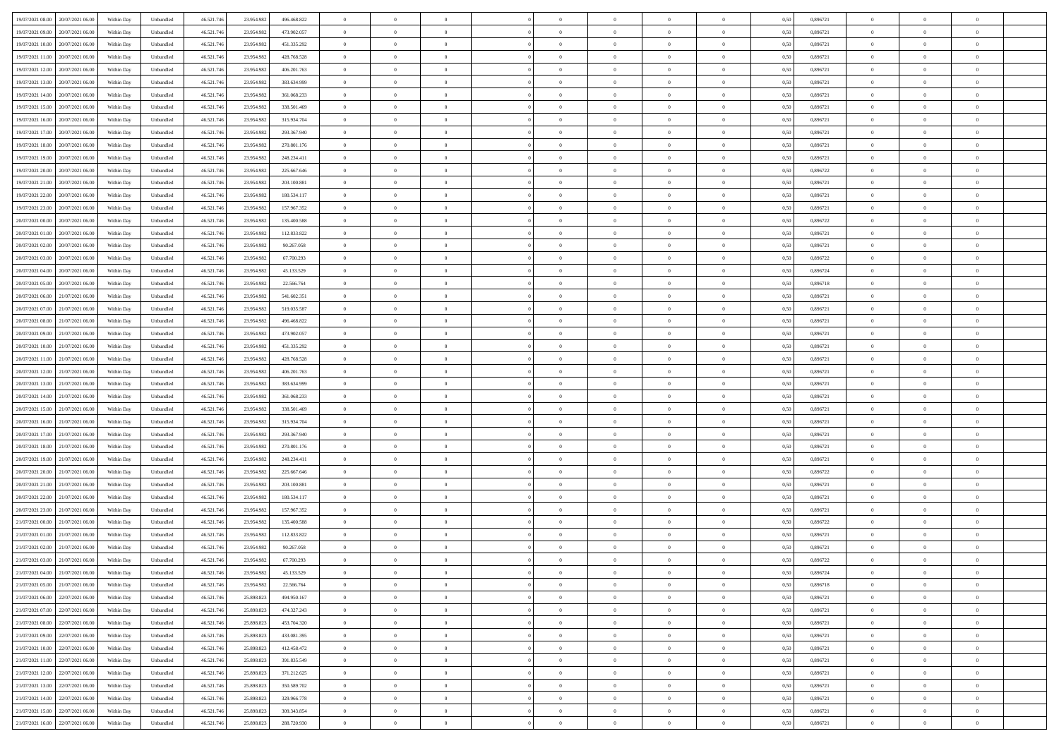| 19/07/2021 08:00 20/07/2021 06:00    | Within Day | Unbundled                   | 46.521.74  | 23.954.982 | 496.468.822 | $\overline{0}$ | $\theta$       |                | $\overline{0}$ | $\theta$       |                | $\theta$       | 0,50 | 0,896721 | $\theta$       | $\theta$       | $\overline{0}$ |  |
|--------------------------------------|------------|-----------------------------|------------|------------|-------------|----------------|----------------|----------------|----------------|----------------|----------------|----------------|------|----------|----------------|----------------|----------------|--|
| 19/07/2021 09:00<br>20/07/2021 06:00 | Within Day | Unbundled                   | 46.521.74  | 23.954.98  | 473.902.057 | $\bf{0}$       | $\overline{0}$ | $\bf{0}$       | $\overline{0}$ | $\overline{0}$ | $\overline{0}$ | $\bf{0}$       | 0,50 | 0,896721 | $\,$ 0 $\,$    | $\bf{0}$       | $\overline{0}$ |  |
| 19/07/2021 10:00<br>20/07/2021 06:00 | Within Day | Unbundled                   | 46.521.746 | 23.954.982 | 451.335.292 | $\overline{0}$ | $\bf{0}$       | $\overline{0}$ | $\bf{0}$       | $\bf{0}$       | $\overline{0}$ | $\bf{0}$       | 0.50 | 0.896721 | $\bf{0}$       | $\overline{0}$ | $\bf{0}$       |  |
| 19/07/2021 11:00<br>20/07/2021 06:00 |            |                             |            |            |             | $\overline{0}$ | $\overline{0}$ | $\overline{0}$ | $\theta$       | $\theta$       | $\overline{0}$ | $\overline{0}$ |      | 0,896721 | $\theta$       | $\theta$       | $\overline{0}$ |  |
|                                      | Within Day | Unbundled                   | 46.521.74  | 23.954.982 | 428.768.528 |                |                |                |                |                |                |                | 0,50 |          |                |                |                |  |
| 19/07/2021 12:00<br>20/07/2021 06:00 | Within Day | Unbundled                   | 46.521.74  | 23.954.98  | 406.201.763 | $\overline{0}$ | $\overline{0}$ | $\bf{0}$       | $\overline{0}$ | $\theta$       | $\overline{0}$ | $\bf{0}$       | 0,50 | 0,896721 | $\,$ 0 $\,$    | $\bf{0}$       | $\overline{0}$ |  |
| 19/07/2021 13:00<br>20/07/2021 06:00 | Within Day | Unbundled                   | 46.521.74  | 23.954.98  | 383.634.999 | $\overline{0}$ | $\overline{0}$ | $\overline{0}$ | $\overline{0}$ | $\overline{0}$ | $\theta$       | $\bf{0}$       | 0.50 | 0.896721 | $\,$ 0 $\,$    | $\theta$       | $\overline{0}$ |  |
| 19/07/2021 14:00<br>20/07/2021 06:00 | Within Day | Unbundled                   | 46.521.74  | 23.954.982 | 361.068.233 | $\overline{0}$ | $\overline{0}$ | $\overline{0}$ | $\overline{0}$ | $\overline{0}$ | $\overline{0}$ | $\bf{0}$       | 0,50 | 0,896721 | $\theta$       | $\theta$       | $\overline{0}$ |  |
|                                      |            |                             |            |            |             |                |                |                |                |                |                |                |      |          |                |                |                |  |
| 19/07/2021 15:00<br>20/07/2021 06:00 | Within Day | Unbundled                   | 46.521.74  | 23.954.98  | 338.501.469 | $\bf{0}$       | $\overline{0}$ | $\overline{0}$ | $\overline{0}$ | $\overline{0}$ | $\overline{0}$ | $\bf{0}$       | 0,50 | 0,896721 | $\,$ 0 $\,$    | $\bf{0}$       | $\overline{0}$ |  |
| 19/07/2021 16:00<br>20/07/2021 06:00 | Within Day | Unbundled                   | 46.521.74  | 23.954.982 | 315.934.704 | $\overline{0}$ | $\bf{0}$       | $\overline{0}$ | $\bf{0}$       | $\overline{0}$ | $\overline{0}$ | $\bf{0}$       | 0.50 | 0.896721 | $\bf{0}$       | $\overline{0}$ | $\overline{0}$ |  |
| 19/07/2021 17:00<br>20/07/2021 06:00 | Within Day | Unbundled                   | 46.521.74  | 23.954.982 | 293.367.940 | $\overline{0}$ | $\bf{0}$       | $\overline{0}$ | $\overline{0}$ | $\overline{0}$ | $\overline{0}$ | $\bf{0}$       | 0,50 | 0,896721 | $\,$ 0 $\,$    | $\theta$       | $\overline{0}$ |  |
| 19/07/2021 18:00<br>20/07/2021 06:00 | Within Day | Unbundled                   | 46.521.74  | 23.954.98  | 270.801.176 | $\bf{0}$       | $\overline{0}$ | $\bf{0}$       | $\overline{0}$ | $\bf{0}$       | $\overline{0}$ | $\bf{0}$       | 0,50 | 0,896721 | $\,$ 0 $\,$    | $\bf{0}$       | $\overline{0}$ |  |
|                                      |            |                             |            |            |             |                |                |                |                |                |                |                |      |          |                |                |                |  |
| 19/07/2021 19:00<br>20/07/2021 06:00 | Within Day | Unbundled                   | 46.521.746 | 23.954.982 | 248.234.411 | $\overline{0}$ | $\bf{0}$       | $\overline{0}$ | $\bf{0}$       | $\bf{0}$       | $\overline{0}$ | $\bf{0}$       | 0.50 | 0.896721 | $\bf{0}$       | $\overline{0}$ | $\bf{0}$       |  |
| 19/07/2021 20:00<br>20/07/2021 06:00 | Within Day | Unbundled                   | 46.521.74  | 23.954.982 | 225.667.646 | $\overline{0}$ | $\overline{0}$ | $\overline{0}$ | $\overline{0}$ | $\theta$       | $\overline{0}$ | $\overline{0}$ | 0,50 | 0,896722 | $\theta$       | $\theta$       | $\overline{0}$ |  |
| 19/07/2021 21:00<br>20/07/2021 06:00 | Within Day | Unbundled                   | 46.521.74  | 23.954.98  | 203.100.881 | $\bf{0}$       | $\overline{0}$ | $\bf{0}$       | $\overline{0}$ | $\theta$       | $\overline{0}$ | $\bf{0}$       | 0,50 | 0,896721 | $\,$ 0 $\,$    | $\bf{0}$       | $\overline{0}$ |  |
|                                      |            |                             |            |            |             |                |                |                |                |                |                |                |      |          |                |                |                |  |
| 19/07/2021 22:00<br>20/07/2021 06:00 | Within Day | Unbundled                   | 46.521.74  | 23.954.982 | 180.534.117 | $\overline{0}$ | $\overline{0}$ | $\overline{0}$ | $\bf{0}$       | $\overline{0}$ | $\Omega$       | $\bf{0}$       | 0.50 | 0,896721 | $\theta$       | $\theta$       | $\overline{0}$ |  |
| 19/07/2021 23:00<br>20/07/2021 06:00 | Within Day | Unbundled                   | 46.521.74  | 23.954.982 | 157.967.352 | $\overline{0}$ | $\overline{0}$ | $\overline{0}$ | $\overline{0}$ | $\overline{0}$ | $\overline{0}$ | $\bf{0}$       | 0,50 | 0,896721 | $\theta$       | $\theta$       | $\overline{0}$ |  |
| 20/07/2021 00:00<br>20/07/2021 06:00 | Within Day | Unbundled                   | 46.521.74  | 23.954.98  | 135.400.588 | $\bf{0}$       | $\overline{0}$ | $\overline{0}$ | $\overline{0}$ | $\bf{0}$       | $\overline{0}$ | $\bf{0}$       | 0,50 | 0,896722 | $\,$ 0 $\,$    | $\bf{0}$       | $\overline{0}$ |  |
| 20/07/2021 01:00<br>20/07/2021 06:00 | Within Day | Unbundled                   | 46.521.74  | 23.954.982 | 112.833.822 | $\overline{0}$ | $\bf{0}$       | $\overline{0}$ | $\bf{0}$       | $\overline{0}$ | $\overline{0}$ | $\bf{0}$       | 0.50 | 0.896721 | $\bf{0}$       | $\overline{0}$ | $\overline{0}$ |  |
| 20/07/2021 02:00<br>20/07/2021 06:00 | Within Day | Unbundled                   | 46.521.74  | 23.954.982 | 90.267.058  | $\overline{0}$ | $\overline{0}$ | $\overline{0}$ | $\overline{0}$ | $\overline{0}$ | $\overline{0}$ | $\bf{0}$       | 0,50 | 0,896721 | $\,$ 0 $\,$    | $\theta$       | $\overline{0}$ |  |
|                                      |            |                             |            |            |             |                |                |                |                |                |                |                |      |          |                |                |                |  |
| 20/07/2021 03:00<br>20/07/2021 06:00 | Within Day | Unbundled                   | 46.521.74  | 23.954.98  | 67.700.293  | $\bf{0}$       | $\bf{0}$       | $\bf{0}$       | $\bf{0}$       | $\overline{0}$ | $\overline{0}$ | $\bf{0}$       | 0,50 | 0,896722 | $\,$ 0 $\,$    | $\bf{0}$       | $\overline{0}$ |  |
| 20/07/2021 04:00<br>20/07/2021 06:00 | Within Day | Unbundled                   | 46.521.746 | 23.954.982 | 45.133.529  | $\overline{0}$ | $\bf{0}$       | $\overline{0}$ | $\bf{0}$       | $\bf{0}$       | $\overline{0}$ | $\bf{0}$       | 0.50 | 0.896724 | $\bf{0}$       | $\overline{0}$ | $\bf{0}$       |  |
| 20/07/2021 05:00<br>20/07/2021 06:00 | Within Day | Unbundled                   | 46.521.74  | 23.954.982 | 22.566.764  | $\overline{0}$ | $\overline{0}$ | $\overline{0}$ | $\theta$       | $\theta$       | $\overline{0}$ | $\bf{0}$       | 0,50 | 0,896718 | $\theta$       | $\theta$       | $\overline{0}$ |  |
| 20/07/2021 06:00<br>21/07/2021 06.00 | Within Day | Unbundled                   | 46.521.74  | 23.954.98  | 541.602.351 | $\bf{0}$       | $\overline{0}$ | $\bf{0}$       | $\bf{0}$       | $\,$ 0 $\,$    | $\overline{0}$ | $\bf{0}$       | 0,50 | 0,896721 | $\,$ 0 $\,$    | $\bf{0}$       | $\overline{0}$ |  |
|                                      |            |                             |            |            |             |                |                |                |                |                |                |                |      |          |                |                |                |  |
| 20/07/2021 07:00<br>21/07/2021 06:00 | Within Day | Unbundled                   | 46.521.74  | 23.954.982 | 519.035.587 | $\overline{0}$ | $\overline{0}$ | $\overline{0}$ | $\overline{0}$ | $\overline{0}$ | $\Omega$       | $\bf{0}$       | 0.50 | 0.896721 | $\,$ 0 $\,$    | $\theta$       | $\overline{0}$ |  |
| 20/07/2021 08:00<br>21/07/2021 06:00 | Within Day | Unbundled                   | 46.521.74  | 23.954.982 | 496.468.822 | $\overline{0}$ | $\overline{0}$ | $\overline{0}$ | $\overline{0}$ | $\overline{0}$ | $\overline{0}$ | $\bf{0}$       | 0,50 | 0,896721 | $\theta$       | $\theta$       | $\overline{0}$ |  |
| 20/07/2021 09:00<br>21/07/2021 06.00 | Within Day | Unbundled                   | 46.521.74  | 23.954.98  | 473.902.057 | $\bf{0}$       | $\overline{0}$ | $\bf{0}$       | $\overline{0}$ | $\bf{0}$       | $\overline{0}$ | $\bf{0}$       | 0,50 | 0,896721 | $\,$ 0 $\,$    | $\bf{0}$       | $\overline{0}$ |  |
| 20/07/2021 10:00<br>21/07/2021 06:00 |            | Unbundled                   | 46.521.74  | 23.954.98  | 451.335.292 | $\overline{0}$ | $\bf{0}$       | $\overline{0}$ |                | $\overline{0}$ | $\overline{0}$ |                | 0.50 | 0.896721 | $\bf{0}$       | $\overline{0}$ | $\overline{0}$ |  |
|                                      | Within Day |                             |            |            |             |                |                |                | $\bf{0}$       |                |                | $\bf{0}$       |      |          |                |                |                |  |
| 20/07/2021 11:00<br>21/07/2021 06:00 | Within Day | Unbundled                   | 46.521.74  | 23.954.982 | 428.768.528 | $\overline{0}$ | $\overline{0}$ | $\overline{0}$ | $\overline{0}$ | $\overline{0}$ | $\overline{0}$ | $\bf{0}$       | 0,50 | 0,896721 | $\theta$       | $\theta$       | $\overline{0}$ |  |
| 20/07/2021 12:00<br>21/07/2021 06.00 | Within Day | Unbundled                   | 46.521.74  | 23.954.98  | 406.201.763 | $\bf{0}$       | $\bf{0}$       | $\bf{0}$       | $\bf{0}$       | $\overline{0}$ | $\overline{0}$ | $\bf{0}$       | 0,50 | 0,896721 | $\,$ 0 $\,$    | $\bf{0}$       | $\overline{0}$ |  |
| 20/07/2021 13:00<br>21/07/2021 06:00 | Within Day | Unbundled                   | 46.521.746 | 23.954.982 | 383.634.999 | $\overline{0}$ | $\bf{0}$       | $\overline{0}$ | $\bf{0}$       | $\bf{0}$       | $\overline{0}$ | $\bf{0}$       | 0.50 | 0.896721 | $\bf{0}$       | $\overline{0}$ | $\bf{0}$       |  |
| 20/07/2021 14:00<br>21/07/2021 06:00 | Within Day | Unbundled                   | 46.521.74  | 23.954.982 | 361.068.233 | $\overline{0}$ | $\overline{0}$ | $\overline{0}$ | $\overline{0}$ | $\overline{0}$ | $\overline{0}$ | $\bf{0}$       | 0.5( | 0,896721 | $\theta$       | $\theta$       | $\overline{0}$ |  |
|                                      |            |                             |            |            |             |                |                |                |                |                |                |                |      |          |                |                |                |  |
| 20/07/2021 15:00<br>21/07/2021 06.00 | Within Day | Unbundled                   | 46.521.74  | 23.954.98  | 338.501.469 | $\bf{0}$       | $\overline{0}$ | $\bf{0}$       | $\overline{0}$ | $\overline{0}$ | $\overline{0}$ | $\bf{0}$       | 0,50 | 0,896721 | $\,$ 0 $\,$    | $\bf{0}$       | $\overline{0}$ |  |
| 20/07/2021 16:00<br>21/07/2021 06:00 | Within Day | Unbundled                   | 46.521.74  | 23.954.982 | 315.934.704 | $\overline{0}$ | $\overline{0}$ | $\overline{0}$ | $\bf{0}$       | $\overline{0}$ | $\Omega$       | $\bf{0}$       | 0.50 | 0,896721 | $\,$ 0 $\,$    | $\theta$       | $\overline{0}$ |  |
| 20/07/2021 17:00<br>21/07/2021 06:00 | Within Dav | Unbundled                   | 46.521.74  | 23.954.982 | 293.367.940 | $\overline{0}$ | $\overline{0}$ | $\overline{0}$ | $\overline{0}$ | $\overline{0}$ | $\overline{0}$ | $\overline{0}$ | 0.5( | 0,896721 | $\theta$       | $\theta$       | $\overline{0}$ |  |
| 21/07/2021 06.00                     | Within Day | Unbundled                   | 46.521.74  | 23.954.98  | 270.801.176 | $\bf{0}$       | $\overline{0}$ | $\bf{0}$       | $\overline{0}$ | $\bf{0}$       | $\overline{0}$ | $\bf{0}$       | 0,50 | 0,896721 | $\,$ 0 $\,$    | $\bf{0}$       | $\overline{0}$ |  |
| 20/07/2021 18:00                     |            |                             |            |            |             |                |                |                |                |                |                |                |      |          |                |                |                |  |
| 20/07/2021 19:00<br>21/07/2021 06:00 | Within Day | Unbundled                   | 46.521.74  | 23.954.982 | 248.234.411 | $\overline{0}$ | $\bf{0}$       | $\overline{0}$ | $\bf{0}$       | $\overline{0}$ | $\overline{0}$ | $\bf{0}$       | 0.50 | 0.896721 | $\bf{0}$       | $\overline{0}$ | $\overline{0}$ |  |
| 20/07/2021 20:00<br>21/07/2021 06:00 | Within Dav | Unbundled                   | 46.521.74  | 23.954.982 | 225.667.646 | $\overline{0}$ | $\overline{0}$ | $\overline{0}$ | $\overline{0}$ | $\overline{0}$ | $\overline{0}$ | $\overline{0}$ | 0.5( | 0,896722 | $\theta$       | $\theta$       | $\overline{0}$ |  |
| 20/07/2021 21:00<br>21/07/2021 06.00 | Within Day | Unbundled                   | 46.521.74  | 23.954.98  | 203.100.881 | $\bf{0}$       | $\bf{0}$       | $\bf{0}$       | $\bf{0}$       | $\overline{0}$ | $\overline{0}$ | $\bf{0}$       | 0,50 | 0,896721 | $\,$ 0 $\,$    | $\bf{0}$       | $\overline{0}$ |  |
| 20/07/2021 22:00<br>21/07/2021 06:00 | Within Day | Unbundled                   | 46.521.746 | 23.954.982 | 180.534.117 | $\overline{0}$ | $\bf{0}$       | $\overline{0}$ | $\bf{0}$       | $\bf{0}$       | $\overline{0}$ | $\bf{0}$       | 0.50 | 0.896721 | $\bf{0}$       | $\overline{0}$ | $\bf{0}$       |  |
|                                      |            |                             |            |            |             |                |                |                |                |                |                |                |      |          |                |                |                |  |
| 20/07/2021 23:00<br>21/07/2021 06:00 | Within Dav | Unbundled                   | 46.521.74  | 23.954.982 | 157.967.352 | $\overline{0}$ | $\overline{0}$ | $\overline{0}$ | $\overline{0}$ | $\overline{0}$ | $\overline{0}$ | $\bf{0}$       | 0.50 | 0,896721 | $\theta$       | $\theta$       | $\overline{0}$ |  |
| 21/07/2021 00:00<br>21/07/2021 06.00 | Within Day | Unbundled                   | 46.521.74  | 23.954.98  | 135.400.588 | $\bf{0}$       | $\overline{0}$ | $\bf{0}$       | $\bf{0}$       | $\,$ 0 $\,$    | $\overline{0}$ | $\bf{0}$       | 0,50 | 0,896722 | $\,$ 0 $\,$    | $\bf{0}$       | $\overline{0}$ |  |
| 21/07/2021 01:00<br>21/07/2021 06:00 | Within Day | Unbundled                   | 46.521.74  | 23.954.98  | 112.833.822 | $\overline{0}$ | $\overline{0}$ | $\Omega$       | $\overline{0}$ | $\overline{0}$ | $\Omega$       | $\bf{0}$       | 0.50 | 0,896721 | $\bf{0}$       | $\theta$       | $\overline{0}$ |  |
| 21/07/2021 02:00<br>21/07/2021 06:00 | Within Dav | Unbundled                   | 46.521.74  | 23.954.982 | 90.267.058  | $\overline{0}$ | $\overline{0}$ | $\Omega$       | $\overline{0}$ | $\theta$       | $\Omega$       | $\overline{0}$ | 0.5( | 0,896721 | $\theta$       | $\theta$       | $\overline{0}$ |  |
|                                      |            |                             |            |            |             |                |                |                |                |                |                |                |      |          |                |                |                |  |
| 21/07/2021 03:00<br>21/07/2021 06:00 | Within Day | Unbundled                   | 46.521.74  | 23.954.982 | 67.700.293  | $\bf{0}$       | $\bf{0}$       | $\bf{0}$       | $\bf{0}$       | $\bf{0}$       | $\overline{0}$ | $\bf{0}$       | 0,50 | 0,896722 | $\,$ 0 $\,$    | $\bf{0}$       | $\overline{0}$ |  |
| 21/07/2021 04:00 21/07/2021 06:00    | Within Day | $\ensuremath{\mathsf{Unb}}$ | 46.521.746 | 23.954.982 | 45.133.529  | $\overline{0}$ | $\theta$       |                | $\overline{0}$ |                |                |                | 0,50 | 0,896724 | $\bf{0}$       | $\bf{0}$       |                |  |
| 21/07/2021 05:00 21/07/2021 06:00    | Within Day | Unbundled                   | 46.521.746 | 23.954.982 | 22.566.764  | $\overline{0}$ | $\theta$       | $\Omega$       | $\theta$       | $\overline{0}$ | $\overline{0}$ | $\bf{0}$       | 0,50 | 0,896718 | $\theta$       | $\theta$       | $\overline{0}$ |  |
| 21/07/2021 06:00<br>22/07/2021 06:00 | Within Day | Unbundled                   | 46.521.74  | 25.898.823 | 494.950.167 | $\overline{0}$ | $\bf{0}$       | $\overline{0}$ | $\overline{0}$ | $\bf{0}$       | $\overline{0}$ | $\bf{0}$       | 0,50 | 0,896721 | $\bf{0}$       | $\overline{0}$ | $\bf{0}$       |  |
|                                      |            |                             |            |            |             |                |                |                |                |                |                |                |      |          |                |                |                |  |
| 21/07/2021 07:00 22/07/2021 06:00    | Within Day | Unbundled                   | 46.521.746 | 25.898.823 | 474.327.243 | $\overline{0}$ | $\bf{0}$       | $\overline{0}$ | $\overline{0}$ | $\mathbf{0}$   | $\overline{0}$ | $\bf{0}$       | 0.50 | 0.896721 | $\overline{0}$ | $\bf{0}$       | $\,$ 0 $\,$    |  |
| 21/07/2021 08:00 22/07/2021 06:00    | Within Dav | Unbundled                   | 46.521.746 | 25.898.823 | 453.704.320 | $\overline{0}$ | $\overline{0}$ | $\overline{0}$ | $\overline{0}$ | $\overline{0}$ | $\overline{0}$ | $\bf{0}$       | 0,50 | 0,896721 | $\theta$       | $\theta$       | $\overline{0}$ |  |
| 21/07/2021 09:00<br>22/07/2021 06:00 | Within Day | Unbundled                   | 46.521.74  | 25.898.823 | 433.081.395 | $\overline{0}$ | $\bf{0}$       | $\overline{0}$ | $\bf{0}$       | $\overline{0}$ | $\bf{0}$       | $\bf{0}$       | 0,50 | 0,896721 | $\bf{0}$       | $\overline{0}$ | $\overline{0}$ |  |
| 21/07/2021 10:00 22/07/2021 06:00    | Within Day | Unbundled                   | 46.521.746 | 25,898,823 | 412.458.472 | $\overline{0}$ | $\bf{0}$       | $\overline{0}$ | $\overline{0}$ | $\overline{0}$ | $\overline{0}$ | $\bf{0}$       | 0.50 | 0.896721 | $\,$ 0 $\,$    | $\theta$       | $\overline{0}$ |  |
|                                      |            |                             |            |            |             |                |                |                |                |                |                |                |      |          |                |                |                |  |
| 21/07/2021 11:00 22/07/2021 06:00    | Within Dav | Unbundled                   | 46.521.746 | 25.898.823 | 391.835.549 | $\overline{0}$ | $\overline{0}$ | $\overline{0}$ | $\overline{0}$ | $\overline{0}$ | $\overline{0}$ | $\bf{0}$       | 0.50 | 0,896721 | $\overline{0}$ | $\theta$       | $\overline{0}$ |  |
| 22/07/2021 06:00<br>21/07/2021 12:00 | Within Day | Unbundled                   | 46.521.74  | 25.898.823 | 371.212.625 | $\overline{0}$ | $\bf{0}$       | $\overline{0}$ | $\overline{0}$ | $\bf{0}$       | $\overline{0}$ | $\bf{0}$       | 0,50 | 0,896721 | $\bf{0}$       | $\overline{0}$ | $\,$ 0         |  |
| 21/07/2021 13:00 22/07/2021 06:00    | Within Day | Unbundled                   | 46.521.74  | 25,898,823 | 350.589.702 | $\overline{0}$ | $\overline{0}$ | $\overline{0}$ | $\overline{0}$ | $\bf{0}$       | $\overline{0}$ | $\bf{0}$       | 0.50 | 0.896721 | $\mathbf{0}$   | $\bf{0}$       | $\,$ 0         |  |
| 21/07/2021 14:00 22/07/2021 06:00    | Within Dav | Unbundled                   | 46.521.746 | 25.898.823 | 329.966.778 | $\overline{0}$ | $\overline{0}$ | $\overline{0}$ | $\overline{0}$ | $\overline{0}$ | $\overline{0}$ | $\bf{0}$       | 0,50 | 0,896721 | $\overline{0}$ | $\theta$       | $\overline{0}$ |  |
|                                      |            |                             |            |            |             |                |                |                |                |                |                |                |      |          |                |                |                |  |
| 21/07/2021 15:00<br>22/07/2021 06:00 | Within Day | Unbundled                   | 46.521.74  | 25.898.823 | 309.343.854 | $\overline{0}$ | $\bf{0}$       | $\overline{0}$ | $\bf{0}$       | $\overline{0}$ | $\bf{0}$       | $\bf{0}$       | 0,50 | 0,896721 | $\bf{0}$       | $\bf{0}$       | $\bf{0}$       |  |
| 21/07/2021 16:00 22/07/2021 06:00    | Within Day | Unbundled                   | 46.521.746 | 25.898.823 | 288.720.930 | $\overline{0}$ | $\bf{0}$       | $\overline{0}$ | $\overline{0}$ | $\,$ 0 $\,$    | $\overline{0}$ | $\bf{0}$       | 0,50 | 0,896721 | $\overline{0}$ | $\,$ 0 $\,$    | $\,$ 0 $\,$    |  |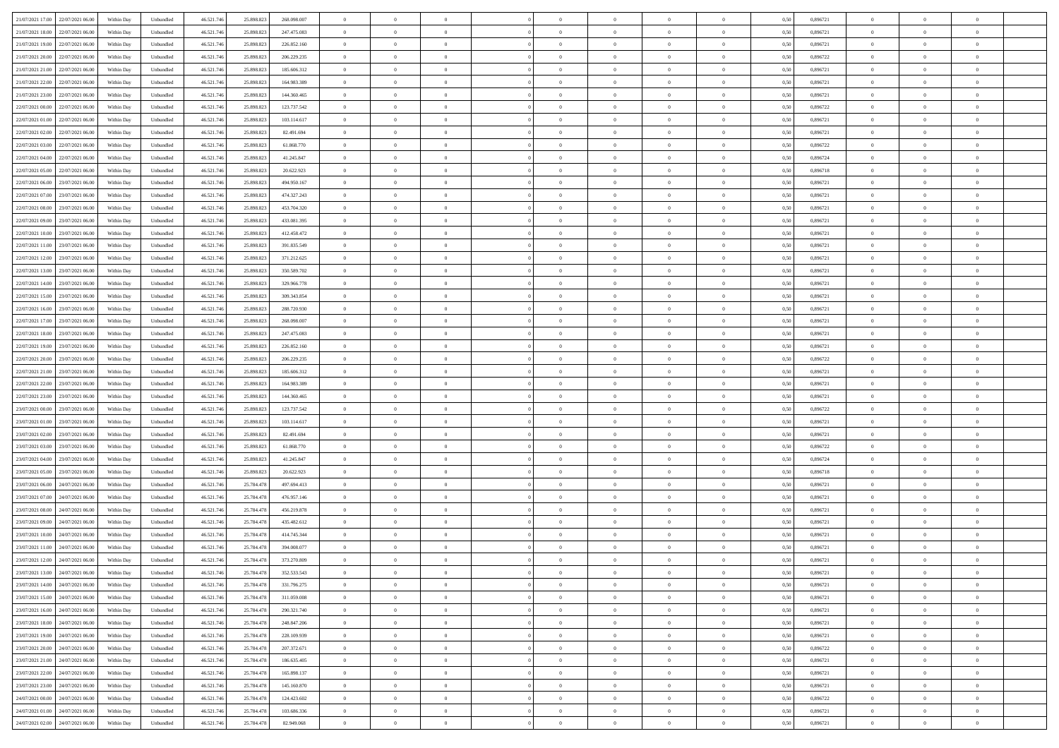| 21/07/2021 17:00 22/07/2021 06:00            | Within Day | Unbundled                   | 46.521.74  | 25.898.823 | 268.098.007 | $\overline{0}$ | $\theta$       |                | $\overline{0}$ | $\theta$       |                | $\theta$       | 0,50 | 0,896721 | $\theta$       | $\theta$       | $\overline{0}$ |  |
|----------------------------------------------|------------|-----------------------------|------------|------------|-------------|----------------|----------------|----------------|----------------|----------------|----------------|----------------|------|----------|----------------|----------------|----------------|--|
| 21/07/2021 18:00<br>22/07/2021 06.00         | Within Day | Unbundled                   | 46.521.74  | 25.898.82  | 247.475.083 | $\bf{0}$       | $\overline{0}$ | $\bf{0}$       | $\overline{0}$ | $\overline{0}$ | $\overline{0}$ | $\bf{0}$       | 0,50 | 0,896721 | $\,$ 0 $\,$    | $\bf{0}$       | $\overline{0}$ |  |
| 21/07/2021 19:00<br>22/07/2021 06:00         | Within Day | Unbundled                   | 46.521.746 | 25.898.823 | 226.852.160 | $\overline{0}$ | $\bf{0}$       | $\overline{0}$ | $\bf{0}$       | $\bf{0}$       | $\overline{0}$ | $\bf{0}$       | 0.50 | 0.896721 | $\bf{0}$       | $\overline{0}$ | $\overline{0}$ |  |
| 21/07/2021 20:00<br>22/07/2021 06:00         |            |                             | 46.521.74  |            |             | $\overline{0}$ | $\overline{0}$ | $\overline{0}$ | $\theta$       | $\theta$       | $\overline{0}$ | $\overline{0}$ |      | 0,896722 | $\theta$       | $\theta$       | $\overline{0}$ |  |
|                                              | Within Day | Unbundled                   |            | 25.898.823 | 206.229.235 |                |                |                |                |                |                |                | 0,50 |          |                |                |                |  |
| 21/07/2021 21:00<br>22/07/2021 06.00         | Within Day | Unbundled                   | 46.521.74  | 25.898.823 | 185.606.312 | $\overline{0}$ | $\overline{0}$ | $\bf{0}$       | $\overline{0}$ | $\theta$       | $\overline{0}$ | $\bf{0}$       | 0,50 | 0,896721 | $\,$ 0 $\,$    | $\bf{0}$       | $\overline{0}$ |  |
| 21/07/2021 22:00<br>22/07/2021 06:00         | Within Day | Unbundled                   | 46.521.74  | 25.898.823 | 164.983.389 | $\overline{0}$ | $\overline{0}$ | $\overline{0}$ | $\overline{0}$ | $\overline{0}$ | $\theta$       | $\bf{0}$       | 0.50 | 0.896721 | $\,$ 0 $\,$    | $\theta$       | $\overline{0}$ |  |
| 21/07/2021 23:00<br>22/07/2021 06:00         | Within Day | Unbundled                   | 46.521.74  | 25.898.823 | 144.360.465 | $\overline{0}$ | $\overline{0}$ | $\overline{0}$ | $\overline{0}$ | $\overline{0}$ | $\overline{0}$ | $\bf{0}$       | 0,50 | 0,896721 | $\theta$       | $\theta$       | $\overline{0}$ |  |
|                                              |            |                             |            |            |             |                |                |                |                |                |                |                |      |          |                |                |                |  |
| 22/07/2021 00:00<br>22/07/2021 06.00         | Within Day | Unbundled                   | 46.521.74  | 25.898.82  | 123.737.542 | $\bf{0}$       | $\overline{0}$ | $\overline{0}$ | $\overline{0}$ | $\overline{0}$ | $\overline{0}$ | $\bf{0}$       | 0,50 | 0,896722 | $\,$ 0 $\,$    | $\bf{0}$       | $\overline{0}$ |  |
| 22/07/2021 01:00<br>22/07/2021 06:00         | Within Day | Unbundled                   | 46.521.74  | 25.898.82  | 103.114.617 | $\overline{0}$ | $\bf{0}$       | $\overline{0}$ | $\bf{0}$       | $\overline{0}$ | $\overline{0}$ | $\bf{0}$       | 0.50 | 0.896721 | $\bf{0}$       | $\overline{0}$ | $\overline{0}$ |  |
| 22/07/2021 02:00<br>22/07/2021 06:00         | Within Day | Unbundled                   | 46.521.74  | 25.898.823 | 82.491.694  | $\overline{0}$ | $\bf{0}$       | $\overline{0}$ | $\overline{0}$ | $\overline{0}$ | $\overline{0}$ | $\bf{0}$       | 0,50 | 0,896721 | $\,$ 0 $\,$    | $\theta$       | $\overline{0}$ |  |
| 22/07/2021 03:00<br>22/07/2021 06.00         | Within Day | Unbundled                   | 46.521.74  | 25.898.823 | 61.868.770  | $\bf{0}$       | $\overline{0}$ | $\bf{0}$       | $\overline{0}$ | $\bf{0}$       | $\overline{0}$ | $\bf{0}$       | 0,50 | 0,896722 | $\,$ 0 $\,$    | $\bf{0}$       | $\overline{0}$ |  |
|                                              |            |                             |            |            |             |                |                |                |                |                |                |                |      |          |                |                |                |  |
| 22/07/2021 04:00<br>22/07/2021 06:00         | Within Day | Unbundled                   | 46.521.746 | 25.898.823 | 41.245.847  | $\overline{0}$ | $\bf{0}$       | $\overline{0}$ | $\bf{0}$       | $\bf{0}$       | $\overline{0}$ | $\bf{0}$       | 0.50 | 0.896724 | $\bf{0}$       | $\overline{0}$ | $\bf{0}$       |  |
| 22/07/2021 05:00<br>22/07/2021 06:00         | Within Day | Unbundled                   | 46.521.74  | 25.898.823 | 20.622.923  | $\overline{0}$ | $\overline{0}$ | $\overline{0}$ | $\overline{0}$ | $\theta$       | $\overline{0}$ | $\overline{0}$ | 0,50 | 0,896718 | $\theta$       | $\theta$       | $\overline{0}$ |  |
| 22/07/2021 06:00<br>23/07/2021 06.00         | Within Day | Unbundled                   | 46.521.74  | 25.898.82  | 494.950.167 | $\bf{0}$       | $\overline{0}$ | $\bf{0}$       | $\overline{0}$ | $\theta$       | $\overline{0}$ | $\bf{0}$       | 0,50 | 0,896721 | $\,$ 0 $\,$    | $\bf{0}$       | $\overline{0}$ |  |
|                                              |            |                             |            |            |             |                |                |                |                |                |                |                |      |          |                |                |                |  |
| 22/07/2021 07:00<br>23/07/2021 06:00         | Within Day | Unbundled                   | 46.521.74  | 25.898.823 | 474.327.243 | $\overline{0}$ | $\overline{0}$ | $\overline{0}$ | $\bf{0}$       | $\overline{0}$ | $\Omega$       | $\bf{0}$       | 0.50 | 0.896721 | $\,$ 0 $\,$    | $\theta$       | $\overline{0}$ |  |
| 22/07/2021 08:00<br>23/07/2021 06:00         | Within Day | Unbundled                   | 46.521.74  | 25.898.823 | 453.704.320 | $\overline{0}$ | $\overline{0}$ | $\overline{0}$ | $\overline{0}$ | $\overline{0}$ | $\overline{0}$ | $\bf{0}$       | 0,50 | 0,896721 | $\theta$       | $\theta$       | $\overline{0}$ |  |
| 22/07/2021 09:00<br>23/07/2021 06.00         | Within Day | Unbundled                   | 46.521.74  | 25.898.82  | 433.081.395 | $\bf{0}$       | $\overline{0}$ | $\overline{0}$ | $\overline{0}$ | $\bf{0}$       | $\overline{0}$ | $\bf{0}$       | 0,50 | 0,896721 | $\,$ 0 $\,$    | $\bf{0}$       | $\overline{0}$ |  |
| 22/07/2021 10:00<br>23/07/2021 06:00         | Within Day | Unbundled                   | 46.521.74  | 25.898.82  | 412.458.472 | $\overline{0}$ | $\bf{0}$       | $\overline{0}$ | $\bf{0}$       | $\overline{0}$ | $\overline{0}$ | $\bf{0}$       | 0.50 | 0.896721 | $\bf{0}$       | $\overline{0}$ | $\overline{0}$ |  |
| 22/07/2021 11:00<br>23/07/2021 06:00         | Within Day | Unbundled                   | 46.521.74  | 25.898.823 | 391.835.549 | $\overline{0}$ | $\overline{0}$ | $\overline{0}$ | $\overline{0}$ | $\overline{0}$ | $\overline{0}$ | $\bf{0}$       | 0,50 | 0,896721 | $\,$ 0 $\,$    | $\theta$       | $\overline{0}$ |  |
|                                              |            |                             |            |            |             |                |                |                |                |                |                |                |      |          |                |                |                |  |
| 22/07/2021 12:00<br>23/07/2021 06.00         | Within Day | Unbundled                   | 46.521.74  | 25.898.823 | 371.212.625 | $\bf{0}$       | $\bf{0}$       | $\bf{0}$       | $\bf{0}$       | $\overline{0}$ | $\overline{0}$ | $\bf{0}$       | 0,50 | 0,896721 | $\,$ 0 $\,$    | $\bf{0}$       | $\overline{0}$ |  |
| 22/07/2021 13:00<br>23/07/2021 06:00         | Within Day | Unbundled                   | 46.521.74  | 25.898.823 | 350,589,702 | $\overline{0}$ | $\bf{0}$       | $\overline{0}$ | $\bf{0}$       | $\bf{0}$       | $\overline{0}$ | $\bf{0}$       | 0.50 | 0.896721 | $\bf{0}$       | $\overline{0}$ | $\bf{0}$       |  |
| 22/07/2021 14:00<br>23/07/2021 06:00         | Within Day | Unbundled                   | 46.521.74  | 25.898.823 | 329.966.778 | $\overline{0}$ | $\overline{0}$ | $\overline{0}$ | $\theta$       | $\theta$       | $\overline{0}$ | $\bf{0}$       | 0,50 | 0,896721 | $\theta$       | $\theta$       | $\overline{0}$ |  |
|                                              |            |                             |            |            |             |                | $\overline{0}$ |                |                | $\,$ 0 $\,$    | $\overline{0}$ |                |      |          | $\,$ 0 $\,$    | $\bf{0}$       | $\overline{0}$ |  |
| 22/07/2021 15:00<br>23/07/2021 06.00         | Within Day | Unbundled                   | 46.521.74  | 25.898.823 | 309.343.854 | $\bf{0}$       |                | $\bf{0}$       | $\bf{0}$       |                |                | $\bf{0}$       | 0,50 | 0,896721 |                |                |                |  |
| 22/07/2021 16:00<br>23/07/2021 06:00         | Within Day | Unbundled                   | 46.521.74  | 25.898.82  | 288.720.930 | $\overline{0}$ | $\overline{0}$ | $\overline{0}$ | $\overline{0}$ | $\overline{0}$ | $\Omega$       | $\bf{0}$       | 0.50 | 0.896721 | $\,$ 0 $\,$    | $\theta$       | $\overline{0}$ |  |
| 22/07/2021 17:00<br>23/07/2021 06:00         | Within Day | Unbundled                   | 46.521.74  | 25.898.823 | 268.098.007 | $\overline{0}$ | $\overline{0}$ | $\overline{0}$ | $\overline{0}$ | $\overline{0}$ | $\overline{0}$ | $\bf{0}$       | 0,50 | 0,896721 | $\theta$       | $\theta$       | $\overline{0}$ |  |
| 22/07/2021 18:00<br>23/07/2021 06.00         | Within Day | Unbundled                   | 46.521.74  | 25.898.82  | 247.475.083 | $\bf{0}$       | $\overline{0}$ | $\bf{0}$       | $\overline{0}$ | $\bf{0}$       | $\overline{0}$ | $\bf{0}$       | 0,50 | 0,896721 | $\,$ 0 $\,$    | $\bf{0}$       | $\overline{0}$ |  |
| 22/07/2021 19:00<br>23/07/2021 06:00         |            | Unbundled                   | 46.521.74  | 25.898.82  | 226.852.160 |                | $\bf{0}$       | $\overline{0}$ |                | $\overline{0}$ | $\overline{0}$ |                | 0.50 | 0.896721 | $\bf{0}$       | $\overline{0}$ | $\overline{0}$ |  |
|                                              | Within Day |                             |            |            |             | $\overline{0}$ |                |                | $\bf{0}$       |                |                | $\bf{0}$       |      |          |                |                |                |  |
| 22/07/2021 20:00<br>23/07/2021 06:00         | Within Day | Unbundled                   | 46.521.74  | 25.898.823 | 206.229.235 | $\overline{0}$ | $\overline{0}$ | $\overline{0}$ | $\overline{0}$ | $\overline{0}$ | $\overline{0}$ | $\bf{0}$       | 0,50 | 0,896722 | $\theta$       | $\theta$       | $\overline{0}$ |  |
| 22/07/2021 21:00<br>23/07/2021 06.00         | Within Day | Unbundled                   | 46.521.74  | 25.898.823 | 185.606.312 | $\bf{0}$       | $\bf{0}$       | $\bf{0}$       | $\bf{0}$       | $\overline{0}$ | $\overline{0}$ | $\bf{0}$       | 0,50 | 0,896721 | $\,$ 0 $\,$    | $\bf{0}$       | $\overline{0}$ |  |
| 22/07/2021 22:00<br>23/07/2021 06:00         | Within Day | Unbundled                   | 46.521.74  | 25.898.823 | 164.983.389 | $\overline{0}$ | $\bf{0}$       | $\overline{0}$ | $\bf{0}$       | $\bf{0}$       | $\overline{0}$ | $\bf{0}$       | 0.50 | 0.896721 | $\bf{0}$       | $\overline{0}$ | $\bf{0}$       |  |
| 22/07/2021 23:00<br>23/07/2021 06:00         | Within Day | Unbundled                   | 46.521.74  | 25.898.823 | 144,360,465 | $\overline{0}$ | $\overline{0}$ | $\overline{0}$ | $\overline{0}$ | $\overline{0}$ | $\overline{0}$ | $\bf{0}$       | 0.5( | 0,896721 | $\theta$       | $\theta$       | $\overline{0}$ |  |
|                                              |            |                             |            |            |             |                |                |                |                |                |                |                |      |          |                |                |                |  |
| 23/07/2021 00:00<br>23/07/2021 06.00         | Within Day | Unbundled                   | 46.521.74  | 25.898.82  | 123.737.542 | $\bf{0}$       | $\overline{0}$ | $\bf{0}$       | $\overline{0}$ | $\overline{0}$ | $\overline{0}$ | $\bf{0}$       | 0,50 | 0,896722 | $\,$ 0 $\,$    | $\bf{0}$       | $\overline{0}$ |  |
| 23/07/2021 01:00<br>23/07/2021 06:00         | Within Day | Unbundled                   | 46.521.74  | 25.898.82  | 103.114.617 | $\overline{0}$ | $\overline{0}$ | $\overline{0}$ | $\bf{0}$       | $\overline{0}$ | $\Omega$       | $\bf{0}$       | 0.50 | 0,896721 | $\,$ 0 $\,$    | $\theta$       | $\overline{0}$ |  |
| 23/07/2021 02:00<br>23/07/2021 06:00         | Within Dav | Unbundled                   | 46.521.74  | 25.898.823 | 82.491.694  | $\overline{0}$ | $\overline{0}$ | $\overline{0}$ | $\overline{0}$ | $\overline{0}$ | $\overline{0}$ | $\overline{0}$ | 0.5( | 0,896721 | $\theta$       | $\theta$       | $\overline{0}$ |  |
| 23/07/2021 03:00<br>23/07/2021 06.00         | Within Day | Unbundled                   | 46.521.74  | 25.898.82  | 61.868.770  | $\bf{0}$       | $\overline{0}$ | $\bf{0}$       | $\overline{0}$ | $\bf{0}$       | $\overline{0}$ | $\bf{0}$       | 0,50 | 0,896722 | $\,$ 0 $\,$    | $\bf{0}$       | $\overline{0}$ |  |
|                                              |            |                             |            |            |             |                |                |                |                |                |                |                |      |          |                |                |                |  |
| 23/07/2021 04:00<br>23/07/2021 06:00         | Within Day | Unbundled                   | 46.521.74  | 25.898.82  | 41.245.847  | $\overline{0}$ | $\bf{0}$       | $\overline{0}$ | $\bf{0}$       | $\overline{0}$ | $\overline{0}$ | $\bf{0}$       | 0.50 | 0.896724 | $\bf{0}$       | $\overline{0}$ | $\overline{0}$ |  |
| 23/07/2021 05:00<br>23/07/2021 06:00         | Within Dav | Unbundled                   | 46.521.74  | 25,898,823 | 20.622.923  | $\overline{0}$ | $\overline{0}$ | $\overline{0}$ | $\overline{0}$ | $\overline{0}$ | $\overline{0}$ | $\overline{0}$ | 0.50 | 0,896718 | $\theta$       | $\theta$       | $\overline{0}$ |  |
| 23/07/2021 06:00<br>24/07/2021 06.00         | Within Day | Unbundled                   | 46.521.74  | 25.784.478 | 497.694.413 | $\bf{0}$       | $\bf{0}$       | $\bf{0}$       | $\bf{0}$       | $\overline{0}$ | $\overline{0}$ | $\bf{0}$       | 0,50 | 0,896721 | $\,$ 0 $\,$    | $\bf{0}$       | $\overline{0}$ |  |
| 23/07/2021 07:00<br>24/07/2021 06:00         | Within Day | Unbundled                   | 46.521.746 | 25.784.478 | 476.957.146 | $\overline{0}$ | $\bf{0}$       | $\overline{0}$ | $\bf{0}$       | $\bf{0}$       | $\overline{0}$ | $\bf{0}$       | 0.50 | 0.896721 | $\bf{0}$       | $\overline{0}$ | $\bf{0}$       |  |
|                                              |            |                             |            |            |             |                |                |                |                |                |                |                |      |          |                |                |                |  |
| 23/07/2021 08:00<br>24/07/2021 06:00         | Within Dav | Unbundled                   | 46.521.74  | 25.784.478 | 456.219.878 | $\overline{0}$ | $\overline{0}$ | $\Omega$       | $\overline{0}$ | $\overline{0}$ | $\overline{0}$ | $\bf{0}$       | 0.50 | 0,896721 | $\theta$       | $\theta$       | $\overline{0}$ |  |
| 23/07/2021 09:00<br>24/07/2021 06.00         | Within Day | Unbundled                   | 46.521.74  | 25.784.478 | 435.482.612 | $\bf{0}$       | $\overline{0}$ | $\bf{0}$       | $\overline{0}$ | $\,$ 0 $\,$    | $\overline{0}$ | $\bf{0}$       | 0,50 | 0,896721 | $\,$ 0 $\,$    | $\bf{0}$       | $\overline{0}$ |  |
| 23/07/2021 10:00<br>24/07/2021 06:00         | Within Day | Unbundled                   | 46.521.74  | 25.784.478 | 414.745.344 | $\overline{0}$ | $\overline{0}$ | $\Omega$       | $\overline{0}$ | $\overline{0}$ | $\Omega$       | $\bf{0}$       | 0.50 | 0,896721 | $\bf{0}$       | $\theta$       | $\overline{0}$ |  |
| 23/07/2021 11:00<br>24/07/2021 06:00         | Within Dav | Unbundled                   | 46.521.74  | 25.784.478 | 394,008,077 | $\overline{0}$ | $\overline{0}$ | $\Omega$       | $\overline{0}$ | $\theta$       | $\Omega$       | $\overline{0}$ | 0.5( | 0,896721 | $\theta$       | $\theta$       | $\overline{0}$ |  |
| 23/07/2021 12:00<br>24/07/2021 06:00         | Within Day | Unbundled                   | 46.521.74  | 25.784.478 | 373.270.809 | $\bf{0}$       | $\bf{0}$       | $\bf{0}$       | $\bf{0}$       | $\bf{0}$       | $\overline{0}$ | $\bf{0}$       | 0,50 | 0,896721 | $\,$ 0 $\,$    | $\bf{0}$       | $\overline{0}$ |  |
|                                              |            |                             |            |            |             |                |                |                |                |                |                |                |      |          |                |                |                |  |
| $23/07/2021\ 13.00 \qquad 24/07/2021\ 06.00$ | Within Day | $\ensuremath{\mathsf{Unb}}$ | 46.521.746 | 25.784.478 | 352.533.543 | $\overline{0}$ | $\theta$       |                | $\overline{0}$ |                |                |                | 0,50 | 0.896721 | $\bf{0}$       | $\overline{0}$ |                |  |
| 23/07/2021 14:00 24/07/2021 06:00            | Within Day | Unbundled                   | 46.521.746 | 25.784.478 | 331.796.275 | $\overline{0}$ | $\theta$       | $\Omega$       | $\theta$       | $\overline{0}$ | $\overline{0}$ | $\bf{0}$       | 0,50 | 0,896721 | $\theta$       | $\theta$       | $\overline{0}$ |  |
| 23/07/2021 15:00<br>24/07/2021 06:00         | Within Day | Unbundled                   | 46.521.74  | 25.784.478 | 311.059.008 | $\overline{0}$ | $\bf{0}$       | $\overline{0}$ | $\overline{0}$ | $\bf{0}$       | $\overline{0}$ | $\bf{0}$       | 0,50 | 0,896721 | $\bf{0}$       | $\overline{0}$ | $\bf{0}$       |  |
| 23/07/2021 16:00 24/07/2021 06:00            |            |                             |            |            | 290.321.740 | $\overline{0}$ | $\bf{0}$       |                |                | $\mathbf{0}$   | $\overline{0}$ | $\,$ 0 $\,$    | 0.50 | 0.896721 | $\overline{0}$ | $\bf{0}$       | $\,$ 0 $\,$    |  |
|                                              | Within Day | Unbundled                   | 46.521.746 | 25.784.478 |             |                |                | $\overline{0}$ | $\overline{0}$ |                |                |                |      |          |                |                |                |  |
| 23/07/2021 18:00 24/07/2021 06:00            | Within Day | Unbundled                   | 46.521.746 | 25.784.478 | 248.847.206 | $\overline{0}$ | $\overline{0}$ | $\overline{0}$ | $\overline{0}$ | $\overline{0}$ | $\overline{0}$ | $\bf{0}$       | 0,50 | 0,896721 | $\theta$       | $\theta$       | $\overline{0}$ |  |
| 23/07/2021 19:00<br>24/07/2021 06:00         | Within Day | Unbundled                   | 46.521.74  | 25.784.478 | 228.109.939 | $\overline{0}$ | $\bf{0}$       | $\overline{0}$ | $\bf{0}$       | $\overline{0}$ | $\bf{0}$       | $\bf{0}$       | 0,50 | 0,896721 | $\bf{0}$       | $\bf{0}$       | $\overline{0}$ |  |
| 23/07/2021 20:00<br>24/07/2021 06:00         | Within Day | Unbundled                   | 46.521.746 | 25.784.478 | 207.372.671 | $\overline{0}$ | $\bf{0}$       | $\overline{0}$ | $\overline{0}$ | $\overline{0}$ | $\overline{0}$ | $\bf{0}$       | 0.50 | 0.896722 | $\,$ 0 $\,$    | $\theta$       | $\,$ 0         |  |
| 23/07/2021 21:00<br>24/07/2021 06:00         | Within Dav | Unbundled                   | 46.521.746 | 25.784.478 | 186.635.405 | $\overline{0}$ | $\overline{0}$ | $\overline{0}$ | $\overline{0}$ | $\overline{0}$ | $\overline{0}$ | $\bf{0}$       | 0.50 | 0,896721 | $\overline{0}$ | $\theta$       | $\overline{0}$ |  |
|                                              |            |                             |            |            |             |                |                |                |                |                |                |                |      |          |                |                |                |  |
| 23/07/2021 22:00<br>24/07/2021 06:00         | Within Day | Unbundled                   | 46.521.74  | 25.784.478 | 165.898.137 | $\overline{0}$ | $\overline{0}$ | $\overline{0}$ | $\overline{0}$ | $\bf{0}$       | $\overline{0}$ | $\bf{0}$       | 0,50 | 0,896721 | $\bf{0}$       | $\overline{0}$ | $\overline{0}$ |  |
| 23/07/2021 23:00 24/07/2021 06:00            | Within Day | Unbundled                   | 46.521.746 | 25.784.478 | 145.160.870 | $\overline{0}$ | $\overline{0}$ | $\overline{0}$ | $\overline{0}$ | $\bf{0}$       | $\overline{0}$ | $\bf{0}$       | 0.50 | 0.896721 | $\overline{0}$ | $\bf{0}$       | $\,$ 0         |  |
| 24/07/2021 00:00 24/07/2021 06:00            | Within Dav | Unbundled                   | 46.521.746 | 25.784.478 | 124.423.602 | $\overline{0}$ | $\overline{0}$ | $\overline{0}$ | $\overline{0}$ | $\overline{0}$ | $\overline{0}$ | $\bf{0}$       | 0,50 | 0,896722 | $\overline{0}$ | $\theta$       | $\overline{0}$ |  |
| 24/07/2021 01:00<br>24/07/2021 06.00         | Within Day | Unbundled                   | 46.521.74  | 25.784.478 | 103.686.336 | $\overline{0}$ | $\bf{0}$       | $\overline{0}$ | $\bf{0}$       | $\overline{0}$ | $\bf{0}$       | $\bf{0}$       | 0,50 | 0,896721 | $\bf{0}$       | $\bf{0}$       | $\overline{0}$ |  |
|                                              |            |                             |            |            |             |                |                |                |                |                |                |                |      |          |                |                |                |  |
| 24/07/2021 02:00 24/07/2021 06:00            | Within Day | Unbundled                   | 46.521.746 | 25.784.478 | 82.949.068  | $\overline{0}$ | $\bf{0}$       | $\overline{0}$ | $\overline{0}$ | $\,$ 0 $\,$    | $\overline{0}$ | $\bf{0}$       | 0,50 | 0,896721 | $\overline{0}$ | $\,$ 0 $\,$    | $\,$ 0 $\,$    |  |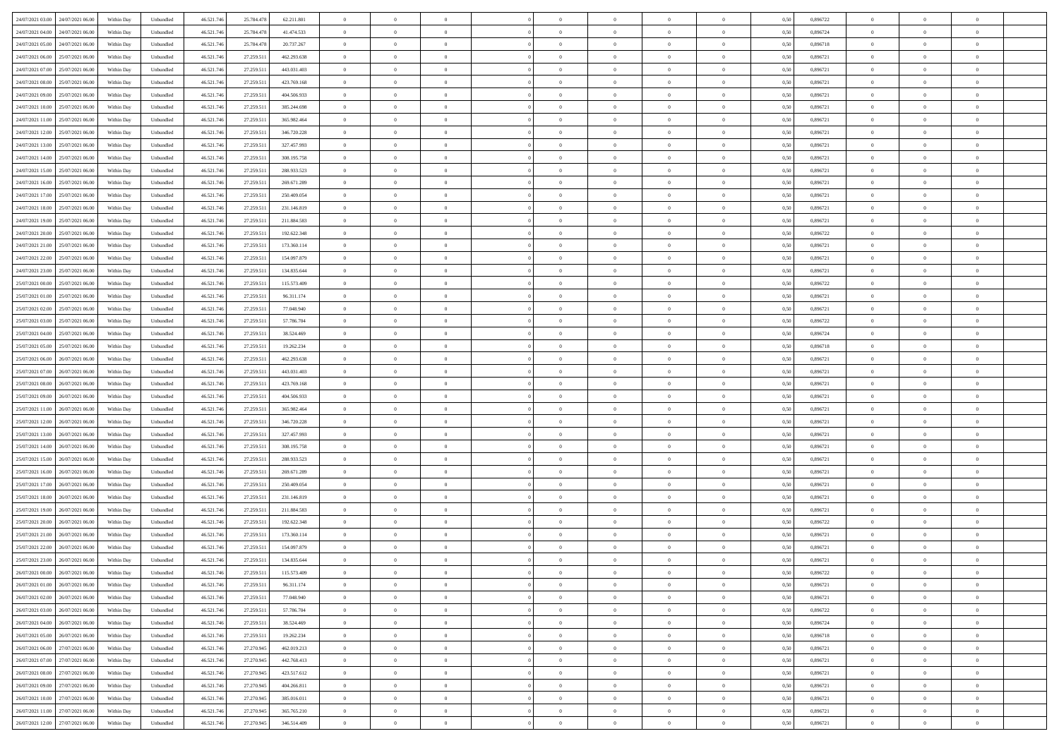| 24/07/2021 03:00 24/07/2021 06:00     | Within Day | Unbundled                   | 46.521.74  | 25.784.478 | 62.211.801  | $\overline{0}$ | $\theta$       |                | $\overline{0}$ | $\theta$       |                | $\theta$       | 0,50 | 0,896722 | $\theta$       | $\theta$       | $\overline{0}$ |  |
|---------------------------------------|------------|-----------------------------|------------|------------|-------------|----------------|----------------|----------------|----------------|----------------|----------------|----------------|------|----------|----------------|----------------|----------------|--|
| 24/07/2021 04:00<br>24/07/2021 06.00  | Within Day | Unbundled                   | 46.521.74  | 25.784.478 | 41.474.533  | $\bf{0}$       | $\overline{0}$ | $\bf{0}$       | $\overline{0}$ | $\bf{0}$       | $\overline{0}$ | $\bf{0}$       | 0,50 | 0,896724 | $\,$ 0 $\,$    | $\bf{0}$       | $\overline{0}$ |  |
| 24/07/2021 05:00<br>24/07/2021 06:00  | Within Day | Unbundled                   | 46.521.746 | 25.784.478 | 20.737.267  | $\overline{0}$ | $\bf{0}$       | $\overline{0}$ | $\bf{0}$       | $\bf{0}$       | $\overline{0}$ | $\bf{0}$       | 0.50 | 0.896718 | $\bf{0}$       | $\overline{0}$ | $\overline{0}$ |  |
| 24/07/2021 06:00<br>25/07/2021 06:00  |            |                             | 46.521.74  |            |             | $\overline{0}$ | $\overline{0}$ | $\overline{0}$ | $\theta$       | $\theta$       | $\overline{0}$ | $\overline{0}$ |      | 0,896721 | $\theta$       | $\theta$       | $\overline{0}$ |  |
|                                       | Within Day | Unbundled                   |            | 27.259.511 | 462.293.638 |                |                |                |                |                |                |                | 0,50 |          |                |                |                |  |
| 24/07/2021 07:00<br>25/07/2021 06.00  | Within Day | Unbundled                   | 46.521.74  | 27.259.51  | 443.031.403 | $\overline{0}$ | $\overline{0}$ | $\bf{0}$       | $\overline{0}$ | $\theta$       | $\overline{0}$ | $\bf{0}$       | 0,50 | 0,896721 | $\,$ 0 $\,$    | $\theta$       | $\overline{0}$ |  |
| 24/07/2021 08:00<br>25/07/2021 06:00  | Within Day | Unbundled                   | 46.521.74  | 27.259.51  | 423.769.168 | $\overline{0}$ | $\overline{0}$ | $\overline{0}$ | $\overline{0}$ | $\overline{0}$ | $\Omega$       | $\bf{0}$       | 0.50 | 0.896721 | $\,$ 0 $\,$    | $\theta$       | $\overline{0}$ |  |
| 24/07/2021 09:00<br>25/07/2021 06:00  | Within Day | Unbundled                   | 46.521.74  | 27.259.511 | 404.506.933 | $\overline{0}$ | $\overline{0}$ | $\overline{0}$ | $\overline{0}$ | $\overline{0}$ | $\overline{0}$ | $\bf{0}$       | 0,50 | 0,896721 | $\theta$       | $\theta$       | $\overline{0}$ |  |
|                                       |            |                             |            |            |             |                |                |                |                |                |                |                |      |          |                |                |                |  |
| 24/07/2021 10:00<br>25/07/2021 06.00  | Within Day | Unbundled                   | 46.521.74  | 27.259.51  | 385.244.698 | $\overline{0}$ | $\overline{0}$ | $\overline{0}$ | $\overline{0}$ | $\theta$       | $\overline{0}$ | $\bf{0}$       | 0,50 | 0,896721 | $\,$ 0 $\,$    | $\bf{0}$       | $\overline{0}$ |  |
| 24/07/2021 11:00<br>25/07/2021 06:00  | Within Day | Unbundled                   | 46.521.74  | 27.259.51  | 365.982.464 | $\overline{0}$ | $\bf{0}$       | $\overline{0}$ | $\bf{0}$       | $\overline{0}$ | $\overline{0}$ | $\bf{0}$       | 0.50 | 0.896721 | $\bf{0}$       | $\theta$       | $\overline{0}$ |  |
| 24/07/2021 12:00<br>25/07/2021 06:00  | Within Day | Unbundled                   | 46.521.74  | 27.259.511 | 346.720.228 | $\overline{0}$ | $\bf{0}$       | $\overline{0}$ | $\overline{0}$ | $\overline{0}$ | $\overline{0}$ | $\bf{0}$       | 0,50 | 0,896721 | $\,$ 0 $\,$    | $\theta$       | $\overline{0}$ |  |
| 24/07/2021 13:00<br>25/07/2021 06.00  | Within Day | Unbundled                   | 46.521.74  | 27.259.511 | 327.457.993 | $\bf{0}$       | $\overline{0}$ | $\bf{0}$       | $\overline{0}$ | $\bf{0}$       | $\overline{0}$ | $\bf{0}$       | 0,50 | 0,896721 | $\,$ 0 $\,$    | $\bf{0}$       | $\overline{0}$ |  |
|                                       |            |                             |            |            |             |                |                |                |                |                |                |                |      |          |                |                |                |  |
| 24/07/2021 14:00<br>25/07/2021 06:00  | Within Day | Unbundled                   | 46.521.746 | 27.259.511 | 308.195.758 | $\overline{0}$ | $\overline{0}$ | $\overline{0}$ | $\bf{0}$       | $\bf{0}$       | $\overline{0}$ | $\bf{0}$       | 0.50 | 0.896721 | $\bf{0}$       | $\overline{0}$ | $\bf{0}$       |  |
| 24/07/2021 15:00<br>25/07/2021 06:00  | Within Day | Unbundled                   | 46.521.74  | 27.259.511 | 288.933.523 | $\overline{0}$ | $\overline{0}$ | $\overline{0}$ | $\overline{0}$ | $\theta$       | $\overline{0}$ | $\overline{0}$ | 0,50 | 0,896721 | $\theta$       | $\theta$       | $\overline{0}$ |  |
| 24/07/2021 16:00<br>25/07/2021 06.00  | Within Day | Unbundled                   | 46.521.74  | 27.259.51  | 269.671.289 | $\bf{0}$       | $\overline{0}$ | $\bf{0}$       | $\overline{0}$ | $\theta$       | $\overline{0}$ | $\bf{0}$       | 0,50 | 0,896721 | $\,$ 0 $\,$    | $\bf{0}$       | $\overline{0}$ |  |
|                                       |            |                             |            |            |             |                |                |                |                |                |                |                |      |          |                |                |                |  |
| 24/07/2021 17:00<br>25/07/2021 06:00  | Within Day | Unbundled                   | 46.521.74  | 27.259.51  | 250.409.054 | $\overline{0}$ | $\overline{0}$ | $\overline{0}$ | $\bf{0}$       | $\theta$       | $\Omega$       | $\bf{0}$       | 0.50 | 0.896721 | $\theta$       | $\theta$       | $\overline{0}$ |  |
| 24/07/2021 18:00<br>25/07/2021 06:00  | Within Day | Unbundled                   | 46.521.74  | 27.259.511 | 231.146.819 | $\overline{0}$ | $\overline{0}$ | $\overline{0}$ | $\overline{0}$ | $\overline{0}$ | $\overline{0}$ | $\bf{0}$       | 0,50 | 0,896721 | $\theta$       | $\theta$       | $\overline{0}$ |  |
| 24/07/2021 19:00<br>25/07/2021 06.00  | Within Day | Unbundled                   | 46.521.74  | 27.259.51  | 211.884.583 | $\bf{0}$       | $\overline{0}$ | $\overline{0}$ | $\overline{0}$ | $\theta$       | $\overline{0}$ | $\bf{0}$       | 0,50 | 0,896721 | $\,$ 0 $\,$    | $\bf{0}$       | $\overline{0}$ |  |
| 24/07/2021 20:00<br>25/07/2021 06:00  | Within Day | Unbundled                   | 46.521.74  | 27.259.51  | 192.622.348 | $\overline{0}$ | $\overline{0}$ | $\overline{0}$ | $\bf{0}$       | $\overline{0}$ | $\overline{0}$ | $\bf{0}$       | 0.50 | 0.896722 | $\bf{0}$       | $\overline{0}$ | $\overline{0}$ |  |
|                                       |            |                             |            |            |             | $\overline{0}$ | $\overline{0}$ | $\overline{0}$ | $\overline{0}$ | $\overline{0}$ | $\overline{0}$ |                |      |          | $\,$ 0 $\,$    | $\theta$       | $\overline{0}$ |  |
| 24/07/2021 21:00<br>25/07/2021 06:00  | Within Day | Unbundled                   | 46.521.74  | 27.259.511 | 173.360.114 |                |                |                |                |                |                | $\bf{0}$       | 0,50 | 0,896721 |                |                |                |  |
| 24/07/2021 22.00<br>25/07/2021 06.00  | Within Day | Unbundled                   | 46.521.74  | 27.259.51  | 154.097.879 | $\bf{0}$       | $\overline{0}$ | $\bf{0}$       | $\bf{0}$       | $\overline{0}$ | $\overline{0}$ | $\bf{0}$       | 0,50 | 0,896721 | $\,$ 0 $\,$    | $\bf{0}$       | $\overline{0}$ |  |
| 24/07/2021 23:00<br>25/07/2021 06:00  | Within Day | Unbundled                   | 46.521.746 | 27.259.511 | 134,835,644 | $\overline{0}$ | $\bf{0}$       | $\overline{0}$ | $\bf{0}$       | $\bf{0}$       | $\overline{0}$ | $\bf{0}$       | 0.50 | 0.896721 | $\bf{0}$       | $\overline{0}$ | $\bf{0}$       |  |
| 25/07/2021 00:00<br>25/07/2021 06:00  | Within Day | Unbundled                   | 46.521.74  | 27.259.511 | 115.573.409 | $\overline{0}$ | $\overline{0}$ | $\overline{0}$ | $\theta$       | $\theta$       | $\overline{0}$ | $\bf{0}$       | 0,50 | 0,896722 | $\theta$       | $\theta$       | $\overline{0}$ |  |
|                                       |            |                             |            |            |             |                | $\overline{0}$ |                |                |                |                |                |      |          |                |                | $\overline{0}$ |  |
| 25/07/2021 01:00<br>25/07/2021 06.00  | Within Day | Unbundled                   | 46.521.74  | 27.259.51  | 96.311.174  | $\bf{0}$       |                | $\bf{0}$       | $\bf{0}$       | $\bf{0}$       | $\overline{0}$ | $\bf{0}$       | 0,50 | 0,896721 | $\,$ 0 $\,$    | $\bf{0}$       |                |  |
| 25/07/2021 02:00<br>25/07/2021 06:00  | Within Day | Unbundled                   | 46.521.74  | 27.259.51  | 77.048.940  | $\overline{0}$ | $\overline{0}$ | $\overline{0}$ | $\overline{0}$ | $\overline{0}$ | $\Omega$       | $\bf{0}$       | 0.50 | 0.896721 | $\,$ 0 $\,$    | $\theta$       | $\overline{0}$ |  |
| 25/07/2021 03:00<br>25/07/2021 06:00  | Within Day | Unbundled                   | 46.521.74  | 27.259.511 | 57.786.704  | $\overline{0}$ | $\overline{0}$ | $\overline{0}$ | $\overline{0}$ | $\overline{0}$ | $\overline{0}$ | $\bf{0}$       | 0,50 | 0,896722 | $\theta$       | $\theta$       | $\overline{0}$ |  |
| 25/07/2021 04:00<br>25/07/2021 06.00  | Within Day | Unbundled                   | 46.521.74  | 27.259.51  | 38.524.469  | $\bf{0}$       | $\overline{0}$ | $\bf{0}$       | $\overline{0}$ | $\theta$       | $\overline{0}$ | $\bf{0}$       | 0,50 | 0,896724 | $\,$ 0 $\,$    | $\bf{0}$       | $\overline{0}$ |  |
| 25/07/2021 05:00<br>25/07/2021 06:00  |            | Unbundled                   | 46.521.74  | 27.259.511 | 19.262.234  |                | $\bf{0}$       | $\overline{0}$ |                | $\overline{0}$ | $\overline{0}$ |                | 0.50 | 0.896718 | $\bf{0}$       | $\overline{0}$ | $\overline{0}$ |  |
|                                       | Within Day |                             |            |            |             | $\overline{0}$ |                |                | $\bf{0}$       |                |                | $\bf{0}$       |      |          |                |                |                |  |
| 25/07/2021 06:00<br>26/07/2021 06:00  | Within Day | Unbundled                   | 46.521.74  | 27.259.511 | 462.293.638 | $\overline{0}$ | $\overline{0}$ | $\overline{0}$ | $\overline{0}$ | $\overline{0}$ | $\overline{0}$ | $\bf{0}$       | 0,50 | 0,896721 | $\theta$       | $\theta$       | $\overline{0}$ |  |
| 25/07/2021 07:00<br>26/07/2021 06.00  | Within Day | Unbundled                   | 46.521.74  | 27.259.511 | 443.031.403 | $\bf{0}$       | $\bf{0}$       | $\bf{0}$       | $\bf{0}$       | $\overline{0}$ | $\overline{0}$ | $\bf{0}$       | 0,50 | 0,896721 | $\,$ 0 $\,$    | $\bf{0}$       | $\overline{0}$ |  |
| 25/07/2021 08:00<br>26/07/2021 06:00  | Within Day | Unbundled                   | 46.521.746 | 27.259.511 | 423.769.168 | $\overline{0}$ | $\bf{0}$       | $\overline{0}$ | $\bf{0}$       | $\bf{0}$       | $\overline{0}$ | $\bf{0}$       | 0.50 | 0.896721 | $\bf{0}$       | $\overline{0}$ | $\bf{0}$       |  |
| 25/07/2021 09:00<br>26/07/2021 06:00  | Within Day | Unbundled                   | 46.521.74  | 27.259.51  | 404.506.933 | $\overline{0}$ | $\overline{0}$ | $\overline{0}$ | $\overline{0}$ | $\overline{0}$ | $\overline{0}$ | $\bf{0}$       | 0.5( | 0,896721 | $\theta$       | $\theta$       | $\overline{0}$ |  |
|                                       |            |                             |            |            |             |                |                |                |                |                |                |                |      |          |                |                |                |  |
| 25/07/2021 11:00<br>26/07/2021 06.00  | Within Day | Unbundled                   | 46.521.74  | 27.259.51  | 365.982.464 | $\bf{0}$       | $\overline{0}$ | $\bf{0}$       | $\overline{0}$ | $\overline{0}$ | $\overline{0}$ | $\bf{0}$       | 0,50 | 0,896721 | $\,$ 0 $\,$    | $\bf{0}$       | $\overline{0}$ |  |
| 25/07/2021 12:00<br>26/07/2021 06:00  | Within Day | Unbundled                   | 46.521.74  | 27.259.511 | 346.720.228 | $\overline{0}$ | $\overline{0}$ | $\overline{0}$ | $\bf{0}$       | $\bf{0}$       | $\Omega$       | $\bf{0}$       | 0.50 | 0,896721 | $\,$ 0 $\,$    | $\theta$       | $\overline{0}$ |  |
| 25/07/2021 13:00<br>26/07/2021 06:00  | Within Dav | Unbundled                   | 46.521.74  | 27.259.511 | 327.457.993 | $\overline{0}$ | $\overline{0}$ | $\overline{0}$ | $\overline{0}$ | $\overline{0}$ | $\overline{0}$ | $\overline{0}$ | 0.5( | 0,896721 | $\theta$       | $\theta$       | $\overline{0}$ |  |
| 25/07/2021 14:00<br>26/07/2021 06.00  | Within Day | Unbundled                   | 46.521.74  | 27.259.51  | 308.195.758 | $\bf{0}$       | $\overline{0}$ | $\bf{0}$       | $\overline{0}$ | $\bf{0}$       | $\overline{0}$ | $\bf{0}$       | 0,50 | 0,896721 | $\,$ 0 $\,$    | $\bf{0}$       | $\overline{0}$ |  |
|                                       |            |                             |            |            |             |                |                |                |                |                |                |                |      |          |                |                |                |  |
| 25/07/2021 15:00<br>26/07/2021 06:00  | Within Day | Unbundled                   | 46.521.74  | 27.259.51  | 288.933.523 | $\overline{0}$ | $\bf{0}$       | $\overline{0}$ | $\bf{0}$       | $\overline{0}$ | $\overline{0}$ | $\bf{0}$       | 0.50 | 0.896721 | $\bf{0}$       | $\overline{0}$ | $\overline{0}$ |  |
| 25/07/2021 16:00<br>26/07/2021 06:00  | Within Dav | Unbundled                   | 46.521.74  | 27.259.511 | 269.671.289 | $\overline{0}$ | $\overline{0}$ | $\overline{0}$ | $\overline{0}$ | $\overline{0}$ | $\overline{0}$ | $\overline{0}$ | 0.50 | 0,896721 | $\theta$       | $\theta$       | $\overline{0}$ |  |
| 25/07/2021 17:00<br>26/07/2021 06.00  | Within Day | Unbundled                   | 46.521.74  | 27.259.51  | 250.409.054 | $\bf{0}$       | $\bf{0}$       | $\bf{0}$       | $\bf{0}$       | $\overline{0}$ | $\overline{0}$ | $\bf{0}$       | 0,50 | 0,896721 | $\,$ 0 $\,$    | $\bf{0}$       | $\overline{0}$ |  |
| 25/07/2021 18:00<br>26/07/2021 06:00  | Within Day | Unbundled                   | 46.521.746 | 27.259.511 | 231.146.819 | $\overline{0}$ | $\bf{0}$       | $\overline{0}$ | $\bf{0}$       | $\bf{0}$       | $\overline{0}$ | $\bf{0}$       | 0.50 | 0.896721 | $\bf{0}$       | $\overline{0}$ | $\overline{0}$ |  |
|                                       |            |                             |            |            |             |                |                |                |                |                |                |                |      |          |                |                |                |  |
| 25/07/2021 19:00<br>26/07/2021 06:00  | Within Dav | Unbundled                   | 46.521.74  | 27.259.511 | 211.884.583 | $\overline{0}$ | $\overline{0}$ | $\Omega$       | $\overline{0}$ | $\overline{0}$ | $\overline{0}$ | $\bf{0}$       | 0.50 | 0,896721 | $\theta$       | $\theta$       | $\overline{0}$ |  |
| 25/07/2021 20:00<br>26/07/2021 06.00  | Within Day | Unbundled                   | 46.521.74  | 27.259.51  | 192.622.348 | $\bf{0}$       | $\overline{0}$ | $\bf{0}$       | $\overline{0}$ | $\,$ 0 $\,$    | $\overline{0}$ | $\bf{0}$       | 0,50 | 0,896722 | $\,$ 0 $\,$    | $\bf{0}$       | $\overline{0}$ |  |
| 25/07/2021 21:00<br>26/07/2021 06:00  | Within Day | Unbundled                   | 46.521.74  | 27.259.51  | 173.360.114 | $\overline{0}$ | $\overline{0}$ | $\Omega$       | $\overline{0}$ | $\overline{0}$ | $\theta$       | $\bf{0}$       | 0.50 | 0,896721 | $\bf{0}$       | $\theta$       | $\overline{0}$ |  |
| 25/07/2021 22:00<br>26/07/2021 06:00  | Within Dav | Unbundled                   | 46.521.74  | 27.259.51  | 154.097.879 | $\overline{0}$ | $\overline{0}$ | $\Omega$       | $\overline{0}$ | $\theta$       | $\Omega$       | $\overline{0}$ | 0.5( | 0,896721 | $\theta$       | $\theta$       | $\overline{0}$ |  |
|                                       |            |                             |            |            |             |                |                |                |                |                |                |                |      |          |                |                |                |  |
| 25/07/2021 23:00<br>26/07/2021 06.00  | Within Day | Unbundled                   | 46.521.74  | 27.259.51  | 134.835.644 | $\bf{0}$       | $\bf{0}$       | $\bf{0}$       | $\bf{0}$       | $\bf{0}$       | $\overline{0}$ | $\bf{0}$       | 0,50 | 0,896721 | $\,$ 0 $\,$    | $\bf{0}$       | $\overline{0}$ |  |
| $26/07/2021$ 00.00 $26/07/2021$ 06.00 | Within Day | $\ensuremath{\mathsf{Unb}}$ | 46.521.746 | 27.259.511 | 115.573.409 | $\bf{0}$       | $\theta$       |                | $\overline{0}$ |                |                |                | 0,50 | 0,896722 | $\theta$       | $\overline{0}$ |                |  |
| 26/07/2021 01:00 26/07/2021 06:00     | Within Day | Unbundled                   | 46.521.746 | 27.259.511 | 96.311.174  | $\overline{0}$ | $\theta$       | $\Omega$       | $\theta$       | $\overline{0}$ | $\overline{0}$ | $\bf{0}$       | 0,50 | 0,896721 | $\theta$       | $\theta$       | $\overline{0}$ |  |
| 26/07/2021 02:00<br>26/07/2021 06:00  | Within Day | Unbundled                   | 46.521.74  | 27.259.511 | 77.048.940  | $\overline{0}$ | $\bf{0}$       | $\overline{0}$ | $\overline{0}$ | $\bf{0}$       | $\overline{0}$ | $\bf{0}$       | 0,50 | 0,896721 | $\bf{0}$       | $\overline{0}$ | $\bf{0}$       |  |
|                                       |            |                             |            |            |             |                |                |                |                |                |                |                |      |          |                |                |                |  |
| 26/07/2021 03:00<br>26/07/2021 06:00  | Within Day | Unbundled                   | 46.521.746 | 27.259.511 | 57.786.704  | $\overline{0}$ | $\bf{0}$       | $\overline{0}$ | $\overline{0}$ | $\mathbf{0}$   | $\overline{0}$ | $\,$ 0 $\,$    | 0.50 | 0,896722 | $\overline{0}$ | $\bf{0}$       | $\,$ 0 $\,$    |  |
| 26/07/2021 04:00 26/07/2021 06:00     | Within Dav | Unbundled                   | 46.521.746 | 27.259.511 | 38.524.469  | $\overline{0}$ | $\overline{0}$ | $\overline{0}$ | $\overline{0}$ | $\overline{0}$ | $\overline{0}$ | $\bf{0}$       | 0.50 | 0,896724 | $\theta$       | $\theta$       | $\overline{0}$ |  |
| 26/07/2021 05:00<br>26/07/2021 06:00  | Within Day | Unbundled                   | 46.521.74  | 27.259.511 | 19.262.234  | $\overline{0}$ | $\bf{0}$       | $\overline{0}$ | $\bf{0}$       | $\overline{0}$ | $\bf{0}$       | $\bf{0}$       | 0,50 | 0,896718 | $\bf{0}$       | $\bf{0}$       | $\overline{0}$ |  |
| 26/07/2021 06:00<br>27/07/2021 06:00  | Within Day | Unbundled                   | 46.521.746 | 27.270.945 | 462.019.213 | $\overline{0}$ | $\bf{0}$       | $\overline{0}$ | $\overline{0}$ | $\overline{0}$ | $\overline{0}$ | $\bf{0}$       | 0.50 | 0,896721 | $\,$ 0 $\,$    | $\theta$       | $\overline{0}$ |  |
|                                       |            |                             |            |            |             |                |                |                |                |                |                |                |      |          |                |                |                |  |
| 26/07/2021 07:00 27/07/2021 06:00     | Within Dav | Unbundled                   | 46.521.746 | 27.270.945 | 442.768.413 | $\overline{0}$ | $\overline{0}$ | $\overline{0}$ | $\overline{0}$ | $\overline{0}$ | $\overline{0}$ | $\bf{0}$       | 0.50 | 0,896721 | $\overline{0}$ | $\theta$       | $\overline{0}$ |  |
| 27/07/2021 06:00<br>26/07/2021 08:00  | Within Day | Unbundled                   | 46.521.74  | 27.270.945 | 423.517.612 | $\overline{0}$ | $\overline{0}$ | $\overline{0}$ | $\overline{0}$ | $\bf{0}$       | $\overline{0}$ | $\bf{0}$       | 0,50 | 0,896721 | $\bf{0}$       | $\overline{0}$ | $\overline{0}$ |  |
| 26/07/2021 09:00 27/07/2021 06:00     | Within Day | Unbundled                   | 46.521.746 | 27.270.945 | 404.266.811 | $\overline{0}$ | $\overline{0}$ | $\overline{0}$ | $\overline{0}$ | $\bf{0}$       | $\overline{0}$ | $\bf{0}$       | 0.50 | 0.896721 | $\overline{0}$ | $\bf{0}$       | $\,$ 0         |  |
| 26/07/2021 10:00 27/07/2021 06:00     | Within Dav | Unbundled                   | 46.521.746 | 27.270.945 | 385.016.011 | $\overline{0}$ | $\overline{0}$ | $\overline{0}$ | $\overline{0}$ | $\overline{0}$ | $\overline{0}$ | $\bf{0}$       | 0,50 | 0,896721 | $\overline{0}$ | $\theta$       | $\overline{0}$ |  |
|                                       |            |                             |            |            |             |                |                |                |                |                |                |                |      |          |                |                |                |  |
| 26/07/2021 11:00<br>27/07/2021 06:00  | Within Day | Unbundled                   | 46.521.74  | 27.270.945 | 365.765.210 | $\overline{0}$ | $\bf{0}$       | $\overline{0}$ | $\bf{0}$       | $\overline{0}$ | $\bf{0}$       | $\bf{0}$       | 0,50 | 0,896721 | $\bf{0}$       | $\bf{0}$       | $\overline{0}$ |  |
| 26/07/2021 12:00 27/07/2021 06:00     | Within Day | Unbundled                   | 46.521.746 | 27.270.945 | 346.514.409 | $\overline{0}$ | $\bf{0}$       | $\overline{0}$ | $\overline{0}$ | $\,$ 0 $\,$    | $\overline{0}$ | $\bf{0}$       | 0,50 | 0,896721 | $\overline{0}$ | $\,$ 0 $\,$    | $\,$ 0 $\,$    |  |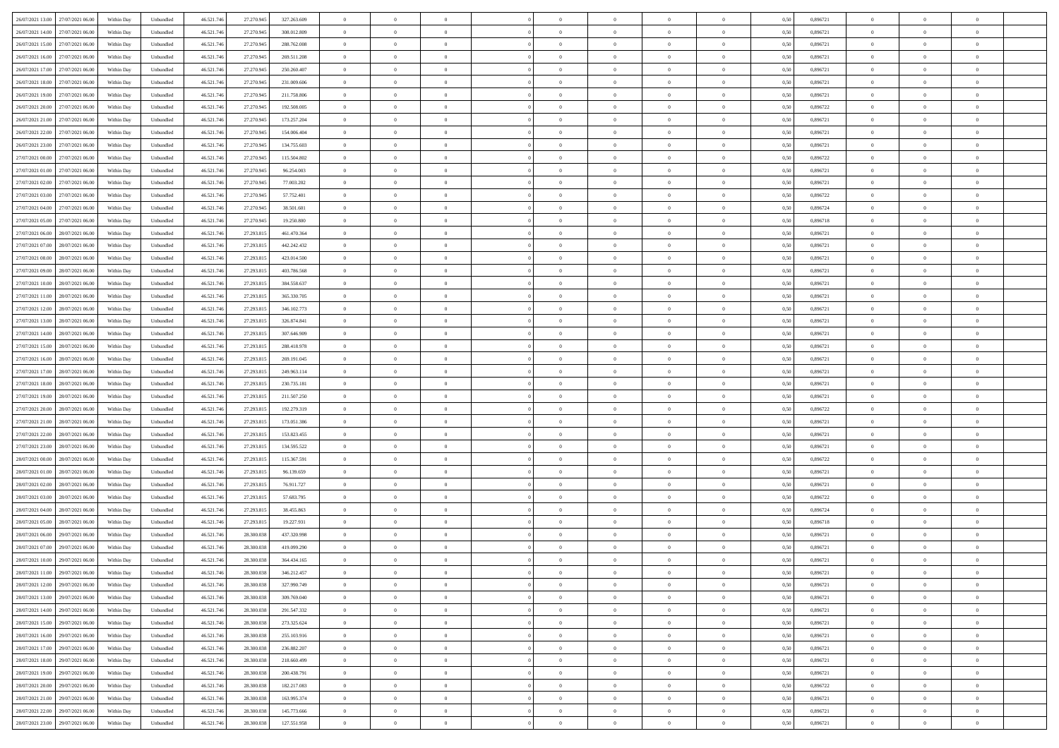| 26/07/2021 13:00 27/07/2021 06:00    | Within Day | Unbundled         | 46.521.74  | 27.270.945 | 327.263.609 | $\overline{0}$ | $\overline{0}$ |                | $\overline{0}$ | $\theta$       |                | $\theta$       | 0,50 | 0,896721 | $\theta$       | $\theta$       | $\overline{0}$ |  |
|--------------------------------------|------------|-------------------|------------|------------|-------------|----------------|----------------|----------------|----------------|----------------|----------------|----------------|------|----------|----------------|----------------|----------------|--|
| 26/07/2021 14:00<br>27/07/2021 06.00 | Within Day | Unbundled         | 46.521.74  | 27.270.94  | 308.012.809 | $\bf{0}$       | $\overline{0}$ | $\bf{0}$       | $\overline{0}$ | $\overline{0}$ | $\overline{0}$ | $\bf{0}$       | 0,50 | 0,896721 | $\,$ 0 $\,$    | $\bf{0}$       | $\overline{0}$ |  |
| 26/07/2021 15:00<br>27/07/2021 06:00 | Within Day | Unbundled         | 46.521.746 | 27.270.945 | 288,762,008 | $\overline{0}$ | $\bf{0}$       | $\overline{0}$ | $\bf{0}$       | $\bf{0}$       | $\overline{0}$ | $\bf{0}$       | 0.50 | 0.896721 | $\bf{0}$       | $\overline{0}$ | $\overline{0}$ |  |
| 26/07/2021 16:00<br>27/07/2021 06:00 |            |                   | 46.521.74  |            |             | $\overline{0}$ | $\overline{0}$ | $\overline{0}$ | $\theta$       | $\theta$       | $\overline{0}$ | $\bf{0}$       |      | 0,896721 | $\theta$       | $\theta$       | $\overline{0}$ |  |
|                                      | Within Day | Unbundled         |            | 27.270.945 | 269.511.208 |                |                |                |                |                |                |                | 0,50 |          |                |                |                |  |
| 26/07/2021 17:00<br>27/07/2021 06.00 | Within Day | Unbundled         | 46.521.74  | 27.270.945 | 250.260.407 | $\bf{0}$       | $\overline{0}$ | $\bf{0}$       | $\overline{0}$ | $\theta$       | $\overline{0}$ | $\bf{0}$       | 0,50 | 0,896721 | $\,$ 0 $\,$    | $\bf{0}$       | $\overline{0}$ |  |
| 26/07/2021 18:00<br>27/07/2021 06:00 | Within Day | Unbundled         | 46.521.74  | 27.270.945 | 231,009,606 | $\overline{0}$ | $\overline{0}$ | $\overline{0}$ | $\bf{0}$       | $\overline{0}$ | $\theta$       | $\bf{0}$       | 0.50 | 0.896721 | $\,$ 0 $\,$    | $\theta$       | $\overline{0}$ |  |
| 26/07/2021 19:00<br>27/07/2021 06:00 | Within Day | Unbundled         | 46.521.74  | 27.270.945 | 211.758.806 | $\overline{0}$ | $\overline{0}$ | $\overline{0}$ | $\overline{0}$ | $\overline{0}$ | $\overline{0}$ | $\bf{0}$       | 0,50 | 0,896721 | $\theta$       | $\theta$       | $\overline{0}$ |  |
|                                      |            |                   |            |            |             |                |                |                |                |                |                |                |      |          |                |                |                |  |
| 26/07/2021 20:00<br>27/07/2021 06.00 | Within Day | Unbundled         | 46.521.74  | 27.270.94  | 192.508.005 | $\bf{0}$       | $\overline{0}$ | $\bf{0}$       | $\overline{0}$ | $\theta$       | $\overline{0}$ | $\bf{0}$       | 0,50 | 0,896722 | $\,$ 0 $\,$    | $\bf{0}$       | $\overline{0}$ |  |
| 26/07/2021 21:00<br>27/07/2021 06:00 | Within Day | Unbundled         | 46.521.74  | 27.270.94  | 173.257.204 | $\overline{0}$ | $\bf{0}$       | $\overline{0}$ | $\bf{0}$       | $\overline{0}$ | $\overline{0}$ | $\bf{0}$       | 0.50 | 0.896721 | $\bf{0}$       | $\overline{0}$ | $\overline{0}$ |  |
| 26/07/2021 22:00<br>27/07/2021 06:00 | Within Day | Unbundled         | 46.521.74  | 27.270.945 | 154.006.404 | $\overline{0}$ | $\bf{0}$       | $\overline{0}$ | $\overline{0}$ | $\overline{0}$ | $\overline{0}$ | $\bf{0}$       | 0,50 | 0,896721 | $\,$ 0 $\,$    | $\theta$       | $\overline{0}$ |  |
| 26/07/2021 23:00<br>27/07/2021 06.00 | Within Day | Unbundled         | 46.521.74  | 27.270.945 | 134.755.603 | $\bf{0}$       | $\overline{0}$ | $\bf{0}$       | $\overline{0}$ | $\bf{0}$       | $\overline{0}$ | $\bf{0}$       | 0,50 | 0,896721 | $\,$ 0 $\,$    | $\bf{0}$       | $\overline{0}$ |  |
|                                      |            |                   |            |            |             |                |                |                |                |                |                |                |      |          |                |                |                |  |
| 27/07/2021 00:00<br>27/07/2021 06:00 | Within Day | Unbundled         | 46.521.746 | 27.270.945 | 115.504.802 | $\overline{0}$ | $\bf{0}$       | $\overline{0}$ | $\bf{0}$       | $\bf{0}$       | $\overline{0}$ | $\bf{0}$       | 0.50 | 0.896722 | $\bf{0}$       | $\overline{0}$ | $\bf{0}$       |  |
| 27/07/2021 01:00<br>27/07/2021 06:00 | Within Day | Unbundled         | 46.521.74  | 27.270.945 | 96.254.003  | $\overline{0}$ | $\overline{0}$ | $\overline{0}$ | $\overline{0}$ | $\theta$       | $\overline{0}$ | $\overline{0}$ | 0,50 | 0,896721 | $\theta$       | $\theta$       | $\overline{0}$ |  |
| 27/07/2021 02:00<br>27/07/2021 06.00 | Within Day | Unbundled         | 46.521.74  | 27.270.94  | 77.003.202  | $\bf{0}$       | $\overline{0}$ | $\bf{0}$       | $\overline{0}$ | $\theta$       | $\overline{0}$ | $\bf{0}$       | 0,50 | 0,896721 | $\bf{0}$       | $\bf{0}$       | $\overline{0}$ |  |
| 27/07/2021 03:00<br>27/07/2021 06:00 | Within Day | Unbundled         | 46.521.74  | 27.270.945 | 57.752.401  | $\overline{0}$ | $\overline{0}$ | $\overline{0}$ | $\bf{0}$       | $\overline{0}$ | $\theta$       | $\bf{0}$       | 0.50 | 0,896722 | $\,$ 0 $\,$    | $\theta$       | $\overline{0}$ |  |
|                                      |            |                   |            |            |             |                |                |                |                |                |                |                |      |          |                |                |                |  |
| 27/07/2021 04:00<br>27/07/2021 06:00 | Within Day | Unbundled         | 46.521.74  | 27.270.945 | 38.501.601  | $\overline{0}$ | $\overline{0}$ | $\overline{0}$ | $\overline{0}$ | $\overline{0}$ | $\overline{0}$ | $\bf{0}$       | 0,50 | 0,896724 | $\theta$       | $\theta$       | $\overline{0}$ |  |
| 27/07/2021 05:00<br>27/07/2021 06.00 | Within Day | Unbundled         | 46.521.74  | 27.270.945 | 19.250.800  | $\bf{0}$       | $\overline{0}$ | $\bf{0}$       | $\overline{0}$ | $\bf{0}$       | $\overline{0}$ | $\bf{0}$       | 0,50 | 0,896718 | $\,$ 0 $\,$    | $\bf{0}$       | $\overline{0}$ |  |
| 27/07/2021 06:00<br>28/07/2021 06:00 | Within Day | Unbundled         | 46.521.74  | 27.293.81: | 461.470.364 | $\overline{0}$ | $\bf{0}$       | $\overline{0}$ | $\bf{0}$       | $\overline{0}$ | $\overline{0}$ | $\bf{0}$       | 0.50 | 0.896721 | $\bf{0}$       | $\overline{0}$ | $\overline{0}$ |  |
| 27/07/2021 07:00<br>28/07/2021 06:00 | Within Day | Unbundled         | 46.521.74  | 27.293.815 | 442.242.432 | $\overline{0}$ | $\overline{0}$ | $\overline{0}$ | $\overline{0}$ | $\overline{0}$ | $\overline{0}$ | $\bf{0}$       | 0,50 | 0,896721 | $\,$ 0 $\,$    | $\theta$       | $\overline{0}$ |  |
|                                      |            |                   |            |            |             |                |                |                |                |                |                |                |      |          |                |                |                |  |
| 27/07/2021 08:00<br>28/07/2021 06.00 | Within Day | Unbundled         | 46.521.74  | 27.293.815 | 423.014.500 | $\bf{0}$       | $\overline{0}$ | $\bf{0}$       | $\bf{0}$       | $\overline{0}$ | $\overline{0}$ | $\bf{0}$       | 0,50 | 0,896721 | $\,$ 0 $\,$    | $\bf{0}$       | $\overline{0}$ |  |
| 27/07/2021 09:00<br>28/07/2021 06:00 | Within Day | Unbundled         | 46.521.746 | 27.293.815 | 403.786.568 | $\overline{0}$ | $\bf{0}$       | $\overline{0}$ | $\bf{0}$       | $\bf{0}$       | $\overline{0}$ | $\bf{0}$       | 0.50 | 0.896721 | $\bf{0}$       | $\overline{0}$ | $\bf{0}$       |  |
| 27/07/2021 10:00<br>28/07/2021 06:00 | Within Day | Unbundled         | 46.521.74  | 27.293.815 | 384.558.637 | $\overline{0}$ | $\overline{0}$ | $\overline{0}$ | $\theta$       | $\theta$       | $\overline{0}$ | $\bf{0}$       | 0,50 | 0,896721 | $\theta$       | $\theta$       | $\overline{0}$ |  |
| 27/07/2021 11:00<br>28/07/2021 06.00 | Within Day | Unbundled         | 46.521.74  | 27.293.815 | 365.330.705 | $\bf{0}$       | $\overline{0}$ | $\bf{0}$       | $\overline{0}$ | $\bf{0}$       | $\overline{0}$ | $\bf{0}$       | 0,50 | 0,896721 | $\,$ 0 $\,$    | $\bf{0}$       | $\overline{0}$ |  |
|                                      |            |                   |            |            |             |                |                |                |                |                |                |                |      |          |                |                |                |  |
| 27/07/2021 12:00<br>28/07/2021 06:00 | Within Day | Unbundled         | 46.521.74  | 27.293.81  | 346.102.773 | $\overline{0}$ | $\overline{0}$ | $\overline{0}$ | $\overline{0}$ | $\overline{0}$ | $\theta$       | $\bf{0}$       | 0.50 | 0.896721 | $\,$ 0 $\,$    | $\theta$       | $\overline{0}$ |  |
| 27/07/2021 13:00<br>28/07/2021 06:00 | Within Day | Unbundled         | 46.521.74  | 27.293.815 | 326.874.841 | $\overline{0}$ | $\overline{0}$ | $\overline{0}$ | $\overline{0}$ | $\overline{0}$ | $\overline{0}$ | $\bf{0}$       | 0,50 | 0,896721 | $\theta$       | $\theta$       | $\overline{0}$ |  |
| 27/07/2021 14:00<br>28/07/2021 06.00 | Within Day | Unbundled         | 46.521.74  | 27.293.81  | 307.646.909 | $\bf{0}$       | $\overline{0}$ | $\bf{0}$       | $\overline{0}$ | $\bf{0}$       | $\overline{0}$ | $\bf{0}$       | 0,50 | 0,896721 | $\,$ 0 $\,$    | $\bf{0}$       | $\overline{0}$ |  |
| 27/07/2021 15:00<br>28/07/2021 06:00 | Within Day | Unbundled         | 46.521.74  | 27.293.815 | 288.418.978 | $\overline{0}$ | $\bf{0}$       | $\overline{0}$ | $\bf{0}$       | $\overline{0}$ | $\overline{0}$ | $\bf{0}$       | 0.50 | 0.896721 | $\bf{0}$       | $\overline{0}$ | $\overline{0}$ |  |
|                                      |            |                   |            |            |             | $\overline{0}$ | $\overline{0}$ | $\overline{0}$ | $\overline{0}$ | $\overline{0}$ | $\overline{0}$ |                |      |          | $\theta$       | $\theta$       | $\overline{0}$ |  |
| 27/07/2021 16:00<br>28/07/2021 06:00 | Within Day | Unbundled         | 46.521.74  | 27.293.815 | 269.191.045 |                |                |                |                |                |                | $\bf{0}$       | 0,50 | 0,896721 |                |                |                |  |
| 27/07/2021 17:00<br>28/07/2021 06.00 | Within Day | Unbundled         | 46.521.74  | 27.293.815 | 249.963.114 | $\bf{0}$       | $\bf{0}$       | $\bf{0}$       | $\bf{0}$       | $\overline{0}$ | $\overline{0}$ | $\bf{0}$       | 0,50 | 0,896721 | $\,$ 0 $\,$    | $\bf{0}$       | $\overline{0}$ |  |
| 27/07/2021 18:00<br>28/07/2021 06:00 | Within Day | Unbundled         | 46.521.746 | 27.293.815 | 230.735.181 | $\overline{0}$ | $\bf{0}$       | $\overline{0}$ | $\bf{0}$       | $\bf{0}$       | $\overline{0}$ | $\bf{0}$       | 0.50 | 0.896721 | $\bf{0}$       | $\overline{0}$ | $\bf{0}$       |  |
| 27/07/2021 19:00<br>28/07/2021 06:00 | Within Day | Unbundled         | 46.521.74  | 27.293.815 | 211.507.250 | $\overline{0}$ | $\overline{0}$ | $\overline{0}$ | $\overline{0}$ | $\overline{0}$ | $\overline{0}$ | $\bf{0}$       | 0.5( | 0,896721 | $\theta$       | $\theta$       | $\overline{0}$ |  |
| 27/07/2021 20:00<br>28/07/2021 06.00 | Within Day | Unbundled         | 46.521.74  | 27.293.81  | 192.279.319 | $\bf{0}$       | $\overline{0}$ | $\bf{0}$       | $\overline{0}$ | $\overline{0}$ | $\overline{0}$ | $\bf{0}$       | 0,50 | 0,896722 | $\,$ 0 $\,$    | $\bf{0}$       | $\overline{0}$ |  |
|                                      |            |                   |            |            |             |                |                |                |                |                |                |                |      |          |                |                |                |  |
| 27/07/2021 21:00<br>28/07/2021 06:00 | Within Day | Unbundled         | 46.521.74  | 27.293.815 | 173.051.386 | $\overline{0}$ | $\overline{0}$ | $\overline{0}$ | $\bf{0}$       | $\overline{0}$ | $\Omega$       | $\bf{0}$       | 0.50 | 0,896721 | $\,$ 0 $\,$    | $\theta$       | $\overline{0}$ |  |
| 27/07/2021 22.00<br>28/07/2021 06:00 | Within Dav | Unbundled         | 46.521.74  | 27.293.815 | 153.823.455 | $\overline{0}$ | $\overline{0}$ | $\overline{0}$ | $\overline{0}$ | $\overline{0}$ | $\overline{0}$ | $\overline{0}$ | 0.5( | 0,896721 | $\theta$       | $\theta$       | $\overline{0}$ |  |
| 27/07/2021 23:00<br>28/07/2021 06:00 | Within Day | Unbundled         | 46.521.74  | 27.293.81  | 134.595.522 | $\bf{0}$       | $\overline{0}$ | $\bf{0}$       | $\overline{0}$ | $\bf{0}$       | $\overline{0}$ | $\bf{0}$       | 0,50 | 0,896721 | $\,$ 0 $\,$    | $\bf{0}$       | $\overline{0}$ |  |
| 28/07/2021 00:00<br>28/07/2021 06:00 | Within Day | Unbundled         | 46.521.74  | 27.293.81  | 115.367.591 | $\overline{0}$ | $\bf{0}$       | $\overline{0}$ | $\bf{0}$       | $\overline{0}$ | $\overline{0}$ | $\bf{0}$       | 0.50 | 0.896722 | $\bf{0}$       | $\overline{0}$ | $\overline{0}$ |  |
|                                      |            |                   |            |            |             |                |                |                |                |                |                |                |      |          |                |                |                |  |
| 28/07/2021 01:00<br>28/07/2021 06:00 | Within Dav | Unbundled         | 46.521.74  | 27.293.815 | 96.139.659  | $\overline{0}$ | $\overline{0}$ | $\overline{0}$ | $\overline{0}$ | $\overline{0}$ | $\overline{0}$ | $\overline{0}$ | 0.50 | 0,896721 | $\theta$       | $\theta$       | $\overline{0}$ |  |
| 28/07/2021 02:00<br>28/07/2021 06.00 | Within Day | Unbundled         | 46.521.74  | 27.293.815 | 76.911.727  | $\bf{0}$       | $\bf{0}$       | $\bf{0}$       | $\bf{0}$       | $\overline{0}$ | $\overline{0}$ | $\bf{0}$       | 0,50 | 0,896721 | $\,$ 0 $\,$    | $\bf{0}$       | $\overline{0}$ |  |
| 28/07/2021 03:00<br>28/07/2021 06:00 | Within Day | Unbundled         | 46.521.746 | 27.293.815 | 57.683.795  | $\overline{0}$ | $\bf{0}$       | $\overline{0}$ | $\bf{0}$       | $\bf{0}$       | $\overline{0}$ | $\bf{0}$       | 0.50 | 0.896722 | $\bf{0}$       | $\overline{0}$ | $\overline{0}$ |  |
| 28/07/2021 04:00<br>28/07/2021 06:00 | Within Dav | Unbundled         | 46.521.74  | 27.293.815 | 38.455.863  | $\overline{0}$ | $\overline{0}$ | $\overline{0}$ | $\overline{0}$ | $\overline{0}$ | $\overline{0}$ | $\bf{0}$       | 0.50 | 0,896724 | $\theta$       | $\theta$       | $\overline{0}$ |  |
| 28/07/2021 05:00<br>28/07/2021 06.00 | Within Day | Unbundled         | 46.521.74  | 27.293.815 | 19.227.931  | $\bf{0}$       | $\overline{0}$ | $\bf{0}$       | $\overline{0}$ | $\overline{0}$ | $\overline{0}$ | $\bf{0}$       | 0,50 | 0,896718 | $\,$ 0 $\,$    | $\bf{0}$       | $\overline{0}$ |  |
|                                      |            |                   |            |            |             |                |                |                |                |                |                |                |      |          |                |                |                |  |
| 28/07/2021 06:00<br>29/07/2021 06:00 | Within Day | Unbundled         | 46.521.74  | 28,300,038 | 437.320.998 | $\overline{0}$ | $\overline{0}$ | $\overline{0}$ | $\overline{0}$ | $\bf{0}$       | $\Omega$       | $\bf{0}$       | 0.50 | 0,896721 | $\bf{0}$       | $\theta$       | $\overline{0}$ |  |
| 28/07/2021 07:00<br>29/07/2021 06:00 | Within Dav | Unbundled         | 46.521.74  | 28,300,038 | 419.099.290 | $\overline{0}$ | $\overline{0}$ | $\Omega$       | $\overline{0}$ | $\theta$       | $\Omega$       | $\overline{0}$ | 0.5( | 0,896721 | $\theta$       | $\theta$       | $\overline{0}$ |  |
| 28/07/2021 10:00<br>29/07/2021 06.00 | Within Day | Unbundled         | 46.521.74  | 28.300.03  | 364.434.165 | $\bf{0}$       | $\bf{0}$       | $\bf{0}$       | $\bf{0}$       | $\bf{0}$       | $\overline{0}$ | $\bf{0}$       | 0,50 | 0,896721 | $\,$ 0 $\,$    | $\bf{0}$       | $\overline{0}$ |  |
| 28/07/2021 11:00 29/07/2021 06:00    | Within Day | ${\sf Unbundred}$ | 46.521.746 | 28.300.038 | 346.212.457 | $\bf{0}$       | $\theta$       |                | $\overline{0}$ |                |                |                | 0,50 | 0,896721 | $\bf{0}$       | $\overline{0}$ |                |  |
|                                      |            |                   |            |            |             |                |                |                |                |                |                |                |      |          |                |                |                |  |
| 28/07/2021 12:00 29/07/2021 06:00    | Within Day | Unbundled         | 46.521.746 | 28.300.038 | 327.990.749 | $\overline{0}$ | $\theta$       | $\Omega$       | $\theta$       | $\overline{0}$ | $\overline{0}$ | $\bf{0}$       | 0,50 | 0,896721 | $\theta$       | $\theta$       | $\overline{0}$ |  |
| 28/07/2021 13:00<br>29/07/2021 06.00 | Within Day | Unbundled         | 46.521.74  | 28.300.03  | 309.769.040 | $\overline{0}$ | $\bf{0}$       | $\overline{0}$ | $\overline{0}$ | $\bf{0}$       | $\overline{0}$ | $\bf{0}$       | 0,50 | 0,896721 | $\bf{0}$       | $\overline{0}$ | $\bf{0}$       |  |
| 28/07/2021 14:00 29/07/2021 06:00    | Within Day | Unbundled         | 46.521.746 | 28.300.038 | 291.547.332 | $\overline{0}$ | $\bf{0}$       | $\overline{0}$ | $\overline{0}$ | $\mathbf{0}$   | $\overline{0}$ | $\bf{0}$       | 0.50 | 0.896721 | $\overline{0}$ | $\bf{0}$       | $\,$ 0 $\,$    |  |
| 28/07/2021 15:00 29/07/2021 06:00    | Within Day | Unbundled         | 46.521.746 | 28.300.038 | 273.325.624 | $\overline{0}$ | $\overline{0}$ | $\overline{0}$ | $\overline{0}$ | $\overline{0}$ | $\overline{0}$ | $\bf{0}$       | 0,50 | 0,896721 | $\theta$       | $\theta$       | $\overline{0}$ |  |
|                                      |            |                   |            |            |             |                |                |                |                |                |                |                |      |          |                |                |                |  |
| 28/07/2021 16:00<br>29/07/2021 06.00 | Within Day | Unbundled         | 46.521.74  | 28.300.038 | 255.103.916 | $\overline{0}$ | $\bf{0}$       | $\overline{0}$ | $\bf{0}$       | $\overline{0}$ | $\overline{0}$ | $\bf{0}$       | 0,50 | 0,896721 | $\bf{0}$       | $\bf{0}$       | $\overline{0}$ |  |
| 28/07/2021 17:00<br>29/07/2021 06:00 | Within Day | Unbundled         | 46.521.746 | 28,300,038 | 236,882,207 | $\overline{0}$ | $\bf{0}$       | $\overline{0}$ | $\overline{0}$ | $\overline{0}$ | $\overline{0}$ | $\bf{0}$       | 0.50 | 0,896721 | $\,$ 0 $\,$    | $\theta$       | $\overline{0}$ |  |
| 28/07/2021 18:00<br>29/07/2021 06:00 | Within Dav | Unbundled         | 46.521.746 | 28.300.038 | 218.660.499 | $\overline{0}$ | $\overline{0}$ | $\overline{0}$ | $\overline{0}$ | $\overline{0}$ | $\overline{0}$ | $\bf{0}$       | 0.50 | 0,896721 | $\overline{0}$ | $\theta$       | $\overline{0}$ |  |
| 28/07/2021 19:00<br>29/07/2021 06.00 | Within Day | Unbundled         | 46.521.74  | 28.300.038 | 200.438.791 | $\overline{0}$ | $\bf{0}$       | $\overline{0}$ | $\overline{0}$ | $\bf{0}$       | $\overline{0}$ | $\bf{0}$       | 0,50 | 0,896721 | $\bf{0}$       | $\overline{0}$ | $\,$ 0         |  |
| 29/07/2021 06:00                     |            | Unbundled         |            | 28,300,038 | 182.217.083 | $\overline{0}$ | $\overline{0}$ | $\overline{0}$ |                | $\bf{0}$       | $\overline{0}$ |                | 0.50 | 0.896722 | $\overline{0}$ | $\bf{0}$       | $\,$ 0         |  |
| 28/07/2021 20:00                     | Within Day |                   | 46.521.746 |            |             |                |                |                | $\overline{0}$ |                |                | $\bf{0}$       |      |          |                |                |                |  |
| 28/07/2021 21:00 29/07/2021 06:00    | Within Dav | Unbundled         | 46.521.746 | 28.300.038 | 163.995.374 | $\overline{0}$ | $\overline{0}$ | $\overline{0}$ | $\overline{0}$ | $\overline{0}$ | $\overline{0}$ | $\bf{0}$       | 0,50 | 0,896721 | $\overline{0}$ | $\theta$       | $\overline{0}$ |  |
| 28/07/2021 22:00<br>29/07/2021 06.00 | Within Day | Unbundled         | 46.521.74  | 28.300.03  | 145.773.666 | $\overline{0}$ | $\bf{0}$       | $\overline{0}$ | $\bf{0}$       | $\overline{0}$ | $\overline{0}$ | $\bf{0}$       | 0,50 | 0,896721 | $\bf{0}$       | $\bf{0}$       | $\overline{0}$ |  |
| 28/07/2021 23:00 29/07/2021 06:00    | Within Day | Unbundled         | 46.521.746 | 28.300.038 | 127.551.958 | $\overline{0}$ | $\bf{0}$       | $\overline{0}$ | $\overline{0}$ | $\,$ 0 $\,$    | $\overline{0}$ | $\bf{0}$       | 0,50 | 0,896721 | $\overline{0}$ | $\,$ 0 $\,$    | $\,$ 0 $\,$    |  |
|                                      |            |                   |            |            |             |                |                |                |                |                |                |                |      |          |                |                |                |  |